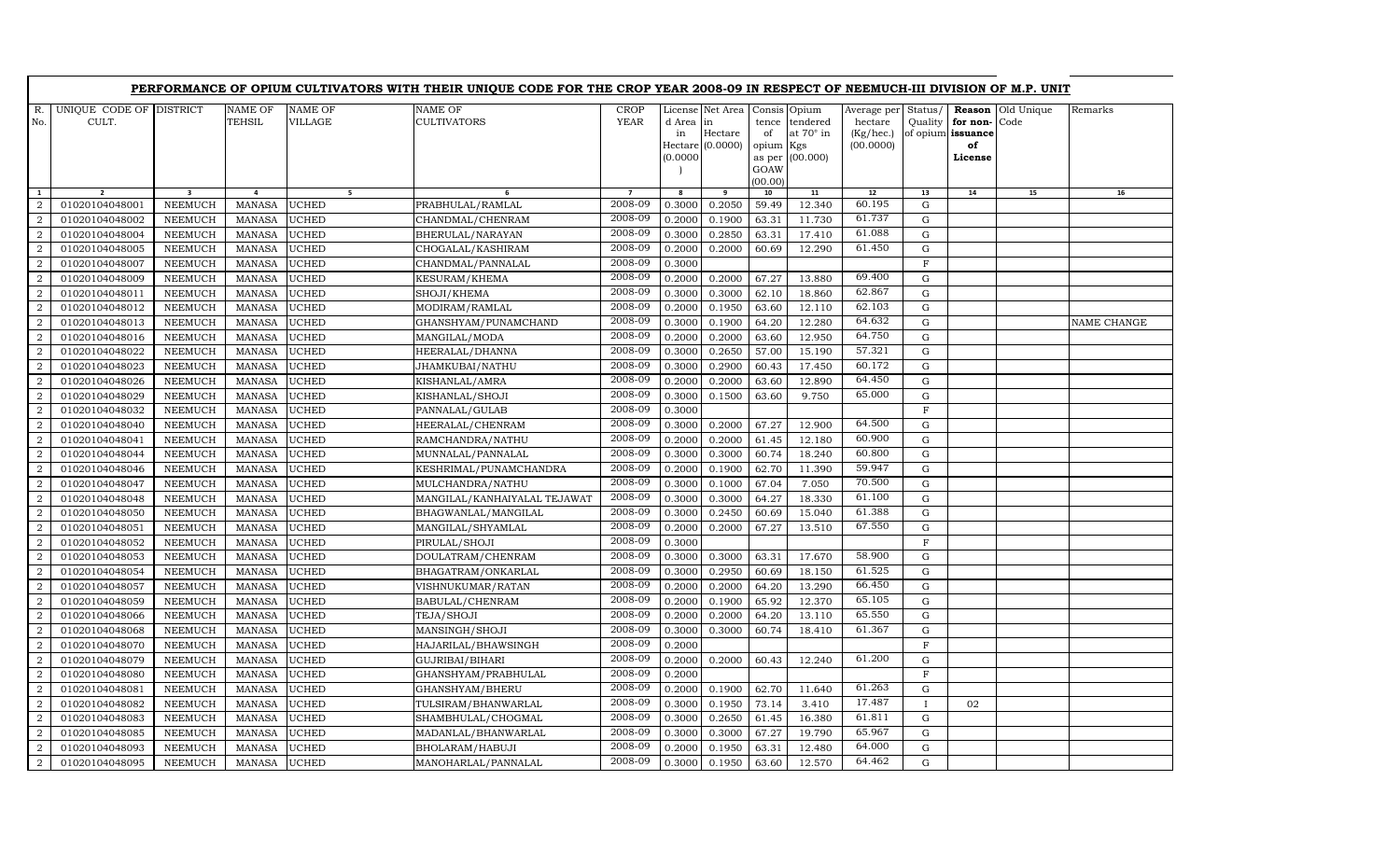|                |                         |                |                |              | PERFORMANCE OF OPIUM CULTIVATORS WITH THEIR UNIQUE CODE FOR THE CROP YEAR 2008-09 IN RESPECT OF NEEMUCH-III DIVISION OF M.P. UNIT |                |           |                  |                |           |                     |                   |               |            |             |
|----------------|-------------------------|----------------|----------------|--------------|-----------------------------------------------------------------------------------------------------------------------------------|----------------|-----------|------------------|----------------|-----------|---------------------|-------------------|---------------|------------|-------------|
| $R_{\cdot}$    | UNIQUE CODE OF DISTRICT |                | <b>NAME OF</b> | NAME OF      | <b>NAME OF</b>                                                                                                                    | <b>CROP</b>    |           | License Net Area | Consis Opium   |           | Average per Status/ |                   | Reason        | Old Unique | Remarks     |
| No.            | CULT.                   |                | <b>TEHSIL</b>  | VILLAGE      | <b>CULTIVATORS</b>                                                                                                                | <b>YEAR</b>    | d Area in |                  | tence          | tendered  | hectare             | Quality           | for non-      | Code       |             |
|                |                         |                |                |              |                                                                                                                                   |                | in        | Hectare          | of             | at 70° in | (Kg/hec.)           | of opium issuance |               |            |             |
|                |                         |                |                |              |                                                                                                                                   |                | (0.0000)  | Hectare (0.0000) | opium Kgs      | (00.000)  | (00.0000)           |                   | of<br>License |            |             |
|                |                         |                |                |              |                                                                                                                                   |                |           |                  | as per<br>GOAW |           |                     |                   |               |            |             |
|                |                         |                |                |              |                                                                                                                                   |                |           |                  | (00.00)        |           |                     |                   |               |            |             |
| $\mathbf{1}$   |                         | 3              | 4              | 5            |                                                                                                                                   | $\overline{7}$ |           | 9                | 10             | 11        | ${\bf 12}$          | 13                | 14            | 15         | 16          |
| 2              | 01020104048001          | NEEMUCH        | <b>MANASA</b>  | UCHED        | PRABHULAL/RAMLAL                                                                                                                  | 2008-09        | 0.3000    | 0.2050           | 59.49          | 12.340    | 60.195              | G                 |               |            |             |
| $\overline{2}$ | 01020104048002          | <b>NEEMUCH</b> | <b>MANASA</b>  | UCHED        | CHANDMAL/CHENRAM                                                                                                                  | 2008-09        | 0.2000    | 0.1900           | 63.31          | 11.730    | 61.737              | G                 |               |            |             |
| $\overline{2}$ | 01020104048004          | NEEMUCH        | <b>MANASA</b>  | <b>UCHED</b> | BHERULAL/NARAYAN                                                                                                                  | 2008-09        | 0.3000    | 0.2850           | 63.31          | 17.410    | 61.088              | ${\bf G}$         |               |            |             |
| $\overline{2}$ | 01020104048005          | <b>NEEMUCH</b> | <b>MANASA</b>  | UCHED        | CHOGALAL/KASHIRAM                                                                                                                 | 2008-09        | 0.2000    | 0.2000           | 60.69          | 12.290    | 61.450              | $\mathbf G$       |               |            |             |
| $\overline{a}$ | 01020104048007          | NEEMUCH        | <b>MANASA</b>  | UCHED        | CHANDMAL/PANNALAL                                                                                                                 | 2008-09        | 0.3000    |                  |                |           |                     | F                 |               |            |             |
| $\overline{a}$ | 01020104048009          | <b>NEEMUCH</b> | <b>MANASA</b>  | UCHED        | KESURAM/KHEMA                                                                                                                     | 2008-09        | 0.2000    | 0.2000           | 67.27          | 13.880    | 69.400              | $\mathbf G$       |               |            |             |
| $\overline{2}$ | 01020104048011          | <b>NEEMUCH</b> | <b>MANASA</b>  | UCHED        | SHOJI/KHEMA                                                                                                                       | 2008-09        | 0.3000    | 0.3000           | 62.10          | 18.860    | 62.867              | G                 |               |            |             |
| $\overline{a}$ | 01020104048012          | <b>NEEMUCH</b> | <b>MANASA</b>  | <b>UCHED</b> | MODIRAM/RAMLAL                                                                                                                    | 2008-09        | 0.2000    | 0.1950           | 63.60          | 12.110    | 62.103              | $\mathbf G$       |               |            |             |
| $\mathbf{2}$   | 01020104048013          | NEEMUCH        | <b>MANASA</b>  | <b>UCHED</b> | GHANSHYAM/PUNAMCHAND                                                                                                              | 2008-09        | 0.3000    | 0.1900           | 64.20          | 12.280    | 64.632              | ${\rm G}$         |               |            | NAME CHANGE |
| 2              | 01020104048016          | <b>NEEMUCH</b> | <b>MANASA</b>  | UCHED        | MANGILAL/MODA                                                                                                                     | 2008-09        | 0.2000    | 0.2000           | 63.60          | 12.950    | 64.750              | ${\rm G}$         |               |            |             |
| $\overline{a}$ | 01020104048022          | <b>NEEMUCH</b> | <b>MANASA</b>  | UCHED        | HEERALAL/DHANNA                                                                                                                   | 2008-09        | 0.3000    | 0.2650           | 57.00          | 15.190    | 57.321              | $\mathbf G$       |               |            |             |
| $\overline{a}$ | 01020104048023          | <b>NEEMUCH</b> | <b>MANASA</b>  | UCHED        | JHAMKUBAI/NATHU                                                                                                                   | 2008-09        | 0.3000    | 0.2900           | 60.43          | 17.450    | 60.172              | G                 |               |            |             |
| $\overline{a}$ | 01020104048026          | <b>NEEMUCH</b> | <b>MANASA</b>  | UCHED        | KISHANLAL/AMRA                                                                                                                    | 2008-09        | 0.2000    | 0.2000           | 63.60          | 12.890    | 64.450              | $\mathbf G$       |               |            |             |
| $\overline{2}$ | 01020104048029          | <b>NEEMUCH</b> | <b>MANASA</b>  | <b>UCHED</b> | KISHANLAL/SHOJI                                                                                                                   | 2008-09        | 0.3000    | 0.1500           | 63.60          | 9.750     | 65.000              | $\mathbf G$       |               |            |             |
| 2              | 01020104048032          | <b>NEEMUCH</b> | <b>MANASA</b>  | UCHED        | PANNALAL/GULAB                                                                                                                    | 2008-09        | 0.3000    |                  |                |           |                     | F                 |               |            |             |
| $\overline{a}$ | 01020104048040          | <b>NEEMUCH</b> | <b>MANASA</b>  | UCHED        | HEERALAL/CHENRAM                                                                                                                  | 2008-09        | 0.3000    | 0.2000           | 67.27          | 12.900    | 64.500              | $\mathbf G$       |               |            |             |
| $\overline{a}$ | 01020104048041          | <b>NEEMUCH</b> | <b>MANASA</b>  | UCHED        | RAMCHANDRA/NATHU                                                                                                                  | 2008-09        | 0.2000    | 0.2000           | 61.45          | 12.180    | 60.900              | $\mathbf G$       |               |            |             |
| $\overline{a}$ | 01020104048044          | <b>NEEMUCH</b> | <b>MANASA</b>  | <b>UCHED</b> | MUNNALAL/PANNALAL                                                                                                                 | 2008-09        | 0.3000    | 0.3000           | 60.74          | 18.240    | 60.800              | $\mathbf G$       |               |            |             |
| $\overline{a}$ | 01020104048046          | <b>NEEMUCH</b> | <b>MANASA</b>  | <b>UCHED</b> | KESHRIMAL/PUNAMCHANDRA                                                                                                            | 2008-09        | 0.2000    | 0.1900           | 62.70          | 11.390    | 59.947              | $\mathbf G$       |               |            |             |
| $\overline{a}$ | 01020104048047          | <b>NEEMUCH</b> | <b>MANASA</b>  | <b>UCHED</b> | MULCHANDRA/NATHU                                                                                                                  | 2008-09        | 0.3000    | 0.1000           | 67.04          | 7.050     | 70.500              | G                 |               |            |             |
| $\overline{a}$ | 01020104048048          | <b>NEEMUCH</b> | <b>MANASA</b>  | UCHED        | MANGILAL/KANHAIYALAL TEJAWAT                                                                                                      | 2008-09        | 0.3000    | 0.3000           | 64.27          | 18.330    | 61.100              | G                 |               |            |             |
| $\overline{a}$ | 01020104048050          | <b>NEEMUCH</b> | <b>MANASA</b>  | <b>UCHED</b> | BHAGWANLAL/MANGILAL                                                                                                               | 2008-09        | 0.3000    | 0.2450           | 60.69          | 15.040    | 61.388              | $\mathbf G$       |               |            |             |
| $\overline{a}$ | 01020104048051          | <b>NEEMUCH</b> | <b>MANASA</b>  | UCHED        | MANGILAL/SHYAMLAL                                                                                                                 | 2008-09        | 0.2000    | 0.2000           | 67.27          | 13.510    | 67.550              | G                 |               |            |             |
| $\overline{a}$ | 01020104048052          | <b>NEEMUCH</b> | <b>MANASA</b>  | UCHED        | PIRULAL/SHOJI                                                                                                                     | 2008-09        | 0.3000    |                  |                |           |                     | $\mathbf F$       |               |            |             |
| 2              | 01020104048053          | <b>NEEMUCH</b> | <b>MANASA</b>  | <b>UCHED</b> | DOULATRAM/CHENRAM                                                                                                                 | 2008-09        | 0.3000    | 0.3000           | 63.31          | 17.670    | 58.900              | $\mathbf G$       |               |            |             |
| 2              | 01020104048054          | <b>NEEMUCH</b> | <b>MANASA</b>  | UCHED        | BHAGATRAM/ONKARLAL                                                                                                                | 2008-09        | 0.3000    | 0.2950           | 60.69          | 18.150    | 61.525              | $\mathbf G$       |               |            |             |
| $\overline{a}$ | 01020104048057          | <b>NEEMUCH</b> | <b>MANASA</b>  | <b>UCHED</b> | VISHNUKUMAR/RATAN                                                                                                                 | 2008-09        | 0.2000    | 0.2000           | 64.20          | 13.290    | 66.450              | $\mathbf G$       |               |            |             |
| $\overline{a}$ | 01020104048059          | <b>NEEMUCH</b> | <b>MANASA</b>  | UCHED        | BABULAL/CHENRAM                                                                                                                   | 2008-09        | 0.2000    | 0.1900           | 65.92          | 12.370    | 65.105              | G                 |               |            |             |
| 2              | 01020104048066          | <b>NEEMUCH</b> | <b>MANASA</b>  | UCHED        | TEJA/SHOJI                                                                                                                        | 2008-09        | 0.2000    | 0.2000           | 64.20          | 13.110    | 65.550              | $\mathbf G$       |               |            |             |
| 2              | 01020104048068          | <b>NEEMUCH</b> | <b>MANASA</b>  | <b>UCHED</b> | MANSINGH/SHOJI                                                                                                                    | 2008-09        | 0.3000    | 0.3000           | 60.74          | 18.410    | 61.367              | $\mathbf G$       |               |            |             |
| $\overline{2}$ | 01020104048070          | <b>NEEMUCH</b> | <b>MANASA</b>  | UCHED        | HAJARILAL/BHAWSINGH                                                                                                               | 2008-09        | 0.2000    |                  |                |           |                     | $\mathbf{F}$      |               |            |             |
| 2              | 01020104048079          | <b>NEEMUCH</b> | <b>MANASA</b>  | UCHED        | GUJRIBAI/BIHARI                                                                                                                   | 2008-09        | 0.2000    | 0.2000           | 60.43          | 12.240    | 61.200              | $\mathbf G$       |               |            |             |
| $\overline{2}$ | 01020104048080          | <b>NEEMUCH</b> | <b>MANASA</b>  | UCHED        | GHANSHYAM/PRABHULAL                                                                                                               | 2008-09        | 0.2000    |                  |                |           |                     | $\mathbf F$       |               |            |             |
| $\overline{2}$ | 01020104048081          | <b>NEEMUCH</b> | <b>MANASA</b>  | UCHED        | GHANSHYAM/BHERU                                                                                                                   | 2008-09        | 0.2000    | 0.1900           | 62.70          | 11.640    | 61.263              | ${\rm G}$         |               |            |             |
| $\overline{a}$ | 01020104048082          | <b>NEEMUCH</b> | <b>MANASA</b>  | UCHED        | TULSIRAM/BHANWARLAL                                                                                                               | 2008-09        | 0.3000    | 0.1950           | 73.14          | 3.410     | 17.487              | $\mathbf{I}$      | 02            |            |             |
| $\mathbf{2}$   | 01020104048083          | <b>NEEMUCH</b> | <b>MANASA</b>  | UCHED        | SHAMBHULAL/CHOGMAL                                                                                                                | 2008-09        | 0.3000    | 0.2650           | 61.45          | 16.380    | 61.811              | ${\rm G}$         |               |            |             |
| $\mathbf{2}$   | 01020104048085          | <b>NEEMUCH</b> | <b>MANASA</b>  | UCHED        | MADANLAL/BHANWARLAL                                                                                                               | 2008-09        | 0.3000    | 0.3000           | 67.27          | 19.790    | 65.967              | G                 |               |            |             |
| $\overline{2}$ | 01020104048093          | <b>NEEMUCH</b> | <b>MANASA</b>  | UCHED        | BHOLARAM/HABUJI                                                                                                                   | 2008-09        | 0.2000    | 0.1950           | 63.31          | 12.480    | 64.000              | G                 |               |            |             |
| $\overline{a}$ | 01020104048095          | <b>NEEMUCH</b> | <b>MANASA</b>  | <b>UCHED</b> | MANOHARLAL/PANNALAL                                                                                                               | 2008-09        | 0.3000    | 0.1950           | 63.60          | 12.570    | 64.462              | G                 |               |            |             |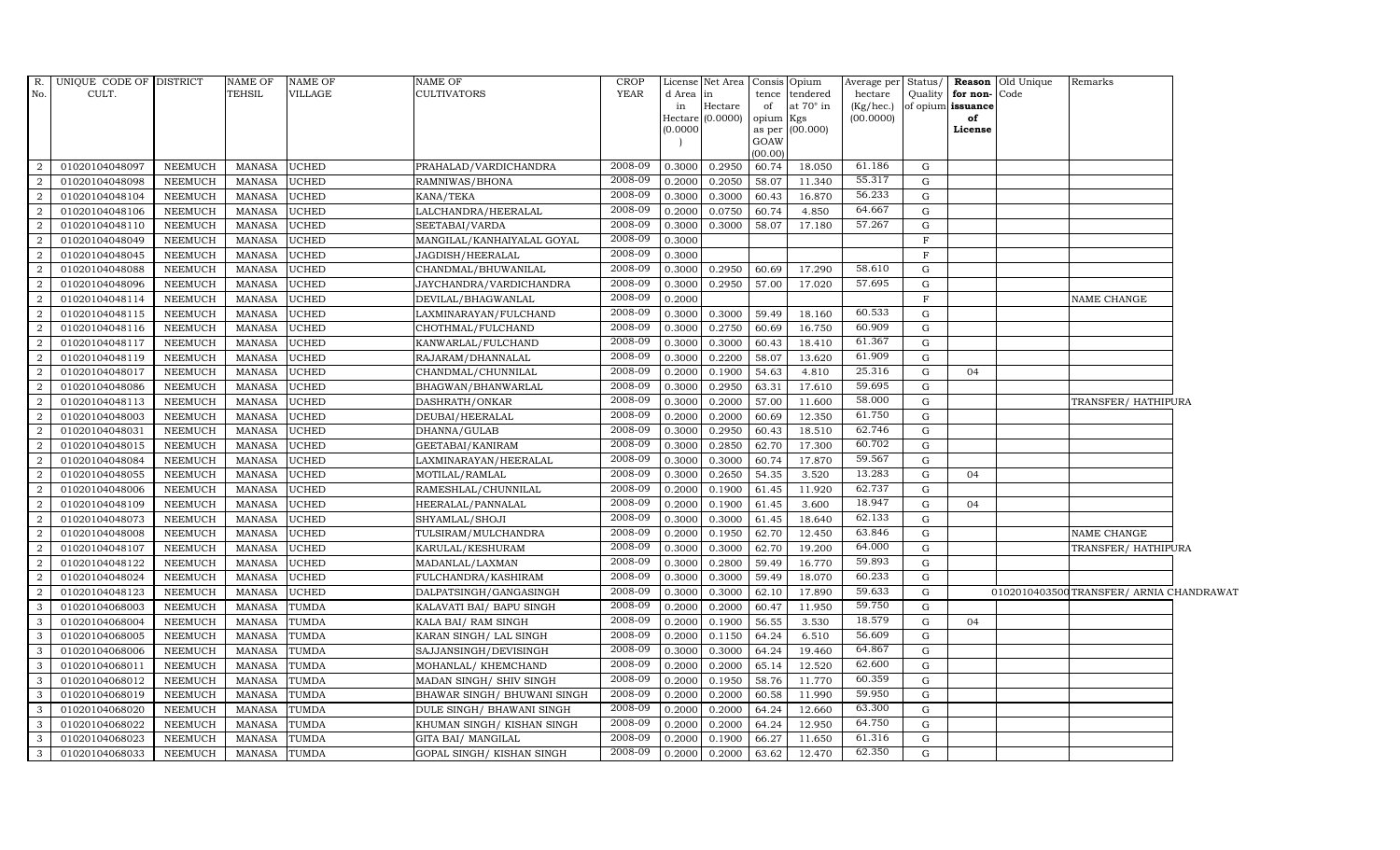| R.             | UNIQUE CODE OF DISTRICT |                | NAME OF       | <b>NAME OF</b> | NAME OF                     | <b>CROP</b> |          | License Net Area Consis Opium |           |                 | Average per Status/ |              |                         | <b>Reason</b> Old Unique | Remarks                                 |  |
|----------------|-------------------------|----------------|---------------|----------------|-----------------------------|-------------|----------|-------------------------------|-----------|-----------------|---------------------|--------------|-------------------------|--------------------------|-----------------------------------------|--|
| No.            | CULT.                   |                | TEHSIL        | VILLAGE        | CULTIVATORS                 | YEAR        | d Area   | in                            |           | tence tendered  | hectare             |              | Quality   for non- Code |                          |                                         |  |
|                |                         |                |               |                |                             |             | in       | Hectare<br>Hectare (0.0000)   | of        | at 70° in       | (Kg/hec.)           |              | of opium issuance<br>of |                          |                                         |  |
|                |                         |                |               |                |                             |             | (0.0000) |                               | opium Kgs | as per (00.000) | (00.0000)           |              | License                 |                          |                                         |  |
|                |                         |                |               |                |                             |             |          |                               | GOAW      |                 |                     |              |                         |                          |                                         |  |
|                |                         |                |               |                |                             |             |          |                               | (00.00)   |                 |                     |              |                         |                          |                                         |  |
| 2              | 01020104048097          | NEEMUCH        | <b>MANASA</b> | <b>UCHED</b>   | PRAHALAD/VARDICHANDRA       | 2008-09     | 0.3000   | 0.2950                        | 60.74     | 18.050          | 61.186              | G            |                         |                          |                                         |  |
| 2              | 01020104048098          | NEEMUCH        | <b>MANASA</b> | UCHED          | RAMNIWAS/BHONA              | 2008-09     | 0.2000   | 0.2050                        | 58.07     | 11.340          | 55.317              | G            |                         |                          |                                         |  |
| $\overline{2}$ | 01020104048104          | NEEMUCH        | <b>MANASA</b> | UCHED          | KANA/TEKA                   | 2008-09     | 0.3000   | 0.3000                        | 60.43     | 16.870          | 56.233              | G            |                         |                          |                                         |  |
| $\overline{2}$ | 01020104048106          | <b>NEEMUCH</b> | <b>MANASA</b> | <b>JCHED</b>   | LALCHANDRA/HEERALAL         | 2008-09     | 0.2000   | 0.0750                        | 60.74     | 4.850           | 64.667              | G            |                         |                          |                                         |  |
| 2              | 01020104048110          | <b>NEEMUCH</b> | <b>MANASA</b> | UCHED          | SEETABAI/VARDA              | 2008-09     | 0.3000   | 0.3000                        | 58.07     | 17.180          | 57.267              | $\mathbf G$  |                         |                          |                                         |  |
| 2              | 01020104048049          | <b>NEEMUCH</b> | <b>MANASA</b> | UCHED          | MANGILAL/KANHAIYALAL GOYAL  | 2008-09     | 0.3000   |                               |           |                 |                     | $\mathbf F$  |                         |                          |                                         |  |
| 2              | 01020104048045          | <b>NEEMUCH</b> | <b>MANASA</b> | <b>JCHED</b>   | JAGDISH/HEERALAL            | 2008-09     | 0.3000   |                               |           |                 |                     | $\mathbf{F}$ |                         |                          |                                         |  |
| 2              | 01020104048088          | NEEMUCH        | <b>MANASA</b> | UCHED          | CHANDMAL/BHUWANILAL         | 2008-09     | 0.3000   | 0.2950                        | 60.69     | 17.290          | 58.610              | G            |                         |                          |                                         |  |
| $\overline{2}$ | 01020104048096          | <b>NEEMUCH</b> | <b>MANASA</b> | <b>JCHED</b>   | JAYCHANDRA/VARDICHANDRA     | 2008-09     | 0.3000   | 0.2950                        | 57.00     | 17.020          | 57.695              | G            |                         |                          |                                         |  |
| $\overline{a}$ | 01020104048114          | <b>NEEMUCH</b> | <b>MANASA</b> | UCHED          | DEVILAL/BHAGWANLAL          | 2008-09     | 0.2000   |                               |           |                 |                     | $\mathbf{F}$ |                         |                          | NAME CHANGE                             |  |
| 2              | 01020104048115          | <b>NEEMUCH</b> | <b>MANASA</b> | UCHED          | LAXMINARAYAN/FULCHAND       | 2008-09     | 0.3000   | 0.3000                        | 59.49     | 18.160          | 60.533              | G            |                         |                          |                                         |  |
| 2              | 01020104048116          | NEEMUCH        | <b>MANASA</b> | UCHED          | CHOTHMAL/FULCHAND           | 2008-09     | 0.3000   | 0.2750                        | 60.69     | 16.750          | 60.909              | G            |                         |                          |                                         |  |
| 2              | 01020104048117          | NEEMUCH        | <b>MANASA</b> | <b>JCHED</b>   | KANWARLAL/FULCHAND          | 2008-09     | 0.3000   | 0.3000                        | 60.43     | 18.410          | 61.367              | G            |                         |                          |                                         |  |
| $\overline{2}$ | 01020104048119          | <b>NEEMUCH</b> | <b>MANASA</b> | <b>JCHED</b>   | RAJARAM/DHANNALAL           | 2008-09     | 0.3000   | 0.2200                        | 58.07     | 13.620          | 61.909              | G            |                         |                          |                                         |  |
| $\overline{2}$ | 01020104048017          | <b>NEEMUCH</b> | <b>MANASA</b> | UCHED          | CHANDMAL/CHUNNILAL          | 2008-09     | 0.2000   | 0.1900                        | 54.63     | 4.810           | 25.316              | G            | 04                      |                          |                                         |  |
| $\overline{2}$ | 01020104048086          | NEEMUCH        | <b>MANASA</b> | <b>UCHED</b>   | BHAGWAN/BHANWARLAL          | 2008-09     | 0.3000   | 0.2950                        | 63.31     | 17.610          | 59.695              | G            |                         |                          |                                         |  |
| 2              | 01020104048113          | <b>NEEMUCH</b> | <b>MANASA</b> | <b>UCHED</b>   | DASHRATH/ONKAR              | 2008-09     | 0.3000   | 0.2000                        | 57.00     | 11.600          | 58.000              | $\mathbf G$  |                         |                          | TRANSFER/HATHIPURA                      |  |
| 2              | 01020104048003          | NEEMUCH        | <b>MANASA</b> | <b>JCHED</b>   | DEUBAI/HEERALAL             | 2008-09     | 0.2000   | 0.2000                        | 60.69     | 12.350          | 61.750              | G            |                         |                          |                                         |  |
| 2              | 01020104048031          | NEEMUCH        | <b>MANASA</b> | <b>JCHED</b>   | DHANNA/GULAB                | 2008-09     | 0.3000   | 0.2950                        | 60.43     | 18.510          | 62.746              | G            |                         |                          |                                         |  |
| $\overline{2}$ | 01020104048015          | <b>NEEMUCH</b> | <b>MANASA</b> | UCHED          | GEETABAI/KANIRAM            | 2008-09     | 0.3000   | 0.2850                        | 62.70     | 17.300          | 60.702              | $\mathbf G$  |                         |                          |                                         |  |
| 2              | 01020104048084          | NEEMUCH        | <b>MANASA</b> | UCHED          | LAXMINARAYAN/HEERALAL       | 2008-09     | 0.3000   | 0.3000                        | 60.74     | 17.870          | 59.567              | G            |                         |                          |                                         |  |
| $\overline{2}$ | 01020104048055          | <b>NEEMUCH</b> | <b>MANASA</b> | <b>UCHED</b>   | MOTILAL/RAMLAL              | 2008-09     | 0.3000   | 0.2650                        | 54.35     | 3.520           | 13.283              | G            | 04                      |                          |                                         |  |
| 2              | 01020104048006          | NEEMUCH        | <b>MANASA</b> | UCHED          | RAMESHLAL/CHUNNILAL         | 2008-09     | 0.2000   | 0.1900                        | 61.45     | 11.920          | 62.737              | G            |                         |                          |                                         |  |
| 2              | 01020104048109          | NEEMUCH        | <b>MANASA</b> | UCHED          | HEERALAL/PANNALAL           | 2008-09     | 0.2000   | 0.1900                        | 61.45     | 3.600           | 18.947              | G            | 04                      |                          |                                         |  |
| $\overline{2}$ | 01020104048073          | NEEMUCH        | <b>MANASA</b> | UCHED          | SHYAMLAL/SHOJI              | 2008-09     | 0.3000   | 0.3000                        | 61.45     | 18.640          | 62.133              | G            |                         |                          |                                         |  |
| $\overline{2}$ | 01020104048008          | <b>NEEMUCH</b> | <b>MANASA</b> | <b>JCHED</b>   | TULSIRAM/MULCHANDRA         | 2008-09     | 0.2000   | 0.1950                        | 62.70     | 12.450          | 63.846              | G            |                         |                          | NAME CHANGE                             |  |
| 2              | 01020104048107          | <b>NEEMUCH</b> | <b>MANASA</b> | <b>UCHED</b>   | KARULAL/KESHURAM            | 2008-09     | 0.3000   | 0.3000                        | 62.70     | 19.200          | 64.000              | $\mathbf G$  |                         |                          | TRANSFER/HATHIPURA                      |  |
| 2              | 01020104048122          | NEEMUCH        | <b>MANASA</b> | UCHED          | MADANLAL/LAXMAN             | 2008-09     | 0.3000   | 0.2800                        | 59.49     | 16.770          | 59.893              | G            |                         |                          |                                         |  |
| 2              | 01020104048024          | <b>NEEMUCH</b> | <b>MANASA</b> | <b>JCHED</b>   | FULCHANDRA/KASHIRAM         | 2008-09     | 0.3000   | 0.3000                        | 59.49     | 18.070          | 60.233              | G            |                         |                          |                                         |  |
| $\overline{2}$ | 01020104048123          | NEEMUCH        | <b>MANASA</b> | <b>JCHED</b>   | DALPATSINGH/GANGASINGH      | 2008-09     | 0.3000   | 0.3000                        | 62.10     | 17.890          | 59.633              | G            |                         |                          | 0102010403500TRANSFER/ ARNIA CHANDRAWAT |  |
| 3              | 01020104068003          | <b>NEEMUCH</b> | <b>MANASA</b> | TUMDA          | KALAVATI BAI/ BAPU SINGH    | 2008-09     | 0.2000   | 0.2000                        | 60.47     | 11.950          | 59.750              | G            |                         |                          |                                         |  |
| 3              | 01020104068004          | <b>NEEMUCH</b> | <b>MANASA</b> | TUMDA          | KALA BAI/RAM SINGH          | 2008-09     | 0.2000   | 0.1900                        | 56.55     | 3.530           | 18.579              | G            | 04                      |                          |                                         |  |
| 3              | 01020104068005          | <b>NEEMUCH</b> | <b>MANASA</b> | TUMDA          | KARAN SINGH/ LAL SINGH      | 2008-09     | 0.2000   | 0.1150                        | 64.24     | 6.510           | 56.609              | G            |                         |                          |                                         |  |
| 3              | 01020104068006          | NEEMUCH        | <b>MANASA</b> | TUMDA          | SAJJANSINGH/DEVISINGH       | 2008-09     | 0.3000   | 0.3000                        | 64.24     | 19.460          | 64.867              | G            |                         |                          |                                         |  |
| 3              | 01020104068011          | NEEMUCH        | <b>MANASA</b> | TUMDA          | MOHANLAL/KHEMCHAND          | 2008-09     | 0.2000   | 0.2000                        | 65.14     | 12.520          | 62.600              | G            |                         |                          |                                         |  |
| 3              | 01020104068012          | NEEMUCH        | <b>MANASA</b> | TUMDA          | MADAN SINGH/ SHIV SINGH     | 2008-09     | 0.2000   | 0.1950                        | 58.76     | 11.770          | 60.359              | G            |                         |                          |                                         |  |
| 3              | 01020104068019          | <b>NEEMUCH</b> | <b>MANASA</b> | TUMDA          | BHAWAR SINGH/ BHUWANI SINGH | 2008-09     | 0.2000   | 0.2000                        | 60.58     | 11.990          | 59.950              | G            |                         |                          |                                         |  |
| 3              | 01020104068020          | <b>NEEMUCH</b> | <b>MANASA</b> | TUMDA          | DULE SINGH/ BHAWANI SINGH   | 2008-09     | 0.2000   | 0.2000                        | 64.24     | 12.660          | 63.300              | G            |                         |                          |                                         |  |
| 3              | 01020104068022          | <b>NEEMUCH</b> | <b>MANASA</b> | TUMDA          | KHUMAN SINGH/ KISHAN SINGH  | 2008-09     | 0.2000   | 0.2000                        | 64.24     | 12.950          | 64.750              | G            |                         |                          |                                         |  |
| $\mathbf{3}$   | 01020104068023          | NEEMUCH        | <b>MANASA</b> | TUMDA          | GITA BAI/ MANGILAL          | 2008-09     | 0.2000   | 0.1900                        | 66.27     | 11.650          | 61.316              | G            |                         |                          |                                         |  |
| 3              | 01020104068033          | NEEMUCH        | <b>MANASA</b> | <b>TUMDA</b>   | GOPAL SINGH/KISHAN SINGH    | 2008-09     | 0.2000   | 0.2000                        | 63.62     | 12.470          | 62.350              | G            |                         |                          |                                         |  |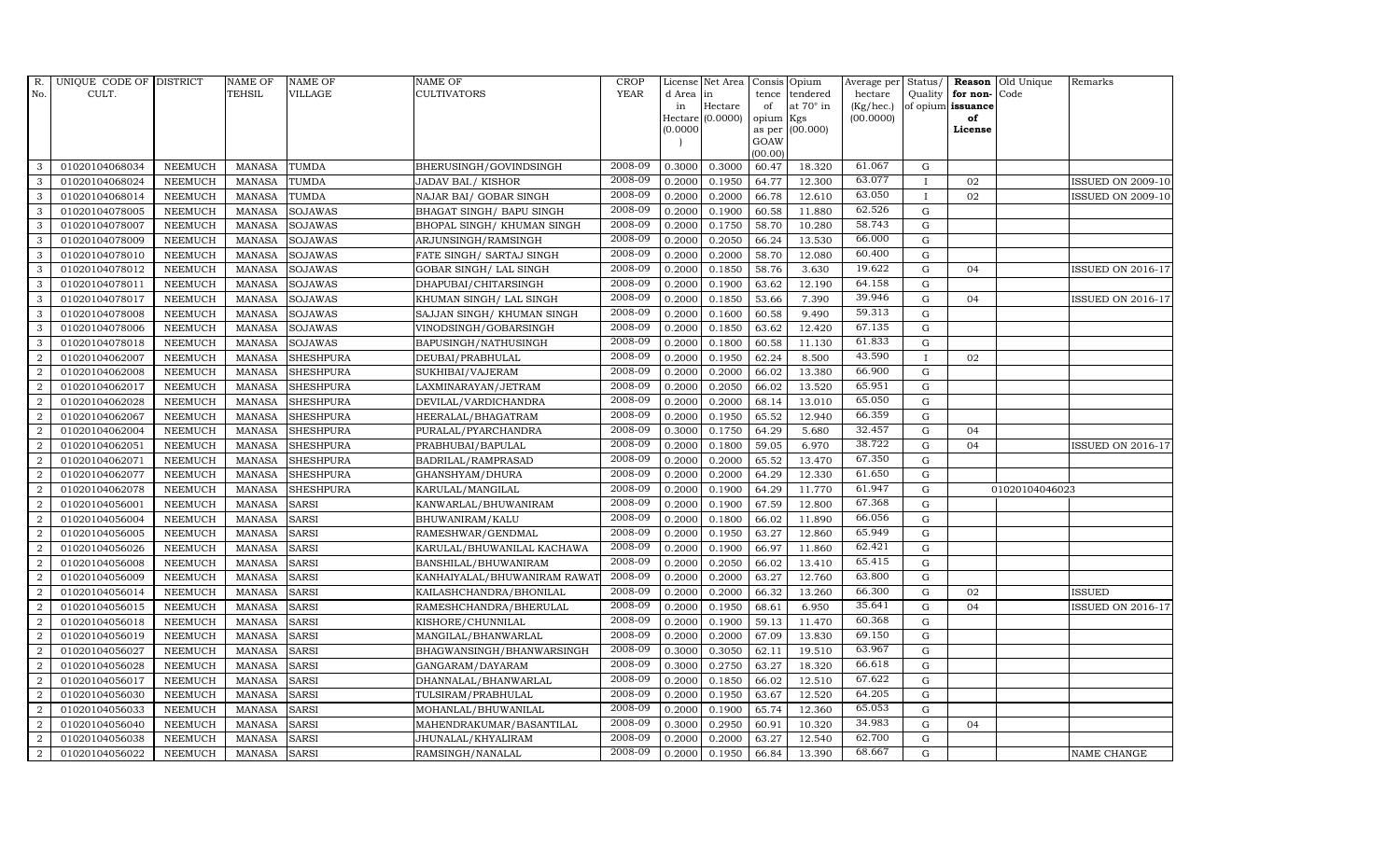| R.               | UNIQUE CODE OF DISTRICT |                | <b>NAME OF</b> | <b>NAME OF</b>   | NAME OF                      | <b>CROP</b> |           | License Net Area | Consis         | Opium            | Average per Status/ |              |                      | <b>Reason</b> Old Unique | Remarks                  |
|------------------|-------------------------|----------------|----------------|------------------|------------------------------|-------------|-----------|------------------|----------------|------------------|---------------------|--------------|----------------------|--------------------------|--------------------------|
| No.              | CULT.                   |                | TEHSIL         | <b>VILLAGE</b>   | CULTIVATORS                  | <b>YEAR</b> | d Area in |                  | tence          | tendered         | hectare             |              | Quality $ $ for non- | Code                     |                          |
|                  |                         |                |                |                  |                              |             | in        | Hectare          | of             | at $70^\circ$ in | (Kg/hec.)           |              | of opium issuance    |                          |                          |
|                  |                         |                |                |                  |                              |             | (0.0000)  | Hectare (0.0000) | opium          | Kgs<br>(00.000)  | (00.0000)           |              | of<br>License        |                          |                          |
|                  |                         |                |                |                  |                              |             |           |                  | as per<br>GOAW |                  |                     |              |                      |                          |                          |
|                  |                         |                |                |                  |                              |             |           |                  | (00.00)        |                  |                     |              |                      |                          |                          |
| 3                | 01020104068034          | <b>NEEMUCH</b> | MANASA         | <b>TUMDA</b>     | BHERUSINGH/GOVINDSINGH       | 2008-09     | 0.3000    | 0.3000           | 60.47          | 18.320           | 61.067              | G            |                      |                          |                          |
| 3                | 01020104068024          | <b>NEEMUCH</b> | <b>MANASA</b>  | <b>TUMDA</b>     | JADAV BAI./KISHOR            | 2008-09     | 0.2000    | 0.1950           | 64.77          | 12.300           | 63.077              | $\mathbf{I}$ | 02                   |                          | <b>ISSUED ON 2009-10</b> |
| 3                | 01020104068014          | <b>NEEMUCH</b> | <b>MANASA</b>  | <b>TUMDA</b>     | NAJAR BAI/ GOBAR SINGH       | 2008-09     | 0.2000    | 0.2000           | 66.78          | 12.610           | 63.050              | $\bf{I}$     | 02                   |                          | <b>ISSUED ON 2009-10</b> |
| 3                | 01020104078005          | <b>NEEMUCH</b> | <b>MANASA</b>  | <b>SOJAWAS</b>   | BHAGAT SINGH / BAPU SINGH    | 2008-09     | 0.2000    | 0.1900           | 60.58          | 11.880           | 62.526              | G            |                      |                          |                          |
| 3                | 01020104078007          | <b>NEEMUCH</b> | <b>MANASA</b>  | SOJAWAS          | BHOPAL SINGH/ KHUMAN SINGH   | 2008-09     | 0.2000    | 0.1750           | 58.70          | 10.280           | 58.743              | G            |                      |                          |                          |
| 3                | 01020104078009          | <b>NEEMUCH</b> | <b>MANASA</b>  | SOJAWAS          | ARJUNSINGH/RAMSINGH          | 2008-09     | 0.2000    | 0.2050           | 66.24          | 13.530           | 66.000              | G            |                      |                          |                          |
| 3                | 01020104078010          | <b>NEEMUCH</b> | <b>MANASA</b>  | <b>SOJAWAS</b>   | FATE SINGH/ SARTAJ SINGH     | 2008-09     | 0.2000    | 0.2000           | 58.70          | 12.080           | 60.400              | G            |                      |                          |                          |
| 3                | 01020104078012          | <b>NEEMUCH</b> | <b>MANASA</b>  | <b>SOJAWAS</b>   | GOBAR SINGH / LAL SINGH      | 2008-09     | 0.2000    | 0.1850           | 58.76          | 3.630            | 19.622              | $\mathbf G$  | 04                   |                          | ISSUED ON 2016-17        |
| 3                | 01020104078011          | <b>NEEMUCH</b> | <b>MANASA</b>  | <b>SOJAWAS</b>   | DHAPUBAI/CHITARSINGH         | 2008-09     | 0.2000    | 0.1900           | 63.62          | 12.190           | 64.158              | G            |                      |                          |                          |
| 3                | 01020104078017          | <b>NEEMUCH</b> | <b>MANASA</b>  | SOJAWAS          | KHUMAN SINGH/ LAL SINGH      | 2008-09     | 0.2000    | 0.1850           | 53.66          | 7.390            | 39.946              | G            | 04                   |                          | <b>ISSUED ON 2016-17</b> |
| $\mathbf{3}$     | 01020104078008          | <b>NEEMUCH</b> | <b>MANASA</b>  | SOJAWAS          | SAJJAN SINGH/ KHUMAN SINGH   | 2008-09     | 0.2000    | 0.1600           | 60.58          | 9.490            | 59.313              | G            |                      |                          |                          |
| 3                | 01020104078006          | <b>NEEMUCH</b> | <b>MANASA</b>  | SOJAWAS          | VINODSINGH/GOBARSINGH        | 2008-09     | 0.2000    | 0.1850           | 63.62          | 12.420           | 67.135              | G            |                      |                          |                          |
| 3                | 01020104078018          | <b>NEEMUCH</b> | <b>MANASA</b>  | <b>SOJAWAS</b>   | BAPUSINGH/NATHUSINGH         | 2008-09     | 0.2000    | 0.1800           | 60.58          | 11.130           | 61.833              | G            |                      |                          |                          |
| $\overline{2}$   | 01020104062007          | <b>NEEMUCH</b> | <b>MANASA</b>  | <b>SHESHPURA</b> | DEUBAI/PRABHULAL             | 2008-09     | 0.2000    | 0.1950           | 62.24          | 8.500            | 43.590              | $\mathbf{I}$ | 02                   |                          |                          |
| $\boldsymbol{2}$ | 01020104062008          | NEEMUCH        | <b>MANASA</b>  | <b>SHESHPURA</b> | SUKHIBAI/VAJERAM             | 2008-09     | 0.2000    | 0.2000           | 66.02          | 13.380           | 66.900              | G            |                      |                          |                          |
| $\overline{2}$   | 01020104062017          | <b>NEEMUCH</b> | <b>MANASA</b>  | <b>SHESHPURA</b> | LAXMINARAYAN/JETRAM          | 2008-09     | 0.2000    | 0.2050           | 66.02          | 13.520           | 65.951              | G            |                      |                          |                          |
| 2                | 01020104062028          | <b>NEEMUCH</b> | <b>MANASA</b>  | <b>SHESHPURA</b> | DEVILAL/VARDICHANDRA         | 2008-09     | 0.2000    | 0.2000           | 68.14          | 13.010           | 65.050              | G            |                      |                          |                          |
| $\overline{2}$   | 01020104062067          | <b>NEEMUCH</b> | <b>MANASA</b>  | <b>SHESHPURA</b> | HEERALAL/BHAGATRAM           | 2008-09     | 0.2000    | 0.1950           | 65.52          | 12.940           | 66.359              | G            |                      |                          |                          |
| $\overline{2}$   | 01020104062004          | <b>NEEMUCH</b> | <b>MANASA</b>  | <b>SHESHPURA</b> | PURALAL/PYARCHANDRA          | 2008-09     | 0.3000    | 0.1750           | 64.29          | 5.680            | $32.\overline{457}$ | $\mathbf G$  | 04                   |                          |                          |
| $\overline{2}$   | 01020104062051          | <b>NEEMUCH</b> | <b>MANASA</b>  | <b>SHESHPURA</b> | PRABHUBAI/BAPULAL            | 2008-09     | 0.2000    | 0.1800           | 59.05          | 6.970            | 38.722              | ${\bf G}$    | 04                   |                          | <b>ISSUED ON 2016-17</b> |
| $\overline{2}$   | 01020104062071          | <b>NEEMUCH</b> | <b>MANASA</b>  | <b>SHESHPURA</b> | BADRILAL/RAMPRASAD           | 2008-09     | 0.2000    | 0.2000           | 65.52          | 13.470           | 67.350              | G            |                      |                          |                          |
| 2                | 01020104062077          | <b>NEEMUCH</b> | <b>MANASA</b>  | <b>SHESHPURA</b> | GHANSHYAM/DHURA              | 2008-09     | 0.2000    | 0.2000           | 64.29          | 12.330           | 61.650              | G            |                      |                          |                          |
| $\overline{a}$   | 01020104062078          | <b>NEEMUCH</b> | <b>MANASA</b>  | <b>SHESHPURA</b> | KARULAL/MANGILAL             | 2008-09     | 0.2000    | 0.1900           | 64.29          | 11.770           | 61.947              | $\mathbf G$  |                      | 01020104046023           |                          |
| 2                | 01020104056001          | <b>NEEMUCH</b> | <b>MANASA</b>  | <b>SARSI</b>     | KANWARLAL/BHUWANIRAM         | 2008-09     | 0.2000    | 0.1900           | 67.59          | 12.800           | 67.368              | G            |                      |                          |                          |
| $\overline{2}$   | 01020104056004          | <b>NEEMUCH</b> | <b>MANASA</b>  | <b>SARSI</b>     | BHUWANIRAM/KALU              | 2008-09     | 0.2000    | 0.1800           | 66.02          | 11.890           | 66.056              | G            |                      |                          |                          |
| $\overline{a}$   | 01020104056005          | <b>NEEMUCH</b> | <b>MANASA</b>  | <b>SARSI</b>     | RAMESHWAR/GENDMAL            | 2008-09     | 0.2000    | 0.1950           | 63.27          | 12.860           | 65.949              | G            |                      |                          |                          |
| 2                | 01020104056026          | <b>NEEMUCH</b> | <b>MANASA</b>  | <b>SARSI</b>     | KARULAL/BHUWANILAL KACHAWA   | 2008-09     | 0.2000    | 0.1900           | 66.97          | 11.860           | 62.421              | G            |                      |                          |                          |
| 2                | 01020104056008          | <b>NEEMUCH</b> | <b>MANASA</b>  | <b>SARSI</b>     | BANSHILAL/BHUWANIRAM         | 2008-09     | 0.2000    | 0.2050           | 66.02          | 13.410           | 65.415              | G            |                      |                          |                          |
| $\overline{2}$   | 01020104056009          | <b>NEEMUCH</b> | <b>MANASA</b>  | <b>SARSI</b>     | KANHAIYALAL/BHUWANIRAM RAWAT | 2008-09     | 0.2000    | 0.2000           | 63.27          | 12.760           | 63.800              | ${\bf G}$    |                      |                          |                          |
| 2                | 01020104056014          | NEEMUCH        | <b>MANASA</b>  | <b>SARSI</b>     | KAILASHCHANDRA/BHONILAL      | 2008-09     | 0.2000    | 0.2000           | 66.32          | 13.260           | 66.300              | G            | 02                   |                          | <b>ISSUED</b>            |
| $\overline{2}$   | 01020104056015          | <b>NEEMUCH</b> | <b>MANASA</b>  | <b>SARSI</b>     | RAMESHCHANDRA/BHERULAL       | 2008-09     | 0.2000    | 0.1950           | 68.61          | 6.950            | 35.641              | G            | 0 <sub>4</sub>       |                          | <b>ISSUED ON 2016-17</b> |
| 2                | 01020104056018          | <b>NEEMUCH</b> | <b>MANASA</b>  | <b>SARSI</b>     | KISHORE/CHUNNILAL            | 2008-09     | 0.2000    | 0.1900           | 59.13          | 11.470           | 60.368              | G            |                      |                          |                          |
| $\overline{a}$   | 01020104056019          | <b>NEEMUCH</b> | <b>MANASA</b>  | <b>SARSI</b>     | MANGILAL/BHANWARLAL          | 2008-09     | 0.2000    | 0.2000           | 67.09          | 13.830           | 69.150              | G            |                      |                          |                          |
| $\overline{2}$   | 01020104056027          | <b>NEEMUCH</b> | <b>MANASA</b>  | <b>SARSI</b>     | BHAGWANSINGH/BHANWARSINGH    | 2008-09     | 0.3000    | 0.3050           | 62.11          | 19.510           | 63.967              | G            |                      |                          |                          |
| $\overline{2}$   | 01020104056028          | <b>NEEMUCH</b> | <b>MANASA</b>  | <b>SARSI</b>     | GANGARAM/DAYARAM             | 2008-09     | 0.3000    | 0.2750           | 63.27          | 18.320           | 66.618              | G            |                      |                          |                          |
| $\overline{2}$   | 01020104056017          | <b>NEEMUCH</b> | <b>MANASA</b>  | SARSI            | DHANNALAL/BHANWARLAL         | 2008-09     | 0.2000    | 0.1850           | 66.02          | 12.510           | 67.622              | G            |                      |                          |                          |
| $\overline{2}$   | 01020104056030          | <b>NEEMUCH</b> | <b>MANASA</b>  | <b>SARSI</b>     | TULSIRAM/PRABHULAL           | 2008-09     | 0.2000    | 0.1950           | 63.67          | 12.520           | 64.205              | G            |                      |                          |                          |
| $\overline{a}$   | 01020104056033          | <b>NEEMUCH</b> | <b>MANASA</b>  | SARSI            | MOHANLAL/BHUWANILAL          | 2008-09     | 0.2000    | 0.1900           | 65.74          | 12.360           | 65.053              | G            |                      |                          |                          |
| $\overline{2}$   | 01020104056040          | <b>NEEMUCH</b> | <b>MANASA</b>  | SARSI            | MAHENDRAKUMAR/BASANTILAL     | 2008-09     | 0.3000    | 0.2950           | 60.91          | 10.320           | 34.983              | G            | 04                   |                          |                          |
| 2                | 01020104056038          | <b>NEEMUCH</b> | <b>MANASA</b>  | <b>SARSI</b>     | JHUNALAL/KHYALIRAM           | 2008-09     | 0.2000    | 0.2000           | 63.27          | 12.540           | 62.700              | G            |                      |                          |                          |
| $\overline{a}$   | 01020104056022          | <b>NEEMUCH</b> | <b>MANASA</b>  | <b>SARSI</b>     | RAMSINGH/NANALAL             | 2008-09     | 0.2000    | 0.1950           | 66.84          | 13.390           | 68.667              | G            |                      |                          | <b>NAME CHANGE</b>       |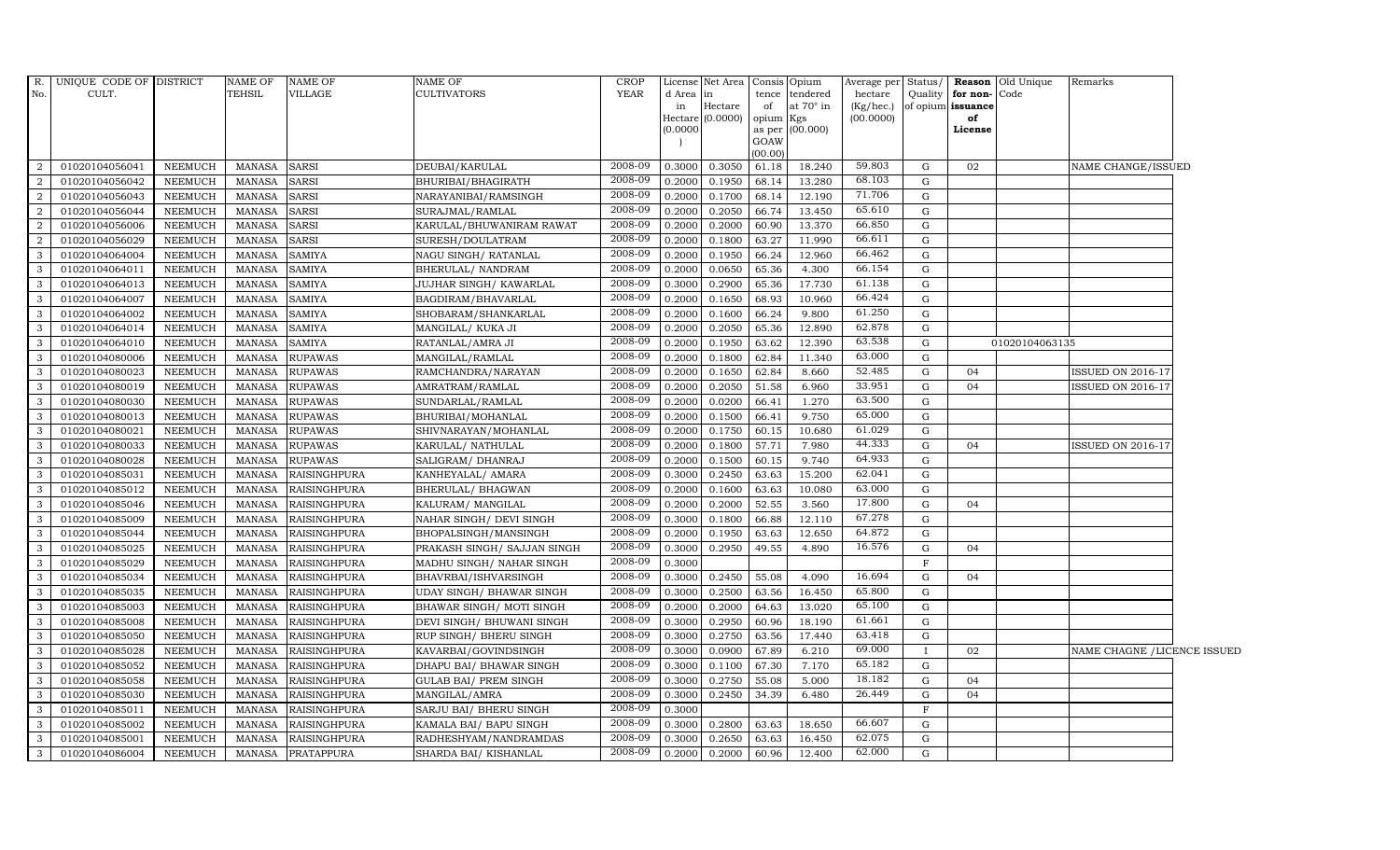| R.             | UNIQUE CODE OF DISTRICT |                | <b>NAME OF</b> | <b>NAME OF</b>      | <b>NAME OF</b>               | <b>CROP</b> |                     | License Net Area |           | Consis Opium     |           |             |                      | Average per Status/ <b>Reason</b> Old Unique | Remarks                      |  |
|----------------|-------------------------|----------------|----------------|---------------------|------------------------------|-------------|---------------------|------------------|-----------|------------------|-----------|-------------|----------------------|----------------------------------------------|------------------------------|--|
| No.            | CULT.                   |                | <b>TEHSIL</b>  | VILLAGE             | <b>CULTIVATORS</b>           | <b>YEAR</b> | d Area              | in               |           | tence tendered   | hectare   |             | Quality for non-Code |                                              |                              |  |
|                |                         |                |                |                     |                              |             | in                  | Hectare          | of        | at $70^\circ$ in | (Kg/hec.) |             | of opium issuance    |                                              |                              |  |
|                |                         |                |                |                     |                              |             | Hectare<br>(0.0000) | (0.0000)         | opium Kgs | as per (00.000)  | (00.0000) |             | of<br>License        |                                              |                              |  |
|                |                         |                |                |                     |                              |             |                     |                  | GOAW      |                  |           |             |                      |                                              |                              |  |
|                |                         |                |                |                     |                              |             |                     |                  | (00.00)   |                  |           |             |                      |                                              |                              |  |
| 2              | 01020104056041          | <b>NEEMUCH</b> | <b>MANASA</b>  | <b>SARSI</b>        | DEUBAI/KARULAL               | 2008-09     | 0.3000              | 0.3050           | 61.18     | 18.240           | 59.803    | G           | 02                   |                                              | NAME CHANGE/ISSUED           |  |
| $\overline{2}$ | 01020104056042          | <b>NEEMUCH</b> | <b>MANASA</b>  | <b>SARSI</b>        | BHURIBAI/BHAGIRATH           | 2008-09     | 0.2000              | 0.1950           | 68.14     | 13.280           | 68.103    | G           |                      |                                              |                              |  |
| $\overline{2}$ | 01020104056043          | <b>NEEMUCH</b> | <b>MANASA</b>  | <b>SARSI</b>        | NARAYANIBAI/RAMSINGH         | 2008-09     | 0.2000              | 0.1700           | 68.14     | 12.190           | 71.706    | G           |                      |                                              |                              |  |
| 2              | 01020104056044          | <b>NEEMUCH</b> | <b>MANASA</b>  | <b>SARSI</b>        | SURAJMAL/RAMLAL              | 2008-09     | 0.2000              | 0.2050           | 66.74     | 13.450           | 65.610    | G           |                      |                                              |                              |  |
| 2              | 01020104056006          | <b>NEEMUCH</b> | <b>MANASA</b>  | <b>SARSI</b>        | KARULAL/BHUWANIRAM RAWAT     | 2008-09     | 0.2000              | 0.2000           | 60.90     | 13.370           | 66.850    | G           |                      |                                              |                              |  |
| 2              | 01020104056029          | <b>NEEMUCH</b> | <b>MANASA</b>  | <b>SARSI</b>        | SURESH/DOULATRAM             | 2008-09     | 0.2000              | 0.1800           | 63.27     | 11.990           | 66.611    | G           |                      |                                              |                              |  |
| 3              | 01020104064004          | <b>NEEMUCH</b> | <b>MANASA</b>  | <b>SAMIYA</b>       | NAGU SINGH/ RATANLAL         | 2008-09     | 0.2000              | 0.1950           | 66.24     | 12.960           | 66.462    | G           |                      |                                              |                              |  |
| $\mathcal{R}$  | 01020104064011          | <b>NEEMUCH</b> | <b>MANASA</b>  | <b>SAMIYA</b>       | <b>BHERULAL/ NANDRAM</b>     | 2008-09     | 0.2000              | 0.0650           | 65.36     | 4.300            | 66.154    | G           |                      |                                              |                              |  |
| 3              | 01020104064013          | <b>NEEMUCH</b> | <b>MANASA</b>  | <b>SAMIYA</b>       | JUJHAR SINGH/KAWARLAL        | 2008-09     | 0.3000              | 0.2900           | 65.36     | 17.730           | 61.138    | G           |                      |                                              |                              |  |
| 3              | 01020104064007          | <b>NEEMUCH</b> | <b>MANASA</b>  | <b>SAMIYA</b>       | BAGDIRAM/BHAVARLAL           | 2008-09     | 0.2000              | 0.1650           | 68.93     | 10.960           | 66.424    | G           |                      |                                              |                              |  |
| 3              | 01020104064002          | <b>NEEMUCH</b> | <b>MANASA</b>  | <b>SAMIYA</b>       | SHOBARAM/SHANKARLAL          | 2008-09     | 0.2000              | 0.1600           | 66.24     | 9.800            | 61.250    | G           |                      |                                              |                              |  |
| 3              | 01020104064014          | <b>NEEMUCH</b> | MANASA         | <b>SAMIYA</b>       | MANGILAL/ KUKA JI            | 2008-09     | 0.2000              | 0.2050           | 65.36     | 12.890           | 62.878    | G           |                      |                                              |                              |  |
| 3              | 01020104064010          | <b>NEEMUCH</b> | <b>MANASA</b>  | <b>SAMIYA</b>       | RATANLAL/AMRA JI             | 2008-09     | 0.2000              | 0.1950           | 63.62     | 12.390           | 63.538    | $\mathbf G$ |                      | 01020104063135                               |                              |  |
| 3              | 01020104080006          | <b>NEEMUCH</b> | <b>MANASA</b>  | <b>RUPAWAS</b>      | MANGILAL/RAMLAL              | 2008-09     | 0.2000              | 0.1800           | 62.84     | 11.340           | 63.000    | G           |                      |                                              |                              |  |
| 3              | 01020104080023          | <b>NEEMUCH</b> | <b>MANASA</b>  | <b>RUPAWAS</b>      | RAMCHANDRA/NARAYAN           | 2008-09     | 0.2000              | 0.1650           | 62.84     | 8.660            | 52.485    | G           | 04                   |                                              | <b>ISSUED ON 2016-17</b>     |  |
| 3              | 01020104080019          | NEEMUCH        | <b>MANASA</b>  | <b>RUPAWAS</b>      | AMRATRAM/RAMLAL              | 2008-09     | 0.2000              | 0.2050           | 51.58     | 6.960            | 33.951    | G           | 04                   |                                              | <b>ISSUED ON 2016-17</b>     |  |
| 3              | 01020104080030          | <b>NEEMUCH</b> | <b>MANASA</b>  | <b>RUPAWAS</b>      | SUNDARLAL/RAMLAL             | 2008-09     | 0.2000              | 0.0200           | 66.41     | 1.270            | 63.500    | G           |                      |                                              |                              |  |
| 3              | 01020104080013          | <b>NEEMUCH</b> | <b>MANASA</b>  | <b>RUPAWAS</b>      | BHURIBAI/MOHANLAL            | 2008-09     | 0.2000              | 0.1500           | 66.41     | 9.750            | 65.000    | G           |                      |                                              |                              |  |
| 3              | 01020104080021          | <b>NEEMUCH</b> | <b>MANASA</b>  | <b>RUPAWAS</b>      | SHIVNARAYAN/MOHANLAL         | 2008-09     | 0.2000              | 0.1750           | 60.15     | 10.680           | 61.029    | G           |                      |                                              |                              |  |
| 3              | 01020104080033          | <b>NEEMUCH</b> | <b>MANASA</b>  | <b>RUPAWAS</b>      | KARULAL/ NATHULAL            | 2008-09     | 0.2000              | 0.1800           | 57.71     | 7.980            | 44.333    | G           | 04                   |                                              | <b>ISSUED ON 2016-17</b>     |  |
| 3              | 01020104080028          | <b>NEEMUCH</b> | <b>MANASA</b>  | <b>RUPAWAS</b>      | SALIGRAM / DHANRAJ           | 2008-09     | 0.2000              | 0.1500           | 60.15     | 9.740            | 64.933    | G           |                      |                                              |                              |  |
| 3              | 01020104085031          | <b>NEEMUCH</b> | <b>MANASA</b>  | <b>RAISINGHPURA</b> | KANHEYALAL/ AMARA            | 2008-09     | 0.3000              | 0.2450           | 63.63     | 15.200           | 62.041    | G           |                      |                                              |                              |  |
| 3              | 01020104085012          | <b>NEEMUCH</b> | <b>MANASA</b>  | <b>RAISINGHPURA</b> | <b>BHERULAL/ BHAGWAN</b>     | 2008-09     | 0.2000              | 0.1600           | 63.63     | 10.080           | 63.000    | G           |                      |                                              |                              |  |
| 3              | 01020104085046          | <b>NEEMUCH</b> | <b>MANASA</b>  | <b>RAISINGHPURA</b> | KALURAM/ MANGILAL            | 2008-09     | 0.2000              | 0.2000           | 52.55     | 3.560            | 17.800    | G           | 04                   |                                              |                              |  |
| 3              | 01020104085009          | <b>NEEMUCH</b> | <b>MANASA</b>  | RAISINGHPURA        | NAHAR SINGH/ DEVI SINGH      | 2008-09     | 0.3000              | 0.1800           | 66.88     | 12.110           | 67.278    | G           |                      |                                              |                              |  |
| 3              | 01020104085044          | <b>NEEMUCH</b> | <b>MANASA</b>  | <b>RAISINGHPURA</b> | BHOPALSINGH/MANSINGH         | 2008-09     | 0.2000              | 0.1950           | 63.63     | 12.650           | 64.872    | G           |                      |                                              |                              |  |
| 3              | 01020104085025          | <b>NEEMUCH</b> | <b>MANASA</b>  | <b>RAISINGHPURA</b> | PRAKASH SINGH/ SAJJAN SINGH  | 2008-09     | 0.3000              | 0.2950           | 49.55     | 4.890            | 16.576    | $\mathbf G$ | 04                   |                                              |                              |  |
| 3              | 01020104085029          | <b>NEEMUCH</b> | <b>MANASA</b>  | <b>RAISINGHPURA</b> | MADHU SINGH/ NAHAR SINGH     | 2008-09     | 0.3000              |                  |           |                  |           | F           |                      |                                              |                              |  |
|                | 01020104085034          | <b>NEEMUCH</b> | <b>MANASA</b>  | <b>RAISINGHPURA</b> | BHAVRBAI/ISHVARSINGH         | 2008-09     | 0.3000              | 0.2450           | 55.08     | 4.090            | 16.694    | G           | 04                   |                                              |                              |  |
| 3              | 01020104085035          | <b>NEEMUCH</b> | <b>MANASA</b>  | <b>RAISINGHPURA</b> | UDAY SINGH / BHAWAR SINGH    | 2008-09     | 0.3000              | 0.2500           | 63.56     | 16.450           | 65.800    | $\mathbf G$ |                      |                                              |                              |  |
| 3              | 01020104085003          | <b>NEEMUCH</b> | <b>MANASA</b>  | RAISINGHPURA        | BHAWAR SINGH / MOTI SINGH    | 2008-09     | 0.2000              | 0.2000           | 64.63     | 13.020           | 65.100    | G           |                      |                                              |                              |  |
| 3              | 01020104085008          | <b>NEEMUCH</b> | <b>MANASA</b>  | <b>RAISINGHPURA</b> | DEVI SINGH/ BHUWANI SINGH    | 2008-09     | 0.3000              | 0.2950           | 60.96     | 18.190           | 61.661    | G           |                      |                                              |                              |  |
| 3              | 01020104085050          | <b>NEEMUCH</b> | <b>MANASA</b>  | <b>RAISINGHPURA</b> | RUP SINGH/ BHERU SINGH       | 2008-09     | 0.3000              | 0.2750           | 63.56     | 17.440           | 63.418    | G           |                      |                                              |                              |  |
| 3              | 01020104085028          | <b>NEEMUCH</b> | <b>MANASA</b>  | <b>RAISINGHPURA</b> | KAVARBAI/GOVINDSINGH         | 2008-09     | 0.3000              | 0.0900           | 67.89     | 6.210            | 69.000    |             | 02                   |                                              | NAME CHAGNE / LICENCE ISSUED |  |
| 3              | 01020104085052          | <b>NEEMUCH</b> | <b>MANASA</b>  | <b>RAISINGHPURA</b> | DHAPU BAI/ BHAWAR SINGH      | 2008-09     | 0.3000              | 0.1100           | 67.30     | 7.170            | 65.182    | $\mathbf G$ |                      |                                              |                              |  |
| 3              | 01020104085058          | <b>NEEMUCH</b> | <b>MANASA</b>  | RAISINGHPURA        | <b>GULAB BAI/ PREM SINGH</b> | 2008-09     | 0.3000              | 0.2750           | 55.08     | 5.000            | 18.182    | G           | 04                   |                                              |                              |  |
| 3              | 01020104085030          | <b>NEEMUCH</b> | <b>MANASA</b>  | RAISINGHPURA        | MANGILAL/AMRA                | 2008-09     | 0.3000              | 0.2450           | 34.39     | 6.480            | 26.449    | G           | 04                   |                                              |                              |  |
| 3              | 01020104085011          | <b>NEEMUCH</b> | <b>MANASA</b>  | <b>RAISINGHPURA</b> | SARJU BAI/ BHERU SINGH       | 2008-09     | 0.3000              |                  |           |                  |           | $_{\rm F}$  |                      |                                              |                              |  |
| 3              | 01020104085002          | <b>NEEMUCH</b> | <b>MANASA</b>  | RAISINGHPURA        | KAMALA BAI/ BAPU SINGH       | 2008-09     | 0.3000              | 0.2800           | 63.63     | 18.650           | 66.607    | G           |                      |                                              |                              |  |
| 3              | 01020104085001          | <b>NEEMUCH</b> | <b>MANASA</b>  | <b>RAISINGHPURA</b> | RADHESHYAM/NANDRAMDAS        | 2008-09     | 0.3000              | 0.2650           | 63.63     | 16.450           | 62.075    | G           |                      |                                              |                              |  |
| $\mathbf{3}$   | 01020104086004          | <b>NEEMUCH</b> | MANASA         | <b>PRATAPPURA</b>   | SHARDA BAI/ KISHANLAL        | 2008-09     | 0.2000              | 0.2000           | 60.96     | 12.400           | 62.000    | G           |                      |                                              |                              |  |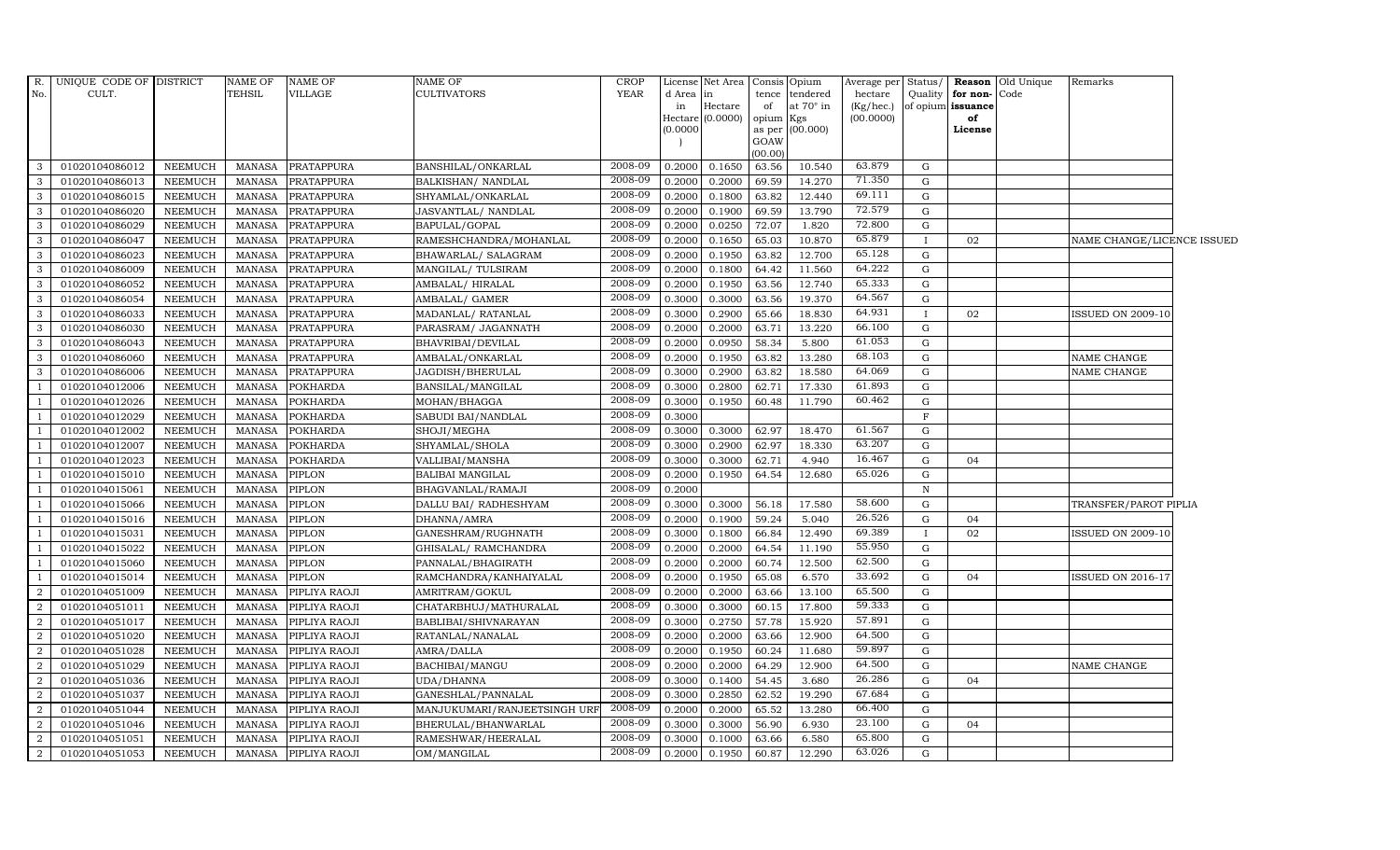| R.             | UNIQUE CODE OF DISTRICT |                | NAME OF       | <b>NAME OF</b>       | <b>NAME OF</b>               | <b>CROP</b> |                 | License Net Area Consis Opium |                 |                             | Average per Status/  |              |                                              | <b>Reason</b> Old Unique | Remarks                    |  |
|----------------|-------------------------|----------------|---------------|----------------------|------------------------------|-------------|-----------------|-------------------------------|-----------------|-----------------------------|----------------------|--------------|----------------------------------------------|--------------------------|----------------------------|--|
| No.            | CULT.                   |                | <b>TEHSIL</b> | VILLAGE              | <b>CULTIVATORS</b>           | YEAR        | d Area in<br>in | Hectare                       | of              | tence tendered<br>at 70° in | hectare<br>(Kg/hec.) |              | Quality   for non- Code<br>of opium issuance |                          |                            |  |
|                |                         |                |               |                      |                              |             |                 | Hectare (0.0000)              | opium Kgs       |                             | (00.0000)            |              | of                                           |                          |                            |  |
|                |                         |                |               |                      |                              |             | (0.0000)        |                               |                 | as per (00.000)             |                      |              | License                                      |                          |                            |  |
|                |                         |                |               |                      |                              |             |                 |                               | GOAW<br>(00.00) |                             |                      |              |                                              |                          |                            |  |
| 3              | 01020104086012          | NEEMUCH        | MANASA        | <b>PRATAPPURA</b>    | BANSHILAL/ONKARLAL           | 2008-09     | 0.2000          | 0.1650                        | 63.56           | 10.540                      | 63.879               | G            |                                              |                          |                            |  |
| 3              | 01020104086013          | NEEMUCH        | <b>MANASA</b> | PRATAPPURA           | BALKISHAN/ NANDLAL           | 2008-09     | 0.2000          | 0.2000                        | 69.59           | 14.270                      | 71.350               | G            |                                              |                          |                            |  |
| 3              | 01020104086015          | <b>NEEMUCH</b> | <b>MANASA</b> | PRATAPPURA           | SHYAMLAL/ONKARLAL            | 2008-09     | 0.2000          | 0.1800                        | 63.82           | 12.440                      | 69.111               | G            |                                              |                          |                            |  |
| 3              | 01020104086020          | <b>NEEMUCH</b> | <b>MANASA</b> | PRATAPPURA           | JASVANTLAL/ NANDLAL          | 2008-09     | 0.2000          | 0.1900                        | 69.59           | 13.790                      | 72.579               | G            |                                              |                          |                            |  |
| 3              | 01020104086029          | <b>NEEMUCH</b> | <b>MANASA</b> | PRATAPPURA           | BAPULAL/GOPAL                | 2008-09     | 0.2000          | 0.0250                        | 72.07           | 1.820                       | 72.800               | ${\bf G}$    |                                              |                          |                            |  |
| 3              | 01020104086047          | NEEMUCH        | <b>MANASA</b> | PRATAPPURA           | RAMESHCHANDRA/MOHANLAL       | 2008-09     | 0.2000          | 0.1650                        | 65.03           | 10.870                      | 65.879               | $\mathbf{I}$ | 02                                           |                          | NAME CHANGE/LICENCE ISSUED |  |
| 3              | 01020104086023          | <b>NEEMUCH</b> | <b>MANASA</b> | PRATAPPURA           | BHAWARLAL/ SALAGRAM          | 2008-09     | 0.2000          | 0.1950                        | 63.82           | 12.700                      | 65.128               | G            |                                              |                          |                            |  |
| 3              | 01020104086009          | <b>NEEMUCH</b> | <b>MANASA</b> | PRATAPPURA           | MANGILAL/TULSIRAM            | 2008-09     | 0.2000          | 0.1800                        | 64.42           | 11.560                      | 64.222               | G            |                                              |                          |                            |  |
| 3              | 01020104086052          | <b>NEEMUCH</b> | <b>MANASA</b> | PRATAPPURA           | AMBALAL/HIRALAL              | 2008-09     | 0.2000          | 0.1950                        | 63.56           | 12.740                      | 65.333               | G            |                                              |                          |                            |  |
| 3              | 01020104086054          | <b>NEEMUCH</b> | MANASA        | PRATAPPURA           | AMBALAL/ GAMER               | 2008-09     | 0.3000          | 0.3000                        | 63.56           | 19.370                      | 64.567               | $\mathbf G$  |                                              |                          |                            |  |
| $\mathbf{3}$   | 01020104086033          | NEEMUCH        | <b>MANASA</b> | PRATAPPURA           | MADANLAL/ RATANLAL           | 2008-09     | 0.3000          | 0.2900                        | 65.66           | 18.830                      | 64.931               | $\mathbf{I}$ | 02                                           |                          | <b>ISSUED ON 2009-10</b>   |  |
| 3              | 01020104086030          | NEEMUCH        | <b>MANASA</b> | PRATAPPURA           | PARASRAM/ JAGANNATH          | 2008-09     | 0.2000          | 0.2000                        | 63.71           | 13.220                      | 66.100               | G            |                                              |                          |                            |  |
| 3              | 01020104086043          | NEEMUCH        | <b>MANASA</b> | PRATAPPURA           | BHAVRIBAI/DEVILAL            | 2008-09     | 0.2000          | 0.0950                        | 58.34           | 5.800                       | 61.053               | G            |                                              |                          |                            |  |
| 3              | 01020104086060          | <b>NEEMUCH</b> | <b>MANASA</b> | PRATAPPURA           | AMBALAL/ONKARLAL             | 2008-09     | 0.2000          | 0.1950                        | 63.82           | 13.280                      | 68.103               | G            |                                              |                          | NAME CHANGE                |  |
| 3              | 01020104086006          | NEEMUCH        | <b>MANASA</b> | PRATAPPURA           | JAGDISH/BHERULAL             | 2008-09     | 0.3000          | 0.2900                        | 63.82           | 18.580                      | 64.069               | ${\rm G}$    |                                              |                          | NAME CHANGE                |  |
| -1             | 01020104012006          | NEEMUCH        | <b>MANASA</b> | <b>POKHARDA</b>      | BANSILAL/MANGILAL            | 2008-09     | 0.3000          | 0.2800                        | 62.71           | 17.330                      | 61.893               | G            |                                              |                          |                            |  |
| -1             | 01020104012026          | <b>NEEMUCH</b> | <b>MANASA</b> | <b>POKHARDA</b>      | MOHAN/BHAGGA                 | 2008-09     | 0.3000          | 0.1950                        | 60.48           | 11.790                      | 60.462               | G            |                                              |                          |                            |  |
| $\overline{1}$ | 01020104012029          | NEEMUCH        | <b>MANASA</b> | <b>POKHARDA</b>      | SABUDI BAI/NANDLAL           | 2008-09     | 0.3000          |                               |                 |                             |                      | $\mathbf F$  |                                              |                          |                            |  |
|                | 01020104012002          | <b>NEEMUCH</b> | <b>MANASA</b> | <b>POKHARDA</b>      | SHOJI/MEGHA                  | 2008-09     | 0.3000          | 0.3000                        | 62.97           | 18.470                      | 61.567               | $\mathbf G$  |                                              |                          |                            |  |
|                | 01020104012007          | <b>NEEMUCH</b> | <b>MANASA</b> | <b>POKHARDA</b>      | SHYAMLAL/SHOLA               | 2008-09     | 0.3000          | 0.2900                        | 62.97           | 18.330                      | 63.207               | G            |                                              |                          |                            |  |
| -1             | 01020104012023          | NEEMUCH        | <b>MANASA</b> | POKHARDA             | VALLIBAI/MANSHA              | 2008-09     | 0.3000          | 0.3000                        | 62.71           | 4.940                       | 16.467               | G            | 04                                           |                          |                            |  |
| -1             | 01020104015010          | NEEMUCH        | <b>MANASA</b> | PIPLON               | <b>BALIBAI MANGILAL</b>      | 2008-09     | 0.2000          | 0.1950                        | 64.54           | 12.680                      | 65.026               | G            |                                              |                          |                            |  |
| $\overline{1}$ | 01020104015061          | NEEMUCH        | <b>MANASA</b> | PIPLON               | BHAGVANLAL/RAMAJI            | 2008-09     | 0.2000          |                               |                 |                             |                      | $\mathbb N$  |                                              |                          |                            |  |
| $\overline{1}$ | 01020104015066          | <b>NEEMUCH</b> | <b>MANASA</b> | PIPLON               | DALLU BAI/ RADHESHYAM        | 2008-09     | 0.3000          | 0.3000                        | 56.18           | 17.580                      | 58.600               | G            |                                              |                          | TRANSFER/PAROT PIPLIA      |  |
|                | 01020104015016          | <b>NEEMUCH</b> | <b>MANASA</b> | PIPLON               | DHANNA/AMRA                  | 2008-09     | 0.2000          | 0.1900                        | 59.24           | 5.040                       | 26.526               | $\mathbf G$  | 04                                           |                          |                            |  |
| - 1            | 01020104015031          | NEEMUCH        | <b>MANASA</b> | PIPLON               | GANESHRAM/RUGHNATH           | 2008-09     | 0.3000          | 0.1800                        | 66.84           | 12.490                      | 69.389               | $\mathbf{I}$ | 02                                           |                          | <b>ISSUED ON 2009-10</b>   |  |
| -1             | 01020104015022          | <b>NEEMUCH</b> | <b>MANASA</b> | PIPLON               | GHISALAL/ RAMCHANDRA         | 2008-09     | 0.2000          | 0.2000                        | 64.54           | 11.190                      | 55.950               | G            |                                              |                          |                            |  |
| - 1            | 01020104015060          | <b>NEEMUCH</b> | <b>MANASA</b> | PIPLON               | PANNALAL/BHAGIRATH           | 2008-09     | 0.2000          | 0.2000                        | 60.74           | 12.500                      | 62.500               | $\mathbf G$  |                                              |                          |                            |  |
| $\overline{1}$ | 01020104015014          | NEEMUCH        | <b>MANASA</b> | PIPLON               | RAMCHANDRA/KANHAIYALAL       | 2008-09     | 0.2000          | 0.1950                        | 65.08           | 6.570                       | 33.692               | $\mathbf G$  | 04                                           |                          | <b>ISSUED ON 2016-17</b>   |  |
| $\overline{2}$ | 01020104051009          | NEEMUCH        | <b>MANASA</b> | PIPLIYA RAOJI        | AMRITRAM/GOKUL               | 2008-09     | 0.2000          | 0.2000                        | 63.66           | 13.100                      | 65.500               | G            |                                              |                          |                            |  |
| $\overline{2}$ | 01020104051011          | <b>NEEMUCH</b> | <b>MANASA</b> | PIPLIYA RAOJI        | CHATARBHUJ/MATHURALAL        | 2008-09     | 0.3000          | 0.3000                        | 60.15           | 17.800                      | 59.333               | $\mathbf G$  |                                              |                          |                            |  |
| 2              | 01020104051017          | NEEMUCH        | <b>MANASA</b> | PIPLIYA RAOJI        | BABLIBAI/SHIVNARAYAN         | 2008-09     | 0.3000          | 0.2750                        | 57.78           | 15.920                      | 57.891               | $\mathbf G$  |                                              |                          |                            |  |
| $\overline{2}$ | 01020104051020          | NEEMUCH        | <b>MANASA</b> | PIPLIYA RAOJI        | RATANLAL/NANALAL             | 2008-09     | 0.2000          | 0.2000                        | 63.66           | 12.900                      | 64.500               | G            |                                              |                          |                            |  |
| $\overline{2}$ | 01020104051028          | <b>NEEMUCH</b> | <b>MANASA</b> | PIPLIYA RAOJI        | AMRA/DALLA                   | 2008-09     | 0.2000          | 0.1950                        | 60.24           | 11.680                      | 59.897               | $\mathbf G$  |                                              |                          |                            |  |
| $\overline{2}$ | 01020104051029          | <b>NEEMUCH</b> | <b>MANASA</b> | PIPLIYA RAOJI        | BACHIBAI/MANGU               | 2008-09     | 0.2000          | 0.2000                        | 64.29           | 12.900                      | 64.500               | G            |                                              |                          | NAME CHANGE                |  |
| 2              | 01020104051036          | <b>NEEMUCH</b> | <b>MANASA</b> | PIPLIYA RAOJI        | UDA/DHANNA                   | 2008-09     | 0.3000          | 0.1400                        | 54.45           | 3.680                       | 26.286               | G            | 04                                           |                          |                            |  |
| 2              | 01020104051037          | <b>NEEMUCH</b> | <b>MANASA</b> | PIPLIYA RAOJI        | GANESHLAL/PANNALAL           | 2008-09     | 0.3000          | 0.2850                        | 62.52           | 19.290                      | 67.684               | G            |                                              |                          |                            |  |
| $\overline{2}$ | 01020104051044          | NEEMUCH        | <b>MANASA</b> | PIPLIYA RAOJI        | MANJUKUMARI/RANJEETSINGH URF | 2008-09     | 0.2000          | 0.2000                        | 65.52           | 13.280                      | 66.400               | G            |                                              |                          |                            |  |
| 2              | 01020104051046          | <b>NEEMUCH</b> | <b>MANASA</b> | PIPLIYA RAOJI        | BHERULAL/BHANWARLAL          | 2008-09     | 0.3000          | 0.3000                        | 56.90           | 6.930                       | 23.100               | G            | 04                                           |                          |                            |  |
| 2              | 01020104051051          | <b>NEEMUCH</b> | <b>MANASA</b> | PIPLIYA RAOJI        | RAMESHWAR/HEERALAL           | 2008-09     | 0.3000          | 0.1000                        | 63.66           | 6.580                       | 65.800               | G            |                                              |                          |                            |  |
| $\overline{a}$ | 01020104051053          | <b>NEEMUCH</b> |               | MANASA PIPLIYA RAOJI | OM/MANGILAL                  | 2008-09     | 0.2000          | 0.1950                        | 60.87           | 12.290                      | 63.026               | G            |                                              |                          |                            |  |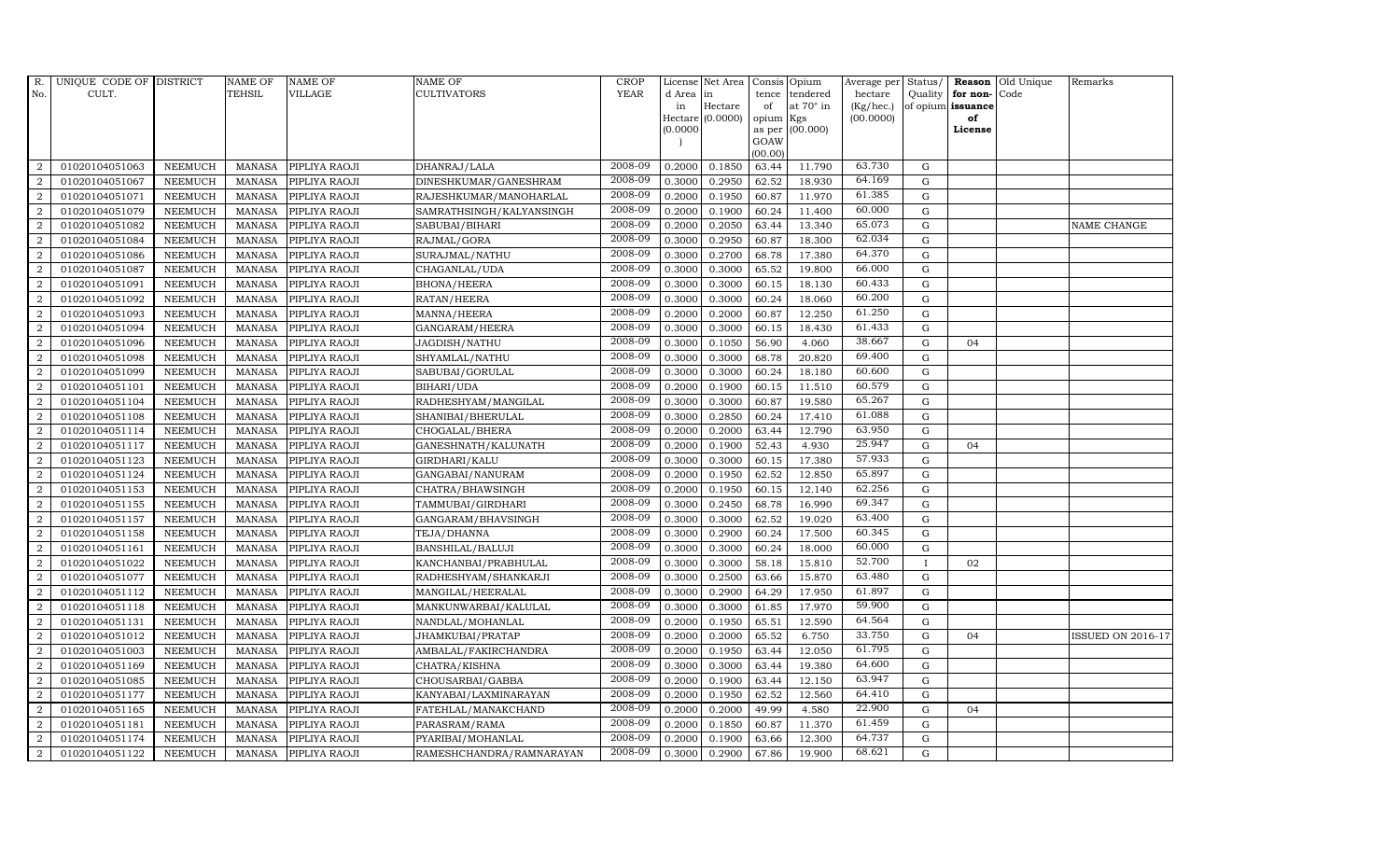| $R_{\cdot}$      | UNIQUE CODE OF DISTRICT |                | <b>NAME OF</b> | <b>NAME OF</b> | <b>NAME OF</b>           | CROP        |          | License Net Area   |           | Consis Opium     | Average per | Status/     | Reason            | Old Unique | Remarks                  |
|------------------|-------------------------|----------------|----------------|----------------|--------------------------|-------------|----------|--------------------|-----------|------------------|-------------|-------------|-------------------|------------|--------------------------|
| No.              | CULT.                   |                | <b>TEHSIL</b>  | VILLAGE        | CULTIVATORS              | <b>YEAR</b> | d Area   | in                 | tence     | tendered         | hectare     | Quality     | for non-          | Code       |                          |
|                  |                         |                |                |                |                          |             | in       | Hectare            | of        | at $70^\circ$ in | (Kg/hec.)   |             | of opium issuance |            |                          |
|                  |                         |                |                |                |                          |             |          | Hectare $(0.0000)$ | opium Kgs |                  | (00.0000)   |             | of                |            |                          |
|                  |                         |                |                |                |                          |             | (0.0000) |                    | GOAW      | as per (00.000)  |             |             | License           |            |                          |
|                  |                         |                |                |                |                          |             |          |                    | (00.00)   |                  |             |             |                   |            |                          |
| 2                | 01020104051063          | <b>NEEMUCH</b> | MANASA         | PIPLIYA RAOJI  | DHANRAJ/LALA             | 2008-09     | 0.2000   | 0.1850             | 63.44     | 11.790           | 63.730      | G           |                   |            |                          |
| 2                | 01020104051067          | <b>NEEMUCH</b> | <b>MANASA</b>  | PIPLIYA RAOJI  | DINESHKUMAR/GANESHRAM    | 2008-09     | 0.3000   | 0.2950             | 62.52     | 18.930           | 64.169      | G           |                   |            |                          |
| 2                | 01020104051071          | <b>NEEMUCH</b> | <b>MANASA</b>  | PIPLIYA RAOJI  | RAJESHKUMAR/MANOHARLAL   | 2008-09     | 0.2000   | 0.1950             | 60.87     | 11.970           | 61.385      | G           |                   |            |                          |
| $\overline{2}$   | 01020104051079          | <b>NEEMUCH</b> | <b>MANASA</b>  | PIPLIYA RAOJI  | SAMRATHSINGH/KALYANSINGH | 2008-09     | 0.2000   | 0.1900             | 60.24     | 11.400           | 60.000      | $\mathbf G$ |                   |            |                          |
| $\overline{2}$   | 01020104051082          | <b>NEEMUCH</b> | <b>MANASA</b>  | PIPLIYA RAOJI  | SABUBAI/BIHARI           | 2008-09     | 0.2000   | 0.2050             | 63.44     | 13.340           | 65.073      | ${\rm G}$   |                   |            | NAME CHANGE              |
| 2                | 01020104051084          | <b>NEEMUCH</b> | <b>MANASA</b>  | PIPLIYA RAOJI  | RAJMAL/GORA              | 2008-09     | 0.3000   | 0.2950             | 60.87     | 18.300           | 62.034      | $\mathbf G$ |                   |            |                          |
| 2                | 01020104051086          | <b>NEEMUCH</b> | <b>MANASA</b>  | PIPLIYA RAOJI  | SURAJMAL/NATHU           | 2008-09     | 0.3000   | 0.2700             | 68.78     | 17.380           | 64.370      | ${\rm G}$   |                   |            |                          |
| 2                | 01020104051087          | <b>NEEMUCH</b> | <b>MANASA</b>  | PIPLIYA RAOJI  | CHAGANLAL/UDA            | 2008-09     | 0.3000   | 0.3000             | 65.52     | 19.800           | 66.000      | $\mathbf G$ |                   |            |                          |
| $\overline{2}$   | 01020104051091          | <b>NEEMUCH</b> | <b>MANASA</b>  | PIPLIYA RAOJI  | <b>BHONA/HEERA</b>       | 2008-09     | 0.3000   | 0.3000             | 60.15     | 18.130           | 60.433      | G           |                   |            |                          |
| $\overline{2}$   | 01020104051092          | <b>NEEMUCH</b> | <b>MANASA</b>  | PIPLIYA RAOJI  | RATAN/HEERA              | 2008-09     | 0.3000   | 0.3000             | 60.24     | 18.060           | 60.200      | ${\rm G}$   |                   |            |                          |
| $\overline{2}$   | 01020104051093          | <b>NEEMUCH</b> | <b>MANASA</b>  | PIPLIYA RAOJI  | MANNA/HEERA              | 2008-09     | 0.2000   | 0.2000             | 60.87     | 12.250           | 61.250      | ${\rm G}$   |                   |            |                          |
| $\overline{2}$   | 01020104051094          | <b>NEEMUCH</b> | <b>MANASA</b>  | PIPLIYA RAOJI  | GANGARAM/HEERA           | 2008-09     | 0.3000   | 0.3000             | 60.15     | 18.430           | 61.433      | $\mathbf G$ |                   |            |                          |
| $\overline{2}$   | 01020104051096          | <b>NEEMUCH</b> | <b>MANASA</b>  | PIPLIYA RAOJI  | JAGDISH/NATHU            | 2008-09     | 0.3000   | 0.1050             | 56.90     | 4.060            | 38.667      | $\mathbf G$ | 04                |            |                          |
| $\overline{2}$   | 01020104051098          | <b>NEEMUCH</b> | <b>MANASA</b>  | PIPLIYA RAOJI  | SHYAMLAL/NATHU           | 2008-09     | 0.3000   | 0.3000             | 68.78     | 20.820           | 69.400      | $\mathbf G$ |                   |            |                          |
| $\overline{2}$   | 01020104051099          | <b>NEEMUCH</b> | <b>MANASA</b>  | PIPLIYA RAOJI  | SABUBAI/GORULAL          | 2008-09     | 0.3000   | 0.3000             | 60.24     | 18.180           | 60.600      | ${\bf G}$   |                   |            |                          |
| $\overline{2}$   | 01020104051101          | <b>NEEMUCH</b> | <b>MANASA</b>  | PIPLIYA RAOJI  | BIHARI/UDA               | 2008-09     | 0.2000   | 0.1900             | 60.15     | 11.510           | 60.579      | ${\rm G}$   |                   |            |                          |
| $\overline{2}$   | 01020104051104          | <b>NEEMUCH</b> | <b>MANASA</b>  | PIPLIYA RAOJI  | RADHESHYAM/MANGILAL      | 2008-09     | 0.3000   | 0.3000             | 60.87     | 19.580           | 65.267      | G           |                   |            |                          |
| $\overline{2}$   | 01020104051108          | <b>NEEMUCH</b> | <b>MANASA</b>  | PIPLIYA RAOJI  | SHANIBAI/BHERULAL        | 2008-09     | 0.3000   | 0.2850             | 60.24     | 17.410           | 61.088      | $\mathbf G$ |                   |            |                          |
| $\overline{2}$   | 01020104051114          | <b>NEEMUCH</b> | <b>MANASA</b>  | PIPLIYA RAOJI  | CHOGALAL/BHERA           | 2008-09     | 0.2000   | 0.2000             | 63.44     | 12.790           | 63.950      | $\mathbf G$ |                   |            |                          |
| $\overline{2}$   | 01020104051117          | <b>NEEMUCH</b> | <b>MANASA</b>  | PIPLIYA RAOJI  | GANESHNATH/KALUNATH      | 2008-09     | 0.2000   | 0.1900             | 52.43     | 4.930            | 25.947      | $\mathbf G$ | 04                |            |                          |
| $\overline{2}$   | 01020104051123          | <b>NEEMUCH</b> | <b>MANASA</b>  | PIPLIYA RAOJI  | GIRDHARI/KALU            | 2008-09     | 0.3000   | 0.3000             | 60.15     | 17.380           | 57.933      | $\mathbf G$ |                   |            |                          |
| $\boldsymbol{2}$ | 01020104051124          | <b>NEEMUCH</b> | <b>MANASA</b>  | PIPLIYA RAOJI  | GANGABAI/NANURAM         | 2008-09     | 0.2000   | 0.1950             | 62.52     | 12.850           | 65.897      | ${\rm G}$   |                   |            |                          |
| $\overline{2}$   | 01020104051153          | <b>NEEMUCH</b> | <b>MANASA</b>  | PIPLIYA RAOJI  | CHATRA/BHAWSINGH         | 2008-09     | 0.2000   | 0.1950             | 60.15     | 12.140           | 62.256      | G           |                   |            |                          |
| $\overline{2}$   | 01020104051155          | <b>NEEMUCH</b> | <b>MANASA</b>  | PIPLIYA RAOJI  | TAMMUBAI/GIRDHARI        | 2008-09     | 0.3000   | 0.2450             | 68.78     | 16.990           | 69.347      | ${\rm G}$   |                   |            |                          |
| $\overline{2}$   | 01020104051157          | <b>NEEMUCH</b> | <b>MANASA</b>  | PIPLIYA RAOJI  | GANGARAM/BHAVSINGH       | 2008-09     | 0.3000   | 0.3000             | 62.52     | 19.020           | 63.400      | ${\rm G}$   |                   |            |                          |
| $\overline{2}$   | 01020104051158          | <b>NEEMUCH</b> | <b>MANASA</b>  | PIPLIYA RAOJI  | TEJA/DHANNA              | 2008-09     | 0.3000   | 0.2900             | 60.24     | 17.500           | 60.345      | ${\rm G}$   |                   |            |                          |
| $\overline{2}$   | 01020104051161          | <b>NEEMUCH</b> | <b>MANASA</b>  | PIPLIYA RAOJI  | BANSHILAL/BALUJI         | 2008-09     | 0.3000   | 0.3000             | 60.24     | 18.000           | 60.000      | G           |                   |            |                          |
| $\overline{2}$   | 01020104051022          | <b>NEEMUCH</b> | <b>MANASA</b>  | PIPLIYA RAOJI  | KANCHANBAI/PRABHULAL     | 2008-09     | 0.3000   | 0.3000             | 58.18     | 15.810           | 52.700      | $\mathbf I$ | 02                |            |                          |
| $\overline{2}$   | 01020104051077          | <b>NEEMUCH</b> | <b>MANASA</b>  | PIPLIYA RAOJI  | RADHESHYAM/SHANKARJI     | 2008-09     | 0.3000   | 0.2500             | 63.66     | 15.870           | 63.480      | $\mathbf G$ |                   |            |                          |
| $\overline{2}$   | 01020104051112          | <b>NEEMUCH</b> | <b>MANASA</b>  | PIPLIYA RAOJI  | MANGILAL/HEERALAL        | 2008-09     | 0.3000   | 0.2900             | 64.29     | 17.950           | 61.897      | G           |                   |            |                          |
| $\overline{2}$   | 01020104051118          | <b>NEEMUCH</b> | <b>MANASA</b>  | PIPLIYA RAOJI  | MANKUNWARBAI/KALULAL     | 2008-09     | 0.3000   | 0.3000             | 61.85     | 17.970           | 59.900      | G           |                   |            |                          |
| $\overline{2}$   | 01020104051131          | <b>NEEMUCH</b> | <b>MANASA</b>  | PIPLIYA RAOJI  | NANDLAL/MOHANLAL         | 2008-09     | 0.2000   | 0.1950             | 65.51     | 12.590           | 64.564      | ${\rm G}$   |                   |            |                          |
| $\overline{2}$   | 01020104051012          | NEEMUCH        | <b>MANASA</b>  | PIPLIYA RAOJI  | JHAMKUBAI/PRATAP         | 2008-09     | 0.2000   | 0.2000             | 65.52     | 6.750            | 33.750      | ${\rm G}$   | 04                |            | <b>ISSUED ON 2016-17</b> |
| $\overline{2}$   | 01020104051003          | <b>NEEMUCH</b> | <b>MANASA</b>  | PIPLIYA RAOJI  | AMBALAL/FAKIRCHANDRA     | 2008-09     | 0.2000   | 0.1950             | 63.44     | 12.050           | 61.795      | $\mathbf G$ |                   |            |                          |
| $\overline{2}$   | 01020104051169          | <b>NEEMUCH</b> | <b>MANASA</b>  | PIPLIYA RAOJI  | CHATRA/KISHNA            | 2008-09     | 0.3000   | 0.3000             | 63.44     | 19.380           | 64.600      | $\mathbf G$ |                   |            |                          |
| $\overline{2}$   | 01020104051085          | <b>NEEMUCH</b> | <b>MANASA</b>  | PIPLIYA RAOJI  | CHOUSARBAI/GABBA         | 2008-09     | 0.2000   | 0.1900             | 63.44     | 12.150           | 63.947      | ${\rm G}$   |                   |            |                          |
| $\overline{2}$   | 01020104051177          | <b>NEEMUCH</b> | <b>MANASA</b>  | PIPLIYA RAOJI  | KANYABAI/LAXMINARAYAN    | 2008-09     | 0.2000   | 0.1950             | 62.52     | 12.560           | 64.410      | ${\rm G}$   |                   |            |                          |
| $\overline{2}$   | 01020104051165          | NEEMUCH        | <b>MANASA</b>  | PIPLIYA RAOJI  | FATEHLAL/MANAKCHAND      | 2008-09     | 0.2000   | 0.2000             | 49.99     | 4.580            | 22.900      | $\mathbf G$ | 04                |            |                          |
| $\overline{2}$   | 01020104051181          | <b>NEEMUCH</b> | <b>MANASA</b>  | PIPLIYA RAOJI  | PARASRAM/RAMA            | 2008-09     | 0.2000   | 0.1850             | 60.87     | 11.370           | 61.459      | $\mathbf G$ |                   |            |                          |
| $\overline{2}$   | 01020104051174          | <b>NEEMUCH</b> | <b>MANASA</b>  | PIPLIYA RAOJI  | PYARIBAI/MOHANLAL        | 2008-09     | 0.2000   | 0.1900             | 63.66     | 12.300           | 64.737      | $\mathbf G$ |                   |            |                          |
| $\overline{2}$   | 01020104051122          | <b>NEEMUCH</b> | MANASA         | PIPLIYA RAOJI  | RAMESHCHANDRA/RAMNARAYAN | 2008-09     | 0.3000   | 0.2900             | 67.86     | 19.900           | 68.621      | G           |                   |            |                          |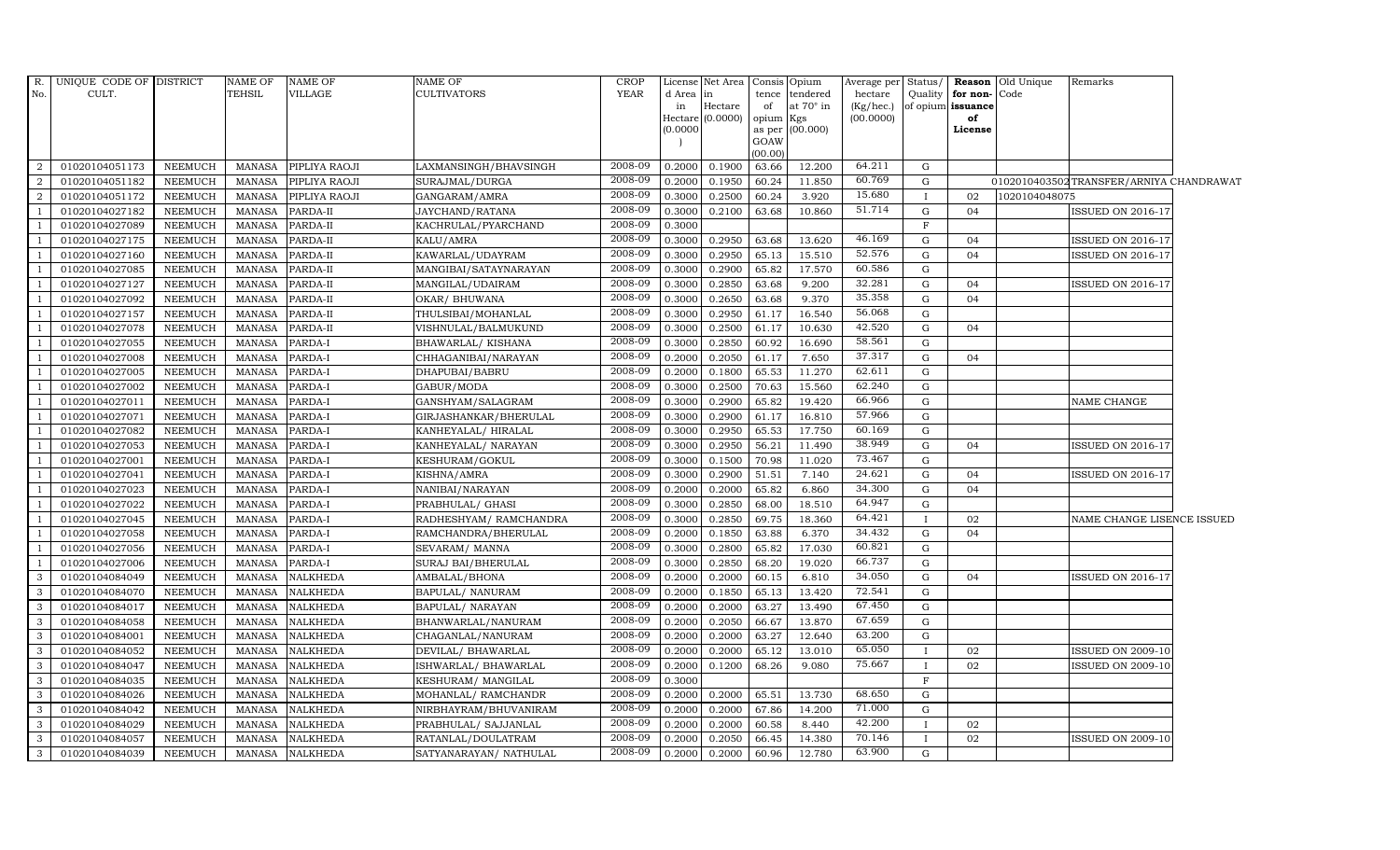| R.             | UNIQUE CODE OF DISTRICT          |                                  | <b>NAME OF</b>                 | <b>NAME OF</b>                     | <b>NAME OF</b>                          | <b>CROP</b>        |                  | License Net Area   |                 | Consis Opium                       | Average per          | Status/      |                               | <b>Reason</b> Old Unique | Remarks                                 |  |
|----------------|----------------------------------|----------------------------------|--------------------------------|------------------------------------|-----------------------------------------|--------------------|------------------|--------------------|-----------------|------------------------------------|----------------------|--------------|-------------------------------|--------------------------|-----------------------------------------|--|
| No.            | CULT.                            |                                  | TEHSIL                         | VILLAGE                            | <b>CULTIVATORS</b>                      | <b>YEAR</b>        | d Area in<br>in  | Hectare            | of              | tence tendered<br>at $70^\circ$ in | hectare<br>(Kg/hec.) | Quality      | for non-<br>of opium issuance | Code                     |                                         |  |
|                |                                  |                                  |                                |                                    |                                         |                    |                  | Hectare $(0.0000)$ | opium Kgs       |                                    | (00.0000)            |              | of                            |                          |                                         |  |
|                |                                  |                                  |                                |                                    |                                         |                    | (0.0000)         |                    |                 | as per (00.000)                    |                      |              | License                       |                          |                                         |  |
|                |                                  |                                  |                                |                                    |                                         |                    |                  |                    | GOAW<br>(00.00) |                                    |                      |              |                               |                          |                                         |  |
| 2              | 01020104051173                   | <b>NEEMUCH</b>                   | MANASA                         | PIPLIYA RAOJI                      | LAXMANSINGH/BHAVSINGH                   | 2008-09            | 0.2000           | 0.1900             | 63.66           | 12.200                             | 64.211               | G            |                               |                          |                                         |  |
| 2              | 01020104051182                   | <b>NEEMUCH</b>                   | <b>MANASA</b>                  | PIPLIYA RAOJI                      | SURAJMAL/DURGA                          | 2008-09            | 0.2000           | 0.1950             | 60.24           | 11.850                             | 60.769               | G            |                               |                          | 0102010403502TRANSFER/ARNIYA CHANDRAWAT |  |
| 2              | 01020104051172                   | <b>NEEMUCH</b>                   | <b>MANASA</b>                  | PIPLIYA RAOJI                      | GANGARAM/AMRA                           | 2008-09            | 0.3000           | 0.2500             | 60.24           | 3.920                              | 15.680               | $\mathbf{I}$ | 02                            | 1020104048075            |                                         |  |
|                | 01020104027182                   | <b>NEEMUCH</b>                   | <b>MANASA</b>                  | PARDA-II                           | JAYCHAND/RATANA                         | 2008-09            | 0.3000           | 0.2100             | 63.68           | 10.860                             | 51.714               | G            | 04                            |                          | <b>ISSUED ON 2016-17</b>                |  |
| $\overline{1}$ | 01020104027089                   | <b>NEEMUCH</b>                   | <b>MANASA</b>                  | PARDA-II                           | KACHRULAL/PYARCHAND                     | 2008-09            | 0.3000           |                    |                 |                                    |                      | $\mathbf F$  |                               |                          |                                         |  |
| $\overline{1}$ | 01020104027175                   | NEEMUCH                          | <b>MANASA</b>                  | PARDA-II                           | KALU/AMRA                               | 2008-09            | 0.3000           | 0.2950             | 63.68           | 13.620                             | 46.169               | G            | 04                            |                          | <b>ISSUED ON 2016-17</b>                |  |
| $\overline{1}$ | 01020104027160                   | <b>NEEMUCH</b>                   | <b>MANASA</b>                  | PARDA-II                           | KAWARLAL/UDAYRAM                        | 2008-09            | 0.3000           | 0.2950             | 65.13           | 15.510                             | 52.576               | G            | 04                            |                          | <b>ISSUED ON 2016-17</b>                |  |
| $\overline{1}$ | 01020104027085                   | <b>NEEMUCH</b>                   | <b>MANASA</b>                  | PARDA-II                           | MANGIBAI/SATAYNARAYAN                   | 2008-09            | 0.3000           | 0.2900             | 65.82           | 17.570                             | 60.586               | G            |                               |                          |                                         |  |
|                | 01020104027127                   | <b>NEEMUCH</b>                   | <b>MANASA</b>                  | PARDA-II                           | MANGILAL/UDAIRAM                        | 2008-09            | 0.3000           | 0.2850             | 63.68           | 9.200                              | 32.281               | G            | 04                            |                          | <b>ISSUED ON 2016-17</b>                |  |
| $\overline{1}$ | 01020104027092                   | <b>NEEMUCH</b>                   | <b>MANASA</b>                  | PARDA-II                           | OKAR/ BHUWANA                           | 2008-09            | 0.3000           | 0.2650             | 63.68           | 9.370                              | 35.358               | G            | 04                            |                          |                                         |  |
| $\overline{1}$ | 01020104027157                   | <b>NEEMUCH</b>                   | <b>MANASA</b>                  | PARDA-II                           | THULSIBAI/MOHANLAL                      | 2008-09            | 0.3000           | 0.2950             | 61.17           | 16.540                             | 56.068               | G            |                               |                          |                                         |  |
| $\overline{1}$ | 01020104027078                   | <b>NEEMUCH</b>                   | <b>MANASA</b>                  | PARDA-II                           | VISHNULAL/BALMUKUND                     | 2008-09            | 0.3000           | 0.2500             | 61.17           | 10.630                             | 42.520               | G            | 04                            |                          |                                         |  |
| $\overline{1}$ | 01020104027055                   | <b>NEEMUCH</b>                   | <b>MANASA</b>                  | PARDA-I                            | BHAWARLAL/KISHANA                       | 2008-09            | 0.3000           | 0.2850             | 60.92           | 16.690                             | 58.561               | G            |                               |                          |                                         |  |
| $\overline{1}$ | 01020104027008                   | <b>NEEMUCH</b>                   | <b>MANASA</b>                  | PARDA-I                            | CHHAGANIBAI/NARAYAN                     | 2008-09            | 0.2000           | 0.2050             | 61.17           | 7.650                              | 37.317               | G            | 04                            |                          |                                         |  |
|                | 01020104027005                   | <b>NEEMUCH</b>                   | <b>MANASA</b>                  | PARDA-I                            | DHAPUBAI/BABRU                          | 2008-09            | 0.2000           | 0.1800             | 65.53           | 11.270                             | 62.611               | G            |                               |                          |                                         |  |
| -1             | 01020104027002                   | <b>NEEMUCH</b>                   | <b>MANASA</b>                  | PARDA-I                            | GABUR/MODA                              | 2008-09            | 0.3000           | 0.2500             | 70.63           | 15.560                             | 62.240               | $\mathbf G$  |                               |                          |                                         |  |
| $\overline{1}$ | 01020104027011                   | <b>NEEMUCH</b>                   | <b>MANASA</b>                  | PARDA-I                            | GANSHYAM/SALAGRAM                       | 2008-09            | 0.3000           | 0.2900             | 65.82           | 19.420                             | 66.966               | G            |                               |                          | NAME CHANGE                             |  |
| $\overline{1}$ | 01020104027071                   | ${\tt NEEMUCH}$                  | <b>MANASA</b>                  | PARDA-I                            | GIRJASHANKAR/BHERULAL                   | 2008-09            | 0.3000           | 0.2900             | 61.17           | 16.810                             | 57.966               | G            |                               |                          |                                         |  |
| $\overline{1}$ | 01020104027082                   | <b>NEEMUCH</b>                   | <b>MANASA</b>                  | PARDA-I                            | KANHEYALAL/ HIRALAL                     | 2008-09            | 0.3000           | 0.2950             | 65.53           | 17.750                             | 60.169               | $\mathbf G$  |                               |                          |                                         |  |
|                | 01020104027053                   | <b>NEEMUCH</b>                   | <b>MANASA</b>                  | PARDA-I                            | KANHEYALAL/ NARAYAN                     | 2008-09            | 0.3000           | 0.2950             | 56.21           | 11.490                             | 38.949               | G            | 04                            |                          | ISSUED ON 2016-17                       |  |
| $\overline{1}$ | 01020104027001                   | <b>NEEMUCH</b>                   | <b>MANASA</b>                  | PARDA-I                            | KESHURAM/GOKUL                          | 2008-09            | 0.3000           | 0.1500             | 70.98           | 11.020                             | 73.467               | $\mathbf G$  |                               |                          |                                         |  |
| $\overline{1}$ | 01020104027041                   | <b>NEEMUCH</b>                   | <b>MANASA</b>                  | PARDA-I                            | KISHNA/AMRA                             | 2008-09            | 0.3000           | 0.2900             | 51.51           | 7.140                              | 24.621               | G            | 04                            |                          | <b>ISSUED ON 2016-17</b>                |  |
| -1             | 01020104027023                   | <b>NEEMUCH</b>                   | <b>MANASA</b>                  | PARDA-I                            | NANIBAI/NARAYAN                         | 2008-09            | 0.2000           | 0.2000             | 65.82           | 6.860                              | 34.300               | G            | 04                            |                          |                                         |  |
| $\overline{1}$ | 01020104027022                   | <b>NEEMUCH</b>                   | <b>MANASA</b>                  | PARDA-I                            | PRABHULAL/ GHASI                        | 2008-09            | 0.3000           | 0.2850             | 68.00           | 18.510                             | 64.947               | $\mathbf G$  |                               |                          |                                         |  |
|                | 01020104027045                   | <b>NEEMUCH</b>                   | <b>MANASA</b>                  | PARDA-I                            | RADHESHYAM / RAMCHANDRA                 | 2008-09            | 0.3000           | 0.2850             | 69.75           | 18.360                             | 64.421               |              | 02                            |                          | NAME CHANGE LISENCE ISSUED              |  |
| $\overline{1}$ | 01020104027058                   | NEEMUCH                          | <b>MANASA</b>                  | PARDA-I                            | RAMCHANDRA/BHERULAL                     | 2008-09            | 0.2000           | 0.1850             | 63.88           | 6.370                              | 34.432               | G            | 04                            |                          |                                         |  |
| $\overline{1}$ | 01020104027056                   | <b>NEEMUCH</b>                   | <b>MANASA</b>                  | PARDA-I                            | SEVARAM/ MANNA                          | 2008-09            | 0.3000           | 0.2800             | 65.82           | 17.030                             | 60.821               | G            |                               |                          |                                         |  |
| $\overline{1}$ | 01020104027006                   | <b>NEEMUCH</b>                   | <b>MANASA</b>                  | PARDA-I                            | SURAJ BAI/BHERULAL                      | 2008-09<br>2008-09 | 0.3000           | 0.2850             | 68.20           | 19.020                             | 66.737<br>34.050     | G            |                               |                          |                                         |  |
| 3              | 01020104084049                   | NEEMUCH                          | <b>MANASA</b>                  | <b>NALKHEDA</b>                    | AMBALAL/BHONA                           |                    | 0.2000           | 0.2000             | 60.15           | 6.810                              | 72.541               | G            | 04                            |                          | <b>ISSUED ON 2016-17</b>                |  |
| 3              | 01020104084070                   | <b>NEEMUCH</b>                   | <b>MANASA</b>                  | NALKHEDA                           | BAPULAL/ NANURAM                        | 2008-09<br>2008-09 | 0.2000           | 0.1850             | 65.13           | 13.420                             | 67.450               | G            |                               |                          |                                         |  |
| 3              | 01020104084017                   | <b>NEEMUCH</b>                   | <b>MANASA</b>                  | NALKHEDA                           | BAPULAL/ NARAYAN                        | 2008-09            | 0.2000           | 0.2000             | 63.27           | 13.490                             | 67.659               | G<br>G       |                               |                          |                                         |  |
| 3<br>3         | 01020104084058                   | <b>NEEMUCH</b>                   | <b>MANASA</b><br><b>MANASA</b> | <b>NALKHEDA</b>                    | BHANWARLAL/NANURAM                      | 2008-09            | 0.2000<br>0.2000 | 0.2050             | 66.67<br>63.27  | 13.870<br>12.640                   | 63.200               | G            |                               |                          |                                         |  |
| 3              | 01020104084001<br>01020104084052 | <b>NEEMUCH</b><br><b>NEEMUCH</b> | <b>MANASA</b>                  | <b>NALKHEDA</b><br><b>NALKHEDA</b> | CHAGANLAL/NANURAM<br>DEVILAL/ BHAWARLAL | 2008-09            | 0.2000           | 0.2000<br>0.2000   | 65.12           | 13.010                             | 65.050               | $\mathbf{I}$ | 02                            |                          | <b>ISSUED ON 2009-10</b>                |  |
| $\mathbf{3}$   | 01020104084047                   | <b>NEEMUCH</b>                   | <b>MANASA</b>                  | NALKHEDA                           | ISHWARLAL/ BHAWARLAL                    | 2008-09            | 0.2000           | 0.1200             | 68.26           | 9.080                              | 75.667               | $\mathbf{I}$ | 02                            |                          | ISSUED ON 2009-10                       |  |
| 3              | 01020104084035                   | <b>NEEMUCH</b>                   | <b>MANASA</b>                  | NALKHEDA                           | KESHURAM/ MANGILAL                      | 2008-09            | 0.3000           |                    |                 |                                    |                      | $\mathbf F$  |                               |                          |                                         |  |
| 3              | 01020104084026                   | <b>NEEMUCH</b>                   | <b>MANASA</b>                  | <b>NALKHEDA</b>                    | MOHANLAL/ RAMCHANDR                     | 2008-09            | 0.2000           | 0.2000             | 65.51           | 13.730                             | 68.650               | G            |                               |                          |                                         |  |
| $\mathbf{3}$   | 01020104084042                   | NEEMUCH                          | <b>MANASA</b>                  | NALKHEDA                           | NIRBHAYRAM/BHUVANIRAM                   | 2008-09            | 0.2000           | 0.2000             | 67.86           | 14.200                             | 71.000               | G            |                               |                          |                                         |  |
| 3              | 01020104084029                   | NEEMUCH                          | <b>MANASA</b>                  | <b>NALKHEDA</b>                    | PRABHULAL/ SAJJANLAL                    | 2008-09            | 0.2000           | 0.2000             | 60.58           | 8.440                              | 42.200               | $\mathbf{I}$ | 02                            |                          |                                         |  |
| $\mathbf{3}$   | 01020104084057                   | NEEMUCH                          | <b>MANASA</b>                  | <b>NALKHEDA</b>                    | RATANLAL/DOULATRAM                      | 2008-09            | 0.2000           | 0.2050             | 66.45           | 14.380                             | 70.146               | $\mathbf{I}$ | 02                            |                          | <b>ISSUED ON 2009-10</b>                |  |
| 3              | 01020104084039                   | <b>NEEMUCH</b>                   | <b>MANASA</b>                  | <b>NALKHEDA</b>                    | SATYANARAYAN / NATHULAL                 | 2008-09            | 0.2000           | 0.2000             | 60.96           | 12.780                             | 63.900               | G            |                               |                          |                                         |  |
|                |                                  |                                  |                                |                                    |                                         |                    |                  |                    |                 |                                    |                      |              |                               |                          |                                         |  |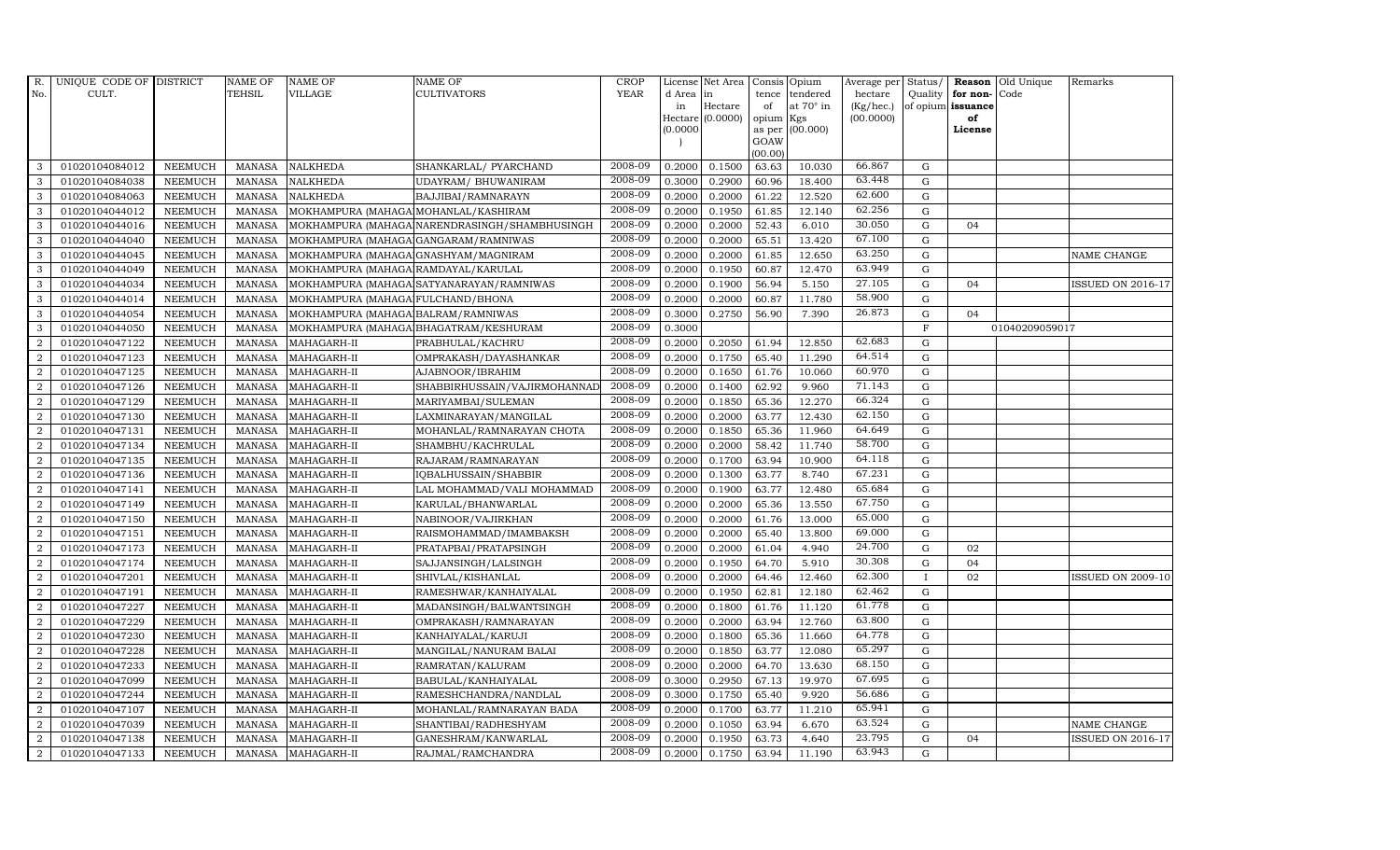| R.             | UNIQUE CODE OF DISTRICT |                | <b>NAME OF</b> | <b>NAME OF</b>                       | <b>NAME OF</b>                                | CROP        |          | License Net Area |                     | Consis Opium     | Average per | Status/      | Reason            | Old Unique     | Remarks                  |
|----------------|-------------------------|----------------|----------------|--------------------------------------|-----------------------------------------------|-------------|----------|------------------|---------------------|------------------|-------------|--------------|-------------------|----------------|--------------------------|
| No.            | CULT.                   |                | TEHSIL         | <b>VILLAGE</b>                       | <b>CULTIVATORS</b>                            | <b>YEAR</b> | d Area   | in               | tence               | tendered         | hectare     | Quality      | for non-          | Code           |                          |
|                |                         |                |                |                                      |                                               |             | in       | Hectare          | of                  | at $70^\circ$ in | (Kg/hec.)   |              | of opium issuance |                |                          |
|                |                         |                |                |                                      |                                               |             | (0.0000) | Hectare (0.0000) | opium Kgs<br>as per | (00.000)         | (00.0000)   |              | of<br>License     |                |                          |
|                |                         |                |                |                                      |                                               |             |          |                  | GOAW                |                  |             |              |                   |                |                          |
|                |                         |                |                |                                      |                                               |             |          |                  | (00.00)             |                  |             |              |                   |                |                          |
| 3              | 01020104084012          | <b>NEEMUCH</b> | <b>MANASA</b>  | <b>NALKHEDA</b>                      | SHANKARLAL/ PYARCHAND                         | 2008-09     | 0.2000   | 0.1500           | 63.63               | 10.030           | 66.867      | $\mathbf G$  |                   |                |                          |
| 3              | 01020104084038          | <b>NEEMUCH</b> | <b>MANASA</b>  | <b>NALKHEDA</b>                      | UDAYRAM/ BHUWANIRAM                           | 2008-09     | 0.3000   | 0.2900           | 60.96               | 18.400           | 63.448      | ${\rm G}$    |                   |                |                          |
| 3              | 01020104084063          | <b>NEEMUCH</b> | <b>MANASA</b>  | <b>NALKHEDA</b>                      | BAJJIBAI/RAMNARAYN                            | 2008-09     | 0.2000   | 0.2000           | 61.22               | 12.520           | 62.600      | G            |                   |                |                          |
| 3              | 01020104044012          | <b>NEEMUCH</b> | <b>MANASA</b>  | MOKHAMPURA (MAHAGA MOHANLAL/KASHIRAM |                                               | 2008-09     | 0.2000   | 0.1950           | 61.85               | 12.140           | 62.256      | $\mathbf G$  |                   |                |                          |
| 3              | 01020104044016          | <b>NEEMUCH</b> | <b>MANASA</b>  |                                      | MOKHAMPURA (MAHAGA NARENDRASINGH/SHAMBHUSINGH | 2008-09     | 0.2000   | 0.2000           | 52.43               | 6.010            | 30.050      | $\mathbf G$  | 04                |                |                          |
| $\mathbf{3}$   | 01020104044040          | <b>NEEMUCH</b> | <b>MANASA</b>  | MOKHAMPURA (MAHAGA GANGARAM/RAMNIWAS |                                               | 2008-09     | 0.2000   | 0.2000           | 65.51               | 13.420           | 67.100      | $\mathbf G$  |                   |                |                          |
| 3              | 01020104044045          | <b>NEEMUCH</b> | MANASA         | MOKHAMPURA (MAHAGA GNASHYAM/MAGNIRAM |                                               | 2008-09     | 0.2000   | 0.2000           | 61.85               | 12.650           | 63.250      | $\mathbf G$  |                   |                | NAME CHANGE              |
| 3              | 01020104044049          | <b>NEEMUCH</b> | MANASA         | MOKHAMPURA (MAHAGA RAMDAYAL/KARULAL  |                                               | 2008-09     | 0.2000   | 0.1950           | 60.87               | 12.470           | 63.949      | G            |                   |                |                          |
| 3              | 01020104044034          | <b>NEEMUCH</b> | <b>MANASA</b>  |                                      | MOKHAMPURA (MAHAGA SATYANARAYAN/RAMNIWAS      | 2008-09     | 0.2000   | 0.1900           | 56.94               | 5.150            | 27.105      | $\mathbf G$  | 04                |                | <b>ISSUED ON 2016-17</b> |
| 3              | 01020104044014          | <b>NEEMUCH</b> | <b>MANASA</b>  | MOKHAMPURA (MAHAGA FULCHAND/BHONA    |                                               | 2008-09     | 0.2000   | 0.2000           | 60.87               | 11.780           | 58.900      | $\mathbf G$  |                   |                |                          |
| 3              | 01020104044054          | <b>NEEMUCH</b> | <b>MANASA</b>  | MOKHAMPURA (MAHAGA BALRAM/RAMNIWAS   |                                               | 2008-09     | 0.3000   | 0.2750           | 56.90               | 7.390            | 26.873      | ${\rm G}$    | 04                |                |                          |
| 3              | 01020104044050          | <b>NEEMUCH</b> | <b>MANASA</b>  |                                      | MOKHAMPURA (MAHAGA BHAGATRAM/KESHURAM         | 2008-09     | 0.3000   |                  |                     |                  |             | $\mathbf F$  |                   | 01040209059017 |                          |
| 2              | 01020104047122          | <b>NEEMUCH</b> | <b>MANASA</b>  | MAHAGARH-II                          | PRABHULAL/KACHRU                              | 2008-09     | 0.2000   | 0.2050           | 61.94               | 12.850           | 62.683      | G            |                   |                |                          |
| 2              | 01020104047123          | <b>NEEMUCH</b> | <b>MANASA</b>  | MAHAGARH-II                          | OMPRAKASH/DAYASHANKAR                         | 2008-09     | 0.2000   | 0.1750           | 65.40               | 11.290           | 64.514      | $\mathbf G$  |                   |                |                          |
| $\overline{a}$ | 01020104047125          | <b>NEEMUCH</b> | <b>MANASA</b>  | MAHAGARH-II                          | AJABNOOR/IBRAHIM                              | 2008-09     | 0.2000   | 0.1650           | 61.76               | 10.060           | 60.970      | $\mathbf G$  |                   |                |                          |
| $\overline{a}$ | 01020104047126          | <b>NEEMUCH</b> | <b>MANASA</b>  | MAHAGARH-II                          | SHABBIRHUSSAIN/VAJIRMOHANNAD                  | 2008-09     | 0.2000   | 0.1400           | 62.92               | 9.960            | 71.143      | $\mathbf G$  |                   |                |                          |
| $\overline{a}$ | 01020104047129          | <b>NEEMUCH</b> | <b>MANASA</b>  | MAHAGARH-II                          | MARIYAMBAI/SULEMAN                            | 2008-09     | 0.2000   | 0.1850           | 65.36               | 12.270           | 66.324      | G            |                   |                |                          |
| $\overline{2}$ | 01020104047130          | <b>NEEMUCH</b> | MANASA         | MAHAGARH-II                          | LAXMINARAYAN/MANGILAL                         | 2008-09     | 0.2000   | 0.2000           | 63.77               | 12.430           | 62.150      | $\mathbf G$  |                   |                |                          |
| $\overline{2}$ | 01020104047131          | <b>NEEMUCH</b> | <b>MANASA</b>  | MAHAGARH-II                          | MOHANLAL/RAMNARAYAN CHOTA                     | 2008-09     | 0.2000   | 0.1850           | 65.36               | 11.960           | 64.649      | $\mathbf G$  |                   |                |                          |
| $\overline{2}$ | 01020104047134          | <b>NEEMUCH</b> | <b>MANASA</b>  | MAHAGARH-II                          | SHAMBHU/KACHRULAL                             | 2008-09     | 0.2000   | 0.2000           | 58.42               | 11.740           | 58.700      | $\mathbf G$  |                   |                |                          |
| $\overline{2}$ | 01020104047135          | <b>NEEMUCH</b> | <b>MANASA</b>  | MAHAGARH-II                          | RAJARAM / RAMNARAYAN                          | 2008-09     | 0.2000   | 0.1700           | 63.94               | 10.900           | 64.118      | $\mathbf G$  |                   |                |                          |
| 2              | 01020104047136          | <b>NEEMUCH</b> | <b>MANASA</b>  | MAHAGARH-II                          | IQBALHUSSAIN/SHABBIR                          | 2008-09     | 0.2000   | 0.1300           | 63.77               | 8.740            | 67.231      | ${\rm G}$    |                   |                |                          |
| $\overline{a}$ | 01020104047141          | <b>NEEMUCH</b> | MANASA         | MAHAGARH-II                          | LAL MOHAMMAD/VALI MOHAMMAD                    | 2008-09     | 0.2000   | 0.1900           | 63.77               | 12.480           | 65.684      | $\mathbf G$  |                   |                |                          |
| 2              | 01020104047149          | <b>NEEMUCH</b> | <b>MANASA</b>  | MAHAGARH-II                          | KARULAL/BHANWARLAL                            | 2008-09     | 0.2000   | 0.2000           | 65.36               | 13.550           | 67.750      | $\mathbf G$  |                   |                |                          |
| $\overline{2}$ | 01020104047150          | <b>NEEMUCH</b> | <b>MANASA</b>  | MAHAGARH-II                          | NABINOOR/VAJIRKHAN                            | 2008-09     | 0.2000   | 0.2000           | 61.76               | 13.000           | 65.000      | $\mathbf G$  |                   |                |                          |
| 2              | 01020104047151          | <b>NEEMUCH</b> | <b>MANASA</b>  | MAHAGARH-II                          | RAISMOHAMMAD/IMAMBAKSH                        | 2008-09     | 0.2000   | 0.2000           | 65.40               | 13.800           | 69.000      | $\mathbf G$  |                   |                |                          |
| 2              | 01020104047173          | <b>NEEMUCH</b> | <b>MANASA</b>  | MAHAGARH-II                          | PRATAPBAI/PRATAPSINGH                         | 2008-09     | 0.2000   | 0.2000           | 61.04               | 4.940            | 24.700      | $\mathbf G$  | 02                |                |                          |
| $\overline{a}$ | 01020104047174          | <b>NEEMUCH</b> | <b>MANASA</b>  | MAHAGARH-II                          | SAJJANSINGH/LALSINGH                          | 2008-09     | 0.2000   | 0.1950           | 64.70               | 5.910            | 30.308      | $\mathbf G$  | 04                |                |                          |
| $\overline{2}$ | 01020104047201          | <b>NEEMUCH</b> | <b>MANASA</b>  | MAHAGARH-II                          | SHIVLAL/KISHANLAL                             | 2008-09     | 0.2000   | 0.2000           | 64.46               | 12.460           | 62.300      | $\mathbf{I}$ | 02                |                | <b>ISSUED ON 2009-10</b> |
| $\overline{2}$ | 01020104047191          | <b>NEEMUCH</b> | <b>MANASA</b>  | MAHAGARH-II                          | RAMESHWAR/KANHAIYALAL                         | 2008-09     | 0.2000   | 0.1950           | 62.81               | 12.180           | 62.462      | $\mathbf G$  |                   |                |                          |
| $\overline{2}$ | 01020104047227          | <b>NEEMUCH</b> | MANASA         | MAHAGARH-II                          | MADANSINGH/BALWANTSINGH                       | 2008-09     | 0.2000   | 0.1800           | 61.76               | 11.120           | 61.778      | ${\rm G}$    |                   |                |                          |
| $\overline{2}$ | 01020104047229          | <b>NEEMUCH</b> | <b>MANASA</b>  | MAHAGARH-II                          | OMPRAKASH/RAMNARAYAN                          | 2008-09     | 0.2000   | 0.2000           | 63.94               | 12.760           | 63.800      | ${\rm G}$    |                   |                |                          |
| $\overline{a}$ | 01020104047230          | <b>NEEMUCH</b> | <b>MANASA</b>  | MAHAGARH-II                          | KANHAIYALAL/KARUJI                            | 2008-09     | 0.2000   | 0.1800           | 65.36               | 11.660           | 64.778      | ${\bf G}$    |                   |                |                          |
| 2              | 01020104047228          | <b>NEEMUCH</b> | <b>MANASA</b>  | MAHAGARH-II                          | MANGILAL/NANURAM BALAI                        | 2008-09     | 0.2000   | 0.1850           | 63.77               | 12.080           | 65.297      | $\mathbf G$  |                   |                |                          |
| 2              | 01020104047233          | <b>NEEMUCH</b> | <b>MANASA</b>  | MAHAGARH-II                          | RAMRATAN/KALURAM                              | 2008-09     | 0.2000   | 0.2000           | 64.70               | 13.630           | 68.150      | $\mathbf G$  |                   |                |                          |
| $\overline{a}$ | 01020104047099          | <b>NEEMUCH</b> | <b>MANASA</b>  | MAHAGARH-II                          | BABULAL/KANHAIYALAL                           | 2008-09     | 0.3000   | 0.2950           | 67.13               | 19.970           | 67.695      | $\mathbf G$  |                   |                |                          |
| 2              | 01020104047244          | <b>NEEMUCH</b> | <b>MANASA</b>  | MAHAGARH-II                          | RAMESHCHANDRA/NANDLAL                         | 2008-09     | 0.3000   | 0.1750           | 65.40               | 9.920            | 56.686      | $\mathbf G$  |                   |                |                          |
| $\overline{a}$ | 01020104047107          | <b>NEEMUCH</b> | <b>MANASA</b>  | MAHAGARH-II                          | MOHANLAL/RAMNARAYAN BADA                      | 2008-09     | 0.2000   | 0.1700           | 63.77               | 11.210           | 65.941      | $\mathbf G$  |                   |                |                          |
| $\overline{2}$ | 01020104047039          | <b>NEEMUCH</b> | <b>MANASA</b>  | MAHAGARH-II                          | SHANTIBAI/RADHESHYAM                          | 2008-09     | 0.2000   | 0.1050           | 63.94               | 6.670            | 63.524      | $\mathbf G$  |                   |                | NAME CHANGE              |
| 2              | 01020104047138          | <b>NEEMUCH</b> | <b>MANASA</b>  | MAHAGARH-II                          | GANESHRAM/KANWARLAL                           | 2008-09     | 0.2000   | 0.1950           | 63.73               | 4.640            | 23.795      | $\mathbf G$  | 04                |                | <b>ISSUED ON 2016-17</b> |
| $\overline{a}$ | 01020104047133          | NEEMUCH        |                | MANASA MAHAGARH-II                   | RAJMAL/RAMCHANDRA                             | 2008-09     | 0.2000   | 0.1750           | 63.94               | 11.190           | 63.943      | G            |                   |                |                          |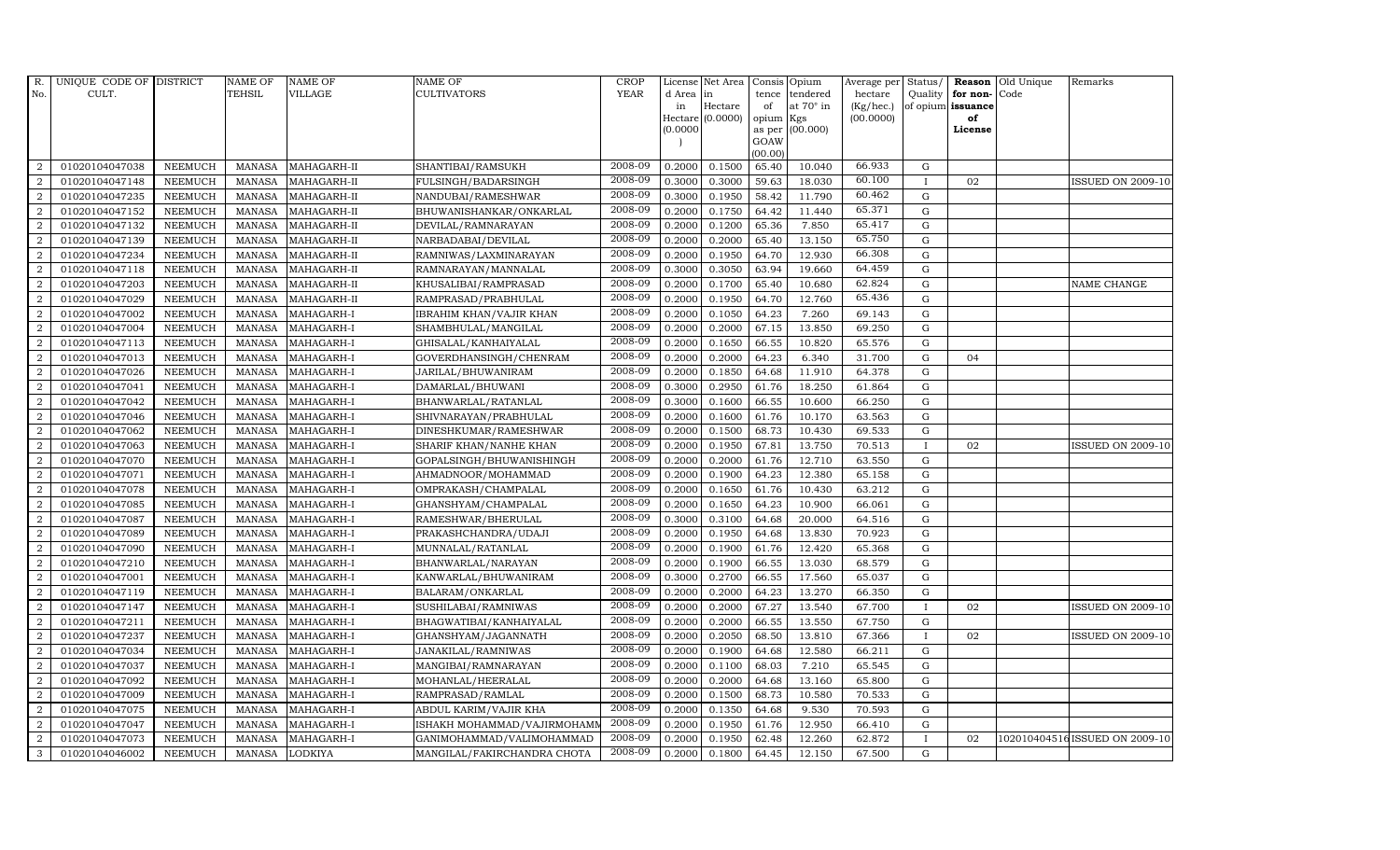| R.             | UNIQUE CODE OF DISTRICT |                | <b>NAME OF</b> | <b>NAME OF</b> | NAME OF                     | <b>CROP</b> |           | License Net Area | Consis         | Opium            | Average per Status/ |              |                      | Reason Old Unique | Remarks                       |
|----------------|-------------------------|----------------|----------------|----------------|-----------------------------|-------------|-----------|------------------|----------------|------------------|---------------------|--------------|----------------------|-------------------|-------------------------------|
| No.            | CULT.                   |                | TEHSIL         | <b>VILLAGE</b> | CULTIVATORS                 | <b>YEAR</b> | d Area in |                  | tence          | tendered         | hectare             |              | Quality $ $ for non- | Code              |                               |
|                |                         |                |                |                |                             |             | in        | Hectare          | of             | at $70^\circ$ in | (Kg/hec.)           |              | of opium issuance    |                   |                               |
|                |                         |                |                |                |                             |             | (0.0000)  | Hectare (0.0000) | opium          | Kgs<br>(00.000)  | (00.0000)           |              | of<br>License        |                   |                               |
|                |                         |                |                |                |                             |             |           |                  | as per<br>GOAW |                  |                     |              |                      |                   |                               |
|                |                         |                |                |                |                             |             |           |                  | (00.00)        |                  |                     |              |                      |                   |                               |
| 2              | 01020104047038          | <b>NEEMUCH</b> | MANASA         | MAHAGARH-II    | SHANTIBAI/RAMSUKH           | 2008-09     | 0.2000    | 0.1500           | 65.40          | 10.040           | 66.933              | G            |                      |                   |                               |
| $\overline{2}$ | 01020104047148          | <b>NEEMUCH</b> | <b>MANASA</b>  | MAHAGARH-II    | FULSINGH/BADARSINGH         | 2008-09     | 0.3000    | 0.3000           | 59.63          | 18.030           | 60.100              | $\mathbf I$  | 02                   |                   | <b>ISSUED ON 2009-10</b>      |
| $\overline{2}$ | 01020104047235          | <b>NEEMUCH</b> | <b>MANASA</b>  | MAHAGARH-II    | NANDUBAI/RAMESHWAR          | 2008-09     | 0.3000    | 0.1950           | 58.42          | 11.790           | 60.462              | G            |                      |                   |                               |
| $\overline{2}$ | 01020104047152          | <b>NEEMUCH</b> | <b>MANASA</b>  | MAHAGARH-II    | BHUWANISHANKAR/ONKARLAL     | 2008-09     | 0.2000    | 0.1750           | 64.42          | 11.440           | 65.371              | G            |                      |                   |                               |
| $\overline{2}$ | 01020104047132          | <b>NEEMUCH</b> | <b>MANASA</b>  | MAHAGARH-II    | DEVILAL/RAMNARAYAN          | 2008-09     | 0.2000    | 0.1200           | 65.36          | 7.850            | 65.417              | G            |                      |                   |                               |
| $\overline{a}$ | 01020104047139          | <b>NEEMUCH</b> | <b>MANASA</b>  | MAHAGARH-II    | NARBADABAI/DEVILAL          | 2008-09     | 0.2000    | 0.2000           | 65.40          | 13.150           | 65.750              | G            |                      |                   |                               |
| $\overline{2}$ | 01020104047234          | <b>NEEMUCH</b> | <b>MANASA</b>  | MAHAGARH-II    | RAMNIWAS/LAXMINARAYAN       | 2008-09     | 0.2000    | 0.1950           | 64.70          | 12.930           | 66.308              | G            |                      |                   |                               |
| 2              | 01020104047118          | <b>NEEMUCH</b> | <b>MANASA</b>  | MAHAGARH-II    | RAMNARAYAN/MANNALAL         | 2008-09     | 0.3000    | 0.3050           | 63.94          | 19.660           | 64.459              | G            |                      |                   |                               |
| $\overline{2}$ | 01020104047203          | <b>NEEMUCH</b> | <b>MANASA</b>  | MAHAGARH-II    | KHUSALIBAI/RAMPRASAD        | 2008-09     | 0.2000    | 0.1700           | 65.40          | 10.680           | 62.824              | G            |                      |                   | NAME CHANGE                   |
| $\overline{2}$ | 01020104047029          | <b>NEEMUCH</b> | <b>MANASA</b>  | MAHAGARH-II    | RAMPRASAD/PRABHULAL         | 2008-09     | 0.2000    | 0.1950           | 64.70          | 12.760           | 65.436              | G            |                      |                   |                               |
| 2              | 01020104047002          | <b>NEEMUCH</b> | <b>MANASA</b>  | MAHAGARH-I     | IBRAHIM KHAN/VAJIR KHAN     | 2008-09     | 0.2000    | 0.1050           | 64.23          | 7.260            | 69.143              | G            |                      |                   |                               |
| $\overline{a}$ | 01020104047004          | <b>NEEMUCH</b> | <b>MANASA</b>  | MAHAGARH-I     | SHAMBHULAL/MANGILAL         | 2008-09     | 0.2000    | 0.2000           | 67.15          | 13.850           | 69.250              | G            |                      |                   |                               |
| 2              | 01020104047113          | <b>NEEMUCH</b> | <b>MANASA</b>  | MAHAGARH-I     | GHISALAL/KANHAIYALAL        | 2008-09     | 0.2000    | 0.1650           | 66.55          | 10.820           | 65.576              | G            |                      |                   |                               |
| $\overline{2}$ | 01020104047013          | <b>NEEMUCH</b> | <b>MANASA</b>  | MAHAGARH-I     | GOVERDHANSINGH/CHENRAM      | 2008-09     | 0.2000    | 0.2000           | 64.23          | 6.340            | 31.700              | G            | 04                   |                   |                               |
| $\overline{2}$ | 01020104047026          | <b>NEEMUCH</b> | <b>MANASA</b>  | MAHAGARH-I     | JARILAL/BHUWANIRAM          | 2008-09     | 0.2000    | 0.1850           | 64.68          | 11.910           | 64.378              | ${\rm G}$    |                      |                   |                               |
| $\overline{2}$ | 01020104047041          | <b>NEEMUCH</b> | <b>MANASA</b>  | MAHAGARH-I     | DAMARLAL/BHUWANI            | 2008-09     | 0.3000    | 0.2950           | 61.76          | 18.250           | 61.864              | G            |                      |                   |                               |
| $\overline{a}$ | 01020104047042          | <b>NEEMUCH</b> | <b>MANASA</b>  | MAHAGARH-I     | BHANWARLAL/RATANLAL         | 2008-09     | 0.3000    | 0.1600           | 66.55          | 10.600           | 66.250              | G            |                      |                   |                               |
| $\overline{a}$ | 01020104047046          | <b>NEEMUCH</b> | <b>MANASA</b>  | MAHAGARH-I     | SHIVNARAYAN/PRABHULAL       | 2008-09     | 0.2000    | 0.1600           | 61.76          | 10.170           | 63.563              | G            |                      |                   |                               |
| $\overline{2}$ | 01020104047062          | <b>NEEMUCH</b> | <b>MANASA</b>  | MAHAGARH-I     | DINESHKUMAR/RAMESHWAR       | 2008-09     | 0.2000    | 0.1500           | 68.73          | 10.430           | 69.533              | ${\bf G}$    |                      |                   |                               |
| $\overline{2}$ | 01020104047063          | <b>NEEMUCH</b> | <b>MANASA</b>  | MAHAGARH-I     | SHARIF KHAN/NANHE KHAN      | 2008-09     | 0.2000    | 0.1950           | 67.81          | 13.750           | 70.513              | $\mathbf I$  | 02                   |                   | <b>ISSUED ON 2009-10</b>      |
| $\overline{2}$ | 01020104047070          | <b>NEEMUCH</b> | <b>MANASA</b>  | MAHAGARH-I     | GOPALSINGH/BHUWANISHINGH    | 2008-09     | 0.2000    | 0.2000           | 61.76          | 12.710           | 63.550              | G            |                      |                   |                               |
| 2              | 01020104047071          | <b>NEEMUCH</b> | <b>MANASA</b>  | MAHAGARH-I     | AHMADNOOR/MOHAMMAD          | 2008-09     | 0.2000    | 0.1900           | 64.23          | 12.380           | 65.158              | G            |                      |                   |                               |
| $\overline{a}$ | 01020104047078          | <b>NEEMUCH</b> | <b>MANASA</b>  | MAHAGARH-I     | OMPRAKASH/CHAMPALAL         | 2008-09     | 0.2000    | 0.1650           | 61.76          | 10.430           | 63.212              | G            |                      |                   |                               |
| 2              | 01020104047085          | <b>NEEMUCH</b> | <b>MANASA</b>  | MAHAGARH-I     | GHANSHYAM/CHAMPALAL         | 2008-09     | 0.2000    | 0.1650           | 64.23          | 10.900           | 66.061              | G            |                      |                   |                               |
| $\overline{2}$ | 01020104047087          | <b>NEEMUCH</b> | <b>MANASA</b>  | MAHAGARH-I     | RAMESHWAR/BHERULAL          | 2008-09     | 0.3000    | 0.3100           | 64.68          | 20.000           | 64.516              | G            |                      |                   |                               |
| $\overline{a}$ | 01020104047089          | <b>NEEMUCH</b> | <b>MANASA</b>  | MAHAGARH-I     | PRAKASHCHANDRA/UDAJI        | 2008-09     | 0.2000    | 0.1950           | 64.68          | 13.830           | 70.923              | G            |                      |                   |                               |
| 2              | 01020104047090          | <b>NEEMUCH</b> | <b>MANASA</b>  | MAHAGARH-I     | MUNNALAL/RATANLAL           | 2008-09     | 0.2000    | 0.1900           | 61.76          | 12.420           | 65.368              | G            |                      |                   |                               |
| 2              | 01020104047210          | <b>NEEMUCH</b> | <b>MANASA</b>  | MAHAGARH-I     | BHANWARLAL/NARAYAN          | 2008-09     | 0.2000    | 0.1900           | 66.55          | 13.030           | 68.579              | G            |                      |                   |                               |
| $\overline{2}$ | 01020104047001          | <b>NEEMUCH</b> | <b>MANASA</b>  | MAHAGARH-I     | KANWARLAL/BHUWANIRAM        | 2008-09     | 0.3000    | 0.2700           | 66.55          | 17.560           | 65.037              | $\mathbf G$  |                      |                   |                               |
| 2              | 01020104047119          | NEEMUCH        | <b>MANASA</b>  | MAHAGARH-I     | BALARAM/ONKARLAL            | 2008-09     | 0.2000    | 0.2000           | 64.23          | 13.270           | 66.350              | G            |                      |                   |                               |
| $\overline{2}$ | 01020104047147          | <b>NEEMUCH</b> | <b>MANASA</b>  | MAHAGARH-I     | SUSHILABAI/RAMNIWAS         | 2008-09     | 0.2000    | 0.2000           | 67.27          | 13.540           | 67.700              | $\mathbf I$  | 02                   |                   | ISSUED ON 2009-10             |
| $\overline{2}$ | 01020104047211          | <b>NEEMUCH</b> | <b>MANASA</b>  | MAHAGARH-I     | BHAGWATIBAI/KANHAIYALAL     | 2008-09     | 0.2000    | 0.2000           | 66.55          | 13.550           | 67.750              | G            |                      |                   |                               |
| 2              | 01020104047237          | <b>NEEMUCH</b> | <b>MANASA</b>  | MAHAGARH-I     | GHANSHYAM/JAGANNATH         | 2008-09     | 0.2000    | 0.2050           | 68.50          | 13.810           | 67.366              | $\mathbf{I}$ | 02                   |                   | <b>ISSUED ON 2009-10</b>      |
| $\overline{2}$ | 01020104047034          | <b>NEEMUCH</b> | <b>MANASA</b>  | MAHAGARH-I     | JANAKILAL/RAMNIWAS          | 2008-09     | 0.2000    | 0.1900           | 64.68          | 12.580           | 66.211              | G            |                      |                   |                               |
| $\overline{2}$ | 01020104047037          | <b>NEEMUCH</b> | <b>MANASA</b>  | MAHAGARH-I     | MANGIBAI/RAMNARAYAN         | 2008-09     | 0.2000    | 0.1100           | 68.03          | 7.210            | 65.545              | G            |                      |                   |                               |
| $\overline{2}$ | 01020104047092          | <b>NEEMUCH</b> | <b>MANASA</b>  | MAHAGARH-I     | MOHANLAL/HEERALAL           | 2008-09     | 0.2000    | 0.2000           | 64.68          | 13.160           | 65.800              | G            |                      |                   |                               |
| $\overline{2}$ | 01020104047009          | <b>NEEMUCH</b> | <b>MANASA</b>  | MAHAGARH-I     | RAMPRASAD/RAMLAL            | 2008-09     | 0.2000    | 0.1500           | 68.73          | 10.580           | 70.533              | G            |                      |                   |                               |
| $\overline{a}$ | 01020104047075          | <b>NEEMUCH</b> | <b>MANASA</b>  | MAHAGARH-I     | ABDUL KARIM/VAJIR KHA       | 2008-09     | 0.2000    | 0.1350           | 64.68          | 9.530            | 70.593              | G            |                      |                   |                               |
| $\overline{2}$ | 01020104047047          | <b>NEEMUCH</b> | <b>MANASA</b>  | MAHAGARH-I     | ISHAKH MOHAMMAD/VAJIRMOHAMI | 2008-09     | 0.2000    | 0.1950           | 61.76          | 12.950           | 66.410              | G            |                      |                   |                               |
| 2              | 01020104047073          | <b>NEEMUCH</b> | <b>MANASA</b>  | MAHAGARH-I     | GANIMOHAMMAD/VALIMOHAMMAD   | 2008-09     | 0.2000    | 0.1950           | 62.48          | 12.260           | 62.872              | $\mathbf I$  | 02                   |                   | 102010404516ISSUED ON 2009-10 |
| 3              | 01020104046002          | <b>NEEMUCH</b> | MANASA LODKIYA |                | MANGILAL/FAKIRCHANDRA CHOTA | 2008-09     | 0.2000    | 0.1800           | 64.45          | 12.150           | 67.500              | G            |                      |                   |                               |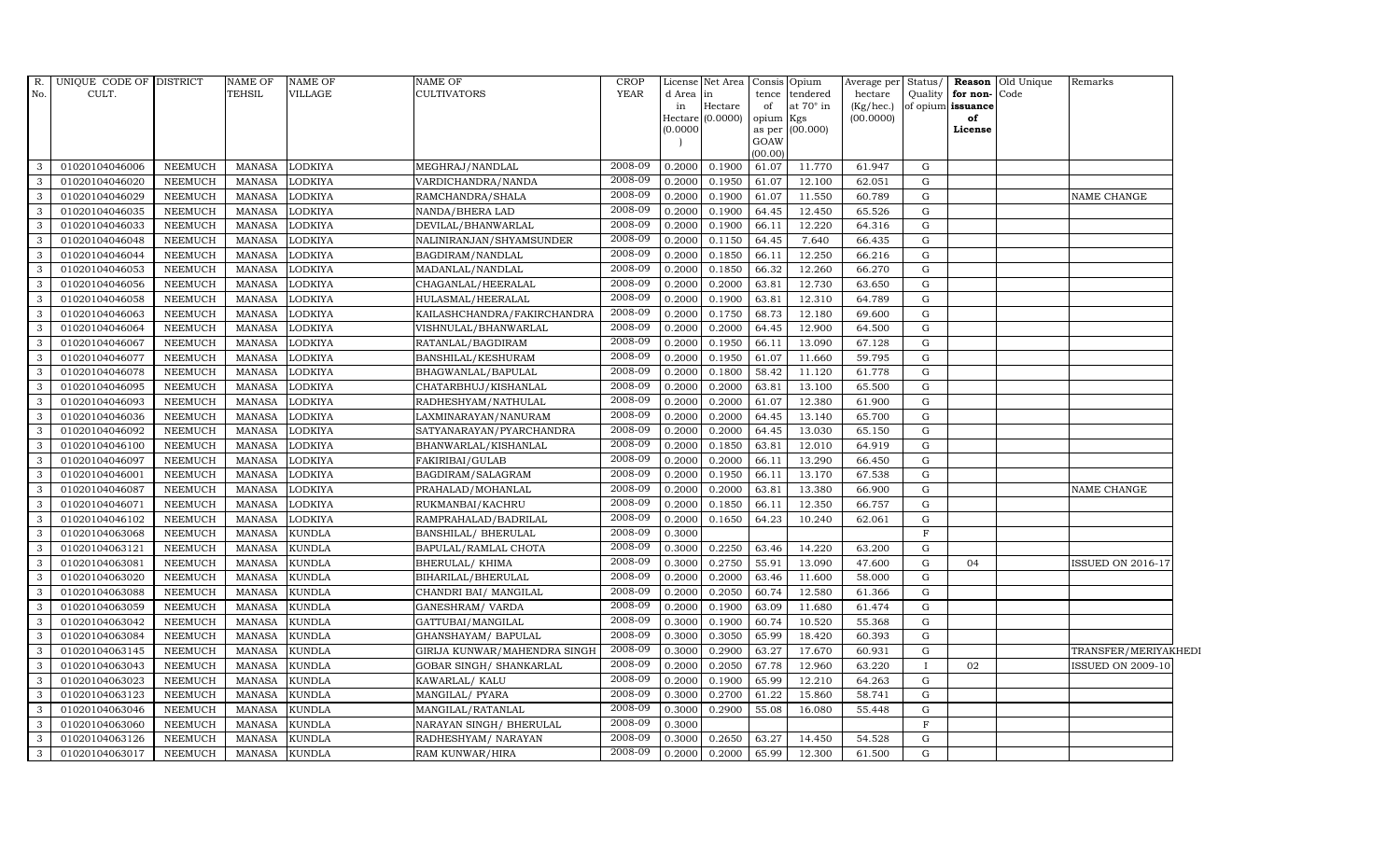| R.           | UNIQUE CODE OF DISTRICT |                | NAME OF       | <b>NAME OF</b> | NAME OF                      | CROP        |           | License Net Area              |                 | Consis Opium     | Average per Status/    |              |                         | <b>Reason</b> Old Unique | Remarks                  |  |
|--------------|-------------------------|----------------|---------------|----------------|------------------------------|-------------|-----------|-------------------------------|-----------------|------------------|------------------------|--------------|-------------------------|--------------------------|--------------------------|--|
| No.          | CULT.                   |                | TEHSIL        | VILLAGE        | <b>CULTIVATORS</b>           | <b>YEAR</b> | d Area in |                               | tence           | tendered         | hectare                | Quality      | for non-Code            |                          |                          |  |
|              |                         |                |               |                |                              |             | in        | Hectare<br>Hectare $(0.0000)$ | of<br>opium Kgs | at $70^\circ$ in | (Kg/hec.)<br>(00.0000) |              | of opium issuance<br>of |                          |                          |  |
|              |                         |                |               |                |                              |             | (0.0000)  |                               |                 | as per (00.000)  |                        |              | License                 |                          |                          |  |
|              |                         |                |               |                |                              |             |           |                               | GOAW            |                  |                        |              |                         |                          |                          |  |
|              |                         |                |               |                |                              |             |           |                               | (00.00)         |                  |                        |              |                         |                          |                          |  |
| 3            | 01020104046006          | <b>NEEMUCH</b> | MANASA        | <b>LODKIYA</b> | MEGHRAJ/NANDLAL              | 2008-09     | 0.2000    | 0.1900                        | 61.07           | 11.770           | 61.947                 | G            |                         |                          |                          |  |
| 3            | 01020104046020          | <b>NEEMUCH</b> | MANASA        | <b>LODKIYA</b> | VARDICHANDRA/NANDA           | 2008-09     | 0.2000    | 0.1950                        | 61.07           | 12.100           | 62.051                 | G            |                         |                          |                          |  |
| 3            | 01020104046029          | <b>NEEMUCH</b> | <b>MANASA</b> | <b>LODKIYA</b> | RAMCHANDRA/SHALA             | 2008-09     | 0.2000    | 0.1900                        | 61.07           | 11.550           | 60.789                 | G            |                         |                          | NAME CHANGE              |  |
| 3            | 01020104046035          | <b>NEEMUCH</b> | <b>MANASA</b> | <b>LODKIYA</b> | NANDA/BHERA LAD              | 2008-09     | 0.2000    | 0.1900                        | 64.45           | 12.450           | 65.526                 | G            |                         |                          |                          |  |
| $\mathbf{3}$ | 01020104046033          | <b>NEEMUCH</b> | MANASA        | <b>LODKIYA</b> | DEVILAL/BHANWARLAL           | 2008-09     | 0.2000    | 0.1900                        | 66.11           | 12.220           | 64.316                 | G            |                         |                          |                          |  |
| $\mathbf{3}$ | 01020104046048          | <b>NEEMUCH</b> | MANASA        | <b>LODKIYA</b> | NALINIRANJAN/SHYAMSUNDER     | 2008-09     | 0.2000    | 0.1150                        | 64.45           | 7.640            | 66.435                 | G            |                         |                          |                          |  |
| 3            | 01020104046044          | <b>NEEMUCH</b> | <b>MANASA</b> | <b>LODKIYA</b> | BAGDIRAM/NANDLAL             | 2008-09     | 0.2000    | 0.1850                        | 66.11           | 12.250           | 66.216                 | G            |                         |                          |                          |  |
| 3            | 01020104046053          | <b>NEEMUCH</b> | <b>MANASA</b> | <b>LODKIYA</b> | MADANLAL/NANDLAL             | 2008-09     | 0.2000    | 0.1850                        | 66.32           | 12.260           | 66.270                 | G            |                         |                          |                          |  |
| 3            | 01020104046056          | <b>NEEMUCH</b> | <b>MANASA</b> | <b>LODKIYA</b> | CHAGANLAL/HEERALAL           | 2008-09     | 0.2000    | 0.2000                        | 63.81           | 12.730           | 63.650                 | G            |                         |                          |                          |  |
| $\mathbf{3}$ | 01020104046058          | <b>NEEMUCH</b> | <b>MANASA</b> | <b>LODKIYA</b> | HULASMAL/HEERALAL            | 2008-09     | 0.2000    | 0.1900                        | 63.81           | 12.310           | 64.789                 | G            |                         |                          |                          |  |
| $\mathbf{3}$ | 01020104046063          | NEEMUCH        | <b>MANASA</b> | <b>LODKIYA</b> | KAILASHCHANDRA/FAKIRCHANDRA  | 2008-09     | 0.2000    | 0.1750                        | 68.73           | 12.180           | 69.600                 | G            |                         |                          |                          |  |
| 3            | 01020104046064          | <b>NEEMUCH</b> | MANASA        | <b>LODKIYA</b> | VISHNULAL/BHANWARLAL         | 2008-09     | 0.2000    | 0.2000                        | 64.45           | 12.900           | 64.500                 | G            |                         |                          |                          |  |
| $\mathbf{3}$ | 01020104046067          | <b>NEEMUCH</b> | <b>MANASA</b> | <b>LODKIYA</b> | RATANLAL/BAGDIRAM            | 2008-09     | 0.2000    | 0.1950                        | 66.11           | 13.090           | 67.128                 | G            |                         |                          |                          |  |
| 3            | 01020104046077          | <b>NEEMUCH</b> | <b>MANASA</b> | <b>LODKIYA</b> | BANSHILAL/KESHURAM           | 2008-09     | 0.2000    | 0.1950                        | 61.07           | 11.660           | 59.795                 | G            |                         |                          |                          |  |
| $\mathbf{3}$ | 01020104046078          | <b>NEEMUCH</b> | MANASA        | <b>LODKIYA</b> | BHAGWANLAL/BAPULAL           | 2008-09     | 0.2000    | 0.1800                        | 58.42           | 11.120           | 61.778                 | G            |                         |                          |                          |  |
| $\mathbf{3}$ | 01020104046095          | <b>NEEMUCH</b> | <b>MANASA</b> | <b>LODKIYA</b> | CHATARBHUJ/KISHANLAL         | 2008-09     | 0.2000    | 0.2000                        | 63.81           | 13.100           | 65.500                 | G            |                         |                          |                          |  |
| 3            | 01020104046093          | <b>NEEMUCH</b> | <b>MANASA</b> | <b>LODKIYA</b> | RADHESHYAM/NATHULAL          | 2008-09     | 0.2000    | 0.2000                        | 61.07           | 12.380           | 61.900                 | G            |                         |                          |                          |  |
| $\mathbf{3}$ | 01020104046036          | <b>NEEMUCH</b> | MANASA        | <b>LODKIYA</b> | LAXMINARAYAN/NANURAM         | 2008-09     | 0.2000    | 0.2000                        | 64.45           | 13.140           | 65.700                 | G            |                         |                          |                          |  |
| 3            | 01020104046092          | <b>NEEMUCH</b> | <b>MANASA</b> | <b>LODKIYA</b> | SATYANARAYAN/PYARCHANDRA     | 2008-09     | 0.2000    | 0.2000                        | 64.45           | 13.030           | 65.150                 | G            |                         |                          |                          |  |
| 3            | 01020104046100          | <b>NEEMUCH</b> | <b>MANASA</b> | <b>LODKIYA</b> | BHANWARLAL/KISHANLAL         | 2008-09     | 0.2000    | 0.1850                        | 63.81           | 12.010           | 64.919                 | G            |                         |                          |                          |  |
| $\mathbf{3}$ | 01020104046097          | <b>NEEMUCH</b> | <b>MANASA</b> | <b>LODKIYA</b> | FAKIRIBAI/GULAB              | 2008-09     | 0.2000    | 0.2000                        | 66.11           | 13.290           | 66.450                 | G            |                         |                          |                          |  |
| $\mathbf{3}$ | 01020104046001          | <b>NEEMUCH</b> | <b>MANASA</b> | <b>LODKIYA</b> | BAGDIRAM/SALAGRAM            | 2008-09     | 0.2000    | 0.1950                        | 66.11           | 13.170           | 67.538                 | G            |                         |                          |                          |  |
| $\mathbf{3}$ | 01020104046087          | <b>NEEMUCH</b> | MANASA        | <b>LODKIYA</b> | PRAHALAD/MOHANLAL            | 2008-09     | 0.2000    | 0.2000                        | 63.81           | 13.380           | 66.900                 | G            |                         |                          | NAME CHANGE              |  |
| 3            | 01020104046071          | <b>NEEMUCH</b> | <b>MANASA</b> | <b>LODKIYA</b> | RUKMANBAI/KACHRU             | 2008-09     | 0.2000    | 0.1850                        | 66.11           | 12.350           | 66.757                 | G            |                         |                          |                          |  |
| 3            | 01020104046102          | <b>NEEMUCH</b> | <b>MANASA</b> | <b>LODKIYA</b> | RAMPRAHALAD/BADRILAL         | 2008-09     | 0.2000    | 0.1650                        | 64.23           | 10.240           | 62.061                 | G            |                         |                          |                          |  |
| 3            | 01020104063068          | <b>NEEMUCH</b> | <b>MANASA</b> | <b>KUNDLA</b>  | BANSHILAL/ BHERULAL          | 2008-09     | 0.3000    |                               |                 |                  |                        | $\mathbf F$  |                         |                          |                          |  |
| 3            | 01020104063121          | <b>NEEMUCH</b> | <b>MANASA</b> | <b>KUNDLA</b>  | BAPULAL/RAMLAL CHOTA         | 2008-09     | 0.3000    | 0.2250                        | 63.46           | 14.220           | 63.200                 | G            |                         |                          |                          |  |
| $\mathbf{3}$ | 01020104063081          | <b>NEEMUCH</b> | MANASA        | <b>KUNDLA</b>  | BHERULAL/ KHIMA              | 2008-09     | 0.3000    | 0.2750                        | 55.91           | 13.090           | 47.600                 | G            | 04                      |                          | <b>ISSUED ON 2016-17</b> |  |
| 3            | 01020104063020          | <b>NEEMUCH</b> | <b>MANASA</b> | <b>KUNDLA</b>  | BIHARILAL/BHERULAL           | 2008-09     | 0.2000    | 0.2000                        | 63.46           | 11.600           | 58.000                 | G            |                         |                          |                          |  |
| 3            | 01020104063088          | <b>NEEMUCH</b> | <b>MANASA</b> | <b>KUNDLA</b>  | CHANDRI BAI / MANGILAL       | 2008-09     | 0.2000    | 0.2050                        | 60.74           | 12.580           | 61.366                 | G            |                         |                          |                          |  |
| 3            | 01020104063059          | <b>NEEMUCH</b> | <b>MANASA</b> | <b>KUNDLA</b>  | GANESHRAM/ VARDA             | 2008-09     | 0.2000    | 0.1900                        | 63.09           | 11.680           | 61.474                 | G            |                         |                          |                          |  |
| $\mathbf{3}$ | 01020104063042          | <b>NEEMUCH</b> | <b>MANASA</b> | <b>KUNDLA</b>  | GATTUBAI/MANGILAL            | 2008-09     | 0.3000    | 0.1900                        | 60.74           | 10.520           | 55.368                 | G            |                         |                          |                          |  |
| $\mathbf{3}$ | 01020104063084          | NEEMUCH        | MANASA        | <b>KUNDLA</b>  | GHANSHAYAM / BAPULAL         | 2008-09     | 0.3000    | 0.3050                        | 65.99           | 18.420           | 60.393                 | G            |                         |                          |                          |  |
| 3            | 01020104063145          | <b>NEEMUCH</b> | <b>MANASA</b> | <b>KUNDLA</b>  | GIRIJA KUNWAR/MAHENDRA SINGH | 2008-09     | 0.3000    | 0.2900                        | 63.27           | 17.670           | 60.931                 | G            |                         |                          | TRANSFER/MERIYAKHEDI     |  |
| 3            | 01020104063043          | <b>NEEMUCH</b> | <b>MANASA</b> | <b>KUNDLA</b>  | GOBAR SINGH / SHANKARLAL     | 2008-09     | 0.2000    | 0.2050                        | 67.78           | 12.960           | 63.220                 | $\mathbf{I}$ | 02                      |                          | <b>ISSUED ON 2009-10</b> |  |
| $\mathbf{3}$ | 01020104063023          | <b>NEEMUCH</b> | <b>MANASA</b> | <b>KUNDLA</b>  | KAWARLAL/ KALU               | 2008-09     | 0.2000    | 0.1900                        | 65.99           | 12.210           | 64.263                 | G            |                         |                          |                          |  |
| $\mathbf{3}$ | 01020104063123          | <b>NEEMUCH</b> | <b>MANASA</b> | <b>KUNDLA</b>  | MANGILAL/ PYARA              | 2008-09     | 0.3000    | 0.2700                        | 61.22           | 15.860           | 58.741                 | G            |                         |                          |                          |  |
| $\mathbf{3}$ | 01020104063046          | NEEMUCH        | <b>MANASA</b> | <b>KUNDLA</b>  | MANGILAL/RATANLAL            | 2008-09     | 0.3000    | 0.2900                        | 55.08           | 16.080           | 55.448                 | G            |                         |                          |                          |  |
| 3            | 01020104063060          | <b>NEEMUCH</b> | <b>MANASA</b> | <b>KUNDLA</b>  | NARAYAN SINGH/ BHERULAL      | 2008-09     | 0.3000    |                               |                 |                  |                        | $\mathbf F$  |                         |                          |                          |  |
| 3            | 01020104063126          | <b>NEEMUCH</b> | <b>MANASA</b> | <b>KUNDLA</b>  | RADHESHYAM / NARAYAN         | 2008-09     | 0.3000    | 0.2650                        | 63.27           | 14.450           | 54.528                 | G            |                         |                          |                          |  |
| $\mathbf{3}$ | 01020104063017          | <b>NEEMUCH</b> | MANASA        | <b>KUNDLA</b>  | RAM KUNWAR/HIRA              | 2008-09     | 0.2000    | 0.2000                        | 65.99           | 12.300           | 61.500                 | G            |                         |                          |                          |  |
|              |                         |                |               |                |                              |             |           |                               |                 |                  |                        |              |                         |                          |                          |  |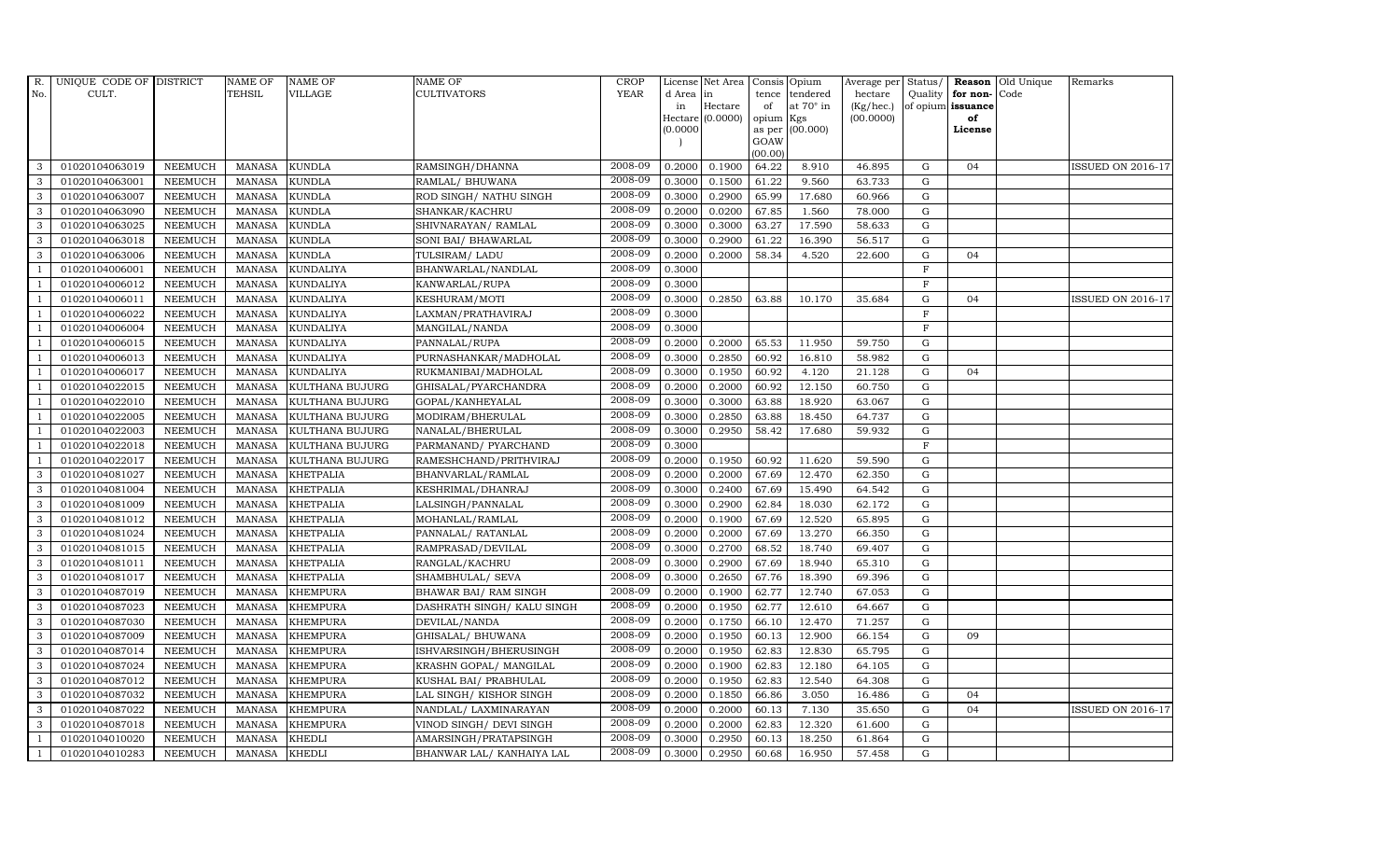| R.             | UNIQUE CODE OF DISTRICT |                | <b>NAME OF</b> | <b>NAME OF</b>   | NAME OF                    | <b>CROP</b> |           | License Net Area | Consis Opium   |                  |           |              |                      | Average per Status/ Reason Old Unique | Remarks                  |
|----------------|-------------------------|----------------|----------------|------------------|----------------------------|-------------|-----------|------------------|----------------|------------------|-----------|--------------|----------------------|---------------------------------------|--------------------------|
| No.            | CULT.                   |                | <b>TEHSIL</b>  | <b>VILLAGE</b>   | <b>CULTIVATORS</b>         | <b>YEAR</b> | d Area in |                  | tence          | tendered         | hectare   |              | Quality for non-Code |                                       |                          |
|                |                         |                |                |                  |                            |             | in        | Hectare          | of             | at $70^\circ$ in | (Kg/hec.) |              | of opium issuance    |                                       |                          |
|                |                         |                |                |                  |                            |             | (0.0000)  | Hectare (0.0000) | opium          | Kgs<br>(00.000)  | (00.0000) |              | of<br>License        |                                       |                          |
|                |                         |                |                |                  |                            |             |           |                  | as per<br>GOAW |                  |           |              |                      |                                       |                          |
|                |                         |                |                |                  |                            |             |           |                  | (00.00)        |                  |           |              |                      |                                       |                          |
| 3              | 01020104063019          | <b>NEEMUCH</b> | MANASA         | <b>KUNDLA</b>    | RAMSINGH/DHANNA            | 2008-09     | 0.2000    | 0.1900           | 64.22          | 8.910            | 46.895    | G            | 04                   |                                       | ISSUED ON 2016-17        |
| 3              | 01020104063001          | <b>NEEMUCH</b> | <b>MANASA</b>  | <b>KUNDLA</b>    | RAMLAL/ BHUWANA            | 2008-09     | 0.3000    | 0.1500           | 61.22          | 9.560            | 63.733    | G            |                      |                                       |                          |
| 3              | 01020104063007          | <b>NEEMUCH</b> | <b>MANASA</b>  | <b>KUNDLA</b>    | ROD SINGH/ NATHU SINGH     | 2008-09     | 0.3000    | 0.2900           | 65.99          | 17.680           | 60.966    | G            |                      |                                       |                          |
| 3              | 01020104063090          | <b>NEEMUCH</b> | <b>MANASA</b>  | <b>KUNDLA</b>    | SHANKAR/KACHRU             | 2008-09     | 0.2000    | 0.0200           | 67.85          | 1.560            | 78.000    | G            |                      |                                       |                          |
| 3              | 01020104063025          | <b>NEEMUCH</b> | <b>MANASA</b>  | <b>KUNDLA</b>    | SHIVNARAYAN/RAMLAL         | 2008-09     | 0.3000    | 0.3000           | 63.27          | 17.590           | 58.633    | ${\rm G}$    |                      |                                       |                          |
| 3              | 01020104063018          | <b>NEEMUCH</b> | <b>MANASA</b>  | KUNDLA           | SONI BAI/ BHAWARLAL        | 2008-09     | 0.3000    | 0.2900           | 61.22          | 16.390           | 56.517    | G            |                      |                                       |                          |
| 3              | 01020104063006          | <b>NEEMUCH</b> | <b>MANASA</b>  | <b>KUNDLA</b>    | TULSIRAM/ LADU             | 2008-09     | 0.2000    | 0.2000           | 58.34          | 4.520            | 22.600    | G            | 04                   |                                       |                          |
| $\overline{1}$ | 01020104006001          | <b>NEEMUCH</b> | <b>MANASA</b>  | <b>KUNDALIYA</b> | BHANWARLAL/NANDLAL         | 2008-09     | 0.3000    |                  |                |                  |           | F            |                      |                                       |                          |
|                | 01020104006012          | <b>NEEMUCH</b> | <b>MANASA</b>  | <b>KUNDALIYA</b> | KANWARLAL/RUPA             | 2008-09     | 0.3000    |                  |                |                  |           | $\mathbf F$  |                      |                                       |                          |
| -1             | 01020104006011          | <b>NEEMUCH</b> | <b>MANASA</b>  | <b>KUNDALIYA</b> | KESHURAM/MOTI              | 2008-09     | 0.3000    | 0.2850           | 63.88          | 10.170           | 35.684    | G            | 04                   |                                       | <b>ISSUED ON 2016-17</b> |
| $\overline{1}$ | 01020104006022          | <b>NEEMUCH</b> | <b>MANASA</b>  | <b>KUNDALIYA</b> | LAXMAN/PRATHAVIRAJ         | 2008-09     | 0.3000    |                  |                |                  |           | $\, {\rm F}$ |                      |                                       |                          |
| $\overline{1}$ | 01020104006004          | <b>NEEMUCH</b> | <b>MANASA</b>  | <b>KUNDALIYA</b> | MANGILAL/NANDA             | 2008-09     | 0.3000    |                  |                |                  |           | $\mathbf{F}$ |                      |                                       |                          |
| $\overline{1}$ | 01020104006015          | <b>NEEMUCH</b> | <b>MANASA</b>  | <b>KUNDALIYA</b> | PANNALAL/RUPA              | 2008-09     | 0.2000    | 0.2000           | 65.53          | 11.950           | 59.750    | G            |                      |                                       |                          |
|                | 01020104006013          | <b>NEEMUCH</b> | <b>MANASA</b>  | <b>KUNDALIYA</b> | PURNASHANKAR/MADHOLAL      | 2008-09     | 0.3000    | 0.2850           | 60.92          | 16.810           | 58.982    | G            |                      |                                       |                          |
|                | 01020104006017          | <b>NEEMUCH</b> | <b>MANASA</b>  | <b>KUNDALIYA</b> | RUKMANIBAI/MADHOLAL        | 2008-09     | 0.3000    | 0.1950           | 60.92          | 4.120            | 21.128    | G            | 04                   |                                       |                          |
| -1             | 01020104022015          | <b>NEEMUCH</b> | <b>MANASA</b>  | KULTHANA BUJURG  | GHISALAL/PYARCHANDRA       | 2008-09     | 0.2000    | 0.2000           | 60.92          | 12.150           | 60.750    | G            |                      |                                       |                          |
| $\overline{1}$ | 01020104022010          | <b>NEEMUCH</b> | <b>MANASA</b>  | KULTHANA BUJURG  | GOPAL/KANHEYALAL           | 2008-09     | 0.3000    | 0.3000           | 63.88          | 18.920           | 63.067    | G            |                      |                                       |                          |
| $\overline{1}$ | 01020104022005          | <b>NEEMUCH</b> | <b>MANASA</b>  | KULTHANA BUJURG  | MODIRAM/BHERULAL           | 2008-09     | 0.3000    | 0.2850           | 63.88          | 18.450           | 64.737    | $\mathbf G$  |                      |                                       |                          |
|                | 01020104022003          | <b>NEEMUCH</b> | <b>MANASA</b>  | KULTHANA BUJURG  | NANALAL/BHERULAL           | 2008-09     | 0.3000    | 0.2950           | 58.42          | 17.680           | 59.932    | G            |                      |                                       |                          |
|                | 01020104022018          | <b>NEEMUCH</b> | <b>MANASA</b>  | KULTHANA BUJURG  | PARMANAND / PYARCHAND      | 2008-09     | 0.3000    |                  |                |                  |           | $\mathbf F$  |                      |                                       |                          |
| $\overline{1}$ | 01020104022017          | <b>NEEMUCH</b> | <b>MANASA</b>  | KULTHANA BUJURG  | RAMESHCHAND/PRITHVIRAJ     | 2008-09     | 0.2000    | 0.1950           | 60.92          | 11.620           | 59.590    | G            |                      |                                       |                          |
| 3              | 01020104081027          | <b>NEEMUCH</b> | <b>MANASA</b>  | <b>KHETPALIA</b> | BHANVARLAL/RAMLAL          | 2008-09     | 0.2000    | 0.2000           | 67.69          | 12.470           | 62.350    | G            |                      |                                       |                          |
| 3              | 01020104081004          | <b>NEEMUCH</b> | MANASA         | <b>KHETPALIA</b> | KESHRIMAL/DHANRAJ          | 2008-09     | 0.3000    | 0.2400           | 67.69          | 15.490           | 64.542    | G            |                      |                                       |                          |
| 3              | 01020104081009          | <b>NEEMUCH</b> | <b>MANASA</b>  | <b>KHETPALIA</b> | LALSINGH/PANNALAL          | 2008-09     | 0.3000    | 0.2900           | 62.84          | 18.030           | 62.172    | G            |                      |                                       |                          |
| 3              | 01020104081012          | <b>NEEMUCH</b> | <b>MANASA</b>  | <b>KHETPALIA</b> | MOHANLAL/RAMLAL            | 2008-09     | 0.2000    | 0.1900           | 67.69          | 12.520           | 65.895    | G            |                      |                                       |                          |
| 3              | 01020104081024          | <b>NEEMUCH</b> | <b>MANASA</b>  | KHETPALIA        | PANNALAL/ RATANLAL         | 2008-09     | 0.2000    | 0.2000           | 67.69          | 13.270           | 66.350    | G            |                      |                                       |                          |
| 3              | 01020104081015          | <b>NEEMUCH</b> | <b>MANASA</b>  | <b>KHETPALIA</b> | RAMPRASAD/DEVILAL          | 2008-09     | 0.3000    | 0.2700           | 68.52          | 18.740           | 69.407    | G            |                      |                                       |                          |
| 3              | 01020104081011          | <b>NEEMUCH</b> | <b>MANASA</b>  | <b>KHETPALIA</b> | RANGLAL/KACHRU             | 2008-09     | 0.3000    | 0.2900           | 67.69          | 18.940           | 65.310    | G            |                      |                                       |                          |
| 3              | 01020104081017          | <b>NEEMUCH</b> | <b>MANASA</b>  | <b>KHETPALIA</b> | SHAMBHULAL/ SEVA           | 2008-09     | 0.3000    | 0.2650           | 67.76          | 18.390           | 69.396    | $\mathbf G$  |                      |                                       |                          |
| 3              | 01020104087019          | <b>NEEMUCH</b> | <b>MANASA</b>  | <b>KHEMPURA</b>  | BHAWAR BAI/ RAM SINGH      | 2008-09     | 0.2000    | 0.1900           | 62.77          | 12.740           | 67.053    | G            |                      |                                       |                          |
| 3              | 01020104087023          | <b>NEEMUCH</b> | <b>MANASA</b>  | <b>KHEMPURA</b>  | DASHRATH SINGH/ KALU SINGH | 2008-09     | 0.2000    | 0.1950           | 62.77          | 12.610           | 64.667    | G            |                      |                                       |                          |
| 3              | 01020104087030          | <b>NEEMUCH</b> | <b>MANASA</b>  | <b>KHEMPURA</b>  | DEVILAL/NANDA              | 2008-09     | 0.2000    | 0.1750           | 66.10          | 12.470           | 71.257    | G            |                      |                                       |                          |
| 3              | 01020104087009          | <b>NEEMUCH</b> | <b>MANASA</b>  | <b>KHEMPURA</b>  | GHISALAL/BHUWANA           | 2008-09     | 0.2000    | 0.1950           | 60.13          | 12.900           | 66.154    | G            | 09                   |                                       |                          |
| 3              | 01020104087014          | <b>NEEMUCH</b> | <b>MANASA</b>  | <b>KHEMPURA</b>  | ISHVARSINGH/BHERUSINGH     | 2008-09     | 0.2000    | 0.1950           | 62.83          | 12.830           | 65.795    | G            |                      |                                       |                          |
| 3              | 01020104087024          | <b>NEEMUCH</b> | <b>MANASA</b>  | <b>KHEMPURA</b>  | KRASHN GOPAL/ MANGILAL     | 2008-09     | 0.2000    | 0.1900           | 62.83          | 12.180           | 64.105    | G            |                      |                                       |                          |
| 3              | 01020104087012          | <b>NEEMUCH</b> | <b>MANASA</b>  | <b>KHEMPURA</b>  | KUSHAL BAI/ PRABHULAL      | 2008-09     | 0.2000    | 0.1950           | 62.83          | 12.540           | 64.308    | G            |                      |                                       |                          |
| 3              | 01020104087032          | <b>NEEMUCH</b> | <b>MANASA</b>  | <b>KHEMPURA</b>  | LAL SINGH/KISHOR SINGH     | 2008-09     | 0.2000    | 0.1850           | 66.86          | 3.050            | 16.486    | G            | 04                   |                                       |                          |
| 3              | 01020104087022          | <b>NEEMUCH</b> | <b>MANASA</b>  | <b>KHEMPURA</b>  | NANDLAL/LAXMINARAYAN       | 2008-09     | 0.2000    | 0.2000           | 60.13          | 7.130            | 35.650    | G            | 04                   |                                       | <b>ISSUED ON 2016-17</b> |
| 3              | 01020104087018          | <b>NEEMUCH</b> | <b>MANASA</b>  | <b>KHEMPURA</b>  | VINOD SINGH/ DEVI SINGH    | 2008-09     | 0.2000    | 0.2000           | 62.83          | 12.320           | 61.600    | G            |                      |                                       |                          |
|                | 01020104010020          | <b>NEEMUCH</b> | <b>MANASA</b>  | <b>KHEDLI</b>    | AMARSINGH/PRATAPSINGH      | 2008-09     | 0.3000    | 0.2950           | 60.13          | 18.250           | 61.864    | G            |                      |                                       |                          |
| $\mathbf{1}$   | 01020104010283          | NEEMUCH        | MANASA         | <b>KHEDLI</b>    | BHANWAR LAL/ KANHAIYA LAL  | 2008-09     | 0.3000    | 0.2950           | 60.68          | 16.950           | 57.458    | G            |                      |                                       |                          |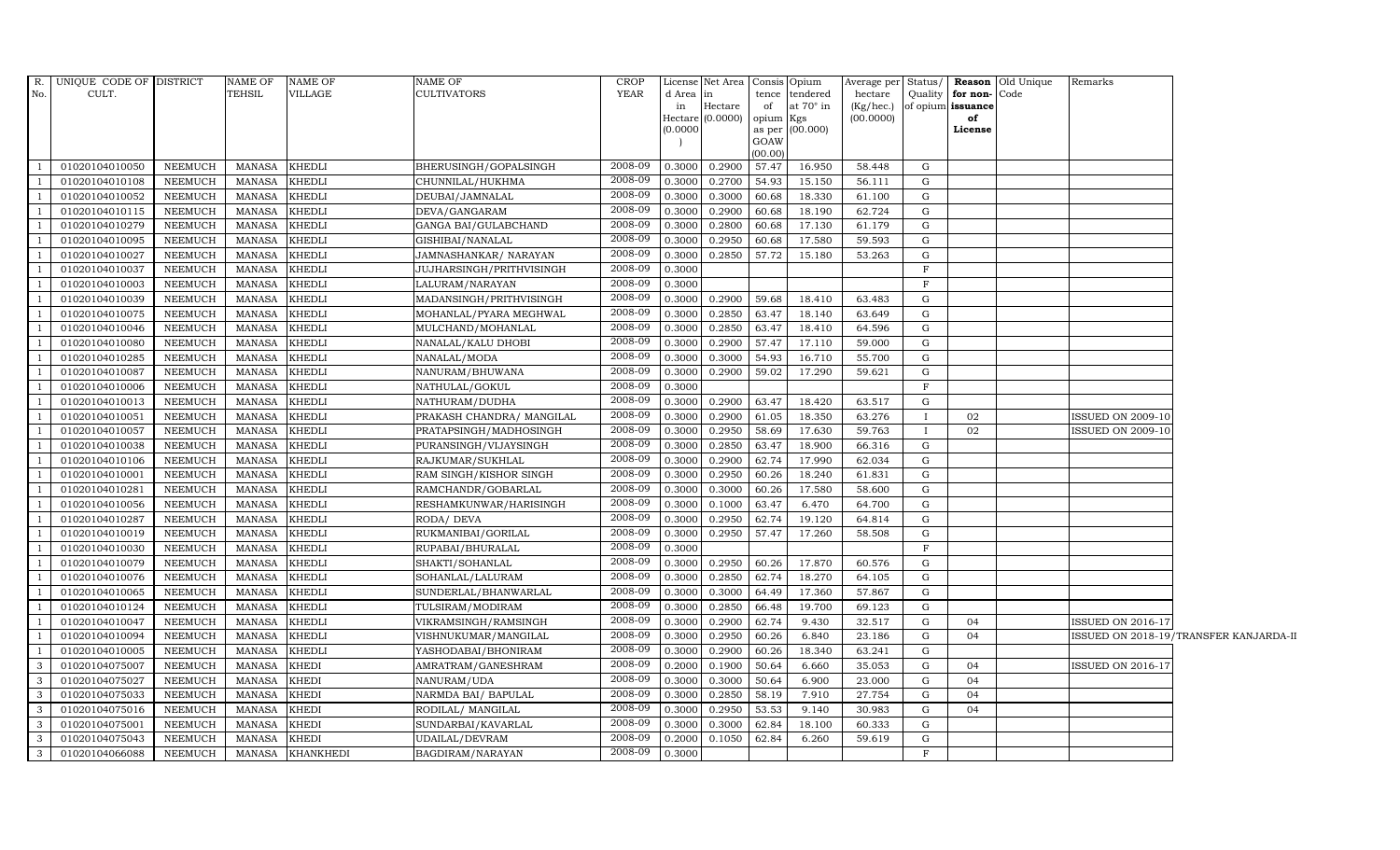|                         | R. UNIQUE CODE OF DISTRICT |                | NAME OF       | NAME OF          | NAME OF                   | <b>CROP</b> |           | License Net Area Consis Opium |           |                  | Average per Status/ |              |               | <b>Reason</b> Old Unique | Remarks                  |                                        |
|-------------------------|----------------------------|----------------|---------------|------------------|---------------------------|-------------|-----------|-------------------------------|-----------|------------------|---------------------|--------------|---------------|--------------------------|--------------------------|----------------------------------------|
| No.                     | CULT.                      |                | TEHSIL        | VILLAGE          | <b>CULTIVATORS</b>        | YEAR        | d Area in |                               |           | tence tendered   | hectare             | Quality      | for non-Code  |                          |                          |                                        |
|                         |                            |                |               |                  |                           |             | in        | Hectare                       | of        | at $70^\circ$ in | (Kg/hec.)           | of opium     | issuance      |                          |                          |                                        |
|                         |                            |                |               |                  |                           |             | (0.0000)  | Hectare (0.0000)              | opium Kgs | as per (00.000)  | (00.0000)           |              | of<br>License |                          |                          |                                        |
|                         |                            |                |               |                  |                           |             |           |                               | GOAW      |                  |                     |              |               |                          |                          |                                        |
|                         |                            |                |               |                  |                           |             |           |                               | (00.00)   |                  |                     |              |               |                          |                          |                                        |
| $\overline{1}$          | 01020104010050             | NEEMUCH        | MANASA        | <b>KHEDLI</b>    | BHERUSINGH/GOPALSINGH     | 2008-09     | 0.3000    | 0.2900                        | 57.47     | 16.950           | 58.448              | G            |               |                          |                          |                                        |
| $\overline{1}$          | 01020104010108             | <b>NEEMUCH</b> | <b>MANASA</b> | KHEDLI           | CHUNNILAL/HUKHMA          | 2008-09     | 0.3000    | 0.2700                        | 54.93     | 15.150           | 56.111              | G            |               |                          |                          |                                        |
|                         | 01020104010052             | <b>NEEMUCH</b> | <b>MANASA</b> | KHEDLI           | DEUBAI/JAMNALAL           | 2008-09     | 0.3000    | 0.3000                        | 60.68     | 18.330           | 61.100              | G            |               |                          |                          |                                        |
| $\overline{1}$          | 01020104010115             | <b>NEEMUCH</b> | MANASA        | <b>KHEDLI</b>    | DEVA/GANGARAM             | 2008-09     | 0.3000    | 0.2900                        | 60.68     | 18.190           | 62.724              | G            |               |                          |                          |                                        |
| $\overline{1}$          | 01020104010279             | NEEMUCH        | MANASA        | <b>KHEDLI</b>    | GANGA BAI/GULABCHAND      | 2008-09     | 0.3000    | 0.2800                        | 60.68     | 17.130           | 61.179              | G            |               |                          |                          |                                        |
| $\overline{1}$          | 01020104010095             | NEEMUCH        | MANASA        | KHEDLI           | GISHIBAI/NANALAL          | 2008-09     | 0.3000    | 0.2950                        | 60.68     | 17.580           | 59.593              | G            |               |                          |                          |                                        |
| $\overline{1}$          | 01020104010027             | <b>NEEMUCH</b> | <b>MANASA</b> | KHEDLI           | JAMNASHANKAR / NARAYAN    | 2008-09     | 0.3000    | 0.2850                        | 57.72     | 15.180           | 53.263              | G            |               |                          |                          |                                        |
|                         | 01020104010037             | <b>NEEMUCH</b> | <b>MANASA</b> | KHEDLI           | JUJHARSINGH/PRITHVISINGH  | 2008-09     | 0.3000    |                               |           |                  |                     | $\rm F$      |               |                          |                          |                                        |
| $\overline{1}$          | 01020104010003             | <b>NEEMUCH</b> | <b>MANASA</b> | KHEDLI           | LALURAM/NARAYAN           | 2008-09     | 0.3000    |                               |           |                  |                     | $\rm F$      |               |                          |                          |                                        |
| $\overline{1}$          | 01020104010039             | <b>NEEMUCH</b> | <b>MANASA</b> | KHEDLI           | MADANSINGH/PRITHVISINGH   | 2008-09     | 0.3000    | 0.2900                        | 59.68     | 18.410           | 63.483              | G            |               |                          |                          |                                        |
| $\overline{1}$          | 01020104010075             | NEEMUCH        | MANASA        | KHEDLI           | MOHANLAL/PYARA MEGHWAL    | 2008-09     | 0.3000    | 0.2850                        | 63.47     | 18.140           | 63.649              | G            |               |                          |                          |                                        |
| $\overline{1}$          | 01020104010046             | NEEMUCH        | MANASA        | KHEDLI           | MULCHAND/MOHANLAL         | 2008-09     | 0.3000    | 0.2850                        | 63.47     | 18.410           | 64.596              | G            |               |                          |                          |                                        |
| $\overline{1}$          | 01020104010080             | <b>NEEMUCH</b> | <b>MANASA</b> | KHEDLI           | NANALAL/KALU DHOBI        | 2008-09     | 0.3000    | 0.2900                        | 57.47     | 17.110           | 59.000              | G            |               |                          |                          |                                        |
|                         | 01020104010285             | <b>NEEMUCH</b> | <b>MANASA</b> | KHEDLI           | NANALAL/MODA              | 2008-09     | 0.3000    | 0.3000                        | 54.93     | 16.710           | 55.700              | G            |               |                          |                          |                                        |
| $\overline{1}$          | 01020104010087             | <b>NEEMUCH</b> | <b>MANASA</b> | KHEDLI           | NANURAM/BHUWANA           | 2008-09     | 0.3000    | 0.2900                        | 59.02     | 17.290           | 59.621              | G            |               |                          |                          |                                        |
| $\overline{1}$          | 01020104010006             | NEEMUCH        | <b>MANASA</b> | KHEDLI           | NATHULAL/GOKUL            | 2008-09     | 0.3000    |                               |           |                  |                     | F            |               |                          |                          |                                        |
| $\mathbf{1}$            | 01020104010013             | NEEMUCH        | <b>MANASA</b> | KHEDLI           | NATHURAM/DUDHA            | 2008-09     | 0.3000    | 0.2900                        | 63.47     | 18.420           | 63.517              | G            |               |                          |                          |                                        |
| $\overline{1}$          | 01020104010051             | NEEMUCH        | <b>MANASA</b> | KHEDLI           | PRAKASH CHANDRA/ MANGILAL | 2008-09     | 0.3000    | 0.2900                        | 61.05     | 18.350           | 63.276              | $\mathbf{I}$ | 02            |                          | ISSUED ON 2009-10        |                                        |
|                         | 01020104010057             | <b>NEEMUCH</b> | MANASA        | KHEDLI           | PRATAPSINGH/MADHOSINGH    | 2008-09     | 0.3000    | 0.2950                        | 58.69     | 17.630           | 59.763              |              | 02            |                          | <b>ISSUED ON 2009-10</b> |                                        |
| $\overline{1}$          | 01020104010038             | <b>NEEMUCH</b> | <b>MANASA</b> | KHEDLI           | PURANSINGH/VIJAYSINGH     | 2008-09     | 0.3000    | 0.2850                        | 63.47     | 18.900           | 66.316              | G            |               |                          |                          |                                        |
| $\overline{1}$          | 01020104010106             | NEEMUCH        | <b>MANASA</b> | KHEDLI           | RAJKUMAR/SUKHLAL          | 2008-09     | 0.3000    | 0.2900                        | 62.74     | 17.990           | 62.034              | G            |               |                          |                          |                                        |
| $\overline{1}$          | 01020104010001             | <b>NEEMUCH</b> | MANASA        | KHEDLI           | RAM SINGH/KISHOR SINGH    | 2008-09     | 0.3000    | 0.2950                        | 60.26     | 18.240           | 61.831              | G            |               |                          |                          |                                        |
| $\overline{1}$          | 01020104010281             | <b>NEEMUCH</b> | <b>MANASA</b> | KHEDLI           | RAMCHANDR/GOBARLAL        | 2008-09     | 0.3000    | 0.3000                        | 60.26     | 17.580           | 58.600              | G            |               |                          |                          |                                        |
|                         | 01020104010056             | <b>NEEMUCH</b> | <b>MANASA</b> | KHEDLI           | RESHAMKUNWAR/HARISINGH    | 2008-09     | 0.3000    | 0.1000                        | 63.47     | 6.470            | 64.700              | G            |               |                          |                          |                                        |
| $\overline{1}$          | 01020104010287             | <b>NEEMUCH</b> | <b>MANASA</b> | KHEDLI           | RODA/ DEVA                | 2008-09     | 0.3000    | 0.2950                        | 62.74     | 19.120           | 64.814              | G            |               |                          |                          |                                        |
| $\overline{1}$          | 01020104010019             | <b>NEEMUCH</b> | <b>MANASA</b> | KHEDLI           | RUKMANIBAI/GORILAL        | 2008-09     | 0.3000    | 0.2950                        | 57.47     | 17.260           | 58.508              | G            |               |                          |                          |                                        |
| $\overline{1}$          | 01020104010030             | NEEMUCH        | MANASA        | KHEDLI           | RUPABAI/BHURALAL          | 2008-09     | 0.3000    |                               |           |                  |                     | $\mathbf{F}$ |               |                          |                          |                                        |
| $\overline{1}$          | 01020104010079             | <b>NEEMUCH</b> | <b>MANASA</b> | KHEDLI           | SHAKTI/SOHANLAL           | 2008-09     | 0.3000    | 0.2950                        | 60.26     | 17.870           | 60.576              | G            |               |                          |                          |                                        |
| $\overline{1}$          | 01020104010076             | NEEMUCH        | MANASA        | KHEDLI           | SOHANLAL/LALURAM          | 2008-09     | 0.3000    | 0.2850                        | 62.74     | 18.270           | 64.105              | G            |               |                          |                          |                                        |
|                         | 01020104010065             | <b>NEEMUCH</b> | <b>MANASA</b> | KHEDLI           | SUNDERLAL/BHANWARLAL      | 2008-09     | 0.3000    | 0.3000                        | 64.49     | 17.360           | 57.867              | G            |               |                          |                          |                                        |
| $\overline{1}$          | 01020104010124             | <b>NEEMUCH</b> | <b>MANASA</b> | KHEDLI           | TULSIRAM/MODIRAM          | 2008-09     | 0.3000    | 0.2850                        | 66.48     | 19.700           | 69.123              | G            |               |                          |                          |                                        |
| $\overline{1}$          | 01020104010047             | <b>NEEMUCH</b> | <b>MANASA</b> | KHEDLI           | VIKRAMSINGH/RAMSINGH      | 2008-09     | 0.3000    | 0.2900                        | 62.74     | 9.430            | 32.517              | G            | 04            |                          | ISSUED ON 2016-17        |                                        |
| $\overline{1}$          | 01020104010094             | NEEMUCH        | MANASA        | KHEDLI           | VISHNUKUMAR/MANGILAL      | 2008-09     | 0.3000    | 0.2950                        | 60.26     | 6.840            | 23.186              | G            | 04            |                          |                          | ISSUED ON 2018-19/TRANSFER KANJARDA-II |
| $\overline{1}$          | 01020104010005             | <b>NEEMUCH</b> | MANASA        | KHEDLI           | YASHODABAI/BHONIRAM       | 2008-09     | 0.3000    | 0.2900                        | 60.26     | 18.340           | 63.241              | G            |               |                          |                          |                                        |
| 3                       | 01020104075007             | <b>NEEMUCH</b> | <b>MANASA</b> | KHEDI            | AMRATRAM/GANESHRAM        | 2008-09     | 0.2000    | 0.1900                        | 50.64     | 6.660            | 35.053              | G            | 04            |                          | <b>ISSUED ON 2016-17</b> |                                        |
| $\overline{3}$          | 01020104075027             | <b>NEEMUCH</b> | <b>MANASA</b> | KHEDI            | NANURAM/UDA               | 2008-09     | 0.3000    | 0.3000                        | 50.64     | 6.900            | 23.000              | G            | 04            |                          |                          |                                        |
| $\overline{\mathbf{3}}$ | 01020104075033             | <b>NEEMUCH</b> | <b>MANASA</b> | KHEDI            | NARMDA BAI/ BAPULAL       | 2008-09     | 0.3000    | 0.2850                        | 58.19     | 7.910            | 27.754              | G            | 04            |                          |                          |                                        |
| $\overline{3}$          | 01020104075016             | NEEMUCH        | <b>MANASA</b> | KHEDI            | RODILAL/ MANGILAL         | 2008-09     | 0.3000    | 0.2950                        | 53.53     | 9.140            | 30.983              | G            | 04            |                          |                          |                                        |
| $\mathbf{3}$            | 01020104075001             | NEEMUCH        | MANASA        | KHEDI            | SUNDARBAI/KAVARLAL        | 2008-09     | 0.3000    | 0.3000                        | 62.84     | 18.100           | 60.333              | G            |               |                          |                          |                                        |
| $\mathbf{3}$            | 01020104075043             | <b>NEEMUCH</b> | <b>MANASA</b> | KHEDI            | <b>UDAILAL/DEVRAM</b>     | 2008-09     | 0.2000    | 0.1050                        | 62.84     | 6.260            | 59.619              | G            |               |                          |                          |                                        |
| $\overline{3}$          | 01020104066088             | <b>NEEMUCH</b> | MANASA        | <b>KHANKHEDI</b> | BAGDIRAM/NARAYAN          | 2008-09     | 0.3000    |                               |           |                  |                     | $\mathbf{F}$ |               |                          |                          |                                        |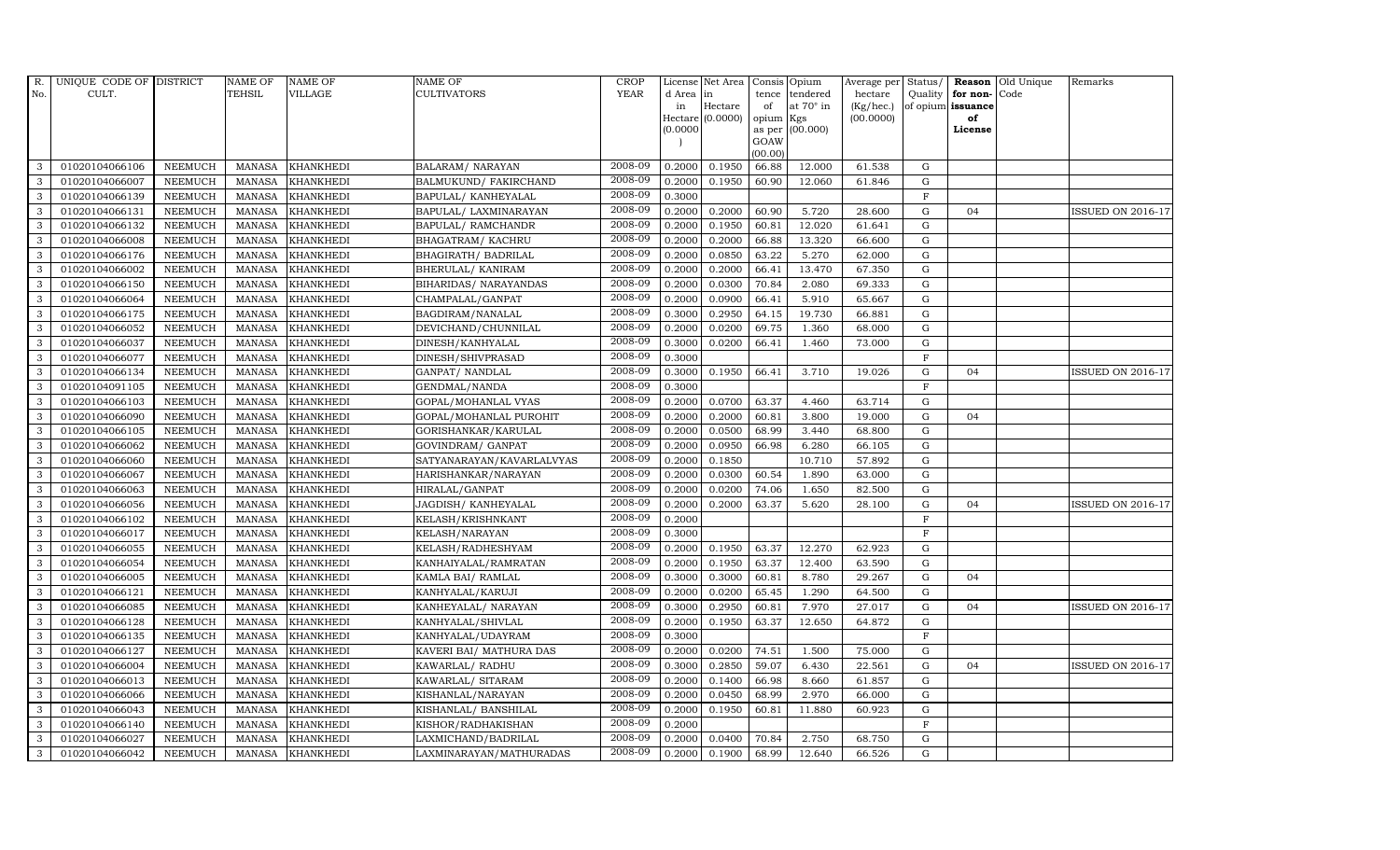| R.  | UNIQUE CODE OF DISTRICT |                | <b>NAME OF</b> | <b>NAME OF</b>   | <b>NAME OF</b>            | CROP        |           | License Net Area   Consis   Opium |           |                  | Average per Status/ |              |                   | <b>Reason</b> Old Unique | Remarks                  |
|-----|-------------------------|----------------|----------------|------------------|---------------------------|-------------|-----------|-----------------------------------|-----------|------------------|---------------------|--------------|-------------------|--------------------------|--------------------------|
| No. | CULT.                   |                | <b>TEHSIL</b>  | VILLAGE          | <b>CULTIVATORS</b>        | <b>YEAR</b> | d Area in |                                   |           | tence tendered   | hectare             | Quality      | for non-          | Code                     |                          |
|     |                         |                |                |                  |                           |             | in        | Hectare                           | of        | at $70^\circ$ in | (Kg/hec.)           |              | of opium issuance |                          |                          |
|     |                         |                |                |                  |                           |             |           | $Hectare (0.0000)$                | opium Kgs |                  | (00.0000)           |              | of<br>License     |                          |                          |
|     |                         |                |                |                  |                           |             | (0.0000)  |                                   | GOAW      | as per (00.000)  |                     |              |                   |                          |                          |
|     |                         |                |                |                  |                           |             |           |                                   | (00.00)   |                  |                     |              |                   |                          |                          |
| 3   | 01020104066106          | <b>NEEMUCH</b> | MANASA         | <b>KHANKHEDI</b> | <b>BALARAM/ NARAYAN</b>   | 2008-09     | 0.2000    | 0.1950                            | 66.88     | 12.000           | 61.538              | G            |                   |                          |                          |
| 3   | 01020104066007          | <b>NEEMUCH</b> | <b>MANASA</b>  | <b>KHANKHEDI</b> | BALMUKUND/FAKIRCHAND      | 2008-09     | 0.2000    | 0.1950                            | 60.90     | 12.060           | 61.846              | ${\rm G}$    |                   |                          |                          |
| 3   | 01020104066139          | <b>NEEMUCH</b> | <b>MANASA</b>  | <b>KHANKHEDI</b> | BAPULAL/ KANHEYALAL       | 2008-09     | 0.3000    |                                   |           |                  |                     | $\, {\rm F}$ |                   |                          |                          |
| 3   | 01020104066131          | <b>NEEMUCH</b> | <b>MANASA</b>  | <b>KHANKHEDI</b> | BAPULAL/ LAXMINARAYAN     | 2008-09     | 0.2000    | 0.2000                            | 60.90     | 5.720            | 28.600              | $\mathbf G$  | 04                |                          | <b>ISSUED ON 2016-17</b> |
| 3   | 01020104066132          | <b>NEEMUCH</b> | <b>MANASA</b>  | KHANKHEDI        | BAPULAL/ RAMCHANDR        | 2008-09     | 0.2000    | 0.1950                            | 60.81     | 12.020           | 61.641              | ${\bf G}$    |                   |                          |                          |
| 3   | 01020104066008          | NEEMUCH        | <b>MANASA</b>  | KHANKHEDI        | BHAGATRAM/KACHRU          | 2008-09     | 0.2000    | 0.2000                            | 66.88     | 13.320           | 66.600              | $\mathbf G$  |                   |                          |                          |
| 3   | 01020104066176          | <b>NEEMUCH</b> | <b>MANASA</b>  | <b>KHANKHEDI</b> | BHAGIRATH / BADRILAL      | 2008-09     | 0.2000    | 0.0850                            | 63.22     | 5.270            | 62.000              | ${\bf G}$    |                   |                          |                          |
| 3   | 01020104066002          | <b>NEEMUCH</b> | <b>MANASA</b>  | <b>KHANKHEDI</b> | BHERULAL/ KANIRAM         | 2008-09     | 0.2000    | 0.2000                            | 66.41     | 13.470           | 67.350              | ${\rm G}$    |                   |                          |                          |
| 3   | 01020104066150          | <b>NEEMUCH</b> | <b>MANASA</b>  | <b>KHANKHEDI</b> | BIHARIDAS/ NARAYANDAS     | 2008-09     | 0.2000    | 0.0300                            | 70.84     | 2.080            | 69.333              | G            |                   |                          |                          |
| 3   | 01020104066064          | <b>NEEMUCH</b> | <b>MANASA</b>  | <b>KHANKHEDI</b> | CHAMPALAL/GANPAT          | 2008-09     | 0.2000    | 0.0900                            | 66.41     | 5.910            | 65.667              | ${\rm G}$    |                   |                          |                          |
| 3   | 01020104066175          | <b>NEEMUCH</b> | <b>MANASA</b>  | <b>KHANKHEDI</b> | BAGDIRAM/NANALAL          | 2008-09     | 0.3000    | 0.2950                            | 64.15     | 19.730           | 66.881              | G            |                   |                          |                          |
| 3   | 01020104066052          | <b>NEEMUCH</b> | <b>MANASA</b>  | <b>KHANKHEDI</b> | DEVICHAND/CHUNNILAL       | 2008-09     | 0.2000    | 0.0200                            | 69.75     | 1.360            | 68.000              | $\mathbf G$  |                   |                          |                          |
| 3   | 01020104066037          | <b>NEEMUCH</b> | <b>MANASA</b>  | <b>KHANKHEDI</b> | DINESH/KANHYALAL          | 2008-09     | 0.3000    | 0.0200                            | 66.41     | 1.460            | 73.000              | G            |                   |                          |                          |
| 3   | 01020104066077          | <b>NEEMUCH</b> | <b>MANASA</b>  | <b>KHANKHEDI</b> | DINESH/SHIVPRASAD         | 2008-09     | 0.3000    |                                   |           |                  |                     | $\mathbf F$  |                   |                          |                          |
| 3   | 01020104066134          | <b>NEEMUCH</b> | <b>MANASA</b>  | <b>KHANKHEDI</b> | GANPAT/ NANDLAL           | 2008-09     | 0.3000    | 0.1950                            | 66.41     | 3.710            | 19.026              | ${\bf G}$    | 04                |                          | <b>ISSUED ON 2016-17</b> |
| 3   | 01020104091105          | <b>NEEMUCH</b> | <b>MANASA</b>  | <b>KHANKHEDI</b> | GENDMAL/NANDA             | 2008-09     | 0.3000    |                                   |           |                  |                     | $\mathbf F$  |                   |                          |                          |
| 3   | 01020104066103          | <b>NEEMUCH</b> | <b>MANASA</b>  | <b>KHANKHEDI</b> | GOPAL/MOHANLAL VYAS       | 2008-09     | 0.2000    | 0.0700                            | 63.37     | 4.460            | 63.714              | $\mathbf G$  |                   |                          |                          |
| 3   | 01020104066090          | <b>NEEMUCH</b> | <b>MANASA</b>  | <b>KHANKHEDI</b> | GOPAL/MOHANLAL PUROHIT    | 2008-09     | 0.2000    | 0.2000                            | 60.81     | 3.800            | 19.000              | $\mathbf G$  | 04                |                          |                          |
| 3   | 01020104066105          | <b>NEEMUCH</b> | <b>MANASA</b>  | <b>KHANKHEDI</b> | GORISHANKAR/KARULAL       | 2008-09     | 0.2000    | 0.0500                            | 68.99     | 3.440            | 68.800              | $\mathbf G$  |                   |                          |                          |
| 3   | 01020104066062          | <b>NEEMUCH</b> | <b>MANASA</b>  | <b>KHANKHEDI</b> | GOVINDRAM/ GANPAT         | 2008-09     | 0.2000    | 0.0950                            | 66.98     | 6.280            | 66.105              | ${\rm G}$    |                   |                          |                          |
| 3   | 01020104066060          | <b>NEEMUCH</b> | <b>MANASA</b>  | <b>KHANKHEDI</b> | SATYANARAYAN/KAVARLALVYAS | 2008-09     | 0.2000    | 0.1850                            |           | 10.710           | 57.892              | ${\rm G}$    |                   |                          |                          |
| 3   | 01020104066067          | <b>NEEMUCH</b> | <b>MANASA</b>  | KHANKHEDI        | HARISHANKAR/NARAYAN       | 2008-09     | 0.2000    | 0.0300                            | 60.54     | 1.890            | 63.000              | ${\rm G}$    |                   |                          |                          |
| 3   | 01020104066063          | <b>NEEMUCH</b> | <b>MANASA</b>  | <b>KHANKHEDI</b> | HIRALAL/GANPAT            | 2008-09     | 0.2000    | 0.0200                            | 74.06     | 1.650            | 82.500              | G            |                   |                          |                          |
| 3   | 01020104066056          | <b>NEEMUCH</b> | <b>MANASA</b>  | <b>KHANKHEDI</b> | JAGDISH / KANHEYALAL      | 2008-09     | 0.2000    | 0.2000                            | 63.37     | 5.620            | 28.100              | $\mathbf G$  | 04                |                          | <b>ISSUED ON 2016-17</b> |
| 3   | 01020104066102          | <b>NEEMUCH</b> | <b>MANASA</b>  | KHANKHEDI        | KELASH/KRISHNKANT         | 2008-09     | 0.2000    |                                   |           |                  |                     | $\mathbf{F}$ |                   |                          |                          |
| 3   | 01020104066017          | <b>NEEMUCH</b> | <b>MANASA</b>  | <b>KHANKHEDI</b> | <b>KELASH/NARAYAN</b>     | 2008-09     | 0.3000    |                                   |           |                  |                     | $\rm F$      |                   |                          |                          |
| 3   | 01020104066055          | <b>NEEMUCH</b> | <b>MANASA</b>  | <b>KHANKHEDI</b> | KELASH/RADHESHYAM         | 2008-09     | 0.2000    | 0.1950                            | 63.37     | 12.270           | 62.923              | ${\rm G}$    |                   |                          |                          |
| 3   | 01020104066054          | <b>NEEMUCH</b> | <b>MANASA</b>  | <b>KHANKHEDI</b> | KANHAIYALAL/RAMRATAN      | 2008-09     | 0.2000    | 0.1950                            | 63.37     | 12.400           | 63.590              | G            |                   |                          |                          |
| 3   | 01020104066005          | <b>NEEMUCH</b> | <b>MANASA</b>  | <b>KHANKHEDI</b> | KAMLA BAI/ RAMLAL         | 2008-09     | 0.3000    | 0.3000                            | 60.81     | 8.780            | 29.267              | $\mathbf G$  | 04                |                          |                          |
| 3   | 01020104066121          | <b>NEEMUCH</b> | <b>MANASA</b>  | <b>KHANKHEDI</b> | KANHYALAL/KARUJI          | 2008-09     | 0.2000    | 0.0200                            | 65.45     | 1.290            | 64.500              | $\mathbf G$  |                   |                          |                          |
| 3   | 01020104066085          | <b>NEEMUCH</b> | <b>MANASA</b>  | <b>KHANKHEDI</b> | KANHEYALAL/ NARAYAN       | 2008-09     | 0.3000    | 0.2950                            | 60.81     | 7.970            | 27.017              | G            | 04                |                          | <b>ISSUED ON 2016-17</b> |
| 3   | 01020104066128          | <b>NEEMUCH</b> | <b>MANASA</b>  | <b>KHANKHEDI</b> | KANHYALAL/SHIVLAL         | 2008-09     | 0.2000    | 0.1950                            | 63.37     | 12.650           | 64.872              | ${\bf G}$    |                   |                          |                          |
| 3   | 01020104066135          | <b>NEEMUCH</b> | <b>MANASA</b>  | KHANKHEDI        | KANHYALAL/UDAYRAM         | 2008-09     | 0.3000    |                                   |           |                  |                     | $\mathbf{F}$ |                   |                          |                          |
| 3   | 01020104066127          | <b>NEEMUCH</b> | <b>MANASA</b>  | <b>KHANKHEDI</b> | KAVERI BAI/ MATHURA DAS   | 2008-09     | 0.2000    | 0.0200                            | 74.51     | 1.500            | 75.000              | $\mathbf G$  |                   |                          |                          |
| 3   | 01020104066004          | <b>NEEMUCH</b> | <b>MANASA</b>  | <b>KHANKHEDI</b> | KAWARLAL/ RADHU           | 2008-09     | 0.3000    | 0.2850                            | 59.07     | 6.430            | 22.561              | $\mathbf G$  | 04                |                          | <b>ISSUED ON 2016-17</b> |
| 3   | 01020104066013          | <b>NEEMUCH</b> | <b>MANASA</b>  | KHANKHEDI        | KAWARLAL/ SITARAM         | 2008-09     | 0.2000    | 0.1400                            | 66.98     | 8.660            | 61.857              | ${\rm G}$    |                   |                          |                          |
| 3   | 01020104066066          | <b>NEEMUCH</b> | <b>MANASA</b>  | <b>KHANKHEDI</b> | KISHANLAL/NARAYAN         | 2008-09     | 0.2000    | 0.0450                            | 68.99     | 2.970            | 66.000              | ${\rm G}$    |                   |                          |                          |
| 3   | 01020104066043          | <b>NEEMUCH</b> | <b>MANASA</b>  | <b>KHANKHEDI</b> | KISHANLAL/ BANSHILAL      | 2008-09     | 0.2000    | 0.1950                            | 60.81     | 11.880           | 60.923              | ${\rm G}$    |                   |                          |                          |
| 3   | 01020104066140          | <b>NEEMUCH</b> | <b>MANASA</b>  | <b>KHANKHEDI</b> | KISHOR/RADHAKISHAN        | 2008-09     | 0.2000    |                                   |           |                  |                     | $\mathbf F$  |                   |                          |                          |
| 3   | 01020104066027          | <b>NEEMUCH</b> | <b>MANASA</b>  | <b>KHANKHEDI</b> | LAXMICHAND/BADRILAL       | 2008-09     | 0.2000    | 0.0400                            | 70.84     | 2.750            | 68.750              | $\mathbf G$  |                   |                          |                          |
| 3   | 01020104066042          | <b>NEEMUCH</b> |                | MANASA KHANKHEDI | LAXMINARAYAN/MATHURADAS   | 2008-09     | 0.2000    | 0.1900                            | 68.99     | 12.640           | 66.526              | $\mathbf G$  |                   |                          |                          |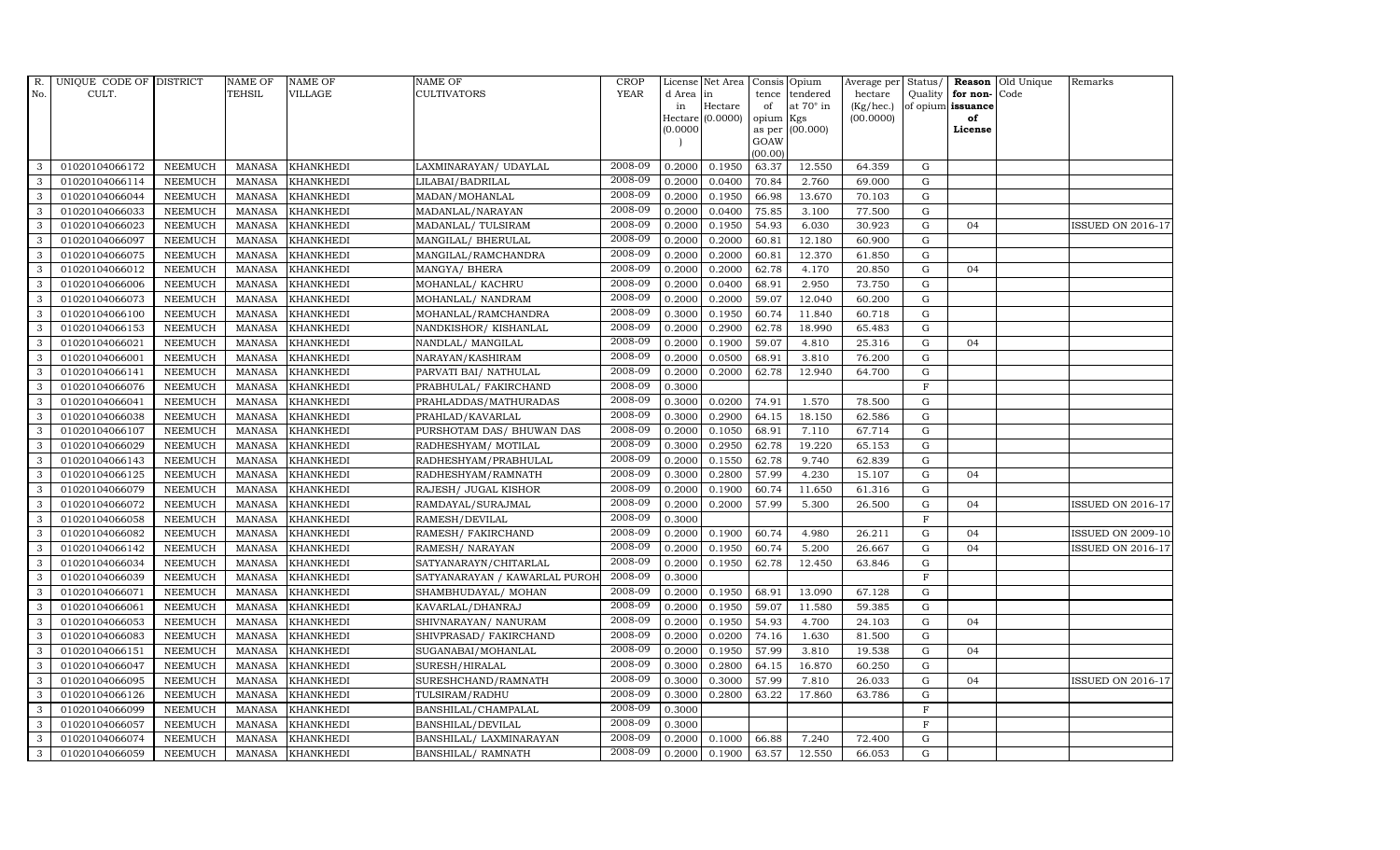| $R_{\cdot}$  | UNIQUE CODE OF DISTRICT |                | <b>NAME OF</b> | <b>NAME OF</b>   | <b>NAME OF</b>                | CROP        |          | License Net Area |           | Consis Opium    | Average per | Status/     | Reason            | Old Unique | Remarks                  |
|--------------|-------------------------|----------------|----------------|------------------|-------------------------------|-------------|----------|------------------|-----------|-----------------|-------------|-------------|-------------------|------------|--------------------------|
| No.          | CULT.                   |                | <b>TEHSIL</b>  | VILLAGE          | <b>CULTIVATORS</b>            | <b>YEAR</b> | d Area   | in               | tence     | tendered        | hectare     |             | Quality for non-  | Code       |                          |
|              |                         |                |                |                  |                               |             | in       | Hectare          | of        | at 70° in       | (Kg/hec.)   |             | of opium issuance |            |                          |
|              |                         |                |                |                  |                               |             | (0.0000) | Hectare (0.0000) | opium Kgs | as per (00.000) | (00.0000)   |             | of<br>License     |            |                          |
|              |                         |                |                |                  |                               |             |          |                  | GOAW      |                 |             |             |                   |            |                          |
|              |                         |                |                |                  |                               |             |          |                  | (00.00)   |                 |             |             |                   |            |                          |
| 3            | 01020104066172          | <b>NEEMUCH</b> | MANASA         | <b>KHANKHEDI</b> | LAXMINARAYAN / UDAYLAL        | 2008-09     | 0.2000   | 0.1950           | 63.37     | 12.550          | 64.359      | G           |                   |            |                          |
| 3            | 01020104066114          | <b>NEEMUCH</b> | <b>MANASA</b>  | <b>KHANKHEDI</b> | LILABAI/BADRILAL              | 2008-09     | 0.2000   | 0.0400           | 70.84     | 2.760           | 69.000      | ${\rm G}$   |                   |            |                          |
| 3            | 01020104066044          | <b>NEEMUCH</b> | <b>MANASA</b>  | <b>KHANKHEDI</b> | MADAN/MOHANLAL                | 2008-09     | 0.2000   | 0.1950           | 66.98     | 13.670          | 70.103      | G           |                   |            |                          |
| 3            | 01020104066033          | <b>NEEMUCH</b> | <b>MANASA</b>  | <b>KHANKHEDI</b> | MADANLAL/NARAYAN              | 2008-09     | 0.2000   | 0.0400           | 75.85     | 3.100           | 77.500      | $\mathbf G$ |                   |            |                          |
| 3            | 01020104066023          | <b>NEEMUCH</b> | <b>MANASA</b>  | KHANKHEDI        | MADANLAL/ TULSIRAM            | 2008-09     | 0.2000   | 0.1950           | 54.93     | 6.030           | 30.923      | ${\rm G}$   | 04                |            | ISSUED ON 2016-17        |
| 3            | 01020104066097          | <b>NEEMUCH</b> | <b>MANASA</b>  | <b>KHANKHEDI</b> | MANGILAL/ BHERULAL            | 2008-09     | 0.2000   | 0.2000           | 60.81     | 12.180          | 60.900      | $\mathbf G$ |                   |            |                          |
| 3            | 01020104066075          | <b>NEEMUCH</b> | <b>MANASA</b>  | KHANKHEDI        | MANGILAL/RAMCHANDRA           | 2008-09     | 0.2000   | 0.2000           | 60.81     | 12.370          | 61.850      | ${\rm G}$   |                   |            |                          |
| 3            | 01020104066012          | <b>NEEMUCH</b> | <b>MANASA</b>  | <b>KHANKHEDI</b> | MANGYA/ BHERA                 | 2008-09     | 0.2000   | 0.2000           | 62.78     | 4.170           | 20.850      | $\mathbf G$ | 04                |            |                          |
| 3            | 01020104066006          | <b>NEEMUCH</b> | <b>MANASA</b>  | <b>KHANKHEDI</b> | MOHANLAL/ KACHRU              | 2008-09     | 0.2000   | 0.0400           | 68.91     | 2.950           | 73.750      | G           |                   |            |                          |
| 3            | 01020104066073          | <b>NEEMUCH</b> | <b>MANASA</b>  | <b>KHANKHEDI</b> | MOHANLAL/ NANDRAM             | 2008-09     | 0.2000   | 0.2000           | 59.07     | 12.040          | 60.200      | ${\rm G}$   |                   |            |                          |
| 3            | 01020104066100          | <b>NEEMUCH</b> | <b>MANASA</b>  | <b>KHANKHEDI</b> | MOHANLAL/RAMCHANDRA           | 2008-09     | 0.3000   | 0.1950           | 60.74     | 11.840          | 60.718      | G           |                   |            |                          |
| 3            | 01020104066153          | <b>NEEMUCH</b> | <b>MANASA</b>  | <b>KHANKHEDI</b> | NANDKISHOR/KISHANLAL          | 2008-09     | 0.2000   | 0.2900           | 62.78     | 18.990          | 65.483      | $\mathbf G$ |                   |            |                          |
| 3            | 01020104066021          | <b>NEEMUCH</b> | <b>MANASA</b>  | <b>KHANKHEDI</b> | NANDLAL/ MANGILAL             | 2008-09     | 0.2000   | 0.1900           | 59.07     | 4.810           | 25.316      | G           | 04                |            |                          |
| 3            | 01020104066001          | <b>NEEMUCH</b> | <b>MANASA</b>  | <b>KHANKHEDI</b> | NARAYAN/KASHIRAM              | 2008-09     | 0.2000   | 0.0500           | 68.91     | 3.810           | 76.200      | G           |                   |            |                          |
| 3            | 01020104066141          | <b>NEEMUCH</b> | <b>MANASA</b>  | <b>KHANKHEDI</b> | PARVATI BAI/ NATHULAL         | 2008-09     | 0.2000   | 0.2000           | 62.78     | 12.940          | 64.700      | ${\rm G}$   |                   |            |                          |
| 3            | 01020104066076          | <b>NEEMUCH</b> | <b>MANASA</b>  | <b>KHANKHEDI</b> | PRABHULAL/ FAKIRCHAND         | 2008-09     | 0.3000   |                  |           |                 |             | $\mathbf F$ |                   |            |                          |
| 3            | 01020104066041          | <b>NEEMUCH</b> | <b>MANASA</b>  | <b>KHANKHEDI</b> | PRAHLADDAS/MATHURADAS         | 2008-09     | 0.3000   | 0.0200           | 74.91     | 1.570           | 78.500      | G           |                   |            |                          |
| 3            | 01020104066038          | NEEMUCH        | <b>MANASA</b>  | <b>KHANKHEDI</b> | PRAHLAD/KAVARLAL              | 2008-09     | 0.3000   | 0.2900           | 64.15     | 18.150          | 62.586      | $\mathbf G$ |                   |            |                          |
| 3            | 01020104066107          | <b>NEEMUCH</b> | <b>MANASA</b>  | <b>KHANKHEDI</b> | PURSHOTAM DAS/ BHUWAN DAS     | 2008-09     | 0.2000   | 0.1050           | 68.91     | 7.110           | 67.714      | $\mathbf G$ |                   |            |                          |
| 3            | 01020104066029          | <b>NEEMUCH</b> | <b>MANASA</b>  | <b>KHANKHEDI</b> | RADHESHYAM/ MOTILAL           | 2008-09     | 0.3000   | 0.2950           | 62.78     | 19.220          | 65.153      | ${\rm G}$   |                   |            |                          |
| 3            | 01020104066143          | <b>NEEMUCH</b> | <b>MANASA</b>  | <b>KHANKHEDI</b> | RADHESHYAM/PRABHULAL          | 2008-09     | 0.2000   | 0.1550           | 62.78     | 9.740           | 62.839      | $\mathbf G$ |                   |            |                          |
| 3            | 01020104066125          | <b>NEEMUCH</b> | <b>MANASA</b>  | KHANKHEDI        | RADHESHYAM/RAMNATH            | 2008-09     | 0.3000   | 0.2800           | 57.99     | 4.230           | 15.107      | ${\rm G}$   | 04                |            |                          |
| 3            | 01020104066079          | <b>NEEMUCH</b> | <b>MANASA</b>  | <b>KHANKHEDI</b> | RAJESH/ JUGAL KISHOR          | 2008-09     | 0.2000   | 0.1900           | 60.74     | 11.650          | 61.316      | G           |                   |            |                          |
| 3            | 01020104066072          | <b>NEEMUCH</b> | <b>MANASA</b>  | <b>KHANKHEDI</b> | RAMDAYAL/SURAJMAL             | 2008-09     | 0.2000   | 0.2000           | 57.99     | 5.300           | 26.500      | $\mathbf G$ | 04                |            | <b>ISSUED ON 2016-17</b> |
| 3            | 01020104066058          | <b>NEEMUCH</b> | <b>MANASA</b>  | <b>KHANKHEDI</b> | RAMESH/DEVILAL                | 2008-09     | 0.3000   |                  |           |                 |             | F           |                   |            |                          |
| 3            | 01020104066082          | <b>NEEMUCH</b> | <b>MANASA</b>  | <b>KHANKHEDI</b> | RAMESH/ FAKIRCHAND            | 2008-09     | 0.2000   | 0.1900           | 60.74     | 4.980           | 26.211      | G           | 04                |            | <b>ISSUED ON 2009-10</b> |
| 3            | 01020104066142          | <b>NEEMUCH</b> | <b>MANASA</b>  | <b>KHANKHEDI</b> | RAMESH/ NARAYAN               | 2008-09     | 0.2000   | 0.1950           | 60.74     | 5.200           | 26.667      | ${\rm G}$   | 04                |            | <b>ISSUED ON 2016-17</b> |
| 3            | 01020104066034          | <b>NEEMUCH</b> | <b>MANASA</b>  | <b>KHANKHEDI</b> | SATYANARAYN/CHITARLAL         | 2008-09     | 0.2000   | 0.1950           | 62.78     | 12.450          | 63.846      | $\mathbf G$ |                   |            |                          |
| 3            | 01020104066039          | <b>NEEMUCH</b> | <b>MANASA</b>  | <b>KHANKHEDI</b> | SATYANARAYAN / KAWARLAL PUROI | 2008-09     | 0.3000   |                  |           |                 |             | $\mathbf F$ |                   |            |                          |
| 3            | 01020104066071          | <b>NEEMUCH</b> | <b>MANASA</b>  | <b>KHANKHEDI</b> | SHAMBHUDAYAL/ MOHAN           | 2008-09     | 0.2000   | 0.1950           | 68.91     | 13.090          | 67.128      | ${\rm G}$   |                   |            |                          |
| 3            | 01020104066061          | <b>NEEMUCH</b> | <b>MANASA</b>  | <b>KHANKHEDI</b> | KAVARLAL/DHANRAJ              | 2008-09     | 0.2000   | 0.1950           | 59.07     | 11.580          | 59.385      | G           |                   |            |                          |
| 3            | 01020104066053          | <b>NEEMUCH</b> | <b>MANASA</b>  | KHANKHEDI        | SHIVNARAYAN / NANURAM         | 2008-09     | 0.2000   | 0.1950           | 54.93     | 4.700           | 24.103      | ${\bf G}$   | 04                |            |                          |
| $\mathbf{3}$ | 01020104066083          | <b>NEEMUCH</b> | <b>MANASA</b>  | <b>KHANKHEDI</b> | SHIVPRASAD/ FAKIRCHAND        | 2008-09     | 0.2000   | 0.0200           | 74.16     | 1.630           | 81.500      | $\mathbf G$ |                   |            |                          |
| 3            | 01020104066151          | <b>NEEMUCH</b> | <b>MANASA</b>  | <b>KHANKHEDI</b> | SUGANABAI/MOHANLAL            | 2008-09     | 0.2000   | 0.1950           | 57.99     | 3.810           | 19.538      | $\mathbf G$ | 04                |            |                          |
| 3            | 01020104066047          | <b>NEEMUCH</b> | <b>MANASA</b>  | <b>KHANKHEDI</b> | SURESH/HIRALAL                | 2008-09     | 0.3000   | 0.2800           | 64.15     | 16.870          | 60.250      | $\mathbf G$ |                   |            |                          |
| 3            | 01020104066095          | <b>NEEMUCH</b> | <b>MANASA</b>  | <b>KHANKHEDI</b> | SURESHCHAND/RAMNATH           | 2008-09     | 0.3000   | 0.3000           | 57.99     | 7.810           | 26.033      | ${\rm G}$   | 04                |            | <b>ISSUED ON 2016-17</b> |
| 3            | 01020104066126          | <b>NEEMUCH</b> | <b>MANASA</b>  | <b>KHANKHEDI</b> | TULSIRAM/RADHU                | 2008-09     | 0.3000   | 0.2800           | 63.22     | 17.860          | 63.786      | ${\rm G}$   |                   |            |                          |
| 3            | 01020104066099          | <b>NEEMUCH</b> | <b>MANASA</b>  | <b>KHANKHEDI</b> | BANSHILAL/CHAMPALAL           | 2008-09     | 0.3000   |                  |           |                 |             | $\mathbf F$ |                   |            |                          |
| 3            | 01020104066057          | <b>NEEMUCH</b> | <b>MANASA</b>  | <b>KHANKHEDI</b> | BANSHILAL/DEVILAL             | 2008-09     | 0.3000   |                  |           |                 |             | $\mathbf F$ |                   |            |                          |
| 3            | 01020104066074          | <b>NEEMUCH</b> | <b>MANASA</b>  | <b>KHANKHEDI</b> | BANSHILAL/ LAXMINARAYAN       | 2008-09     | 0.2000   | 0.1000           | 66.88     | 7.240           | 72.400      | $\mathbf G$ |                   |            |                          |
| 3            | 01020104066059          | <b>NEEMUCH</b> | MANASA         | <b>KHANKHEDI</b> | BANSHILAL/ RAMNATH            | 2008-09     | 0.2000   | 0.1900           | 63.57     | 12.550          | 66.053      | G           |                   |            |                          |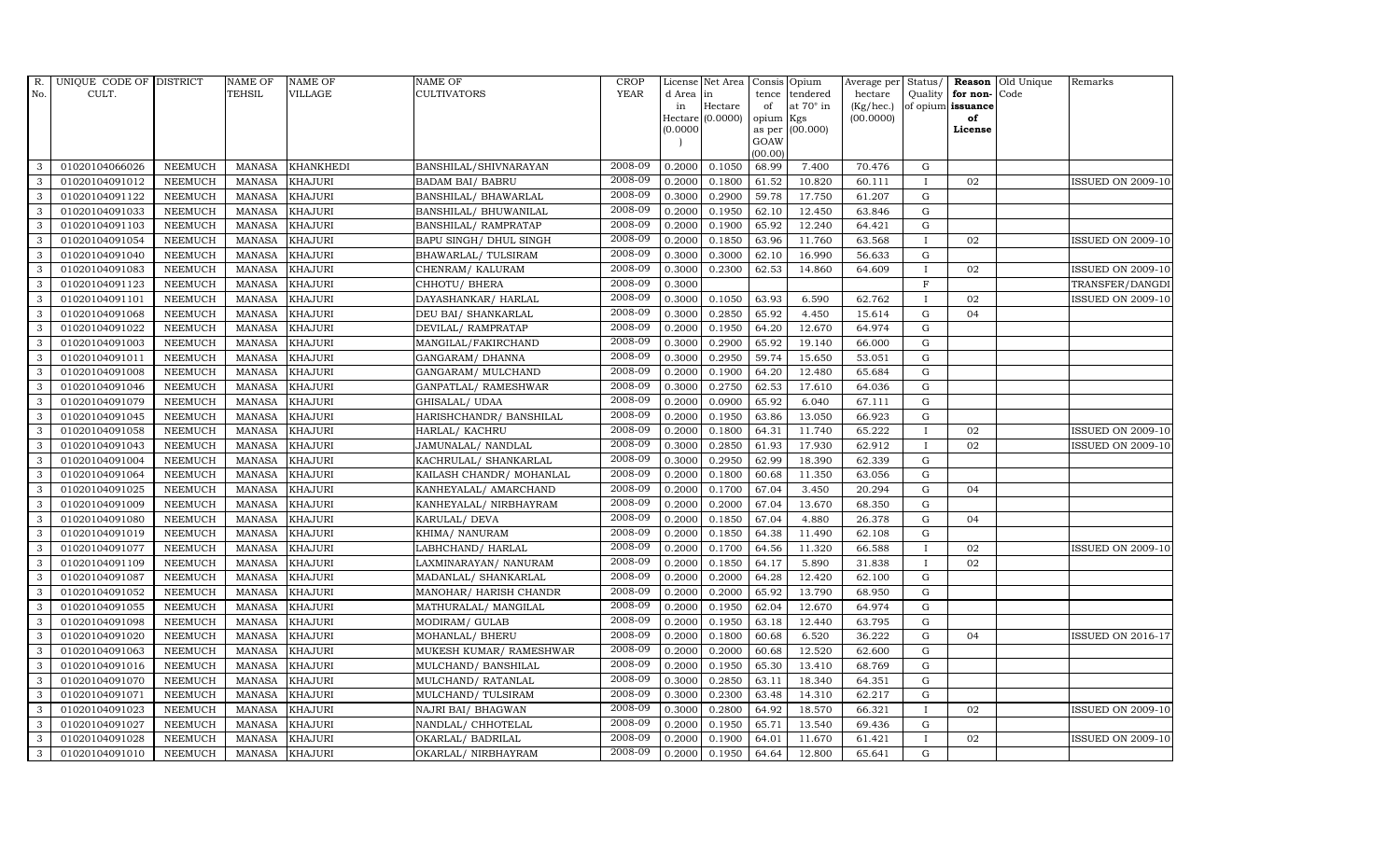| R.           | UNIQUE CODE OF DISTRICT |                | <b>NAME OF</b> | <b>NAME OF</b>   | <b>NAME OF</b>           | CROP        |          | License Net Area   Consis   Opium |           |                  | Average per | Status/      | Reason            | Old Unique | Remarks                  |
|--------------|-------------------------|----------------|----------------|------------------|--------------------------|-------------|----------|-----------------------------------|-----------|------------------|-------------|--------------|-------------------|------------|--------------------------|
| No.          | CULT.                   |                | <b>TEHSIL</b>  | <b>VILLAGE</b>   | <b>CULTIVATORS</b>       | <b>YEAR</b> | d Area   | in                                | tence     | tendered         | hectare     | Quality      | for non-          | Code       |                          |
|              |                         |                |                |                  |                          |             | in       | Hectare                           | of        | at $70^\circ$ in | (Kg/hec.)   |              | of opium issuance |            |                          |
|              |                         |                |                |                  |                          |             | (0.0000) | Hectare (0.0000)                  | opium Kgs | as per (00.000)  | (00.0000)   |              | of<br>License     |            |                          |
|              |                         |                |                |                  |                          |             |          |                                   | GOAW      |                  |             |              |                   |            |                          |
|              |                         |                |                |                  |                          |             |          |                                   | (00.00)   |                  |             |              |                   |            |                          |
| 3            | 01020104066026          | <b>NEEMUCH</b> | MANASA         | <b>KHANKHEDI</b> | BANSHILAL/SHIVNARAYAN    | 2008-09     | 0.2000   | 0.1050                            | 68.99     | 7.400            | 70.476      | $\mathbf G$  |                   |            |                          |
| 3            | 01020104091012          | <b>NEEMUCH</b> | MANASA         | <b>KHAJURI</b>   | <b>BADAM BAI/ BABRU</b>  | 2008-09     | 0.2000   | 0.1800                            | 61.52     | 10.820           | 60.111      | $\mathbf{I}$ | 02                |            | <b>ISSUED ON 2009-10</b> |
| 3            | 01020104091122          | <b>NEEMUCH</b> | <b>MANASA</b>  | <b>KHAJURI</b>   | BANSHILAL/ BHAWARLAL     | 2008-09     | 0.3000   | 0.2900                            | 59.78     | 17.750           | 61.207      | G            |                   |            |                          |
| 3            | 01020104091033          | <b>NEEMUCH</b> | <b>MANASA</b>  | <b>KHAJURI</b>   | BANSHILAL/ BHUWANILAL    | 2008-09     | 0.2000   | 0.1950                            | 62.10     | 12.450           | 63.846      | $\mathbf G$  |                   |            |                          |
| 3            | 01020104091103          | <b>NEEMUCH</b> | <b>MANASA</b>  | <b>KHAJURI</b>   | BANSHILAL/ RAMPRATAP     | 2008-09     | 0.2000   | 0.1900                            | 65.92     | 12.240           | 64.421      | ${\rm G}$    |                   |            |                          |
| $\mathbf{3}$ | 01020104091054          | <b>NEEMUCH</b> | MANASA         | <b>KHAJURI</b>   | BAPU SINGH/ DHUL SINGH   | 2008-09     | 0.2000   | 0.1850                            | 63.96     | 11.760           | 63.568      | $\mathbf{I}$ | 02                |            | <b>ISSUED ON 2009-10</b> |
| 3            | 01020104091040          | <b>NEEMUCH</b> | <b>MANASA</b>  | <b>KHAJURI</b>   | BHAWARLAL/TULSIRAM       | 2008-09     | 0.3000   | 0.3000                            | 62.10     | 16.990           | 56.633      | $\mathbf G$  |                   |            |                          |
| 3            | 01020104091083          | <b>NEEMUCH</b> | <b>MANASA</b>  | <b>KHAJURI</b>   | CHENRAM/KALURAM          | 2008-09     | 0.3000   | 0.2300                            | 62.53     | 14.860           | 64.609      | $\mathbf{I}$ | 02                |            | <b>ISSUED ON 2009-10</b> |
| 3            | 01020104091123          | <b>NEEMUCH</b> | <b>MANASA</b>  | <b>KHAJURI</b>   | CHHOTU/ BHERA            | 2008-09     | 0.3000   |                                   |           |                  |             | $\mathbf F$  |                   |            | TRANSFER/DANGDI          |
| 3            | 01020104091101          | <b>NEEMUCH</b> | <b>MANASA</b>  | <b>KHAJURI</b>   | DAYASHANKAR/ HARLAL      | 2008-09     | 0.3000   | 0.1050                            | 63.93     | 6.590            | 62.762      | $\mathbf{I}$ | 02                |            | <b>ISSUED ON 2009-10</b> |
| $\mathbf{3}$ | 01020104091068          | <b>NEEMUCH</b> | <b>MANASA</b>  | <b>KHAJURI</b>   | DEU BAI/ SHANKARLAL      | 2008-09     | 0.3000   | 0.2850                            | 65.92     | 4.450            | 15.614      | ${\rm G}$    | 04                |            |                          |
| 3            | 01020104091022          | <b>NEEMUCH</b> | <b>MANASA</b>  | <b>KHAJURI</b>   | DEVILAL/RAMPRATAP        | 2008-09     | 0.2000   | 0.1950                            | 64.20     | 12.670           | 64.974      | $\mathbf G$  |                   |            |                          |
| 3            | 01020104091003          | <b>NEEMUCH</b> | <b>MANASA</b>  | <b>KHAJURI</b>   | MANGILAL/FAKIRCHAND      | 2008-09     | 0.3000   | 0.2900                            | 65.92     | 19.140           | 66.000      | $\mathbf G$  |                   |            |                          |
| 3            | 01020104091011          | <b>NEEMUCH</b> | <b>MANASA</b>  | <b>KHAJURI</b>   | GANGARAM/ DHANNA         | 2008-09     | 0.3000   | 0.2950                            | 59.74     | 15.650           | 53.051      | $\mathbf G$  |                   |            |                          |
| 3            | 01020104091008          | <b>NEEMUCH</b> | <b>MANASA</b>  | <b>KHAJURI</b>   | GANGARAM/ MULCHAND       | 2008-09     | 0.2000   | 0.1900                            | 64.20     | 12.480           | 65.684      | G            |                   |            |                          |
| 3            | 01020104091046          | <b>NEEMUCH</b> | <b>MANASA</b>  | <b>KHAJURI</b>   | GANPATLAL/ RAMESHWAR     | 2008-09     | 0.3000   | 0.2750                            | 62.53     | 17.610           | 64.036      | ${\rm G}$    |                   |            |                          |
| 3            | 01020104091079          | <b>NEEMUCH</b> | MANASA         | <b>KHAJURI</b>   | GHISALAL/ UDAA           | 2008-09     | 0.2000   | 0.0900                            | 65.92     | 6.040            | 67.111      | $\mathbf G$  |                   |            |                          |
| 3            | 01020104091045          | <b>NEEMUCH</b> | MANASA         | <b>KHAJURI</b>   | HARISHCHANDR/ BANSHILAL  | 2008-09     | 0.2000   | 0.1950                            | 63.86     | 13.050           | 66.923      | G            |                   |            |                          |
| 3            | 01020104091058          | <b>NEEMUCH</b> | <b>MANASA</b>  | <b>KHAJURI</b>   | HARLAL/ KACHRU           | 2008-09     | 0.2000   | 0.1800                            | 64.31     | 11.740           | 65.222      |              | 02                |            | <b>ISSUED ON 2009-10</b> |
| 3            | 01020104091043          | <b>NEEMUCH</b> | <b>MANASA</b>  | <b>KHAJURI</b>   | JAMUNALAL/ NANDLAL       | 2008-09     | 0.3000   | 0.2850                            | 61.93     | 17.930           | 62.912      |              | 02                |            | <b>ISSUED ON 2009-10</b> |
| $\mathbf{3}$ | 01020104091004          | <b>NEEMUCH</b> | <b>MANASA</b>  | <b>KHAJURI</b>   | KACHRULAL/ SHANKARLAL    | 2008-09     | 0.3000   | 0.2950                            | 62.99     | 18.390           | 62.339      | $\mathbf G$  |                   |            |                          |
| 3            | 01020104091064          | <b>NEEMUCH</b> | <b>MANASA</b>  | <b>KHAJURI</b>   | KAILASH CHANDR/ MOHANLAL | 2008-09     | 0.2000   | 0.1800                            | 60.68     | 11.350           | 63.056      | ${\rm G}$    |                   |            |                          |
| $\mathbf{3}$ | 01020104091025          | <b>NEEMUCH</b> | MANASA         | <b>KHAJURI</b>   | KANHEYALAL/ AMARCHAND    | 2008-09     | 0.2000   | 0.1700                            | 67.04     | 3.450            | 20.294      | G            | 04                |            |                          |
| 3            | 01020104091009          | <b>NEEMUCH</b> | <b>MANASA</b>  | <b>KHAJURI</b>   | KANHEYALAL/ NIRBHAYRAM   | 2008-09     | 0.2000   | 0.2000                            | 67.04     | 13.670           | 68.350      | $\mathbf G$  |                   |            |                          |
| 3            | 01020104091080          | <b>NEEMUCH</b> | <b>MANASA</b>  | <b>KHAJURI</b>   | KARULAL/ DEVA            | 2008-09     | 0.2000   | 0.1850                            | 67.04     | 4.880            | 26.378      | $\mathbf G$  | 04                |            |                          |
| 3            | 01020104091019          | <b>NEEMUCH</b> | <b>MANASA</b>  | <b>KHAJURI</b>   | KHIMA/ NANURAM           | 2008-09     | 0.2000   | 0.1850                            | 64.38     | 11.490           | 62.108      | G            |                   |            |                          |
| 3            | 01020104091077          | <b>NEEMUCH</b> | <b>MANASA</b>  | <b>KHAJURI</b>   | LABHCHAND/ HARLAL        | 2008-09     | 0.2000   | 0.1700                            | 64.56     | 11.320           | 66.588      | $\mathbf{I}$ | 02                |            | <b>ISSUED ON 2009-10</b> |
| 3            | 01020104091109          | <b>NEEMUCH</b> | <b>MANASA</b>  | <b>KHAJURI</b>   | LAXMINARAYAN/ NANURAM    | 2008-09     | 0.2000   | 0.1850                            | 64.17     | 5.890            | 31.838      | $\mathbf{I}$ | 02                |            |                          |
| 3            | 01020104091087          | <b>NEEMUCH</b> | <b>MANASA</b>  | <b>KHAJURI</b>   | MADANLAL/ SHANKARLAL     | 2008-09     | 0.2000   | 0.2000                            | 64.28     | 12.420           | 62.100      | $\mathbf G$  |                   |            |                          |
| 3            | 01020104091052          | <b>NEEMUCH</b> | <b>MANASA</b>  | <b>KHAJURI</b>   | MANOHAR/ HARISH CHANDR   | 2008-09     | 0.2000   | 0.2000                            | 65.92     | 13.790           | 68.950      | $\mathbf G$  |                   |            |                          |
| 3            | 01020104091055          | <b>NEEMUCH</b> | <b>MANASA</b>  | <b>KHAJURI</b>   | MATHURALAL/ MANGILAL     | 2008-09     | 0.2000   | 0.1950                            | 62.04     | 12.670           | 64.974      | G            |                   |            |                          |
| 3            | 01020104091098          | <b>NEEMUCH</b> | <b>MANASA</b>  | <b>KHAJURI</b>   | MODIRAM/ GULAB           | 2008-09     | 0.2000   | 0.1950                            | 63.18     | 12.440           | 63.795      | ${\rm G}$    |                   |            |                          |
| 3            | 01020104091020          | <b>NEEMUCH</b> | MANASA         | <b>KHAJURI</b>   | MOHANLAL/ BHERU          | 2008-09     | 0.2000   | 0.1800                            | 60.68     | 6.520            | 36.222      | $\mathbf G$  | 04                |            | <b>ISSUED ON 2016-17</b> |
| 3            | 01020104091063          | <b>NEEMUCH</b> | <b>MANASA</b>  | <b>KHAJURI</b>   | MUKESH KUMAR/ RAMESHWAR  | 2008-09     | 0.2000   | 0.2000                            | 60.68     | 12.520           | 62.600      | $\mathbf G$  |                   |            |                          |
| 3            | 01020104091016          | <b>NEEMUCH</b> | <b>MANASA</b>  | <b>KHAJURI</b>   | MULCHAND/ BANSHILAL      | 2008-09     | 0.2000   | 0.1950                            | 65.30     | 13.410           | 68.769      | $\mathbf G$  |                   |            |                          |
| 3            | 01020104091070          | <b>NEEMUCH</b> | <b>MANASA</b>  | <b>KHAJURI</b>   | MULCHAND/ RATANLAL       | 2008-09     | 0.3000   | 0.2850                            | 63.11     | 18.340           | 64.351      | ${\rm G}$    |                   |            |                          |
| 3            | 01020104091071          | <b>NEEMUCH</b> | <b>MANASA</b>  | <b>KHAJURI</b>   | MULCHAND/ TULSIRAM       | 2008-09     | 0.3000   | 0.2300                            | 63.48     | 14.310           | 62.217      | $\mathbf G$  |                   |            |                          |
| 3            | 01020104091023          | <b>NEEMUCH</b> | <b>MANASA</b>  | <b>KHAJURI</b>   | NAJRI BAI/ BHAGWAN       | 2008-09     | 0.3000   | 0.2800                            | 64.92     | 18.570           | 66.321      | $\mathbf{I}$ | 02                |            | <b>ISSUED ON 2009-10</b> |
| 3            | 01020104091027          | <b>NEEMUCH</b> | <b>MANASA</b>  | <b>KHAJURI</b>   | NANDLAL/ CHHOTELAL       | 2008-09     | 0.2000   | 0.1950                            | 65.71     | 13.540           | 69.436      | $\mathbf G$  |                   |            |                          |
| 3            | 01020104091028          | <b>NEEMUCH</b> | <b>MANASA</b>  | <b>KHAJURI</b>   | OKARLAL/ BADRILAL        | 2008-09     | 0.2000   | 0.1900                            | 64.01     | 11.670           | 61.421      | $\mathbf{I}$ | 02                |            | <b>ISSUED ON 2009-10</b> |
| 3            | 01020104091010          | NEEMUCH        | MANASA KHAJURI |                  | OKARLAL/ NIRBHAYRAM      | 2008-09     | 0.2000   | 0.1950                            | 64.64     | 12.800           | 65.641      | $\mathbf G$  |                   |            |                          |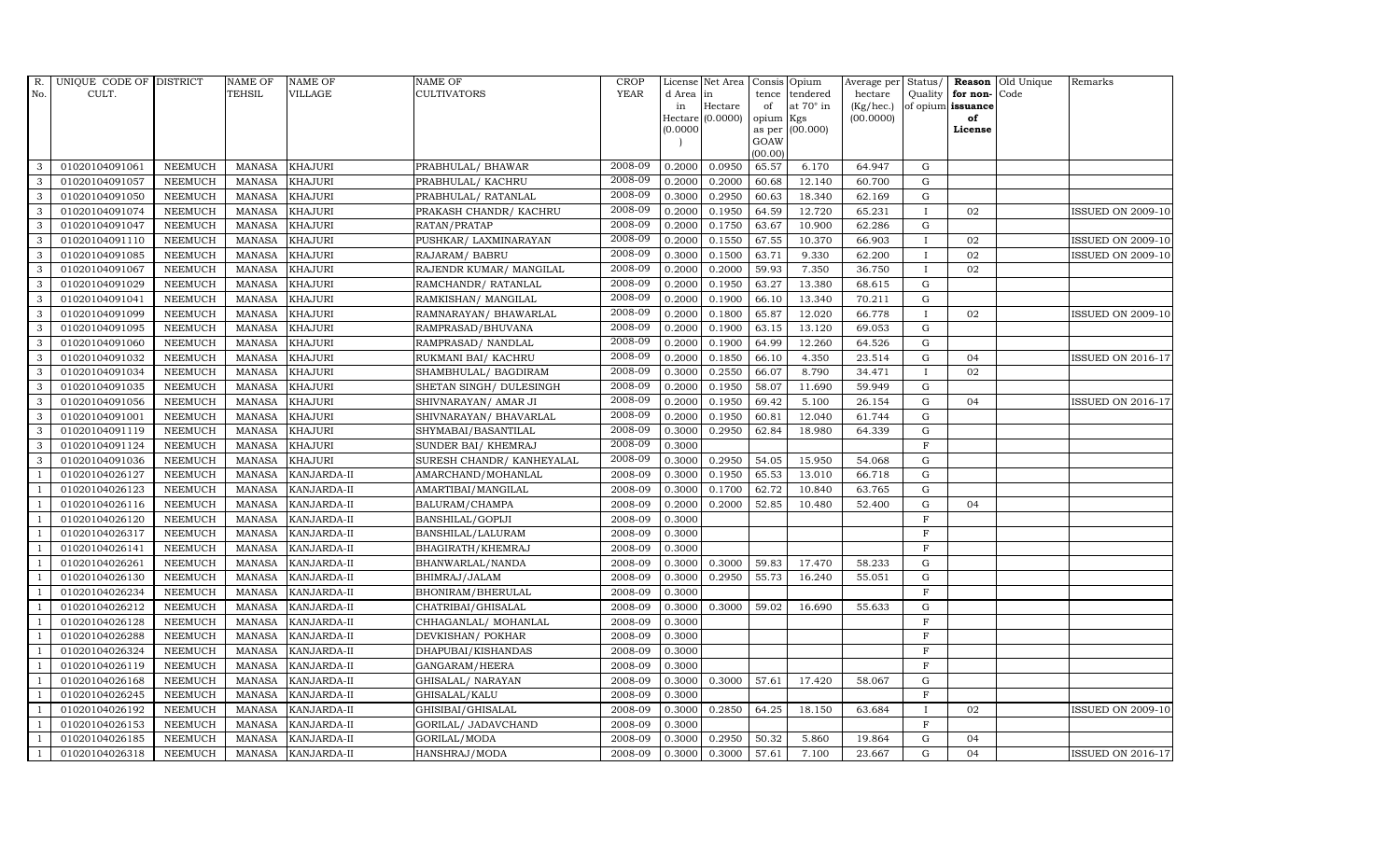| R.             | UNIQUE CODE OF DISTRICT |                | <b>NAME OF</b> | <b>NAME OF</b>     | <b>NAME OF</b>             | CROP        |           | License Net Area Consis Opium |                     |                  | Average per     | Status/        |                   | <b>Reason</b> Old Unique | Remarks                  |
|----------------|-------------------------|----------------|----------------|--------------------|----------------------------|-------------|-----------|-------------------------------|---------------------|------------------|-----------------|----------------|-------------------|--------------------------|--------------------------|
| No.            | CULT.                   |                | <b>TEHSIL</b>  | <b>VILLAGE</b>     | <b>CULTIVATORS</b>         | <b>YEAR</b> | d Area in |                               | tence               | tendered         | hectare         | Quality        | for non-          | Code                     |                          |
|                |                         |                |                |                    |                            |             | in        | Hectare                       | of                  | at $70^\circ$ in | $(Kg/$ hec. $)$ |                | of opium issuance |                          |                          |
|                |                         |                |                |                    |                            |             | (0.0000)  | Hectare (0.0000)              | opium Kgs<br>as per | (00.000)         | (00.0000)       |                | of<br>License     |                          |                          |
|                |                         |                |                |                    |                            |             |           |                               | GOAW                |                  |                 |                |                   |                          |                          |
|                |                         |                |                |                    |                            |             |           |                               | (00.00)             |                  |                 |                |                   |                          |                          |
| 3              | 01020104091061          | <b>NEEMUCH</b> | <b>MANASA</b>  | <b>KHAJURI</b>     | PRABHULAL/ BHAWAR          | 2008-09     | 0.2000    | 0.0950                        | 65.57               | 6.170            | 64.947          | G              |                   |                          |                          |
| 3              | 01020104091057          | <b>NEEMUCH</b> | <b>MANASA</b>  | <b>KHAJURI</b>     | PRABHULAL/ KACHRU          | 2008-09     | 0.2000    | 0.2000                        | 60.68               | 12.140           | 60.700          | ${\rm G}$      |                   |                          |                          |
| 3              | 01020104091050          | <b>NEEMUCH</b> | <b>MANASA</b>  | <b>KHAJURI</b>     | PRABHULAL/ RATANLAL        | 2008-09     | 0.3000    | 0.2950                        | 60.63               | 18.340           | 62.169          | G              |                   |                          |                          |
| 3              | 01020104091074          | <b>NEEMUCH</b> | <b>MANASA</b>  | <b>KHAJURI</b>     | PRAKASH CHANDR/ KACHRU     | 2008-09     | 0.2000    | 0.1950                        | 64.59               | 12.720           | 65.231          | $\mathbf I$    | 02                |                          | <b>ISSUED ON 2009-10</b> |
| 3              | 01020104091047          | <b>NEEMUCH</b> | <b>MANASA</b>  | <b>KHAJURI</b>     | RATAN/PRATAP               | 2008-09     | 0.2000    | 0.1750                        | 63.67               | 10.900           | 62.286          | $\mathbf G$    |                   |                          |                          |
| $\mathbf{3}$   | 01020104091110          | <b>NEEMUCH</b> | <b>MANASA</b>  | <b>KHAJURI</b>     | PUSHKAR/ LAXMINARAYAN      | 2008-09     | 0.2000    | 0.1550                        | 67.55               | 10.370           | 66.903          |                | 02                |                          | <b>ISSUED ON 2009-10</b> |
| 3              | 01020104091085          | <b>NEEMUCH</b> | MANASA         | <b>KHAJURI</b>     | RAJARAM/ BABRU             | 2008-09     | 0.3000    | 0.1500                        | 63.71               | 9.330            | 62.200          | $\mathbf{I}$   | 02                |                          | <b>ISSUED ON 2009-10</b> |
| 3              | 01020104091067          | <b>NEEMUCH</b> | MANASA         | <b>KHAJURI</b>     | RAJENDR KUMAR/ MANGILAL    | 2008-09     | 0.2000    | 0.2000                        | 59.93               | 7.350            | 36.750          | $\mathbf{I}$   | 02                |                          |                          |
| 3              | 01020104091029          | <b>NEEMUCH</b> | <b>MANASA</b>  | <b>KHAJURI</b>     | RAMCHANDR/ RATANLAL        | 2008-09     | 0.2000    | 0.1950                        | 63.27               | 13.380           | 68.615          | $\mathbf G$    |                   |                          |                          |
| 3              | 01020104091041          | <b>NEEMUCH</b> | MANASA         | <b>KHAJURI</b>     | RAMKISHAN/ MANGILAL        | 2008-09     | 0.2000    | 0.1900                        | 66.10               | 13.340           | 70.211          | $\mathbf G$    |                   |                          |                          |
| 3              | 01020104091099          | <b>NEEMUCH</b> | <b>MANASA</b>  | <b>KHAJURI</b>     | RAMNARAYAN / BHAWARLAL     | 2008-09     | 0.2000    | 0.1800                        | 65.87               | 12.020           | 66.778          | $\mathbf{I}$   | 02                |                          | <b>ISSUED ON 2009-10</b> |
| 3              | 01020104091095          | <b>NEEMUCH</b> | <b>MANASA</b>  | <b>KHAJURI</b>     | RAMPRASAD/BHUVANA          | 2008-09     | 0.2000    | 0.1900                        | 63.15               | 13.120           | 69.053          | $\mathbf G$    |                   |                          |                          |
| $\mathbf{3}$   | 01020104091060          | <b>NEEMUCH</b> | MANASA         | <b>KHAJURI</b>     | RAMPRASAD/ NANDLAL         | 2008-09     | 0.2000    | 0.1900                        | 64.99               | 12.260           | 64.526          | G              |                   |                          |                          |
| 3              | 01020104091032          | <b>NEEMUCH</b> | <b>MANASA</b>  | <b>KHAJURI</b>     | RUKMANI BAI/ KACHRU        | 2008-09     | 0.2000    | 0.1850                        | 66.10               | 4.350            | 23.514          | $\mathbf G$    | 04                |                          | <b>ISSUED ON 2016-17</b> |
| 3              | 01020104091034          | <b>NEEMUCH</b> | <b>MANASA</b>  | <b>KHAJURI</b>     | SHAMBHULAL/ BAGDIRAM       | 2008-09     | 0.3000    | 0.2550                        | 66.07               | 8.790            | 34.471          |                | 02                |                          |                          |
| 3              | 01020104091035          | <b>NEEMUCH</b> | <b>MANASA</b>  | <b>KHAJURI</b>     | SHETAN SINGH / DULESINGH   | 2008-09     | 0.2000    | 0.1950                        | 58.07               | 11.690           | 59.949          | G              |                   |                          |                          |
| 3              | 01020104091056          | <b>NEEMUCH</b> | <b>MANASA</b>  | <b>KHAJURI</b>     | SHIVNARAYAN / AMAR JI      | 2008-09     | 0.2000    | 0.1950                        | 69.42               | 5.100            | 26.154          | ${\rm G}$      | 04                |                          | <b>ISSUED ON 2016-17</b> |
| 3              | 01020104091001          | <b>NEEMUCH</b> | MANASA         | <b>KHAJURI</b>     | SHIVNARAYAN / BHAVARLAL    | 2008-09     | 0.2000    | 0.1950                        | 60.81               | 12.040           | 61.744          | G              |                   |                          |                          |
| 3              | 01020104091119          | <b>NEEMUCH</b> | <b>MANASA</b>  | <b>KHAJURI</b>     | SHYMABAI/BASANTILAL        | 2008-09     | 0.3000    | 0.2950                        | 62.84               | 18.980           | 64.339          | $\mathbf G$    |                   |                          |                          |
| 3              | 01020104091124          | <b>NEEMUCH</b> | <b>MANASA</b>  | <b>KHAJURI</b>     | SUNDER BAI/ KHEMRAJ        | 2008-09     | 0.3000    |                               |                     |                  |                 | $\mathbf F$    |                   |                          |                          |
| 3              | 01020104091036          | <b>NEEMUCH</b> | <b>MANASA</b>  | <b>KHAJURI</b>     | SURESH CHANDR / KANHEYALAL | 2008-09     | 0.3000    | 0.2950                        | 54.05               | 15.950           | 54.068          | G              |                   |                          |                          |
| $\overline{1}$ | 01020104026127          | <b>NEEMUCH</b> | <b>MANASA</b>  | KANJARDA-II        | AMARCHAND/MOHANLAL         | 2008-09     | 0.3000    | 0.1950                        | 65.53               | 13.010           | 66.718          | ${\rm G}$      |                   |                          |                          |
| $\overline{1}$ | 01020104026123          | <b>NEEMUCH</b> | MANASA         | KANJARDA-II        | AMARTIBAI/MANGILAL         | 2008-09     | 0.3000    | 0.1700                        | 62.72               | 10.840           | 63.765          | $\mathbf G$    |                   |                          |                          |
|                | 01020104026116          | <b>NEEMUCH</b> | <b>MANASA</b>  | KANJARDA-II        | BALURAM/CHAMPA             | 2008-09     | 0.2000    | 0.2000                        | 52.85               | 10.480           | 52.400          | $\mathbf G$    | 04                |                          |                          |
|                | 01020104026120          | <b>NEEMUCH</b> | <b>MANASA</b>  | KANJARDA-II        | BANSHILAL/GOPIJI           | 2008-09     | 0.3000    |                               |                     |                  |                 | $\overline{F}$ |                   |                          |                          |
| $\overline{1}$ | 01020104026317          | <b>NEEMUCH</b> | <b>MANASA</b>  | KANJARDA-II        | BANSHILAL/LALURAM          | 2008-09     | 0.3000    |                               |                     |                  |                 | $\mathbf F$    |                   |                          |                          |
| -1             | 01020104026141          | <b>NEEMUCH</b> | <b>MANASA</b>  | KANJARDA-II        | BHAGIRATH/KHEMRAJ          | 2008-09     | 0.3000    |                               |                     |                  |                 | $\mathbf F$    |                   |                          |                          |
| $\overline{1}$ | 01020104026261          | <b>NEEMUCH</b> | MANASA         | KANJARDA-II        | BHANWARLAL/NANDA           | 2008-09     | 0.3000    | 0.3000                        | 59.83               | 17.470           | 58.233          | $\mathbf G$    |                   |                          |                          |
|                | 01020104026130          | <b>NEEMUCH</b> | <b>MANASA</b>  | KANJARDA-II        | BHIMRAJ/JALAM              | 2008-09     | 0.3000    | 0.2950                        | 55.73               | 16.240           | 55.051          | $\mathbf G$    |                   |                          |                          |
|                | 01020104026234          | <b>NEEMUCH</b> | <b>MANASA</b>  | KANJARDA-II        | BHONIRAM/BHERULAL          | 2008-09     | 0.3000    |                               |                     |                  |                 | $\mathbf F$    |                   |                          |                          |
|                | 01020104026212          | <b>NEEMUCH</b> | MANASA         | KANJARDA-II        | CHATRIBAI/GHISALAL         | 2008-09     | 0.3000    | 0.3000                        | 59.02               | 16.690           | 55.633          | G              |                   |                          |                          |
|                | 01020104026128          | <b>NEEMUCH</b> | <b>MANASA</b>  | KANJARDA-II        | CHHAGANLAL/ MOHANLAL       | 2008-09     | 0.3000    |                               |                     |                  |                 | $\mathbf F$    |                   |                          |                          |
| $\overline{1}$ | 01020104026288          | <b>NEEMUCH</b> | <b>MANASA</b>  | KANJARDA-II        | DEVKISHAN / POKHAR         | 2008-09     | 0.3000    |                               |                     |                  |                 | $\mathbf F$    |                   |                          |                          |
| $\overline{1}$ | 01020104026324          | <b>NEEMUCH</b> | <b>MANASA</b>  | KANJARDA-II        | DHAPUBAI/KISHANDAS         | 2008-09     | 0.3000    |                               |                     |                  |                 | $\mathbf F$    |                   |                          |                          |
|                | 01020104026119          | <b>NEEMUCH</b> | <b>MANASA</b>  | KANJARDA-II        | GANGARAM/HEERA             | 2008-09     | 0.3000    |                               |                     |                  |                 | $\mathbf F$    |                   |                          |                          |
| $\overline{1}$ | 01020104026168          | <b>NEEMUCH</b> | <b>MANASA</b>  | KANJARDA-II        | GHISALAL/ NARAYAN          | 2008-09     | 0.3000    | 0.3000                        | 57.61               | 17.420           | 58.067          | G              |                   |                          |                          |
| $\overline{1}$ | 01020104026245          | <b>NEEMUCH</b> | <b>MANASA</b>  | KANJARDA-II        | GHISALAL/KALU              | 2008-09     | 0.3000    |                               |                     |                  |                 | $\rm F$        |                   |                          |                          |
| $\overline{1}$ | 01020104026192          | <b>NEEMUCH</b> | <b>MANASA</b>  | KANJARDA-II        | GHISIBAI/GHISALAL          | 2008-09     | 0.3000    | 0.2850                        | 64.25               | 18.150           | 63.684          | $\mathbf I$    | 02                |                          | <b>ISSUED ON 2009-10</b> |
| $\overline{1}$ | 01020104026153          | <b>NEEMUCH</b> | <b>MANASA</b>  | KANJARDA-II        | GORILAL/ JADAVCHAND        | 2008-09     | 0.3000    |                               |                     |                  |                 | $\mathbf F$    |                   |                          |                          |
|                | 01020104026185          | <b>NEEMUCH</b> | <b>MANASA</b>  | KANJARDA-II        | GORILAL/MODA               | 2008-09     | 0.3000    | 0.2950                        | 50.32               | 5.860            | 19.864          | G              | 04                |                          |                          |
| $\mathbf{1}$   | 01020104026318          | NEEMUCH        |                | MANASA KANJARDA-II | HANSHRAJ/MODA              | 2008-09     | 0.3000    | 0.3000                        | 57.61               | 7.100            | 23.667          | G              | 04                |                          | <b>ISSUED ON 2016-17</b> |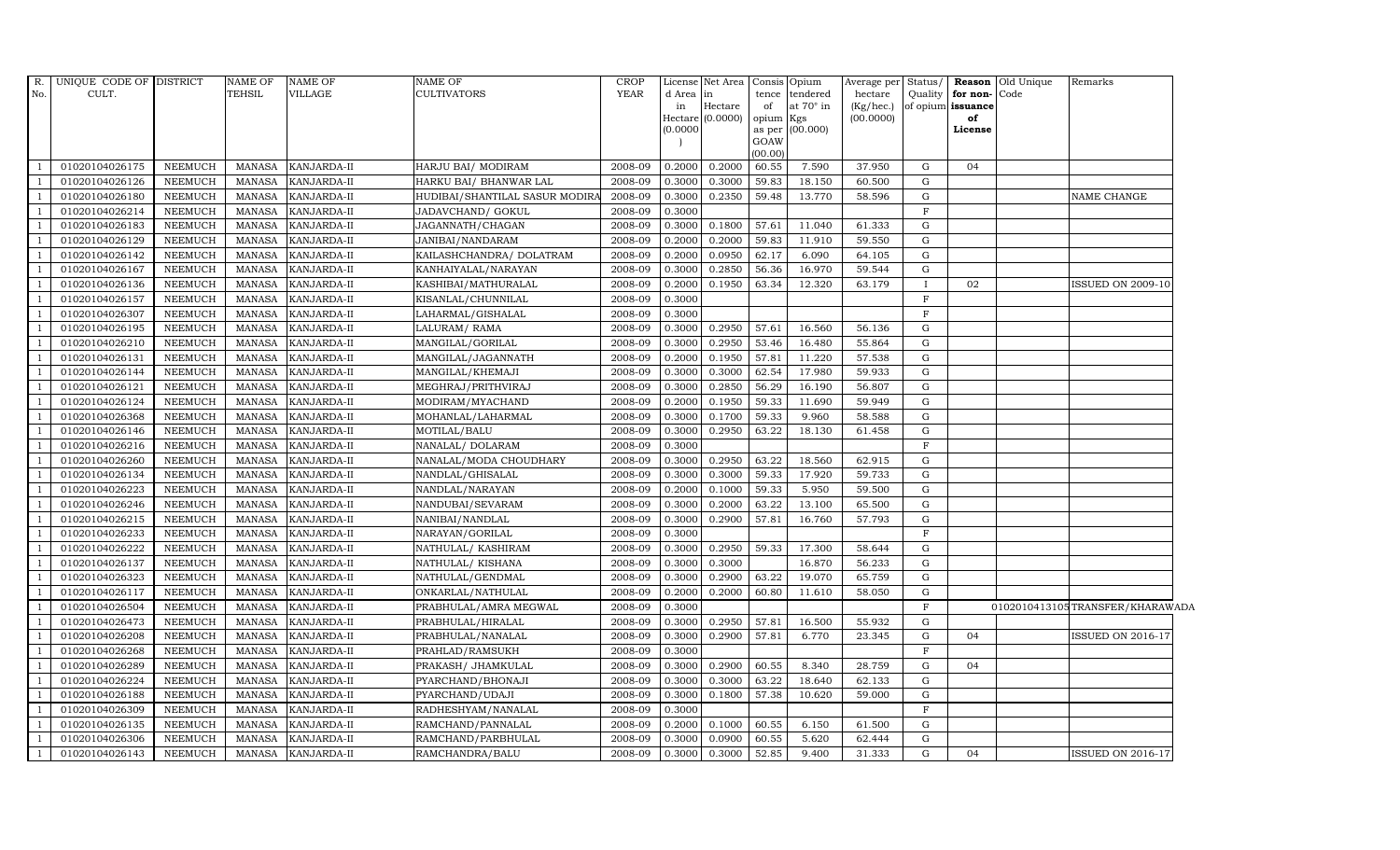| $R$ .<br>No.   | UNIQUE CODE OF DISTRICT<br>CULT. |                | <b>NAME OF</b><br>TEHSIL | <b>NAME OF</b><br>VILLAGE | <b>NAME OF</b><br><b>CULTIVATORS</b> | <b>CROP</b><br><b>YEAR</b> | d Area in<br>in<br>(0.0000) | License Net Area<br>$\rm{Hectare}$<br>Hectare (0.0000) | tence<br>of<br>opium<br>GOAW<br>(00.00) | Consis Opium<br>tendered<br>at $70^\circ$ in<br>Kgs<br>as per (00.000) | Average per<br>hectare<br>(Kg/hec.)<br>(00.0000) | Status/<br>Quality | for non-Code<br>of opium issuance<br>of<br>License | Reason Old Unique | Remarks                         |
|----------------|----------------------------------|----------------|--------------------------|---------------------------|--------------------------------------|----------------------------|-----------------------------|--------------------------------------------------------|-----------------------------------------|------------------------------------------------------------------------|--------------------------------------------------|--------------------|----------------------------------------------------|-------------------|---------------------------------|
|                | 01020104026175                   | <b>NEEMUCH</b> | MANASA                   | KANJARDA-II               | HARJU BAI / MODIRAM                  | 2008-09                    | 0.2000                      | 0.2000                                                 | 60.55                                   | 7.590                                                                  | 37.950                                           | G                  | 04                                                 |                   |                                 |
|                | 01020104026126                   | <b>NEEMUCH</b> | <b>MANASA</b>            | KANJARDA-II               | HARKU BAI/ BHANWAR LAL               | 2008-09                    | 0.3000                      | 0.3000                                                 | 59.83                                   | 18.150                                                                 | 60.500                                           | $\mathbf G$        |                                                    |                   |                                 |
|                | 01020104026180                   | <b>NEEMUCH</b> | <b>MANASA</b>            | KANJARDA-II               | HUDIBAI/SHANTILAL SASUR MODIR        | 2008-09                    | 0.3000                      | 0.2350                                                 | 59.48                                   | 13.770                                                                 | 58.596                                           | G                  |                                                    |                   | NAME CHANGE                     |
|                | 01020104026214                   | <b>NEEMUCH</b> | <b>MANASA</b>            | KANJARDA-II               | JADAVCHAND/ GOKUL                    | 2008-09                    | 0.3000                      |                                                        |                                         |                                                                        |                                                  | $\mathbf F$        |                                                    |                   |                                 |
|                | 01020104026183                   | <b>NEEMUCH</b> | <b>MANASA</b>            | KANJARDA-II               | JAGANNATH/CHAGAN                     | 2008-09                    | 0.3000                      | 0.1800                                                 | 57.61                                   | 11.040                                                                 | 61.333                                           | $\mathbf G$        |                                                    |                   |                                 |
|                | 01020104026129                   | <b>NEEMUCH</b> | <b>MANASA</b>            | KANJARDA-II               | JANIBAI/NANDARAM                     | 2008-09                    | 0.2000                      | 0.2000                                                 | 59.83                                   | 11.910                                                                 | 59.550                                           | $\mathbf G$        |                                                    |                   |                                 |
|                | 01020104026142                   | <b>NEEMUCH</b> | <b>MANASA</b>            | KANJARDA-II               | KAILASHCHANDRA/ DOLATRAM             | 2008-09                    | 0.2000                      | 0.0950                                                 | 62.17                                   | 6.090                                                                  | 64.105                                           | $\mathbf G$        |                                                    |                   |                                 |
|                | 01020104026167                   | <b>NEEMUCH</b> | <b>MANASA</b>            | KANJARDA-II               | KANHAIYALAL/NARAYAN                  | 2008-09                    | 0.3000                      | 0.2850                                                 | 56.36                                   | 16.970                                                                 | 59.544                                           | $\mathbf G$        |                                                    |                   |                                 |
|                | 01020104026136                   | <b>NEEMUCH</b> | <b>MANASA</b>            | KANJARDA-II               | KASHIBAI/MATHURALAL                  | 2008-09                    | 0.2000                      | 0.1950                                                 | 63.34                                   | 12.320                                                                 | 63.179                                           | $\mathbf{I}$       | 02                                                 |                   | <b>ISSUED ON 2009-10</b>        |
|                | 01020104026157                   | <b>NEEMUCH</b> | <b>MANASA</b>            | KANJARDA-II               | KISANLAL/CHUNNILAL                   | 2008-09                    | 0.3000                      |                                                        |                                         |                                                                        |                                                  | $\mathbf F$        |                                                    |                   |                                 |
| -1             | 01020104026307                   | <b>NEEMUCH</b> | <b>MANASA</b>            | KANJARDA-II               | LAHARMAL/GISHALAL                    | 2008-09                    | 0.3000                      |                                                        |                                         |                                                                        |                                                  | $\mathbf F$        |                                                    |                   |                                 |
|                | 01020104026195                   | <b>NEEMUCH</b> | <b>MANASA</b>            | KANJARDA-II               | LALURAM/RAMA                         | 2008-09                    | 0.3000                      | 0.2950                                                 | 57.61                                   | 16.560                                                                 | 56.136                                           | $\mathbf G$        |                                                    |                   |                                 |
|                | 01020104026210                   | <b>NEEMUCH</b> | <b>MANASA</b>            | KANJARDA-II               | MANGILAL/GORILAL                     | 2008-09                    | 0.3000                      | 0.2950                                                 | 53.46                                   | 16.480                                                                 | 55.864                                           | G                  |                                                    |                   |                                 |
|                | 01020104026131                   | <b>NEEMUCH</b> | <b>MANASA</b>            | KANJARDA-II               | MANGILAL/JAGANNATH                   | 2008-09                    | 0.2000                      | 0.1950                                                 | 57.81                                   | 11.220                                                                 | 57.538                                           | $\mathbf G$        |                                                    |                   |                                 |
|                | 01020104026144                   | <b>NEEMUCH</b> | <b>MANASA</b>            | KANJARDA-II               | MANGILAL/KHEMAJI                     | 2008-09                    | 0.3000                      | 0.3000                                                 | 62.54                                   | 17.980                                                                 | 59.933                                           | $\mathbf G$        |                                                    |                   |                                 |
|                | 01020104026121                   | <b>NEEMUCH</b> | <b>MANASA</b>            | KANJARDA-II               | MEGHRAJ/PRITHVIRAJ                   | 2008-09                    | 0.3000                      | 0.2850                                                 | 56.29                                   | 16.190                                                                 | 56.807                                           | $\mathbf G$        |                                                    |                   |                                 |
|                | 01020104026124                   | <b>NEEMUCH</b> | <b>MANASA</b>            | KANJARDA-II               | MODIRAM/MYACHAND                     | 2008-09                    | 0.2000                      | 0.1950                                                 | 59.33                                   | 11.690                                                                 | 59.949                                           | $\mathbf G$        |                                                    |                   |                                 |
|                | 01020104026368                   | <b>NEEMUCH</b> | <b>MANASA</b>            | KANJARDA-II               | MOHANLAL/LAHARMAL                    | 2008-09                    | 0.3000                      | 0.1700                                                 | 59.33                                   | 9.960                                                                  | 58.588                                           | G                  |                                                    |                   |                                 |
|                | 01020104026146                   | <b>NEEMUCH</b> | <b>MANASA</b>            | KANJARDA-II               | MOTILAL/BALU                         | 2008-09                    | 0.3000                      | 0.2950                                                 | 63.22                                   | 18.130                                                                 | 61.458                                           | G                  |                                                    |                   |                                 |
|                | 01020104026216                   | <b>NEEMUCH</b> | <b>MANASA</b>            | KANJARDA-II               | NANALAL/ DOLARAM                     | 2008-09                    | 0.3000                      |                                                        |                                         |                                                                        |                                                  | $\mathbf{F}$       |                                                    |                   |                                 |
| $\overline{1}$ | 01020104026260                   | <b>NEEMUCH</b> | <b>MANASA</b>            | KANJARDA-II               | NANALAL/MODA CHOUDHARY               | 2008-09                    | 0.3000                      | 0.2950                                                 | 63.22                                   | 18.560                                                                 | 62.915                                           | G                  |                                                    |                   |                                 |
|                | 01020104026134                   | <b>NEEMUCH</b> | <b>MANASA</b>            | KANJARDA-II               | NANDLAL/GHISALAL                     | 2008-09                    | 0.3000                      | 0.3000                                                 | 59.33                                   | 17.920                                                                 | 59.733                                           | $\mathbf G$        |                                                    |                   |                                 |
|                | 01020104026223                   | <b>NEEMUCH</b> | <b>MANASA</b>            | KANJARDA-II               | NANDLAL/NARAYAN                      | 2008-09                    | 0.2000                      | 0.1000                                                 | 59.33                                   | 5.950                                                                  | 59.500                                           | $\mathbf G$        |                                                    |                   |                                 |
|                | 01020104026246                   | <b>NEEMUCH</b> | <b>MANASA</b>            | KANJARDA-II               | NANDUBAI/SEVARAM                     | 2008-09                    | 0.3000                      | 0.2000                                                 | 63.22                                   | 13.100                                                                 | 65.500                                           | G                  |                                                    |                   |                                 |
|                | 01020104026215                   | <b>NEEMUCH</b> | <b>MANASA</b>            | KANJARDA-II               | NANIBAI/NANDLAL                      | 2008-09                    | 0.3000                      | 0.2900                                                 | 57.81                                   | 16.760                                                                 | 57.793                                           | G                  |                                                    |                   |                                 |
|                | 01020104026233                   | <b>NEEMUCH</b> | <b>MANASA</b>            | KANJARDA-II               | NARAYAN/GORILAL                      | 2008-09                    | 0.3000                      |                                                        |                                         |                                                                        |                                                  | $\mathbf F$        |                                                    |                   |                                 |
|                | 01020104026222                   | <b>NEEMUCH</b> | <b>MANASA</b>            | KANJARDA-II               | NATHULAL/KASHIRAM                    | 2008-09                    | 0.3000                      | 0.2950                                                 | 59.33                                   | 17.300                                                                 | 58.644                                           | G                  |                                                    |                   |                                 |
|                | 01020104026137                   | <b>NEEMUCH</b> | <b>MANASA</b>            | KANJARDA-II               | NATHULAL/KISHANA                     | 2008-09                    | 0.3000                      | 0.3000                                                 |                                         | 16.870                                                                 | 56.233                                           | $\mathbf G$        |                                                    |                   |                                 |
| $\mathbf{1}$   | 01020104026323                   | <b>NEEMUCH</b> | <b>MANASA</b>            | KANJARDA-II               | NATHULAL/GENDMAL                     | 2008-09                    | 0.3000                      | 0.2900                                                 | 63.22                                   | 19.070                                                                 | 65.759                                           | ${\bf G}$          |                                                    |                   |                                 |
|                | 01020104026117                   | <b>NEEMUCH</b> | <b>MANASA</b>            | KANJARDA-II               | ONKARLAL/NATHULAL                    | 2008-09                    | 0.2000                      | 0.2000                                                 | 60.80                                   | 11.610                                                                 | 58.050                                           | G                  |                                                    |                   |                                 |
|                | 01020104026504                   | <b>NEEMUCH</b> | <b>MANASA</b>            | KANJARDA-II               | PRABHULAL/AMRA MEGWAL                | 2008-09                    | 0.3000                      |                                                        |                                         |                                                                        |                                                  | $\mathbf{F}$       |                                                    |                   | 0102010413105TRANSFER/KHARAWADA |
|                | 01020104026473                   | <b>NEEMUCH</b> | <b>MANASA</b>            | KANJARDA-II               | PRABHULAL/HIRALAL                    | 2008-09                    | 0.3000                      | 0.2950                                                 | 57.81                                   | 16.500                                                                 | 55.932                                           | $\mathbf G$        |                                                    |                   |                                 |
|                | 01020104026208                   | <b>NEEMUCH</b> | <b>MANASA</b>            | KANJARDA-II               | PRABHULAL/NANALAL                    | 2008-09                    | 0.3000                      | 0.2900                                                 | 57.81                                   | 6.770                                                                  | 23.345                                           | $\mathbf G$        | 04                                                 |                   | <b>ISSUED ON 2016-17</b>        |
|                | 01020104026268                   | <b>NEEMUCH</b> | <b>MANASA</b>            | KANJARDA-II               | PRAHLAD/RAMSUKH                      | 2008-09                    | 0.3000                      |                                                        |                                         |                                                                        |                                                  | $\mathbf F$        |                                                    |                   |                                 |
|                | 01020104026289                   | <b>NEEMUCH</b> | <b>MANASA</b>            | KANJARDA-II               | PRAKASH / JHAMKULAL                  | 2008-09                    | 0.3000                      | 0.2900                                                 | 60.55                                   | 8.340                                                                  | 28.759                                           | G                  | 04                                                 |                   |                                 |
|                | 01020104026224                   | <b>NEEMUCH</b> | <b>MANASA</b>            | KANJARDA-II               | PYARCHAND/BHONAJI                    | 2008-09                    | 0.3000                      | 0.3000                                                 | 63.22                                   | 18.640                                                                 | 62.133                                           | G                  |                                                    |                   |                                 |
|                | 01020104026188                   | <b>NEEMUCH</b> | <b>MANASA</b>            | KANJARDA-II               | PYARCHAND/UDAJI                      | 2008-09                    | 0.3000                      | 0.1800                                                 | 57.38                                   | 10.620                                                                 | 59.000                                           | $\mathbf G$        |                                                    |                   |                                 |
|                | 01020104026309                   | <b>NEEMUCH</b> | <b>MANASA</b>            | KANJARDA-II               | RADHESHYAM/NANALAL                   | 2008-09                    | 0.3000                      |                                                        |                                         |                                                                        |                                                  | F                  |                                                    |                   |                                 |
| $\mathbf{1}$   | 01020104026135                   | <b>NEEMUCH</b> | <b>MANASA</b>            | KANJARDA-II               | RAMCHAND/PANNALAL                    | 2008-09                    | 0.2000                      | 0.1000                                                 | 60.55                                   | 6.150                                                                  | 61.500                                           | G                  |                                                    |                   |                                 |
|                | 01020104026306                   | <b>NEEMUCH</b> | <b>MANASA</b>            | KANJARDA-II               | RAMCHAND/PARBHULAL                   | 2008-09                    | 0.3000                      | 0.0900                                                 | 60.55                                   | 5.620                                                                  | 62.444                                           | $\mathbf G$        |                                                    |                   |                                 |
|                | 01020104026143                   | <b>NEEMUCH</b> | MANASA                   | KANJARDA-II               | RAMCHANDRA/BALU                      | 2008-09                    | 0.3000                      | 0.3000                                                 | 52.85                                   | 9.400                                                                  | 31.333                                           | G                  | 04                                                 |                   | <b>ISSUED ON 2016-17</b>        |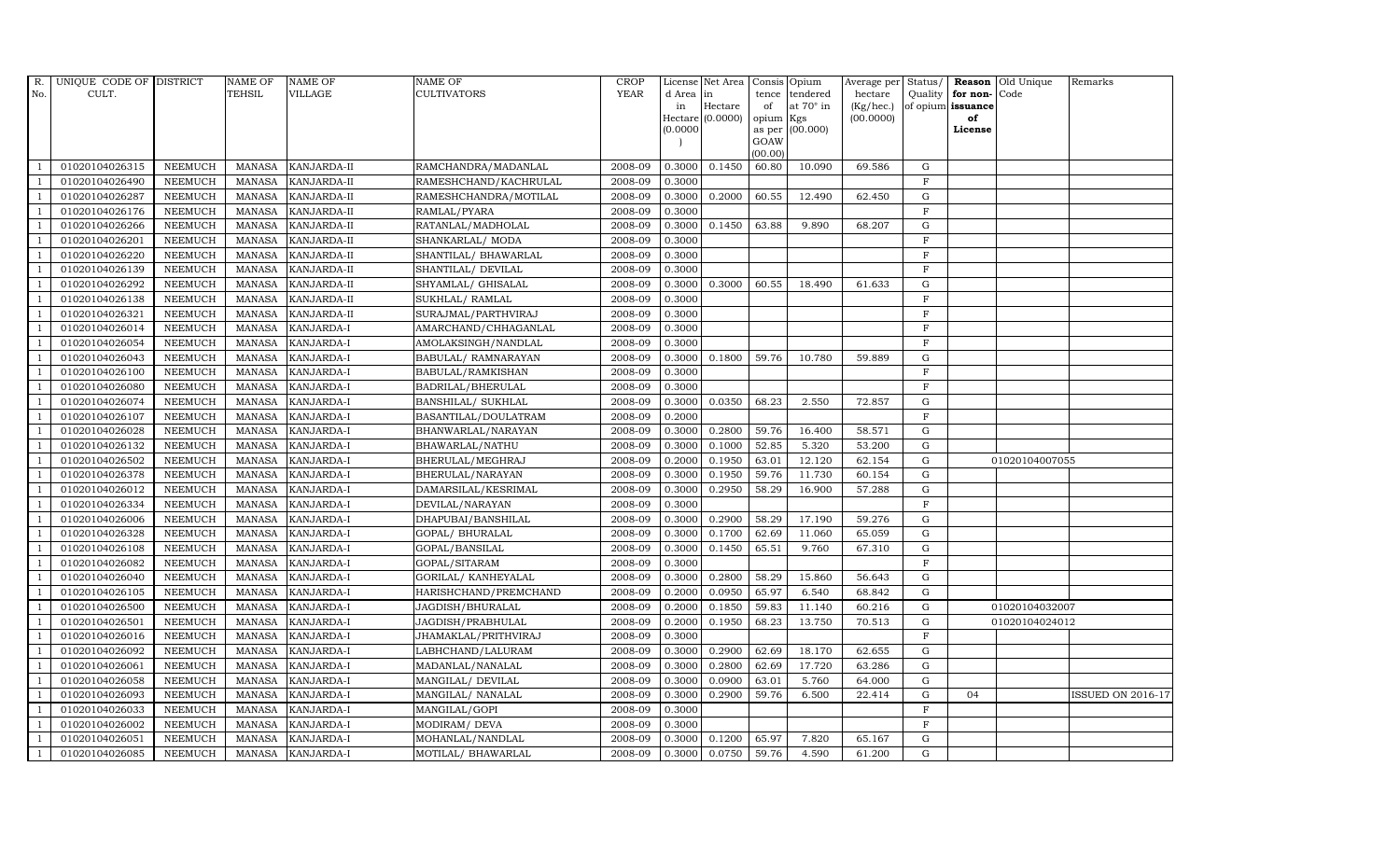| R.             | UNIQUE CODE OF DISTRICT |                | <b>NAME OF</b> | <b>NAME OF</b>     | <b>NAME OF</b>        | CROP        |           | License Net Area   Consis   Opium |           |                  | Average per Status/ |             |                   | <b>Reason</b> Old Unique | Remarks                  |
|----------------|-------------------------|----------------|----------------|--------------------|-----------------------|-------------|-----------|-----------------------------------|-----------|------------------|---------------------|-------------|-------------------|--------------------------|--------------------------|
| No.            | CULT.                   |                | <b>TEHSIL</b>  | <b>VILLAGE</b>     | <b>CULTIVATORS</b>    | <b>YEAR</b> | d Area in |                                   |           | tence tendered   | hectare             | Quality     | for non-          | Code                     |                          |
|                |                         |                |                |                    |                       |             | in        | Hectare                           | of        | at $70^\circ$ in | (Kg/hec.)           |             | of opium issuance |                          |                          |
|                |                         |                |                |                    |                       |             |           | Hectare (0.0000)                  | opium Kgs |                  | (00.0000)           |             | of                |                          |                          |
|                |                         |                |                |                    |                       |             | (0.0000)  |                                   | GOAW      | as per (00.000)  |                     |             | License           |                          |                          |
|                |                         |                |                |                    |                       |             |           |                                   | (00.00)   |                  |                     |             |                   |                          |                          |
|                | 01020104026315          | <b>NEEMUCH</b> | MANASA         | <b>KANJARDA-II</b> | RAMCHANDRA/MADANLAL   | 2008-09     | 0.3000    | 0.1450                            | 60.80     | 10.090           | 69.586              | ${\rm G}$   |                   |                          |                          |
| -1             | 01020104026490          | <b>NEEMUCH</b> | MANASA         | KANJARDA-II        | RAMESHCHAND/KACHRULAL | 2008-09     | 0.3000    |                                   |           |                  |                     | $\mathbf F$ |                   |                          |                          |
|                | 01020104026287          | <b>NEEMUCH</b> | <b>MANASA</b>  | KANJARDA-II        | RAMESHCHANDRA/MOTILAL | 2008-09     | 0.3000    | 0.2000                            | 60.55     | 12.490           | 62.450              | G           |                   |                          |                          |
|                | 01020104026176          | <b>NEEMUCH</b> | MANASA         | KANJARDA-II        | RAMLAL/PYARA          | 2008-09     | 0.3000    |                                   |           |                  |                     | $\mathbf F$ |                   |                          |                          |
| $\overline{1}$ | 01020104026266          | <b>NEEMUCH</b> | <b>MANASA</b>  | KANJARDA-II        | RATANLAL/MADHOLAL     | 2008-09     | 0.3000    | 0.1450                            | 63.88     | 9.890            | 68.207              | ${\rm G}$   |                   |                          |                          |
| $\overline{1}$ | 01020104026201          | <b>NEEMUCH</b> | <b>MANASA</b>  | KANJARDA-II        | SHANKARLAL/ MODA      | 2008-09     | 0.3000    |                                   |           |                  |                     | $\mathbf F$ |                   |                          |                          |
| $\overline{1}$ | 01020104026220          | <b>NEEMUCH</b> | <b>MANASA</b>  | KANJARDA-II        | SHANTILAL/ BHAWARLAL  | 2008-09     | 0.3000    |                                   |           |                  |                     | $\mathbf F$ |                   |                          |                          |
| $\overline{1}$ | 01020104026139          | <b>NEEMUCH</b> | <b>MANASA</b>  | KANJARDA-II        | SHANTILAL/ DEVILAL    | 2008-09     | 0.3000    |                                   |           |                  |                     | $\rm F$     |                   |                          |                          |
|                | 01020104026292          | <b>NEEMUCH</b> | <b>MANASA</b>  | KANJARDA-II        | SHYAMLAL/ GHISALAL    | 2008-09     | 0.3000    | 0.3000                            | 60.55     | 18.490           | 61.633              | G           |                   |                          |                          |
|                | 01020104026138          | <b>NEEMUCH</b> | <b>MANASA</b>  | KANJARDA-II        | SUKHLAL/ RAMLAL       | 2008-09     | 0.3000    |                                   |           |                  |                     | $\mathbf F$ |                   |                          |                          |
| $\overline{1}$ | 01020104026321          | <b>NEEMUCH</b> | <b>MANASA</b>  | KANJARDA-II        | SURAJMAL/PARTHVIRAJ   | 2008-09     | 0.3000    |                                   |           |                  |                     | $\mathbf F$ |                   |                          |                          |
| $\overline{1}$ | 01020104026014          | <b>NEEMUCH</b> | MANASA         | KANJARDA-I         | AMARCHAND/CHHAGANLAL  | 2008-09     | 0.3000    |                                   |           |                  |                     | $\mathbf F$ |                   |                          |                          |
| $\overline{1}$ | 01020104026054          | <b>NEEMUCH</b> | <b>MANASA</b>  | KANJARDA-I         | AMOLAKSINGH/NANDLAL   | 2008-09     | 0.3000    |                                   |           |                  |                     | $\rm F$     |                   |                          |                          |
|                | 01020104026043          | <b>NEEMUCH</b> | <b>MANASA</b>  | KANJARDA-I         | BABULAL/ RAMNARAYAN   | 2008-09     | 0.3000    | 0.1800                            | 59.76     | 10.780           | 59.889              | G           |                   |                          |                          |
| $\overline{1}$ | 01020104026100          | <b>NEEMUCH</b> | <b>MANASA</b>  | KANJARDA-I         | BABULAL/RAMKISHAN     | 2008-09     | 0.3000    |                                   |           |                  |                     | $_{\rm F}$  |                   |                          |                          |
| $\overline{1}$ | 01020104026080          | <b>NEEMUCH</b> | <b>MANASA</b>  | KANJARDA-I         | BADRILAL/BHERULAL     | 2008-09     | 0.3000    |                                   |           |                  |                     | $\rm F$     |                   |                          |                          |
|                | 01020104026074          | <b>NEEMUCH</b> | MANASA         | KANJARDA-I         | BANSHILAL/ SUKHLAL    | 2008-09     | 0.3000    | 0.0350                            | 68.23     | 2.550            | 72.857              | $\mathbf G$ |                   |                          |                          |
| $\overline{1}$ | 01020104026107          | <b>NEEMUCH</b> | MANASA         | <b>KANJARDA-I</b>  | BASANTILAL/DOULATRAM  | 2008-09     | 0.2000    |                                   |           |                  |                     | $\mathbf F$ |                   |                          |                          |
|                | 01020104026028          | <b>NEEMUCH</b> | <b>MANASA</b>  | KANJARDA-I         | BHANWARLAL/NARAYAN    | 2008-09     | 0.3000    | 0.2800                            | 59.76     | 16.400           | 58.571              | $\mathbf G$ |                   |                          |                          |
|                | 01020104026132          | <b>NEEMUCH</b> | <b>MANASA</b>  | KANJARDA-I         | BHAWARLAL/NATHU       | 2008-09     | 0.3000    | 0.1000                            | 52.85     | 5.320            | 53.200              | G           |                   |                          |                          |
| -1             | 01020104026502          | <b>NEEMUCH</b> | <b>MANASA</b>  | KANJARDA-I         | BHERULAL/MEGHRAJ      | 2008-09     | 0.2000    | 0.1950                            | 63.01     | 12.120           | 62.154              | G           |                   | 01020104007055           |                          |
|                | 01020104026378          | <b>NEEMUCH</b> | <b>MANASA</b>  | KANJARDA-I         | BHERULAL/NARAYAN      | 2008-09     | 0.3000    | 0.1950                            | 59.76     | 11.730           | 60.154              | ${\rm G}$   |                   |                          |                          |
| $\overline{1}$ | 01020104026012          | <b>NEEMUCH</b> | MANASA         | <b>KANJARDA-I</b>  | DAMARSILAL/KESRIMAL   | 2008-09     | 0.3000    | 0.2950                            | 58.29     | 16.900           | 57.288              | G           |                   |                          |                          |
|                | 01020104026334          | <b>NEEMUCH</b> | <b>MANASA</b>  | KANJARDA-I         | DEVILAL/NARAYAN       | 2008-09     | 0.3000    |                                   |           |                  |                     | $\mathbf F$ |                   |                          |                          |
|                | 01020104026006          | <b>NEEMUCH</b> | <b>MANASA</b>  | KANJARDA-I         | DHAPUBAI/BANSHILAL    | 2008-09     | 0.3000    | 0.2900                            | 58.29     | 17.190           | 59.276              | $\mathbf G$ |                   |                          |                          |
| -1             | 01020104026328          | <b>NEEMUCH</b> | <b>MANASA</b>  | <b>KANJARDA-I</b>  | GOPAL/ BHURALAL       | 2008-09     | 0.3000    | 0.1700                            | 62.69     | 11.060           | 65.059              | G           |                   |                          |                          |
| $\overline{1}$ | 01020104026108          | <b>NEEMUCH</b> | <b>MANASA</b>  | KANJARDA-I         | GOPAL/BANSILAL        | 2008-09     | 0.3000    | 0.1450                            | 65.51     | 9.760            | 67.310              | ${\rm G}$   |                   |                          |                          |
| $\overline{1}$ | 01020104026082          | <b>NEEMUCH</b> | MANASA         | <b>KANJARDA-I</b>  | GOPAL/SITARAM         | 2008-09     | 0.3000    |                                   |           |                  |                     | $\mathbf F$ |                   |                          |                          |
| $\overline{1}$ | 01020104026040          | <b>NEEMUCH</b> | <b>MANASA</b>  | KANJARDA-I         | GORILAL/ KANHEYALAL   | 2008-09     | 0.3000    | 0.2800                            | 58.29     | 15.860           | 56.643              | $\mathbf G$ |                   |                          |                          |
|                | 01020104026105          | <b>NEEMUCH</b> | <b>MANASA</b>  | KANJARDA-I         | HARISHCHAND/PREMCHAND | 2008-09     | 0.2000    | 0.0950                            | 65.97     | 6.540            | 68.842              | G           |                   |                          |                          |
| $\overline{1}$ | 01020104026500          | <b>NEEMUCH</b> | <b>MANASA</b>  | KANJARDA-I         | JAGDISH/BHURALAL      | 2008-09     | 0.2000    | 0.1850                            | 59.83     | 11.140           | 60.216              | G           |                   | 01020104032007           |                          |
|                | 01020104026501          | <b>NEEMUCH</b> | <b>MANASA</b>  | KANJARDA-I         | JAGDISH/PRABHULAL     | 2008-09     | 0.2000    | 0.1950                            | 68.23     | 13.750           | 70.513              | ${\rm G}$   |                   | 01020104024012           |                          |
| $\overline{1}$ | 01020104026016          | <b>NEEMUCH</b> | MANASA         | KANJARDA-I         | JHAMAKLAL/PRITHVIRAJ  | 2008-09     | 0.3000    |                                   |           |                  |                     | F           |                   |                          |                          |
| $\overline{1}$ | 01020104026092          | <b>NEEMUCH</b> | <b>MANASA</b>  | KANJARDA-I         | LABHCHAND/LALURAM     | 2008-09     | 0.3000    | 0.2900                            | 62.69     | 18.170           | 62.655              | $\mathbf G$ |                   |                          |                          |
|                | 01020104026061          | <b>NEEMUCH</b> | <b>MANASA</b>  | KANJARDA-I         | MADANLAL/NANALAL      | 2008-09     | 0.3000    | 0.2800                            | 62.69     | 17.720           | 63.286              | $\mathbf G$ |                   |                          |                          |
| $\overline{1}$ | 01020104026058          | <b>NEEMUCH</b> | <b>MANASA</b>  | KANJARDA-I         | MANGILAL/ DEVILAL     | 2008-09     | 0.3000    | 0.0900                            | 63.01     | 5.760            | 64.000              | ${\rm G}$   |                   |                          |                          |
|                | 01020104026093          | <b>NEEMUCH</b> | <b>MANASA</b>  | KANJARDA-I         | MANGILAL/ NANALAL     | 2008-09     | 0.3000    | 0.2900                            | 59.76     | 6.500            | 22.414              | ${\rm G}$   | 04                |                          | <b>ISSUED ON 2016-17</b> |
| $\overline{1}$ | 01020104026033          | <b>NEEMUCH</b> | <b>MANASA</b>  | KANJARDA-I         | MANGILAL/GOPI         | 2008-09     | 0.3000    |                                   |           |                  |                     | $\mathbf F$ |                   |                          |                          |
| $\overline{1}$ | 01020104026002          | <b>NEEMUCH</b> | <b>MANASA</b>  | KANJARDA-I         | MODIRAM/ DEVA         | 2008-09     | 0.3000    |                                   |           |                  |                     | $\mathbf F$ |                   |                          |                          |
|                | 01020104026051          | <b>NEEMUCH</b> | <b>MANASA</b>  | KANJARDA-I         | MOHANLAL/NANDLAL      | 2008-09     | 0.3000    | 0.1200                            | 65.97     | 7.820            | 65.167              | $\mathbf G$ |                   |                          |                          |
| $\overline{1}$ | 01020104026085          | <b>NEEMUCH</b> |                | MANASA KANJARDA-I  | MOTILAL/ BHAWARLAL    | 2008-09     | 0.3000    | 0.0750                            | 59.76     | 4.590            | 61.200              | G           |                   |                          |                          |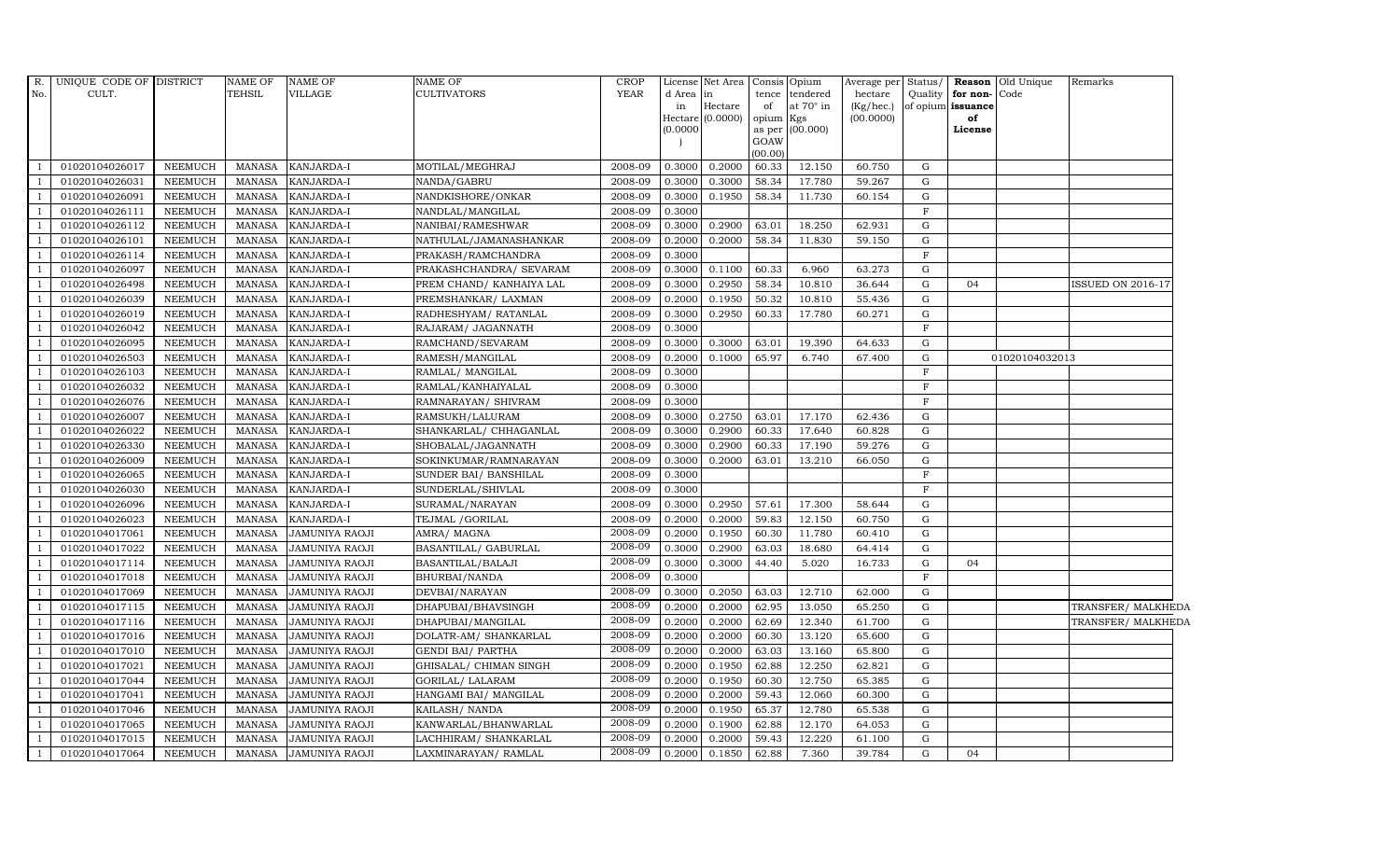| R.  | UNIQUE CODE OF DISTRICT |                | NAME OF       | <b>NAME OF</b>        | NAME OF                  | <b>CROP</b> |           | License Net Area            | Consis Opium    |                  | Average per Status/    |             |                         | <b>Reason</b> Old Unique | Remarks                  |
|-----|-------------------------|----------------|---------------|-----------------------|--------------------------|-------------|-----------|-----------------------------|-----------------|------------------|------------------------|-------------|-------------------------|--------------------------|--------------------------|
| No. | CULT.                   |                | <b>TEHSIL</b> | VILLAGE               | CULTIVATORS              | <b>YEAR</b> | d Area in |                             |                 | tence tendered   | hectare                | Quality     | for non-                | Code                     |                          |
|     |                         |                |               |                       |                          |             | in        | Hectare<br>Hectare (0.0000) | of<br>opium Kgs | at $70^\circ$ in | (Kg/hec.)<br>(00.0000) |             | of opium issuance<br>of |                          |                          |
|     |                         |                |               |                       |                          |             | (0.0000)  |                             |                 | as per (00.000)  |                        |             | License                 |                          |                          |
|     |                         |                |               |                       |                          |             |           |                             | GOAW            |                  |                        |             |                         |                          |                          |
|     |                         |                |               |                       |                          |             |           |                             | (00.00)         |                  |                        |             |                         |                          |                          |
|     | 01020104026017          | <b>NEEMUCH</b> | <b>MANASA</b> | KANJARDA-I            | MOTILAL/MEGHRAJ          | 2008-09     | 0.3000    | 0.2000                      | 60.33           | 12.150           | 60.750                 | G           |                         |                          |                          |
|     | 01020104026031          | <b>NEEMUCH</b> | <b>MANASA</b> | KANJARDA-I            | NANDA/GABRU              | 2008-09     | 0.3000    | 0.3000                      | 58.34           | 17.780           | 59.267                 | G           |                         |                          |                          |
|     | 01020104026091          | <b>NEEMUCH</b> | <b>MANASA</b> | KANJARDA-I            | NANDKISHORE/ONKAR        | 2008-09     | 0.3000    | 0.1950                      | 58.34           | 11.730           | 60.154                 | G           |                         |                          |                          |
|     | 01020104026111          | <b>NEEMUCH</b> | <b>MANASA</b> | KANJARDA-I            | NANDLAL/MANGILAL         | 2008-09     | 0.3000    |                             |                 |                  |                        | $\mathbf F$ |                         |                          |                          |
|     | 01020104026112          | <b>NEEMUCH</b> | <b>MANASA</b> | KANJARDA-I            | NANIBAI/RAMESHWAR        | 2008-09     | 0.3000    | 0.2900                      | 63.01           | 18.250           | 62.931                 | G           |                         |                          |                          |
|     | 01020104026101          | <b>NEEMUCH</b> | <b>MANASA</b> | KANJARDA-I            | NATHULAL/JAMANASHANKAR   | 2008-09     | 0.2000    | 0.2000                      | 58.34           | 11.830           | 59.150                 | G           |                         |                          |                          |
|     | 01020104026114          | <b>NEEMUCH</b> | <b>MANASA</b> | KANJARDA-I            | PRAKASH/RAMCHANDRA       | 2008-09     | 0.3000    |                             |                 |                  |                        | $\mathbf F$ |                         |                          |                          |
|     | 01020104026097          | <b>NEEMUCH</b> | <b>MANASA</b> | KANJARDA-I            | PRAKASHCHANDRA/ SEVARAM  | 2008-09     | 0.3000    | 0.1100                      | 60.33           | 6.960            | 63.273                 | G           |                         |                          |                          |
|     | 01020104026498          | <b>NEEMUCH</b> | <b>MANASA</b> | KANJARDA-I            | PREM CHAND/ KANHAIYA LAL | 2008-09     | 0.3000    | 0.2950                      | 58.34           | 10.810           | 36.644                 | $\mathbf G$ | 04                      |                          | <b>ISSUED ON 2016-17</b> |
|     | 01020104026039          | <b>NEEMUCH</b> | <b>MANASA</b> | KANJARDA-I            | PREMSHANKAR/ LAXMAN      | 2008-09     | 0.2000    | 0.1950                      | 50.32           | 10.810           | 55.436                 | ${\rm G}$   |                         |                          |                          |
|     | 01020104026019          | <b>NEEMUCH</b> | <b>MANASA</b> | KANJARDA-I            | RADHESHYAM/RATANLAL      | 2008-09     | 0.3000    | 0.2950                      | 60.33           | 17.780           | 60.271                 | G           |                         |                          |                          |
|     | 01020104026042          | <b>NEEMUCH</b> | <b>MANASA</b> | KANJARDA-I            | RAJARAM/ JAGANNATH       | 2008-09     | 0.3000    |                             |                 |                  |                        | $\mathbf F$ |                         |                          |                          |
|     | 01020104026095          | <b>NEEMUCH</b> | <b>MANASA</b> | KANJARDA-I            | RAMCHAND/SEVARAM         | 2008-09     | 0.3000    | 0.3000                      | 63.01           | 19.390           | 64.633                 | G           |                         |                          |                          |
|     | 01020104026503          | <b>NEEMUCH</b> | <b>MANASA</b> | KANJARDA-I            | RAMESH/MANGILAL          | 2008-09     | 0.2000    | 0.1000                      | 65.97           | 6.740            | 67.400                 | $\mathbf G$ |                         | 01020104032013           |                          |
|     | 01020104026103          | <b>NEEMUCH</b> | <b>MANASA</b> | KANJARDA-I            | RAMLAL/ MANGILAL         | 2008-09     | 0.3000    |                             |                 |                  |                        | F           |                         |                          |                          |
| -1  | 01020104026032          | <b>NEEMUCH</b> | <b>MANASA</b> | KANJARDA-I            | RAMLAL/KANHAIYALAL       | 2008-09     | 0.3000    |                             |                 |                  |                        | $\mathbf F$ |                         |                          |                          |
|     | 01020104026076          | <b>NEEMUCH</b> | <b>MANASA</b> | KANJARDA-I            | RAMNARAYAN/ SHIVRAM      | 2008-09     | 0.3000    |                             |                 |                  |                        | $\mathbf F$ |                         |                          |                          |
|     | 01020104026007          | <b>NEEMUCH</b> | <b>MANASA</b> | KANJARDA-I            | RAMSUKH/LALURAM          | 2008-09     | 0.3000    | 0.2750                      | 63.01           | 17.170           | 62.436                 | G           |                         |                          |                          |
|     | 01020104026022          | <b>NEEMUCH</b> | <b>MANASA</b> | KANJARDA-I            | SHANKARLAL/ CHHAGANLAL   | 2008-09     | 0.3000    | 0.2900                      | 60.33           | 17.640           | 60.828                 | G           |                         |                          |                          |
|     | 01020104026330          | <b>NEEMUCH</b> | <b>MANASA</b> | KANJARDA-I            | SHOBALAL/JAGANNATH       | 2008-09     | 0.3000    | 0.2900                      | 60.33           | 17.190           | 59.276                 | G           |                         |                          |                          |
|     | 01020104026009          | <b>NEEMUCH</b> | <b>MANASA</b> | KANJARDA-I            | SOKINKUMAR/RAMNARAYAN    | 2008-09     | 0.3000    | 0.2000                      | 63.01           | 13.210           | 66.050                 | G           |                         |                          |                          |
|     | 01020104026065          | <b>NEEMUCH</b> | <b>MANASA</b> | KANJARDA-I            | SUNDER BAI/ BANSHILAL    | 2008-09     | 0.3000    |                             |                 |                  |                        | $\mathbf F$ |                         |                          |                          |
|     | 01020104026030          | <b>NEEMUCH</b> | <b>MANASA</b> | KANJARDA-I            | SUNDERLAL/SHIVLAL        | 2008-09     | 0.3000    |                             |                 |                  |                        | F           |                         |                          |                          |
|     | 01020104026096          | <b>NEEMUCH</b> | <b>MANASA</b> | KANJARDA-I            | SURAMAL/NARAYAN          | 2008-09     | 0.3000    | 0.2950                      | 57.61           | 17.300           | 58.644                 | G           |                         |                          |                          |
|     | 01020104026023          | <b>NEEMUCH</b> | <b>MANASA</b> | KANJARDA-I            | TEJMAL / GORILAL         | 2008-09     | 0.2000    | 0.2000                      | 59.83           | 12.150           | 60.750                 | G           |                         |                          |                          |
|     | 01020104017061          | <b>NEEMUCH</b> | <b>MANASA</b> | JAMUNIYA RAOJI        | AMRA/MAGNA               | 2008-09     | 0.2000    | 0.1950                      | 60.30           | 11.780           | 60.410                 | G           |                         |                          |                          |
|     | 01020104017022          | <b>NEEMUCH</b> | <b>MANASA</b> | <b>JAMUNIYA RAOJI</b> | BASANTILAL/ GABURLAL     | 2008-09     | 0.3000    | 0.2900                      | 63.03           | 18.680           | 64.414                 | G           |                         |                          |                          |
|     | 01020104017114          | <b>NEEMUCH</b> | <b>MANASA</b> | JAMUNIYA RAOJI        | BASANTILAL/BALAJI        | 2008-09     | 0.3000    | 0.3000                      | 44.40           | 5.020            | 16.733                 | G           | 04                      |                          |                          |
|     | 01020104017018          | <b>NEEMUCH</b> | <b>MANASA</b> | <b>JAMUNIYA RAOJI</b> | BHURBAI/NANDA            | 2008-09     | 0.3000    |                             |                 |                  |                        | $\mathbf F$ |                         |                          |                          |
|     | 01020104017069          | <b>NEEMUCH</b> | <b>MANASA</b> | <b>JAMUNIYA RAOJI</b> | DEVBAI/NARAYAN           | 2008-09     | 0.3000    | 0.2050                      | 63.03           | 12.710           | 62.000                 | G           |                         |                          |                          |
|     | 01020104017115          | <b>NEEMUCH</b> | <b>MANASA</b> | JAMUNIYA RAOJI        | DHAPUBAI/BHAVSINGH       | 2008-09     | 0.2000    | 0.2000                      | 62.95           | 13.050           | 65.250                 | G           |                         |                          | TRANSFER/ MALKHEDA       |
|     | 01020104017116          | <b>NEEMUCH</b> | <b>MANASA</b> | JAMUNIYA RAOJI        | DHAPUBAI/MANGILAL        | 2008-09     | 0.2000    | 0.2000                      | 62.69           | 12.340           | 61.700                 | $\mathbf G$ |                         |                          | TRANSFER/ MALKHEDA       |
|     | 01020104017016          | <b>NEEMUCH</b> | <b>MANASA</b> | JAMUNIYA RAOJI        | DOLATR-AM/ SHANKARLAL    | 2008-09     | 0.2000    | 0.2000                      | 60.30           | 13.120           | 65.600                 | G           |                         |                          |                          |
|     | 01020104017010          | <b>NEEMUCH</b> | <b>MANASA</b> | <b>JAMUNIYA RAOJI</b> | GENDI BAI/ PARTHA        | 2008-09     | 0.2000    | 0.2000                      | 63.03           | 13.160           | 65.800                 | G           |                         |                          |                          |
|     | 01020104017021          | <b>NEEMUCH</b> | <b>MANASA</b> | <b>JAMUNIYA RAOJI</b> | GHISALAL/ CHIMAN SINGH   | 2008-09     | 0.2000    | 0.1950                      | 62.88           | 12.250           | 62.821                 | G           |                         |                          |                          |
|     | 01020104017044          | <b>NEEMUCH</b> | <b>MANASA</b> | JAMUNIYA RAOJI        | GORILAL/ LALARAM         | 2008-09     | 0.2000    | 0.1950                      | 60.30           | 12.750           | 65.385                 | G           |                         |                          |                          |
|     | 01020104017041          | <b>NEEMUCH</b> | <b>MANASA</b> | <b>JAMUNIYA RAOJI</b> | HANGAMI BAI/ MANGILAL    | 2008-09     | 0.2000    | 0.2000                      | 59.43           | 12.060           | 60.300                 | G           |                         |                          |                          |
|     | 01020104017046          | <b>NEEMUCH</b> | <b>MANASA</b> | <b>JAMUNIYA RAOJI</b> | KAILASH/ NANDA           | 2008-09     | 0.2000    | 0.1950                      | 65.37           | 12.780           | 65.538                 | G           |                         |                          |                          |
|     | 01020104017065          | <b>NEEMUCH</b> | <b>MANASA</b> | JAMUNIYA RAOJI        | KANWARLAL/BHANWARLAL     | 2008-09     | 0.2000    | 0.1900                      | 62.88           | 12.170           | 64.053                 | G           |                         |                          |                          |
|     | 01020104017015          | <b>NEEMUCH</b> | <b>MANASA</b> | <b>JAMUNIYA RAOJI</b> | LACHHIRAM / SHANKARLAL   | 2008-09     | 0.2000    | 0.2000                      | 59.43           | 12.220           | 61.100                 | G           |                         |                          |                          |
|     | 01020104017064          | <b>NEEMUCH</b> | <b>MANASA</b> | <b>JAMUNIYA RAOJI</b> | LAXMINARAYAN/RAMLAL      | 2008-09     | 0.2000    | 0.1850                      | 62.88           | 7.360            | 39.784                 | $\mathbf G$ | 04                      |                          |                          |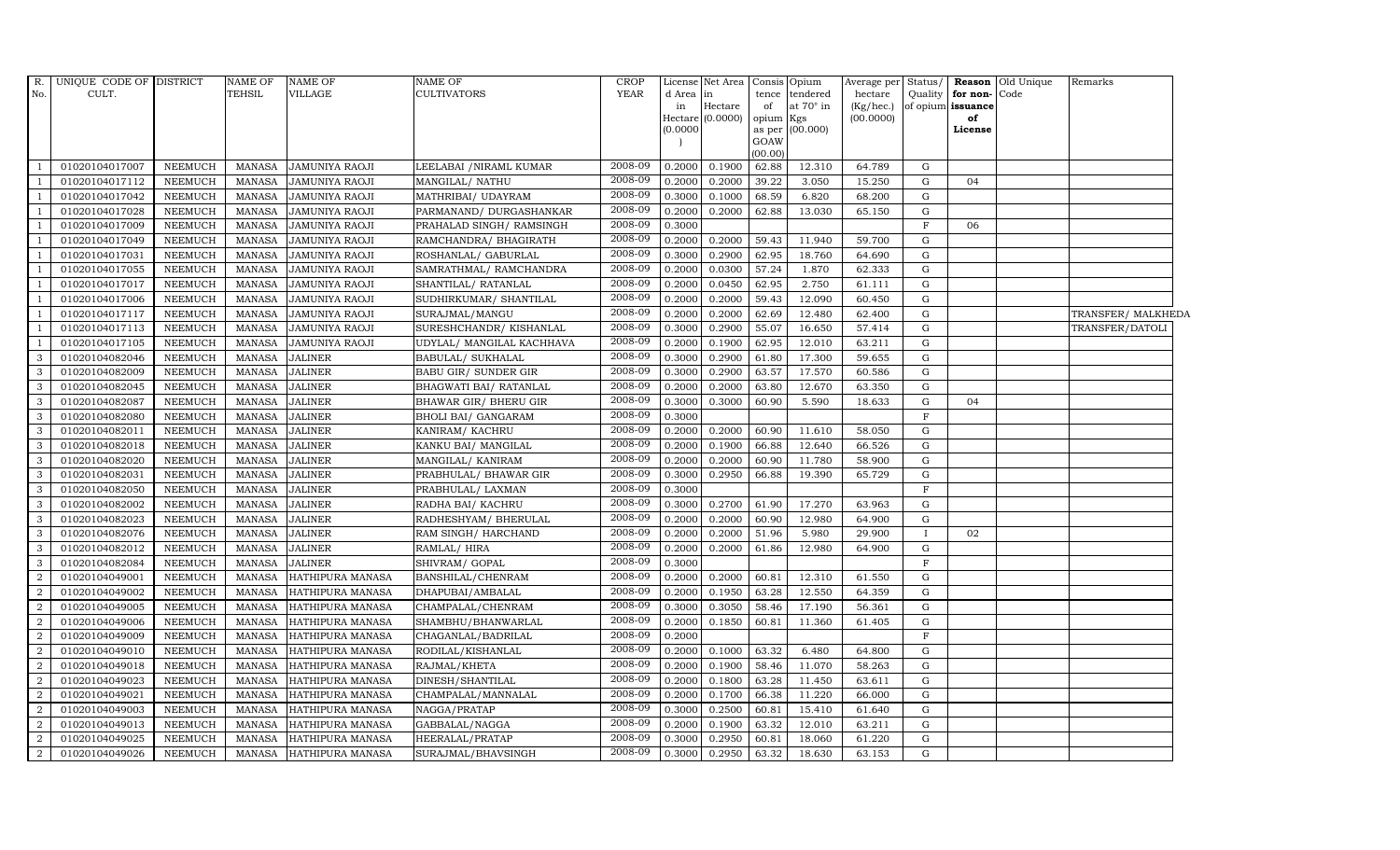| $R$ .          | UNIQUE CODE OF DISTRICT |                | NAME OF       | <b>NAME OF</b>          | NAME OF                   | <b>CROP</b> |          | License Net Area Consis Opium |           |                 | Average per Status/ |              |                   | Reason Old Unique | Remarks            |
|----------------|-------------------------|----------------|---------------|-------------------------|---------------------------|-------------|----------|-------------------------------|-----------|-----------------|---------------------|--------------|-------------------|-------------------|--------------------|
| No.            | CULT.                   |                | <b>TEHSIL</b> | VILLAGE                 | <b>CULTIVATORS</b>        | <b>YEAR</b> | d Area   | in                            |           | tence tendered  | hectare             | Quality      | for non-          | Code              |                    |
|                |                         |                |               |                         |                           |             | in       | Hectare                       | of        | at 70° in       | (Kg/hec.)           |              | of opium issuance |                   |                    |
|                |                         |                |               |                         |                           |             | (0.0000) | Hectare (0.0000)              | opium Kgs | as per (00.000) | (00.0000)           |              | of<br>License     |                   |                    |
|                |                         |                |               |                         |                           |             |          |                               | GOAW      |                 |                     |              |                   |                   |                    |
|                |                         |                |               |                         |                           |             |          |                               | (00.00)   |                 |                     |              |                   |                   |                    |
|                | 01020104017007          | <b>NEEMUCH</b> | MANASA        | <b>JAMUNIYA RAOJI</b>   | LEELABAI /NIRAML KUMAR    | 2008-09     | 0.2000   | 0.1900                        | 62.88     | 12.310          | 64.789              | G            |                   |                   |                    |
|                | 01020104017112          | <b>NEEMUCH</b> | <b>MANASA</b> | <b>JAMUNIYA RAOJI</b>   | MANGILAL/ NATHU           | 2008-09     | 0.2000   | 0.2000                        | 39.22     | 3.050           | 15.250              | G            | 04                |                   |                    |
|                | 01020104017042          | <b>NEEMUCH</b> | <b>MANASA</b> | JAMUNIYA RAOJI          | MATHRIBAI/ UDAYRAM        | 2008-09     | 0.3000   | 0.1000                        | 68.59     | 6.820           | 68.200              | G            |                   |                   |                    |
|                | 01020104017028          | <b>NEEMUCH</b> | <b>MANASA</b> | <b>JAMUNIYA RAOJI</b>   | PARMANAND/DURGASHANKAR    | 2008-09     | 0.2000   | 0.2000                        | 62.88     | 13.030          | 65.150              | $\mathbf G$  |                   |                   |                    |
|                | 01020104017009          | <b>NEEMUCH</b> | <b>MANASA</b> | JAMUNIYA RAOJI          | PRAHALAD SINGH/ RAMSINGH  | 2008-09     | 0.3000   |                               |           |                 |                     | $\mathbf{F}$ | 06                |                   |                    |
|                | 01020104017049          | <b>NEEMUCH</b> | <b>MANASA</b> | JAMUNIYA RAOJI          | RAMCHANDRA/ BHAGIRATH     | 2008-09     | 0.2000   | 0.2000                        | 59.43     | 11.940          | 59.700              | G            |                   |                   |                    |
|                | 01020104017031          | <b>NEEMUCH</b> | MANASA        | <b>JAMUNIYA RAOJI</b>   | ROSHANLAL/ GABURLAL       | 2008-09     | 0.3000   | 0.2900                        | 62.95     | 18.760          | 64.690              | G            |                   |                   |                    |
|                | 01020104017055          | <b>NEEMUCH</b> | <b>MANASA</b> | <b>JAMUNIYA RAOJI</b>   | SAMRATHMAL/ RAMCHANDRA    | 2008-09     | 0.2000   | 0.0300                        | 57.24     | 1.870           | 62.333              | G            |                   |                   |                    |
|                | 01020104017017          | <b>NEEMUCH</b> | <b>MANASA</b> | <b>JAMUNIYA RAOJI</b>   | SHANTILAL/ RATANLAL       | 2008-09     | 0.2000   | 0.0450                        | 62.95     | 2.750           | 61.111              | G            |                   |                   |                    |
|                | 01020104017006          | <b>NEEMUCH</b> | <b>MANASA</b> | <b>JAMUNIYA RAOJI</b>   | SUDHIRKUMAR/ SHANTILAL    | 2008-09     | 0.2000   | 0.2000                        | 59.43     | 12.090          | 60.450              | G            |                   |                   |                    |
| $\overline{1}$ | 01020104017117          | <b>NEEMUCH</b> | <b>MANASA</b> | JAMUNIYA RAOJI          | SURAJMAL/MANGU            | 2008-09     | 0.2000   | 0.2000                        | 62.69     | 12.480          | 62.400              | G            |                   |                   | TRANSFER/ MALKHEDA |
|                | 01020104017113          | <b>NEEMUCH</b> | <b>MANASA</b> | JAMUNIYA RAOJI          | SURESHCHANDR/KISHANLAL    | 2008-09     | 0.3000   | 0.2900                        | 55.07     | 16.650          | 57.414              | G            |                   |                   | TRANSFER/DATOLI    |
| $\overline{1}$ | 01020104017105          | <b>NEEMUCH</b> | <b>MANASA</b> | JAMUNIYA RAOJI          | UDYLAL/ MANGILAL KACHHAVA | 2008-09     | 0.2000   | 0.1900                        | 62.95     | 12.010          | 63.211              | G            |                   |                   |                    |
| 3              | 01020104082046          | <b>NEEMUCH</b> | <b>MANASA</b> | <b>JALINER</b>          | BABULAL/SUKHALAL          | 2008-09     | 0.3000   | 0.2900                        | 61.80     | 17.300          | 59.655              | G            |                   |                   |                    |
| 3              | 01020104082009          | <b>NEEMUCH</b> | <b>MANASA</b> | <b>JALINER</b>          | BABU GIR/ SUNDER GIR      | 2008-09     | 0.3000   | 0.2900                        | 63.57     | 17.570          | 60.586              | G            |                   |                   |                    |
| 3              | 01020104082045          | <b>NEEMUCH</b> | <b>MANASA</b> | <b>JALINER</b>          | BHAGWATI BAI/ RATANLAL    | 2008-09     | 0.2000   | 0.2000                        | 63.80     | 12.670          | 63.350              | G            |                   |                   |                    |
| 3              | 01020104082087          | <b>NEEMUCH</b> | <b>MANASA</b> | <b>JALINER</b>          | BHAWAR GIR/ BHERU GIR     | 2008-09     | 0.3000   | 0.3000                        | 60.90     | 5.590           | 18.633              | G            | 04                |                   |                    |
| 3              | 01020104082080          | <b>NEEMUCH</b> | <b>MANASA</b> | <b>JALINER</b>          | BHOLI BAI/ GANGARAM       | 2008-09     | 0.3000   |                               |           |                 |                     | $\mathbf F$  |                   |                   |                    |
| 3              | 01020104082011          | <b>NEEMUCH</b> | <b>MANASA</b> | <b>JALINER</b>          | KANIRAM/KACHRU            | 2008-09     | 0.2000   | 0.2000                        | 60.90     | 11.610          | 58.050              | G            |                   |                   |                    |
| 3              | 01020104082018          | <b>NEEMUCH</b> | <b>MANASA</b> | <b>JALINER</b>          | KANKU BAI/ MANGILAL       | 2008-09     | 0.2000   | 0.1900                        | 66.88     | 12.640          | 66.526              | G            |                   |                   |                    |
| 3              | 01020104082020          | <b>NEEMUCH</b> | <b>MANASA</b> | <b>JALINER</b>          | MANGILAL/KANIRAM          | 2008-09     | 0.2000   | 0.2000                        | 60.90     | 11.780          | 58.900              | G            |                   |                   |                    |
| 3              | 01020104082031          | NEEMUCH        | <b>MANASA</b> | <b>JALINER</b>          | PRABHULAL/ BHAWAR GIR     | 2008-09     | 0.3000   | 0.2950                        | 66.88     | 19.390          | 65.729              | G            |                   |                   |                    |
| 3              | 01020104082050          | <b>NEEMUCH</b> | <b>MANASA</b> | <b>JALINER</b>          | PRABHULAL/ LAXMAN         | 2008-09     | 0.3000   |                               |           |                 |                     | $\rm F$      |                   |                   |                    |
| 3              | 01020104082002          | <b>NEEMUCH</b> | <b>MANASA</b> | <b>JALINER</b>          | RADHA BAI/ KACHRU         | 2008-09     | 0.3000   | 0.2700                        | 61.90     | 17.270          | 63.963              | G            |                   |                   |                    |
| 3              | 01020104082023          | <b>NEEMUCH</b> | <b>MANASA</b> | <b>JALINER</b>          | RADHESHYAM/BHERULAL       | 2008-09     | 0.2000   | 0.2000                        | 60.90     | 12.980          | 64.900              | G            |                   |                   |                    |
| 3              | 01020104082076          | <b>NEEMUCH</b> | <b>MANASA</b> | <b>JALINER</b>          | RAM SINGH/HARCHAND        | 2008-09     | 0.2000   | 0.2000                        | 51.96     | 5.980           | 29.900              | Ι.           | 02                |                   |                    |
| 3              | 01020104082012          | <b>NEEMUCH</b> | <b>MANASA</b> | <b>JALINER</b>          | RAMLAL/HIRA               | 2008-09     | 0.2000   | 0.2000                        | 61.86     | 12.980          | 64.900              | G            |                   |                   |                    |
| 3              | 01020104082084          | <b>NEEMUCH</b> | <b>MANASA</b> | <b>JALINER</b>          | SHIVRAM/GOPAL             | 2008-09     | 0.3000   |                               |           |                 |                     | F            |                   |                   |                    |
| 2              | 01020104049001          | <b>NEEMUCH</b> | <b>MANASA</b> | HATHIPURA MANASA        | BANSHILAL/CHENRAM         | 2008-09     | 0.2000   | 0.2000                        | 60.81     | 12.310          | 61.550              | G            |                   |                   |                    |
| $\overline{2}$ | 01020104049002          | <b>NEEMUCH</b> | <b>MANASA</b> | HATHIPURA MANASA        | DHAPUBAI/AMBALAL          | 2008-09     | 0.2000   | 0.1950                        | 63.28     | 12.550          | 64.359              | G            |                   |                   |                    |
| $\overline{2}$ | 01020104049005          | <b>NEEMUCH</b> | <b>MANASA</b> | HATHIPURA MANASA        | CHAMPALAL/CHENRAM         | 2008-09     | 0.3000   | 0.3050                        | 58.46     | 17.190          | 56.361              | G            |                   |                   |                    |
| 2              | 01020104049006          | <b>NEEMUCH</b> | <b>MANASA</b> | HATHIPURA MANASA        | SHAMBHU/BHANWARLAL        | 2008-09     | 0.2000   | 0.1850                        | 60.81     | 11.360          | 61.405              | G            |                   |                   |                    |
| $\overline{2}$ | 01020104049009          | <b>NEEMUCH</b> | <b>MANASA</b> | HATHIPURA MANASA        | CHAGANLAL/BADRILAL        | 2008-09     | 0.2000   |                               |           |                 |                     | F            |                   |                   |                    |
| $\overline{2}$ | 01020104049010          | <b>NEEMUCH</b> | <b>MANASA</b> | <b>HATHIPURA MANASA</b> | RODILAL/KISHANLAL         | 2008-09     | 0.2000   | 0.1000                        | 63.32     | 6.480           | 64.800              | G            |                   |                   |                    |
| 2              | 01020104049018          | <b>NEEMUCH</b> | <b>MANASA</b> | HATHIPURA MANASA        | RAJMAL/KHETA              | 2008-09     | 0.2000   | 0.1900                        | 58.46     | 11.070          | 58.263              | G            |                   |                   |                    |
| $\overline{2}$ | 01020104049023          | <b>NEEMUCH</b> | <b>MANASA</b> | HATHIPURA MANASA        | DINESH/SHANTILAL          | 2008-09     | 0.2000   | 0.1800                        | 63.28     | 11.450          | 63.611              | G            |                   |                   |                    |
| $\overline{2}$ | 01020104049021          | <b>NEEMUCH</b> | <b>MANASA</b> | HATHIPURA MANASA        | CHAMPALAL/MANNALAL        | 2008-09     | 0.2000   | 0.1700                        | 66.38     | 11.220          | 66.000              | G            |                   |                   |                    |
| $\overline{2}$ | 01020104049003          | <b>NEEMUCH</b> | <b>MANASA</b> | HATHIPURA MANASA        | NAGGA/PRATAP              | 2008-09     | 0.3000   | 0.2500                        | 60.81     | 15.410          | 61.640              | G            |                   |                   |                    |
| 2              | 01020104049013          | <b>NEEMUCH</b> | <b>MANASA</b> | HATHIPURA MANASA        | GABBALAL/NAGGA            | 2008-09     | 0.2000   | 0.1900                        | 63.32     | 12.010          | 63.211              | G            |                   |                   |                    |
| 2              | 01020104049025          | <b>NEEMUCH</b> | <b>MANASA</b> | HATHIPURA MANASA        | HEERALAL/PRATAP           | 2008-09     | 0.3000   | 0.2950                        | 60.81     | 18.060          | 61.220              | G            |                   |                   |                    |
| $\overline{a}$ | 01020104049026          | <b>NEEMUCH</b> | MANASA        | HATHIPURA MANASA        | SURAJMAL/BHAVSINGH        | 2008-09     | 0.3000   | 0.2950                        | 63.32     | 18.630          | 63.153              | $\mathbf G$  |                   |                   |                    |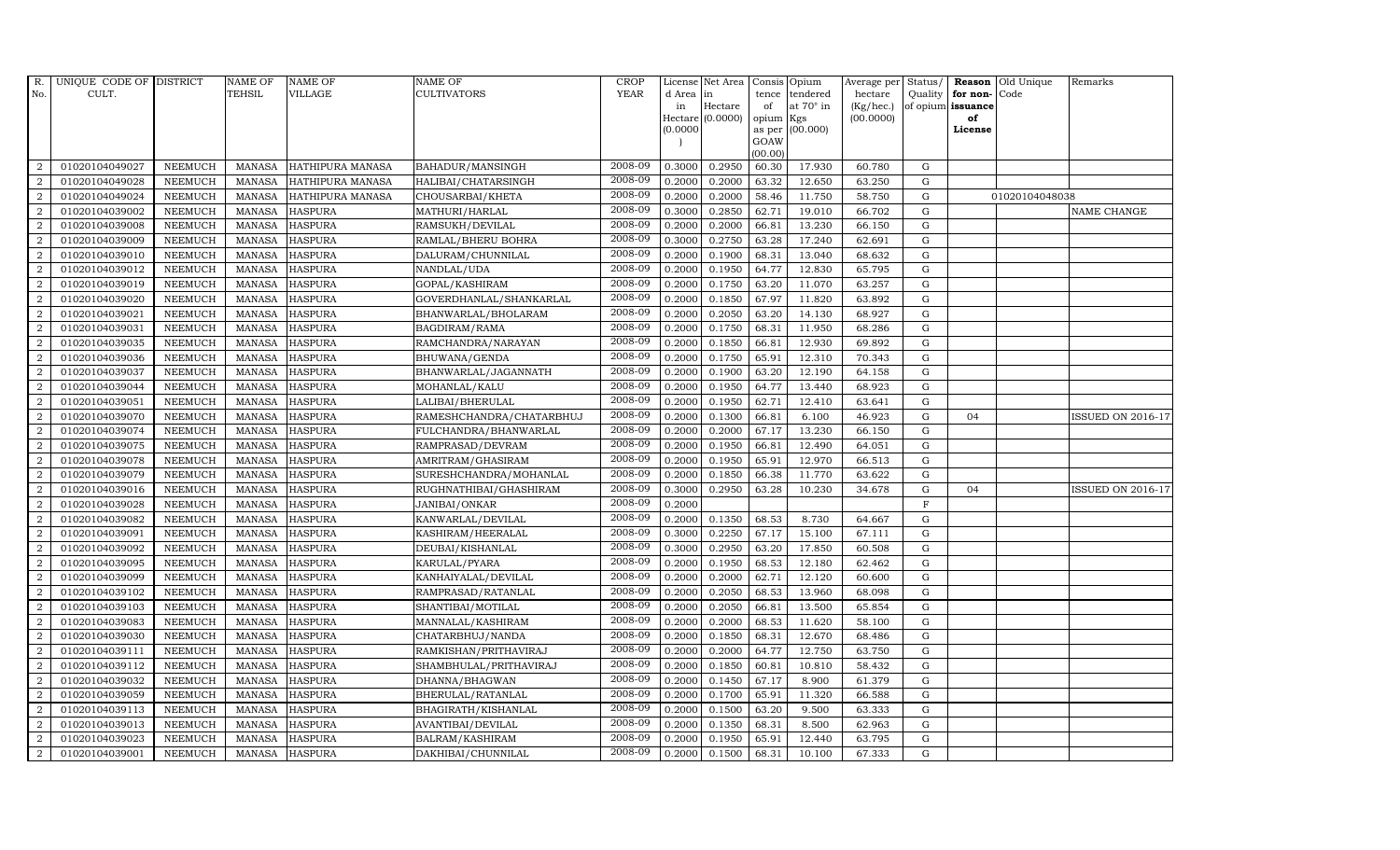| R.             | UNIQUE CODE OF DISTRICT |                | <b>NAME OF</b> | <b>NAME OF</b>          | NAME OF                  | <b>CROP</b> |           | License Net Area | Consis Opium   |                  | Average per Status/ |             |                      | <b>Reason</b> Old Unique | Remarks                  |
|----------------|-------------------------|----------------|----------------|-------------------------|--------------------------|-------------|-----------|------------------|----------------|------------------|---------------------|-------------|----------------------|--------------------------|--------------------------|
| No.            | CULT.                   |                | TEHSIL         | <b>VILLAGE</b>          | <b>CULTIVATORS</b>       | <b>YEAR</b> | d Area in |                  | tence          | tendered         | hectare             |             | Quality $ $ for non- | Code                     |                          |
|                |                         |                |                |                         |                          |             | in        | Hectare          | of             | at $70^\circ$ in | (Kg/hec.)           |             | of opium issuance    |                          |                          |
|                |                         |                |                |                         |                          |             |           | Hectare (0.0000) | opium          | Kgs              | (00.0000)           |             | of                   |                          |                          |
|                |                         |                |                |                         |                          |             | 0.0000    |                  | as per<br>GOAW | (00.000)         |                     |             | License              |                          |                          |
|                |                         |                |                |                         |                          |             |           |                  | (00.00)        |                  |                     |             |                      |                          |                          |
| 2              | 01020104049027          | <b>NEEMUCH</b> | MANASA         | HATHIPURA MANASA        | BAHADUR/MANSINGH         | 2008-09     | 0.3000    | 0.2950           | 60.30          | 17.930           | 60.780              | G           |                      |                          |                          |
| $\overline{2}$ | 01020104049028          | <b>NEEMUCH</b> | <b>MANASA</b>  | HATHIPURA MANASA        | HALIBAI/CHATARSINGH      | 2008-09     | 0.2000    | 0.2000           | 63.32          | 12.650           | 63.250              | G           |                      |                          |                          |
| $\overline{2}$ | 01020104049024          | <b>NEEMUCH</b> | <b>MANASA</b>  | <b>HATHIPURA MANASA</b> | CHOUSARBAI/KHETA         | 2008-09     | 0.2000    | 0.2000           | 58.46          | 11.750           | 58.750              | G           |                      | 01020104048038           |                          |
| $\overline{2}$ | 01020104039002          | <b>NEEMUCH</b> | <b>MANASA</b>  | <b>HASPURA</b>          | MATHURI/HARLAL           | 2008-09     | 0.3000    | 0.2850           | 62.71          | 19.010           | 66.702              | G           |                      |                          | NAME CHANGE              |
| 2              | 01020104039008          | <b>NEEMUCH</b> | <b>MANASA</b>  | <b>HASPURA</b>          | RAMSUKH/DEVILAL          | 2008-09     | 0.2000    | 0.2000           | 66.81          | 13.230           | 66.150              | G           |                      |                          |                          |
| 2              | 01020104039009          | <b>NEEMUCH</b> | <b>MANASA</b>  | <b>HASPURA</b>          | RAMLAL/BHERU BOHRA       | 2008-09     | 0.3000    | 0.2750           | 63.28          | 17.240           | 62.691              | G           |                      |                          |                          |
| $\overline{2}$ | 01020104039010          | <b>NEEMUCH</b> | <b>MANASA</b>  | <b>HASPURA</b>          | DALURAM/CHUNNILAL        | 2008-09     | 0.2000    | 0.1900           | 68.31          | 13.040           | 68.632              | G           |                      |                          |                          |
| 2              | 01020104039012          | <b>NEEMUCH</b> | <b>MANASA</b>  | <b>HASPURA</b>          | NANDLAL/UDA              | 2008-09     | 0.2000    | 0.1950           | 64.77          | 12.830           | 65.795              | G           |                      |                          |                          |
| $\overline{2}$ | 01020104039019          | <b>NEEMUCH</b> | <b>MANASA</b>  | <b>HASPURA</b>          | GOPAL/KASHIRAM           | 2008-09     | 0.2000    | 0.1750           | 63.20          | 11.070           | 63.257              | G           |                      |                          |                          |
| $\overline{2}$ | 01020104039020          | <b>NEEMUCH</b> | <b>MANASA</b>  | <b>HASPURA</b>          | GOVERDHANLAL/SHANKARLAL  | 2008-09     | 0.2000    | 0.1850           | 67.97          | 11.820           | 63.892              | G           |                      |                          |                          |
| $\overline{2}$ | 01020104039021          | <b>NEEMUCH</b> | <b>MANASA</b>  | <b>HASPURA</b>          | BHANWARLAL/BHOLARAM      | 2008-09     | 0.2000    | 0.2050           | 63.20          | 14.130           | 68.927              | G           |                      |                          |                          |
| 2              | 01020104039031          | <b>NEEMUCH</b> | <b>MANASA</b>  | <b>HASPURA</b>          | BAGDIRAM/RAMA            | 2008-09     | 0.2000    | 0.1750           | 68.31          | 11.950           | 68.286              | $\mathbf G$ |                      |                          |                          |
| 2              | 01020104039035          | <b>NEEMUCH</b> | <b>MANASA</b>  | <b>HASPURA</b>          | RAMCHANDRA/NARAYAN       | 2008-09     | 0.2000    | 0.1850           | 66.81          | 12.930           | 69.892              | G           |                      |                          |                          |
| $\overline{2}$ | 01020104039036          | <b>NEEMUCH</b> | <b>MANASA</b>  | <b>HASPURA</b>          | BHUWANA/GENDA            | 2008-09     | 0.2000    | 0.1750           | 65.91          | 12.310           | 70.343              | G           |                      |                          |                          |
| $\overline{2}$ | 01020104039037          | <b>NEEMUCH</b> | <b>MANASA</b>  | <b>HASPURA</b>          | BHANWARLAL/JAGANNATH     | 2008-09     | 0.2000    | 0.1900           | 63.20          | 12.190           | 64.158              | ${\rm G}$   |                      |                          |                          |
| 2              | 01020104039044          | <b>NEEMUCH</b> | <b>MANASA</b>  | <b>HASPURA</b>          | MOHANLAL/KALU            | 2008-09     | 0.2000    | 0.1950           | 64.77          | 13.440           | 68.923              | G           |                      |                          |                          |
| 2              | 01020104039051          | <b>NEEMUCH</b> | <b>MANASA</b>  | <b>HASPURA</b>          | LALIBAI/BHERULAL         | 2008-09     | 0.2000    | 0.1950           | 62.71          | 12.410           | 63.641              | G           |                      |                          |                          |
| 2              | 01020104039070          | <b>NEEMUCH</b> | <b>MANASA</b>  | <b>HASPURA</b>          | RAMESHCHANDRA/CHATARBHUJ | 2008-09     | 0.2000    | 0.1300           | 66.81          | 6.100            | 46.923              | $\mathbf G$ | 04                   |                          | ISSUED ON 2016-17        |
| $\overline{2}$ | 01020104039074          | <b>NEEMUCH</b> | <b>MANASA</b>  | <b>HASPURA</b>          | FULCHANDRA/BHANWARLAL    | 2008-09     | 0.2000    | 0.2000           | 67.17          | 13.230           | 66.150              | G           |                      |                          |                          |
| $\overline{2}$ | 01020104039075          | <b>NEEMUCH</b> | <b>MANASA</b>  | <b>HASPURA</b>          | RAMPRASAD/DEVRAM         | 2008-09     | 0.2000    | 0.1950           | 66.81          | 12.490           | 64.051              | G           |                      |                          |                          |
| $\overline{2}$ | 01020104039078          | <b>NEEMUCH</b> | <b>MANASA</b>  | <b>HASPURA</b>          | AMRITRAM/GHASIRAM        | 2008-09     | 0.2000    | 0.1950           | 65.91          | 12.970           | 66.513              | G           |                      |                          |                          |
| 2              | 01020104039079          | <b>NEEMUCH</b> | <b>MANASA</b>  | <b>HASPURA</b>          | SURESHCHANDRA/MOHANLAL   | 2008-09     | 0.2000    | 0.1850           | 66.38          | 11.770           | 63.622              | ${\bf G}$   |                      |                          |                          |
| $\overline{a}$ | 01020104039016          | <b>NEEMUCH</b> | <b>MANASA</b>  | <b>HASPURA</b>          | RUGHNATHIBAI/GHASHIRAM   | 2008-09     | 0.3000    | 0.2950           | 63.28          | 10.230           | 34.678              | G           | 04                   |                          | <b>ISSUED ON 2016-17</b> |
| $\overline{2}$ | 01020104039028          | <b>NEEMUCH</b> | <b>MANASA</b>  | <b>HASPURA</b>          | <b>JANIBAI/ONKAR</b>     | 2008-09     | 0.2000    |                  |                |                  |                     | $\mathbf F$ |                      |                          |                          |
| $\overline{2}$ | 01020104039082          | <b>NEEMUCH</b> | <b>MANASA</b>  | <b>HASPURA</b>          | KANWARLAL/DEVILAL        | 2008-09     | 0.2000    | 0.1350           | 68.53          | 8.730            | 64.667              | G           |                      |                          |                          |
| $\overline{2}$ | 01020104039091          | <b>NEEMUCH</b> | <b>MANASA</b>  | <b>HASPURA</b>          | KASHIRAM/HEERALAL        | 2008-09     | 0.3000    | 0.2250           | 67.17          | 15.100           | 67.111              | G           |                      |                          |                          |
| $\overline{2}$ | 01020104039092          | <b>NEEMUCH</b> | <b>MANASA</b>  | <b>HASPURA</b>          | DEUBAI/KISHANLAL         | 2008-09     | 0.3000    | 0.2950           | 63.20          | 17.850           | 60.508              | G           |                      |                          |                          |
| 2              | 01020104039095          | <b>NEEMUCH</b> | <b>MANASA</b>  | <b>HASPURA</b>          | KARULAL/PYARA            | 2008-09     | 0.2000    | 0.1950           | 68.53          | 12.180           | 62.462              | $\mathbf G$ |                      |                          |                          |
| $\overline{2}$ | 01020104039099          | <b>NEEMUCH</b> | <b>MANASA</b>  | <b>HASPURA</b>          | KANHAIYALAL/DEVILAL      | 2008-09     | 0.2000    | 0.2000           | 62.71          | 12.120           | 60.600              | G           |                      |                          |                          |
| $\overline{2}$ | 01020104039102          | <b>NEEMUCH</b> | <b>MANASA</b>  | <b>HASPURA</b>          | RAMPRASAD/RATANLAL       | 2008-09     | 0.2000    | 0.2050           | 68.53          | 13.960           | 68.098              | ${\bf G}$   |                      |                          |                          |
| $\overline{2}$ | 01020104039103          | <b>NEEMUCH</b> | <b>MANASA</b>  | <b>HASPURA</b>          | SHANTIBAI/MOTILAL        | 2008-09     | 0.2000    | 0.2050           | 66.81          | 13.500           | 65.854              | G           |                      |                          |                          |
| $\overline{2}$ | 01020104039083          | <b>NEEMUCH</b> | <b>MANASA</b>  | <b>HASPURA</b>          | MANNALAL/KASHIRAM        | 2008-09     | 0.2000    | 0.2000           | 68.53          | 11.620           | 58.100              | G           |                      |                          |                          |
| $\overline{a}$ | 01020104039030          | <b>NEEMUCH</b> | <b>MANASA</b>  | <b>HASPURA</b>          | CHATARBHUJ/NANDA         | 2008-09     | 0.2000    | 0.1850           | 68.31          | 12.670           | 68.486              | G           |                      |                          |                          |
| 2              | 01020104039111          | <b>NEEMUCH</b> | <b>MANASA</b>  | <b>HASPURA</b>          | RAMKISHAN/PRITHAVIRAJ    | 2008-09     | 0.2000    | 0.2000           | 64.77          | 12.750           | 63.750              | G           |                      |                          |                          |
| 2              | 01020104039112          | <b>NEEMUCH</b> | <b>MANASA</b>  | <b>HASPURA</b>          | SHAMBHULAL/PRITHAVIRAJ   | 2008-09     | 0.2000    | 0.1850           | 60.81          | 10.810           | 58.432              | G           |                      |                          |                          |
| $\overline{a}$ | 01020104039032          | <b>NEEMUCH</b> | <b>MANASA</b>  | <b>HASPURA</b>          | DHANNA/BHAGWAN           | 2008-09     | 0.2000    | 0.1450           | 67.17          | 8.900            | 61.379              | G           |                      |                          |                          |
| 2              | 01020104039059          | <b>NEEMUCH</b> | <b>MANASA</b>  | <b>HASPURA</b>          | BHERULAL/RATANLAL        | 2008-09     | 0.2000    | 0.1700           | 65.91          | 11.320           | 66.588              | G           |                      |                          |                          |
| $\overline{2}$ | 01020104039113          | <b>NEEMUCH</b> | <b>MANASA</b>  | <b>HASPURA</b>          | BHAGIRATH/KISHANLAL      | 2008-09     | 0.2000    | 0.1500           | 63.20          | 9.500            | 63.333              | G           |                      |                          |                          |
| 2              | 01020104039013          | <b>NEEMUCH</b> | <b>MANASA</b>  | <b>HASPURA</b>          | AVANTIBAI/DEVILAL        | 2008-09     | 0.2000    | 0.1350           | 68.31          | 8.500            | 62.963              | G           |                      |                          |                          |
| $\overline{2}$ | 01020104039023          | <b>NEEMUCH</b> | <b>MANASA</b>  | <b>HASPURA</b>          | BALRAM/KASHIRAM          | 2008-09     | 0.2000    | 0.1950           | 65.91          | 12.440           | 63.795              | $\mathbf G$ |                      |                          |                          |
| $\overline{2}$ | 01020104039001          | NEEMUCH        |                | MANASA HASPURA          | DAKHIBAI/CHUNNILAL       | 2008-09     | 0.2000    | 0.1500           | 68.31          | 10.100           | 67.333              | G           |                      |                          |                          |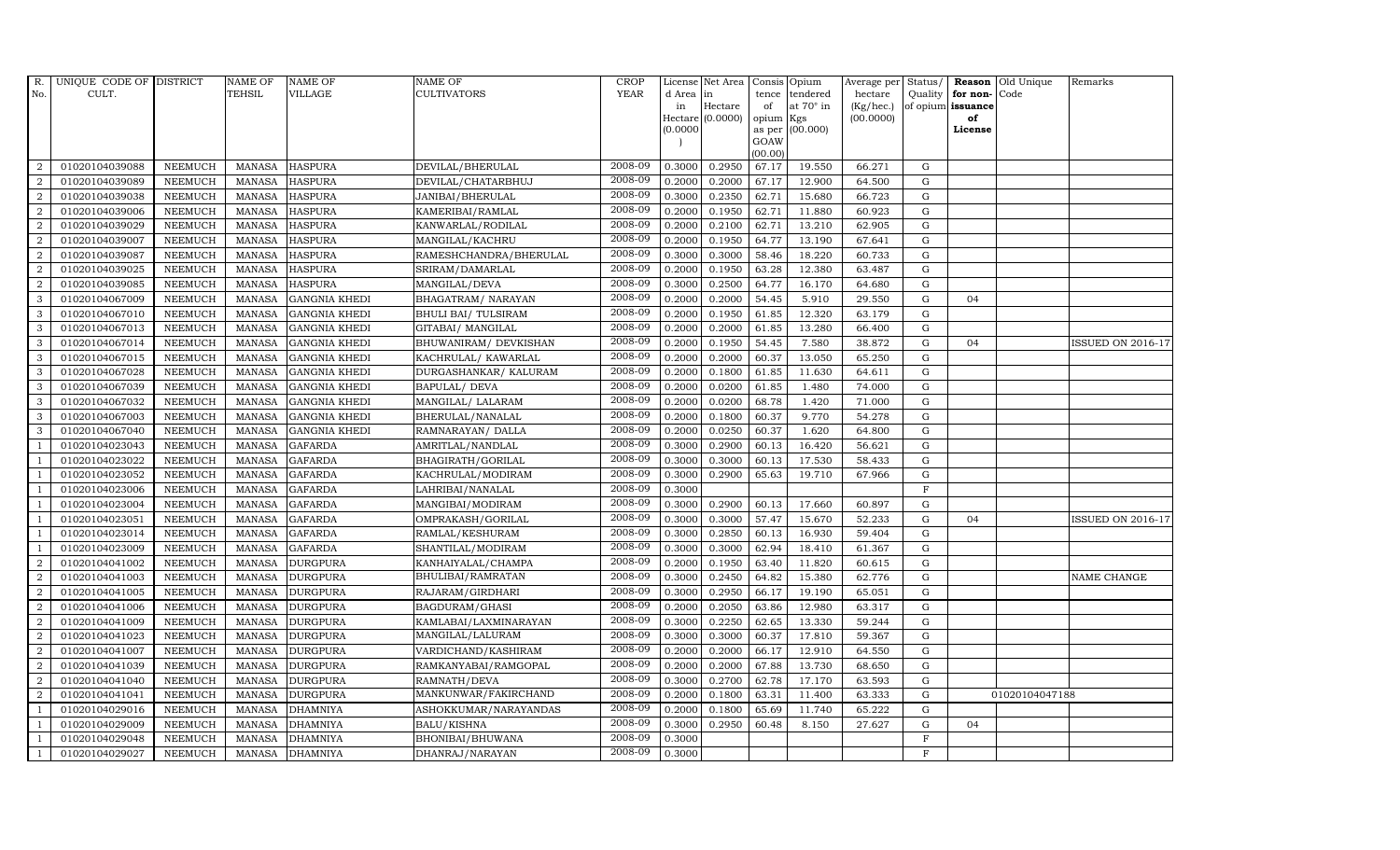| R.             | UNIQUE CODE OF DISTRICT |                | <b>NAME OF</b> | <b>NAME OF</b>       | <b>NAME OF</b>         | <b>CROP</b> |          | License Net Area   |           | Consis Opium    | Average per | Status/     | Reason            | Old Unique     | Remarks                  |
|----------------|-------------------------|----------------|----------------|----------------------|------------------------|-------------|----------|--------------------|-----------|-----------------|-------------|-------------|-------------------|----------------|--------------------------|
| No.            | CULT.                   |                | <b>TEHSIL</b>  | VILLAGE              | <b>CULTIVATORS</b>     | <b>YEAR</b> | d Area   | in                 | tence     | tendered        | hectare     | Quality     | for non-          | Code           |                          |
|                |                         |                |                |                      |                        |             | in       | Hectare            | of        | at 70° in       | (Kg/hec.)   |             | of opium issuance |                |                          |
|                |                         |                |                |                      |                        |             | (0.0000) | $Hectare (0.0000)$ | opium Kgs | as per (00.000) | (00.0000)   |             | of<br>License     |                |                          |
|                |                         |                |                |                      |                        |             |          |                    | GOAW      |                 |             |             |                   |                |                          |
|                |                         |                |                |                      |                        |             |          |                    | (00.00)   |                 |             |             |                   |                |                          |
| 2              | 01020104039088          | <b>NEEMUCH</b> | <b>MANASA</b>  | <b>HASPURA</b>       | DEVILAL/BHERULAL       | 2008-09     | 0.3000   | 0.2950             | 67.17     | 19.550          | 66.271      | G           |                   |                |                          |
| $\overline{2}$ | 01020104039089          | <b>NEEMUCH</b> | <b>MANASA</b>  | <b>HASPURA</b>       | DEVILAL/CHATARBHUJ     | 2008-09     | 0.2000   | 0.2000             | 67.17     | 12.900          | 64.500      | ${\bf G}$   |                   |                |                          |
| 2              | 01020104039038          | <b>NEEMUCH</b> | <b>MANASA</b>  | <b>HASPURA</b>       | JANIBAI/BHERULAL       | 2008-09     | 0.3000   | 0.2350             | 62.71     | 15.680          | 66.723      | G           |                   |                |                          |
| $\overline{2}$ | 01020104039006          | <b>NEEMUCH</b> | <b>MANASA</b>  | <b>HASPURA</b>       | KAMERIBAI/RAMLAL       | 2008-09     | 0.2000   | 0.1950             | 62.71     | 11.880          | 60.923      | $\mathbf G$ |                   |                |                          |
| $\overline{2}$ | 01020104039029          | <b>NEEMUCH</b> | <b>MANASA</b>  | <b>HASPURA</b>       | KANWARLAL/RODILAL      | 2008-09     | 0.2000   | 0.2100             | 62.71     | 13.210          | 62.905      | ${\bf G}$   |                   |                |                          |
| $\overline{2}$ | 01020104039007          | <b>NEEMUCH</b> | <b>MANASA</b>  | <b>HASPURA</b>       | MANGILAL/KACHRU        | 2008-09     | 0.2000   | 0.1950             | 64.77     | 13.190          | 67.641      | $\mathbf G$ |                   |                |                          |
| $\overline{2}$ | 01020104039087          | <b>NEEMUCH</b> | <b>MANASA</b>  | <b>HASPURA</b>       | RAMESHCHANDRA/BHERULAL | 2008-09     | 0.3000   | 0.3000             | 58.46     | 18.220          | 60.733      | ${\bf G}$   |                   |                |                          |
| $\overline{2}$ | 01020104039025          | <b>NEEMUCH</b> | <b>MANASA</b>  | <b>HASPURA</b>       | SRIRAM/DAMARLAL        | 2008-09     | 0.2000   | 0.1950             | 63.28     | 12.380          | 63.487      | $\mathbf G$ |                   |                |                          |
| $\overline{2}$ | 01020104039085          | <b>NEEMUCH</b> | <b>MANASA</b>  | <b>HASPURA</b>       | MANGILAL/DEVA          | 2008-09     | 0.3000   | 0.2500             | 64.77     | 16.170          | 64.680      | G           |                   |                |                          |
| 3              | 01020104067009          | <b>NEEMUCH</b> | <b>MANASA</b>  | <b>GANGNIA KHEDI</b> | BHAGATRAM/ NARAYAN     | 2008-09     | 0.2000   | 0.2000             | 54.45     | 5.910           | 29.550      | ${\rm G}$   | 04                |                |                          |
| 3              | 01020104067010          | <b>NEEMUCH</b> | <b>MANASA</b>  | <b>GANGNIA KHEDI</b> | BHULI BAI/ TULSIRAM    | 2008-09     | 0.2000   | 0.1950             | 61.85     | 12.320          | 63.179      | ${\rm G}$   |                   |                |                          |
| 3              | 01020104067013          | <b>NEEMUCH</b> | <b>MANASA</b>  | <b>GANGNIA KHEDI</b> | GITABAI / MANGILAL     | 2008-09     | 0.2000   | 0.2000             | 61.85     | 13.280          | 66.400      | $\mathbf G$ |                   |                |                          |
| 3              | 01020104067014          | <b>NEEMUCH</b> | <b>MANASA</b>  | <b>GANGNIA KHEDI</b> | BHUWANIRAM / DEVKISHAN | 2008-09     | 0.2000   | 0.1950             | 54.45     | 7.580           | 38.872      | G           | 04                |                | <b>ISSUED ON 2016-17</b> |
| 3              | 01020104067015          | <b>NEEMUCH</b> | <b>MANASA</b>  | <b>GANGNIA KHEDI</b> | KACHRULAL/ KAWARLAL    | 2008-09     | 0.2000   | 0.2000             | 60.37     | 13.050          | 65.250      | $\mathbf G$ |                   |                |                          |
| 3              | 01020104067028          | <b>NEEMUCH</b> | <b>MANASA</b>  | <b>GANGNIA KHEDI</b> | DURGASHANKAR/ KALURAM  | 2008-09     | 0.2000   | 0.1800             | 61.85     | 11.630          | 64.611      | ${\bf G}$   |                   |                |                          |
| 3              | 01020104067039          | <b>NEEMUCH</b> | <b>MANASA</b>  | <b>GANGNIA KHEDI</b> | <b>BAPULAL/ DEVA</b>   | 2008-09     | 0.2000   | 0.0200             | 61.85     | 1.480           | 74.000      | ${\rm G}$   |                   |                |                          |
| 3              | 01020104067032          | <b>NEEMUCH</b> | <b>MANASA</b>  | <b>GANGNIA KHEDI</b> | MANGILAL/ LALARAM      | 2008-09     | 0.2000   | 0.0200             | 68.78     | 1.420           | 71.000      | G           |                   |                |                          |
| 3              | 01020104067003          | <b>NEEMUCH</b> | <b>MANASA</b>  | <b>GANGNIA KHEDI</b> | BHERULAL/NANALAL       | 2008-09     | 0.2000   | 0.1800             | 60.37     | 9.770           | 54.278      | $\mathbf G$ |                   |                |                          |
| 3              | 01020104067040          | <b>NEEMUCH</b> | <b>MANASA</b>  | <b>GANGNIA KHEDI</b> | RAMNARAYAN/ DALLA      | 2008-09     | 0.2000   | 0.0250             | 60.37     | 1.620           | 64.800      | $\mathbf G$ |                   |                |                          |
|                | 01020104023043          | <b>NEEMUCH</b> | <b>MANASA</b>  | <b>GAFARDA</b>       | AMRITLAL/NANDLAL       | 2008-09     | 0.3000   | 0.2900             | 60.13     | 16.420          | 56.621      | $\mathbf G$ |                   |                |                          |
|                | 01020104023022          | <b>NEEMUCH</b> | <b>MANASA</b>  | <b>GAFARDA</b>       | BHAGIRATH/GORILAL      | 2008-09     | 0.3000   | 0.3000             | 60.13     | 17.530          | 58.433      | ${\rm G}$   |                   |                |                          |
|                | 01020104023052          | <b>NEEMUCH</b> | <b>MANASA</b>  | <b>GAFARDA</b>       | KACHRULAL/MODIRAM      | 2008-09     | 0.3000   | 0.2900             | 65.63     | 19.710          | 67.966      | ${\rm G}$   |                   |                |                          |
| $\overline{1}$ | 01020104023006          | <b>NEEMUCH</b> | <b>MANASA</b>  | <b>GAFARDA</b>       | LAHRIBAI/NANALAL       | 2008-09     | 0.3000   |                    |           |                 |             | $\mathbf F$ |                   |                |                          |
|                | 01020104023004          | <b>NEEMUCH</b> | <b>MANASA</b>  | <b>GAFARDA</b>       | MANGIBAI/MODIRAM       | 2008-09     | 0.3000   | 0.2900             | 60.13     | 17.660          | 60.897      | $\mathbf G$ |                   |                |                          |
|                | 01020104023051          | <b>NEEMUCH</b> | <b>MANASA</b>  | <b>GAFARDA</b>       | OMPRAKASH/GORILAL      | 2008-09     | 0.3000   | 0.3000             | 57.47     | 15.670          | 52.233      | $\mathbf G$ | 04                |                | ISSUED ON 2016-17        |
| $\overline{1}$ | 01020104023014          | <b>NEEMUCH</b> | <b>MANASA</b>  | <b>GAFARDA</b>       | RAMLAL/KESHURAM        | 2008-09     | 0.3000   | 0.2850             | 60.13     | 16.930          | 59.404      | ${\rm G}$   |                   |                |                          |
|                | 01020104023009          | <b>NEEMUCH</b> | <b>MANASA</b>  | <b>GAFARDA</b>       | SHANTILAL/MODIRAM      | 2008-09     | 0.3000   | 0.3000             | 62.94     | 18.410          | 61.367      | ${\rm G}$   |                   |                |                          |
| $\overline{2}$ | 01020104041002          | <b>NEEMUCH</b> | <b>MANASA</b>  | <b>DURGPURA</b>      | KANHAIYALAL/CHAMPA     | 2008-09     | 0.2000   | 0.1950             | 63.40     | 11.820          | 60.615      | $\mathbf G$ |                   |                |                          |
| $\overline{2}$ | 01020104041003          | <b>NEEMUCH</b> | <b>MANASA</b>  | <b>DURGPURA</b>      | BHULIBAI/RAMRATAN      | 2008-09     | 0.3000   | 0.2450             | 64.82     | 15.380          | 62.776      | $\mathbf G$ |                   |                | NAME CHANGE              |
| $\overline{2}$ | 01020104041005          | <b>NEEMUCH</b> | <b>MANASA</b>  | <b>DURGPURA</b>      | RAJARAM / GIRDHARI     | 2008-09     | 0.3000   | 0.2950             | 66.17     | 19.190          | 65.051      | ${\rm G}$   |                   |                |                          |
| $\overline{2}$ | 01020104041006          | <b>NEEMUCH</b> | <b>MANASA</b>  | <b>DURGPURA</b>      | BAGDURAM/GHASI         | 2008-09     | 0.2000   | 0.2050             | 63.86     | 12.980          | 63.317      | G           |                   |                |                          |
| $\overline{2}$ | 01020104041009          | <b>NEEMUCH</b> | <b>MANASA</b>  | <b>DURGPURA</b>      | KAMLABAI/LAXMINARAYAN  | 2008-09     | 0.3000   | 0.2250             | 62.65     | 13.330          | 59.244      | ${\bf G}$   |                   |                |                          |
| $\overline{2}$ | 01020104041023          | <b>NEEMUCH</b> | <b>MANASA</b>  | <b>DURGPURA</b>      | MANGILAL/LALURAM       | 2008-09     | 0.3000   | 0.3000             | 60.37     | 17.810          | 59.367      | ${\rm G}$   |                   |                |                          |
| 2              | 01020104041007          | <b>NEEMUCH</b> | <b>MANASA</b>  | <b>DURGPURA</b>      | VARDICHAND/KASHIRAM    | 2008-09     | 0.2000   | 0.2000             | 66.17     | 12.910          | 64.550      | $\mathbf G$ |                   |                |                          |
| $\overline{2}$ | 01020104041039          | <b>NEEMUCH</b> | <b>MANASA</b>  | <b>DURGPURA</b>      | RAMKANYABAI/RAMGOPAL   | 2008-09     | 0.2000   | 0.2000             | 67.88     | 13.730          | 68.650      | $\mathbf G$ |                   |                |                          |
| $\overline{2}$ | 01020104041040          | <b>NEEMUCH</b> | <b>MANASA</b>  | <b>DURGPURA</b>      | RAMNATH/DEVA           | 2008-09     | 0.3000   | 0.2700             | 62.78     | 17.170          | 63.593      | ${\rm G}$   |                   |                |                          |
| $\overline{2}$ | 01020104041041          | <b>NEEMUCH</b> | <b>MANASA</b>  | <b>DURGPURA</b>      | MANKUNWAR/FAKIRCHAND   | 2008-09     | 0.2000   | 0.1800             | 63.31     | 11.400          | 63.333      | ${\rm G}$   |                   | 01020104047188 |                          |
| $\overline{1}$ | 01020104029016          | <b>NEEMUCH</b> | <b>MANASA</b>  | <b>DHAMNIYA</b>      | ASHOKKUMAR/NARAYANDAS  | 2008-09     | 0.2000   | 0.1800             | 65.69     | 11.740          | 65.222      | ${\rm G}$   |                   |                |                          |
| $\overline{1}$ | 01020104029009          | <b>NEEMUCH</b> | <b>MANASA</b>  | <b>DHAMNIYA</b>      | <b>BALU/KISHNA</b>     | 2008-09     | 0.3000   | 0.2950             | 60.48     | 8.150           | 27.627      | $\mathbf G$ | 04                |                |                          |
|                | 01020104029048          | <b>NEEMUCH</b> | <b>MANASA</b>  | <b>DHAMNIYA</b>      | BHONIBAI/BHUWANA       | 2008-09     | 0.3000   |                    |           |                 |             | $\mathbf F$ |                   |                |                          |
| $\mathbf{1}$   | 01020104029027          | <b>NEEMUCH</b> | MANASA         | <b>DHAMNIYA</b>      | DHANRAJ/NARAYAN        | 2008-09     | 0.3000   |                    |           |                 |             | F           |                   |                |                          |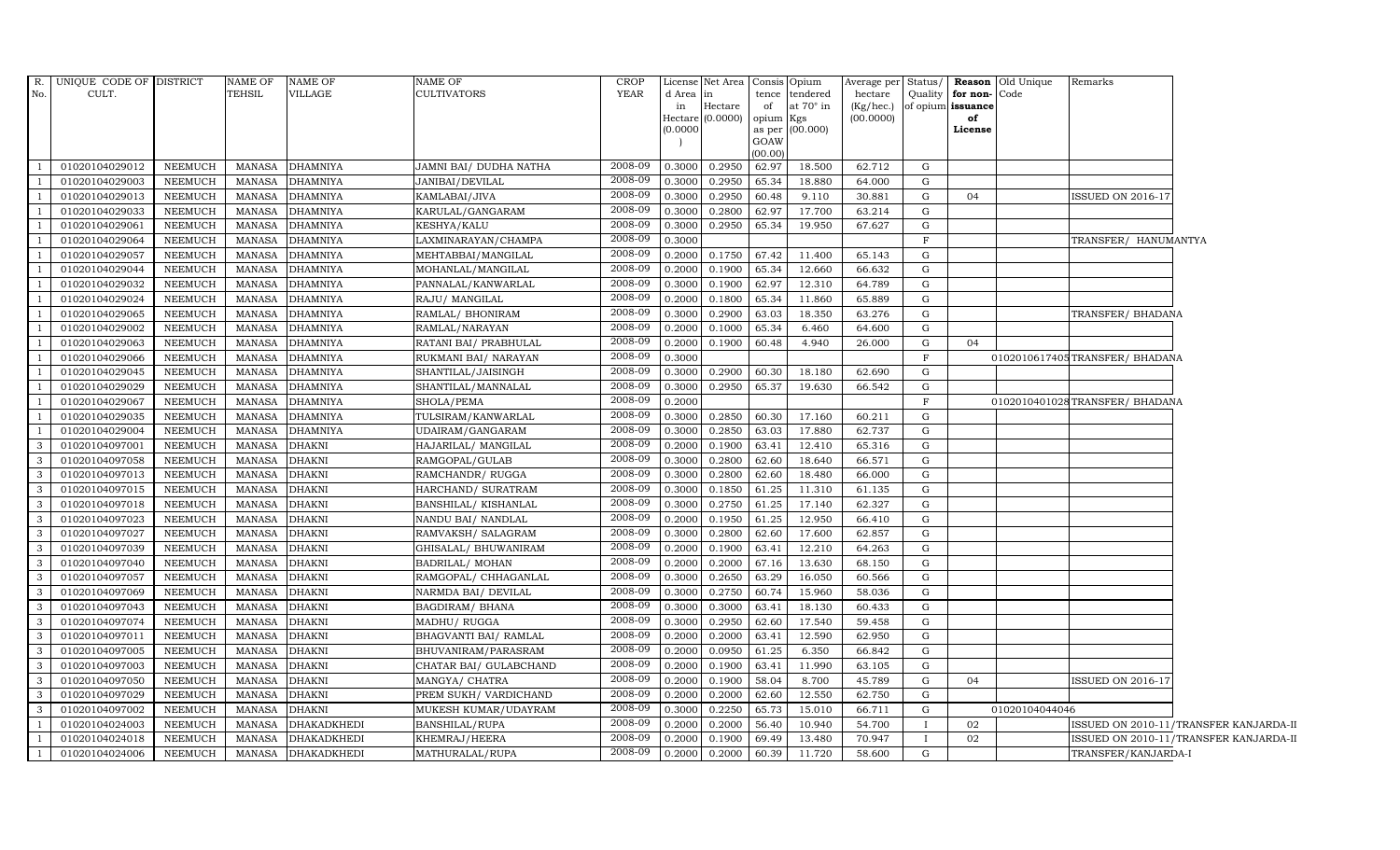|                | R. UNIQUE CODE OF DISTRICT |                | NAME OF       | <b>NAME OF</b>     | <b>NAME OF</b>         | <b>CROP</b> |           | License Net Area Consis Opium |           |                  | Average per Status/ |              |                         | <b>Reason</b> Old Unique | Remarks                        |                                        |
|----------------|----------------------------|----------------|---------------|--------------------|------------------------|-------------|-----------|-------------------------------|-----------|------------------|---------------------|--------------|-------------------------|--------------------------|--------------------------------|----------------------------------------|
| No.            | CULT.                      |                | TEHSIL        | VILLAGE            | <b>CULTIVATORS</b>     | YEAR        | d Area in |                               |           | tence tendered   | hectare             |              | Quality   for non- Code |                          |                                |                                        |
|                |                            |                |               |                    |                        |             | in        | Hectare                       | of        | at $70^\circ$ in | (Kg/hec.)           | of opium     | issuance                |                          |                                |                                        |
|                |                            |                |               |                    |                        |             | (0.0000)  | Hectare (0.0000)              | opium Kgs | as per (00.000)  | (00.0000)           |              | of<br>License           |                          |                                |                                        |
|                |                            |                |               |                    |                        |             |           |                               | GOAW      |                  |                     |              |                         |                          |                                |                                        |
|                |                            |                |               |                    |                        |             |           |                               | (00.00)   |                  |                     |              |                         |                          |                                |                                        |
|                | 01020104029012             | NEEMUCH        | MANASA        | <b>DHAMNIYA</b>    | JAMNI BAI/ DUDHA NATHA | 2008-09     | 0.3000    | 0.2950                        | 62.97     | 18.500           | 62.712              | G            |                         |                          |                                |                                        |
|                | 01020104029003             | <b>NEEMUCH</b> | <b>MANASA</b> | <b>DHAMNIYA</b>    | JANIBAI/DEVILAL        | 2008-09     | 0.3000    | 0.2950                        | 65.34     | 18.880           | 64.000              | G            |                         |                          |                                |                                        |
|                | 01020104029013             | <b>NEEMUCH</b> | <b>MANASA</b> | <b>DHAMNIYA</b>    | KAMLABAI/JIVA          | 2008-09     | 0.3000    | 0.2950                        | 60.48     | 9.110            | 30.881              | G            | 04                      |                          | <b>ISSUED ON 2016-17</b>       |                                        |
|                | 01020104029033             | <b>NEEMUCH</b> | MANASA        | <b>DHAMNIYA</b>    | KARULAL/GANGARAM       | 2008-09     | 0.3000    | 0.2800                        | 62.97     | 17.700           | 63.214              | G            |                         |                          |                                |                                        |
|                | 01020104029061             | <b>NEEMUCH</b> | <b>MANASA</b> | <b>DHAMNIYA</b>    | KESHYA/KALU            | 2008-09     | 0.3000    | 0.2950                        | 65.34     | 19.950           | 67.627              | G            |                         |                          |                                |                                        |
|                | 01020104029064             | NEEMUCH        | MANASA        | <b>DHAMNIYA</b>    | LAXMINARAYAN/CHAMPA    | 2008-09     | 0.3000    |                               |           |                  |                     | F            |                         |                          | TRANSFER/ HANUMANTYA           |                                        |
|                | 01020104029057             | <b>NEEMUCH</b> | MANASA        | <b>DHAMNIYA</b>    | MEHTABBAI/MANGILAL     | 2008-09     |           | 0.2000 0.1750                 | 67.42     | 11.400           | 65.143              | G            |                         |                          |                                |                                        |
|                | 01020104029044             | <b>NEEMUCH</b> | <b>MANASA</b> | <b>DHAMNIYA</b>    | MOHANLAL/MANGILAL      | 2008-09     | 0.2000    | 0.1900                        | 65.34     | 12.660           | 66.632              | G            |                         |                          |                                |                                        |
|                | 01020104029032             | <b>NEEMUCH</b> | <b>MANASA</b> | <b>DHAMNIYA</b>    | PANNALAL/KANWARLAL     | 2008-09     | 0.3000    | 0.1900                        | 62.97     | 12.310           | 64.789              | G            |                         |                          |                                |                                        |
|                | 01020104029024             | <b>NEEMUCH</b> | MANASA        | <b>DHAMNIYA</b>    | RAJU/ MANGILAL         | 2008-09     | 0.2000    | 0.1800                        | 65.34     | 11.860           | 65.889              | G            |                         |                          |                                |                                        |
|                | 01020104029065             | <b>NEEMUCH</b> | MANASA        | <b>DHAMNIYA</b>    | RAMLAL/ BHONIRAM       | 2008-09     | 0.3000    | 0.2900                        | 63.03     | 18.350           | 63.276              | G            |                         |                          | TRANSFER/ BHADANA              |                                        |
|                | 01020104029002             | <b>NEEMUCH</b> | <b>MANASA</b> | <b>DHAMNIYA</b>    | RAMLAL/NARAYAN         | 2008-09     | 0.2000    | 0.1000                        | 65.34     | 6.460            | 64.600              | G            |                         |                          |                                |                                        |
|                | 01020104029063             | <b>NEEMUCH</b> | MANASA        | <b>DHAMNIYA</b>    | RATANI BAI / PRABHULAL | 2008-09     | 0.2000    | 0.1900                        | 60.48     | 4.940            | 26.000              | G            | 04                      |                          |                                |                                        |
|                | 01020104029066             | <b>NEEMUCH</b> | <b>MANASA</b> | <b>DHAMNIYA</b>    | RUKMANI BAI/ NARAYAN   | 2008-09     | 0.3000    |                               |           |                  |                     | $\mathbf{F}$ |                         |                          | 0102010617405TRANSFER/BHADANA  |                                        |
| -1             | 01020104029045             | <b>NEEMUCH</b> | <b>MANASA</b> | <b>DHAMNIYA</b>    | SHANTILAL/JAISINGH     | 2008-09     |           | 0.3000 0.2900                 | 60.30     | 18.180           | 62.690              | G            |                         |                          |                                |                                        |
| -1             | 01020104029029             | NEEMUCH        | MANASA        | <b>DHAMNIYA</b>    | SHANTILAL/MANNALAL     | 2008-09     |           | 0.3000 0.2950                 | 65.37     | 19.630           | 66.542              | G            |                         |                          |                                |                                        |
| -1             | 01020104029067             | NEEMUCH        | MANASA        | <b>DHAMNIYA</b>    | SHOLA/PEMA             | 2008-09     | 0.2000    |                               |           |                  |                     | $\rm F$      |                         |                          | 0102010401028TRANSFER/ BHADANA |                                        |
|                | 01020104029035             | NEEMUCH        | <b>MANASA</b> | <b>DHAMNIYA</b>    | TULSIRAM/KANWARLAL     | 2008-09     | 0.3000    | 0.2850                        | 60.30     | 17.160           | 60.211              | G            |                         |                          |                                |                                        |
|                | 01020104029004             | <b>NEEMUCH</b> | <b>MANASA</b> | <b>DHAMNIYA</b>    | UDAIRAM/GANGARAM       | 2008-09     | 0.3000    | 0.2850                        | 63.03     | 17.880           | 62.737              | G            |                         |                          |                                |                                        |
| $\mathbf{3}$   | 01020104097001             | <b>NEEMUCH</b> | <b>MANASA</b> | <b>DHAKNI</b>      | HAJARILAL/ MANGILAL    | 2008-09     | 0.2000    | 0.1900                        | 63.41     | 12.410           | 65.316              | G            |                         |                          |                                |                                        |
| 3 <sup>1</sup> | 01020104097058             | NEEMUCH        | MANASA        | <b>DHAKNI</b>      | RAMGOPAL/GULAB         | 2008-09     | 0.3000    | 0.2800                        | 62.60     | 18.640           | 66.571              | G            |                         |                          |                                |                                        |
| $\mathbf{3}$   | 01020104097013             | <b>NEEMUCH</b> | <b>MANASA</b> | <b>DHAKNI</b>      | RAMCHANDR/ RUGGA       | 2008-09     | 0.3000    | 0.2800                        | 62.60     | 18.480           | 66.000              | G            |                         |                          |                                |                                        |
| $\mathbf{3}$   | 01020104097015             | NEEMUCH        | MANASA        | <b>DHAKNI</b>      | HARCHAND/ SURATRAM     | 2008-09     | 0.3000    | 0.1850                        | 61.25     | 11.310           | 61.135              | G            |                         |                          |                                |                                        |
| $\mathbf{3}$   | 01020104097018             | NEEMUCH        | <b>MANASA</b> | <b>DHAKNI</b>      | BANSHILAL/ KISHANLAL   | 2008-09     | 0.3000    | 0.2750                        | 61.25     | 17.140           | 62.327              | $\mathbf{G}$ |                         |                          |                                |                                        |
| $\mathbf{3}$   | 01020104097023             | <b>NEEMUCH</b> | <b>MANASA</b> | <b>DHAKNI</b>      | NANDU BAI / NANDLAL    | 2008-09     | 0.2000    | 0.1950                        | 61.25     | 12.950           | 66.410              | G            |                         |                          |                                |                                        |
| 3 <sup>1</sup> | 01020104097027             | NEEMUCH        | <b>MANASA</b> | <b>DHAKNI</b>      | RAMVAKSH/ SALAGRAM     | 2008-09     | 0.3000    | 0.2800                        | 62.60     | 17.600           | 62.857              | G            |                         |                          |                                |                                        |
| $\mathbf{3}$   | 01020104097039             | NEEMUCH        | MANASA        | <b>DHAKNI</b>      | GHISALAL/ BHUWANIRAM   | 2008-09     | 0.2000    | 0.1900                        | 63.41     | 12.210           | 64.263              | G            |                         |                          |                                |                                        |
| $\mathbf{3}$   | 01020104097040             | <b>NEEMUCH</b> | MANASA        | <b>DHAKNI</b>      | BADRILAL/ MOHAN        | 2008-09     | 0.2000    | 0.2000                        | 67.16     | 13.630           | 68.150              | G            |                         |                          |                                |                                        |
| $\mathbf{3}$   | 01020104097057             | NEEMUCH        | <b>MANASA</b> | <b>DHAKNI</b>      | RAMGOPAL/ CHHAGANLAL   | 2008-09     | 0.3000    | 0.2650                        | 63.29     | 16.050           | 60.566              | G            |                         |                          |                                |                                        |
| $\mathbf{3}$   | 01020104097069             | NEEMUCH        | MANASA        | <b>DHAKNI</b>      | NARMDA BAI / DEVILAL   | 2008-09     | 0.3000    | 0.2750                        | 60.74     | 15.960           | 58.036              | G            |                         |                          |                                |                                        |
| 3 <sup>1</sup> | 01020104097043             | <b>NEEMUCH</b> | MANASA        | <b>DHAKNI</b>      | <b>BAGDIRAM/ BHANA</b> | 2008-09     | 0.3000    | 0.3000                        | 63.41     | 18.130           | 60.433              | G            |                         |                          |                                |                                        |
| $\mathbf{3}$   | 01020104097074             | NEEMUCH        | MANASA        | <b>DHAKNI</b>      | MADHU/ RUGGA           | 2008-09     | 0.3000    | 0.2950                        | 62.60     | 17.540           | 59.458              | G            |                         |                          |                                |                                        |
| $\mathbf{3}$   | 01020104097011             | NEEMUCH        | MANASA        | <b>DHAKNI</b>      | BHAGVANTI BAI/ RAMLAL  | 2008-09     | 0.2000    | 0.2000                        | 63.41     | 12.590           | 62.950              | G            |                         |                          |                                |                                        |
| $\mathbf{3}$   | 01020104097005             | <b>NEEMUCH</b> | <b>MANASA</b> | <b>DHAKNI</b>      | BHUVANIRAM/PARASRAM    | 2008-09     | 0.2000    | 0.0950                        | 61.25     | 6.350            | 66.842              | G            |                         |                          |                                |                                        |
| $\mathbf{3}$   | 01020104097003             | <b>NEEMUCH</b> | <b>MANASA</b> | <b>DHAKNI</b>      | CHATAR BAI/ GULABCHAND | 2008-09     | 0.2000    | 0.1900                        | 63.41     | 11.990           | 63.105              | G            |                         |                          |                                |                                        |
| $\mathbf{3}$   | 01020104097050             | <b>NEEMUCH</b> | MANASA        | <b>DHAKNI</b>      | MANGYA/ CHATRA         | 2008-09     | 0.2000    | 0.1900                        | 58.04     | 8.700            | 45.789              | G            | 04                      |                          | ISSUED ON 2016-17              |                                        |
| $\mathbf{3}$   | 01020104097029             | NEEMUCH        | <b>MANASA</b> | <b>DHAKNI</b>      | PREM SUKH/ VARDICHAND  | 2008-09     | 0.2000    | 0.2000                        | 62.60     | 12.550           | 62.750              | G            |                         |                          |                                |                                        |
| $\mathbf{3}$   | 01020104097002             | <b>NEEMUCH</b> | MANASA        | <b>DHAKNI</b>      | MUKESH KUMAR/UDAYRAM   | 2008-09     | 0.3000    | 0.2250                        | 65.73     | 15.010           | 66.711              | G            |                         | 01020104044046           |                                |                                        |
| 1              | 01020104024003             | <b>NEEMUCH</b> | MANASA        | <b>DHAKADKHEDI</b> | <b>BANSHILAL/RUPA</b>  | 2008-09     | 0.2000    | 0.2000                        | 56.40     | 10.940           | 54.700              | $\bf{I}$     | 02                      |                          |                                | ISSUED ON 2010-11/TRANSFER KANJARDA-II |
|                | 01020104024018             | NEEMUCH        | MANASA        | <b>DHAKADKHEDI</b> | KHEMRAJ/HEERA          | 2008-09     | 0.2000    | 0.1900                        | 69.49     | 13.480           | 70.947              |              | 02                      |                          |                                | ISSUED ON 2010-11/TRANSFER KANJARDA-II |
|                | 01020104024006             | NEEMUCH        | MANASA        | <b>DHAKADKHEDI</b> | MATHURALAL/RUPA        | 2008-09     |           | $0.2000 \quad 0.2000$         | 60.39     | 11.720           | 58.600              | G            |                         |                          | TRANSFER/KANJARDA-I            |                                        |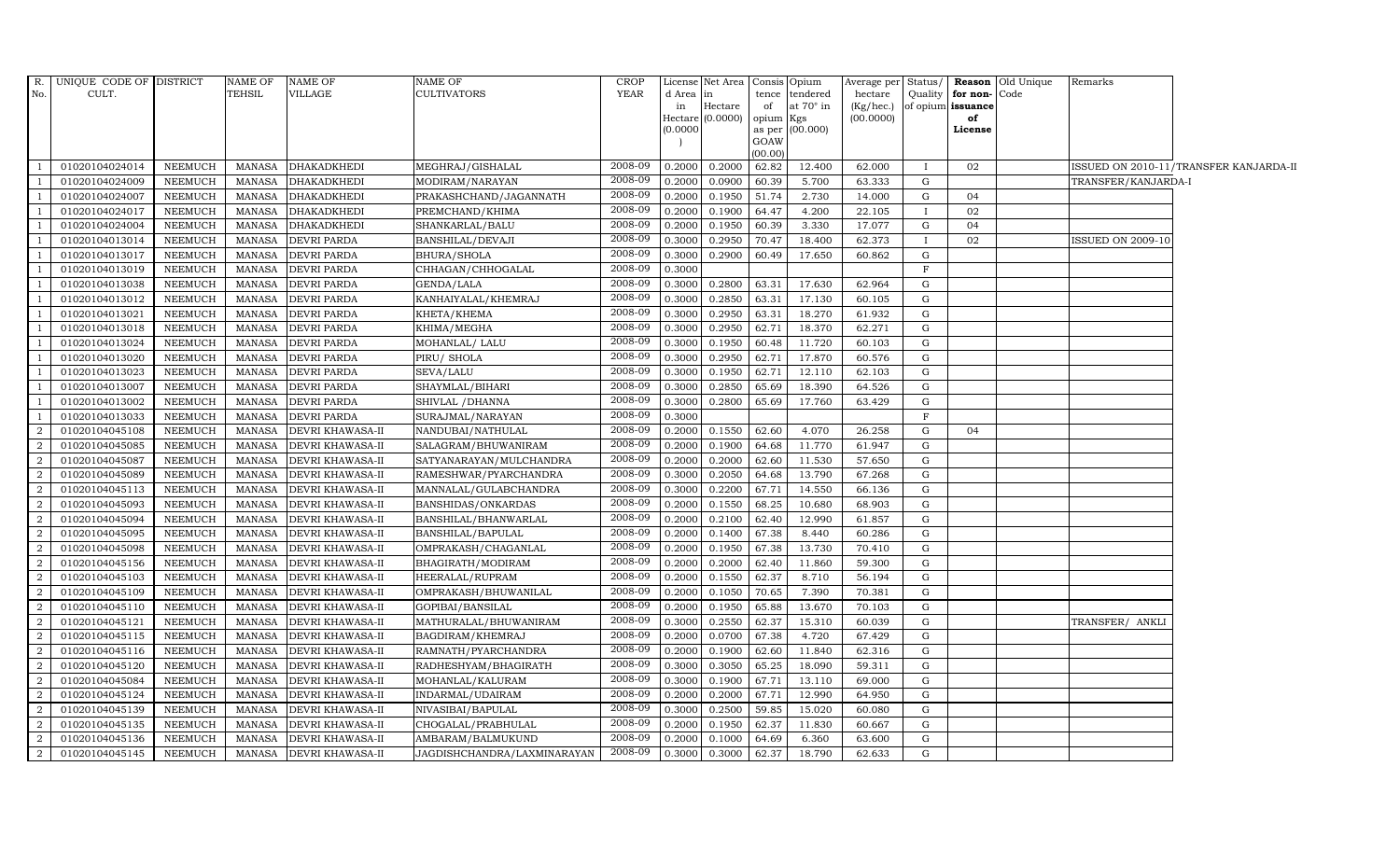|                | R. UNIQUE CODE OF DISTRICT |                | NAME OF       | NAME OF                 | <b>NAME OF</b>              | <b>CROP</b> |           | License Net Area      | Consis Opium |                  | Average per Status/ |         |                         | <b>Reason</b> Old Unique | Remarks                  |                                        |
|----------------|----------------------------|----------------|---------------|-------------------------|-----------------------------|-------------|-----------|-----------------------|--------------|------------------|---------------------|---------|-------------------------|--------------------------|--------------------------|----------------------------------------|
| No.            | CULT.                      |                | TEHSIL        | VILLAGE                 | <b>CULTIVATORS</b>          | YEAR        | d Area in |                       |              | tence tendered   | hectare             |         | Quality   for non- Code |                          |                          |                                        |
|                |                            |                |               |                         |                             |             | in        | Hectare               | of           | at $70^\circ$ in | (Kg/hec.)           |         | of opium issuance       |                          |                          |                                        |
|                |                            |                |               |                         |                             |             | (0.0000)  | Hectare (0.0000)      | opium Kgs    | as per (00.000)  | (00.0000)           |         | of<br>License           |                          |                          |                                        |
|                |                            |                |               |                         |                             |             |           |                       | GOAW         |                  |                     |         |                         |                          |                          |                                        |
|                |                            |                |               |                         |                             |             |           |                       | (00.00)      |                  |                     |         |                         |                          |                          |                                        |
| $\mathbf{1}$   | 01020104024014             | NEEMUCH        | MANASA        | <b>DHAKADKHEDI</b>      | MEGHRAJ/GISHALAL            | 2008-09     |           | 0.2000 0.2000         | 62.82        | 12.400           | 62.000              |         | 02                      |                          |                          | ISSUED ON 2010-11/TRANSFER KANJARDA-II |
| $\overline{1}$ | 01020104024009             | <b>NEEMUCH</b> | MANASA        | <b>DHAKADKHEDI</b>      | MODIRAM/NARAYAN             | 2008-09     | 0.2000    | 0.0900                | 60.39        | 5.700            | 63.333              | G       |                         |                          | TRANSFER/KANJARDA-I      |                                        |
|                | 01020104024007             | <b>NEEMUCH</b> | MANASA        | DHAKADKHEDI             | PRAKASHCHAND/JAGANNATH      | 2008-09     | 0.2000    | 0.1950                | 51.74        | 2.730            | 14.000              | G       | 04                      |                          |                          |                                        |
|                | 01020104024017             | <b>NEEMUCH</b> | MANASA        | <b>DHAKADKHEDI</b>      | PREMCHAND/KHIMA             | 2008-09     | 0.2000    | 0.1900                | 64.47        | 4.200            | 22.105              |         | 02                      |                          |                          |                                        |
| 1              | 01020104024004             | <b>NEEMUCH</b> | MANASA        | <b>DHAKADKHEDI</b>      | SHANKARLAL/BALU             | 2008-09     | 0.2000    | 0.1950                | 60.39        | 3.330            | 17.077              | G       | 04                      |                          |                          |                                        |
| $\overline{1}$ | 01020104013014             | NEEMUCH        | MANASA        | <b>DEVRI PARDA</b>      | BANSHILAL/DEVAJI            | 2008-09     | 0.3000    | 0.2950                | 70.47        | 18.400           | 62.373              |         | 02                      |                          | <b>ISSUED ON 2009-10</b> |                                        |
| $\overline{1}$ | 01020104013017             | <b>NEEMUCH</b> | MANASA        | <b>DEVRI PARDA</b>      | <b>BHURA/SHOLA</b>          | 2008-09     | 0.3000    | 0.2900                | 60.49        | 17.650           | 60.862              | G       |                         |                          |                          |                                        |
|                | 01020104013019             | <b>NEEMUCH</b> | <b>MANASA</b> | <b>DEVRI PARDA</b>      | CHHAGAN/CHHOGALAL           | 2008-09     | 0.3000    |                       |              |                  |                     | $\rm F$ |                         |                          |                          |                                        |
|                | 01020104013038             | <b>NEEMUCH</b> | <b>MANASA</b> | <b>DEVRI PARDA</b>      | GENDA/LALA                  | 2008-09     | 0.3000    | 0.2800                | 63.31        | 17.630           | 62.964              | G       |                         |                          |                          |                                        |
|                | 01020104013012             | NEEMUCH        | MANASA        | <b>DEVRI PARDA</b>      | KANHAIYALAL/KHEMRAJ         | 2008-09     | 0.3000    | 0.2850                | 63.31        | 17.130           | 60.105              | G       |                         |                          |                          |                                        |
| -1             | 01020104013021             | NEEMUCH        | MANASA        | <b>DEVRI PARDA</b>      | KHETA/KHEMA                 | 2008-09     | 0.3000    | 0.2950                | 63.31        | 18.270           | 61.932              | G       |                         |                          |                          |                                        |
| $\overline{1}$ | 01020104013018             | <b>NEEMUCH</b> | MANASA        | <b>DEVRI PARDA</b>      | KHIMA/MEGHA                 | 2008-09     | 0.3000    | 0.2950                | 62.71        | 18.370           | 62.271              | G       |                         |                          |                          |                                        |
|                | 01020104013024             | <b>NEEMUCH</b> | MANASA        | <b>DEVRI PARDA</b>      | MOHANLAL/ LALU              | 2008-09     | 0.3000    | 0.1950                | 60.48        | 11.720           | 60.103              | G       |                         |                          |                          |                                        |
|                | 01020104013020             | <b>NEEMUCH</b> | MANASA        | <b>DEVRI PARDA</b>      | PIRU/ SHOLA                 | 2008-09     | 0.3000    | 0.2950                | 62.71        | 17.870           | 60.576              | G       |                         |                          |                          |                                        |
|                | 01020104013023             | <b>NEEMUCH</b> | MANASA        | <b>DEVRI PARDA</b>      | SEVA/LALU                   | 2008-09     | 0.3000    | 0.1950                | 62.71        | 12.110           | 62.103              | G       |                         |                          |                          |                                        |
| $\mathbf{1}$   | 01020104013007             | NEEMUCH        | MANASA        | <b>DEVRI PARDA</b>      | SHAYMLAL/BIHARI             | 2008-09     | 0.3000    | 0.2850                | 65.69        | 18.390           | 64.526              | G       |                         |                          |                          |                                        |
| -1             | 01020104013002             | <b>NEEMUCH</b> | MANASA        | <b>DEVRI PARDA</b>      | SHIVLAL / DHANNA            | 2008-09     | 0.3000    | 0.2800                | 65.69        | 17.760           | 63.429              | G       |                         |                          |                          |                                        |
| -1             | 01020104013033             | <b>NEEMUCH</b> | MANASA        | <b>DEVRI PARDA</b>      | SURAJMAL/NARAYAN            | 2008-09     | 0.3000    |                       |              |                  |                     | F       |                         |                          |                          |                                        |
| $\overline{2}$ | 01020104045108             | <b>NEEMUCH</b> | <b>MANASA</b> | DEVRI KHAWASA-II        | NANDUBAI/NATHULAL           | 2008-09     |           | $0.2000 \quad 0.1550$ | 62.60        | 4.070            | 26.258              | G       | 04                      |                          |                          |                                        |
| $\overline{a}$ | 01020104045085             | <b>NEEMUCH</b> | MANASA        | DEVRI KHAWASA-II        | SALAGRAM/BHUWANIRAM         | 2008-09     | 0.2000    | 0.1900                | 64.68        | 11.770           | 61.947              | G       |                         |                          |                          |                                        |
| $\overline{a}$ | 01020104045087             | <b>NEEMUCH</b> | MANASA        | <b>DEVRI KHAWASA-II</b> | SATYANARAYAN/MULCHANDRA     | 2008-09     | 0.2000    | 0.2000                | 62.60        | 11.530           | 57.650              | G       |                         |                          |                          |                                        |
| $\overline{a}$ | 01020104045089             | <b>NEEMUCH</b> | MANASA        | DEVRI KHAWASA-II        | RAMESHWAR/PYARCHANDRA       | 2008-09     | 0.3000    | 0.2050                | 64.68        | 13.790           | 67.268              | G       |                         |                          |                          |                                        |
| 2              | 01020104045113             | <b>NEEMUCH</b> | MANASA        | DEVRI KHAWASA-II        | MANNALAL/GULABCHANDRA       | 2008-09     | 0.3000    | 0.2200                | 67.71        | 14.550           | 66.136              | G       |                         |                          |                          |                                        |
| $\overline{a}$ | 01020104045093             | <b>NEEMUCH</b> | <b>MANASA</b> | DEVRI KHAWASA-II        | BANSHIDAS/ONKARDAS          | 2008-09     | 0.2000    | 0.1550                | 68.25        | 10.680           | 68.903              | G       |                         |                          |                          |                                        |
| $\overline{a}$ | 01020104045094             | <b>NEEMUCH</b> | MANASA        | DEVRI KHAWASA-II        | BANSHILAL/BHANWARLAL        | 2008-09     | 0.2000    | 0.2100                | 62.40        | 12.990           | 61.857              | G       |                         |                          |                          |                                        |
| $\overline{2}$ | 01020104045095             | <b>NEEMUCH</b> | MANASA        | <b>DEVRI KHAWASA-II</b> | BANSHILAL/BAPULAL           | 2008-09     | 0.2000    | 0.1400                | 67.38        | 8.440            | 60.286              | G       |                         |                          |                          |                                        |
| 2              | 01020104045098             | <b>NEEMUCH</b> | MANASA        | <b>DEVRI KHAWASA-II</b> | OMPRAKASH/CHAGANLAL         | 2008-09     | 0.2000    | 0.1950                | 67.38        | 13.730           | 70.410              | G       |                         |                          |                          |                                        |
| 2              | 01020104045156             | <b>NEEMUCH</b> | MANASA        | DEVRI KHAWASA-II        | BHAGIRATH/MODIRAM           | 2008-09     | 0.2000    | 0.2000                | 62.40        | 11.860           | 59.300              | G       |                         |                          |                          |                                        |
| $\overline{a}$ | 01020104045103             | <b>NEEMUCH</b> | <b>MANASA</b> | DEVRI KHAWASA-II        | HEERALAL/RUPRAM             | 2008-09     | 0.2000    | 0.1550                | 62.37        | 8.710            | 56.194              | G       |                         |                          |                          |                                        |
| $\overline{a}$ | 01020104045109             | NEEMUCH        | MANASA        | DEVRI KHAWASA-II        | OMPRAKASH/BHUWANILAL        | 2008-09     | 0.2000    | 0.1050                | 70.65        | 7.390            | 70.381              | G       |                         |                          |                          |                                        |
| 2              | 01020104045110             | <b>NEEMUCH</b> | MANASA        | DEVRI KHAWASA-II        | GOPIBAI/BANSILAL            | 2008-09     | 0.2000    | 0.1950                | 65.88        | 13.670           | 70.103              | G       |                         |                          |                          |                                        |
| $\overline{a}$ | 01020104045121             | <b>NEEMUCH</b> | MANASA        | <b>DEVRI KHAWASA-II</b> | MATHURALAL/BHUWANIRAM       | 2008-09     | 0.3000    | 0.2550                | 62.37        | 15.310           | 60.039              | G       |                         |                          | TRANSFER/ ANKLI          |                                        |
| 2              | 01020104045115             | NEEMUCH        | MANASA        | DEVRI KHAWASA-II        | BAGDIRAM/KHEMRAJ            | 2008-09     | 0.2000    | 0.0700                | 67.38        | 4.720            | 67.429              | G       |                         |                          |                          |                                        |
| 2              | 01020104045116             | <b>NEEMUCH</b> | MANASA        | DEVRI KHAWASA-II        | RAMNATH/PYARCHANDRA         | 2008-09     | 0.2000    | 0.1900                | 62.60        | 11.840           | 62.316              | G       |                         |                          |                          |                                        |
| $\overline{a}$ | 01020104045120             | <b>NEEMUCH</b> | <b>MANASA</b> | DEVRI KHAWASA-II        | RADHESHYAM/BHAGIRATH        | 2008-09     | 0.3000    | 0.3050                | 65.25        | 18.090           | 59.311              | G       |                         |                          |                          |                                        |
| 2              | 01020104045084             | <b>NEEMUCH</b> | MANASA        | DEVRI KHAWASA-II        | MOHANLAL/KALURAM            | 2008-09     | 0.3000    | 0.1900                | 67.71        | 13.110           | 69.000              | G       |                         |                          |                          |                                        |
| $\overline{a}$ | 01020104045124             | <b>NEEMUCH</b> | MANASA        | DEVRI KHAWASA-II        | INDARMAL/UDAIRAM            | 2008-09     | 0.2000    | 0.2000                | 67.71        | 12.990           | 64.950              | G       |                         |                          |                          |                                        |
| 2              | 01020104045139             | NEEMUCH        | MANASA        | DEVRI KHAWASA-II        | NIVASIBAI/BAPULAL           | 2008-09     | 0.3000    | 0.2500                | 59.85        | 15.020           | 60.080              | G       |                         |                          |                          |                                        |
| 2              | 01020104045135             | <b>NEEMUCH</b> | MANASA        | DEVRI KHAWASA-II        | CHOGALAL/PRABHULAL          | 2008-09     | 0.2000    | 0.1950                | 62.37        | 11.830           | 60.667              | G       |                         |                          |                          |                                        |
| 2              | 01020104045136             | <b>NEEMUCH</b> | MANASA        | DEVRI KHAWASA-II        | AMBARAM/BALMUKUND           | 2008-09     | 0.2000    | 0.1000                | 64.69        | 6.360            | 63.600              | G       |                         |                          |                          |                                        |
| $\overline{2}$ | 01020104045145             | NEEMUCH        | MANASA        | <b>DEVRI KHAWASA-II</b> | JAGDISHCHANDRA/LAXMINARAYAN | 2008-09     | 0.3000    | 0.3000                | 62.37        | 18.790           | 62.633              | G       |                         |                          |                          |                                        |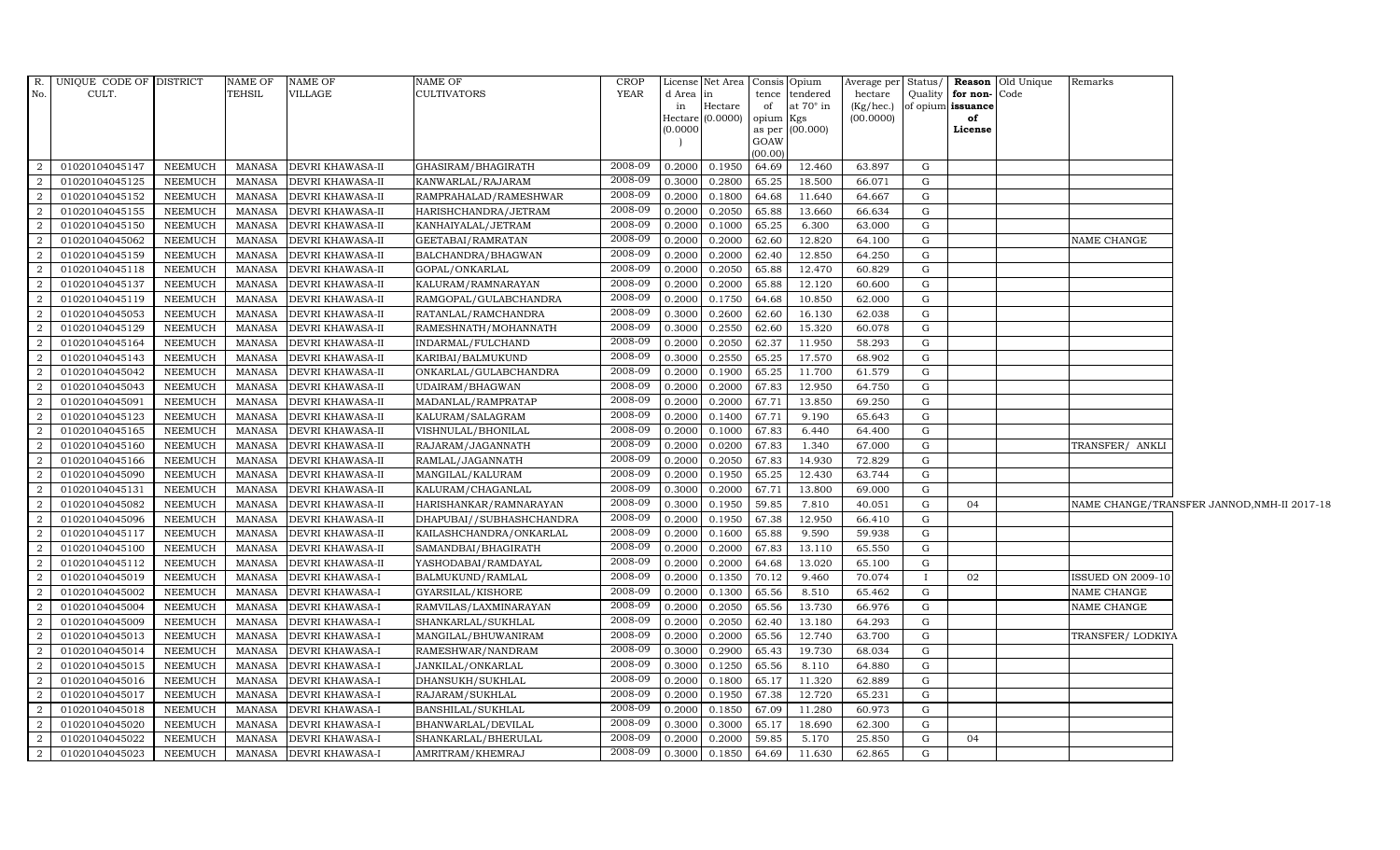|                | R. UNIQUE CODE OF DISTRICT |                | NAME OF       | <b>NAME OF</b>          | NAME OF                  | CROP    |           | License Net Area Consis Opium |           |                 |                 |              |                      | Average per Status/ Reason Old Unique | Remarks                  |                                             |
|----------------|----------------------------|----------------|---------------|-------------------------|--------------------------|---------|-----------|-------------------------------|-----------|-----------------|-----------------|--------------|----------------------|---------------------------------------|--------------------------|---------------------------------------------|
| No.            | CULT.                      |                | TEHSIL        | VILLAGE                 | <b>CULTIVATORS</b>       | YEAR    | d Area in |                               | tence     | tendered        | hectare         |              | Quality for non-Code |                                       |                          |                                             |
|                |                            |                |               |                         |                          |         | in        | Hectare                       | of        | at 70° in       | $(Kg/$ hec. $)$ |              | of opium issuance    |                                       |                          |                                             |
|                |                            |                |               |                         |                          |         | (0.0000)  | Hectare (0.0000)              | opium Kgs | as per (00.000) | (00.0000)       |              | of<br>License        |                                       |                          |                                             |
|                |                            |                |               |                         |                          |         |           |                               | GOAW      |                 |                 |              |                      |                                       |                          |                                             |
|                |                            |                |               |                         |                          |         |           |                               | (00.00)   |                 |                 |              |                      |                                       |                          |                                             |
| 2              | 01020104045147             | <b>NEEMUCH</b> | <b>MANASA</b> | <b>DEVRI KHAWASA-II</b> | GHASIRAM/BHAGIRATH       | 2008-09 | 0.2000    | 0.1950                        | 64.69     | 12.460          | 63.897          | G            |                      |                                       |                          |                                             |
| 2              | 01020104045125             | <b>NEEMUCH</b> | <b>MANASA</b> | <b>DEVRI KHAWASA-II</b> | KANWARLAL/RAJARAM        | 2008-09 | 0.3000    | 0.2800                        | 65.25     | 18.500          | 66.071          | G            |                      |                                       |                          |                                             |
| $\overline{2}$ | 01020104045152             | <b>NEEMUCH</b> | <b>MANASA</b> | <b>DEVRI KHAWASA-II</b> | RAMPRAHALAD/RAMESHWAR    | 2008-09 | 0.2000    | 0.1800                        | 64.68     | 11.640          | 64.667          | G            |                      |                                       |                          |                                             |
| $\overline{2}$ | 01020104045155             | <b>NEEMUCH</b> | <b>MANASA</b> | <b>DEVRI KHAWASA-II</b> | HARISHCHANDRA/JETRAM     | 2008-09 | 0.2000    | 0.2050                        | 65.88     | 13.660          | 66.634          | G            |                      |                                       |                          |                                             |
| $\overline{2}$ | 01020104045150             | <b>NEEMUCH</b> | <b>MANASA</b> | <b>DEVRI KHAWASA-II</b> | KANHAIYALAL/JETRAM       | 2008-09 | 0.2000    | 0.1000                        | 65.25     | 6.300           | 63.000          | G            |                      |                                       |                          |                                             |
| <sup>2</sup>   | 01020104045062             | <b>NEEMUCH</b> | MANASA        | DEVRI KHAWASA-II        | GEETABAI/RAMRATAN        | 2008-09 | 0.2000    | 0.2000                        | 62.60     | 12.820          | 64.100          | G            |                      |                                       | <b>NAME CHANGE</b>       |                                             |
| 2              | 01020104045159             | <b>NEEMUCH</b> | <b>MANASA</b> | <b>DEVRI KHAWASA-II</b> | BALCHANDRA/BHAGWAN       | 2008-09 | 0.2000    | 0.2000                        | 62.40     | 12.850          | 64.250          | $\mathbf G$  |                      |                                       |                          |                                             |
| $\overline{2}$ | 01020104045118             | <b>NEEMUCH</b> | <b>MANASA</b> | <b>DEVRI KHAWASA-II</b> | GOPAL/ONKARLAL           | 2008-09 | 0.2000    | 0.2050                        | 65.88     | 12.470          | 60.829          | $\mathbf G$  |                      |                                       |                          |                                             |
| $\overline{2}$ | 01020104045137             | <b>NEEMUCH</b> | <b>MANASA</b> | <b>DEVRI KHAWASA-II</b> | KALURAM/RAMNARAYAN       | 2008-09 | 0.2000    | 0.2000                        | 65.88     | 12.120          | 60.600          | G            |                      |                                       |                          |                                             |
| 2              | 01020104045119             | <b>NEEMUCH</b> | <b>MANASA</b> | DEVRI KHAWASA-II        | RAMGOPAL/GULABCHANDRA    | 2008-09 | 0.2000    | 0.1750                        | 64.68     | 10.850          | 62.000          | G            |                      |                                       |                          |                                             |
| 2              | 01020104045053             | <b>NEEMUCH</b> | MANASA        | <b>DEVRI KHAWASA-II</b> | RATANLAL/RAMCHANDRA      | 2008-09 | 0.3000    | 0.2600                        | 62.60     | 16.130          | 62.038          | G            |                      |                                       |                          |                                             |
| 2              | 01020104045129             | <b>NEEMUCH</b> | MANASA        | <b>DEVRI KHAWASA-II</b> | RAMESHNATH/MOHANNATH     | 2008-09 | 0.3000    | 0.2550                        | 62.60     | 15.320          | 60.078          | $\mathbf G$  |                      |                                       |                          |                                             |
| $\overline{2}$ | 01020104045164             | <b>NEEMUCH</b> | <b>MANASA</b> | DEVRI KHAWASA-II        | INDARMAL/FULCHAND        | 2008-09 | 0.2000    | 0.2050                        | 62.37     | 11.950          | 58.293          | G            |                      |                                       |                          |                                             |
| $\overline{2}$ | 01020104045143             | <b>NEEMUCH</b> | <b>MANASA</b> | <b>DEVRI KHAWASA-II</b> | KARIBAI/BALMUKUND        | 2008-09 | 0.3000    | 0.2550                        | 65.25     | 17.570          | 68.902          | $\mathbf G$  |                      |                                       |                          |                                             |
| $\overline{2}$ | 01020104045042             | <b>NEEMUCH</b> | <b>MANASA</b> | DEVRI KHAWASA-II        | ONKARLAL/GULABCHANDRA    | 2008-09 | 0.2000    | 0.1900                        | 65.25     | 11.700          | 61.579          | ${\rm G}$    |                      |                                       |                          |                                             |
| 2              | 01020104045043             | <b>NEEMUCH</b> | <b>MANASA</b> | <b>DEVRI KHAWASA-II</b> | UDAIRAM/BHAGWAN          | 2008-09 | 0.2000    | 0.2000                        | 67.83     | 12.950          | 64.750          | G            |                      |                                       |                          |                                             |
| <sup>2</sup>   | 01020104045091             | <b>NEEMUCH</b> | <b>MANASA</b> | <b>DEVRI KHAWASA-II</b> | MADANLAL/RAMPRATAP       | 2008-09 | 0.2000    | 0.2000                        | 67.71     | 13.850          | 69.250          | G            |                      |                                       |                          |                                             |
| $\overline{2}$ | 01020104045123             | <b>NEEMUCH</b> | <b>MANASA</b> | <b>DEVRI KHAWASA-II</b> | KALURAM/SALAGRAM         | 2008-09 | 0.2000    | 0.1400                        | 67.71     | 9.190           | 65.643          | $\mathbf G$  |                      |                                       |                          |                                             |
| $\overline{2}$ | 01020104045165             | <b>NEEMUCH</b> | <b>MANASA</b> | <b>DEVRI KHAWASA-II</b> | VISHNULAL/BHONILAL       | 2008-09 | 0.2000    | 0.1000                        | 67.83     | 6.440           | 64.400          | $\mathbf G$  |                      |                                       |                          |                                             |
| $\overline{2}$ | 01020104045160             | <b>NEEMUCH</b> | <b>MANASA</b> | DEVRI KHAWASA-II        | RAJARAM/JAGANNATH        | 2008-09 | 0.2000    | 0.0200                        | 67.83     | 1.340           | 67.000          | G            |                      |                                       | TRANSFER/ ANKLI          |                                             |
| $\overline{a}$ | 01020104045166             | <b>NEEMUCH</b> | MANASA        | <b>DEVRI KHAWASA-II</b> | RAMLAL/JAGANNATH         | 2008-09 | 0.2000    | 0.2050                        | 67.83     | 14.930          | 72.829          | G            |                      |                                       |                          |                                             |
| 2              | 01020104045090             | <b>NEEMUCH</b> | <b>MANASA</b> | <b>DEVRI KHAWASA-II</b> | MANGILAL/KALURAM         | 2008-09 | 0.2000    | 0.1950                        | 65.25     | 12.430          | 63.744          | G            |                      |                                       |                          |                                             |
| 2              | 01020104045131             | <b>NEEMUCH</b> | <b>MANASA</b> | <b>DEVRI KHAWASA-II</b> | KALURAM/CHAGANLAL        | 2008-09 | 0.3000    | 0.2000                        | 67.71     | 13.800          | 69.000          | G            |                      |                                       |                          |                                             |
| 2              | 01020104045082             | <b>NEEMUCH</b> | MANASA        | <b>DEVRI KHAWASA-II</b> | HARISHANKAR/RAMNARAYAN   | 2008-09 | 0.3000    | 0.1950                        | 59.85     | 7.810           | 40.051          | G            | 04                   |                                       |                          | NAME CHANGE/TRANSFER JANNOD, NMH-II 2017-18 |
| $\overline{2}$ | 01020104045096             | <b>NEEMUCH</b> | <b>MANASA</b> | <b>DEVRI KHAWASA-II</b> | DHAPUBAI//SUBHASHCHANDRA | 2008-09 | 0.2000    | 0.1950                        | 67.38     | 12.950          | 66.410          | $\mathbf G$  |                      |                                       |                          |                                             |
| $\overline{2}$ | 01020104045117             | <b>NEEMUCH</b> | <b>MANASA</b> | <b>DEVRI KHAWASA-II</b> | KAILASHCHANDRA/ONKARLAL  | 2008-09 | 0.2000    | 0.1600                        | 65.88     | 9.590           | 59.938          | ${\rm G}$    |                      |                                       |                          |                                             |
| 2              | 01020104045100             | <b>NEEMUCH</b> | <b>MANASA</b> | <b>DEVRI KHAWASA-II</b> | SAMANDBAI/BHAGIRATH      | 2008-09 | 0.2000    | 0.2000                        | 67.83     | 13.110          | 65.550          | G            |                      |                                       |                          |                                             |
| 2              | 01020104045112             | <b>NEEMUCH</b> | MANASA        | <b>DEVRI KHAWASA-II</b> | YASHODABAI/RAMDAYAL      | 2008-09 | 0.2000    | 0.2000                        | 64.68     | 13.020          | 65.100          | G            |                      |                                       |                          |                                             |
| 2              | 01020104045019             | <b>NEEMUCH</b> | <b>MANASA</b> | <b>DEVRI KHAWASA-I</b>  | BALMUKUND/RAMLAL         | 2008-09 | 0.2000    | 0.1350                        | 70.12     | 9.460           | 70.074          | $\mathbf{I}$ | 02                   |                                       | <b>ISSUED ON 2009-10</b> |                                             |
| <sup>2</sup>   | 01020104045002             | <b>NEEMUCH</b> | <b>MANASA</b> | <b>DEVRI KHAWASA-I</b>  | GYARSILAL/KISHORE        | 2008-09 | 0.2000    | 0.1300                        | 65.56     | 8.510           | 65.462          | G            |                      |                                       | NAME CHANGE              |                                             |
| $\overline{2}$ | 01020104045004             | <b>NEEMUCH</b> | <b>MANASA</b> | <b>DEVRI KHAWASA-I</b>  | RAMVILAS/LAXMINARAYAN    | 2008-09 | 0.2000    | 0.2050                        | 65.56     | 13.730          | 66.976          | G            |                      |                                       | NAME CHANGE              |                                             |
| $\overline{2}$ | 01020104045009             | <b>NEEMUCH</b> | <b>MANASA</b> | <b>DEVRI KHAWASA-I</b>  | SHANKARLAL/SUKHLAL       | 2008-09 | 0.2000    | 0.2050                        | 62.40     | 13.180          | 64.293          | ${\rm G}$    |                      |                                       |                          |                                             |
| 2              | 01020104045013             | <b>NEEMUCH</b> | <b>MANASA</b> | <b>DEVRI KHAWASA-I</b>  | MANGILAL/BHUWANIRAM      | 2008-09 | 0.2000    | 0.2000                        | 65.56     | 12.740          | 63.700          | G            |                      |                                       | TRANSFER/LODKIYA         |                                             |
| 2              | 01020104045014             | <b>NEEMUCH</b> | <b>MANASA</b> | <b>DEVRI KHAWASA-I</b>  | RAMESHWAR/NANDRAM        | 2008-09 | 0.3000    | 0.2900                        | 65.43     | 19.730          | 68.034          | G            |                      |                                       |                          |                                             |
| 2              | 01020104045015             | <b>NEEMUCH</b> | MANASA        | <b>DEVRI KHAWASA-I</b>  | JANKILAL/ONKARLAL        | 2008-09 | 0.3000    | 0.1250                        | 65.56     | 8.110           | 64.880          | G            |                      |                                       |                          |                                             |
| $\overline{2}$ | 01020104045016             | <b>NEEMUCH</b> | <b>MANASA</b> | <b>DEVRI KHAWASA-I</b>  | DHANSUKH/SUKHLAL         | 2008-09 | 0.2000    | 0.1800                        | 65.17     | 11.320          | 62.889          | $\mathbf G$  |                      |                                       |                          |                                             |
| $\overline{2}$ | 01020104045017             | <b>NEEMUCH</b> | <b>MANASA</b> | <b>DEVRI KHAWASA-I</b>  | RAJARAM/SUKHLAL          | 2008-09 | 0.2000    | 0.1950                        | 67.38     | 12.720          | 65.231          | $\mathbf G$  |                      |                                       |                          |                                             |
| 2              | 01020104045018             | <b>NEEMUCH</b> | <b>MANASA</b> | <b>DEVRI KHAWASA-I</b>  | BANSHILAL/SUKHLAL        | 2008-09 | 0.2000    | 0.1850                        | 67.09     | 11.280          | 60.973          | G            |                      |                                       |                          |                                             |
| 2              | 01020104045020             | <b>NEEMUCH</b> | <b>MANASA</b> | <b>DEVRI KHAWASA-I</b>  | BHANWARLAL/DEVILAL       | 2008-09 | 0.3000    | 0.3000                        | 65.17     | 18.690          | 62.300          | G            |                      |                                       |                          |                                             |
| 2              | 01020104045022             | <b>NEEMUCH</b> | <b>MANASA</b> | DEVRI KHAWASA-I         | SHANKARLAL/BHERULAL      | 2008-09 | 0.2000    | 0.2000                        | 59.85     | 5.170           | 25.850          | G            | 04                   |                                       |                          |                                             |
| $\overline{a}$ | 01020104045023             | <b>NEEMUCH</b> | MANASA        | <b>DEVRI KHAWASA-I</b>  | AMRITRAM/KHEMRAJ         | 2008-09 | 0.3000    | 0.1850                        | 64.69     | 11.630          | 62.865          | $\mathbf G$  |                      |                                       |                          |                                             |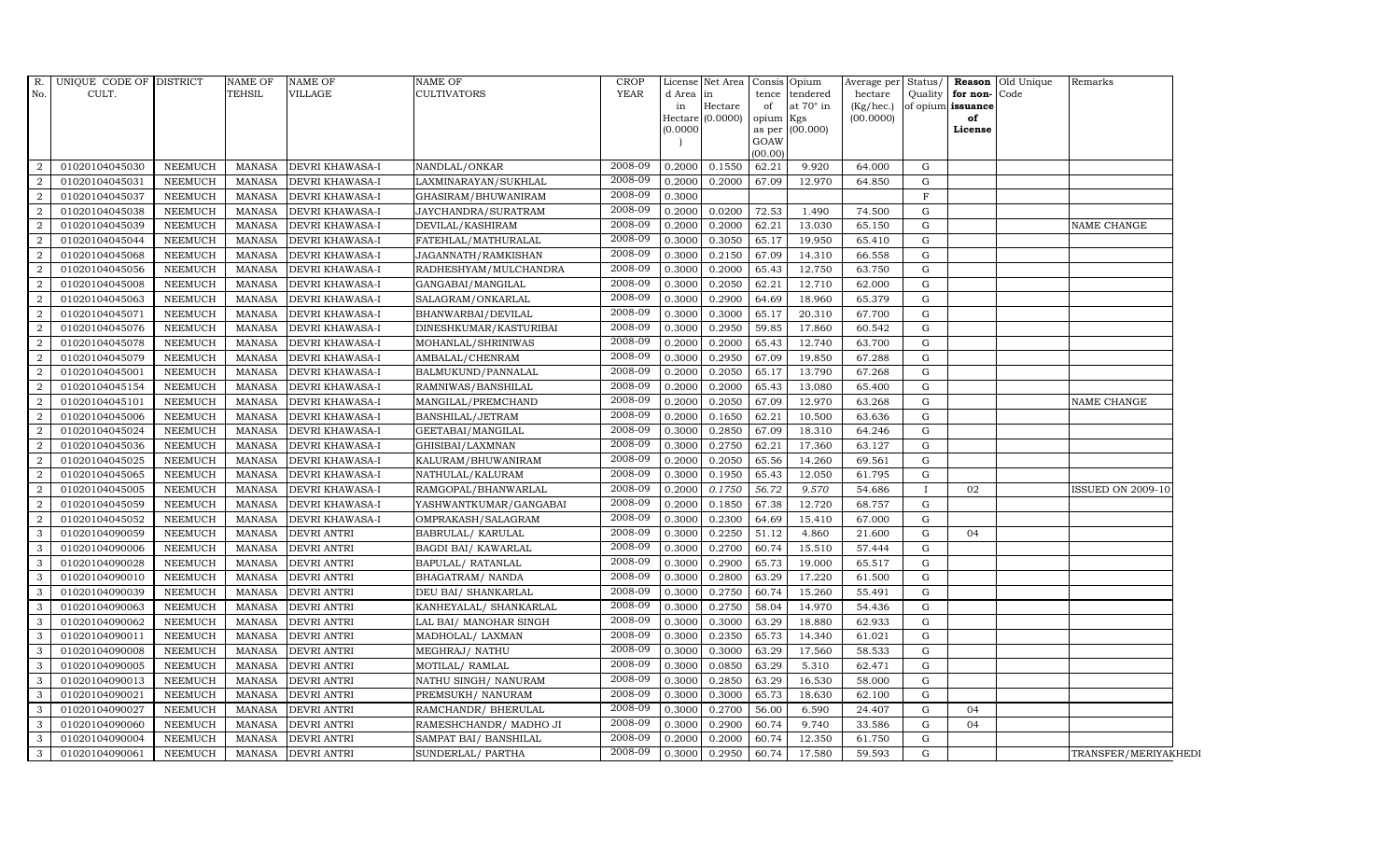| R.             | UNIQUE CODE OF DISTRICT |                | NAME OF       | <b>NAME OF</b>         | NAME OF                | <b>CROP</b> |           | License Net Area              |                 | Consis Opium     | Average per Status/    |              |                         | <b>Reason</b> Old Unique | Remarks              |
|----------------|-------------------------|----------------|---------------|------------------------|------------------------|-------------|-----------|-------------------------------|-----------------|------------------|------------------------|--------------|-------------------------|--------------------------|----------------------|
| No.            | CULT.                   |                | TEHSIL        | VILLAGE                | <b>CULTIVATORS</b>     | <b>YEAR</b> | d Area in |                               |                 | tence tendered   | hectare                | Quality      | for non-Code            |                          |                      |
|                |                         |                |               |                        |                        |             | in        | Hectare<br>Hectare $(0.0000)$ | of<br>opium Kgs | at $70^\circ$ in | (Kg/hec.)<br>(00.0000) |              | of opium issuance<br>of |                          |                      |
|                |                         |                |               |                        |                        |             | (0.0000)  |                               |                 | as per (00.000)  |                        |              | License                 |                          |                      |
|                |                         |                |               |                        |                        |             |           |                               | GOAW            |                  |                        |              |                         |                          |                      |
|                |                         |                |               |                        |                        | 2008-09     |           |                               | (00.00)         |                  |                        |              |                         |                          |                      |
| 2              | 01020104045030          | <b>NEEMUCH</b> | MANASA        | <b>DEVRI KHAWASA-I</b> | NANDLAL/ONKAR          |             | 0.2000    | 0.1550                        | 62.21           | 9.920            | 64.000                 | G            |                         |                          |                      |
| $\overline{2}$ | 01020104045031          | <b>NEEMUCH</b> | MANASA        | <b>DEVRI KHAWASA-I</b> | LAXMINARAYAN/SUKHLAL   | 2008-09     | 0.2000    | 0.2000                        | 67.09           | 12.970           | 64.850                 | G            |                         |                          |                      |
| 2              | 01020104045037          | <b>NEEMUCH</b> | <b>MANASA</b> | <b>DEVRI KHAWASA-I</b> | GHASIRAM/BHUWANIRAM    | 2008-09     | 0.3000    |                               |                 |                  |                        | $\mathbf F$  |                         |                          |                      |
| $\overline{2}$ | 01020104045038          | <b>NEEMUCH</b> | <b>MANASA</b> | <b>DEVRI KHAWASA-I</b> | JAYCHANDRA/SURATRAM    | 2008-09     | 0.2000    | 0.0200                        | 72.53           | 1.490            | 74.500                 | G            |                         |                          |                      |
| 2              | 01020104045039          | <b>NEEMUCH</b> | <b>MANASA</b> | <b>DEVRI KHAWASA-I</b> | DEVILAL/KASHIRAM       | 2008-09     | 0.2000    | 0.2000                        | 62.21           | 13.030           | 65.150                 | G            |                         |                          | NAME CHANGE          |
| 2              | 01020104045044          | <b>NEEMUCH</b> | MANASA        | <b>DEVRI KHAWASA-I</b> | FATEHLAL/MATHURALAL    | 2008-09     | 0.3000    | 0.3050                        | 65.17           | 19.950           | 65.410                 | G            |                         |                          |                      |
| 2              | 01020104045068          | <b>NEEMUCH</b> | <b>MANASA</b> | <b>DEVRI KHAWASA-I</b> | JAGANNATH/RAMKISHAN    | 2008-09     | 0.3000    | 0.2150                        | 67.09           | 14.310           | 66.558                 | G            |                         |                          |                      |
| 2              | 01020104045056          | <b>NEEMUCH</b> | <b>MANASA</b> | <b>DEVRI KHAWASA-I</b> | RADHESHYAM/MULCHANDRA  | 2008-09     | 0.3000    | 0.2000                        | 65.43           | 12.750           | 63.750                 | G            |                         |                          |                      |
| $\overline{2}$ | 01020104045008          | <b>NEEMUCH</b> | <b>MANASA</b> | <b>DEVRI KHAWASA-I</b> | GANGABAI/MANGILAL      | 2008-09     | 0.3000    | 0.2050                        | 62.21           | 12.710           | 62.000                 | G            |                         |                          |                      |
| 2              | 01020104045063          | <b>NEEMUCH</b> | <b>MANASA</b> | <b>DEVRI KHAWASA-I</b> | SALAGRAM/ONKARLAL      | 2008-09     | 0.3000    | 0.2900                        | 64.69           | 18.960           | 65.379                 | G            |                         |                          |                      |
| $\overline{2}$ | 01020104045071          | <b>NEEMUCH</b> | <b>MANASA</b> | <b>DEVRI KHAWASA-I</b> | BHANWARBAI/DEVILAL     | 2008-09     | 0.3000    | 0.3000                        | 65.17           | 20.310           | 67.700                 | G            |                         |                          |                      |
| 2              | 01020104045076          | <b>NEEMUCH</b> | MANASA        | <b>DEVRI KHAWASA-I</b> | DINESHKUMAR/KASTURIBAI | 2008-09     | 0.3000    | 0.2950                        | 59.85           | 17.860           | 60.542                 | G            |                         |                          |                      |
| 2              | 01020104045078          | <b>NEEMUCH</b> | <b>MANASA</b> | DEVRI KHAWASA-I        | MOHANLAL/SHRINIWAS     | 2008-09     | 0.2000    | 0.2000                        | 65.43           | 12.740           | 63.700                 | G            |                         |                          |                      |
| 2              | 01020104045079          | <b>NEEMUCH</b> | <b>MANASA</b> | <b>DEVRI KHAWASA-I</b> | AMBALAL/CHENRAM        | 2008-09     | 0.3000    | 0.2950                        | 67.09           | 19.850           | 67.288                 | G            |                         |                          |                      |
| $\overline{2}$ | 01020104045001          | <b>NEEMUCH</b> | MANASA        | <b>DEVRI KHAWASA-I</b> | BALMUKUND/PANNALAL     | 2008-09     | 0.2000    | 0.2050                        | 65.17           | 13.790           | 67.268                 | G            |                         |                          |                      |
| $\overline{2}$ | 01020104045154          | <b>NEEMUCH</b> | <b>MANASA</b> | <b>DEVRI KHAWASA-I</b> | RAMNIWAS/BANSHILAL     | 2008-09     | 0.2000    | 0.2000                        | 65.43           | 13.080           | 65.400                 | G            |                         |                          |                      |
| 2              | 01020104045101          | <b>NEEMUCH</b> | <b>MANASA</b> | <b>DEVRI KHAWASA-I</b> | MANGILAL/PREMCHAND     | 2008-09     | 0.2000    | 0.2050                        | 67.09           | 12.970           | 63.268                 | G            |                         |                          | NAME CHANGE          |
| 2              | 01020104045006          | <b>NEEMUCH</b> | MANASA        | DEVRI KHAWASA-I        | BANSHILAL/JETRAM       | 2008-09     | 0.2000    | 0.1650                        | 62.21           | 10.500           | 63.636                 | G            |                         |                          |                      |
| 2              | 01020104045024          | <b>NEEMUCH</b> | <b>MANASA</b> | <b>DEVRI KHAWASA-I</b> | GEETABAI/MANGILAL      | 2008-09     | 0.3000    | 0.2850                        | 67.09           | 18.310           | 64.246                 | G            |                         |                          |                      |
| $\overline{2}$ | 01020104045036          | <b>NEEMUCH</b> | <b>MANASA</b> | <b>DEVRI KHAWASA-I</b> | GHISIBAI/LAXMNAN       | 2008-09     | 0.3000    | 0.2750                        | 62.21           | 17.360           | 63.127                 | G            |                         |                          |                      |
| 2              | 01020104045025          | <b>NEEMUCH</b> | <b>MANASA</b> | <b>DEVRI KHAWASA-I</b> | KALURAM/BHUWANIRAM     | 2008-09     | 0.2000    | 0.2050                        | 65.56           | 14.260           | 69.561                 | G            |                         |                          |                      |
| $\overline{2}$ | 01020104045065          | <b>NEEMUCH</b> | <b>MANASA</b> | DEVRI KHAWASA-I        | NATHULAL/KALURAM       | 2008-09     | 0.3000    | 0.1950                        | 65.43           | 12.050           | 61.795                 | G            |                         |                          |                      |
| 2              | 01020104045005          | <b>NEEMUCH</b> | MANASA        | <b>DEVRI KHAWASA-I</b> | RAMGOPAL/BHANWARLAL    | 2008-09     | 0.2000    | 0.1750                        | 56.72           | 9.570            | 54.686                 | $\mathbf{I}$ | 02                      |                          | ISSUED ON 2009-10    |
| 2              | 01020104045059          | <b>NEEMUCH</b> | <b>MANASA</b> | <b>DEVRI KHAWASA-I</b> | YASHWANTKUMAR/GANGABAI | 2008-09     | 0.2000    | 0.1850                        | 67.38           | 12.720           | 68.757                 | G            |                         |                          |                      |
| $\overline{2}$ | 01020104045052          | <b>NEEMUCH</b> | <b>MANASA</b> | <b>DEVRI KHAWASA-I</b> | OMPRAKASH/SALAGRAM     | 2008-09     | 0.3000    | 0.2300                        | 64.69           | 15.410           | 67.000                 | G            |                         |                          |                      |
| 3              | 01020104090059          | <b>NEEMUCH</b> | MANASA        | <b>DEVRI ANTRI</b>     | BABRULAL/KARULAL       | 2008-09     | 0.3000    | 0.2250                        | 51.12           | 4.860            | 21.600                 | G            | 04                      |                          |                      |
| 3              | 01020104090006          | <b>NEEMUCH</b> | <b>MANASA</b> | <b>DEVRI ANTRI</b>     | BAGDI BAI/ KAWARLAL    | 2008-09     | 0.3000    | 0.2700                        | 60.74           | 15.510           | 57.444                 | G            |                         |                          |                      |
| $\mathbf{3}$   | 01020104090028          | <b>NEEMUCH</b> | MANASA        | <b>DEVRI ANTRI</b>     | BAPULAL/ RATANLAL      | 2008-09     | 0.3000    | 0.2900                        | 65.73           | 19.000           | 65.517                 | G            |                         |                          |                      |
| $\mathbf{3}$   | 01020104090010          | <b>NEEMUCH</b> | <b>MANASA</b> | <b>DEVRI ANTRI</b>     | BHAGATRAM/ NANDA       | 2008-09     | 0.3000    | 0.2800                        | 63.29           | 17.220           | 61.500                 | G            |                         |                          |                      |
| 3              | 01020104090039          | <b>NEEMUCH</b> | <b>MANASA</b> | <b>DEVRI ANTRI</b>     | DEU BAI/ SHANKARLAL    | 2008-09     | 0.3000    | 0.2750                        | 60.74           | 15.260           | 55.491                 | G            |                         |                          |                      |
| 3              | 01020104090063          | <b>NEEMUCH</b> | MANASA        | <b>DEVRI ANTRI</b>     | KANHEYALAL/ SHANKARLAL | 2008-09     | 0.3000    | 0.2750                        | 58.04           | 14.970           | 54.436                 | G            |                         |                          |                      |
| $\mathbf{3}$   | 01020104090062          | <b>NEEMUCH</b> | <b>MANASA</b> | <b>DEVRI ANTRI</b>     | LAL BAI/ MANOHAR SINGH | 2008-09     | 0.3000    | 0.3000                        | 63.29           | 18.880           | 62.933                 | G            |                         |                          |                      |
| $\mathbf{3}$   | 01020104090011          | NEEMUCH        | MANASA        | <b>DEVRI ANTRI</b>     | MADHOLAL/ LAXMAN       | 2008-09     | 0.3000    | 0.2350                        | 65.73           | 14.340           | 61.021                 | G            |                         |                          |                      |
| 3              | 01020104090008          | <b>NEEMUCH</b> | <b>MANASA</b> | <b>DEVRI ANTRI</b>     | MEGHRAJ / NATHU        | 2008-09     | 0.3000    | 0.3000                        | 63.29           | 17.560           | 58.533                 | G            |                         |                          |                      |
| 3              | 01020104090005          | <b>NEEMUCH</b> | <b>MANASA</b> | <b>DEVRI ANTRI</b>     | MOTILAL/ RAMLAL        | 2008-09     | 0.3000    | 0.0850                        | 63.29           | 5.310            | 62.471                 | G            |                         |                          |                      |
| $\mathbf{3}$   | 01020104090013          | <b>NEEMUCH</b> | <b>MANASA</b> | <b>DEVRI ANTRI</b>     | NATHU SINGH/ NANURAM   | 2008-09     | 0.3000    | 0.2850                        | 63.29           | 16.530           | 58.000                 | G            |                         |                          |                      |
| $\mathbf{3}$   | 01020104090021          | <b>NEEMUCH</b> | <b>MANASA</b> | <b>DEVRI ANTRI</b>     | PREMSUKH/ NANURAM      | 2008-09     | 0.3000    | 0.3000                        | 65.73           | 18.630           | 62.100                 | G            |                         |                          |                      |
| $\mathbf{3}$   | 01020104090027          | NEEMUCH        | MANASA        | <b>DEVRI ANTRI</b>     | RAMCHANDR/ BHERULAL    | 2008-09     | 0.3000    | 0.2700                        | 56.00           | 6.590            | 24.407                 | G            | 04                      |                          |                      |
| 3              | 01020104090060          | <b>NEEMUCH</b> | <b>MANASA</b> | <b>DEVRI ANTRI</b>     | RAMESHCHANDR/ MADHO JI | 2008-09     | 0.3000    | 0.2900                        | 60.74           | 9.740            | 33.586                 | G            | 04                      |                          |                      |
| 3              | 01020104090004          | <b>NEEMUCH</b> | <b>MANASA</b> | <b>DEVRI ANTRI</b>     | SAMPAT BAI/ BANSHILAL  | 2008-09     | 0.2000    | 0.2000                        | 60.74           | 12.350           | 61.750                 | G            |                         |                          |                      |
| $\mathbf{3}$   | 01020104090061          | NEEMUCH        | MANASA        | <b>DEVRI ANTRI</b>     | SUNDERLAL/ PARTHA      | 2008-09     | 0.3000    | 0.2950                        | 60.74           | 17.580           | 59.593                 | G            |                         |                          | TRANSFER/MERIYAKHEDI |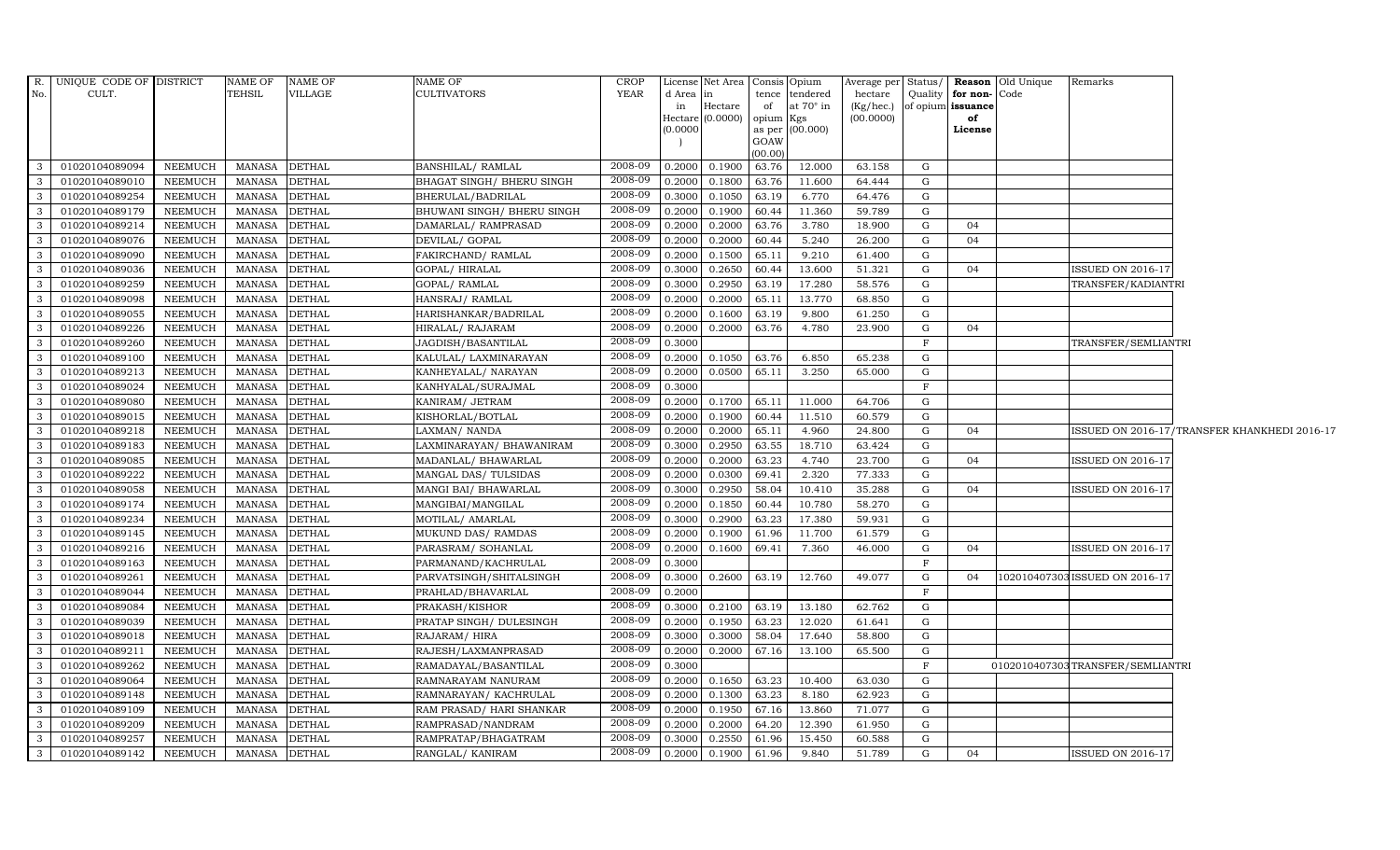|                | R. UNIQUE CODE OF DISTRICT |                | NAME OF       | <b>NAME OF</b> | <b>NAME OF</b>             | <b>CROP</b> |          | License Net Area   Consis   Opium |           |                 |                 |              |                      | Average per Status/ <b>Reason</b> Old Unique | Remarks                          |                                              |
|----------------|----------------------------|----------------|---------------|----------------|----------------------------|-------------|----------|-----------------------------------|-----------|-----------------|-----------------|--------------|----------------------|----------------------------------------------|----------------------------------|----------------------------------------------|
| No.            | CULT.                      |                | TEHSIL        | VILLAGE        | <b>CULTIVATORS</b>         | YEAR        | d Area   | in                                |           | tence tendered  | hectare         |              | Quality for non-Code |                                              |                                  |                                              |
|                |                            |                |               |                |                            |             | in       | Hectare                           | of        | at 70° in       | $(Kg/$ hec. $)$ |              | of opium issuance    |                                              |                                  |                                              |
|                |                            |                |               |                |                            |             | Hectare  | (0.0000)                          | opium Kgs |                 | (00.0000)       |              | of                   |                                              |                                  |                                              |
|                |                            |                |               |                |                            |             | (0.0000) |                                   | GOAW      | as per (00.000) |                 |              | License              |                                              |                                  |                                              |
|                |                            |                |               |                |                            |             |          |                                   | (00.00)   |                 |                 |              |                      |                                              |                                  |                                              |
| $\mathbf{3}$   | 01020104089094             | NEEMUCH        | <b>MANASA</b> | <b>DETHAL</b>  | BANSHILAL/ RAMLAL          | 2008-09     | 0.2000   | 0.1900                            | 63.76     | 12.000          | 63.158          | G            |                      |                                              |                                  |                                              |
| $\mathbf{3}$   | 01020104089010             | NEEMUCH        | <b>MANASA</b> | <b>DETHAL</b>  | BHAGAT SINGH / BHERU SINGH | 2008-09     | 0.2000   | 0.1800                            | 63.76     | 11.600          | 64.444          | G            |                      |                                              |                                  |                                              |
| 3              | 01020104089254             | NEEMUCH        | <b>MANASA</b> | <b>DETHAL</b>  | BHERULAL/BADRILAL          | 2008-09     | 0.3000   | 0.1050                            | 63.19     | 6.770           | 64.476          | G            |                      |                                              |                                  |                                              |
| $\mathbf{3}$   | 01020104089179             | NEEMUCH        | <b>MANASA</b> | <b>DETHAL</b>  | BHUWANI SINGH/ BHERU SINGH | 2008-09     | 0.2000   | 0.1900                            | 60.44     | 11.360          | 59.789          | G            |                      |                                              |                                  |                                              |
| $\mathbf{3}$   | 01020104089214             | NEEMUCH        | <b>MANASA</b> | <b>DETHAL</b>  | DAMARLAL/ RAMPRASAD        | 2008-09     | 0.2000   | 0.2000                            | 63.76     | 3.780           | 18.900          | G            | 04                   |                                              |                                  |                                              |
| $\mathbf{3}$   | 01020104089076             | NEEMUCH        | <b>MANASA</b> | <b>DETHAL</b>  | DEVILAL/ GOPAL             | 2008-09     | 0.2000   | 0.2000                            | 60.44     | 5.240           | 26.200          | G            | 04                   |                                              |                                  |                                              |
| 3              | 01020104089090             | NEEMUCH        | <b>MANASA</b> | <b>DETHAL</b>  | FAKIRCHAND/RAMLAL          | 2008-09     | 0.2000   | 0.1500                            | 65.11     | 9.210           | 61.400          | G            |                      |                                              |                                  |                                              |
| $\mathbf{3}$   | 01020104089036             | NEEMUCH        | <b>MANASA</b> | <b>DETHAL</b>  | GOPAL/HIRALAL              | 2008-09     | 0.3000   | 0.2650                            | 60.44     | 13.600          | 51.321          | G            | 04                   |                                              | <b>ISSUED ON 2016-17</b>         |                                              |
| $\mathbf{3}$   | 01020104089259             | NEEMUCH        | <b>MANASA</b> | <b>DETHAL</b>  | GOPAL/ RAMLAL              | 2008-09     | 0.3000   | 0.2950                            | 63.19     | 17.280          | 58.576          | G            |                      |                                              | TRANSFER/KADIANTRI               |                                              |
| $\mathbf{3}$   | 01020104089098             | NEEMUCH        | <b>MANASA</b> | <b>DETHAL</b>  | HANSRAJ/RAMLAL             | 2008-09     | 0.2000   | 0.2000                            | 65.11     | 13.770          | 68.850          | ${\rm G}$    |                      |                                              |                                  |                                              |
| $\mathbf{3}$   | 01020104089055             | NEEMUCH        | <b>MANASA</b> | <b>DETHAL</b>  | HARISHANKAR/BADRILAL       | 2008-09     | 0.2000   | 0.1600                            | 63.19     | 9.800           | 61.250          | G            |                      |                                              |                                  |                                              |
| $\mathbf{3}$   | 01020104089226             | <b>NEEMUCH</b> | <b>MANASA</b> | <b>DETHAL</b>  | HIRALAL/ RAJARAM           | 2008-09     | 0.2000   | 0.2000                            | 63.76     | 4.780           | 23.900          | G            | 04                   |                                              |                                  |                                              |
| $\mathbf{3}$   | 01020104089260             | NEEMUCH        | <b>MANASA</b> | <b>DETHAL</b>  | JAGDISH/BASANTILAL         | 2008-09     | 0.3000   |                                   |           |                 |                 | $\mathbf{F}$ |                      |                                              | TRANSFER/SEMLIANTRI              |                                              |
| $\mathbf{3}$   | 01020104089100             | <b>NEEMUCH</b> | <b>MANASA</b> | <b>DETHAL</b>  | KALULAL/ LAXMINARAYAN      | 2008-09     | 0.2000   | 0.1050                            | 63.76     | 6.850           | 65.238          | G            |                      |                                              |                                  |                                              |
| $\mathbf{3}$   | 01020104089213             | NEEMUCH        | <b>MANASA</b> | <b>DETHAL</b>  | KANHEYALAL/ NARAYAN        | 2008-09     | 0.2000   | 0.0500                            | 65.11     | 3.250           | 65.000          | G            |                      |                                              |                                  |                                              |
| $\mathbf{3}$   | 01020104089024             | NEEMUCH        | <b>MANASA</b> | <b>DETHAL</b>  | KANHYALAL/SURAJMAL         | 2008-09     | 0.3000   |                                   |           |                 |                 | $\mathbf F$  |                      |                                              |                                  |                                              |
| $\mathbf{3}$   | 01020104089080             | <b>NEEMUCH</b> | <b>MANASA</b> | <b>DETHAL</b>  | KANIRAM/ JETRAM            | 2008-09     | 0.2000   | 0.1700                            | 65.11     | 11.000          | 64.706          | G            |                      |                                              |                                  |                                              |
| $\mathbf{3}$   | 01020104089015             | NEEMUCH        | <b>MANASA</b> | <b>DETHAL</b>  | KISHORLAL/BOTLAL           | 2008-09     | 0.2000   | 0.1900                            | 60.44     | 11.510          | 60.579          | G            |                      |                                              |                                  |                                              |
| 3              | 01020104089218             | NEEMUCH        | <b>MANASA</b> | <b>DETHAL</b>  | LAXMAN/ NANDA              | 2008-09     | 0.2000   | 0.2000                            | 65.11     | 4.960           | 24.800          | G            | 04                   |                                              |                                  | ISSUED ON 2016-17/TRANSFER KHANKHEDI 2016-17 |
| $\mathbf{3}$   | 01020104089183             | NEEMUCH        | <b>MANASA</b> | <b>DETHAL</b>  | LAXMINARAYAN / BHAWANIRAM  | 2008-09     | 0.3000   | 0.2950                            | 63.55     | 18.710          | 63.424          | $\mathbf G$  |                      |                                              |                                  |                                              |
| 3 <sup>1</sup> | 01020104089085             | NEEMUCH        | <b>MANASA</b> | <b>DETHAL</b>  | MADANLAL/ BHAWARLAL        | 2008-09     | 0.2000   | 0.2000                            | 63.23     | 4.740           | 23.700          | G            | 04                   |                                              | <b>ISSUED ON 2016-17</b>         |                                              |
| $\mathbf{3}$   | 01020104089222             | NEEMUCH        | <b>MANASA</b> | <b>DETHAL</b>  | MANGAL DAS/ TULSIDAS       | 2008-09     | 0.2000   | 0.0300                            | 69.41     | 2.320           | 77.333          | G            |                      |                                              |                                  |                                              |
| $\mathbf{3}$   | 01020104089058             | <b>NEEMUCH</b> | <b>MANASA</b> | <b>DETHAL</b>  | MANGI BAI/ BHAWARLAL       | 2008-09     | 0.3000   | 0.2950                            | 58.04     | 10.410          | 35.288          | G            | 04                   |                                              | <b>SSUED ON 2016-17</b>          |                                              |
| $\mathbf{3}$   | 01020104089174             | NEEMUCH        | <b>MANASA</b> | <b>DETHAL</b>  | MANGIBAI/MANGILAL          | 2008-09     | 0.2000   | 0.1850                            | 60.44     | 10.780          | 58.270          | G            |                      |                                              |                                  |                                              |
| 3              | 01020104089234             | NEEMUCH        | <b>MANASA</b> | <b>DETHAL</b>  | MOTILAL/ AMARLAL           | 2008-09     | 0.3000   | 0.2900                            | 63.23     | 17.380          | 59.931          | G            |                      |                                              |                                  |                                              |
| $\mathbf{3}$   | 01020104089145             | NEEMUCH        | <b>MANASA</b> | <b>DETHAL</b>  | MUKUND DAS/ RAMDAS         | 2008-09     | 0.2000   | 0.1900                            | 61.96     | 11.700          | 61.579          | G            |                      |                                              |                                  |                                              |
| $\mathbf{3}$   | 01020104089216             | NEEMUCH        | <b>MANASA</b> | <b>DETHAL</b>  | PARASRAM/ SOHANLAL         | 2008-09     | 0.2000   | 0.1600                            | 69.41     | 7.360           | 46.000          | G            | 04                   |                                              | <b>ISSUED ON 2016-17</b>         |                                              |
| $\mathbf{3}$   | 01020104089163             | NEEMUCH        | <b>MANASA</b> | <b>DETHAL</b>  | PARMANAND/KACHRULAL        | 2008-09     | 0.3000   |                                   |           |                 |                 | $\mathbf F$  |                      |                                              |                                  |                                              |
| $\mathbf{3}$   | 01020104089261             | NEEMUCH        | <b>MANASA</b> | <b>DETHAL</b>  | PARVATSINGH/SHITALSINGH    | 2008-09     | 0.3000   | 0.2600                            | 63.19     | 12.760          | 49.077          | G            | 04                   | 10201040730                                  | ISSUED ON 2016-17                |                                              |
| 3              | 01020104089044             | NEEMUCH        | <b>MANASA</b> | <b>DETHAL</b>  | PRAHLAD/BHAVARLAL          | 2008-09     | 0.2000   |                                   |           |                 |                 | $_{\rm F}$   |                      |                                              |                                  |                                              |
| $\mathbf{3}$   | 01020104089084             | NEEMUCH        | <b>MANASA</b> | <b>DETHAL</b>  | PRAKASH/KISHOR             | 2008-09     | 0.3000   | 0.2100                            | 63.19     | 13.180          | 62.762          | $\mathbf G$  |                      |                                              |                                  |                                              |
| $\mathbf{3}$   | 01020104089039             | <b>NEEMUCH</b> | <b>MANASA</b> | <b>DETHAL</b>  | PRATAP SINGH/ DULESINGH    | 2008-09     | 0.2000   | 0.1950                            | 63.23     | 12.020          | 61.641          | ${\rm G}$    |                      |                                              |                                  |                                              |
| $\mathbf{3}$   | 01020104089018             | NEEMUCH        | <b>MANASA</b> | <b>DETHAL</b>  | RAJARAM/HIRA               | 2008-09     | 0.3000   | 0.3000                            | 58.04     | 17.640          | 58.800          | G            |                      |                                              |                                  |                                              |
| 3              | 01020104089211             | <b>NEEMUCH</b> | <b>MANASA</b> | <b>DETHAL</b>  | RAJESH/LAXMANPRASAD        | 2008-09     | 0.2000   | 0.2000                            | 67.16     | 13.100          | 65.500          | G            |                      |                                              |                                  |                                              |
| $\mathbf{3}$   | 01020104089262             | NEEMUCH        | <b>MANASA</b> | <b>DETHAL</b>  | RAMADAYAL/BASANTILAL       | 2008-09     | 0.3000   |                                   |           |                 |                 | $\mathbf F$  |                      |                                              | 0102010407303TRANSFER/SEMLIANTRI |                                              |
| 3              | 01020104089064             | <b>NEEMUCH</b> | <b>MANASA</b> | <b>DETHAL</b>  | RAMNARAYAM NANURAM         | 2008-09     | 0.2000   | 0.1650                            | 63.23     | 10.400          | 63.030          | G            |                      |                                              |                                  |                                              |
| 3              | 01020104089148             | NEEMUCH        | <b>MANASA</b> | <b>DETHAL</b>  | RAMNARAYAN/KACHRULAL       | 2008-09     | 0.2000   | 0.1300                            | 63.23     | 8.180           | 62.923          | $\mathbf G$  |                      |                                              |                                  |                                              |
| $\mathbf{3}$   | 01020104089109             | NEEMUCH        | <b>MANASA</b> | <b>DETHAL</b>  | RAM PRASAD/ HARI SHANKAR   | 2008-09     | 0.2000   | 0.1950                            | 67.16     | 13.860          | 71.077          | G            |                      |                                              |                                  |                                              |
| $\mathbf{3}$   | 01020104089209             | NEEMUCH        | <b>MANASA</b> | <b>DETHAL</b>  | RAMPRASAD/NANDRAM          | 2008-09     | 0.2000   | 0.2000                            | 64.20     | 12.390          | 61.950          | G            |                      |                                              |                                  |                                              |
| $\mathbf{3}$   | 01020104089257             | NEEMUCH        | <b>MANASA</b> | <b>DETHAL</b>  | RAMPRATAP/BHAGATRAM        | 2008-09     | 0.3000   | 0.2550                            | 61.96     | 15.450          | 60.588          | G            |                      |                                              |                                  |                                              |
| $\mathbf{3}$   | 01020104089142             | NEEMUCH        | MANASA        | <b>DETHAL</b>  | RANGLAL/ KANIRAM           | 2008-09     | 0.2000   | 0.1900                            | 61.96     | 9.840           | 51.789          | G            | 04                   |                                              | <b>ISSUED ON 2016-17</b>         |                                              |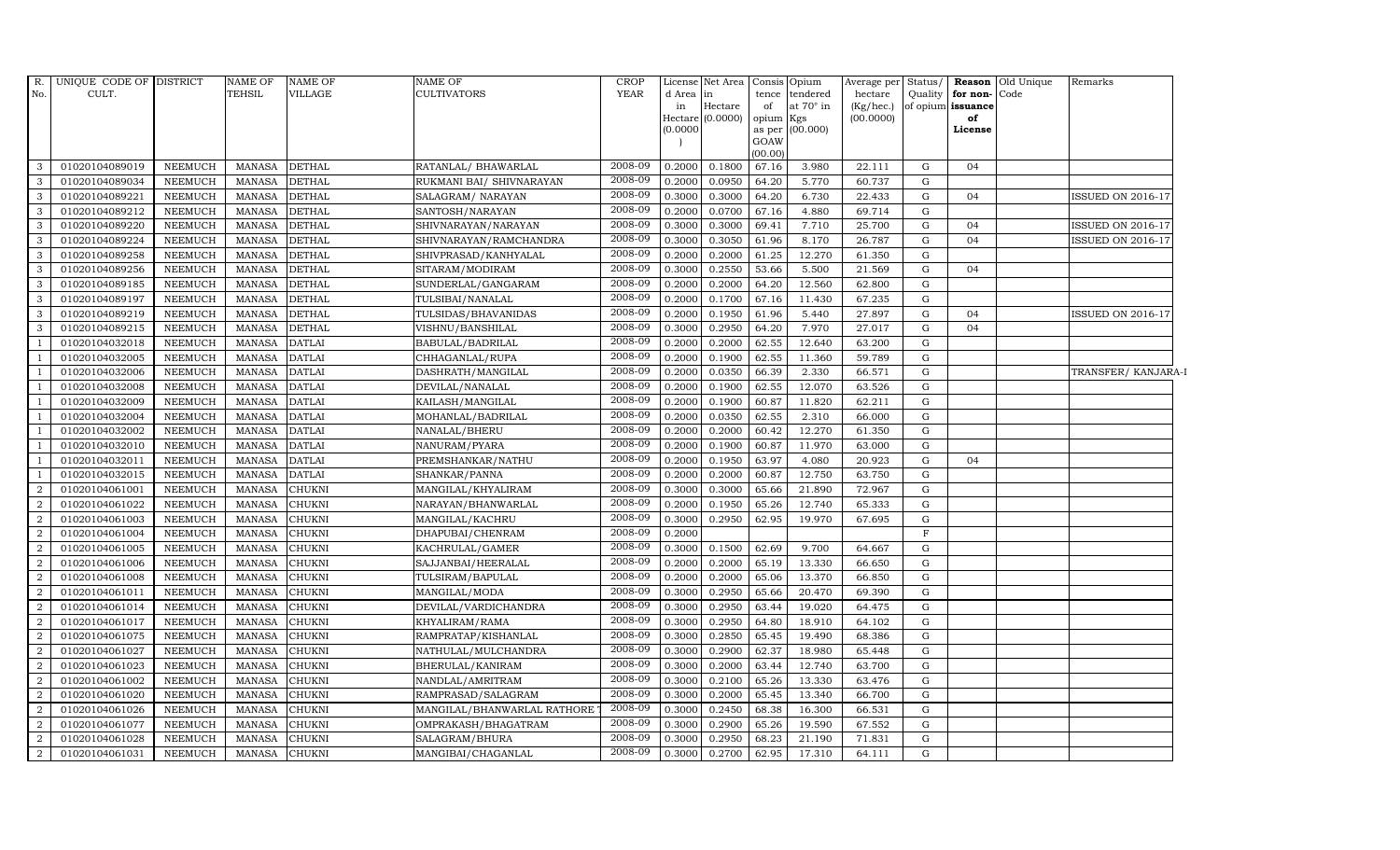|                | R. UNIQUE CODE OF DISTRICT |                | NAME OF       | <b>NAME OF</b> | <b>NAME OF</b>              | <b>CROP</b> |                     | License Net Area | Consis Opium |                 | Average per | Status/     |                   | <b>Reason</b> Old Unique | Remarks                  |
|----------------|----------------------------|----------------|---------------|----------------|-----------------------------|-------------|---------------------|------------------|--------------|-----------------|-------------|-------------|-------------------|--------------------------|--------------------------|
| No.            | CULT.                      |                | <b>TEHSIL</b> | <b>VILLAGE</b> | <b>CULTIVATORS</b>          | <b>YEAR</b> | d Area              | in               |              | tence tendered  | hectare     | Quality     | for non-Code      |                          |                          |
|                |                            |                |               |                |                             |             | in                  | Hectare          | of           | at 70° in       | (Kg/hec.)   |             | of opium issuance |                          |                          |
|                |                            |                |               |                |                             |             | Hectare<br>(0.0000) | (0.0000)         | opium Kgs    | as per (00.000) | (00.0000)   |             | of<br>License     |                          |                          |
|                |                            |                |               |                |                             |             |                     |                  | GOAW         |                 |             |             |                   |                          |                          |
|                |                            |                |               |                |                             |             |                     |                  | (00.00)      |                 |             |             |                   |                          |                          |
| 3              | 01020104089019             | <b>NEEMUCH</b> | <b>MANASA</b> | <b>DETHAL</b>  | RATANLAL/ BHAWARLAL         | 2008-09     | 0.2000              | 0.1800           | 67.16        | 3.980           | 22.111      | $\mathbf G$ | 04                |                          |                          |
| 3              | 01020104089034             | NEEMUCH        | <b>MANASA</b> | <b>DETHAL</b>  | RUKMANI BAI/ SHIVNARAYAN    | 2008-09     | 0.2000              | 0.0950           | 64.20        | 5.770           | 60.737      | G           |                   |                          |                          |
| 3              | 01020104089221             | <b>NEEMUCH</b> | <b>MANASA</b> | <b>DETHAL</b>  | SALAGRAM/ NARAYAN           | 2008-09     | 0.3000              | 0.3000           | 64.20        | 6.730           | 22.433      | G           | 04                |                          | <b>ISSUED ON 2016-17</b> |
| 3              | 01020104089212             | <b>NEEMUCH</b> | <b>MANASA</b> | <b>DETHAL</b>  | SANTOSH/NARAYAN             | 2008-09     | 0.2000              | 0.0700           | 67.16        | 4.880           | 69.714      | G           |                   |                          |                          |
| 3              | 01020104089220             | <b>NEEMUCH</b> | <b>MANASA</b> | <b>DETHAL</b>  | SHIVNARAYAN/NARAYAN         | 2008-09     | 0.3000              | 0.3000           | 69.41        | 7.710           | 25.700      | G           | 04                |                          | <b>ISSUED ON 2016-17</b> |
| 3              | 01020104089224             | <b>NEEMUCH</b> | <b>MANASA</b> | <b>DETHAL</b>  | SHIVNARAYAN/RAMCHANDRA      | 2008-09     | 0.3000              | 0.3050           | 61.96        | 8.170           | 26.787      | G           | 04                |                          | ISSUED ON 2016-17        |
| 3              | 01020104089258             | NEEMUCH        | <b>MANASA</b> | <b>DETHAL</b>  | SHIVPRASAD/KANHYALAL        | 2008-09     | 0.2000              | 0.2000           | 61.25        | 12.270          | 61.350      | ${\rm G}$   |                   |                          |                          |
| $\overline{3}$ | 01020104089256             | <b>NEEMUCH</b> | <b>MANASA</b> | <b>DETHAL</b>  | SITARAM/MODIRAM             | 2008-09     | 0.3000              | 0.2550           | 53.66        | 5.500           | 21.569      | G           | 04                |                          |                          |
| 3              | 01020104089185             | <b>NEEMUCH</b> | <b>MANASA</b> | <b>DETHAL</b>  | SUNDERLAL/GANGARAM          | 2008-09     | 0.2000              | 0.2000           | 64.20        | 12.560          | 62.800      | G           |                   |                          |                          |
| 3              | 01020104089197             | <b>NEEMUCH</b> | <b>MANASA</b> | <b>DETHAL</b>  | TULSIBAI/NANALAL            | 2008-09     | 0.2000              | 0.1700           | 67.16        | 11.430          | 67.235      | G           |                   |                          |                          |
| 3              | 01020104089219             | <b>NEEMUCH</b> | <b>MANASA</b> | <b>DETHAL</b>  | TULSIDAS/BHAVANIDAS         | 2008-09     | 0.2000              | 0.1950           | 61.96        | 5.440           | 27.897      | G           | 04                |                          | ISSUED ON 2016-17        |
| 3              | 01020104089215             | NEEMUCH        | <b>MANASA</b> | <b>DETHAL</b>  | VISHNU/BANSHILAL            | 2008-09     | 0.3000              | 0.2950           | 64.20        | 7.970           | 27.017      | ${\rm G}$   | 04                |                          |                          |
| $\overline{1}$ | 01020104032018             | <b>NEEMUCH</b> | <b>MANASA</b> | <b>DATLAI</b>  | BABULAL/BADRILAL            | 2008-09     | 0.2000              | 0.2000           | 62.55        | 12.640          | 63.200      | G           |                   |                          |                          |
| <sup>1</sup>   | 01020104032005             | <b>NEEMUCH</b> | <b>MANASA</b> | <b>DATLAI</b>  | CHHAGANLAL/RUPA             | 2008-09     | 0.2000              | 0.1900           | 62.55        | 11.360          | 59.789      | ${\rm G}$   |                   |                          |                          |
| $\overline{1}$ | 01020104032006             | NEEMUCH        | <b>MANASA</b> | <b>DATLAI</b>  | DASHRATH/MANGILAL           | 2008-09     | 0.2000              | 0.0350           | 66.39        | 2.330           | 66.571      | G           |                   |                          | TRANSFER/KANJARA-I       |
| <sup>1</sup>   | 01020104032008             | <b>NEEMUCH</b> | <b>MANASA</b> | <b>DATLAI</b>  | DEVILAL/NANALAL             | 2008-09     | 0.2000              | 0.1900           | 62.55        | 12.070          | 63.526      | G           |                   |                          |                          |
| <sup>1</sup>   | 01020104032009             | <b>NEEMUCH</b> | <b>MANASA</b> | <b>DATLAI</b>  | KAILASH / MANGILAL          | 2008-09     | 0.2000              | 0.1900           | 60.87        | 11.820          | 62.211      | G           |                   |                          |                          |
| $\overline{1}$ | 01020104032004             | <b>NEEMUCH</b> | <b>MANASA</b> | <b>DATLAI</b>  | MOHANLAL/BADRILAL           | 2008-09     | 0.2000              | 0.0350           | 62.55        | 2.310           | 66.000      | G           |                   |                          |                          |
| $\overline{1}$ | 01020104032002             | <b>NEEMUCH</b> | <b>MANASA</b> | <b>DATLAI</b>  | NANALAL/BHERU               | 2008-09     | 0.2000              | 0.2000           | 60.42        | 12.270          | 61.350      | ${\rm G}$   |                   |                          |                          |
|                | 01020104032010             | NEEMUCH        | <b>MANASA</b> | <b>DATLAI</b>  | NANURAM/PYARA               | 2008-09     | 0.2000              | 0.1900           | 60.87        | 11.970          | 63.000      | G           |                   |                          |                          |
| <sup>1</sup>   | 01020104032011             | <b>NEEMUCH</b> | <b>MANASA</b> | <b>DATLAI</b>  | PREMSHANKAR/NATHU           | 2008-09     | 0.2000              | 0.1950           | 63.97        | 4.080           | 20.923      | G           | 04                |                          |                          |
| -1             | 01020104032015             | <b>NEEMUCH</b> | <b>MANASA</b> | <b>DATLAI</b>  | SHANKAR/PANNA               | 2008-09     | 0.2000              | 0.2000           | 60.87        | 12.750          | 63.750      | G           |                   |                          |                          |
| $\overline{2}$ | 01020104061001             | NEEMUCH        | MANASA        | <b>CHUKNI</b>  | MANGILAL/KHYALIRAM          | 2008-09     | 0.3000              | 0.3000           | 65.66        | 21.890          | 72.967      | G           |                   |                          |                          |
| $\overline{2}$ | 01020104061022             | <b>NEEMUCH</b> | <b>MANASA</b> | <b>CHUKNI</b>  | NARAYAN/BHANWARLAL          | 2008-09     | 0.2000              | 0.1950           | 65.26        | 12.740          | 65.333      | ${\rm G}$   |                   |                          |                          |
| $\overline{2}$ | 01020104061003             | <b>NEEMUCH</b> | <b>MANASA</b> | <b>CHUKNI</b>  | MANGILAL/KACHRU             | 2008-09     | 0.3000              | 0.2950           | 62.95        | 19.970          | 67.695      | G           |                   |                          |                          |
| $\overline{2}$ | 01020104061004             | <b>NEEMUCH</b> | <b>MANASA</b> | <b>CHUKNI</b>  | DHAPUBAI/CHENRAM            | 2008-09     | 0.2000              |                  |              |                 |             | $\mathbf F$ |                   |                          |                          |
| $\overline{2}$ | 01020104061005             | <b>NEEMUCH</b> | <b>MANASA</b> | <b>CHUKNI</b>  | KACHRULAL/GAMER             | 2008-09     | 0.3000              | 0.1500           | 62.69        | 9.700           | 64.667      | G           |                   |                          |                          |
| $\overline{2}$ | 01020104061006             | NEEMUCH        | <b>MANASA</b> | <b>CHUKNI</b>  | SAJJANBAI/HEERALAL          | 2008-09     | 0.2000              | 0.2000           | 65.19        | 13.330          | 66.650      | ${\rm G}$   |                   |                          |                          |
| $\overline{2}$ | 01020104061008             | <b>NEEMUCH</b> | <b>MANASA</b> | <b>CHUKNI</b>  | TULSIRAM/BAPULAL            | 2008-09     | 0.2000              | 0.2000           | 65.06        | 13.370          | 66.850      | ${\rm G}$   |                   |                          |                          |
| $\overline{2}$ | 01020104061011             | <b>NEEMUCH</b> | <b>MANASA</b> | <b>CHUKNI</b>  | MANGILAL/MODA               | 2008-09     | 0.3000              | 0.2950           | 65.66        | 20.470          | 69.390      | G           |                   |                          |                          |
| $\overline{2}$ | 01020104061014             | <b>NEEMUCH</b> | <b>MANASA</b> | <b>CHUKNI</b>  | DEVILAL/VARDICHANDRA        | 2008-09     | 0.3000              | 0.2950           | 63.44        | 19.020          | 64.475      | G           |                   |                          |                          |
| $\overline{2}$ | 01020104061017             | <b>NEEMUCH</b> | <b>MANASA</b> | <b>CHUKNI</b>  | KHYALIRAM/RAMA              | 2008-09     | 0.3000              | 0.2950           | 64.80        | 18.910          | 64.102      | G           |                   |                          |                          |
| $\overline{2}$ | 01020104061075             | <b>NEEMUCH</b> | <b>MANASA</b> | <b>CHUKNI</b>  | RAMPRATAP/KISHANLAL         | 2008-09     | 0.3000              | 0.2850           | 65.45        | 19.490          | 68.386      | ${\rm G}$   |                   |                          |                          |
| $\overline{2}$ | 01020104061027             | <b>NEEMUCH</b> | <b>MANASA</b> | <b>CHUKNI</b>  | NATHULAL/MULCHANDRA         | 2008-09     | 0.3000              | 0.2900           | 62.37        | 18.980          | 65.448      | ${\rm G}$   |                   |                          |                          |
| $\overline{2}$ | 01020104061023             | <b>NEEMUCH</b> | <b>MANASA</b> | <b>CHUKNI</b>  | BHERULAL/KANIRAM            | 2008-09     | 0.3000              | 0.2000           | 63.44        | 12.740          | 63.700      | G           |                   |                          |                          |
| $\overline{2}$ | 01020104061002             | <b>NEEMUCH</b> | <b>MANASA</b> | <b>CHUKNI</b>  | NANDLAL/AMRITRAM            | 2008-09     | 0.3000              | 0.2100           | 65.26        | 13.330          | 63.476      | G           |                   |                          |                          |
| $\overline{2}$ | 01020104061020             | <b>NEEMUCH</b> | <b>MANASA</b> | <b>CHUKNI</b>  | RAMPRASAD/SALAGRAM          | 2008-09     | 0.3000              | 0.2000           | 65.45        | 13.340          | 66.700      | G           |                   |                          |                          |
| $\overline{2}$ | 01020104061026             | <b>NEEMUCH</b> | <b>MANASA</b> | <b>CHUKNI</b>  | MANGILAL/BHANWARLAL RATHORE | 2008-09     | 0.3000              | 0.2450           | 68.38        | 16.300          | 66.531      | G           |                   |                          |                          |
| $\overline{2}$ | 01020104061077             | <b>NEEMUCH</b> | <b>MANASA</b> | <b>CHUKNI</b>  | OMPRAKASH/BHAGATRAM         | 2008-09     | 0.3000              | 0.2900           | 65.26        | 19.590          | 67.552      | ${\rm G}$   |                   |                          |                          |
| $\overline{2}$ | 01020104061028             | <b>NEEMUCH</b> | <b>MANASA</b> | <b>CHUKNI</b>  | SALAGRAM/BHURA              | 2008-09     | 0.3000              | 0.2950           | 68.23        | 21.190          | 71.831      | G           |                   |                          |                          |
| $\overline{a}$ | 01020104061031             | NEEMUCH        | MANASA        | <b>CHUKNI</b>  | MANGIBAI/CHAGANLAL          | 2008-09     | 0.3000              | 0.2700           | 62.95        | 17.310          | 64.111      | ${\rm G}$   |                   |                          |                          |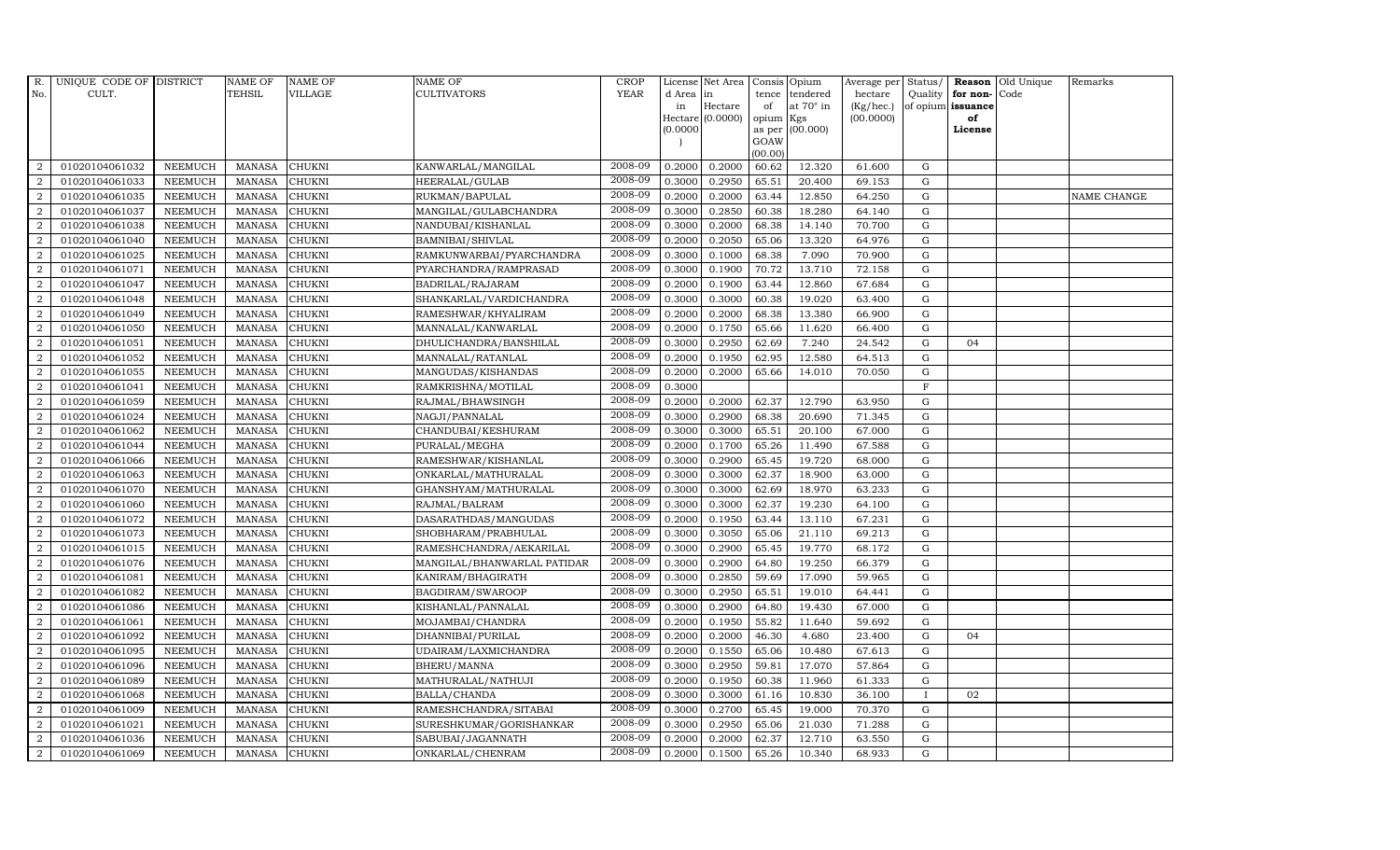| R.               | UNIQUE CODE OF DISTRICT |                | <b>NAME OF</b> | <b>NAME OF</b> | <b>NAME OF</b>              | <b>CROP</b> |          | License Net Area   Consis   Opium |           |                  | Average per | Status/      | Reason            | Old Unique | Remarks     |
|------------------|-------------------------|----------------|----------------|----------------|-----------------------------|-------------|----------|-----------------------------------|-----------|------------------|-------------|--------------|-------------------|------------|-------------|
| No.              | CULT.                   |                | <b>TEHSIL</b>  | <b>VILLAGE</b> | <b>CULTIVATORS</b>          | <b>YEAR</b> | d Area   | in                                | tence     | tendered         | hectare     | Quality      | for non-          | Code       |             |
|                  |                         |                |                |                |                             |             | in       | Hectare                           | of        | at $70^\circ$ in | (Kg/hec.)   |              | of opium issuance |            |             |
|                  |                         |                |                |                |                             |             |          | Hectare (0.0000)                  | opium Kgs |                  | (00.0000)   |              | of                |            |             |
|                  |                         |                |                |                |                             |             | (0.0000) |                                   | GOAW      | as per (00.000)  |             |              | License           |            |             |
|                  |                         |                |                |                |                             |             |          |                                   | (00.00)   |                  |             |              |                   |            |             |
| $\overline{2}$   | 01020104061032          | <b>NEEMUCH</b> | MANASA         | <b>CHUKNI</b>  | KANWARLAL/MANGILAL          | 2008-09     | 0.2000   | 0.2000                            | 60.62     | 12.320           | 61.600      | ${\rm G}$    |                   |            |             |
| $\overline{2}$   | 01020104061033          | <b>NEEMUCH</b> | <b>MANASA</b>  | <b>CHUKNI</b>  | HEERALAL/GULAB              | 2008-09     | 0.3000   | 0.2950                            | 65.51     | 20.400           | 69.153      | $\mathbf G$  |                   |            |             |
| $\overline{2}$   | 01020104061035          | <b>NEEMUCH</b> | <b>MANASA</b>  | <b>CHUKNI</b>  | RUKMAN/BAPULAL              | 2008-09     | 0.2000   | 0.2000                            | 63.44     | 12.850           | 64.250      | G            |                   |            | NAME CHANGE |
| $\overline{2}$   | 01020104061037          | <b>NEEMUCH</b> | <b>MANASA</b>  | <b>CHUKNI</b>  | MANGILAL/GULABCHANDRA       | 2008-09     | 0.3000   | 0.2850                            | 60.38     | 18.280           | 64.140      | $\mathbf G$  |                   |            |             |
| $\overline{a}$   | 01020104061038          | <b>NEEMUCH</b> | <b>MANASA</b>  | <b>CHUKNI</b>  | NANDUBAI/KISHANLAL          | 2008-09     | 0.3000   | 0.2000                            | 68.38     | 14.140           | 70.700      | ${\rm G}$    |                   |            |             |
| $\overline{2}$   | 01020104061040          | <b>NEEMUCH</b> | MANASA         | CHUKNI         | BAMNIBAI/SHIVLAL            | 2008-09     | 0.2000   | 0.2050                            | 65.06     | 13.320           | 64.976      | $\mathbf G$  |                   |            |             |
| $\overline{a}$   | 01020104061025          | <b>NEEMUCH</b> | <b>MANASA</b>  | <b>CHUKNI</b>  | RAMKUNWARBAI/PYARCHANDRA    | 2008-09     | 0.3000   | 0.1000                            | 68.38     | 7.090            | 70.900      | $\mathbf G$  |                   |            |             |
| $\overline{2}$   | 01020104061071          | <b>NEEMUCH</b> | <b>MANASA</b>  | <b>CHUKNI</b>  | PYARCHANDRA/RAMPRASAD       | 2008-09     | 0.3000   | 0.1900                            | 70.72     | 13.710           | 72.158      | $\mathbf G$  |                   |            |             |
| $\overline{2}$   | 01020104061047          | <b>NEEMUCH</b> | <b>MANASA</b>  | <b>CHUKNI</b>  | BADRILAL/RAJARAM            | 2008-09     | 0.2000   | 0.1900                            | 63.44     | 12.860           | 67.684      | $\mathbf G$  |                   |            |             |
| $\overline{2}$   | 01020104061048          | <b>NEEMUCH</b> | <b>MANASA</b>  | CHUKNI         | SHANKARLAL/VARDICHANDRA     | 2008-09     | 0.3000   | 0.3000                            | 60.38     | 19.020           | 63.400      | ${\bf G}$    |                   |            |             |
| $\overline{a}$   | 01020104061049          | <b>NEEMUCH</b> | <b>MANASA</b>  | <b>CHUKNI</b>  | RAMESHWAR/KHYALIRAM         | 2008-09     | 0.2000   | 0.2000                            | 68.38     | 13.380           | 66.900      | ${\rm G}$    |                   |            |             |
| $\overline{2}$   | 01020104061050          | <b>NEEMUCH</b> | <b>MANASA</b>  | <b>CHUKNI</b>  | MANNALAL/KANWARLAL          | 2008-09     | 0.2000   | 0.1750                            | 65.66     | 11.620           | 66.400      | G            |                   |            |             |
| 2                | 01020104061051          | <b>NEEMUCH</b> | <b>MANASA</b>  | <b>CHUKNI</b>  | DHULICHANDRA/BANSHILAL      | 2008-09     | 0.3000   | 0.2950                            | 62.69     | 7.240            | 24.542      | $\mathbf G$  | 04                |            |             |
| $\overline{2}$   | 01020104061052          | <b>NEEMUCH</b> | <b>MANASA</b>  | <b>CHUKNI</b>  | MANNALAL/RATANLAL           | 2008-09     | 0.2000   | 0.1950                            | 62.95     | 12.580           | 64.513      | G            |                   |            |             |
| $\overline{2}$   | 01020104061055          | <b>NEEMUCH</b> | <b>MANASA</b>  | <b>CHUKNI</b>  | MANGUDAS/KISHANDAS          | 2008-09     | 0.2000   | 0.2000                            | 65.66     | 14.010           | 70.050      | G            |                   |            |             |
| $\overline{a}$   | 01020104061041          | <b>NEEMUCH</b> | <b>MANASA</b>  | <b>CHUKNI</b>  | RAMKRISHNA/MOTILAL          | 2008-09     | 0.3000   |                                   |           |                  |             | $\rm F$      |                   |            |             |
| 2                | 01020104061059          | <b>NEEMUCH</b> | <b>MANASA</b>  | <b>CHUKNI</b>  | RAJMAL/BHAWSINGH            | 2008-09     | 0.2000   | 0.2000                            | 62.37     | 12.790           | 63.950      | $\mathbf G$  |                   |            |             |
| 2                | 01020104061024          | <b>NEEMUCH</b> | <b>MANASA</b>  | <b>CHUKNI</b>  | NAGJI/PANNALAL              | 2008-09     | 0.3000   | 0.2900                            | 68.38     | 20.690           | 71.345      | G            |                   |            |             |
| $\overline{2}$   | 01020104061062          | <b>NEEMUCH</b> | <b>MANASA</b>  | <b>CHUKNI</b>  | CHANDUBAI/KESHURAM          | 2008-09     | 0.3000   | 0.3000                            | 65.51     | 20.100           | 67.000      | $\mathbf G$  |                   |            |             |
| $\overline{2}$   | 01020104061044          | <b>NEEMUCH</b> | <b>MANASA</b>  | <b>CHUKNI</b>  | PURALAL/MEGHA               | 2008-09     | 0.2000   | 0.1700                            | 65.26     | 11.490           | 67.588      | $\mathbf G$  |                   |            |             |
| 2                | 01020104061066          | <b>NEEMUCH</b> | <b>MANASA</b>  | <b>CHUKNI</b>  | RAMESHWAR/KISHANLAL         | 2008-09     | 0.3000   | 0.2900                            | 65.45     | 19.720           | 68.000      | ${\rm G}$    |                   |            |             |
| $\overline{2}$   | 01020104061063          | <b>NEEMUCH</b> | <b>MANASA</b>  | <b>CHUKNI</b>  | ONKARLAL/MATHURALAL         | 2008-09     | 0.3000   | 0.3000                            | 62.37     | 18.900           | 63.000      | ${\rm G}$    |                   |            |             |
| $\overline{a}$   | 01020104061070          | <b>NEEMUCH</b> | MANASA         | <b>CHUKNI</b>  | GHANSHYAM/MATHURALAL        | 2008-09     | 0.3000   | 0.3000                            | 62.69     | 18.970           | 63.233      | G            |                   |            |             |
| $\overline{2}$   | 01020104061060          | <b>NEEMUCH</b> | <b>MANASA</b>  | <b>CHUKNI</b>  | RAJMAL/BALRAM               | 2008-09     | 0.3000   | 0.3000                            | 62.37     | 19.230           | 64.100      | $\mathbf G$  |                   |            |             |
| $\boldsymbol{2}$ | 01020104061072          | <b>NEEMUCH</b> | <b>MANASA</b>  | CHUKNI         | DASARATHDAS/MANGUDAS        | 2008-09     | 0.2000   | 0.1950                            | 63.44     | 13.110           | 67.231      | $\mathbf G$  |                   |            |             |
| $\overline{2}$   | 01020104061073          | <b>NEEMUCH</b> | <b>MANASA</b>  | <b>CHUKNI</b>  | SHOBHARAM/PRABHULAL         | 2008-09     | 0.3000   | 0.3050                            | 65.06     | 21.110           | 69.213      | G            |                   |            |             |
| $\overline{a}$   | 01020104061015          | <b>NEEMUCH</b> | <b>MANASA</b>  | <b>CHUKNI</b>  | RAMESHCHANDRA/AEKARILAL     | 2008-09     | 0.3000   | 0.2900                            | 65.45     | 19.770           | 68.172      | ${\rm G}$    |                   |            |             |
| 2                | 01020104061076          | <b>NEEMUCH</b> | <b>MANASA</b>  | <b>CHUKNI</b>  | MANGILAL/BHANWARLAL PATIDAR | 2008-09     | 0.3000   | 0.2900                            | 64.80     | 19.250           | 66.379      | $\mathbf G$  |                   |            |             |
| 2                | 01020104061081          | <b>NEEMUCH</b> | <b>MANASA</b>  | <b>CHUKNI</b>  | KANIRAM/BHAGIRATH           | 2008-09     | 0.3000   | 0.2850                            | 59.69     | 17.090           | 59.965      | $\mathbf G$  |                   |            |             |
| $\overline{2}$   | 01020104061082          | <b>NEEMUCH</b> | <b>MANASA</b>  | <b>CHUKNI</b>  | BAGDIRAM/SWAROOP            | 2008-09     | 0.3000   | 0.2950                            | 65.51     | 19.010           | 64.441      | $\mathbf G$  |                   |            |             |
| $\overline{2}$   | 01020104061086          | <b>NEEMUCH</b> | <b>MANASA</b>  | <b>CHUKNI</b>  | KISHANLAL/PANNALAL          | 2008-09     | 0.3000   | 0.2900                            | 64.80     | 19.430           | 67.000      | G            |                   |            |             |
| $\overline{a}$   | 01020104061061          | <b>NEEMUCH</b> | <b>MANASA</b>  | <b>CHUKNI</b>  | MOJAMBAI/CHANDRA            | 2008-09     | 0.2000   | 0.1950                            | 55.82     | 11.640           | 59.692      | ${\rm G}$    |                   |            |             |
| $\overline{a}$   | 01020104061092          | <b>NEEMUCH</b> | MANASA         | <b>CHUKNI</b>  | DHANNIBAI/PURILAL           | 2008-09     | 0.2000   | 0.2000                            | 46.30     | 4.680            | 23.400      | $\mathbf G$  | 04                |            |             |
| 2                | 01020104061095          | <b>NEEMUCH</b> | <b>MANASA</b>  | <b>CHUKNI</b>  | UDAIRAM/LAXMICHANDRA        | 2008-09     | 0.2000   | 0.1550                            | 65.06     | 10.480           | 67.613      | $\mathbf G$  |                   |            |             |
| $\overline{2}$   | 01020104061096          | <b>NEEMUCH</b> | <b>MANASA</b>  | <b>CHUKNI</b>  | BHERU/MANNA                 | 2008-09     | 0.3000   | 0.2950                            | 59.81     | 17.070           | 57.864      | $\mathbf G$  |                   |            |             |
| $\overline{a}$   | 01020104061089          | <b>NEEMUCH</b> | <b>MANASA</b>  | <b>CHUKNI</b>  | MATHURALAL/NATHUJI          | 2008-09     | 0.2000   | 0.1950                            | 60.38     | 11.960           | 61.333      | $\mathbf G$  |                   |            |             |
| $\overline{2}$   | 01020104061068          | <b>NEEMUCH</b> | <b>MANASA</b>  | <b>CHUKNI</b>  | BALLA/CHANDA                | 2008-09     | 0.3000   | 0.3000                            | 61.16     | 10.830           | 36.100      | $\mathbf{I}$ | 02                |            |             |
| $\overline{a}$   | 01020104061009          | <b>NEEMUCH</b> | MANASA         | <b>CHUKNI</b>  | RAMESHCHANDRA/SITABAI       | 2008-09     | 0.3000   | 0.2700                            | 65.45     | 19.000           | 70.370      | $\mathbf G$  |                   |            |             |
| $\overline{2}$   | 01020104061021          | <b>NEEMUCH</b> | <b>MANASA</b>  | <b>CHUKNI</b>  | SURESHKUMAR/GORISHANKAR     | 2008-09     | 0.3000   | 0.2950                            | 65.06     | 21.030           | 71.288      | $\mathbf G$  |                   |            |             |
| 2                | 01020104061036          | <b>NEEMUCH</b> | <b>MANASA</b>  | <b>CHUKNI</b>  | SABUBAI/JAGANNATH           | 2008-09     | 0.2000   | 0.2000                            | 62.37     | 12.710           | 63.550      | $\mathbf G$  |                   |            |             |
| $\overline{a}$   | 01020104061069          | <b>NEEMUCH</b> | MANASA         | <b>CHUKNI</b>  | ONKARLAL/CHENRAM            | 2008-09     | 0.2000   | 0.1500                            | 65.26     | 10.340           | 68.933      | G            |                   |            |             |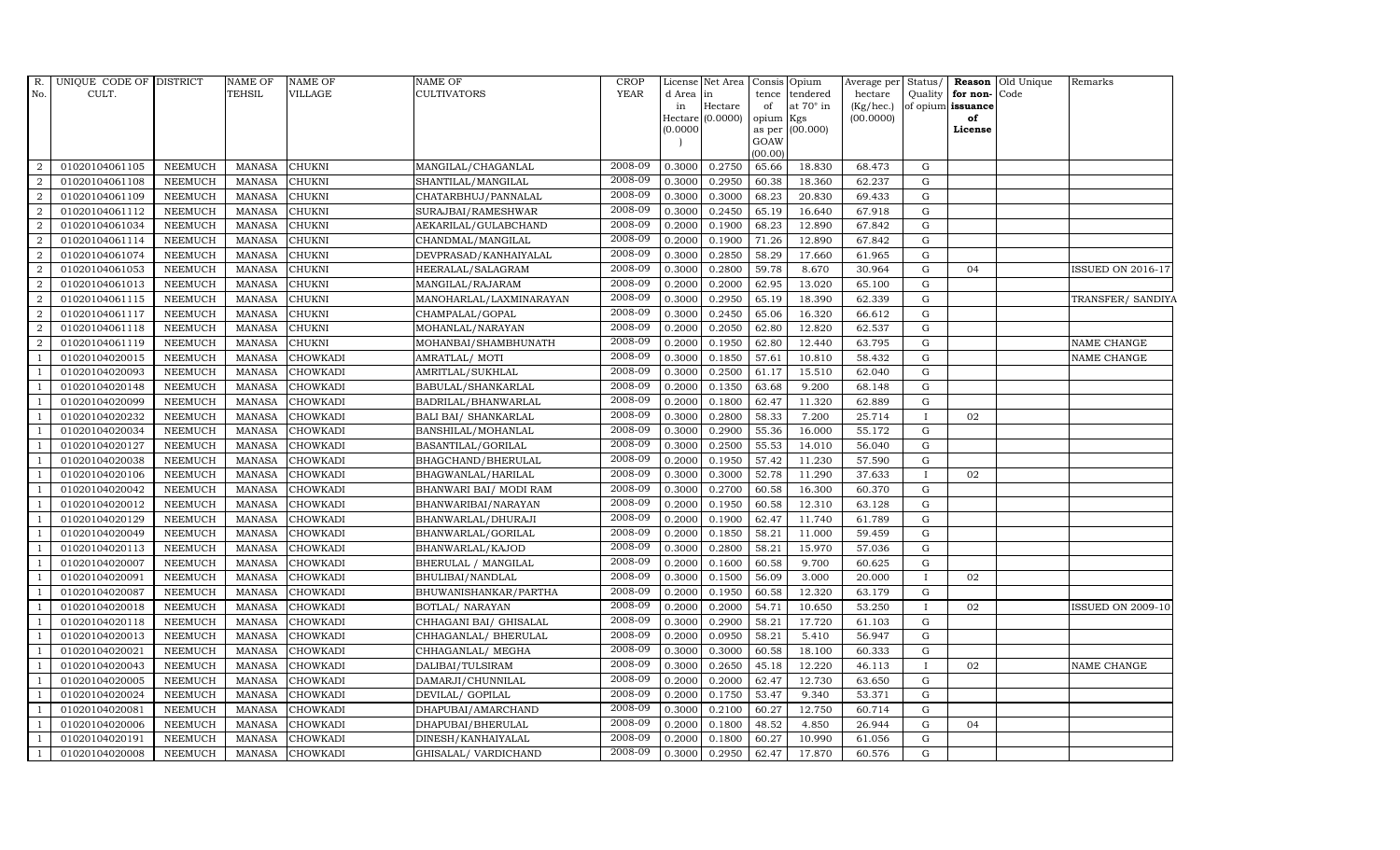| d Area<br>tence tendered<br>hectare<br>Quality for non-Code<br>in<br>Hectare<br>at $70^\circ$ in<br>(Kg/hec.)<br>of opium issuance<br>in<br>of<br>Hectare (0.0000)<br>(00.0000)<br>opium Kgs<br>of<br>(0.0000)<br>as per (00.000)<br>License<br>GOAW<br>(00.00)<br>2008-09<br>0.3000<br>0.2750<br>65.66<br>18.830<br>01020104061105<br>NEEMUCH<br>MANASA<br><b>CHUKNI</b><br>68.473<br>G<br>MANGILAL/CHAGANLAL<br>2008-09<br>01020104061108<br>NEEMUCH<br>$\textsc{CHUKNI}$<br>SHANTILAL/MANGILAL<br>0.3000<br>0.2950<br>60.38<br>18.360<br>62.237<br>G<br><b>MANASA</b><br>2008-09<br>$\overline{2}$<br>CHATARBHUJ/PANNALAL<br>0.3000<br>01020104061109<br><b>NEEMUCH</b><br><b>MANASA</b><br><b>CHUKNI</b><br>0.3000<br>68.23<br>20.830<br>69.433<br>G<br>2008-09<br>$\overline{2}$<br>01020104061112<br><b>NEEMUCH</b><br><b>MANASA</b><br><b>CHUKNI</b><br>SURAJBAI/RAMESHWAR<br>0.3000<br>0.2450<br>65.19<br>16.640<br>67.918<br>G<br>2008-09<br>01020104061034<br><b>NEEMUCH</b><br>0.2000<br>68.23<br>12.890<br>67.842<br>G<br>$\overline{a}$<br><b>MANASA</b><br><b>CHUKNI</b><br>AEKARILAL/GULABCHAND<br>0.1900<br>2008-09<br>2<br>NEEMUCH<br><b>MANASA</b><br><b>CHUKNI</b><br>0.2000<br>0.1900<br>71.26<br>12.890<br>67.842<br>G<br>01020104061114<br>CHANDMAL/MANGILAL<br>2008-09<br>01020104061074<br><b>NEEMUCH</b><br>2<br><b>MANASA</b><br><b>CHUKNI</b><br>DEVPRASAD/KANHAIYALAL<br>0.3000<br>0.2850<br>58.29<br>17.660<br>61.965<br>G<br>2008-09<br>$\overline{2}$<br>01020104061053<br>HEERALAL/SALAGRAM<br>0.3000<br>0.2800<br>59.78<br>8.670<br><b>NEEMUCH</b><br><b>MANASA</b><br><b>CHUKNI</b><br>30.964<br>G<br>04<br><b>ISSUED ON 2016-17</b><br>2008-09<br><b>MANASA</b><br>0.2000<br>62.95<br>G<br>01020104061013<br><b>NEEMUCH</b><br><b>CHUKNI</b><br>MANGILAL/RAJARAM<br>0.2000<br>13.020<br>65.100<br>2008-09<br>01020104061115<br><b>NEEMUCH</b><br>0.3000<br>0.2950<br>65.19<br>18.390<br>62.339<br>G<br><b>MANASA</b><br><b>CHUKNI</b><br>MANOHARLAL/LAXMINARAYAN<br>TRANSFER/ SANDIYA<br>2008-09<br>01020104061117<br>NEEMUCH<br><b>MANASA</b><br><b>CHUKNI</b><br>0.3000<br>0.2450<br>65.06<br>16.320<br>CHAMPALAL/GOPAL<br>66.612<br>G<br>2008-09<br>01020104061118<br><b>NEEMUCH</b><br><b>MANASA</b><br>MOHANLAL/NARAYAN<br>0.2000<br>0.2050<br>62.80<br>12.820<br>62.537<br>G<br><b>CHUKNI</b><br>2008-09<br>01020104061119<br><b>NEEMUCH</b><br><b>CHUKNI</b><br>MOHANBAI/SHAMBHUNATH<br>0.2000<br>0.1950<br>62.80<br>12.440<br>63.795<br><b>MANASA</b><br>G<br>NAME CHANGE<br>2008-09<br><b>NEEMUCH</b><br><b>MANASA</b><br><b>CHOWKADI</b><br>0.3000<br>0.1850<br>57.61<br>10.810<br>58.432<br>01020104020015<br>AMRATLAL/MOTI<br>G<br>NAME CHANGE<br>2008-09<br>0.3000<br>0.2500<br>15.510<br>${\rm G}$<br>01020104020093<br><b>NEEMUCH</b><br><b>MANASA</b><br><b>CHOWKADI</b><br>AMRITLAL/SUKHLAL<br>61.17<br>62.040<br>2008-09<br>01020104020148<br>NEEMUCH<br><b>MANASA</b><br><b>CHOWKADI</b><br>BABULAL/SHANKARLAL<br>0.2000<br>0.1350<br>63.68<br>9.200<br>68.148<br>G<br>2008-09<br>01020104020099<br><b>NEEMUCH</b><br><b>MANASA</b><br><b>CHOWKADI</b><br>BADRILAL/BHANWARLAL<br>0.2000<br>0.1800<br>62.47<br>11.320<br>62.889<br>G<br>2008-09<br>01020104020232<br><b>NEEMUCH</b><br><b>MANASA</b><br><b>CHOWKADI</b><br>BALI BAI/ SHANKARLAL<br>0.3000<br>0.2800<br>58.33<br>7.200<br>25.714<br>02<br>$\mathbf{I}$<br>2008-09<br>01020104020034<br><b>NEEMUCH</b><br><b>MANASA</b><br><b>CHOWKADI</b><br>BANSHILAL/MOHANLAL<br>0.3000<br>0.2900<br>55.36<br>16.000<br>55.172<br>$\mathbf G$<br>2008-09<br><b>NEEMUCH</b><br>0.3000<br>0.2500<br>55.53<br>G<br>01020104020127<br><b>MANASA</b><br><b>CHOWKADI</b><br>BASANTILAL/GORILAL<br>14.010<br>56.040<br>2008-09<br>0.2000<br>01020104020038<br><b>NEEMUCH</b><br><b>MANASA</b><br><b>CHOWKADI</b><br>BHAGCHAND/BHERULAL<br>0.1950<br>57.42<br>11.230<br>57.590<br>G<br>2008-09<br>01020104020106<br><b>NEEMUCH</b><br><b>MANASA</b><br><b>CHOWKADI</b><br>BHAGWANLAL/HARILAL<br>0.3000<br>0.3000<br>52.78<br>11.290<br>37.633<br>02<br>$\mathbf{I}$<br>2008-09<br>01020104020042<br>0.2700<br>NEEMUCH<br><b>MANASA</b><br><b>CHOWKADI</b><br>BHANWARI BAI/ MODI RAM<br>0.3000<br>60.58<br>16.300<br>60.370<br>G<br>2008-09<br><b>MANASA</b><br>60.58<br>12.310<br>01020104020012<br><b>NEEMUCH</b><br><b>CHOWKADI</b><br>BHANWARIBAI/NARAYAN<br>0.2000<br>0.1950<br>63.128<br>$\mathbf G$<br>2008-09<br><b>NEEMUCH</b><br>0.2000<br>0.1900<br>${\rm G}$<br>01020104020129<br><b>MANASA</b><br><b>CHOWKADI</b><br>BHANWARLAL/DHURAJI<br>62.47<br>11.740<br>61.789<br>2008-09<br>0.2000<br>58.21<br>01020104020049<br><b>NEEMUCH</b><br><b>MANASA</b><br><b>CHOWKADI</b><br>BHANWARLAL/GORILAL<br>0.1850<br>11.000<br>59.459<br>G<br>2008-09<br>01020104020113<br><b>NEEMUCH</b><br><b>MANASA</b><br><b>CHOWKADI</b><br>BHANWARLAL/KAJOD<br>0.3000<br>0.2800<br>58.21<br>15.970<br>57.036<br>G<br>$\overline{1}$<br>2008-09<br>01020104020007<br><b>NEEMUCH</b><br>0.2000<br>0.1600<br>60.58<br>9.700<br><b>MANASA</b><br><b>CHOWKADI</b><br>BHERULAL / MANGILAL<br>60.625<br>G<br>$\overline{1}$<br>2008-09<br>56.09<br>3.000<br>01020104020091<br><b>NEEMUCH</b><br><b>MANASA</b><br><b>CHOWKADI</b><br>BHULIBAI/NANDLAL<br>0.3000<br>0.1500<br>20.000<br>02<br>$\mathbf{I}$<br>$\overline{1}$<br>2008-09<br>01020104020087<br><b>NEEMUCH</b><br><b>MANASA</b><br>BHUWANISHANKAR/PARTHA<br>0.2000<br>0.1950<br>12.320<br>G<br><b>CHOWKADI</b><br>60.58<br>63.179<br>2008-09<br>0.2000<br>54.71<br>10.650<br>01020104020018<br>NEEMUCH<br><b>MANASA</b><br><b>CHOWKADI</b><br>BOTLAL/ NARAYAN<br>0.2000<br>53.250<br>02<br><b>ISSUED ON 2009-10</b><br>$\mathbf{I}$<br>2008-09<br>01020104020118<br><b>NEEMUCH</b><br>CHHAGANI BAI/ GHISALAL<br>0.3000<br>17.720<br><b>MANASA</b><br><b>CHOWKADI</b><br>0.2900<br>58.21<br>61.103<br>G<br>2008-09<br>01020104020013<br>NEEMUCH<br><b>MANASA</b><br>0.2000<br>0.0950<br>58.21<br>5.410<br>56.947<br>G<br><b>CHOWKADI</b><br>CHHAGANLAL/ BHERULAL<br>2008-09<br>60.58<br>18.100<br>$\mathbf G$<br>01020104020021<br>NEEMUCH<br><b>MANASA</b><br><b>CHOWKADI</b><br>CHHAGANLAL/ MEGHA<br>0.3000<br>0.3000<br>60.333<br>2008-09<br>01020104020043<br><b>NEEMUCH</b><br><b>MANASA</b><br><b>CHOWKADI</b><br>DALIBAI/TULSIRAM<br>0.300<br>0.2650<br>45.18<br>12.220<br>02<br>46.113<br>$\mathbf{I}$<br>NAME CHANGE<br>2008-09<br>0.2000<br>62.47<br>12.730<br>01020104020005<br>NEEMUCH<br><b>MANASA</b><br><b>CHOWKADI</b><br>DAMARJI/CHUNNILAL<br>0.2000<br>63.650<br>G<br>2008-09<br>01020104020024<br><b>NEEMUCH</b><br>0.2000<br>9.340<br><b>MANASA</b><br><b>CHOWKADI</b><br>DEVILAL/ GOPILAL<br>0.1750<br>53.47<br>53.371<br>G<br>2008-09<br>01020104020081<br>NEEMUCH<br><b>MANASA</b><br>0.3000<br>0.2100<br>60.27<br>12.750<br>60.714<br>G<br><b>CHOWKADI</b><br>DHAPUBAI/AMARCHAND<br>2008-09<br>48.52<br>4.850<br>G<br>01020104020006<br>NEEMUCH<br><b>MANASA</b><br><b>CHOWKADI</b><br>DHAPUBAI/BHERULAL<br>0.2000<br>0.1800<br>26.944<br>04<br>2008-09<br>01020104020191<br><b>NEEMUCH</b><br><b>MANASA</b><br><b>CHOWKADI</b><br>DINESH/KANHAIYALAL<br>0.2000<br>0.1800<br>10.990<br>61.056<br>G<br>60.27<br>2008-09<br>0.2950<br>01020104020008<br><b>NEEMUCH</b><br>MANASA<br><b>CHOWKADI</b><br>0.3000<br>62.47<br>17.870<br>60.576<br>G<br>GHISALAL/VARDICHAND | R.                       | UNIQUE CODE OF DISTRICT | NAME OF | <b>NAME OF</b> | NAME OF            | CROP        | License Net Area   Consis   Opium |  | Average per Status/ |  | <b>Reason</b> Old Unique | Remarks |
|------------------------------------------------------------------------------------------------------------------------------------------------------------------------------------------------------------------------------------------------------------------------------------------------------------------------------------------------------------------------------------------------------------------------------------------------------------------------------------------------------------------------------------------------------------------------------------------------------------------------------------------------------------------------------------------------------------------------------------------------------------------------------------------------------------------------------------------------------------------------------------------------------------------------------------------------------------------------------------------------------------------------------------------------------------------------------------------------------------------------------------------------------------------------------------------------------------------------------------------------------------------------------------------------------------------------------------------------------------------------------------------------------------------------------------------------------------------------------------------------------------------------------------------------------------------------------------------------------------------------------------------------------------------------------------------------------------------------------------------------------------------------------------------------------------------------------------------------------------------------------------------------------------------------------------------------------------------------------------------------------------------------------------------------------------------------------------------------------------------------------------------------------------------------------------------------------------------------------------------------------------------------------------------------------------------------------------------------------------------------------------------------------------------------------------------------------------------------------------------------------------------------------------------------------------------------------------------------------------------------------------------------------------------------------------------------------------------------------------------------------------------------------------------------------------------------------------------------------------------------------------------------------------------------------------------------------------------------------------------------------------------------------------------------------------------------------------------------------------------------------------------------------------------------------------------------------------------------------------------------------------------------------------------------------------------------------------------------------------------------------------------------------------------------------------------------------------------------------------------------------------------------------------------------------------------------------------------------------------------------------------------------------------------------------------------------------------------------------------------------------------------------------------------------------------------------------------------------------------------------------------------------------------------------------------------------------------------------------------------------------------------------------------------------------------------------------------------------------------------------------------------------------------------------------------------------------------------------------------------------------------------------------------------------------------------------------------------------------------------------------------------------------------------------------------------------------------------------------------------------------------------------------------------------------------------------------------------------------------------------------------------------------------------------------------------------------------------------------------------------------------------------------------------------------------------------------------------------------------------------------------------------------------------------------------------------------------------------------------------------------------------------------------------------------------------------------------------------------------------------------------------------------------------------------------------------------------------------------------------------------------------------------------------------------------------------------------------------------------------------------------------------------------------------------------------------------------------------------------------------------------------------------------------------------------------------------------------------------------------------------------------------------------------------------------------------------------------------------------------------------------------------------------------------------------------------------------------------------------------------------------------------------------------------------------------------------------------------------------------------------------------------------------------------------------------------------------------------------------------------------------------------------------------------------------------------------------------------------------------------------------------------------------------------------------------------------------------------------------------------------------------------------------------------------------------------------------------------------------------------------------------------------------------------------------------------------------------------------------------------------------------------------------------------------------------------------------------------------------------------------------------------------------------------------------------------------------------------------------------------------------------------------------------------------------------------------------------------------------------------------------------------------------------------------------------------------------------------------------------------------------------------------------------------------------------------------------------------------------------------------------------------------------------------------------------------------------------|--------------------------|-------------------------|---------|----------------|--------------------|-------------|-----------------------------------|--|---------------------|--|--------------------------|---------|
|                                                                                                                                                                                                                                                                                                                                                                                                                                                                                                                                                                                                                                                                                                                                                                                                                                                                                                                                                                                                                                                                                                                                                                                                                                                                                                                                                                                                                                                                                                                                                                                                                                                                                                                                                                                                                                                                                                                                                                                                                                                                                                                                                                                                                                                                                                                                                                                                                                                                                                                                                                                                                                                                                                                                                                                                                                                                                                                                                                                                                                                                                                                                                                                                                                                                                                                                                                                                                                                                                                                                                                                                                                                                                                                                                                                                                                                                                                                                                                                                                                                                                                                                                                                                                                                                                                                                                                                                                                                                                                                                                                                                                                                                                                                                                                                                                                                                                                                                                                                                                                                                                                                                                                                                                                                                                                                                                                                                                                                                                                                                                                                                                                                                                                                                                                                                                                                                                                                                                                                                                                                                                                                                                                                                                                                                                                                                                                                                                                                                                                                                                                                                                                                                                                                                                                                                                                                                                                                                                                                                                                                                                                                                                                                                                                                                                                                                          | No.                      | CULT.                   | TEHSIL  | VILLAGE        | <b>CULTIVATORS</b> | <b>YEAR</b> |                                   |  |                     |  |                          |         |
|                                                                                                                                                                                                                                                                                                                                                                                                                                                                                                                                                                                                                                                                                                                                                                                                                                                                                                                                                                                                                                                                                                                                                                                                                                                                                                                                                                                                                                                                                                                                                                                                                                                                                                                                                                                                                                                                                                                                                                                                                                                                                                                                                                                                                                                                                                                                                                                                                                                                                                                                                                                                                                                                                                                                                                                                                                                                                                                                                                                                                                                                                                                                                                                                                                                                                                                                                                                                                                                                                                                                                                                                                                                                                                                                                                                                                                                                                                                                                                                                                                                                                                                                                                                                                                                                                                                                                                                                                                                                                                                                                                                                                                                                                                                                                                                                                                                                                                                                                                                                                                                                                                                                                                                                                                                                                                                                                                                                                                                                                                                                                                                                                                                                                                                                                                                                                                                                                                                                                                                                                                                                                                                                                                                                                                                                                                                                                                                                                                                                                                                                                                                                                                                                                                                                                                                                                                                                                                                                                                                                                                                                                                                                                                                                                                                                                                                                          |                          |                         |         |                |                    |             |                                   |  |                     |  |                          |         |
|                                                                                                                                                                                                                                                                                                                                                                                                                                                                                                                                                                                                                                                                                                                                                                                                                                                                                                                                                                                                                                                                                                                                                                                                                                                                                                                                                                                                                                                                                                                                                                                                                                                                                                                                                                                                                                                                                                                                                                                                                                                                                                                                                                                                                                                                                                                                                                                                                                                                                                                                                                                                                                                                                                                                                                                                                                                                                                                                                                                                                                                                                                                                                                                                                                                                                                                                                                                                                                                                                                                                                                                                                                                                                                                                                                                                                                                                                                                                                                                                                                                                                                                                                                                                                                                                                                                                                                                                                                                                                                                                                                                                                                                                                                                                                                                                                                                                                                                                                                                                                                                                                                                                                                                                                                                                                                                                                                                                                                                                                                                                                                                                                                                                                                                                                                                                                                                                                                                                                                                                                                                                                                                                                                                                                                                                                                                                                                                                                                                                                                                                                                                                                                                                                                                                                                                                                                                                                                                                                                                                                                                                                                                                                                                                                                                                                                                                          |                          |                         |         |                |                    |             |                                   |  |                     |  |                          |         |
|                                                                                                                                                                                                                                                                                                                                                                                                                                                                                                                                                                                                                                                                                                                                                                                                                                                                                                                                                                                                                                                                                                                                                                                                                                                                                                                                                                                                                                                                                                                                                                                                                                                                                                                                                                                                                                                                                                                                                                                                                                                                                                                                                                                                                                                                                                                                                                                                                                                                                                                                                                                                                                                                                                                                                                                                                                                                                                                                                                                                                                                                                                                                                                                                                                                                                                                                                                                                                                                                                                                                                                                                                                                                                                                                                                                                                                                                                                                                                                                                                                                                                                                                                                                                                                                                                                                                                                                                                                                                                                                                                                                                                                                                                                                                                                                                                                                                                                                                                                                                                                                                                                                                                                                                                                                                                                                                                                                                                                                                                                                                                                                                                                                                                                                                                                                                                                                                                                                                                                                                                                                                                                                                                                                                                                                                                                                                                                                                                                                                                                                                                                                                                                                                                                                                                                                                                                                                                                                                                                                                                                                                                                                                                                                                                                                                                                                                          |                          |                         |         |                |                    |             |                                   |  |                     |  |                          |         |
|                                                                                                                                                                                                                                                                                                                                                                                                                                                                                                                                                                                                                                                                                                                                                                                                                                                                                                                                                                                                                                                                                                                                                                                                                                                                                                                                                                                                                                                                                                                                                                                                                                                                                                                                                                                                                                                                                                                                                                                                                                                                                                                                                                                                                                                                                                                                                                                                                                                                                                                                                                                                                                                                                                                                                                                                                                                                                                                                                                                                                                                                                                                                                                                                                                                                                                                                                                                                                                                                                                                                                                                                                                                                                                                                                                                                                                                                                                                                                                                                                                                                                                                                                                                                                                                                                                                                                                                                                                                                                                                                                                                                                                                                                                                                                                                                                                                                                                                                                                                                                                                                                                                                                                                                                                                                                                                                                                                                                                                                                                                                                                                                                                                                                                                                                                                                                                                                                                                                                                                                                                                                                                                                                                                                                                                                                                                                                                                                                                                                                                                                                                                                                                                                                                                                                                                                                                                                                                                                                                                                                                                                                                                                                                                                                                                                                                                                          |                          |                         |         |                |                    |             |                                   |  |                     |  |                          |         |
|                                                                                                                                                                                                                                                                                                                                                                                                                                                                                                                                                                                                                                                                                                                                                                                                                                                                                                                                                                                                                                                                                                                                                                                                                                                                                                                                                                                                                                                                                                                                                                                                                                                                                                                                                                                                                                                                                                                                                                                                                                                                                                                                                                                                                                                                                                                                                                                                                                                                                                                                                                                                                                                                                                                                                                                                                                                                                                                                                                                                                                                                                                                                                                                                                                                                                                                                                                                                                                                                                                                                                                                                                                                                                                                                                                                                                                                                                                                                                                                                                                                                                                                                                                                                                                                                                                                                                                                                                                                                                                                                                                                                                                                                                                                                                                                                                                                                                                                                                                                                                                                                                                                                                                                                                                                                                                                                                                                                                                                                                                                                                                                                                                                                                                                                                                                                                                                                                                                                                                                                                                                                                                                                                                                                                                                                                                                                                                                                                                                                                                                                                                                                                                                                                                                                                                                                                                                                                                                                                                                                                                                                                                                                                                                                                                                                                                                                          | 2                        |                         |         |                |                    |             |                                   |  |                     |  |                          |         |
|                                                                                                                                                                                                                                                                                                                                                                                                                                                                                                                                                                                                                                                                                                                                                                                                                                                                                                                                                                                                                                                                                                                                                                                                                                                                                                                                                                                                                                                                                                                                                                                                                                                                                                                                                                                                                                                                                                                                                                                                                                                                                                                                                                                                                                                                                                                                                                                                                                                                                                                                                                                                                                                                                                                                                                                                                                                                                                                                                                                                                                                                                                                                                                                                                                                                                                                                                                                                                                                                                                                                                                                                                                                                                                                                                                                                                                                                                                                                                                                                                                                                                                                                                                                                                                                                                                                                                                                                                                                                                                                                                                                                                                                                                                                                                                                                                                                                                                                                                                                                                                                                                                                                                                                                                                                                                                                                                                                                                                                                                                                                                                                                                                                                                                                                                                                                                                                                                                                                                                                                                                                                                                                                                                                                                                                                                                                                                                                                                                                                                                                                                                                                                                                                                                                                                                                                                                                                                                                                                                                                                                                                                                                                                                                                                                                                                                                                          | $\overline{2}$           |                         |         |                |                    |             |                                   |  |                     |  |                          |         |
|                                                                                                                                                                                                                                                                                                                                                                                                                                                                                                                                                                                                                                                                                                                                                                                                                                                                                                                                                                                                                                                                                                                                                                                                                                                                                                                                                                                                                                                                                                                                                                                                                                                                                                                                                                                                                                                                                                                                                                                                                                                                                                                                                                                                                                                                                                                                                                                                                                                                                                                                                                                                                                                                                                                                                                                                                                                                                                                                                                                                                                                                                                                                                                                                                                                                                                                                                                                                                                                                                                                                                                                                                                                                                                                                                                                                                                                                                                                                                                                                                                                                                                                                                                                                                                                                                                                                                                                                                                                                                                                                                                                                                                                                                                                                                                                                                                                                                                                                                                                                                                                                                                                                                                                                                                                                                                                                                                                                                                                                                                                                                                                                                                                                                                                                                                                                                                                                                                                                                                                                                                                                                                                                                                                                                                                                                                                                                                                                                                                                                                                                                                                                                                                                                                                                                                                                                                                                                                                                                                                                                                                                                                                                                                                                                                                                                                                                          |                          |                         |         |                |                    |             |                                   |  |                     |  |                          |         |
|                                                                                                                                                                                                                                                                                                                                                                                                                                                                                                                                                                                                                                                                                                                                                                                                                                                                                                                                                                                                                                                                                                                                                                                                                                                                                                                                                                                                                                                                                                                                                                                                                                                                                                                                                                                                                                                                                                                                                                                                                                                                                                                                                                                                                                                                                                                                                                                                                                                                                                                                                                                                                                                                                                                                                                                                                                                                                                                                                                                                                                                                                                                                                                                                                                                                                                                                                                                                                                                                                                                                                                                                                                                                                                                                                                                                                                                                                                                                                                                                                                                                                                                                                                                                                                                                                                                                                                                                                                                                                                                                                                                                                                                                                                                                                                                                                                                                                                                                                                                                                                                                                                                                                                                                                                                                                                                                                                                                                                                                                                                                                                                                                                                                                                                                                                                                                                                                                                                                                                                                                                                                                                                                                                                                                                                                                                                                                                                                                                                                                                                                                                                                                                                                                                                                                                                                                                                                                                                                                                                                                                                                                                                                                                                                                                                                                                                                          |                          |                         |         |                |                    |             |                                   |  |                     |  |                          |         |
|                                                                                                                                                                                                                                                                                                                                                                                                                                                                                                                                                                                                                                                                                                                                                                                                                                                                                                                                                                                                                                                                                                                                                                                                                                                                                                                                                                                                                                                                                                                                                                                                                                                                                                                                                                                                                                                                                                                                                                                                                                                                                                                                                                                                                                                                                                                                                                                                                                                                                                                                                                                                                                                                                                                                                                                                                                                                                                                                                                                                                                                                                                                                                                                                                                                                                                                                                                                                                                                                                                                                                                                                                                                                                                                                                                                                                                                                                                                                                                                                                                                                                                                                                                                                                                                                                                                                                                                                                                                                                                                                                                                                                                                                                                                                                                                                                                                                                                                                                                                                                                                                                                                                                                                                                                                                                                                                                                                                                                                                                                                                                                                                                                                                                                                                                                                                                                                                                                                                                                                                                                                                                                                                                                                                                                                                                                                                                                                                                                                                                                                                                                                                                                                                                                                                                                                                                                                                                                                                                                                                                                                                                                                                                                                                                                                                                                                                          |                          |                         |         |                |                    |             |                                   |  |                     |  |                          |         |
|                                                                                                                                                                                                                                                                                                                                                                                                                                                                                                                                                                                                                                                                                                                                                                                                                                                                                                                                                                                                                                                                                                                                                                                                                                                                                                                                                                                                                                                                                                                                                                                                                                                                                                                                                                                                                                                                                                                                                                                                                                                                                                                                                                                                                                                                                                                                                                                                                                                                                                                                                                                                                                                                                                                                                                                                                                                                                                                                                                                                                                                                                                                                                                                                                                                                                                                                                                                                                                                                                                                                                                                                                                                                                                                                                                                                                                                                                                                                                                                                                                                                                                                                                                                                                                                                                                                                                                                                                                                                                                                                                                                                                                                                                                                                                                                                                                                                                                                                                                                                                                                                                                                                                                                                                                                                                                                                                                                                                                                                                                                                                                                                                                                                                                                                                                                                                                                                                                                                                                                                                                                                                                                                                                                                                                                                                                                                                                                                                                                                                                                                                                                                                                                                                                                                                                                                                                                                                                                                                                                                                                                                                                                                                                                                                                                                                                                                          |                          |                         |         |                |                    |             |                                   |  |                     |  |                          |         |
|                                                                                                                                                                                                                                                                                                                                                                                                                                                                                                                                                                                                                                                                                                                                                                                                                                                                                                                                                                                                                                                                                                                                                                                                                                                                                                                                                                                                                                                                                                                                                                                                                                                                                                                                                                                                                                                                                                                                                                                                                                                                                                                                                                                                                                                                                                                                                                                                                                                                                                                                                                                                                                                                                                                                                                                                                                                                                                                                                                                                                                                                                                                                                                                                                                                                                                                                                                                                                                                                                                                                                                                                                                                                                                                                                                                                                                                                                                                                                                                                                                                                                                                                                                                                                                                                                                                                                                                                                                                                                                                                                                                                                                                                                                                                                                                                                                                                                                                                                                                                                                                                                                                                                                                                                                                                                                                                                                                                                                                                                                                                                                                                                                                                                                                                                                                                                                                                                                                                                                                                                                                                                                                                                                                                                                                                                                                                                                                                                                                                                                                                                                                                                                                                                                                                                                                                                                                                                                                                                                                                                                                                                                                                                                                                                                                                                                                                          |                          |                         |         |                |                    |             |                                   |  |                     |  |                          |         |
|                                                                                                                                                                                                                                                                                                                                                                                                                                                                                                                                                                                                                                                                                                                                                                                                                                                                                                                                                                                                                                                                                                                                                                                                                                                                                                                                                                                                                                                                                                                                                                                                                                                                                                                                                                                                                                                                                                                                                                                                                                                                                                                                                                                                                                                                                                                                                                                                                                                                                                                                                                                                                                                                                                                                                                                                                                                                                                                                                                                                                                                                                                                                                                                                                                                                                                                                                                                                                                                                                                                                                                                                                                                                                                                                                                                                                                                                                                                                                                                                                                                                                                                                                                                                                                                                                                                                                                                                                                                                                                                                                                                                                                                                                                                                                                                                                                                                                                                                                                                                                                                                                                                                                                                                                                                                                                                                                                                                                                                                                                                                                                                                                                                                                                                                                                                                                                                                                                                                                                                                                                                                                                                                                                                                                                                                                                                                                                                                                                                                                                                                                                                                                                                                                                                                                                                                                                                                                                                                                                                                                                                                                                                                                                                                                                                                                                                                          | $\overline{2}$           |                         |         |                |                    |             |                                   |  |                     |  |                          |         |
|                                                                                                                                                                                                                                                                                                                                                                                                                                                                                                                                                                                                                                                                                                                                                                                                                                                                                                                                                                                                                                                                                                                                                                                                                                                                                                                                                                                                                                                                                                                                                                                                                                                                                                                                                                                                                                                                                                                                                                                                                                                                                                                                                                                                                                                                                                                                                                                                                                                                                                                                                                                                                                                                                                                                                                                                                                                                                                                                                                                                                                                                                                                                                                                                                                                                                                                                                                                                                                                                                                                                                                                                                                                                                                                                                                                                                                                                                                                                                                                                                                                                                                                                                                                                                                                                                                                                                                                                                                                                                                                                                                                                                                                                                                                                                                                                                                                                                                                                                                                                                                                                                                                                                                                                                                                                                                                                                                                                                                                                                                                                                                                                                                                                                                                                                                                                                                                                                                                                                                                                                                                                                                                                                                                                                                                                                                                                                                                                                                                                                                                                                                                                                                                                                                                                                                                                                                                                                                                                                                                                                                                                                                                                                                                                                                                                                                                                          | $\overline{2}$           |                         |         |                |                    |             |                                   |  |                     |  |                          |         |
|                                                                                                                                                                                                                                                                                                                                                                                                                                                                                                                                                                                                                                                                                                                                                                                                                                                                                                                                                                                                                                                                                                                                                                                                                                                                                                                                                                                                                                                                                                                                                                                                                                                                                                                                                                                                                                                                                                                                                                                                                                                                                                                                                                                                                                                                                                                                                                                                                                                                                                                                                                                                                                                                                                                                                                                                                                                                                                                                                                                                                                                                                                                                                                                                                                                                                                                                                                                                                                                                                                                                                                                                                                                                                                                                                                                                                                                                                                                                                                                                                                                                                                                                                                                                                                                                                                                                                                                                                                                                                                                                                                                                                                                                                                                                                                                                                                                                                                                                                                                                                                                                                                                                                                                                                                                                                                                                                                                                                                                                                                                                                                                                                                                                                                                                                                                                                                                                                                                                                                                                                                                                                                                                                                                                                                                                                                                                                                                                                                                                                                                                                                                                                                                                                                                                                                                                                                                                                                                                                                                                                                                                                                                                                                                                                                                                                                                                          | $\overline{a}$           |                         |         |                |                    |             |                                   |  |                     |  |                          |         |
|                                                                                                                                                                                                                                                                                                                                                                                                                                                                                                                                                                                                                                                                                                                                                                                                                                                                                                                                                                                                                                                                                                                                                                                                                                                                                                                                                                                                                                                                                                                                                                                                                                                                                                                                                                                                                                                                                                                                                                                                                                                                                                                                                                                                                                                                                                                                                                                                                                                                                                                                                                                                                                                                                                                                                                                                                                                                                                                                                                                                                                                                                                                                                                                                                                                                                                                                                                                                                                                                                                                                                                                                                                                                                                                                                                                                                                                                                                                                                                                                                                                                                                                                                                                                                                                                                                                                                                                                                                                                                                                                                                                                                                                                                                                                                                                                                                                                                                                                                                                                                                                                                                                                                                                                                                                                                                                                                                                                                                                                                                                                                                                                                                                                                                                                                                                                                                                                                                                                                                                                                                                                                                                                                                                                                                                                                                                                                                                                                                                                                                                                                                                                                                                                                                                                                                                                                                                                                                                                                                                                                                                                                                                                                                                                                                                                                                                                          | 2                        |                         |         |                |                    |             |                                   |  |                     |  |                          |         |
|                                                                                                                                                                                                                                                                                                                                                                                                                                                                                                                                                                                                                                                                                                                                                                                                                                                                                                                                                                                                                                                                                                                                                                                                                                                                                                                                                                                                                                                                                                                                                                                                                                                                                                                                                                                                                                                                                                                                                                                                                                                                                                                                                                                                                                                                                                                                                                                                                                                                                                                                                                                                                                                                                                                                                                                                                                                                                                                                                                                                                                                                                                                                                                                                                                                                                                                                                                                                                                                                                                                                                                                                                                                                                                                                                                                                                                                                                                                                                                                                                                                                                                                                                                                                                                                                                                                                                                                                                                                                                                                                                                                                                                                                                                                                                                                                                                                                                                                                                                                                                                                                                                                                                                                                                                                                                                                                                                                                                                                                                                                                                                                                                                                                                                                                                                                                                                                                                                                                                                                                                                                                                                                                                                                                                                                                                                                                                                                                                                                                                                                                                                                                                                                                                                                                                                                                                                                                                                                                                                                                                                                                                                                                                                                                                                                                                                                                          | $\overline{2}$           |                         |         |                |                    |             |                                   |  |                     |  |                          |         |
|                                                                                                                                                                                                                                                                                                                                                                                                                                                                                                                                                                                                                                                                                                                                                                                                                                                                                                                                                                                                                                                                                                                                                                                                                                                                                                                                                                                                                                                                                                                                                                                                                                                                                                                                                                                                                                                                                                                                                                                                                                                                                                                                                                                                                                                                                                                                                                                                                                                                                                                                                                                                                                                                                                                                                                                                                                                                                                                                                                                                                                                                                                                                                                                                                                                                                                                                                                                                                                                                                                                                                                                                                                                                                                                                                                                                                                                                                                                                                                                                                                                                                                                                                                                                                                                                                                                                                                                                                                                                                                                                                                                                                                                                                                                                                                                                                                                                                                                                                                                                                                                                                                                                                                                                                                                                                                                                                                                                                                                                                                                                                                                                                                                                                                                                                                                                                                                                                                                                                                                                                                                                                                                                                                                                                                                                                                                                                                                                                                                                                                                                                                                                                                                                                                                                                                                                                                                                                                                                                                                                                                                                                                                                                                                                                                                                                                                                          |                          |                         |         |                |                    |             |                                   |  |                     |  |                          |         |
|                                                                                                                                                                                                                                                                                                                                                                                                                                                                                                                                                                                                                                                                                                                                                                                                                                                                                                                                                                                                                                                                                                                                                                                                                                                                                                                                                                                                                                                                                                                                                                                                                                                                                                                                                                                                                                                                                                                                                                                                                                                                                                                                                                                                                                                                                                                                                                                                                                                                                                                                                                                                                                                                                                                                                                                                                                                                                                                                                                                                                                                                                                                                                                                                                                                                                                                                                                                                                                                                                                                                                                                                                                                                                                                                                                                                                                                                                                                                                                                                                                                                                                                                                                                                                                                                                                                                                                                                                                                                                                                                                                                                                                                                                                                                                                                                                                                                                                                                                                                                                                                                                                                                                                                                                                                                                                                                                                                                                                                                                                                                                                                                                                                                                                                                                                                                                                                                                                                                                                                                                                                                                                                                                                                                                                                                                                                                                                                                                                                                                                                                                                                                                                                                                                                                                                                                                                                                                                                                                                                                                                                                                                                                                                                                                                                                                                                                          |                          |                         |         |                |                    |             |                                   |  |                     |  |                          |         |
|                                                                                                                                                                                                                                                                                                                                                                                                                                                                                                                                                                                                                                                                                                                                                                                                                                                                                                                                                                                                                                                                                                                                                                                                                                                                                                                                                                                                                                                                                                                                                                                                                                                                                                                                                                                                                                                                                                                                                                                                                                                                                                                                                                                                                                                                                                                                                                                                                                                                                                                                                                                                                                                                                                                                                                                                                                                                                                                                                                                                                                                                                                                                                                                                                                                                                                                                                                                                                                                                                                                                                                                                                                                                                                                                                                                                                                                                                                                                                                                                                                                                                                                                                                                                                                                                                                                                                                                                                                                                                                                                                                                                                                                                                                                                                                                                                                                                                                                                                                                                                                                                                                                                                                                                                                                                                                                                                                                                                                                                                                                                                                                                                                                                                                                                                                                                                                                                                                                                                                                                                                                                                                                                                                                                                                                                                                                                                                                                                                                                                                                                                                                                                                                                                                                                                                                                                                                                                                                                                                                                                                                                                                                                                                                                                                                                                                                                          | - 1                      |                         |         |                |                    |             |                                   |  |                     |  |                          |         |
|                                                                                                                                                                                                                                                                                                                                                                                                                                                                                                                                                                                                                                                                                                                                                                                                                                                                                                                                                                                                                                                                                                                                                                                                                                                                                                                                                                                                                                                                                                                                                                                                                                                                                                                                                                                                                                                                                                                                                                                                                                                                                                                                                                                                                                                                                                                                                                                                                                                                                                                                                                                                                                                                                                                                                                                                                                                                                                                                                                                                                                                                                                                                                                                                                                                                                                                                                                                                                                                                                                                                                                                                                                                                                                                                                                                                                                                                                                                                                                                                                                                                                                                                                                                                                                                                                                                                                                                                                                                                                                                                                                                                                                                                                                                                                                                                                                                                                                                                                                                                                                                                                                                                                                                                                                                                                                                                                                                                                                                                                                                                                                                                                                                                                                                                                                                                                                                                                                                                                                                                                                                                                                                                                                                                                                                                                                                                                                                                                                                                                                                                                                                                                                                                                                                                                                                                                                                                                                                                                                                                                                                                                                                                                                                                                                                                                                                                          | $\overline{1}$           |                         |         |                |                    |             |                                   |  |                     |  |                          |         |
|                                                                                                                                                                                                                                                                                                                                                                                                                                                                                                                                                                                                                                                                                                                                                                                                                                                                                                                                                                                                                                                                                                                                                                                                                                                                                                                                                                                                                                                                                                                                                                                                                                                                                                                                                                                                                                                                                                                                                                                                                                                                                                                                                                                                                                                                                                                                                                                                                                                                                                                                                                                                                                                                                                                                                                                                                                                                                                                                                                                                                                                                                                                                                                                                                                                                                                                                                                                                                                                                                                                                                                                                                                                                                                                                                                                                                                                                                                                                                                                                                                                                                                                                                                                                                                                                                                                                                                                                                                                                                                                                                                                                                                                                                                                                                                                                                                                                                                                                                                                                                                                                                                                                                                                                                                                                                                                                                                                                                                                                                                                                                                                                                                                                                                                                                                                                                                                                                                                                                                                                                                                                                                                                                                                                                                                                                                                                                                                                                                                                                                                                                                                                                                                                                                                                                                                                                                                                                                                                                                                                                                                                                                                                                                                                                                                                                                                                          | $\overline{1}$           |                         |         |                |                    |             |                                   |  |                     |  |                          |         |
|                                                                                                                                                                                                                                                                                                                                                                                                                                                                                                                                                                                                                                                                                                                                                                                                                                                                                                                                                                                                                                                                                                                                                                                                                                                                                                                                                                                                                                                                                                                                                                                                                                                                                                                                                                                                                                                                                                                                                                                                                                                                                                                                                                                                                                                                                                                                                                                                                                                                                                                                                                                                                                                                                                                                                                                                                                                                                                                                                                                                                                                                                                                                                                                                                                                                                                                                                                                                                                                                                                                                                                                                                                                                                                                                                                                                                                                                                                                                                                                                                                                                                                                                                                                                                                                                                                                                                                                                                                                                                                                                                                                                                                                                                                                                                                                                                                                                                                                                                                                                                                                                                                                                                                                                                                                                                                                                                                                                                                                                                                                                                                                                                                                                                                                                                                                                                                                                                                                                                                                                                                                                                                                                                                                                                                                                                                                                                                                                                                                                                                                                                                                                                                                                                                                                                                                                                                                                                                                                                                                                                                                                                                                                                                                                                                                                                                                                          |                          |                         |         |                |                    |             |                                   |  |                     |  |                          |         |
|                                                                                                                                                                                                                                                                                                                                                                                                                                                                                                                                                                                                                                                                                                                                                                                                                                                                                                                                                                                                                                                                                                                                                                                                                                                                                                                                                                                                                                                                                                                                                                                                                                                                                                                                                                                                                                                                                                                                                                                                                                                                                                                                                                                                                                                                                                                                                                                                                                                                                                                                                                                                                                                                                                                                                                                                                                                                                                                                                                                                                                                                                                                                                                                                                                                                                                                                                                                                                                                                                                                                                                                                                                                                                                                                                                                                                                                                                                                                                                                                                                                                                                                                                                                                                                                                                                                                                                                                                                                                                                                                                                                                                                                                                                                                                                                                                                                                                                                                                                                                                                                                                                                                                                                                                                                                                                                                                                                                                                                                                                                                                                                                                                                                                                                                                                                                                                                                                                                                                                                                                                                                                                                                                                                                                                                                                                                                                                                                                                                                                                                                                                                                                                                                                                                                                                                                                                                                                                                                                                                                                                                                                                                                                                                                                                                                                                                                          |                          |                         |         |                |                    |             |                                   |  |                     |  |                          |         |
|                                                                                                                                                                                                                                                                                                                                                                                                                                                                                                                                                                                                                                                                                                                                                                                                                                                                                                                                                                                                                                                                                                                                                                                                                                                                                                                                                                                                                                                                                                                                                                                                                                                                                                                                                                                                                                                                                                                                                                                                                                                                                                                                                                                                                                                                                                                                                                                                                                                                                                                                                                                                                                                                                                                                                                                                                                                                                                                                                                                                                                                                                                                                                                                                                                                                                                                                                                                                                                                                                                                                                                                                                                                                                                                                                                                                                                                                                                                                                                                                                                                                                                                                                                                                                                                                                                                                                                                                                                                                                                                                                                                                                                                                                                                                                                                                                                                                                                                                                                                                                                                                                                                                                                                                                                                                                                                                                                                                                                                                                                                                                                                                                                                                                                                                                                                                                                                                                                                                                                                                                                                                                                                                                                                                                                                                                                                                                                                                                                                                                                                                                                                                                                                                                                                                                                                                                                                                                                                                                                                                                                                                                                                                                                                                                                                                                                                                          | - 1                      |                         |         |                |                    |             |                                   |  |                     |  |                          |         |
|                                                                                                                                                                                                                                                                                                                                                                                                                                                                                                                                                                                                                                                                                                                                                                                                                                                                                                                                                                                                                                                                                                                                                                                                                                                                                                                                                                                                                                                                                                                                                                                                                                                                                                                                                                                                                                                                                                                                                                                                                                                                                                                                                                                                                                                                                                                                                                                                                                                                                                                                                                                                                                                                                                                                                                                                                                                                                                                                                                                                                                                                                                                                                                                                                                                                                                                                                                                                                                                                                                                                                                                                                                                                                                                                                                                                                                                                                                                                                                                                                                                                                                                                                                                                                                                                                                                                                                                                                                                                                                                                                                                                                                                                                                                                                                                                                                                                                                                                                                                                                                                                                                                                                                                                                                                                                                                                                                                                                                                                                                                                                                                                                                                                                                                                                                                                                                                                                                                                                                                                                                                                                                                                                                                                                                                                                                                                                                                                                                                                                                                                                                                                                                                                                                                                                                                                                                                                                                                                                                                                                                                                                                                                                                                                                                                                                                                                          | $\overline{1}$           |                         |         |                |                    |             |                                   |  |                     |  |                          |         |
|                                                                                                                                                                                                                                                                                                                                                                                                                                                                                                                                                                                                                                                                                                                                                                                                                                                                                                                                                                                                                                                                                                                                                                                                                                                                                                                                                                                                                                                                                                                                                                                                                                                                                                                                                                                                                                                                                                                                                                                                                                                                                                                                                                                                                                                                                                                                                                                                                                                                                                                                                                                                                                                                                                                                                                                                                                                                                                                                                                                                                                                                                                                                                                                                                                                                                                                                                                                                                                                                                                                                                                                                                                                                                                                                                                                                                                                                                                                                                                                                                                                                                                                                                                                                                                                                                                                                                                                                                                                                                                                                                                                                                                                                                                                                                                                                                                                                                                                                                                                                                                                                                                                                                                                                                                                                                                                                                                                                                                                                                                                                                                                                                                                                                                                                                                                                                                                                                                                                                                                                                                                                                                                                                                                                                                                                                                                                                                                                                                                                                                                                                                                                                                                                                                                                                                                                                                                                                                                                                                                                                                                                                                                                                                                                                                                                                                                                          | $\overline{1}$           |                         |         |                |                    |             |                                   |  |                     |  |                          |         |
|                                                                                                                                                                                                                                                                                                                                                                                                                                                                                                                                                                                                                                                                                                                                                                                                                                                                                                                                                                                                                                                                                                                                                                                                                                                                                                                                                                                                                                                                                                                                                                                                                                                                                                                                                                                                                                                                                                                                                                                                                                                                                                                                                                                                                                                                                                                                                                                                                                                                                                                                                                                                                                                                                                                                                                                                                                                                                                                                                                                                                                                                                                                                                                                                                                                                                                                                                                                                                                                                                                                                                                                                                                                                                                                                                                                                                                                                                                                                                                                                                                                                                                                                                                                                                                                                                                                                                                                                                                                                                                                                                                                                                                                                                                                                                                                                                                                                                                                                                                                                                                                                                                                                                                                                                                                                                                                                                                                                                                                                                                                                                                                                                                                                                                                                                                                                                                                                                                                                                                                                                                                                                                                                                                                                                                                                                                                                                                                                                                                                                                                                                                                                                                                                                                                                                                                                                                                                                                                                                                                                                                                                                                                                                                                                                                                                                                                                          |                          |                         |         |                |                    |             |                                   |  |                     |  |                          |         |
|                                                                                                                                                                                                                                                                                                                                                                                                                                                                                                                                                                                                                                                                                                                                                                                                                                                                                                                                                                                                                                                                                                                                                                                                                                                                                                                                                                                                                                                                                                                                                                                                                                                                                                                                                                                                                                                                                                                                                                                                                                                                                                                                                                                                                                                                                                                                                                                                                                                                                                                                                                                                                                                                                                                                                                                                                                                                                                                                                                                                                                                                                                                                                                                                                                                                                                                                                                                                                                                                                                                                                                                                                                                                                                                                                                                                                                                                                                                                                                                                                                                                                                                                                                                                                                                                                                                                                                                                                                                                                                                                                                                                                                                                                                                                                                                                                                                                                                                                                                                                                                                                                                                                                                                                                                                                                                                                                                                                                                                                                                                                                                                                                                                                                                                                                                                                                                                                                                                                                                                                                                                                                                                                                                                                                                                                                                                                                                                                                                                                                                                                                                                                                                                                                                                                                                                                                                                                                                                                                                                                                                                                                                                                                                                                                                                                                                                                          |                          |                         |         |                |                    |             |                                   |  |                     |  |                          |         |
|                                                                                                                                                                                                                                                                                                                                                                                                                                                                                                                                                                                                                                                                                                                                                                                                                                                                                                                                                                                                                                                                                                                                                                                                                                                                                                                                                                                                                                                                                                                                                                                                                                                                                                                                                                                                                                                                                                                                                                                                                                                                                                                                                                                                                                                                                                                                                                                                                                                                                                                                                                                                                                                                                                                                                                                                                                                                                                                                                                                                                                                                                                                                                                                                                                                                                                                                                                                                                                                                                                                                                                                                                                                                                                                                                                                                                                                                                                                                                                                                                                                                                                                                                                                                                                                                                                                                                                                                                                                                                                                                                                                                                                                                                                                                                                                                                                                                                                                                                                                                                                                                                                                                                                                                                                                                                                                                                                                                                                                                                                                                                                                                                                                                                                                                                                                                                                                                                                                                                                                                                                                                                                                                                                                                                                                                                                                                                                                                                                                                                                                                                                                                                                                                                                                                                                                                                                                                                                                                                                                                                                                                                                                                                                                                                                                                                                                                          | $\overline{\phantom{0}}$ |                         |         |                |                    |             |                                   |  |                     |  |                          |         |
|                                                                                                                                                                                                                                                                                                                                                                                                                                                                                                                                                                                                                                                                                                                                                                                                                                                                                                                                                                                                                                                                                                                                                                                                                                                                                                                                                                                                                                                                                                                                                                                                                                                                                                                                                                                                                                                                                                                                                                                                                                                                                                                                                                                                                                                                                                                                                                                                                                                                                                                                                                                                                                                                                                                                                                                                                                                                                                                                                                                                                                                                                                                                                                                                                                                                                                                                                                                                                                                                                                                                                                                                                                                                                                                                                                                                                                                                                                                                                                                                                                                                                                                                                                                                                                                                                                                                                                                                                                                                                                                                                                                                                                                                                                                                                                                                                                                                                                                                                                                                                                                                                                                                                                                                                                                                                                                                                                                                                                                                                                                                                                                                                                                                                                                                                                                                                                                                                                                                                                                                                                                                                                                                                                                                                                                                                                                                                                                                                                                                                                                                                                                                                                                                                                                                                                                                                                                                                                                                                                                                                                                                                                                                                                                                                                                                                                                                          |                          |                         |         |                |                    |             |                                   |  |                     |  |                          |         |
|                                                                                                                                                                                                                                                                                                                                                                                                                                                                                                                                                                                                                                                                                                                                                                                                                                                                                                                                                                                                                                                                                                                                                                                                                                                                                                                                                                                                                                                                                                                                                                                                                                                                                                                                                                                                                                                                                                                                                                                                                                                                                                                                                                                                                                                                                                                                                                                                                                                                                                                                                                                                                                                                                                                                                                                                                                                                                                                                                                                                                                                                                                                                                                                                                                                                                                                                                                                                                                                                                                                                                                                                                                                                                                                                                                                                                                                                                                                                                                                                                                                                                                                                                                                                                                                                                                                                                                                                                                                                                                                                                                                                                                                                                                                                                                                                                                                                                                                                                                                                                                                                                                                                                                                                                                                                                                                                                                                                                                                                                                                                                                                                                                                                                                                                                                                                                                                                                                                                                                                                                                                                                                                                                                                                                                                                                                                                                                                                                                                                                                                                                                                                                                                                                                                                                                                                                                                                                                                                                                                                                                                                                                                                                                                                                                                                                                                                          |                          |                         |         |                |                    |             |                                   |  |                     |  |                          |         |
|                                                                                                                                                                                                                                                                                                                                                                                                                                                                                                                                                                                                                                                                                                                                                                                                                                                                                                                                                                                                                                                                                                                                                                                                                                                                                                                                                                                                                                                                                                                                                                                                                                                                                                                                                                                                                                                                                                                                                                                                                                                                                                                                                                                                                                                                                                                                                                                                                                                                                                                                                                                                                                                                                                                                                                                                                                                                                                                                                                                                                                                                                                                                                                                                                                                                                                                                                                                                                                                                                                                                                                                                                                                                                                                                                                                                                                                                                                                                                                                                                                                                                                                                                                                                                                                                                                                                                                                                                                                                                                                                                                                                                                                                                                                                                                                                                                                                                                                                                                                                                                                                                                                                                                                                                                                                                                                                                                                                                                                                                                                                                                                                                                                                                                                                                                                                                                                                                                                                                                                                                                                                                                                                                                                                                                                                                                                                                                                                                                                                                                                                                                                                                                                                                                                                                                                                                                                                                                                                                                                                                                                                                                                                                                                                                                                                                                                                          |                          |                         |         |                |                    |             |                                   |  |                     |  |                          |         |
|                                                                                                                                                                                                                                                                                                                                                                                                                                                                                                                                                                                                                                                                                                                                                                                                                                                                                                                                                                                                                                                                                                                                                                                                                                                                                                                                                                                                                                                                                                                                                                                                                                                                                                                                                                                                                                                                                                                                                                                                                                                                                                                                                                                                                                                                                                                                                                                                                                                                                                                                                                                                                                                                                                                                                                                                                                                                                                                                                                                                                                                                                                                                                                                                                                                                                                                                                                                                                                                                                                                                                                                                                                                                                                                                                                                                                                                                                                                                                                                                                                                                                                                                                                                                                                                                                                                                                                                                                                                                                                                                                                                                                                                                                                                                                                                                                                                                                                                                                                                                                                                                                                                                                                                                                                                                                                                                                                                                                                                                                                                                                                                                                                                                                                                                                                                                                                                                                                                                                                                                                                                                                                                                                                                                                                                                                                                                                                                                                                                                                                                                                                                                                                                                                                                                                                                                                                                                                                                                                                                                                                                                                                                                                                                                                                                                                                                                          | $\overline{1}$           |                         |         |                |                    |             |                                   |  |                     |  |                          |         |
|                                                                                                                                                                                                                                                                                                                                                                                                                                                                                                                                                                                                                                                                                                                                                                                                                                                                                                                                                                                                                                                                                                                                                                                                                                                                                                                                                                                                                                                                                                                                                                                                                                                                                                                                                                                                                                                                                                                                                                                                                                                                                                                                                                                                                                                                                                                                                                                                                                                                                                                                                                                                                                                                                                                                                                                                                                                                                                                                                                                                                                                                                                                                                                                                                                                                                                                                                                                                                                                                                                                                                                                                                                                                                                                                                                                                                                                                                                                                                                                                                                                                                                                                                                                                                                                                                                                                                                                                                                                                                                                                                                                                                                                                                                                                                                                                                                                                                                                                                                                                                                                                                                                                                                                                                                                                                                                                                                                                                                                                                                                                                                                                                                                                                                                                                                                                                                                                                                                                                                                                                                                                                                                                                                                                                                                                                                                                                                                                                                                                                                                                                                                                                                                                                                                                                                                                                                                                                                                                                                                                                                                                                                                                                                                                                                                                                                                                          | $\overline{1}$           |                         |         |                |                    |             |                                   |  |                     |  |                          |         |
|                                                                                                                                                                                                                                                                                                                                                                                                                                                                                                                                                                                                                                                                                                                                                                                                                                                                                                                                                                                                                                                                                                                                                                                                                                                                                                                                                                                                                                                                                                                                                                                                                                                                                                                                                                                                                                                                                                                                                                                                                                                                                                                                                                                                                                                                                                                                                                                                                                                                                                                                                                                                                                                                                                                                                                                                                                                                                                                                                                                                                                                                                                                                                                                                                                                                                                                                                                                                                                                                                                                                                                                                                                                                                                                                                                                                                                                                                                                                                                                                                                                                                                                                                                                                                                                                                                                                                                                                                                                                                                                                                                                                                                                                                                                                                                                                                                                                                                                                                                                                                                                                                                                                                                                                                                                                                                                                                                                                                                                                                                                                                                                                                                                                                                                                                                                                                                                                                                                                                                                                                                                                                                                                                                                                                                                                                                                                                                                                                                                                                                                                                                                                                                                                                                                                                                                                                                                                                                                                                                                                                                                                                                                                                                                                                                                                                                                                          | $\overline{1}$           |                         |         |                |                    |             |                                   |  |                     |  |                          |         |
|                                                                                                                                                                                                                                                                                                                                                                                                                                                                                                                                                                                                                                                                                                                                                                                                                                                                                                                                                                                                                                                                                                                                                                                                                                                                                                                                                                                                                                                                                                                                                                                                                                                                                                                                                                                                                                                                                                                                                                                                                                                                                                                                                                                                                                                                                                                                                                                                                                                                                                                                                                                                                                                                                                                                                                                                                                                                                                                                                                                                                                                                                                                                                                                                                                                                                                                                                                                                                                                                                                                                                                                                                                                                                                                                                                                                                                                                                                                                                                                                                                                                                                                                                                                                                                                                                                                                                                                                                                                                                                                                                                                                                                                                                                                                                                                                                                                                                                                                                                                                                                                                                                                                                                                                                                                                                                                                                                                                                                                                                                                                                                                                                                                                                                                                                                                                                                                                                                                                                                                                                                                                                                                                                                                                                                                                                                                                                                                                                                                                                                                                                                                                                                                                                                                                                                                                                                                                                                                                                                                                                                                                                                                                                                                                                                                                                                                                          | $\overline{1}$           |                         |         |                |                    |             |                                   |  |                     |  |                          |         |
|                                                                                                                                                                                                                                                                                                                                                                                                                                                                                                                                                                                                                                                                                                                                                                                                                                                                                                                                                                                                                                                                                                                                                                                                                                                                                                                                                                                                                                                                                                                                                                                                                                                                                                                                                                                                                                                                                                                                                                                                                                                                                                                                                                                                                                                                                                                                                                                                                                                                                                                                                                                                                                                                                                                                                                                                                                                                                                                                                                                                                                                                                                                                                                                                                                                                                                                                                                                                                                                                                                                                                                                                                                                                                                                                                                                                                                                                                                                                                                                                                                                                                                                                                                                                                                                                                                                                                                                                                                                                                                                                                                                                                                                                                                                                                                                                                                                                                                                                                                                                                                                                                                                                                                                                                                                                                                                                                                                                                                                                                                                                                                                                                                                                                                                                                                                                                                                                                                                                                                                                                                                                                                                                                                                                                                                                                                                                                                                                                                                                                                                                                                                                                                                                                                                                                                                                                                                                                                                                                                                                                                                                                                                                                                                                                                                                                                                                          |                          |                         |         |                |                    |             |                                   |  |                     |  |                          |         |
|                                                                                                                                                                                                                                                                                                                                                                                                                                                                                                                                                                                                                                                                                                                                                                                                                                                                                                                                                                                                                                                                                                                                                                                                                                                                                                                                                                                                                                                                                                                                                                                                                                                                                                                                                                                                                                                                                                                                                                                                                                                                                                                                                                                                                                                                                                                                                                                                                                                                                                                                                                                                                                                                                                                                                                                                                                                                                                                                                                                                                                                                                                                                                                                                                                                                                                                                                                                                                                                                                                                                                                                                                                                                                                                                                                                                                                                                                                                                                                                                                                                                                                                                                                                                                                                                                                                                                                                                                                                                                                                                                                                                                                                                                                                                                                                                                                                                                                                                                                                                                                                                                                                                                                                                                                                                                                                                                                                                                                                                                                                                                                                                                                                                                                                                                                                                                                                                                                                                                                                                                                                                                                                                                                                                                                                                                                                                                                                                                                                                                                                                                                                                                                                                                                                                                                                                                                                                                                                                                                                                                                                                                                                                                                                                                                                                                                                                          |                          |                         |         |                |                    |             |                                   |  |                     |  |                          |         |
|                                                                                                                                                                                                                                                                                                                                                                                                                                                                                                                                                                                                                                                                                                                                                                                                                                                                                                                                                                                                                                                                                                                                                                                                                                                                                                                                                                                                                                                                                                                                                                                                                                                                                                                                                                                                                                                                                                                                                                                                                                                                                                                                                                                                                                                                                                                                                                                                                                                                                                                                                                                                                                                                                                                                                                                                                                                                                                                                                                                                                                                                                                                                                                                                                                                                                                                                                                                                                                                                                                                                                                                                                                                                                                                                                                                                                                                                                                                                                                                                                                                                                                                                                                                                                                                                                                                                                                                                                                                                                                                                                                                                                                                                                                                                                                                                                                                                                                                                                                                                                                                                                                                                                                                                                                                                                                                                                                                                                                                                                                                                                                                                                                                                                                                                                                                                                                                                                                                                                                                                                                                                                                                                                                                                                                                                                                                                                                                                                                                                                                                                                                                                                                                                                                                                                                                                                                                                                                                                                                                                                                                                                                                                                                                                                                                                                                                                          |                          |                         |         |                |                    |             |                                   |  |                     |  |                          |         |
|                                                                                                                                                                                                                                                                                                                                                                                                                                                                                                                                                                                                                                                                                                                                                                                                                                                                                                                                                                                                                                                                                                                                                                                                                                                                                                                                                                                                                                                                                                                                                                                                                                                                                                                                                                                                                                                                                                                                                                                                                                                                                                                                                                                                                                                                                                                                                                                                                                                                                                                                                                                                                                                                                                                                                                                                                                                                                                                                                                                                                                                                                                                                                                                                                                                                                                                                                                                                                                                                                                                                                                                                                                                                                                                                                                                                                                                                                                                                                                                                                                                                                                                                                                                                                                                                                                                                                                                                                                                                                                                                                                                                                                                                                                                                                                                                                                                                                                                                                                                                                                                                                                                                                                                                                                                                                                                                                                                                                                                                                                                                                                                                                                                                                                                                                                                                                                                                                                                                                                                                                                                                                                                                                                                                                                                                                                                                                                                                                                                                                                                                                                                                                                                                                                                                                                                                                                                                                                                                                                                                                                                                                                                                                                                                                                                                                                                                          | $\overline{1}$           |                         |         |                |                    |             |                                   |  |                     |  |                          |         |
|                                                                                                                                                                                                                                                                                                                                                                                                                                                                                                                                                                                                                                                                                                                                                                                                                                                                                                                                                                                                                                                                                                                                                                                                                                                                                                                                                                                                                                                                                                                                                                                                                                                                                                                                                                                                                                                                                                                                                                                                                                                                                                                                                                                                                                                                                                                                                                                                                                                                                                                                                                                                                                                                                                                                                                                                                                                                                                                                                                                                                                                                                                                                                                                                                                                                                                                                                                                                                                                                                                                                                                                                                                                                                                                                                                                                                                                                                                                                                                                                                                                                                                                                                                                                                                                                                                                                                                                                                                                                                                                                                                                                                                                                                                                                                                                                                                                                                                                                                                                                                                                                                                                                                                                                                                                                                                                                                                                                                                                                                                                                                                                                                                                                                                                                                                                                                                                                                                                                                                                                                                                                                                                                                                                                                                                                                                                                                                                                                                                                                                                                                                                                                                                                                                                                                                                                                                                                                                                                                                                                                                                                                                                                                                                                                                                                                                                                          | $\overline{1}$           |                         |         |                |                    |             |                                   |  |                     |  |                          |         |
|                                                                                                                                                                                                                                                                                                                                                                                                                                                                                                                                                                                                                                                                                                                                                                                                                                                                                                                                                                                                                                                                                                                                                                                                                                                                                                                                                                                                                                                                                                                                                                                                                                                                                                                                                                                                                                                                                                                                                                                                                                                                                                                                                                                                                                                                                                                                                                                                                                                                                                                                                                                                                                                                                                                                                                                                                                                                                                                                                                                                                                                                                                                                                                                                                                                                                                                                                                                                                                                                                                                                                                                                                                                                                                                                                                                                                                                                                                                                                                                                                                                                                                                                                                                                                                                                                                                                                                                                                                                                                                                                                                                                                                                                                                                                                                                                                                                                                                                                                                                                                                                                                                                                                                                                                                                                                                                                                                                                                                                                                                                                                                                                                                                                                                                                                                                                                                                                                                                                                                                                                                                                                                                                                                                                                                                                                                                                                                                                                                                                                                                                                                                                                                                                                                                                                                                                                                                                                                                                                                                                                                                                                                                                                                                                                                                                                                                                          |                          |                         |         |                |                    |             |                                   |  |                     |  |                          |         |
|                                                                                                                                                                                                                                                                                                                                                                                                                                                                                                                                                                                                                                                                                                                                                                                                                                                                                                                                                                                                                                                                                                                                                                                                                                                                                                                                                                                                                                                                                                                                                                                                                                                                                                                                                                                                                                                                                                                                                                                                                                                                                                                                                                                                                                                                                                                                                                                                                                                                                                                                                                                                                                                                                                                                                                                                                                                                                                                                                                                                                                                                                                                                                                                                                                                                                                                                                                                                                                                                                                                                                                                                                                                                                                                                                                                                                                                                                                                                                                                                                                                                                                                                                                                                                                                                                                                                                                                                                                                                                                                                                                                                                                                                                                                                                                                                                                                                                                                                                                                                                                                                                                                                                                                                                                                                                                                                                                                                                                                                                                                                                                                                                                                                                                                                                                                                                                                                                                                                                                                                                                                                                                                                                                                                                                                                                                                                                                                                                                                                                                                                                                                                                                                                                                                                                                                                                                                                                                                                                                                                                                                                                                                                                                                                                                                                                                                                          |                          |                         |         |                |                    |             |                                   |  |                     |  |                          |         |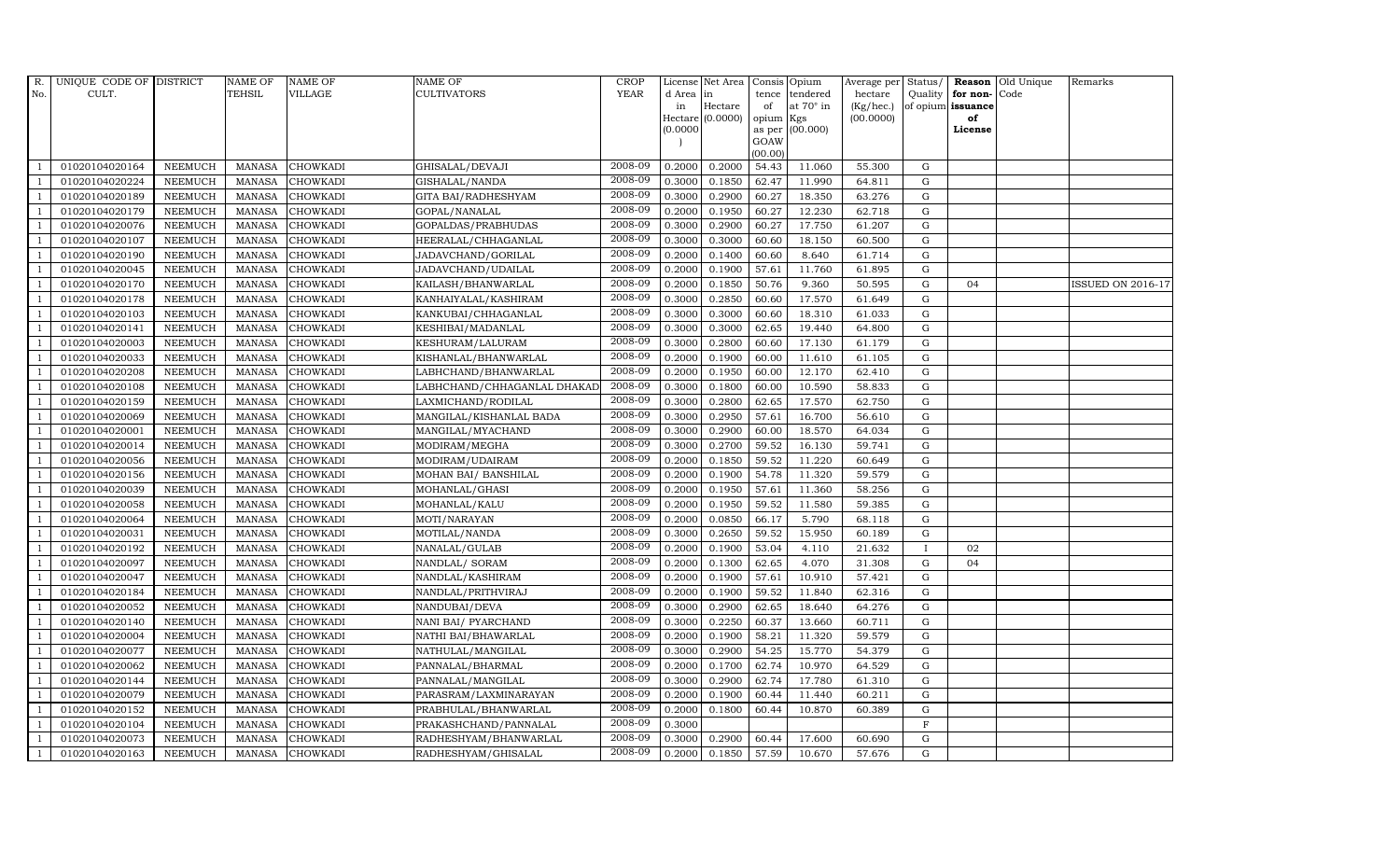| R.             | UNIQUE CODE OF DISTRICT |                | <b>NAME OF</b> | <b>NAME OF</b>  | <b>NAME OF</b>              | CROP    |           | License Net Area   Consis   Opium |           |                  | Average per | Status/      | Reason            | Old Unique | Remarks                  |
|----------------|-------------------------|----------------|----------------|-----------------|-----------------------------|---------|-----------|-----------------------------------|-----------|------------------|-------------|--------------|-------------------|------------|--------------------------|
| No.            | CULT.                   |                | <b>TEHSIL</b>  | <b>VILLAGE</b>  | <b>CULTIVATORS</b>          | YEAR    | d Area in |                                   |           | tence tendered   | hectare     | Quality      | for non-          | Code       |                          |
|                |                         |                |                |                 |                             |         | in        | Hectare                           | of        | at $70^\circ$ in | (Kg/hec.)   |              | of opium issuance |            |                          |
|                |                         |                |                |                 |                             |         |           | Hectare (0.0000)                  | opium Kgs |                  | (00.0000)   |              | of                |            |                          |
|                |                         |                |                |                 |                             |         | (0.0000)  |                                   | GOAW      | as per (00.000)  |             |              | License           |            |                          |
|                |                         |                |                |                 |                             |         |           |                                   | (00.00)   |                  |             |              |                   |            |                          |
|                | 01020104020164          | <b>NEEMUCH</b> | MANASA         | <b>CHOWKADI</b> | GHISALAL/DEVAJI             | 2008-09 | 0.2000    | 0.2000                            | 54.43     | 11.060           | 55.300      | ${\rm G}$    |                   |            |                          |
| -1             | 01020104020224          | <b>NEEMUCH</b> | <b>MANASA</b>  | <b>CHOWKADI</b> | GISHALAL/NANDA              | 2008-09 | 0.3000    | 0.1850                            | 62.47     | 11.990           | 64.811      | $\mathbf G$  |                   |            |                          |
|                | 01020104020189          | <b>NEEMUCH</b> | <b>MANASA</b>  | <b>CHOWKADI</b> | GITA BAI/RADHESHYAM         | 2008-09 | 0.3000    | 0.2900                            | 60.27     | 18.350           | 63.276      | G            |                   |            |                          |
|                | 01020104020179          | <b>NEEMUCH</b> | <b>MANASA</b>  | <b>CHOWKADI</b> | GOPAL/NANALAL               | 2008-09 | 0.2000    | 0.1950                            | 60.27     | 12.230           | 62.718      | $\mathbf G$  |                   |            |                          |
| $\overline{1}$ | 01020104020076          | <b>NEEMUCH</b> | <b>MANASA</b>  | <b>CHOWKADI</b> | GOPALDAS/PRABHUDAS          | 2008-09 | 0.3000    | 0.2900                            | 60.27     | 17.750           | 61.207      | ${\rm G}$    |                   |            |                          |
| $\overline{1}$ | 01020104020107          | <b>NEEMUCH</b> | <b>MANASA</b>  | <b>CHOWKADI</b> | HEERALAL/CHHAGANLAL         | 2008-09 | 0.3000    | 0.3000                            | 60.60     | 18.150           | 60.500      | ${\rm G}$    |                   |            |                          |
| $\overline{1}$ | 01020104020190          | <b>NEEMUCH</b> | <b>MANASA</b>  | <b>CHOWKADI</b> | JADAVCHAND/GORILAL          | 2008-09 | 0.2000    | 0.1400                            | 60.60     | 8.640            | 61.714      | $\mathbf G$  |                   |            |                          |
| $\overline{1}$ | 01020104020045          | <b>NEEMUCH</b> | <b>MANASA</b>  | <b>CHOWKADI</b> | JADAVCHAND/UDAILAL          | 2008-09 | 0.2000    | 0.1900                            | 57.61     | 11.760           | 61.895      | $\mathbf G$  |                   |            |                          |
|                | 01020104020170          | <b>NEEMUCH</b> | <b>MANASA</b>  | <b>CHOWKADI</b> | KAILASH/BHANWARLAL          | 2008-09 | 0.2000    | 0.1850                            | 50.76     | 9.360            | 50.595      | $\mathbf G$  | 04                |            | <b>ISSUED ON 2016-17</b> |
|                | 01020104020178          | <b>NEEMUCH</b> | <b>MANASA</b>  | <b>CHOWKADI</b> | KANHAIYALAL/KASHIRAM        | 2008-09 | 0.3000    | 0.2850                            | 60.60     | 17.570           | 61.649      | $\mathbf G$  |                   |            |                          |
| $\overline{1}$ | 01020104020103          | <b>NEEMUCH</b> | <b>MANASA</b>  | <b>CHOWKADI</b> | KANKUBAI/CHHAGANLAL         | 2008-09 | 0.3000    | 0.3000                            | 60.60     | 18.310           | 61.033      | ${\rm G}$    |                   |            |                          |
|                | 01020104020141          | <b>NEEMUCH</b> | <b>MANASA</b>  | <b>CHOWKADI</b> | KESHIBAI/MADANLAL           | 2008-09 | 0.3000    | 0.3000                            | 62.65     | 19.440           | 64.800      | $\mathbf G$  |                   |            |                          |
| $\overline{1}$ | 01020104020003          | <b>NEEMUCH</b> | <b>MANASA</b>  | <b>CHOWKADI</b> | KESHURAM/LALURAM            | 2008-09 | 0.3000    | 0.2800                            | 60.60     | 17.130           | 61.179      | $\mathbf G$  |                   |            |                          |
|                | 01020104020033          | <b>NEEMUCH</b> | <b>MANASA</b>  | <b>CHOWKADI</b> | KISHANLAL/BHANWARLAL        | 2008-09 | 0.2000    | 0.1900                            | 60.00     | 11.610           | 61.105      | $\mathbf G$  |                   |            |                          |
| -1             | 01020104020208          | <b>NEEMUCH</b> | <b>MANASA</b>  | <b>CHOWKADI</b> | LABHCHAND/BHANWARLAL        | 2008-09 | 0.2000    | 0.1950                            | 60.00     | 12.170           | 62.410      | G            |                   |            |                          |
| $\overline{1}$ | 01020104020108          | <b>NEEMUCH</b> | <b>MANASA</b>  | <b>CHOWKADI</b> | LABHCHAND/CHHAGANLAL DHAKAD | 2008-09 | 0.3000    | 0.1800                            | 60.00     | 10.590           | 58.833      | ${\rm G}$    |                   |            |                          |
|                | 01020104020159          | <b>NEEMUCH</b> | <b>MANASA</b>  | <b>CHOWKADI</b> | LAXMICHAND/RODILAL          | 2008-09 | 0.3000    | 0.2800                            | 62.65     | 17.570           | 62.750      | $\mathbf G$  |                   |            |                          |
| $\overline{1}$ | 01020104020069          | <b>NEEMUCH</b> | MANASA         | <b>CHOWKADI</b> | MANGILAL/KISHANLAL BADA     | 2008-09 | 0.3000    | 0.2950                            | 57.61     | 16.700           | 56.610      | G            |                   |            |                          |
|                | 01020104020001          | <b>NEEMUCH</b> | <b>MANASA</b>  | <b>CHOWKADI</b> | MANGILAL/MYACHAND           | 2008-09 | 0.3000    | 0.2900                            | 60.00     | 18.570           | 64.034      | $\mathbf G$  |                   |            |                          |
|                | 01020104020014          | <b>NEEMUCH</b> | <b>MANASA</b>  | <b>CHOWKADI</b> | MODIRAM/MEGHA               | 2008-09 | 0.3000    | 0.2700                            | 59.52     | 16.130           | 59.741      | $\mathbf G$  |                   |            |                          |
| -1             | 01020104020056          | <b>NEEMUCH</b> | <b>MANASA</b>  | <b>CHOWKADI</b> | MODIRAM/UDAIRAM             | 2008-09 | 0.2000    | 0.1850                            | 59.52     | 11.220           | 60.649      | ${\rm G}$    |                   |            |                          |
|                | 01020104020156          | <b>NEEMUCH</b> | <b>MANASA</b>  | <b>CHOWKADI</b> | MOHAN BAI/ BANSHILAL        | 2008-09 | 0.2000    | 0.1900                            | 54.78     | 11.320           | 59.579      | ${\rm G}$    |                   |            |                          |
| $\overline{1}$ | 01020104020039          | <b>NEEMUCH</b> | MANASA         | <b>CHOWKADI</b> | MOHANLAL/GHASI              | 2008-09 | 0.2000    | 0.1950                            | 57.61     | 11.360           | 58.256      | G            |                   |            |                          |
|                | 01020104020058          | <b>NEEMUCH</b> | <b>MANASA</b>  | <b>CHOWKADI</b> | MOHANLAL/KALU               | 2008-09 | 0.2000    | 0.1950                            | 59.52     | 11.580           | 59.385      | $\mathbf G$  |                   |            |                          |
|                | 01020104020064          | <b>NEEMUCH</b> | <b>MANASA</b>  | <b>CHOWKADI</b> | MOTI/NARAYAN                | 2008-09 | 0.2000    | 0.0850                            | 66.17     | 5.790            | 68.118      | ${\rm G}$    |                   |            |                          |
| -1             | 01020104020031          | <b>NEEMUCH</b> | <b>MANASA</b>  | <b>CHOWKADI</b> | MOTILAL/NANDA               | 2008-09 | 0.3000    | 0.2650                            | 59.52     | 15.950           | 60.189      | G            |                   |            |                          |
|                | 01020104020192          | <b>NEEMUCH</b> | <b>MANASA</b>  | <b>CHOWKADI</b> | NANALAL/GULAB               | 2008-09 | 0.2000    | 0.1900                            | 53.04     | 4.110            | 21.632      | $\mathbf{I}$ | 02                |            |                          |
| $\overline{1}$ | 01020104020097          | <b>NEEMUCH</b> | <b>MANASA</b>  | <b>CHOWKADI</b> | NANDLAL/ SORAM              | 2008-09 | 0.2000    | 0.1300                            | 62.65     | 4.070            | 31.308      | $\mathbf G$  | 04                |            |                          |
| $\mathbf{1}$   | 01020104020047          | <b>NEEMUCH</b> | <b>MANASA</b>  | <b>CHOWKADI</b> | NANDLAL/KASHIRAM            | 2008-09 | 0.2000    | 0.1900                            | 57.61     | 10.910           | 57.421      | $\mathbf G$  |                   |            |                          |
|                | 01020104020184          | <b>NEEMUCH</b> | <b>MANASA</b>  | <b>CHOWKADI</b> | NANDLAL/PRITHVIRAJ          | 2008-09 | 0.2000    | 0.1900                            | 59.52     | 11.840           | 62.316      | $\mathbf G$  |                   |            |                          |
| -1             | 01020104020052          | <b>NEEMUCH</b> | <b>MANASA</b>  | <b>CHOWKADI</b> | NANDUBAI/DEVA               | 2008-09 | 0.3000    | 0.2900                            | 62.65     | 18.640           | 64.276      | G            |                   |            |                          |
|                | 01020104020140          | <b>NEEMUCH</b> | <b>MANASA</b>  | <b>CHOWKADI</b> | NANI BAI/ PYARCHAND         | 2008-09 | 0.3000    | 0.2250                            | 60.37     | 13.660           | 60.711      | ${\rm G}$    |                   |            |                          |
| $\overline{1}$ | 01020104020004          | <b>NEEMUCH</b> | MANASA         | CHOWKADI        | NATHI BAI/BHAWARLAL         | 2008-09 | 0.2000    | 0.1900                            | 58.21     | 11.320           | 59.579      | $\mathbf G$  |                   |            |                          |
| $\mathbf{1}$   | 01020104020077          | <b>NEEMUCH</b> | <b>MANASA</b>  | <b>CHOWKADI</b> | NATHULAL/MANGILAL           | 2008-09 | 0.3000    | 0.2900                            | 54.25     | 15.770           | 54.379      | $\mathbf G$  |                   |            |                          |
|                | 01020104020062          | <b>NEEMUCH</b> | <b>MANASA</b>  | <b>CHOWKADI</b> | PANNALAL/BHARMAL            | 2008-09 | 0.2000    | 0.1700                            | 62.74     | 10.970           | 64.529      | $\mathbf G$  |                   |            |                          |
| $\overline{1}$ | 01020104020144          | <b>NEEMUCH</b> | <b>MANASA</b>  | <b>CHOWKADI</b> | PANNALAL/MANGILAL           | 2008-09 | 0.3000    | 0.2900                            | 62.74     | 17.780           | 61.310      | ${\rm G}$    |                   |            |                          |
|                | 01020104020079          | <b>NEEMUCH</b> | <b>MANASA</b>  | <b>CHOWKADI</b> | PARASRAM/LAXMINARAYAN       | 2008-09 | 0.2000    | 0.1900                            | 60.44     | 11.440           | 60.211      | ${\rm G}$    |                   |            |                          |
| $\overline{1}$ | 01020104020152          | <b>NEEMUCH</b> | <b>MANASA</b>  | <b>CHOWKADI</b> | PRABHULAL/BHANWARLAL        | 2008-09 | 0.2000    | 0.1800                            | 60.44     | 10.870           | 60.389      | $\mathbf G$  |                   |            |                          |
| $\overline{1}$ | 01020104020104          | <b>NEEMUCH</b> | <b>MANASA</b>  | <b>CHOWKADI</b> | PRAKASHCHAND/PANNALAL       | 2008-09 | 0.3000    |                                   |           |                  |             | $\mathbf F$  |                   |            |                          |
|                | 01020104020073          | <b>NEEMUCH</b> | <b>MANASA</b>  | <b>CHOWKADI</b> | RADHESHYAM/BHANWARLAL       | 2008-09 | 0.3000    | 0.2900                            | 60.44     | 17.600           | 60.690      | $\mathbf G$  |                   |            |                          |
| $\mathbf{1}$   | 01020104020163          | <b>NEEMUCH</b> |                | MANASA CHOWKADI | RADHESHYAM/GHISALAL         | 2008-09 | 0.2000    | 0.1850                            | 57.59     | 10.670           | 57.676      | G            |                   |            |                          |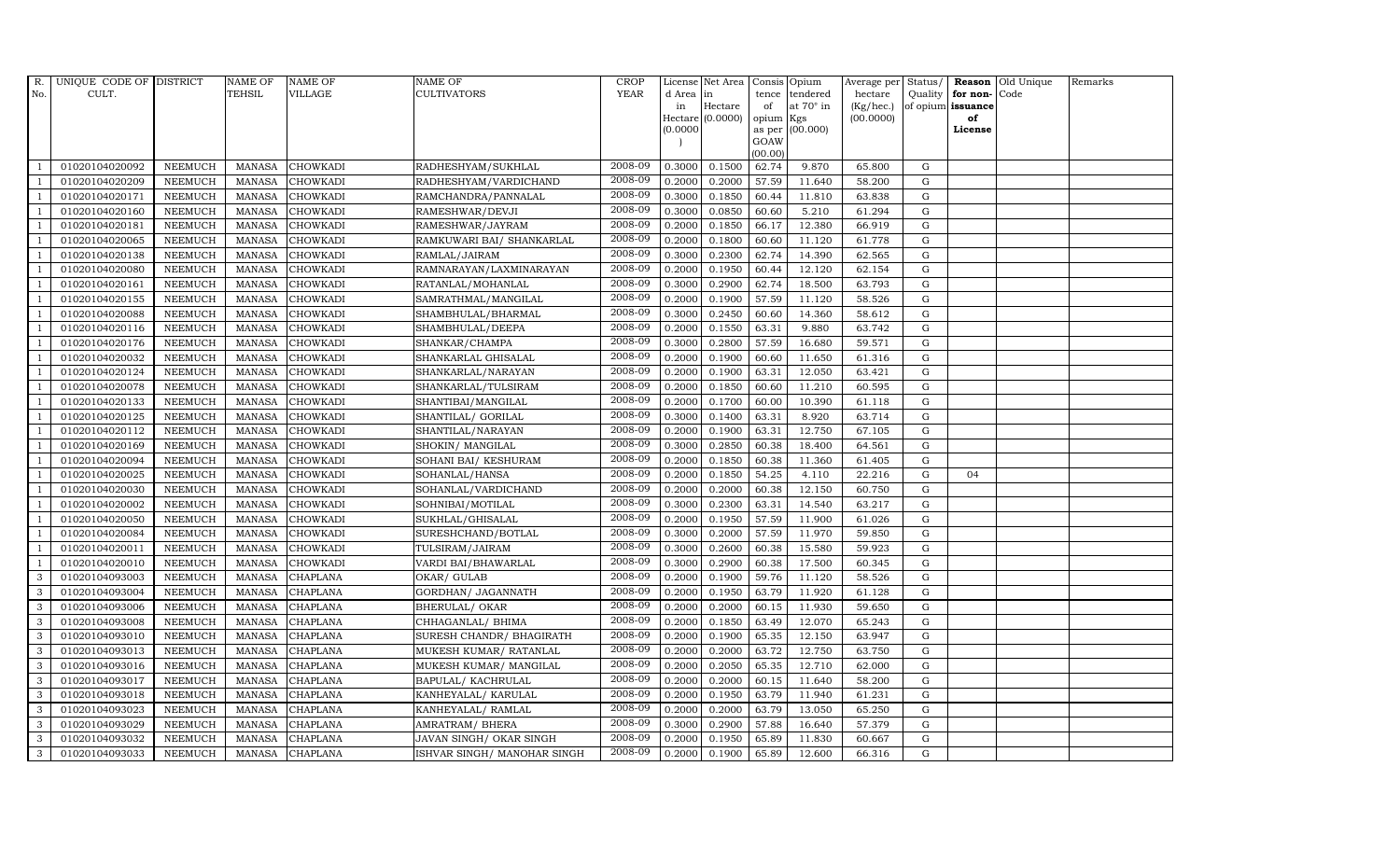| $R_{\cdot}$    | UNIQUE CODE OF DISTRICT |                | <b>NAME OF</b> | <b>NAME OF</b>  | <b>NAME OF</b>              | <b>CROP</b> |           | License Net Area   |                    | Consis Opium     | Average per Status/ |             |                      | <b>Reason</b> Old Unique | Remarks |
|----------------|-------------------------|----------------|----------------|-----------------|-----------------------------|-------------|-----------|--------------------|--------------------|------------------|---------------------|-------------|----------------------|--------------------------|---------|
| No.            | CULT.                   |                | <b>TEHSIL</b>  | <b>VILLAGE</b>  | <b>CULTIVATORS</b>          | <b>YEAR</b> | d Area in |                    | tence              | tendered         | hectare             |             | Quality $ $ for non- | Code                     |         |
|                |                         |                |                |                 |                             |             | in        | Hectare            | of                 | at $70^\circ$ in | (Kg/hec.)           |             | of opium issuance    |                          |         |
|                |                         |                |                |                 |                             |             |           | Hectare $(0.0000)$ | opium Kgs          |                  | (00.0000)           |             | of                   |                          |         |
|                |                         |                |                |                 |                             |             | (0.0000)  |                    | GOAW               | as per (00.000)  |                     |             | License              |                          |         |
|                |                         |                |                |                 |                             |             |           |                    | (00.00)            |                  |                     |             |                      |                          |         |
|                | 01020104020092          | <b>NEEMUCH</b> | MANASA         | <b>CHOWKADI</b> | RADHESHYAM/SUKHLAL          | 2008-09     | 0.3000    | 0.1500             | 62.74              | 9.870            | 65.800              | G           |                      |                          |         |
| $\overline{1}$ | 01020104020209          | <b>NEEMUCH</b> | MANASA         | <b>CHOWKADI</b> | RADHESHYAM/VARDICHAND       | 2008-09     | 0.2000    | 0.2000             | 57.59              | 11.640           | 58.200              | G           |                      |                          |         |
|                | 01020104020171          | <b>NEEMUCH</b> | <b>MANASA</b>  | <b>CHOWKADI</b> | RAMCHANDRA/PANNALAL         | 2008-09     | 0.3000    | 0.1850             | 60.44              | 11.810           | 63.838              | G           |                      |                          |         |
|                | 01020104020160          | <b>NEEMUCH</b> | <b>MANASA</b>  | <b>CHOWKADI</b> | RAMESHWAR/DEVJI             | 2008-09     | 0.3000    | 0.0850             | 60.60              | 5.210            | 61.294              | G           |                      |                          |         |
| $\overline{1}$ | 01020104020181          | <b>NEEMUCH</b> | <b>MANASA</b>  | <b>CHOWKADI</b> | RAMESHWAR/JAYRAM            | 2008-09     | 0.2000    | 0.1850             | 66.17              | 12.380           | 66.919              | G           |                      |                          |         |
| $\overline{1}$ | 01020104020065          | <b>NEEMUCH</b> | <b>MANASA</b>  | <b>CHOWKADI</b> | RAMKUWARI BAI/ SHANKARLAL   | 2008-09     | 0.2000    | 0.1800             | 60.60              | 11.120           | 61.778              | G           |                      |                          |         |
| $\overline{1}$ | 01020104020138          | <b>NEEMUCH</b> | <b>MANASA</b>  | <b>CHOWKADI</b> | RAMLAL/JAIRAM               | 2008-09     | 0.3000    | 0.2300             | 62.74              | 14.390           | 62.565              | G           |                      |                          |         |
|                | 01020104020080          | <b>NEEMUCH</b> | <b>MANASA</b>  | <b>CHOWKADI</b> | RAMNARAYAN/LAXMINARAYAN     | 2008-09     | 0.2000    | 0.1950             | 60.44              | 12.120           | 62.154              | $\mathbf G$ |                      |                          |         |
|                | 01020104020161          | <b>NEEMUCH</b> | <b>MANASA</b>  | <b>CHOWKADI</b> | RATANLAL/MOHANLAL           | 2008-09     | 0.3000    | 0.2900             | 62.74              | 18.500           | 63.793              | G           |                      |                          |         |
| $\overline{1}$ | 01020104020155          | <b>NEEMUCH</b> | <b>MANASA</b>  | <b>CHOWKADI</b> | SAMRATHMAL/MANGILAL         | 2008-09     | 0.2000    | 0.1900             | 57.59              | 11.120           | 58.526              | G           |                      |                          |         |
| $\overline{1}$ | 01020104020088          | <b>NEEMUCH</b> | <b>MANASA</b>  | <b>CHOWKADI</b> | SHAMBHULAL/BHARMAL          | 2008-09     | 0.3000    | 0.2450             | 60.60              | 14.360           | 58.612              | G           |                      |                          |         |
| $\overline{1}$ | 01020104020116          | <b>NEEMUCH</b> | MANASA         | <b>CHOWKADI</b> | SHAMBHULAL/DEEPA            | 2008-09     | 0.2000    | 0.1550             | 63.31              | 9.880            | 63.742              | G           |                      |                          |         |
|                | 01020104020176          | <b>NEEMUCH</b> | <b>MANASA</b>  | <b>CHOWKADI</b> | SHANKAR/CHAMPA              | 2008-09     | 0.3000    | 0.2800             | 57.59              | 16.680           | 59.571              | G           |                      |                          |         |
|                | 01020104020032          | <b>NEEMUCH</b> | <b>MANASA</b>  | <b>CHOWKADI</b> | SHANKARLAL GHISALAL         | 2008-09     | 0.2000    | 0.1900             | 60.60              | 11.650           | 61.316              | G           |                      |                          |         |
| $\overline{1}$ | 01020104020124          | <b>NEEMUCH</b> | <b>MANASA</b>  | <b>CHOWKADI</b> | SHANKARLAL/NARAYAN          | 2008-09     | 0.2000    | 0.1900             | 63.31              | 12.050           | 63.421              | G           |                      |                          |         |
| $\overline{1}$ | 01020104020078          | <b>NEEMUCH</b> | <b>MANASA</b>  | <b>CHOWKADI</b> | SHANKARLAL/TULSIRAM         | 2008-09     | 0.2000    | 0.1850             | 60.60              | 11.210           | 60.595              | G           |                      |                          |         |
| $\overline{1}$ | 01020104020133          | <b>NEEMUCH</b> | MANASA         | <b>CHOWKADI</b> | SHANTIBAI/MANGILAL          | 2008-09     | 0.2000    | 0.1700             | 60.00              | 10.390           | 61.118              | ${\rm G}$   |                      |                          |         |
| $\overline{1}$ | 01020104020125          | <b>NEEMUCH</b> | <b>MANASA</b>  | <b>CHOWKADI</b> | SHANTILAL/ GORILAL          | 2008-09     | 0.3000    | 0.1400             | 63.31              | 8.920            | 63.714              | $\mathbf G$ |                      |                          |         |
|                | 01020104020112          | <b>NEEMUCH</b> | <b>MANASA</b>  | <b>CHOWKADI</b> | SHANTILAL/NARAYAN           | 2008-09     | 0.2000    | 0.1900             | 63.31              | 12.750           | 67.105              | G           |                      |                          |         |
|                | 01020104020169          | <b>NEEMUCH</b> | <b>MANASA</b>  | <b>CHOWKADI</b> | SHOKIN/ MANGILAL            | 2008-09     | 0.3000    | 0.2850             | 60.38              | 18.400           | 64.561              | G           |                      |                          |         |
| $\overline{1}$ | 01020104020094          | <b>NEEMUCH</b> | <b>MANASA</b>  | <b>CHOWKADI</b> | SOHANI BAI/ KESHURAM        | 2008-09     | 0.2000    | 0.1850             | 60.38              | 11.360           | 61.405              | G           |                      |                          |         |
| $\overline{1}$ | 01020104020025          | <b>NEEMUCH</b> | MANASA         | <b>CHOWKADI</b> | SOHANLAL/HANSA              | 2008-09     | 0.2000    | 0.1850             | $\overline{5}4.25$ | 4.110            | 22.216              | G           | 04                   |                          |         |
| $\overline{1}$ | 01020104020030          | <b>NEEMUCH</b> | <b>MANASA</b>  | <b>CHOWKADI</b> | SOHANLAL/VARDICHAND         | 2008-09     | 0.2000    | 0.2000             | 60.38              | 12.150           | 60.750              | G           |                      |                          |         |
|                | 01020104020002          | <b>NEEMUCH</b> | <b>MANASA</b>  | <b>CHOWKADI</b> | SOHNIBAI/MOTILAL            | 2008-09     | 0.3000    | 0.2300             | 63.31              | 14.540           | 63.217              | G           |                      |                          |         |
|                | 01020104020050          | <b>NEEMUCH</b> | <b>MANASA</b>  | <b>CHOWKADI</b> | SUKHLAL/GHISALAL            | 2008-09     | 0.2000    | 0.1950             | 57.59              | 11.900           | 61.026              | $\mathbf G$ |                      |                          |         |
| $\overline{1}$ | 01020104020084          | <b>NEEMUCH</b> | <b>MANASA</b>  | <b>CHOWKADI</b> | SURESHCHAND/BOTLAL          | 2008-09     | 0.3000    | 0.2000             | 57.59              | 11.970           | 59.850              | G           |                      |                          |         |
|                | 01020104020011          | <b>NEEMUCH</b> | <b>MANASA</b>  | <b>CHOWKADI</b> | TULSIRAM/JAIRAM             | 2008-09     | 0.3000    | 0.2600             | 60.38              | 15.580           | 59.923              | G           |                      |                          |         |
| $\overline{1}$ | 01020104020010          | <b>NEEMUCH</b> | <b>MANASA</b>  | <b>CHOWKADI</b> | VARDI BAI/BHAWARLAL         | 2008-09     | 0.3000    | 0.2900             | 60.38              | 17.500           | 60.345              | G           |                      |                          |         |
| 3              | 01020104093003          | <b>NEEMUCH</b> | <b>MANASA</b>  | <b>CHAPLANA</b> | OKAR/ GULAB                 | 2008-09     | 0.2000    | 0.1900             | 59.76              | 11.120           | 58.526              | G           |                      |                          |         |
| 3              | 01020104093004          | <b>NEEMUCH</b> | <b>MANASA</b>  | CHAPLANA        | GORDHAN/ JAGANNATH          | 2008-09     | 0.2000    | 0.1950             | 63.79              | 11.920           | 61.128              | G           |                      |                          |         |
| 3              | 01020104093006          | <b>NEEMUCH</b> | <b>MANASA</b>  | <b>CHAPLANA</b> | <b>BHERULAL/ OKAR</b>       | 2008-09     | 0.2000    | 0.2000             | 60.15              | 11.930           | 59.650              | G           |                      |                          |         |
| 3              | 01020104093008          | <b>NEEMUCH</b> | <b>MANASA</b>  | <b>CHAPLANA</b> | CHHAGANLAL/ BHIMA           | 2008-09     | 0.2000    | 0.1850             | 63.49              | 12.070           | 65.243              | G           |                      |                          |         |
| 3              | 01020104093010          | <b>NEEMUCH</b> | <b>MANASA</b>  | CHAPLANA        | SURESH CHANDR / BHAGIRATH   | 2008-09     | 0.2000    | 0.1900             | 65.35              | 12.150           | 63.947              | ${\rm G}$   |                      |                          |         |
| 3              | 01020104093013          | <b>NEEMUCH</b> | <b>MANASA</b>  | <b>CHAPLANA</b> | MUKESH KUMAR/ RATANLAL      | 2008-09     | 0.2000    | 0.2000             | 63.72              | 12.750           | 63.750              | $\mathbf G$ |                      |                          |         |
| 3              | 01020104093016          | <b>NEEMUCH</b> | <b>MANASA</b>  | <b>CHAPLANA</b> | MUKESH KUMAR/ MANGILAL      | 2008-09     | 0.2000    | 0.2050             | 65.35              | 12.710           | 62.000              | G           |                      |                          |         |
| 3              | 01020104093017          | <b>NEEMUCH</b> | <b>MANASA</b>  | <b>CHAPLANA</b> | BAPULAL/KACHRULAL           | 2008-09     | 0.2000    | 0.2000             | 60.15              | 11.640           | 58.200              | G           |                      |                          |         |
| 3              | 01020104093018          | <b>NEEMUCH</b> | <b>MANASA</b>  | <b>CHAPLANA</b> | KANHEYALAL/ KARULAL         | 2008-09     | 0.2000    | 0.1950             | 63.79              | 11.940           | 61.231              | G           |                      |                          |         |
| $\mathbf{3}$   | 01020104093023          | <b>NEEMUCH</b> | <b>MANASA</b>  | CHAPLANA        | KANHEYALAL/ RAMLAL          | 2008-09     | 0.2000    | 0.2000             | 63.79              | 13.050           | 65.250              | $\mathbf G$ |                      |                          |         |
| 3              | 01020104093029          | <b>NEEMUCH</b> | <b>MANASA</b>  | <b>CHAPLANA</b> | AMRATRAM/ BHERA             | 2008-09     | 0.3000    | 0.2900             | 57.88              | 16.640           | 57.379              | G           |                      |                          |         |
| 3              | 01020104093032          | <b>NEEMUCH</b> | <b>MANASA</b>  | <b>CHAPLANA</b> | JAVAN SINGH/OKAR SINGH      | 2008-09     | 0.2000    | 0.1950             | 65.89              | 11.830           | 60.667              | G           |                      |                          |         |
| 3              | 01020104093033          | <b>NEEMUCH</b> |                | MANASA CHAPLANA | ISHVAR SINGH/ MANOHAR SINGH | 2008-09     | 0.2000    | 0.1900             | 65.89              | 12.600           | 66.316              | G           |                      |                          |         |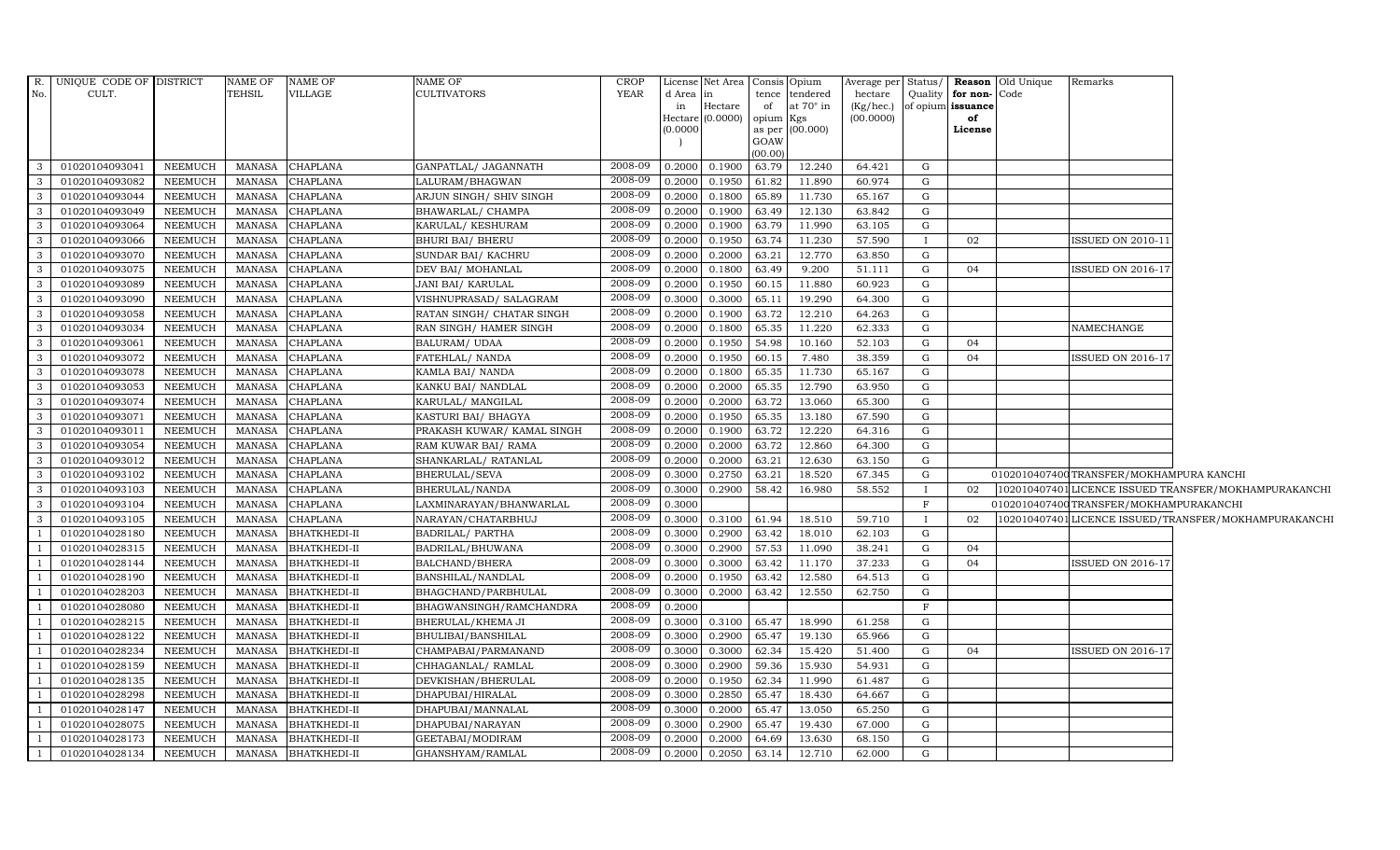|                | R. UNIQUE CODE OF DISTRICT |                | NAME OF       | NAME OF             | NAME OF                   | <b>CROP</b> |          | License Net Area   Consis   Opium |                |                  |                 |              |                      | Average per Status/   Reason   Old Unique | Remarks                                 |                                                       |
|----------------|----------------------------|----------------|---------------|---------------------|---------------------------|-------------|----------|-----------------------------------|----------------|------------------|-----------------|--------------|----------------------|-------------------------------------------|-----------------------------------------|-------------------------------------------------------|
| No.            | CULT.                      |                | TEHSIL        | VILLAGE             | <b>CULTIVATORS</b>        | YEAR        | d Area   | in                                | tence          | tendered         | hectare         |              | Quality for non-Code |                                           |                                         |                                                       |
|                |                            |                |               |                     |                           |             | in       | Hectare                           | of             | at $70^\circ$ in | $(Kg/$ hec. $)$ |              | of opium issuance    |                                           |                                         |                                                       |
|                |                            |                |               |                     |                           |             | Hectare  | (0.0000)                          | opium          | Kgs              | (00.0000)       |              | of                   |                                           |                                         |                                                       |
|                |                            |                |               |                     |                           |             | (0.0000) |                                   | as per<br>GOAW | (00.000)         |                 |              | License              |                                           |                                         |                                                       |
|                |                            |                |               |                     |                           |             |          |                                   | (00.00)        |                  |                 |              |                      |                                           |                                         |                                                       |
| $\mathbf{3}$   | 01020104093041             | NEEMUCH        | MANASA        | <b>CHAPLANA</b>     | GANPATLAL/ JAGANNATH      | 2008-09     | 0.2000   | 0.1900                            | 63.79          | 12.240           | 64.421          | G            |                      |                                           |                                         |                                                       |
| -3             | 01020104093082             | <b>NEEMUCH</b> | <b>MANASA</b> | <b>CHAPLANA</b>     | LALURAM/BHAGWAN           | 2008-09     | 0.2000   | 0.1950                            | 61.82          | 11.890           | 60.974          | G            |                      |                                           |                                         |                                                       |
| 3              | 01020104093044             | <b>NEEMUCH</b> | <b>MANASA</b> | <b>CHAPLANA</b>     | ARJUN SINGH/ SHIV SINGH   | 2008-09     | 0.2000   | 0.1800                            | 65.89          | 11.730           | 65.167          | G            |                      |                                           |                                         |                                                       |
| 3              | 01020104093049             | <b>NEEMUCH</b> | MANASA        | <b>CHAPLANA</b>     | BHAWARLAL/ CHAMPA         | 2008-09     | 0.2000   | 0.1900                            | 63.49          | 12.130           | 63.842          | G            |                      |                                           |                                         |                                                       |
| 3              | 01020104093064             | NEEMUCH        | <b>MANASA</b> | <b>CHAPLANA</b>     | KARULAL/KESHURAM          | 2008-09     | 0.2000   | 0.1900                            | 63.79          | 11.990           | 63.105          | G            |                      |                                           |                                         |                                                       |
| $\mathbf{3}$   | 01020104093066             | NEEMUCH        | <b>MANASA</b> | <b>CHAPLANA</b>     | <b>BHURI BAI/ BHERU</b>   | 2008-09     | 0.2000   | 0.1950                            | 63.74          | 11.230           | 57.590          | $\mathbf{I}$ | 02                   |                                           | <b>ISSUED ON 2010-11</b>                |                                                       |
| $\mathbf{3}$   | 01020104093070             | <b>NEEMUCH</b> | <b>MANASA</b> | <b>CHAPLANA</b>     | SUNDAR BAI/ KACHRU        | 2008-09     | 0.2000   | 0.2000                            | 63.21          | 12.770           | 63.850          | G            |                      |                                           |                                         |                                                       |
| $\mathcal{E}$  | 01020104093075             | <b>NEEMUCH</b> | <b>MANASA</b> | <b>CHAPLANA</b>     | DEV BAI/ MOHANLAL         | 2008-09     | 0.2000   | 0.1800                            | 63.49          | 9.200            | 51.111          | G            | 04                   |                                           | ISSUED ON 2016-17                       |                                                       |
| 3              | 01020104093089             | <b>NEEMUCH</b> | <b>MANASA</b> | CHAPLANA            | JANI BAI/KARULAL          | 2008-09     | 0.2000   | 0.1950                            | 60.15          | 11.880           | 60.923          | G            |                      |                                           |                                         |                                                       |
| $\mathbf{3}$   | 01020104093090             | NEEMUCH        | <b>MANASA</b> | <b>CHAPLANA</b>     | VISHNUPRASAD/ SALAGRAM    | 2008-09     | 0.3000   | 0.3000                            | 65.11          | 19.290           | 64.300          | G            |                      |                                           |                                         |                                                       |
| $\mathbf{3}$   | 01020104093058             | NEEMUCH        | <b>MANASA</b> | <b>CHAPLANA</b>     | RATAN SINGH/ CHATAR SINGH | 2008-09     | 0.2000   | 0.1900                            | 63.72          | 12.210           | 64.263          | G            |                      |                                           |                                         |                                                       |
| 3              | 01020104093034             | <b>NEEMUCH</b> | <b>MANASA</b> | <b>CHAPLANA</b>     | RAN SINGH/ HAMER SINGH    | 2008-09     | 0.2000   | 0.1800                            | 65.35          | 11.220           | 62.333          | G            |                      |                                           | NAMECHANGE                              |                                                       |
| 3              | 01020104093061             | <b>NEEMUCH</b> | <b>MANASA</b> | <b>CHAPLANA</b>     | <b>BALURAM/ UDAA</b>      | 2008-09     | 0.2000   | 0.1950                            | 54.98          | 10.160           | 52.103          | G            | 04                   |                                           |                                         |                                                       |
| -3             | 01020104093072             | <b>NEEMUCH</b> | <b>MANASA</b> | <b>CHAPLANA</b>     | FATEHLAL/ NANDA           | 2008-09     | 0.2000   | 0.1950                            | 60.15          | 7.480            | 38.359          | G            | 04                   |                                           | <b>ISSUED ON 2016-17</b>                |                                                       |
| $\mathbf{3}$   | 01020104093078             | NEEMUCH        | <b>MANASA</b> | <b>CHAPLANA</b>     | KAMLA BAI/ NANDA          | 2008-09     | 0.2000   | 0.1800                            | 65.35          | 11.730           | 65.167          | G            |                      |                                           |                                         |                                                       |
| $\mathbf{3}$   | 01020104093053             | NEEMUCH        | <b>MANASA</b> | <b>CHAPLANA</b>     | KANKU BAI/ NANDLAL        | 2008-09     | 0.2000   | 0.2000                            | 65.35          | 12.790           | 63.950          | G            |                      |                                           |                                         |                                                       |
| 3              | 01020104093074             | <b>NEEMUCH</b> | <b>MANASA</b> | <b>CHAPLANA</b>     | KARULAL/ MANGILAL         | 2008-09     | 0.2000   | 0.2000                            | 63.72          | 13.060           | 65.300          | G            |                      |                                           |                                         |                                                       |
| $\mathbf{3}$   | 01020104093071             | <b>NEEMUCH</b> | <b>MANASA</b> | <b>CHAPLANA</b>     | KASTURI BAI/ BHAGYA       | 2008-09     | 0.2000   | 0.1950                            | 65.35          | 13.180           | 67.590          | G            |                      |                                           |                                         |                                                       |
| -3             | 01020104093011             | <b>NEEMUCH</b> | <b>MANASA</b> | <b>CHAPLANA</b>     | PRAKASH KUWAR/KAMAL SINGH | 2008-09     | 0.2000   | 0.1900                            | 63.72          | 12.220           | 64.316          | G            |                      |                                           |                                         |                                                       |
| $\overline{3}$ | 01020104093054             | <b>NEEMUCH</b> | <b>MANASA</b> | <b>CHAPLANA</b>     | RAM KUWAR BAI/RAMA        | 2008-09     | 0.2000   | 0.2000                            | 63.72          | 12.860           | 64.300          | ${\rm G}$    |                      |                                           |                                         |                                                       |
| 3              | 01020104093012             | NEEMUCH        | <b>MANASA</b> | <b>CHAPLANA</b>     | SHANKARLAL/RATANLAL       | 2008-09     | 0.2000   | 0.2000                            | 63.21          | 12.630           | 63.150          | G            |                      |                                           |                                         |                                                       |
| $\mathbf{3}$   | 01020104093102             | NEEMUCH        | <b>MANASA</b> | <b>CHAPLANA</b>     | BHERULAL/SEVA             | 2008-09     | 0.3000   | 0.2750                            | 63.21          | 18.520           | 67.345          | G            |                      |                                           | 0102010407400TRANSFER/MOKHAMPURA KANCHI |                                                       |
| $\mathbf{3}$   | 01020104093103             | NEEMUCH        | <b>MANASA</b> | <b>CHAPLANA</b>     | BHERULAL/NANDA            | 2008-09     | 0.3000   | 0.2900                            | 58.42          | 16.980           | 58.552          | $\mathbf{I}$ | 02                   |                                           |                                         | 102010407401 LICENCE ISSUED TRANSFER/MOKHAMPURAKANCHI |
| 3              | 01020104093104             | <b>NEEMUCH</b> | <b>MANASA</b> | <b>CHAPLANA</b>     | LAXMINARAYAN/BHANWARLAL   | 2008-09     | 0.3000   |                                   |                |                  |                 | $\mathbf{F}$ |                      |                                           | 0102010407400TRANSFER/MOKHAMPURAKANCHI  |                                                       |
| $\mathcal{E}$  | 01020104093105             | <b>NEEMUCH</b> | <b>MANASA</b> | CHAPLANA            | NARAYAN/CHATARBHUJ        | 2008-09     | 0.3000   | 0.3100                            | 61.94          | 18.510           | 59.710          |              | 02                   |                                           |                                         | 102010407401 LICENCE ISSUED/TRANSFER/MOKHAMPURAKANCHI |
|                | 01020104028180             | <b>NEEMUCH</b> | <b>MANASA</b> | <b>BHATKHEDI-II</b> | <b>BADRILAL/ PARTHA</b>   | 2008-09     | 0.3000   | 0.2900                            | 63.42          | 18.010           | 62.103          | G            |                      |                                           |                                         |                                                       |
|                | 01020104028315             | NEEMUCH        | <b>MANASA</b> | <b>BHATKHEDI-II</b> | BADRILAL/BHUWANA          | 2008-09     | 0.3000   | 0.2900                            | 57.53          | 11.090           | 38.241          | G            | 04                   |                                           |                                         |                                                       |
|                | 01020104028144             | NEEMUCH        | <b>MANASA</b> | <b>BHATKHEDI-II</b> | BALCHAND/BHERA            | 2008-09     | 0.3000   | 0.3000                            | 63.42          | 11.170           | 37.233          | G            | 04                   |                                           | ISSUED ON 2016-17                       |                                                       |
|                | 01020104028190             | <b>NEEMUCH</b> | <b>MANASA</b> | <b>BHATKHEDI-II</b> | BANSHILAL/NANDLAL         | 2008-09     | 0.2000   | 0.1950                            | 63.42          | 12.580           | 64.513          | G            |                      |                                           |                                         |                                                       |
|                | 01020104028203             | <b>NEEMUCH</b> | <b>MANASA</b> | <b>BHATKHEDI-II</b> | BHAGCHAND/PARBHULAL       | 2008-09     | 0.3000   | 0.2000                            | 63.42          | 12.550           | 62.750          | G            |                      |                                           |                                         |                                                       |
|                | 01020104028080             | <b>NEEMUCH</b> | <b>MANASA</b> | <b>BHATKHEDI-II</b> | BHAGWANSINGH/RAMCHANDRA   | 2008-09     | 0.2000   |                                   |                |                  |                 | F            |                      |                                           |                                         |                                                       |
|                | 01020104028215             | <b>NEEMUCH</b> | <b>MANASA</b> | <b>BHATKHEDI-II</b> | BHERULAL/KHEMA JI         | 2008-09     | 0.3000   | 0.3100                            | 65.47          | 18.990           | 61.258          | G            |                      |                                           |                                         |                                                       |
|                | 01020104028122             | NEEMUCH        | <b>MANASA</b> | <b>BHATKHEDI-II</b> | BHULIBAI/BANSHILAL        | 2008-09     | 0.3000   | 0.2900                            | 65.47          | 19.130           | 65.966          | G            |                      |                                           |                                         |                                                       |
|                | 01020104028234             | <b>NEEMUCH</b> | <b>MANASA</b> | <b>BHATKHEDI-II</b> | CHAMPABAI/PARMANAND       | 2008-09     | 0.3000   | 0.3000                            | 62.34          | 15.420           | 51.400          | G            | 04                   |                                           | ISSUED ON 2016-17                       |                                                       |
|                | 01020104028159             | <b>NEEMUCH</b> | <b>MANASA</b> | <b>BHATKHEDI-II</b> | CHHAGANLAL/RAMLAL         | 2008-09     | 0.3000   | 0.2900                            | 59.36          | 15.930           | 54.931          | G            |                      |                                           |                                         |                                                       |
|                | 01020104028135             | <b>NEEMUCH</b> | <b>MANASA</b> | <b>BHATKHEDI-II</b> | DEVKISHAN/BHERULAL        | 2008-09     | 0.2000   | 0.1950                            | 62.34          | 11.990           | 61.487          | G            |                      |                                           |                                         |                                                       |
|                | 01020104028298             | <b>NEEMUCH</b> | <b>MANASA</b> | <b>BHATKHEDI-II</b> | DHAPUBAI/HIRALAL          | 2008-09     | 0.3000   | 0.2850                            | 65.47          | 18.430           | 64.667          | G            |                      |                                           |                                         |                                                       |
|                | 01020104028147             | <b>NEEMUCH</b> | <b>MANASA</b> | <b>BHATKHEDI-II</b> | DHAPUBAI/MANNALAL         | 2008-09     | 0.3000   | 0.2000                            | 65.47          | 13.050           | 65.250          | G            |                      |                                           |                                         |                                                       |
|                | 01020104028075             | NEEMUCH        | <b>MANASA</b> | <b>BHATKHEDI-II</b> | DHAPUBAI/NARAYAN          | 2008-09     | 0.3000   | 0.2900                            | 65.47          | 19.430           | 67.000          | G            |                      |                                           |                                         |                                                       |
|                | 01020104028173             | NEEMUCH        | <b>MANASA</b> | <b>BHATKHEDI-II</b> | GEETABAI/MODIRAM          | 2008-09     | 0.2000   | 0.2000                            | 64.69          | 13.630           | 68.150          | G            |                      |                                           |                                         |                                                       |
|                | 01020104028134             | NEEMUCH        | MANASA        | <b>BHATKHEDI-II</b> | GHANSHYAM/RAMLAL          | 2008-09     | 0.2000   | 0.2050                            | 63.14          | 12.710           | 62.000          | G            |                      |                                           |                                         |                                                       |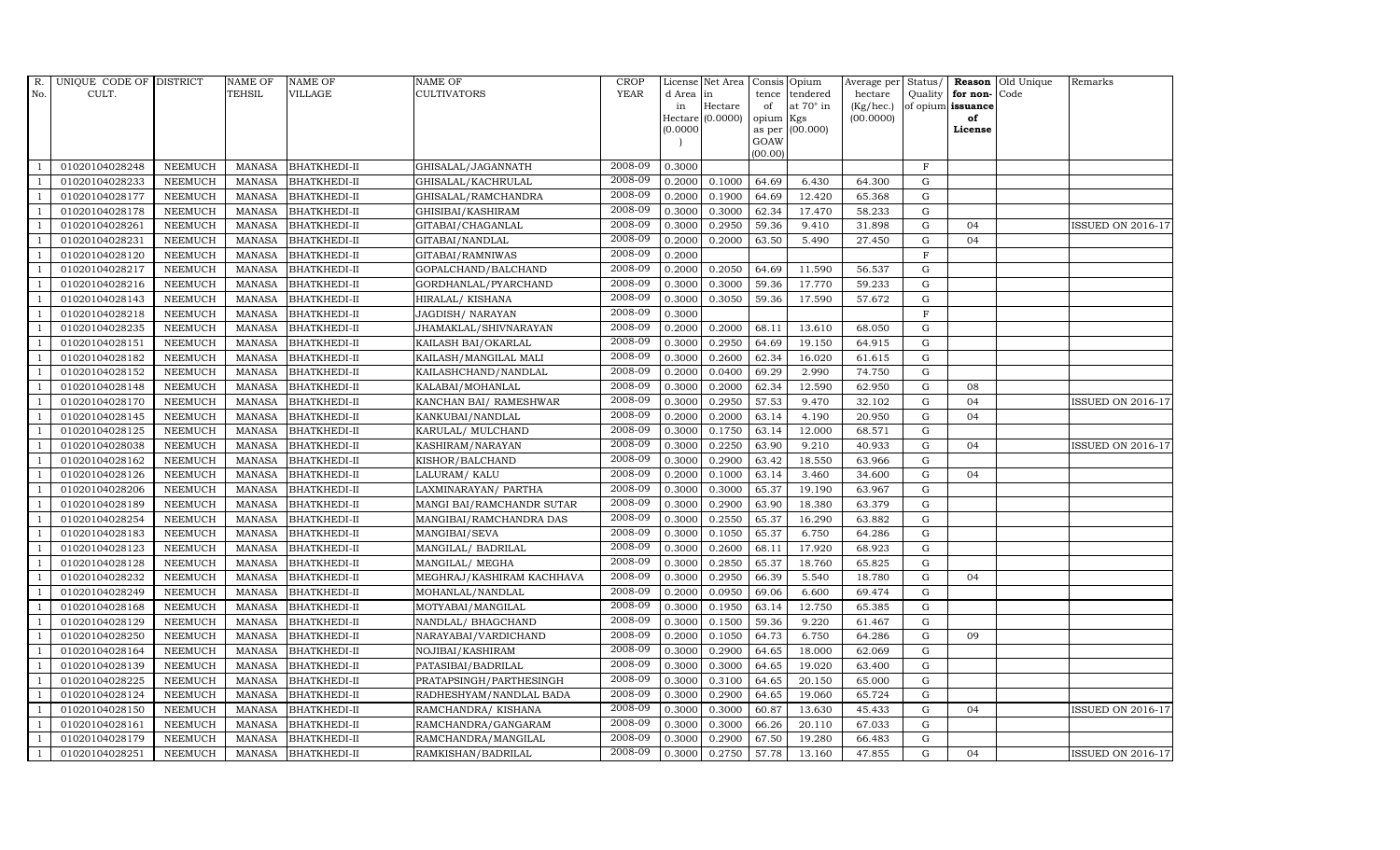| R.             | UNIQUE CODE OF DISTRICT |                | <b>NAME OF</b>  | <b>NAME OF</b>      | <b>NAME OF</b>            | CROP    |           | License Net Area   Consis   Opium |           |                  | Average per | Status/     | Reason            | Old Unique | Remarks                  |
|----------------|-------------------------|----------------|-----------------|---------------------|---------------------------|---------|-----------|-----------------------------------|-----------|------------------|-------------|-------------|-------------------|------------|--------------------------|
| No.            | CULT.                   |                | <b>TEHSIL</b>   | VILLAGE             | <b>CULTIVATORS</b>        | YEAR    | d Area in |                                   |           | tence tendered   | hectare     | Quality     | for non-          | Code       |                          |
|                |                         |                |                 |                     |                           |         | in        | Hectare                           | of        | at $70^\circ$ in | (Kg/hec.)   |             | of opium issuance |            |                          |
|                |                         |                |                 |                     |                           |         | (0.0000)  | Hectare (0.0000)                  | opium Kgs | as per (00.000)  | (00.0000)   |             | of<br>License     |            |                          |
|                |                         |                |                 |                     |                           |         |           |                                   | GOAW      |                  |             |             |                   |            |                          |
|                |                         |                |                 |                     |                           |         |           |                                   | (00.00)   |                  |             |             |                   |            |                          |
|                | 01020104028248          | <b>NEEMUCH</b> | MANASA          | <b>BHATKHEDI-II</b> | GHISALAL/JAGANNATH        | 2008-09 | 0.3000    |                                   |           |                  |             | $\mathbf F$ |                   |            |                          |
| -1             | 01020104028233          | <b>NEEMUCH</b> | MANASA          | <b>BHATKHEDI-II</b> | GHISALAL/KACHRULAL        | 2008-09 | 0.2000    | 0.1000                            | 64.69     | 6.430            | 64.300      | $\mathbf G$ |                   |            |                          |
|                | 01020104028177          | <b>NEEMUCH</b> | <b>MANASA</b>   | <b>BHATKHEDI-II</b> | GHISALAL/RAMCHANDRA       | 2008-09 | 0.2000    | 0.1900                            | 64.69     | 12.420           | 65.368      | G           |                   |            |                          |
|                | 01020104028178          | <b>NEEMUCH</b> | MANASA          | <b>BHATKHEDI-II</b> | GHISIBAI/KASHIRAM         | 2008-09 | 0.3000    | 0.3000                            | 62.34     | 17.470           | 58.233      | G           |                   |            |                          |
| $\overline{1}$ | 01020104028261          | <b>NEEMUCH</b> | <b>MANASA</b>   | <b>BHATKHEDI-II</b> | GITABAI/CHAGANLAL         | 2008-09 | 0.3000    | 0.2950                            | 59.36     | 9.410            | 31.898      | ${\rm G}$   | 04                |            | ISSUED ON 2016-17        |
| $\overline{1}$ | 01020104028231          | <b>NEEMUCH</b> | <b>MANASA</b>   | <b>BHATKHEDI-II</b> | GITABAI/NANDLAL           | 2008-09 | 0.2000    | 0.2000                            | 63.50     | 5.490            | 27.450      | ${\rm G}$   | 04                |            |                          |
| $\overline{1}$ | 01020104028120          | <b>NEEMUCH</b> | <b>MANASA</b>   | <b>BHATKHEDI-II</b> | GITABAI/RAMNIWAS          | 2008-09 | 0.2000    |                                   |           |                  |             | $\mathbf F$ |                   |            |                          |
| $\overline{1}$ | 01020104028217          | <b>NEEMUCH</b> | <b>MANASA</b>   | <b>BHATKHEDI-II</b> | GOPALCHAND/BALCHAND       | 2008-09 | 0.2000    | 0.2050                            | 64.69     | 11.590           | 56.537      | $\mathbf G$ |                   |            |                          |
|                | 01020104028216          | <b>NEEMUCH</b> | <b>MANASA</b>   | <b>BHATKHEDI-II</b> | GORDHANLAL/PYARCHAND      | 2008-09 | 0.3000    | 0.3000                            | 59.36     | 17.770           | 59.233      | G           |                   |            |                          |
|                | 01020104028143          | <b>NEEMUCH</b> | <b>MANASA</b>   | <b>BHATKHEDI-II</b> | HIRALAL/KISHANA           | 2008-09 | 0.3000    | 0.3050                            | 59.36     | 17.590           | 57.672      | ${\rm G}$   |                   |            |                          |
| $\overline{1}$ | 01020104028218          | <b>NEEMUCH</b> | <b>MANASA</b>   | <b>BHATKHEDI-II</b> | JAGDISH/ NARAYAN          | 2008-09 | 0.3000    |                                   |           |                  |             | $\mathbf F$ |                   |            |                          |
| $\overline{1}$ | 01020104028235          | <b>NEEMUCH</b> | MANASA          | <b>BHATKHEDI-II</b> | JHAMAKLAL/SHIVNARAYAN     | 2008-09 | 0.2000    | 0.2000                            | 68.11     | 13.610           | 68.050      | $\mathbf G$ |                   |            |                          |
| $\overline{1}$ | 01020104028151          | <b>NEEMUCH</b> | MANASA          | <b>BHATKHEDI-II</b> | KAILASH BAI/OKARLAL       | 2008-09 | 0.3000    | 0.2950                            | 64.69     | 19.150           | 64.915      | G           |                   |            |                          |
|                | 01020104028182          | <b>NEEMUCH</b> | <b>MANASA</b>   | <b>BHATKHEDI-II</b> | KAILASH/MANGILAL MALI     | 2008-09 | 0.3000    | 0.2600                            | 62.34     | 16.020           | 61.615      | $\mathbf G$ |                   |            |                          |
|                | 01020104028152          | <b>NEEMUCH</b> | $\mbox{MANASA}$ | <b>BHATKHEDI-II</b> | KAILASHCHAND/NANDLAL      | 2008-09 | 0.2000    | 0.0400                            | 69.29     | 2.990            | 74.750      | ${\rm G}$   |                   |            |                          |
| -1             | 01020104028148          | <b>NEEMUCH</b> | <b>MANASA</b>   | <b>BHATKHEDI-II</b> | KALABAI/MOHANLAL          | 2008-09 | 0.3000    | 0.2000                            | 62.34     | 12.590           | 62.950      | G           | 08                |            |                          |
| $\mathbf{1}$   | 01020104028170          | <b>NEEMUCH</b> | <b>MANASA</b>   | <b>BHATKHEDI-II</b> | KANCHAN BAI/ RAMESHWAR    | 2008-09 | 0.3000    | 0.2950                            | 57.53     | 9.470            | 32.102      | ${\rm G}$   | 04                |            | <b>ISSUED ON 2016-17</b> |
| $\overline{1}$ | 01020104028145          | <b>NEEMUCH</b> | <b>MANASA</b>   | <b>BHATKHEDI-II</b> | KANKUBAI/NANDLAL          | 2008-09 | 0.2000    | 0.2000                            | 63.14     | 4.190            | 20.950      | G           | 04                |            |                          |
|                | 01020104028125          | <b>NEEMUCH</b> | <b>MANASA</b>   | <b>BHATKHEDI-II</b> | KARULAL/ MULCHAND         | 2008-09 | 0.3000    | 0.1750                            | 63.14     | 12.000           | 68.571      | G           |                   |            |                          |
|                | 01020104028038          | <b>NEEMUCH</b> | <b>MANASA</b>   | <b>BHATKHEDI-II</b> | KASHIRAM/NARAYAN          | 2008-09 | 0.3000    | 0.2250                            | 63.90     | 9.210            | 40.933      | $\mathbf G$ | 04                |            | <b>ISSUED ON 2016-17</b> |
| $\overline{1}$ | 01020104028162          | <b>NEEMUCH</b> | <b>MANASA</b>   | <b>BHATKHEDI-II</b> | KISHOR/BALCHAND           | 2008-09 | 0.3000    | 0.2900                            | 63.42     | 18.550           | 63.966      | $\mathbf G$ |                   |            |                          |
| -1             | 01020104028126          | <b>NEEMUCH</b> | <b>MANASA</b>   | <b>BHATKHEDI-II</b> | LALURAM/ KALU             | 2008-09 | 0.2000    | 0.1000                            | 63.14     | 3.460            | 34.600      | ${\rm G}$   | 04                |            |                          |
| $\overline{1}$ | 01020104028206          | <b>NEEMUCH</b> | MANASA          | <b>BHATKHEDI-II</b> | LAXMINARAYAN / PARTHA     | 2008-09 | 0.3000    | 0.3000                            | 65.37     | 19.190           | 63.967      | $\mathbf G$ |                   |            |                          |
|                | 01020104028189          | <b>NEEMUCH</b> | <b>MANASA</b>   | <b>BHATKHEDI-II</b> | MANGI BAI/RAMCHANDR SUTAR | 2008-09 | 0.3000    | 0.2900                            | 63.90     | 18.380           | 63.379      | $\mathbf G$ |                   |            |                          |
|                | 01020104028254          | <b>NEEMUCH</b> | <b>MANASA</b>   | <b>BHATKHEDI-II</b> | MANGIBAI/RAMCHANDRA DAS   | 2008-09 | 0.3000    | 0.2550                            | 65.37     | 16.290           | 63.882      | $\mathbf G$ |                   |            |                          |
| $\overline{1}$ | 01020104028183          | <b>NEEMUCH</b> | <b>MANASA</b>   | <b>BHATKHEDI-II</b> | MANGIBAI/SEVA             | 2008-09 | 0.3000    | 0.1050                            | 65.37     | 6.750            | 64.286      | ${\rm G}$   |                   |            |                          |
|                | 01020104028123          | <b>NEEMUCH</b> | <b>MANASA</b>   | <b>BHATKHEDI-II</b> | MANGILAL/ BADRILAL        | 2008-09 | 0.3000    | 0.2600                            | 68.11     | 17.920           | 68.923      | $\mathbf G$ |                   |            |                          |
|                | 01020104028128          | <b>NEEMUCH</b> | <b>MANASA</b>   | <b>BHATKHEDI-II</b> | MANGILAL/ MEGHA           | 2008-09 | 0.3000    | 0.2850                            | 65.37     | 18.760           | 65.825      | $\mathbf G$ |                   |            |                          |
| $\overline{1}$ | 01020104028232          | <b>NEEMUCH</b> | <b>MANASA</b>   | <b>BHATKHEDI-II</b> | MEGHRAJ/KASHIRAM KACHHAVA | 2008-09 | 0.3000    | 0.2950                            | 66.39     | 5.540            | 18.780      | $\mathbf G$ | 04                |            |                          |
|                | 01020104028249          | <b>NEEMUCH</b> | <b>MANASA</b>   | <b>BHATKHEDI-II</b> | MOHANLAL/NANDLAL          | 2008-09 | 0.2000    | 0.0950                            | 69.06     | 6.600            | 69.474      | $\mathbf G$ |                   |            |                          |
|                | 01020104028168          | <b>NEEMUCH</b> | <b>MANASA</b>   | <b>BHATKHEDI-II</b> | MOTYABAI/MANGILAL         | 2008-09 | 0.3000    | 0.1950                            | 63.14     | 12.750           | 65.385      | $\mathbf G$ |                   |            |                          |
| $\overline{1}$ | 01020104028129          | <b>NEEMUCH</b> | <b>MANASA</b>   | <b>BHATKHEDI-II</b> | NANDLAL/ BHAGCHAND        | 2008-09 | 0.3000    | 0.1500                            | 59.36     | 9.220            | 61.467      | $\mathbf G$ |                   |            |                          |
|                | 01020104028250          | <b>NEEMUCH</b> | <b>MANASA</b>   | <b>BHATKHEDI-II</b> | NARAYABAI/VARDICHAND      | 2008-09 | 0.2000    | 0.1050                            | 64.73     | 6.750            | 64.286      | $\mathbf G$ | 09                |            |                          |
| $\overline{1}$ | 01020104028164          | <b>NEEMUCH</b> | MANASA          | <b>BHATKHEDI-II</b> | NOJIBAI/KASHIRAM          | 2008-09 | 0.3000    | 0.2900                            | 64.65     | 18.000           | 62.069      | $\mathbf G$ |                   |            |                          |
|                | 01020104028139          | <b>NEEMUCH</b> | <b>MANASA</b>   | <b>BHATKHEDI-II</b> | PATASIBAI/BADRILAL        | 2008-09 | 0.3000    | 0.3000                            | 64.65     | 19.020           | 63.400      | $\mathbf G$ |                   |            |                          |
|                | 01020104028225          | <b>NEEMUCH</b> | <b>MANASA</b>   | <b>BHATKHEDI-II</b> | PRATAPSINGH/PARTHESINGH   | 2008-09 | 0.3000    | 0.3100                            | 64.65     | 20.150           | 65.000      | G           |                   |            |                          |
|                | 01020104028124          | <b>NEEMUCH</b> | <b>MANASA</b>   | <b>BHATKHEDI-II</b> | RADHESHYAM/NANDLAL BADA   | 2008-09 | 0.3000    | 0.2900                            | 64.65     | 19.060           | 65.724      | ${\rm G}$   |                   |            |                          |
| $\overline{1}$ | 01020104028150          | <b>NEEMUCH</b> | <b>MANASA</b>   | <b>BHATKHEDI-II</b> | RAMCHANDRA/ KISHANA       | 2008-09 | 0.3000    | 0.3000                            | 60.87     | 13.630           | 45.433      | $\mathbf G$ | 04                |            | <b>ISSUED ON 2016-17</b> |
| $\overline{1}$ | 01020104028161          | <b>NEEMUCH</b> | MANASA          | <b>BHATKHEDI-II</b> | RAMCHANDRA/GANGARAM       | 2008-09 | 0.3000    | 0.3000                            | 66.26     | 20.110           | 67.033      | $\mathbf G$ |                   |            |                          |
| $\overline{1}$ | 01020104028179          | <b>NEEMUCH</b> | <b>MANASA</b>   | <b>BHATKHEDI-II</b> | RAMCHANDRA/MANGILAL       | 2008-09 | 0.3000    | 0.2900                            | 67.50     | 19.280           | 66.483      | $\mathbf G$ |                   |            |                          |
| $\mathbf{1}$   | 01020104028251          | <b>NEEMUCH</b> |                 | MANASA BHATKHEDI-II | RAMKISHAN/BADRILAL        | 2008-09 | 0.3000    | 0.2750                            | 57.78     | 13.160           | 47.855      | G           | 04                |            | <b>ISSUED ON 2016-17</b> |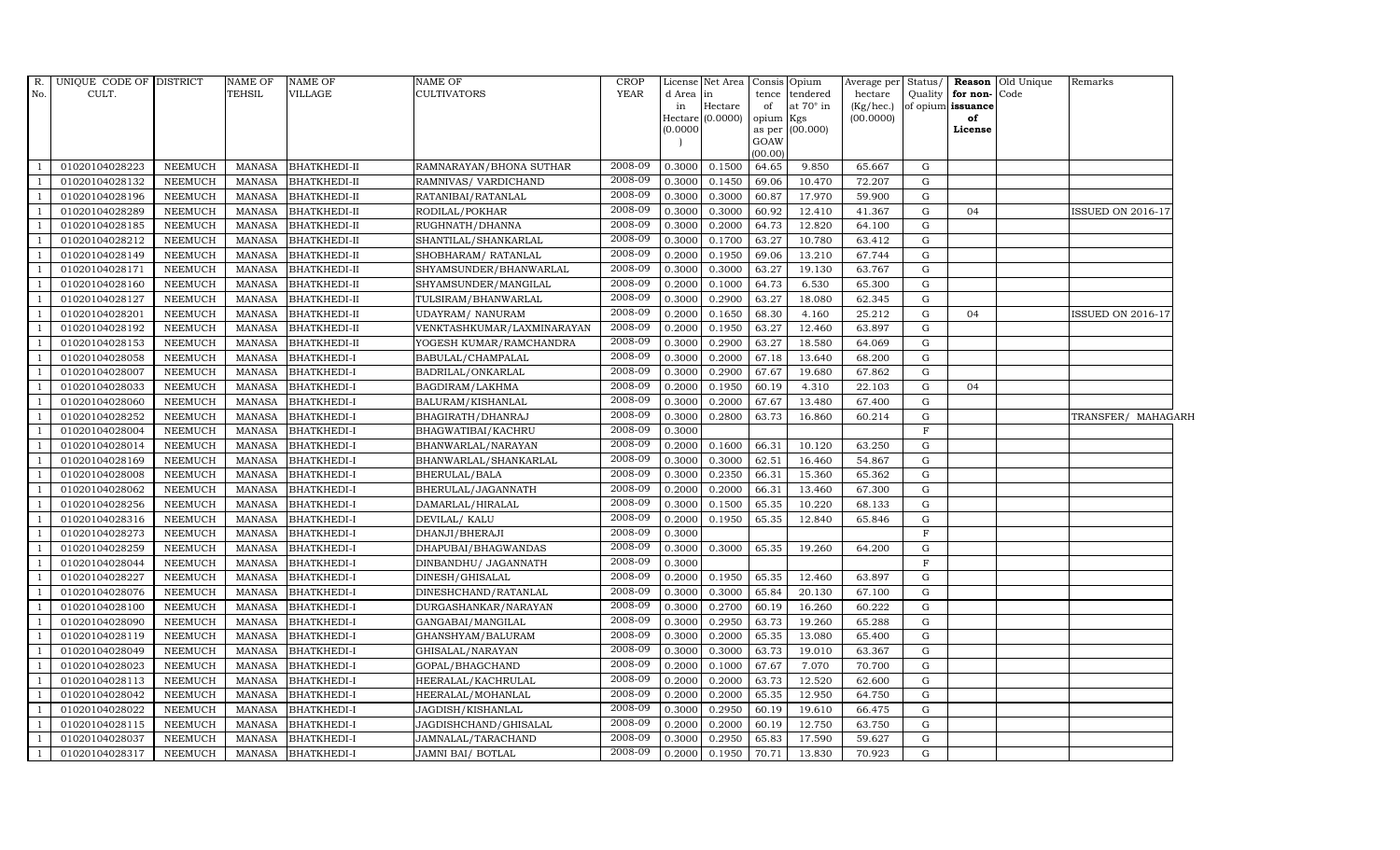| $R$ .          | UNIQUE CODE OF DISTRICT |                | NAME OF       | <b>NAME OF</b>      | <b>NAME OF</b>             | <b>CROP</b> |           | License Net Area            |         | Consis Opium           | Average per | Status/     |                         | <b>Reason</b> Old Unique | Remarks                  |  |
|----------------|-------------------------|----------------|---------------|---------------------|----------------------------|-------------|-----------|-----------------------------|---------|------------------------|-------------|-------------|-------------------------|--------------------------|--------------------------|--|
| No.            | CULT.                   |                | TEHSIL        | VILLAGE             | <b>CULTIVATORS</b>         | <b>YEAR</b> | d Area in |                             | tence   | tendered               | hectare     | Quality     | for non-Code            |                          |                          |  |
|                |                         |                |               |                     |                            |             | in        | Hectare<br>Hectare (0.0000) | of      | at $70^\circ$ in       | (Kg/hec.)   |             | of opium issuance<br>of |                          |                          |  |
|                |                         |                |               |                     |                            |             | (0.0000)  |                             | opium   | Kgs<br>as per (00.000) | (00.0000)   |             | License                 |                          |                          |  |
|                |                         |                |               |                     |                            |             |           |                             | GOAW    |                        |             |             |                         |                          |                          |  |
|                |                         |                |               |                     |                            |             |           |                             | (00.00) |                        |             |             |                         |                          |                          |  |
|                | 01020104028223          | <b>NEEMUCH</b> | MANASA        | <b>BHATKHEDI-II</b> | RAMNARAYAN/BHONA SUTHAR    | 2008-09     | 0.3000    | 0.1500                      | 64.65   | 9.850                  | 65.667      | G           |                         |                          |                          |  |
|                | 01020104028132          | <b>NEEMUCH</b> | <b>MANASA</b> | <b>BHATKHEDI-II</b> | RAMNIVAS/ VARDICHAND       | 2008-09     | 0.3000    | 0.1450                      | 69.06   | 10.470                 | 72.207      | $\mathbf G$ |                         |                          |                          |  |
|                | 01020104028196          | NEEMUCH        | <b>MANASA</b> | <b>BHATKHEDI-II</b> | RATANIBAI/RATANLAL         | 2008-09     | 0.3000    | 0.3000                      | 60.87   | 17.970                 | 59.900      | G           |                         |                          |                          |  |
|                | 01020104028289          | <b>NEEMUCH</b> | <b>MANASA</b> | <b>BHATKHEDI-II</b> | RODILAL/POKHAR             | 2008-09     | 0.3000    | 0.3000                      | 60.92   | 12.410                 | 41.367      | $\mathbf G$ | 04                      |                          | <b>ISSUED ON 2016-17</b> |  |
| $\overline{1}$ | 01020104028185          | <b>NEEMUCH</b> | <b>MANASA</b> | <b>BHATKHEDI-II</b> | RUGHNATH/DHANNA            | 2008-09     | 0.3000    | 0.2000                      | 64.73   | 12.820                 | 64.100      | $\mathbf G$ |                         |                          |                          |  |
| $\overline{1}$ | 01020104028212          | <b>NEEMUCH</b> | <b>MANASA</b> | <b>BHATKHEDI-II</b> | SHANTILAL/SHANKARLAL       | 2008-09     | 0.3000    | 0.1700                      | 63.27   | 10.780                 | 63.412      | G           |                         |                          |                          |  |
|                | 01020104028149          | <b>NEEMUCH</b> | <b>MANASA</b> | <b>BHATKHEDI-II</b> | SHOBHARAM / RATANLAL       | 2008-09     | 0.2000    | 0.1950                      | 69.06   | 13.210                 | 67.744      | $\mathbf G$ |                         |                          |                          |  |
|                | 01020104028171          | <b>NEEMUCH</b> | <b>MANASA</b> | <b>BHATKHEDI-II</b> | SHYAMSUNDER/BHANWARLAL     | 2008-09     | 0.3000    | 0.3000                      | 63.27   | 19.130                 | 63.767      | $\mathbf G$ |                         |                          |                          |  |
|                | 01020104028160          | <b>NEEMUCH</b> | <b>MANASA</b> | <b>BHATKHEDI-II</b> | SHYAMSUNDER/MANGILAL       | 2008-09     | 0.2000    | 0.1000                      | 64.73   | 6.530                  | 65.300      | G           |                         |                          |                          |  |
|                | 01020104028127          | <b>NEEMUCH</b> | <b>MANASA</b> | <b>BHATKHEDI-II</b> | TULSIRAM/BHANWARLAL        | 2008-09     | 0.3000    | 0.2900                      | 63.27   | 18.080                 | 62.345      | $\mathbf G$ |                         |                          |                          |  |
| $\overline{1}$ | 01020104028201          | <b>NEEMUCH</b> | <b>MANASA</b> | <b>BHATKHEDI-II</b> | UDAYRAM/ NANURAM           | 2008-09     | 0.2000    | 0.1650                      | 68.30   | 4.160                  | 25.212      | G           | 04                      |                          | ISSUED ON 2016-17        |  |
|                | 01020104028192          | <b>NEEMUCH</b> | <b>MANASA</b> | <b>BHATKHEDI-II</b> | VENKTASHKUMAR/LAXMINARAYAN | 2008-09     | 0.2000    | 0.1950                      | 63.27   | 12.460                 | 63.897      | $\mathbf G$ |                         |                          |                          |  |
|                | 01020104028153          | <b>NEEMUCH</b> | <b>MANASA</b> | <b>BHATKHEDI-II</b> | YOGESH KUMAR/RAMCHANDRA    | 2008-09     | 0.3000    | 0.2900                      | 63.27   | 18.580                 | 64.069      | $\mathbf G$ |                         |                          |                          |  |
|                | 01020104028058          | <b>NEEMUCH</b> | <b>MANASA</b> | BHATKHEDI-I         | BABULAL/CHAMPALAL          | 2008-09     | 0.3000    | 0.2000                      | 67.18   | 13.640                 | 68.200      | G           |                         |                          |                          |  |
|                | 01020104028007          | <b>NEEMUCH</b> | <b>MANASA</b> | BHATKHEDI-I         | BADRILAL/ONKARLAL          | 2008-09     | 0.3000    | 0.2900                      | 67.67   | 19.680                 | 67.862      | $\mathbf G$ |                         |                          |                          |  |
|                | 01020104028033          | <b>NEEMUCH</b> | <b>MANASA</b> | <b>BHATKHEDI-I</b>  | BAGDIRAM/LAKHMA            | 2008-09     | 0.2000    | 0.1950                      | 60.19   | 4.310                  | 22.103      | $\mathbf G$ | 04                      |                          |                          |  |
|                | 01020104028060          | <b>NEEMUCH</b> | <b>MANASA</b> | <b>BHATKHEDI-I</b>  | BALURAM/KISHANLAL          | 2008-09     | 0.3000    | 0.2000                      | 67.67   | 13.480                 | 67.400      | $\mathbf G$ |                         |                          |                          |  |
|                | 01020104028252          | <b>NEEMUCH</b> | <b>MANASA</b> | <b>BHATKHEDI-I</b>  | BHAGIRATH/DHANRAJ          | 2008-09     | 0.3000    | 0.2800                      | 63.73   | 16.860                 | 60.214      | $\mathbf G$ |                         |                          | TRANSFER/ MAHAGARH       |  |
|                | 01020104028004          | <b>NEEMUCH</b> | <b>MANASA</b> | <b>BHATKHEDI-I</b>  | BHAGWATIBAI/KACHRU         | 2008-09     | 0.3000    |                             |         |                        |             | $\mathbf F$ |                         |                          |                          |  |
|                | 01020104028014          | <b>NEEMUCH</b> | <b>MANASA</b> | <b>BHATKHEDI-I</b>  | BHANWARLAL/NARAYAN         | 2008-09     | 0.2000    | 0.1600                      | 66.31   | 10.120                 | 63.250      | G           |                         |                          |                          |  |
|                | 01020104028169          | <b>NEEMUCH</b> | <b>MANASA</b> | <b>BHATKHEDI-I</b>  | BHANWARLAL/SHANKARLAL      | 2008-09     | 0.3000    | 0.3000                      | 62.51   | 16.460                 | 54.867      | G           |                         |                          |                          |  |
|                | 01020104028008          | <b>NEEMUCH</b> | <b>MANASA</b> | <b>BHATKHEDI-I</b>  | BHERULAL/BALA              | 2008-09     | 0.3000    | 0.2350                      | 66.31   | 15.360                 | 65.362      | G           |                         |                          |                          |  |
|                | 01020104028062          | <b>NEEMUCH</b> | <b>MANASA</b> | <b>BHATKHEDI-I</b>  | BHERULAL/JAGANNATH         | 2008-09     | 0.2000    | 0.2000                      | 66.31   | 13.460                 | 67.300      | G           |                         |                          |                          |  |
|                | 01020104028256          | <b>NEEMUCH</b> | <b>MANASA</b> | <b>BHATKHEDI-I</b>  | DAMARLAL/HIRALAL           | 2008-09     | 0.3000    | 0.1500                      | 65.35   | 10.220                 | 68.133      | $\mathbf G$ |                         |                          |                          |  |
|                | 01020104028316          | <b>NEEMUCH</b> | <b>MANASA</b> | <b>BHATKHEDI-I</b>  | DEVILAL/ KALU              | 2008-09     | 0.2000    | 0.1950                      | 65.35   | 12.840                 | 65.846      | $\mathbf G$ |                         |                          |                          |  |
| -1             | 01020104028273          | <b>NEEMUCH</b> | <b>MANASA</b> | <b>BHATKHEDI-I</b>  | DHANJI/BHERAJI             | 2008-09     | 0.3000    |                             |         |                        |             | $\mathbf F$ |                         |                          |                          |  |
|                | 01020104028259          | <b>NEEMUCH</b> | <b>MANASA</b> | <b>BHATKHEDI-I</b>  | DHAPUBAI/BHAGWANDAS        | 2008-09     | 0.3000    | 0.3000                      | 65.35   | 19.260                 | 64.200      | $\mathbf G$ |                         |                          |                          |  |
| $\mathbf{1}$   | 01020104028044          | <b>NEEMUCH</b> | <b>MANASA</b> | <b>BHATKHEDI-I</b>  | DINBANDHU/ JAGANNATH       | 2008-09     | 0.3000    |                             |         |                        |             | $\mathbf F$ |                         |                          |                          |  |
|                | 01020104028227          | <b>NEEMUCH</b> | <b>MANASA</b> | <b>BHATKHEDI-I</b>  | DINESH/GHISALAL            | 2008-09     | 0.2000    | 0.1950                      | 65.35   | 12.460                 | 63.897      | $\mathbf G$ |                         |                          |                          |  |
|                | 01020104028076          | <b>NEEMUCH</b> | <b>MANASA</b> | <b>BHATKHEDI-I</b>  | DINESHCHAND/RATANLAL       | 2008-09     | 0.3000    | 0.3000                      | 65.84   | 20.130                 | 67.100      | $\mathbf G$ |                         |                          |                          |  |
|                | 01020104028100          | <b>NEEMUCH</b> | <b>MANASA</b> | <b>BHATKHEDI-I</b>  | DURGASHANKAR/NARAYAN       | 2008-09     | 0.3000    | 0.2700                      | 60.19   | 16.260                 | 60.222      | G           |                         |                          |                          |  |
|                | 01020104028090          | <b>NEEMUCH</b> | <b>MANASA</b> | <b>BHATKHEDI-I</b>  | GANGABAI/MANGILAL          | 2008-09     | 0.3000    | 0.2950                      | 63.73   | 19.260                 | 65.288      | $\mathbf G$ |                         |                          |                          |  |
| $\overline{1}$ | 01020104028119          | <b>NEEMUCH</b> | <b>MANASA</b> | <b>BHATKHEDI-I</b>  | GHANSHYAM/BALURAM          | 2008-09     | 0.3000    | 0.2000                      | 65.35   | 13.080                 | 65.400      | $\mathbf G$ |                         |                          |                          |  |
| $\mathbf{1}$   | 01020104028049          | <b>NEEMUCH</b> | <b>MANASA</b> | <b>BHATKHEDI-I</b>  | GHISALAL/NARAYAN           | 2008-09     | 0.3000    | 0.3000                      | 63.73   | 19.010                 | 63.367      | $\mathbf G$ |                         |                          |                          |  |
|                | 01020104028023          | <b>NEEMUCH</b> | <b>MANASA</b> | <b>BHATKHEDI-I</b>  | GOPAL/BHAGCHAND            | 2008-09     | 0.2000    | 0.1000                      | 67.67   | 7.070                  | 70.700      | $\mathbf G$ |                         |                          |                          |  |
|                | 01020104028113          | <b>NEEMUCH</b> | <b>MANASA</b> | <b>BHATKHEDI-I</b>  | HEERALAL/KACHRULAL         | 2008-09     | 0.2000    | 0.2000                      | 63.73   | 12.520                 | 62.600      | G           |                         |                          |                          |  |
|                | 01020104028042          | <b>NEEMUCH</b> | <b>MANASA</b> | <b>BHATKHEDI-I</b>  | HEERALAL/MOHANLAL          | 2008-09     | 0.2000    | 0.2000                      | 65.35   | 12.950                 | 64.750      | ${\rm G}$   |                         |                          |                          |  |
|                | 01020104028022          | <b>NEEMUCH</b> | <b>MANASA</b> | BHATKHEDI-I         | JAGDISH/KISHANLAL          | 2008-09     | 0.3000    | 0.2950                      | 60.19   | 19.610                 | 66.475      | $\mathbf G$ |                         |                          |                          |  |
|                | 01020104028115          | <b>NEEMUCH</b> | <b>MANASA</b> | BHATKHEDI-I         | JAGDISHCHAND/GHISALAL      | 2008-09     | 0.2000    | 0.2000                      | 60.19   | 12.750                 | 63.750      | $\mathbf G$ |                         |                          |                          |  |
|                | 01020104028037          | <b>NEEMUCH</b> | <b>MANASA</b> | BHATKHEDI-I         | JAMNALAL/TARACHAND         | 2008-09     | 0.3000    | 0.2950                      | 65.83   | 17.590                 | 59.627      | $\mathbf G$ |                         |                          |                          |  |
|                | 01020104028317          | <b>NEEMUCH</b> | <b>MANASA</b> | <b>BHATKHEDI-I</b>  | JAMNI BAI/ BOTLAL          | 2008-09     | 0.2000    | 0.1950                      | 70.71   | 13.830                 | 70.923      | G           |                         |                          |                          |  |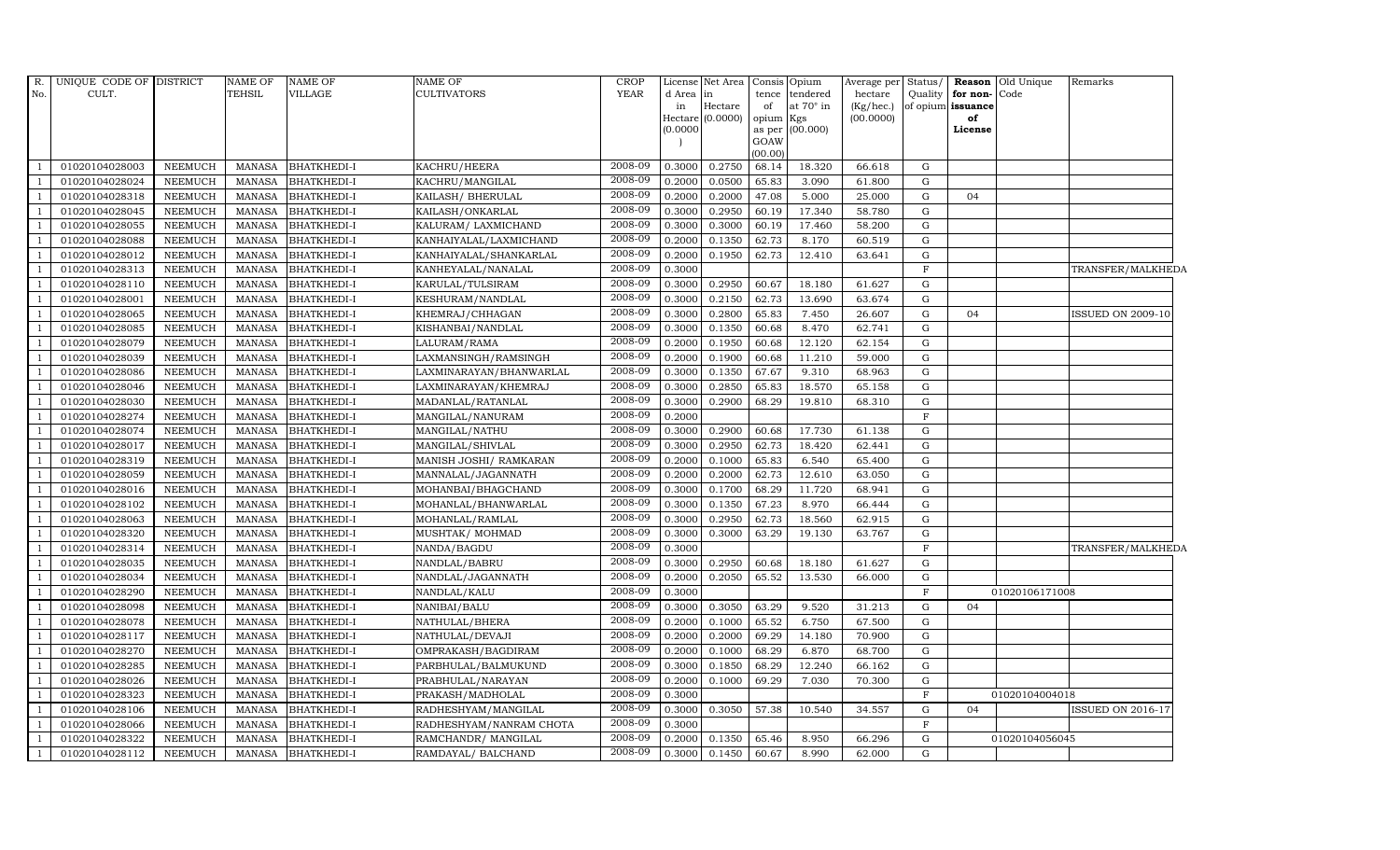| $R$ .          | UNIQUE CODE OF DISTRICT |                | <b>NAME OF</b> | <b>NAME OF</b>     | <b>NAME OF</b>          | <b>CROP</b> |          | License Net Area   Consis   Opium |           |                  | Average per Status/    |              |                         | Reason Old Unique | Remarks                  |
|----------------|-------------------------|----------------|----------------|--------------------|-------------------------|-------------|----------|-----------------------------------|-----------|------------------|------------------------|--------------|-------------------------|-------------------|--------------------------|
| No.            | CULT.                   |                | TEHSIL         | <b>VILLAGE</b>     | <b>CULTIVATORS</b>      | <b>YEAR</b> | d Area   | in                                | tence     | tendered         | hectare                | Quality      | for non-Code            |                   |                          |
|                |                         |                |                |                    |                         |             | in       | Hectare<br>Hectare (0.0000)       | of        | at $70^\circ$ in | (Kg/hec.)<br>(00.0000) |              | of opium issuance<br>of |                   |                          |
|                |                         |                |                |                    |                         |             | (0.0000) |                                   | opium Kgs | as per (00.000)  |                        |              | License                 |                   |                          |
|                |                         |                |                |                    |                         |             |          |                                   | GOAW      |                  |                        |              |                         |                   |                          |
|                |                         |                |                |                    |                         |             |          |                                   | (00.00)   |                  |                        |              |                         |                   |                          |
|                | 01020104028003          | <b>NEEMUCH</b> | MANASA         | <b>BHATKHEDI-I</b> | KACHRU/HEERA            | 2008-09     | 0.3000   | 0.2750                            | 68.14     | 18.320           | 66.618                 | G            |                         |                   |                          |
|                | 01020104028024          | <b>NEEMUCH</b> | <b>MANASA</b>  | <b>BHATKHEDI-I</b> | KACHRU/MANGILAL         | 2008-09     | 0.2000   | 0.0500                            | 65.83     | 3.090            | 61.800                 | ${\rm G}$    |                         |                   |                          |
|                | 01020104028318          | <b>NEEMUCH</b> | <b>MANASA</b>  | <b>BHATKHEDI-I</b> | KAILASH/ BHERULAL       | 2008-09     | 0.2000   | 0.2000                            | 47.08     | 5.000            | 25.000                 | ${\rm G}$    | 04                      |                   |                          |
|                | 01020104028045          | <b>NEEMUCH</b> | <b>MANASA</b>  | <b>BHATKHEDI-I</b> | KAILASH/ONKARLAL        | 2008-09     | 0.3000   | 0.2950                            | 60.19     | 17.340           | 58.780                 | G            |                         |                   |                          |
|                | 01020104028055          | <b>NEEMUCH</b> | <b>MANASA</b>  | <b>BHATKHEDI-I</b> | KALURAM/ LAXMICHAND     | 2008-09     | 0.3000   | 0.3000                            | 60.19     | 17.460           | 58.200                 | G            |                         |                   |                          |
|                | 01020104028088          | <b>NEEMUCH</b> | <b>MANASA</b>  | BHATKHEDI-I        | KANHAIYALAL/LAXMICHAND  | 2008-09     | 0.2000   | 0.1350                            | 62.73     | 8.170            | 60.519                 | G            |                         |                   |                          |
|                | 01020104028012          | <b>NEEMUCH</b> | <b>MANASA</b>  | <b>BHATKHEDI-I</b> | KANHAIYALAL/SHANKARLAL  | 2008-09     | 0.2000   | 0.1950                            | 62.73     | 12.410           | 63.641                 | G            |                         |                   |                          |
|                | 01020104028313          | <b>NEEMUCH</b> | <b>MANASA</b>  | <b>BHATKHEDI-I</b> | KANHEYALAL/NANALAL      | 2008-09     | 0.3000   |                                   |           |                  |                        | $\mathbf F$  |                         |                   | TRANSFER/MALKHEDA        |
|                | 01020104028110          | <b>NEEMUCH</b> | <b>MANASA</b>  | <b>BHATKHEDI-I</b> | KARULAL/TULSIRAM        | 2008-09     | 0.3000   | 0.2950                            | 60.67     | 18.180           | 61.627                 | ${\rm G}$    |                         |                   |                          |
|                | 01020104028001          | <b>NEEMUCH</b> | <b>MANASA</b>  | BHATKHEDI-I        | KESHURAM/NANDLAL        | 2008-09     | 0.3000   | 0.2150                            | 62.73     | 13.690           | 63.674                 | G            |                         |                   |                          |
|                | 01020104028065          | <b>NEEMUCH</b> | <b>MANASA</b>  | BHATKHEDI-I        | KHEMRAJ/CHHAGAN         | 2008-09     | 0.3000   | 0.2800                            | 65.83     | 7.450            | 26.607                 | G            | 04                      |                   | <b>ISSUED ON 2009-10</b> |
|                | 01020104028085          | <b>NEEMUCH</b> | <b>MANASA</b>  | <b>BHATKHEDI-I</b> | KISHANBAI/NANDLAL       | 2008-09     | 0.3000   | 0.1350                            | 60.68     | 8.470            | 62.741                 | G            |                         |                   |                          |
| $\mathbf{1}$   | 01020104028079          | <b>NEEMUCH</b> | <b>MANASA</b>  | <b>BHATKHEDI-I</b> | LALURAM/RAMA            | 2008-09     | 0.2000   | 0.1950                            | 60.68     | 12.120           | 62.154                 | G            |                         |                   |                          |
|                | 01020104028039          | <b>NEEMUCH</b> | <b>MANASA</b>  | <b>BHATKHEDI-I</b> | LAXMANSINGH/RAMSINGH    | 2008-09     | 0.2000   | 0.1900                            | 60.68     | 11.210           | 59.000                 | ${\rm G}$    |                         |                   |                          |
|                | 01020104028086          | <b>NEEMUCH</b> | <b>MANASA</b>  | <b>BHATKHEDI-I</b> | LAXMINARAYAN/BHANWARLAL | 2008-09     | 0.3000   | 0.1350                            | 67.67     | 9.310            | 68.963                 | ${\rm G}$    |                         |                   |                          |
|                | 01020104028046          | <b>NEEMUCH</b> | <b>MANASA</b>  | <b>BHATKHEDI-I</b> | LAXMINARAYAN/KHEMRAJ    | 2008-09     | 0.3000   | 0.2850                            | 65.83     | 18.570           | 65.158                 | G            |                         |                   |                          |
|                | 01020104028030          | <b>NEEMUCH</b> | <b>MANASA</b>  | <b>BHATKHEDI-I</b> | MADANLAL/RATANLAL       | 2008-09     | 0.3000   | 0.2900                            | 68.29     | 19.810           | 68.310                 | G            |                         |                   |                          |
| $\overline{1}$ | 01020104028274          | <b>NEEMUCH</b> | <b>MANASA</b>  | BHATKHEDI-I        | MANGILAL/NANURAM        | 2008-09     | 0.2000   |                                   |           |                  |                        | $\mathbf F$  |                         |                   |                          |
|                | 01020104028074          | <b>NEEMUCH</b> | <b>MANASA</b>  | <b>BHATKHEDI-I</b> | MANGILAL/NATHU          | 2008-09     | 0.3000   | 0.2900                            | 60.68     | 17.730           | 61.138                 | ${\rm G}$    |                         |                   |                          |
|                | 01020104028017          | <b>NEEMUCH</b> | <b>MANASA</b>  | <b>BHATKHEDI-I</b> | MANGILAL/SHIVLAL        | 2008-09     | 0.3000   | 0.2950                            | 62.73     | 18.420           | 62.441                 | G            |                         |                   |                          |
| $\overline{1}$ | 01020104028319          | <b>NEEMUCH</b> | <b>MANASA</b>  | <b>BHATKHEDI-I</b> | MANISH JOSHI/ RAMKARAN  | 2008-09     | 0.2000   | 0.1000                            | 65.83     | 6.540            | 65.400                 | G            |                         |                   |                          |
|                | 01020104028059          | <b>NEEMUCH</b> | <b>MANASA</b>  | <b>BHATKHEDI-I</b> | MANNALAL/JAGANNATH      | 2008-09     | 0.2000   | 0.2000                            | 62.73     | 12.610           | 63.050                 | G            |                         |                   |                          |
|                | 01020104028016          | <b>NEEMUCH</b> | <b>MANASA</b>  | <b>BHATKHEDI-I</b> | MOHANBAI/BHAGCHAND      | 2008-09     | 0.3000   | 0.1700                            | 68.29     | 11.720           | 68.941                 | ${\rm G}$    |                         |                   |                          |
|                | 01020104028102          | <b>NEEMUCH</b> | <b>MANASA</b>  | <b>BHATKHEDI-I</b> | MOHANLAL/BHANWARLAL     | 2008-09     | 0.3000   | 0.1350                            | 67.23     | 8.970            | 66.444                 | ${\rm G}$    |                         |                   |                          |
|                | 01020104028063          | <b>NEEMUCH</b> | <b>MANASA</b>  | <b>BHATKHEDI-I</b> | MOHANLAL/RAMLAL         | 2008-09     | 0.3000   | 0.2950                            | 62.73     | 18.560           | 62.915                 | G            |                         |                   |                          |
|                | 01020104028320          | <b>NEEMUCH</b> | <b>MANASA</b>  | BHATKHEDI-I        | MUSHTAK/MOHMAD          | 2008-09     | 0.3000   | 0.3000                            | 63.29     | 19.130           | 63.767                 | G            |                         |                   |                          |
|                | 01020104028314          | <b>NEEMUCH</b> | <b>MANASA</b>  | <b>BHATKHEDI-I</b> | NANDA/BAGDU             | 2008-09     | 0.3000   |                                   |           |                  |                        | $\mathbf{F}$ |                         |                   | TRANSFER/MALKHEDA        |
|                | 01020104028035          | <b>NEEMUCH</b> | MANASA         | <b>BHATKHEDI-I</b> | NANDLAL/BABRU           | 2008-09     | 0.3000   | 0.2950                            | 60.68     | 18.180           | 61.627                 | ${\rm G}$    |                         |                   |                          |
| $\mathbf{1}$   | 01020104028034          | <b>NEEMUCH</b> | <b>MANASA</b>  | <b>BHATKHEDI-I</b> | NANDLAL/JAGANNATH       | 2008-09     | 0.2000   | 0.2050                            | 65.52     | 13.530           | 66.000                 | G            |                         |                   |                          |
|                | 01020104028290          | <b>NEEMUCH</b> | <b>MANASA</b>  | <b>BHATKHEDI-I</b> | NANDLAL/KALU            | 2008-09     | 0.3000   |                                   |           |                  |                        | $\mathbf F$  |                         | 01020106171008    |                          |
|                | 01020104028098          | <b>NEEMUCH</b> | <b>MANASA</b>  | <b>BHATKHEDI-I</b> | NANIBAI/BALU            | 2008-09     | 0.3000   | 0.3050                            | 63.29     | 9.520            | 31.213                 | G            | 04                      |                   |                          |
|                | 01020104028078          | <b>NEEMUCH</b> | <b>MANASA</b>  | <b>BHATKHEDI-I</b> | NATHULAL/BHERA          | 2008-09     | 0.2000   | 0.1000                            | 65.52     | 6.750            | 67.500                 | G            |                         |                   |                          |
|                | 01020104028117          | <b>NEEMUCH</b> | <b>MANASA</b>  | <b>BHATKHEDI-I</b> | NATHULAL/DEVAJI         | 2008-09     | 0.2000   | 0.2000                            | 69.29     | 14.180           | 70.900                 | G            |                         |                   |                          |
| $\mathbf{1}$   | 01020104028270          | <b>NEEMUCH</b> | <b>MANASA</b>  | <b>BHATKHEDI-I</b> | OMPRAKASH/BAGDIRAM      | 2008-09     | 0.2000   | 0.1000                            | 68.29     | 6.870            | 68.700                 | ${\rm G}$    |                         |                   |                          |
|                | 01020104028285          | <b>NEEMUCH</b> | <b>MANASA</b>  | <b>BHATKHEDI-I</b> | PARBHULAL/BALMUKUND     | 2008-09     | 0.3000   | 0.1850                            | 68.29     | 12.240           | 66.162                 | G            |                         |                   |                          |
|                | 01020104028026          | <b>NEEMUCH</b> | <b>MANASA</b>  | <b>BHATKHEDI-I</b> | PRABHULAL/NARAYAN       | 2008-09     | 0.2000   | 0.1000                            | 69.29     | 7.030            | 70.300                 | G            |                         |                   |                          |
|                | 01020104028323          | <b>NEEMUCH</b> | <b>MANASA</b>  | <b>BHATKHEDI-I</b> | PRAKASH/MADHOLAL        | 2008-09     | 0.3000   |                                   |           |                  |                        | $\mathbf F$  |                         | 01020104004018    |                          |
|                | 01020104028106          | <b>NEEMUCH</b> | <b>MANASA</b>  | BHATKHEDI-I        | RADHESHYAM/MANGILAL     | 2008-09     | 0.3000   | 0.3050                            | 57.38     | 10.540           | 34.557                 | G            | 04                      |                   | <b>ISSUED ON 2016-17</b> |
| $\mathbf{1}$   | 01020104028066          | <b>NEEMUCH</b> | <b>MANASA</b>  | <b>BHATKHEDI-I</b> | RADHESHYAM/NANRAM CHOTA | 2008-09     | 0.3000   |                                   |           |                  |                        | $\mathbf F$  |                         |                   |                          |
|                | 01020104028322          | <b>NEEMUCH</b> | <b>MANASA</b>  | <b>BHATKHEDI-I</b> | RAMCHANDR/ MANGILAL     | 2008-09     | 0.2000   | 0.1350                            | 65.46     | 8.950            | 66.296                 | G            |                         | 01020104056045    |                          |
|                | 01020104028112          | <b>NEEMUCH</b> | <b>MANASA</b>  | <b>BHATKHEDI-I</b> | RAMDAYAL/ BALCHAND      | 2008-09     | 0.3000   | 0.1450                            | 60.67     | 8.990            | 62.000                 | G            |                         |                   |                          |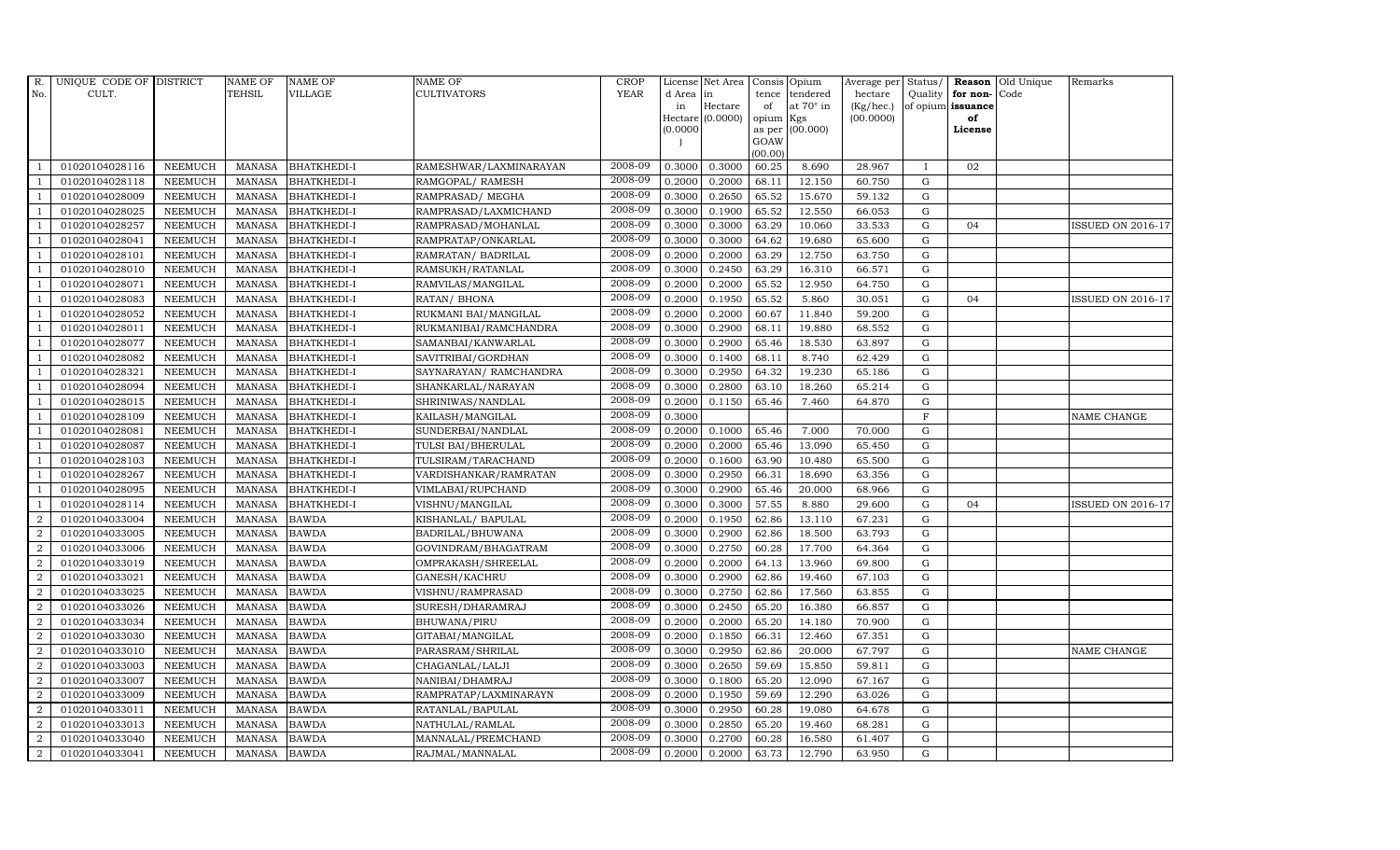| <b>TEHSIL</b><br><b>VILLAGE</b><br><b>CULTIVATORS</b><br>YEAR<br>No.<br>CULT.<br>d Area in<br>tence tendered<br>hectare<br>Quality<br>for non-<br>Code<br>at $70^\circ$ in<br>Hectare<br>(Kg/hec.)<br>of opium issuance<br>in<br>of<br>Hectare (0.0000)<br>opium Kgs<br>(00.0000)<br>of<br>as per (00.000)<br>(0.0000)<br>License<br>GOAW<br>(00.00)<br>2008-09<br>0.3000<br>0.3000<br>01020104028116<br><b>BHATKHEDI-I</b><br>60.25<br>8.690<br>28.967<br>02<br><b>NEEMUCH</b><br>MANASA<br>RAMESHWAR/LAXMINARAYAN<br>$\mathbf{I}$<br>2008-09<br>0.2000<br>0.2000<br>68.11<br>12.150<br>60.750<br>$\mathbf G$<br>01020104028118<br><b>NEEMUCH</b><br>MANASA<br><b>BHATKHEDI-I</b><br>RAMGOPAL/ RAMESH<br>-1<br>2008-09<br>0.3000<br>0.2650<br>65.52<br>15.670<br>01020104028009<br><b>NEEMUCH</b><br><b>MANASA</b><br><b>BHATKHEDI-I</b><br>RAMPRASAD/ MEGHA<br>59.132<br>G<br>2008-09<br>65.52<br>12.550<br>01020104028025<br><b>NEEMUCH</b><br><b>MANASA</b><br><b>BHATKHEDI-I</b><br>RAMPRASAD/LAXMICHAND<br>0.3000<br>0.1900<br>66.053<br>$\mathbf G$<br>2008-09<br>01020104028257<br><b>MANASA</b><br>0.3000<br>0.3000<br>63.29<br>10.060<br>33.533<br>${\rm G}$<br><b>NEEMUCH</b><br><b>BHATKHEDI-I</b><br>RAMPRASAD/MOHANLAL<br>04<br>$\overline{1}$<br>2008-09<br><b>NEEMUCH</b><br>0.3000<br>0.3000<br>19.680<br>65.600<br>$\mathbf G$<br>01020104028041<br>MANASA<br><b>BHATKHEDI-I</b><br>RAMPRATAP/ONKARLAL<br>64.62<br>$\overline{1}$<br>2008-09<br>0.2000<br>0.2000<br>12.750<br>$\mathbf G$<br>01020104028101<br><b>NEEMUCH</b><br><b>MANASA</b><br><b>BHATKHEDI-I</b><br>63.29<br>63.750<br>RAMRATAN/ BADRILAL<br>$\overline{1}$<br>2008-09<br>01020104028010<br><b>NEEMUCH</b><br>0.3000<br>0.2450<br>63.29<br>16.310<br>$\mathbf G$<br><b>MANASA</b><br><b>BHATKHEDI-I</b><br>RAMSUKH/RATANLAL<br>66.571<br>$\overline{1}$<br>2008-09<br>12.950<br>$\mathbf G$<br>01020104028071<br><b>NEEMUCH</b><br><b>MANASA</b><br><b>BHATKHEDI-I</b><br>RAMVILAS/MANGILAL<br>0.2000<br>0.2000<br>65.52<br>64.750<br>2008-09<br>$\mathbf G$<br>01020104028083<br><b>MANASA</b><br>0.2000<br>0.1950<br>65.52<br>5.860<br>30.051<br><b>NEEMUCH</b><br><b>BHATKHEDI-I</b><br>RATAN/ BHONA<br>04 | Old Unique<br>Remarks    |
|-----------------------------------------------------------------------------------------------------------------------------------------------------------------------------------------------------------------------------------------------------------------------------------------------------------------------------------------------------------------------------------------------------------------------------------------------------------------------------------------------------------------------------------------------------------------------------------------------------------------------------------------------------------------------------------------------------------------------------------------------------------------------------------------------------------------------------------------------------------------------------------------------------------------------------------------------------------------------------------------------------------------------------------------------------------------------------------------------------------------------------------------------------------------------------------------------------------------------------------------------------------------------------------------------------------------------------------------------------------------------------------------------------------------------------------------------------------------------------------------------------------------------------------------------------------------------------------------------------------------------------------------------------------------------------------------------------------------------------------------------------------------------------------------------------------------------------------------------------------------------------------------------------------------------------------------------------------------------------------------------------------------------------------------------------------------------------------------------------------------------------------------------------------------------------------------------------|--------------------------|
|                                                                                                                                                                                                                                                                                                                                                                                                                                                                                                                                                                                                                                                                                                                                                                                                                                                                                                                                                                                                                                                                                                                                                                                                                                                                                                                                                                                                                                                                                                                                                                                                                                                                                                                                                                                                                                                                                                                                                                                                                                                                                                                                                                                                     |                          |
|                                                                                                                                                                                                                                                                                                                                                                                                                                                                                                                                                                                                                                                                                                                                                                                                                                                                                                                                                                                                                                                                                                                                                                                                                                                                                                                                                                                                                                                                                                                                                                                                                                                                                                                                                                                                                                                                                                                                                                                                                                                                                                                                                                                                     |                          |
|                                                                                                                                                                                                                                                                                                                                                                                                                                                                                                                                                                                                                                                                                                                                                                                                                                                                                                                                                                                                                                                                                                                                                                                                                                                                                                                                                                                                                                                                                                                                                                                                                                                                                                                                                                                                                                                                                                                                                                                                                                                                                                                                                                                                     |                          |
|                                                                                                                                                                                                                                                                                                                                                                                                                                                                                                                                                                                                                                                                                                                                                                                                                                                                                                                                                                                                                                                                                                                                                                                                                                                                                                                                                                                                                                                                                                                                                                                                                                                                                                                                                                                                                                                                                                                                                                                                                                                                                                                                                                                                     |                          |
|                                                                                                                                                                                                                                                                                                                                                                                                                                                                                                                                                                                                                                                                                                                                                                                                                                                                                                                                                                                                                                                                                                                                                                                                                                                                                                                                                                                                                                                                                                                                                                                                                                                                                                                                                                                                                                                                                                                                                                                                                                                                                                                                                                                                     |                          |
|                                                                                                                                                                                                                                                                                                                                                                                                                                                                                                                                                                                                                                                                                                                                                                                                                                                                                                                                                                                                                                                                                                                                                                                                                                                                                                                                                                                                                                                                                                                                                                                                                                                                                                                                                                                                                                                                                                                                                                                                                                                                                                                                                                                                     |                          |
|                                                                                                                                                                                                                                                                                                                                                                                                                                                                                                                                                                                                                                                                                                                                                                                                                                                                                                                                                                                                                                                                                                                                                                                                                                                                                                                                                                                                                                                                                                                                                                                                                                                                                                                                                                                                                                                                                                                                                                                                                                                                                                                                                                                                     |                          |
|                                                                                                                                                                                                                                                                                                                                                                                                                                                                                                                                                                                                                                                                                                                                                                                                                                                                                                                                                                                                                                                                                                                                                                                                                                                                                                                                                                                                                                                                                                                                                                                                                                                                                                                                                                                                                                                                                                                                                                                                                                                                                                                                                                                                     |                          |
|                                                                                                                                                                                                                                                                                                                                                                                                                                                                                                                                                                                                                                                                                                                                                                                                                                                                                                                                                                                                                                                                                                                                                                                                                                                                                                                                                                                                                                                                                                                                                                                                                                                                                                                                                                                                                                                                                                                                                                                                                                                                                                                                                                                                     |                          |
|                                                                                                                                                                                                                                                                                                                                                                                                                                                                                                                                                                                                                                                                                                                                                                                                                                                                                                                                                                                                                                                                                                                                                                                                                                                                                                                                                                                                                                                                                                                                                                                                                                                                                                                                                                                                                                                                                                                                                                                                                                                                                                                                                                                                     | <b>ISSUED ON 2016-17</b> |
|                                                                                                                                                                                                                                                                                                                                                                                                                                                                                                                                                                                                                                                                                                                                                                                                                                                                                                                                                                                                                                                                                                                                                                                                                                                                                                                                                                                                                                                                                                                                                                                                                                                                                                                                                                                                                                                                                                                                                                                                                                                                                                                                                                                                     |                          |
|                                                                                                                                                                                                                                                                                                                                                                                                                                                                                                                                                                                                                                                                                                                                                                                                                                                                                                                                                                                                                                                                                                                                                                                                                                                                                                                                                                                                                                                                                                                                                                                                                                                                                                                                                                                                                                                                                                                                                                                                                                                                                                                                                                                                     |                          |
|                                                                                                                                                                                                                                                                                                                                                                                                                                                                                                                                                                                                                                                                                                                                                                                                                                                                                                                                                                                                                                                                                                                                                                                                                                                                                                                                                                                                                                                                                                                                                                                                                                                                                                                                                                                                                                                                                                                                                                                                                                                                                                                                                                                                     |                          |
|                                                                                                                                                                                                                                                                                                                                                                                                                                                                                                                                                                                                                                                                                                                                                                                                                                                                                                                                                                                                                                                                                                                                                                                                                                                                                                                                                                                                                                                                                                                                                                                                                                                                                                                                                                                                                                                                                                                                                                                                                                                                                                                                                                                                     |                          |
|                                                                                                                                                                                                                                                                                                                                                                                                                                                                                                                                                                                                                                                                                                                                                                                                                                                                                                                                                                                                                                                                                                                                                                                                                                                                                                                                                                                                                                                                                                                                                                                                                                                                                                                                                                                                                                                                                                                                                                                                                                                                                                                                                                                                     | ISSUED ON 2016-17        |
| 2008-09<br><b>NEEMUCH</b><br>0.2000<br>0.2000<br>60.67<br>11.840<br>59.200<br>${\rm G}$<br>01020104028052<br><b>MANASA</b><br><b>BHATKHEDI-I</b><br>RUKMANI BAI/MANGILAL<br>$\overline{1}$                                                                                                                                                                                                                                                                                                                                                                                                                                                                                                                                                                                                                                                                                                                                                                                                                                                                                                                                                                                                                                                                                                                                                                                                                                                                                                                                                                                                                                                                                                                                                                                                                                                                                                                                                                                                                                                                                                                                                                                                          |                          |
| 2008-09<br>01020104028011<br>0.3000<br>0.2900<br>68.11<br>19.880<br>68.552<br>${\rm G}$<br><b>NEEMUCH</b><br><b>MANASA</b><br><b>BHATKHEDI-I</b><br>RUKMANIBAI/RAMCHANDRA<br>$\overline{1}$                                                                                                                                                                                                                                                                                                                                                                                                                                                                                                                                                                                                                                                                                                                                                                                                                                                                                                                                                                                                                                                                                                                                                                                                                                                                                                                                                                                                                                                                                                                                                                                                                                                                                                                                                                                                                                                                                                                                                                                                         |                          |
| 2008-09<br>01020104028077<br><b>NEEMUCH</b><br><b>BHATKHEDI-I</b><br>SAMANBAI/KANWARLAL<br>0.3000<br>0.2900<br>65.46<br>18.530<br>63.897<br>$\mathbf G$<br>$\overline{1}$<br><b>MANASA</b>                                                                                                                                                                                                                                                                                                                                                                                                                                                                                                                                                                                                                                                                                                                                                                                                                                                                                                                                                                                                                                                                                                                                                                                                                                                                                                                                                                                                                                                                                                                                                                                                                                                                                                                                                                                                                                                                                                                                                                                                          |                          |
| 2008-09<br>01020104028082<br><b>NEEMUCH</b><br><b>MANASA</b><br><b>BHATKHEDI-I</b><br>SAVITRIBAI/GORDHAN<br>0.3000<br>0.1400<br>8.740<br>62.429<br>G<br>68.11                                                                                                                                                                                                                                                                                                                                                                                                                                                                                                                                                                                                                                                                                                                                                                                                                                                                                                                                                                                                                                                                                                                                                                                                                                                                                                                                                                                                                                                                                                                                                                                                                                                                                                                                                                                                                                                                                                                                                                                                                                       |                          |
| 2008-09<br>01020104028321<br><b>MANASA</b><br>0.3000<br>0.2950<br>64.32<br>19.230<br>G<br><b>NEEMUCH</b><br><b>BHATKHEDI-I</b><br>SAYNARAYAN/ RAMCHANDRA<br>65.186<br>$\overline{1}$                                                                                                                                                                                                                                                                                                                                                                                                                                                                                                                                                                                                                                                                                                                                                                                                                                                                                                                                                                                                                                                                                                                                                                                                                                                                                                                                                                                                                                                                                                                                                                                                                                                                                                                                                                                                                                                                                                                                                                                                                |                          |
| 2008-09<br>01020104028094<br><b>NEEMUCH</b><br><b>MANASA</b><br>0.3000<br>0.2800<br>63.10<br>18.260<br>65.214<br>${\rm G}$<br><b>BHATKHEDI-I</b><br>SHANKARLAL/NARAYAN<br>-1                                                                                                                                                                                                                                                                                                                                                                                                                                                                                                                                                                                                                                                                                                                                                                                                                                                                                                                                                                                                                                                                                                                                                                                                                                                                                                                                                                                                                                                                                                                                                                                                                                                                                                                                                                                                                                                                                                                                                                                                                        |                          |
| 2008-09<br>01020104028015<br><b>NEEMUCH</b><br><b>MANASA</b><br><b>BHATKHEDI-I</b><br>0.2000<br>0.1150<br>65.46<br>7.460<br>64.870<br>G<br>SHRINIWAS/NANDLAL                                                                                                                                                                                                                                                                                                                                                                                                                                                                                                                                                                                                                                                                                                                                                                                                                                                                                                                                                                                                                                                                                                                                                                                                                                                                                                                                                                                                                                                                                                                                                                                                                                                                                                                                                                                                                                                                                                                                                                                                                                        |                          |
| 2008-09<br>01020104028109<br><b>NEEMUCH</b><br><b>BHATKHEDI-I</b><br>0.3000<br>$\mathbf F$<br>MANASA<br>KAILASH/MANGILAL<br>$\overline{1}$                                                                                                                                                                                                                                                                                                                                                                                                                                                                                                                                                                                                                                                                                                                                                                                                                                                                                                                                                                                                                                                                                                                                                                                                                                                                                                                                                                                                                                                                                                                                                                                                                                                                                                                                                                                                                                                                                                                                                                                                                                                          | NAME CHANGE              |
| 2008-09<br>01020104028081<br><b>NEEMUCH</b><br><b>MANASA</b><br><b>BHATKHEDI-I</b><br>SUNDERBAI/NANDLAL<br>0.2000<br>0.1000<br>65.46<br>7.000<br>70.000<br>$\mathbf G$                                                                                                                                                                                                                                                                                                                                                                                                                                                                                                                                                                                                                                                                                                                                                                                                                                                                                                                                                                                                                                                                                                                                                                                                                                                                                                                                                                                                                                                                                                                                                                                                                                                                                                                                                                                                                                                                                                                                                                                                                              |                          |
| 2008-09<br>0.2000<br>0.2000<br>65.46<br>13.090<br>$\mathbf G$<br>01020104028087<br><b>NEEMUCH</b><br><b>MANASA</b><br><b>BHATKHEDI-I</b><br>TULSI BAI/BHERULAL<br>65.450                                                                                                                                                                                                                                                                                                                                                                                                                                                                                                                                                                                                                                                                                                                                                                                                                                                                                                                                                                                                                                                                                                                                                                                                                                                                                                                                                                                                                                                                                                                                                                                                                                                                                                                                                                                                                                                                                                                                                                                                                            |                          |
| 2008-09<br>0.1600<br>01020104028103<br><b>NEEMUCH</b><br><b>MANASA</b><br>0.2000<br>63.90<br>10.480<br>65.500<br>${\rm G}$<br><b>BHATKHEDI-I</b><br>TULSIRAM/TARACHAND<br>-1                                                                                                                                                                                                                                                                                                                                                                                                                                                                                                                                                                                                                                                                                                                                                                                                                                                                                                                                                                                                                                                                                                                                                                                                                                                                                                                                                                                                                                                                                                                                                                                                                                                                                                                                                                                                                                                                                                                                                                                                                        |                          |
| 2008-09<br>01020104028267<br><b>MANASA</b><br><b>BHATKHEDI-I</b><br>0.3000<br>0.2950<br>66.31<br>18.690<br>63.356<br>${\rm G}$<br><b>NEEMUCH</b><br>VARDISHANKAR/RAMRATAN<br>$\overline{1}$                                                                                                                                                                                                                                                                                                                                                                                                                                                                                                                                                                                                                                                                                                                                                                                                                                                                                                                                                                                                                                                                                                                                                                                                                                                                                                                                                                                                                                                                                                                                                                                                                                                                                                                                                                                                                                                                                                                                                                                                         |                          |
| 2008-09<br>0.3000<br>0.2900<br>01020104028095<br><b>NEEMUCH</b><br>65.46<br>20.000<br>68.966<br>G<br>MANASA<br><b>BHATKHEDI-I</b><br>VIMLABAI/RUPCHAND<br>$\overline{1}$                                                                                                                                                                                                                                                                                                                                                                                                                                                                                                                                                                                                                                                                                                                                                                                                                                                                                                                                                                                                                                                                                                                                                                                                                                                                                                                                                                                                                                                                                                                                                                                                                                                                                                                                                                                                                                                                                                                                                                                                                            |                          |
| 2008-09<br>0.3000<br>57.55<br>01020104028114<br><b>NEEMUCH</b><br><b>MANASA</b><br><b>BHATKHEDI-I</b><br>VISHNU/MANGILAL<br>0.3000<br>8.880<br>29.600<br>$\mathbf G$<br>04                                                                                                                                                                                                                                                                                                                                                                                                                                                                                                                                                                                                                                                                                                                                                                                                                                                                                                                                                                                                                                                                                                                                                                                                                                                                                                                                                                                                                                                                                                                                                                                                                                                                                                                                                                                                                                                                                                                                                                                                                          | <b>ISSUED ON 2016-17</b> |
| 2008-09<br>$\overline{2}$<br><b>MANASA</b><br>0.2000<br>0.1950<br>62.86<br>13.110<br>$\mathbf G$<br>01020104033004<br><b>NEEMUCH</b><br><b>BAWDA</b><br>KISHANLAL/ BAPULAL<br>67.231                                                                                                                                                                                                                                                                                                                                                                                                                                                                                                                                                                                                                                                                                                                                                                                                                                                                                                                                                                                                                                                                                                                                                                                                                                                                                                                                                                                                                                                                                                                                                                                                                                                                                                                                                                                                                                                                                                                                                                                                                |                          |
| 2008-09<br>2<br>01020104033005<br><b>NEEMUCH</b><br><b>MANASA</b><br><b>BAWDA</b><br>0.3000<br>0.2900<br>62.86<br>18.500<br>63.793<br>G<br>BADRILAL/BHUWANA                                                                                                                                                                                                                                                                                                                                                                                                                                                                                                                                                                                                                                                                                                                                                                                                                                                                                                                                                                                                                                                                                                                                                                                                                                                                                                                                                                                                                                                                                                                                                                                                                                                                                                                                                                                                                                                                                                                                                                                                                                         |                          |
| 2008-09<br>0.2750<br>$\overline{a}$<br>01020104033006<br><b>NEEMUCH</b><br><b>MANASA</b><br><b>BAWDA</b><br>GOVINDRAM/BHAGATRAM<br>0.3000<br>60.28<br>17.700<br>64.364<br>${\rm G}$                                                                                                                                                                                                                                                                                                                                                                                                                                                                                                                                                                                                                                                                                                                                                                                                                                                                                                                                                                                                                                                                                                                                                                                                                                                                                                                                                                                                                                                                                                                                                                                                                                                                                                                                                                                                                                                                                                                                                                                                                 |                          |
| 2008-09<br>2<br>0.2000<br>0.2000<br>13.960<br>$\mathbf G$<br>01020104033019<br><b>NEEMUCH</b><br><b>MANASA</b><br><b>BAWDA</b><br>64.13<br>69.800<br>OMPRAKASH/SHREELAL                                                                                                                                                                                                                                                                                                                                                                                                                                                                                                                                                                                                                                                                                                                                                                                                                                                                                                                                                                                                                                                                                                                                                                                                                                                                                                                                                                                                                                                                                                                                                                                                                                                                                                                                                                                                                                                                                                                                                                                                                             |                          |
| 2008-09<br>2<br>01020104033021<br><b>NEEMUCH</b><br><b>MANASA</b><br><b>BAWDA</b><br>GANESH/KACHRU<br>0.3000<br>0.2900<br>62.86<br>19.460<br>67.103<br>$\mathbf G$                                                                                                                                                                                                                                                                                                                                                                                                                                                                                                                                                                                                                                                                                                                                                                                                                                                                                                                                                                                                                                                                                                                                                                                                                                                                                                                                                                                                                                                                                                                                                                                                                                                                                                                                                                                                                                                                                                                                                                                                                                  |                          |
| 2008-09<br>$\overline{2}$<br>01020104033025<br><b>NEEMUCH</b><br><b>MANASA</b><br><b>BAWDA</b><br>0.3000<br>0.2750<br>62.86<br>17.560<br>63.855<br>$\mathbf G$<br>VISHNU/RAMPRASAD                                                                                                                                                                                                                                                                                                                                                                                                                                                                                                                                                                                                                                                                                                                                                                                                                                                                                                                                                                                                                                                                                                                                                                                                                                                                                                                                                                                                                                                                                                                                                                                                                                                                                                                                                                                                                                                                                                                                                                                                                  |                          |
| 2008-09<br>$\overline{2}$<br>01020104033026<br><b>NEEMUCH</b><br><b>MANASA</b><br><b>BAWDA</b><br>0.3000<br>0.2450<br>65.20<br>16.380<br>66.857<br>G<br>SURESH/DHARAMRAJ                                                                                                                                                                                                                                                                                                                                                                                                                                                                                                                                                                                                                                                                                                                                                                                                                                                                                                                                                                                                                                                                                                                                                                                                                                                                                                                                                                                                                                                                                                                                                                                                                                                                                                                                                                                                                                                                                                                                                                                                                            |                          |
| 2008-09<br>$\overline{a}$<br>01020104033034<br><b>MANASA</b><br>0.2000<br>0.2000<br>65.20<br>${\rm G}$<br><b>NEEMUCH</b><br><b>BAWDA</b><br>BHUWANA/PIRU<br>14.180<br>70.900                                                                                                                                                                                                                                                                                                                                                                                                                                                                                                                                                                                                                                                                                                                                                                                                                                                                                                                                                                                                                                                                                                                                                                                                                                                                                                                                                                                                                                                                                                                                                                                                                                                                                                                                                                                                                                                                                                                                                                                                                        |                          |
| 2008-09<br>$\overline{a}$<br>01020104033030<br><b>NEEMUCH</b><br>0.2000<br>0.1850<br>12.460<br>67.351<br>$\mathbf G$<br>MANASA<br><b>BAWDA</b><br>GITABAI/MANGILAL<br>66.31                                                                                                                                                                                                                                                                                                                                                                                                                                                                                                                                                                                                                                                                                                                                                                                                                                                                                                                                                                                                                                                                                                                                                                                                                                                                                                                                                                                                                                                                                                                                                                                                                                                                                                                                                                                                                                                                                                                                                                                                                         |                          |
| 2008-09<br><b>BAWDA</b><br>0.3000<br>0.2950<br>20.000<br>$\mathbf G$<br>$\overline{2}$<br>01020104033010<br><b>NEEMUCH</b><br><b>MANASA</b><br>PARASRAM/SHRILAL<br>62.86<br>67.797                                                                                                                                                                                                                                                                                                                                                                                                                                                                                                                                                                                                                                                                                                                                                                                                                                                                                                                                                                                                                                                                                                                                                                                                                                                                                                                                                                                                                                                                                                                                                                                                                                                                                                                                                                                                                                                                                                                                                                                                                  | NAME CHANGE              |
| 2008-09<br>$\overline{2}$<br>01020104033003<br><b>NEEMUCH</b><br><b>MANASA</b><br><b>BAWDA</b><br>0.3000<br>0.2650<br>59.69<br>15.850<br>59.811<br>$\mathbf G$<br>CHAGANLAL/LALJI                                                                                                                                                                                                                                                                                                                                                                                                                                                                                                                                                                                                                                                                                                                                                                                                                                                                                                                                                                                                                                                                                                                                                                                                                                                                                                                                                                                                                                                                                                                                                                                                                                                                                                                                                                                                                                                                                                                                                                                                                   |                          |
| 2008-09<br>$\overline{a}$<br>$\mathbf G$<br>01020104033007<br><b>NEEMUCH</b><br><b>MANASA</b><br><b>BAWDA</b><br>NANIBAI/DHAMRAJ<br>0.3000<br>0.1800<br>65.20<br>12.090<br>67.167                                                                                                                                                                                                                                                                                                                                                                                                                                                                                                                                                                                                                                                                                                                                                                                                                                                                                                                                                                                                                                                                                                                                                                                                                                                                                                                                                                                                                                                                                                                                                                                                                                                                                                                                                                                                                                                                                                                                                                                                                   |                          |
| 2008-09<br>$\overline{2}$<br>01020104033009<br>0.2000<br>0.1950<br>59.69<br>12.290<br>${\rm G}$<br><b>NEEMUCH</b><br><b>MANASA</b><br><b>BAWDA</b><br>RAMPRATAP/LAXMINARAYN<br>63.026                                                                                                                                                                                                                                                                                                                                                                                                                                                                                                                                                                                                                                                                                                                                                                                                                                                                                                                                                                                                                                                                                                                                                                                                                                                                                                                                                                                                                                                                                                                                                                                                                                                                                                                                                                                                                                                                                                                                                                                                               |                          |
| 2008-09<br>0.2950<br>$\overline{a}$<br>01020104033011<br><b>NEEMUCH</b><br>0.3000<br>60.28<br>19.080<br>$\mathbf G$<br>MANASA<br><b>BAWDA</b><br>RATANLAL/BAPULAL<br>64.678                                                                                                                                                                                                                                                                                                                                                                                                                                                                                                                                                                                                                                                                                                                                                                                                                                                                                                                                                                                                                                                                                                                                                                                                                                                                                                                                                                                                                                                                                                                                                                                                                                                                                                                                                                                                                                                                                                                                                                                                                         |                          |
| 2008-09<br><b>BAWDA</b><br>0.3000<br>0.2850<br>65.20<br>19.460<br>$\mathbf G$<br>$\overline{2}$<br>01020104033013<br><b>NEEMUCH</b><br><b>MANASA</b><br>NATHULAL/RAMLAL<br>68.281                                                                                                                                                                                                                                                                                                                                                                                                                                                                                                                                                                                                                                                                                                                                                                                                                                                                                                                                                                                                                                                                                                                                                                                                                                                                                                                                                                                                                                                                                                                                                                                                                                                                                                                                                                                                                                                                                                                                                                                                                   |                          |
| 2008-09<br>2<br>01020104033040<br><b>NEEMUCH</b><br><b>MANASA</b><br><b>BAWDA</b><br>MANNALAL/PREMCHAND<br>0.3000<br>0.2700<br>60.28<br>16.580<br>61.407<br>$\mathbf G$                                                                                                                                                                                                                                                                                                                                                                                                                                                                                                                                                                                                                                                                                                                                                                                                                                                                                                                                                                                                                                                                                                                                                                                                                                                                                                                                                                                                                                                                                                                                                                                                                                                                                                                                                                                                                                                                                                                                                                                                                             |                          |
| 2008-09<br>12.790<br>$\overline{a}$<br>01020104033041<br><b>NEEMUCH</b><br>MANASA BAWDA<br>0.2000<br>0.2000<br>63.73<br>63.950<br>G<br>RAJMAL/MANNALAL                                                                                                                                                                                                                                                                                                                                                                                                                                                                                                                                                                                                                                                                                                                                                                                                                                                                                                                                                                                                                                                                                                                                                                                                                                                                                                                                                                                                                                                                                                                                                                                                                                                                                                                                                                                                                                                                                                                                                                                                                                              |                          |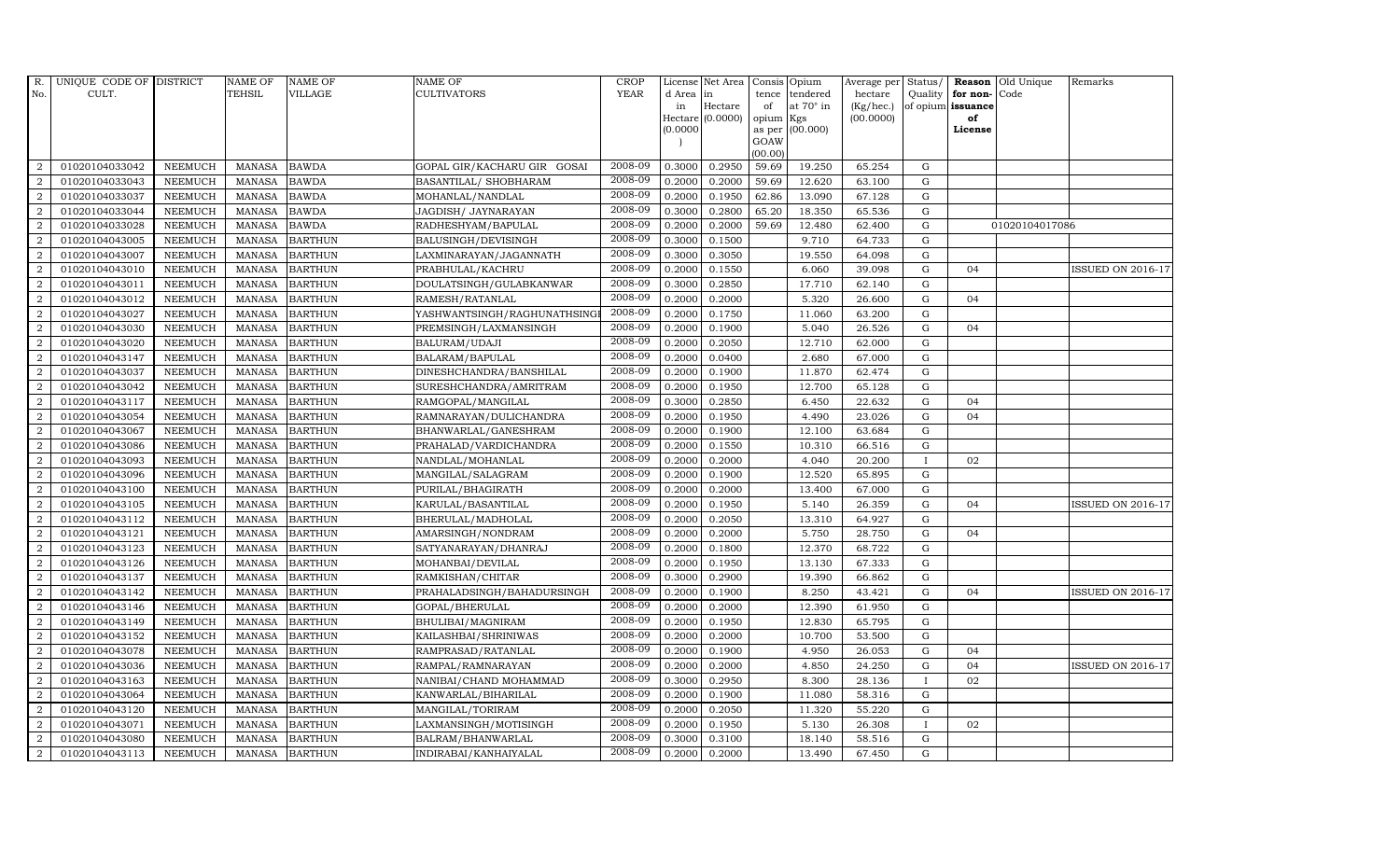| R.             | UNIQUE CODE OF DISTRICT |                | NAME OF       | <b>NAME OF</b> | <b>NAME OF</b>              | <b>CROP</b> |           | License Net Area   | Consis Opium |                  | Average per | Status/      | Reason            | Old Unique     | Remarks                  |
|----------------|-------------------------|----------------|---------------|----------------|-----------------------------|-------------|-----------|--------------------|--------------|------------------|-------------|--------------|-------------------|----------------|--------------------------|
| No.            | CULT.                   |                | TEHSIL        | <b>VILLAGE</b> | CULTIVATORS                 | <b>YEAR</b> | d Area in |                    |              | tence tendered   | hectare     | Quality      | for non-          | Code           |                          |
|                |                         |                |               |                |                             |             | in        | Hectare            | of           | at $70^\circ$ in | (Kg/hec.)   |              | of opium issuance |                |                          |
|                |                         |                |               |                |                             |             | (0.0000)  | $Hectare (0.0000)$ | opium Kgs    | as per (00.000)  | (00.0000)   |              | of<br>License     |                |                          |
|                |                         |                |               |                |                             |             |           |                    | GOAW         |                  |             |              |                   |                |                          |
|                |                         |                |               |                |                             |             |           |                    | (00.00)      |                  |             |              |                   |                |                          |
| 2              | 01020104033042          | <b>NEEMUCH</b> | <b>MANASA</b> | <b>BAWDA</b>   | GOPAL GIR/KACHARU GIR GOSAI | 2008-09     | 0.3000    | 0.2950             | 59.69        | 19.250           | 65.254      | G            |                   |                |                          |
| 2              | 01020104033043          | <b>NEEMUCH</b> | <b>MANASA</b> | <b>BAWDA</b>   | BASANTILAL/ SHOBHARAM       | 2008-09     | 0.2000    | 0.2000             | 59.69        | 12.620           | 63.100      | ${\rm G}$    |                   |                |                          |
| $\overline{2}$ | 01020104033037          | <b>NEEMUCH</b> | <b>MANASA</b> | <b>BAWDA</b>   | MOHANLAL/NANDLAL            | 2008-09     | 0.2000    | 0.1950             | 62.86        | 13.090           | 67.128      | G            |                   |                |                          |
| $\overline{2}$ | 01020104033044          | <b>NEEMUCH</b> | <b>MANASA</b> | <b>BAWDA</b>   | JAGDISH / JAYNARAYAN        | 2008-09     | 0.3000    | 0.2800             | 65.20        | 18.350           | 65.536      | $\mathbf G$  |                   |                |                          |
| 2              | 01020104033028          | <b>NEEMUCH</b> | <b>MANASA</b> | <b>BAWDA</b>   | RADHESHYAM/BAPULAL          | 2008-09     | 0.2000    | 0.2000             | 59.69        | 12.480           | 62.400      | $\mathbf G$  |                   | 01020104017086 |                          |
| $\overline{2}$ | 01020104043005          | <b>NEEMUCH</b> | <b>MANASA</b> | <b>BARTHUN</b> | BALUSINGH/DEVISINGH         | 2008-09     | 0.3000    | 0.1500             |              | 9.710            | 64.733      | G            |                   |                |                          |
| 2              | 01020104043007          | <b>NEEMUCH</b> | <b>MANASA</b> | <b>BARTHUN</b> | LAXMINARAYAN/JAGANNATH      | 2008-09     | 0.3000    | 0.3050             |              | 19.550           | 64.098      | $\mathbf G$  |                   |                |                          |
| 2              | 01020104043010          | <b>NEEMUCH</b> | <b>MANASA</b> | <b>BARTHUN</b> | PRABHULAL/KACHRU            | 2008-09     | 0.2000    | 0.1550             |              | 6.060            | 39.098      | G            | 04                |                | <b>ISSUED ON 2016-17</b> |
| $\overline{2}$ | 01020104043011          | <b>NEEMUCH</b> | <b>MANASA</b> | <b>BARTHUN</b> | DOULATSINGH/GULABKANWAR     | 2008-09     | 0.3000    | 0.2850             |              | 17.710           | 62.140      | $\mathbf G$  |                   |                |                          |
| $\overline{2}$ | 01020104043012          | <b>NEEMUCH</b> | <b>MANASA</b> | <b>BARTHUN</b> | RAMESH/RATANLAL             | 2008-09     | 0.2000    | 0.2000             |              | 5.320            | 26.600      | $\mathbf G$  | 04                |                |                          |
| $\overline{2}$ | 01020104043027          | <b>NEEMUCH</b> | <b>MANASA</b> | <b>BARTHUN</b> | YASHWANTSINGH/RAGHUNATHSING | 2008-09     | 0.2000    | 0.1750             |              | 11.060           | 63.200      | G            |                   |                |                          |
| 2              | 01020104043030          | NEEMUCH        | <b>MANASA</b> | <b>BARTHUN</b> | PREMSINGH/LAXMANSINGH       | 2008-09     | 0.2000    | 0.1900             |              | 5.040            | 26.526      | $\mathbf G$  | 04                |                |                          |
| 2              | 01020104043020          | <b>NEEMUCH</b> | <b>MANASA</b> | <b>BARTHUN</b> | BALURAM/UDAJI               | 2008-09     | 0.2000    | 0.2050             |              | 12.710           | 62.000      | G            |                   |                |                          |
| $\overline{2}$ | 01020104043147          | <b>NEEMUCH</b> | <b>MANASA</b> | <b>BARTHUN</b> | BALARAM/BAPULAL             | 2008-09     | 0.2000    | 0.0400             |              | 2.680            | 67.000      | $\mathbf G$  |                   |                |                          |
| $\overline{2}$ | 01020104043037          | NEEMUCH        | <b>MANASA</b> | <b>BARTHUN</b> | DINESHCHANDRA/BANSHILAL     | 2008-09     | 0.2000    | 0.1900             |              | 11.870           | 62.474      | $\mathbf G$  |                   |                |                          |
| $\overline{2}$ | 01020104043042          | <b>NEEMUCH</b> | <b>MANASA</b> | <b>BARTHUN</b> | SURESHCHANDRA/AMRITRAM      | 2008-09     | 0.2000    | 0.1950             |              | 12.700           | 65.128      | $\mathbf G$  |                   |                |                          |
| 2              | 01020104043117          | <b>NEEMUCH</b> | <b>MANASA</b> | <b>BARTHUN</b> | RAMGOPAL/MANGILAL           | 2008-09     | 0.3000    | 0.2850             |              | 6.450            | 22.632      | $\mathbf G$  | 04                |                |                          |
| 2              | 01020104043054          | <b>NEEMUCH</b> | <b>MANASA</b> | <b>BARTHUN</b> | RAMNARAYAN/DULICHANDRA      | 2008-09     | 0.2000    | 0.1950             |              | 4.490            | 23.026      | G            | 04                |                |                          |
| 2              | 01020104043067          | <b>NEEMUCH</b> | <b>MANASA</b> | <b>BARTHUN</b> | BHANWARLAL/GANESHRAM        | 2008-09     | 0.2000    | 0.1900             |              | 12.100           | 63.684      | $\mathbf G$  |                   |                |                          |
| $\overline{2}$ | 01020104043086          | <b>NEEMUCH</b> | <b>MANASA</b> | <b>BARTHUN</b> | PRAHALAD/VARDICHANDRA       | 2008-09     | 0.2000    | 0.1550             |              | 10.310           | 66.516      | $\mathbf G$  |                   |                |                          |
| 2              | 01020104043093          | <b>NEEMUCH</b> | <b>MANASA</b> | <b>BARTHUN</b> | NANDLAL/MOHANLAL            | 2008-09     | 0.2000    | 0.2000             |              | 4.040            | 20.200      | $\mathbf I$  | 02                |                |                          |
| $\overline{2}$ | 01020104043096          | <b>NEEMUCH</b> | <b>MANASA</b> | <b>BARTHUN</b> | MANGILAL/SALAGRAM           | 2008-09     | 0.2000    | 0.1900             |              | 12.520           | 65.895      | $\mathbf G$  |                   |                |                          |
| $\overline{2}$ | 01020104043100          | <b>NEEMUCH</b> | <b>MANASA</b> | <b>BARTHUN</b> | PURILAL/BHAGIRATH           | 2008-09     | 0.2000    | 0.2000             |              | 13.400           | 67.000      | $\mathbf G$  |                   |                |                          |
| 2              | 01020104043105          | <b>NEEMUCH</b> | <b>MANASA</b> | <b>BARTHUN</b> | KARULAL/BASANTILAL          | 2008-09     | 0.2000    | 0.1950             |              | 5.140            | 26.359      | $\mathbf G$  | 04                |                | <b>ISSUED ON 2016-17</b> |
| $\overline{2}$ | 01020104043112          | <b>NEEMUCH</b> | <b>MANASA</b> | <b>BARTHUN</b> | BHERULAL/MADHOLAL           | 2008-09     | 0.2000    | 0.2050             |              | 13.310           | 64.927      | $\mathbf G$  |                   |                |                          |
| $\overline{2}$ | 01020104043121          | <b>NEEMUCH</b> | <b>MANASA</b> | <b>BARTHUN</b> | AMARSINGH/NONDRAM           | 2008-09     | 0.2000    | 0.2000             |              | 5.750            | 28.750      | $\mathbf G$  | 04                |                |                          |
| 2              | 01020104043123          | <b>NEEMUCH</b> | <b>MANASA</b> | <b>BARTHUN</b> | SATYANARAYAN/DHANRAJ        | 2008-09     | 0.2000    | 0.1800             |              | 12.370           | 68.722      | ${\rm G}$    |                   |                |                          |
| $\overline{2}$ | 01020104043126          | <b>NEEMUCH</b> | <b>MANASA</b> | <b>BARTHUN</b> | MOHANBAI/DEVILAL            | 2008-09     | 0.2000    | 0.1950             |              | 13.130           | 67.333      | $\mathbf G$  |                   |                |                          |
| 2              | 01020104043137          | <b>NEEMUCH</b> | <b>MANASA</b> | <b>BARTHUN</b> | RAMKISHAN/CHITAR            | 2008-09     | 0.3000    | 0.2900             |              | 19.390           | 66.862      | $\mathbf G$  |                   |                |                          |
| 2              | 01020104043142          | <b>NEEMUCH</b> | <b>MANASA</b> | <b>BARTHUN</b> | PRAHALADSINGH/BAHADURSINGH  | 2008-09     | 0.2000    | 0.1900             |              | 8.250            | 43.421      | $\mathbf G$  | 04                |                | <b>ISSUED ON 2016-17</b> |
| $\overline{2}$ | 01020104043146          | <b>NEEMUCH</b> | <b>MANASA</b> | <b>BARTHUN</b> | GOPAL/BHERULAL              | 2008-09     | 0.2000    | 0.2000             |              | 12.390           | 61.950      | G            |                   |                |                          |
| 2              | 01020104043149          | <b>NEEMUCH</b> | <b>MANASA</b> | <b>BARTHUN</b> | BHULIBAI/MAGNIRAM           | 2008-09     | 0.2000    | 0.1950             |              | 12.830           | 65.795      | ${\rm G}$    |                   |                |                          |
| $\overline{2}$ | 01020104043152          | <b>NEEMUCH</b> | <b>MANASA</b> | <b>BARTHUN</b> | KAILASHBAI/SHRINIWAS        | 2008-09     | 0.2000    | 0.2000             |              | 10.700           | 53.500      | $\mathbf G$  |                   |                |                          |
| 2              | 01020104043078          | <b>NEEMUCH</b> | <b>MANASA</b> | <b>BARTHUN</b> | RAMPRASAD/RATANLAL          | 2008-09     | 0.2000    | 0.1900             |              | 4.950            | 26.053      | $\mathbf G$  | 04                |                |                          |
| $\overline{2}$ | 01020104043036          | <b>NEEMUCH</b> | <b>MANASA</b> | <b>BARTHUN</b> | RAMPAL/RAMNARAYAN           | 2008-09     | 0.2000    | 0.2000             |              | 4.850            | 24.250      | $\mathbf G$  | 04                |                | <b>ISSUED ON 2016-17</b> |
| $\overline{2}$ | 01020104043163          | <b>NEEMUCH</b> | <b>MANASA</b> | <b>BARTHUN</b> | NANIBAI/CHAND MOHAMMAD      | 2008-09     | 0.3000    | 0.2950             |              | 8.300            | 28.136      | $\mathbf I$  | 02                |                |                          |
| 2              | 01020104043064          | <b>NEEMUCH</b> | <b>MANASA</b> | <b>BARTHUN</b> | KANWARLAL/BIHARILAL         | 2008-09     | 0.2000    | 0.1900             |              | 11.080           | 58.316      | ${\rm G}$    |                   |                |                          |
| $\overline{2}$ | 01020104043120          | <b>NEEMUCH</b> | <b>MANASA</b> | <b>BARTHUN</b> | MANGILAL/TORIRAM            | 2008-09     | 0.2000    | 0.2050             |              | 11.320           | 55.220      | $\mathbf G$  |                   |                |                          |
| 2              | 01020104043071          | <b>NEEMUCH</b> | <b>MANASA</b> | <b>BARTHUN</b> | LAXMANSINGH/MOTISINGH       | 2008-09     | 0.2000    | 0.1950             |              | 5.130            | 26.308      | $\mathbf{I}$ | 02                |                |                          |
| $\overline{2}$ | 01020104043080          | <b>NEEMUCH</b> | <b>MANASA</b> | <b>BARTHUN</b> | BALRAM/BHANWARLAL           | 2008-09     | 0.3000    | 0.3100             |              | 18.140           | 58.516      | G            |                   |                |                          |
| $\overline{2}$ | 01020104043113          | <b>NEEMUCH</b> | MANASA        | <b>BARTHUN</b> | INDIRABAI/KANHAIYALAL       | 2008-09     | 0.2000    | 0.2000             |              | 13.490           | 67.450      | G            |                   |                |                          |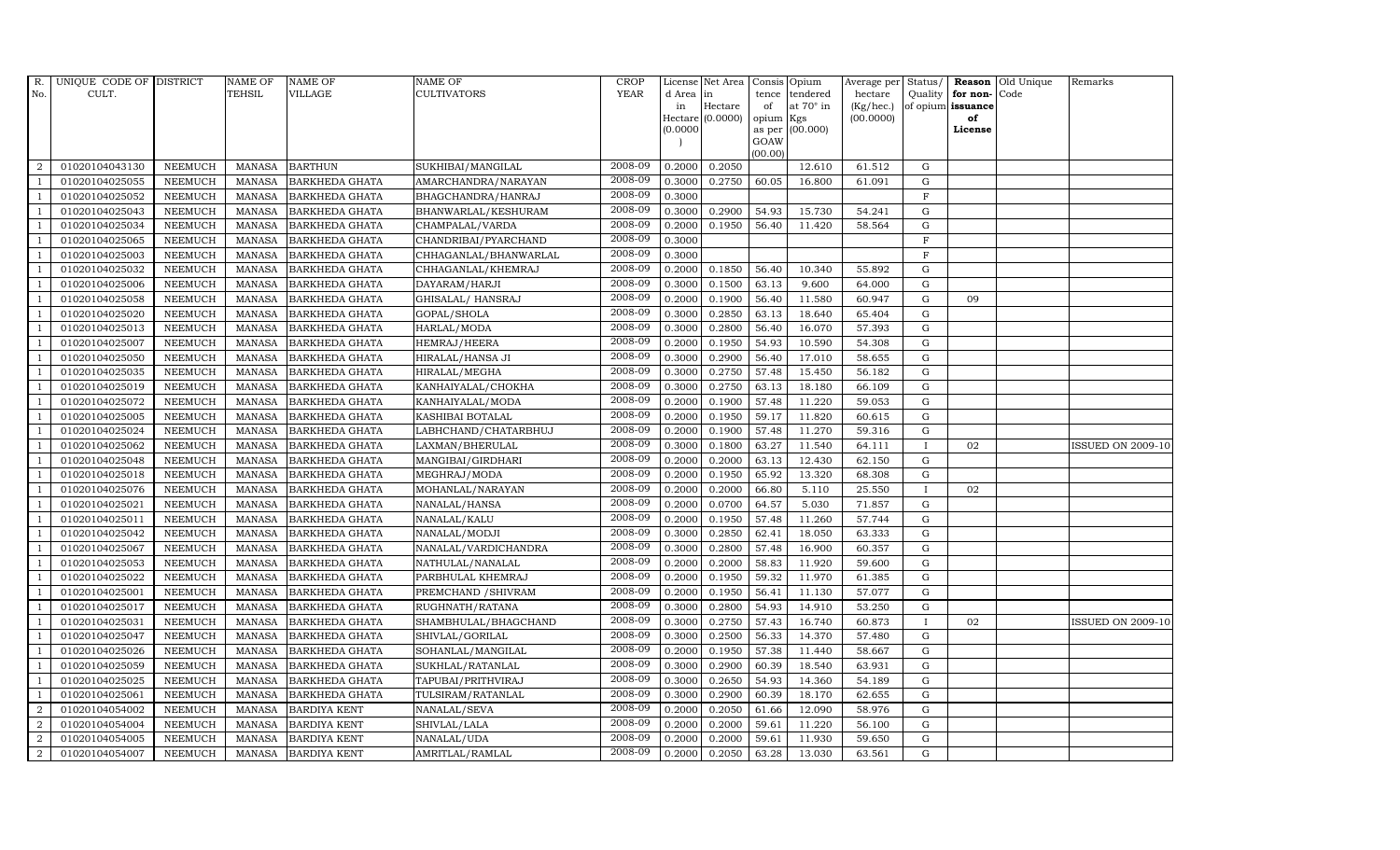| $R_{\cdot}$    | UNIQUE CODE OF DISTRICT |                | <b>NAME OF</b> | <b>NAME OF</b>        | <b>NAME OF</b>        | CROP        |           | License Net Area Consis Opium |           |                  |           |              |                   | Average per Status/ <b>Reason</b> Old Unique | Remarks                  |
|----------------|-------------------------|----------------|----------------|-----------------------|-----------------------|-------------|-----------|-------------------------------|-----------|------------------|-----------|--------------|-------------------|----------------------------------------------|--------------------------|
| No.            | CULT.                   |                | <b>TEHSIL</b>  | <b>VILLAGE</b>        | <b>CULTIVATORS</b>    | <b>YEAR</b> | d Area in |                               |           | tence tendered   | hectare   | Quality      | for non-          | Code                                         |                          |
|                |                         |                |                |                       |                       |             | in        | Hectare                       | of        | at $70^\circ$ in | (Kg/hec.) |              | of opium issuance |                                              |                          |
|                |                         |                |                |                       |                       |             |           | Hectare (0.0000)              | opium Kgs |                  | (00.0000) |              | of                |                                              |                          |
|                |                         |                |                |                       |                       |             | (0.0000)  |                               | GOAW      | as per (00.000)  |           |              | License           |                                              |                          |
|                |                         |                |                |                       |                       |             |           |                               | (00.00)   |                  |           |              |                   |                                              |                          |
| 2              | 01020104043130          | <b>NEEMUCH</b> | MANASA         | <b>BARTHUN</b>        | SUKHIBAI/MANGILAL     | 2008-09     | 0.2000    | 0.2050                        |           | 12.610           | 61.512    | ${\rm G}$    |                   |                                              |                          |
| $\overline{1}$ | 01020104025055          | <b>NEEMUCH</b> | MANASA         | <b>BARKHEDA GHATA</b> | AMARCHANDRA/NARAYAN   | 2008-09     | 0.3000    | 0.2750                        | 60.05     | 16.800           | 61.091    | $\mathbf G$  |                   |                                              |                          |
|                | 01020104025052          | <b>NEEMUCH</b> | <b>MANASA</b>  | <b>BARKHEDA GHATA</b> | BHAGCHANDRA/HANRAJ    | 2008-09     | 0.3000    |                               |           |                  |           | $_{\rm F}$   |                   |                                              |                          |
|                | 01020104025043          | <b>NEEMUCH</b> | <b>MANASA</b>  | <b>BARKHEDA GHATA</b> | BHANWARLAL/KESHURAM   | 2008-09     | 0.3000    | 0.2900                        | 54.93     | 15.730           | 54.241    | $\mathbf G$  |                   |                                              |                          |
| $\overline{1}$ | 01020104025034          | <b>NEEMUCH</b> | <b>MANASA</b>  | <b>BARKHEDA GHATA</b> | CHAMPALAL/VARDA       | 2008-09     | 0.2000    | 0.1950                        | 56.40     | 11.420           | 58.564    | ${\rm G}$    |                   |                                              |                          |
| -1             | 01020104025065          | <b>NEEMUCH</b> | <b>MANASA</b>  | <b>BARKHEDA GHATA</b> | CHANDRIBAI/PYARCHAND  | 2008-09     | 0.3000    |                               |           |                  |           | F            |                   |                                              |                          |
| $\overline{1}$ | 01020104025003          | <b>NEEMUCH</b> | <b>MANASA</b>  | <b>BARKHEDA GHATA</b> | CHHAGANLAL/BHANWARLAL | 2008-09     | 0.3000    |                               |           |                  |           | $\mathbf F$  |                   |                                              |                          |
| $\overline{1}$ | 01020104025032          | <b>NEEMUCH</b> | <b>MANASA</b>  | <b>BARKHEDA GHATA</b> | CHHAGANLAL/KHEMRAJ    | 2008-09     | 0.2000    | 0.1850                        | 56.40     | 10.340           | 55.892    | G            |                   |                                              |                          |
| $\overline{1}$ | 01020104025006          | <b>NEEMUCH</b> | <b>MANASA</b>  | <b>BARKHEDA GHATA</b> | DAYARAM/HARJI         | 2008-09     | 0.3000    | 0.1500                        | 63.13     | 9.600            | 64.000    | $\mathbf G$  |                   |                                              |                          |
| $\overline{1}$ | 01020104025058          | <b>NEEMUCH</b> | <b>MANASA</b>  | <b>BARKHEDA GHATA</b> | GHISALAL/ HANSRAJ     | 2008-09     | 0.2000    | 0.1900                        | 56.40     | 11.580           | 60.947    | ${\rm G}$    | 09                |                                              |                          |
| $\overline{1}$ | 01020104025020          | <b>NEEMUCH</b> | <b>MANASA</b>  | <b>BARKHEDA GHATA</b> | GOPAL/SHOLA           | 2008-09     | 0.3000    | 0.2850                        | 63.13     | 18.640           | 65.404    | G            |                   |                                              |                          |
| $\overline{1}$ | 01020104025013          | <b>NEEMUCH</b> | <b>MANASA</b>  | <b>BARKHEDA GHATA</b> | HARLAL/MODA           | 2008-09     | 0.3000    | 0.2800                        | 56.40     | 16.070           | 57.393    | ${\rm G}$    |                   |                                              |                          |
| $\overline{1}$ | 01020104025007          | <b>NEEMUCH</b> | <b>MANASA</b>  | <b>BARKHEDA GHATA</b> | HEMRAJ/HEERA          | 2008-09     | 0.2000    | 0.1950                        | 54.93     | 10.590           | 54.308    | $\mathbf G$  |                   |                                              |                          |
|                | 01020104025050          | <b>NEEMUCH</b> | <b>MANASA</b>  | <b>BARKHEDA GHATA</b> | HIRALAL/HANSA JI      | 2008-09     | 0.3000    | 0.2900                        | 56.40     | 17.010           | 58.655    | ${\rm G}$    |                   |                                              |                          |
| $\overline{1}$ | 01020104025035          | <b>NEEMUCH</b> | <b>MANASA</b>  | <b>BARKHEDA GHATA</b> | HIRALAL/MEGHA         | 2008-09     | 0.3000    | 0.2750                        | 57.48     | 15.450           | 56.182    | ${\rm G}$    |                   |                                              |                          |
| -1             | 01020104025019          | <b>NEEMUCH</b> | <b>MANASA</b>  | <b>BARKHEDA GHATA</b> | KANHAIYALAL/CHOKHA    | 2008-09     | 0.3000    | 0.2750                        | 63.13     | 18.180           | 66.109    | G            |                   |                                              |                          |
| $\overline{1}$ | 01020104025072          | <b>NEEMUCH</b> | <b>MANASA</b>  | <b>BARKHEDA GHATA</b> | KANHAIYALAL/MODA      | 2008-09     | 0.2000    | 0.1900                        | 57.48     | 11.220           | 59.053    | $\mathbf G$  |                   |                                              |                          |
| $\overline{1}$ | 01020104025005          | <b>NEEMUCH</b> | <b>MANASA</b>  | <b>BARKHEDA GHATA</b> | KASHIBAI BOTALAL      | 2008-09     | 0.2000    | 0.1950                        | 59.17     | 11.820           | 60.615    | $\mathbf G$  |                   |                                              |                          |
|                | 01020104025024          | <b>NEEMUCH</b> | <b>MANASA</b>  | <b>BARKHEDA GHATA</b> | LABHCHAND/CHATARBHUJ  | 2008-09     | 0.2000    | 0.1900                        | 57.48     | 11.270           | 59.316    | G            |                   |                                              |                          |
|                | 01020104025062          | <b>NEEMUCH</b> | <b>MANASA</b>  | <b>BARKHEDA GHATA</b> | LAXMAN/BHERULAL       | 2008-09     | 0.3000    | 0.1800                        | 63.27     | 11.540           | 64.111    | $\mathbf{I}$ | 02                |                                              | <b>ISSUED ON 2009-10</b> |
| -1             | 01020104025048          | <b>NEEMUCH</b> | <b>MANASA</b>  | <b>BARKHEDA GHATA</b> | MANGIBAI/GIRDHARI     | 2008-09     | 0.2000    | 0.2000                        | 63.13     | 12.430           | 62.150    | $\mathbf G$  |                   |                                              |                          |
| -1             | 01020104025018          | <b>NEEMUCH</b> | <b>MANASA</b>  | <b>BARKHEDA GHATA</b> | MEGHRAJ/MODA          | 2008-09     | 0.2000    | 0.1950                        | 65.92     | 13.320           | 68.308    | ${\rm G}$    |                   |                                              |                          |
| $\overline{1}$ | 01020104025076          | <b>NEEMUCH</b> | <b>MANASA</b>  | <b>BARKHEDA GHATA</b> | MOHANLAL/NARAYAN      | 2008-09     | 0.2000    | 0.2000                        | 66.80     | 5.110            | 25.550    | $\mathbf{I}$ | 02                |                                              |                          |
|                | 01020104025021          | <b>NEEMUCH</b> | <b>MANASA</b>  | <b>BARKHEDA GHATA</b> | NANALAL/HANSA         | 2008-09     | 0.2000    | 0.0700                        | 64.57     | 5.030            | 71.857    | $\mathbf G$  |                   |                                              |                          |
|                | 01020104025011          | <b>NEEMUCH</b> | <b>MANASA</b>  | <b>BARKHEDA GHATA</b> | NANALAL/KALU          | 2008-09     | 0.2000    | 0.1950                        | 57.48     | 11.260           | 57.744    | $\mathbf G$  |                   |                                              |                          |
| $\overline{1}$ | 01020104025042          | <b>NEEMUCH</b> | <b>MANASA</b>  | <b>BARKHEDA GHATA</b> | NANALAL/MODJI         | 2008-09     | 0.3000    | 0.2850                        | 62.41     | 18.050           | 63.333    | ${\rm G}$    |                   |                                              |                          |
|                | 01020104025067          | <b>NEEMUCH</b> | <b>MANASA</b>  | <b>BARKHEDA GHATA</b> | NANALAL/VARDICHANDRA  | 2008-09     | 0.3000    | 0.2800                        | 57.48     | 16.900           | 60.357    | ${\rm G}$    |                   |                                              |                          |
| $\overline{1}$ | 01020104025053          | <b>NEEMUCH</b> | <b>MANASA</b>  | <b>BARKHEDA GHATA</b> | NATHULAL/NANALAL      | 2008-09     | 0.2000    | 0.2000                        | 58.83     | 11.920           | 59.600    | $\mathbf G$  |                   |                                              |                          |
|                | 01020104025022          | <b>NEEMUCH</b> | <b>MANASA</b>  | <b>BARKHEDA GHATA</b> | PARBHULAL KHEMRAJ     | 2008-09     | 0.2000    | 0.1950                        | 59.32     | 11.970           | 61.385    | G            |                   |                                              |                          |
|                | 01020104025001          | <b>NEEMUCH</b> | <b>MANASA</b>  | <b>BARKHEDA GHATA</b> | PREMCHAND / SHIVRAM   | 2008-09     | 0.2000    | 0.1950                        | 56.41     | 11.130           | 57.077    | $\mathbf G$  |                   |                                              |                          |
| $\overline{1}$ | 01020104025017          | <b>NEEMUCH</b> | <b>MANASA</b>  | <b>BARKHEDA GHATA</b> | RUGHNATH/RATANA       | 2008-09     | 0.3000    | 0.2800                        | 54.93     | 14.910           | 53.250    | ${\rm G}$    |                   |                                              |                          |
| $\overline{1}$ | 01020104025031          | <b>NEEMUCH</b> | <b>MANASA</b>  | <b>BARKHEDA GHATA</b> | SHAMBHULAL/BHAGCHAND  | 2008-09     | 0.3000    | 0.2750                        | 57.43     | 16.740           | 60.873    | $\mathbf{I}$ | 02                |                                              | <b>ISSUED ON 2009-10</b> |
| $\mathbf{1}$   | 01020104025047          | <b>NEEMUCH</b> | <b>MANASA</b>  | <b>BARKHEDA GHATA</b> | SHIVLAL/GORILAL       | 2008-09     | 0.3000    | 0.2500                        | 56.33     | 14.370           | 57.480    | $\mathbf G$  |                   |                                              |                          |
|                | 01020104025026          | <b>NEEMUCH</b> | <b>MANASA</b>  | <b>BARKHEDA GHATA</b> | SOHANLAL/MANGILAL     | 2008-09     | 0.2000    | 0.1950                        | 57.38     | 11.440           | 58.667    | $\mathbf G$  |                   |                                              |                          |
|                | 01020104025059          | <b>NEEMUCH</b> | <b>MANASA</b>  | <b>BARKHEDA GHATA</b> | SUKHLAL/RATANLAL      | 2008-09     | 0.3000    | 0.2900                        | 60.39     | 18.540           | 63.931    | ${\rm G}$    |                   |                                              |                          |
| $\overline{1}$ | 01020104025025          | <b>NEEMUCH</b> | <b>MANASA</b>  | <b>BARKHEDA GHATA</b> | TAPUBAI/PRITHVIRAJ    | 2008-09     | 0.3000    | 0.2650                        | 54.93     | 14.360           | 54.189    | ${\rm G}$    |                   |                                              |                          |
| $\overline{1}$ | 01020104025061          | <b>NEEMUCH</b> | <b>MANASA</b>  | <b>BARKHEDA GHATA</b> | TULSIRAM/RATANLAL     | 2008-09     | 0.3000    | 0.2900                        | 60.39     | 18.170           | 62.655    | ${\rm G}$    |                   |                                              |                          |
| 2              | 01020104054002          | <b>NEEMUCH</b> | <b>MANASA</b>  | <b>BARDIYA KENT</b>   | NANALAL/SEVA          | 2008-09     | 0.2000    | 0.2050                        | 61.66     | 12.090           | 58.976    | $\mathbf G$  |                   |                                              |                          |
| 2              | 01020104054004          | <b>NEEMUCH</b> | <b>MANASA</b>  | <b>BARDIYA KENT</b>   | SHIVLAL/LALA          | 2008-09     | 0.2000    | 0.2000                        | 59.61     | 11.220           | 56.100    | $\mathbf G$  |                   |                                              |                          |
| $\overline{2}$ | 01020104054005          | <b>NEEMUCH</b> | <b>MANASA</b>  | <b>BARDIYA KENT</b>   | NANALAL/UDA           | 2008-09     | 0.2000    | 0.2000                        | 59.61     | 11.930           | 59.650    | $\mathbf G$  |                   |                                              |                          |
| $\overline{a}$ | 01020104054007          | <b>NEEMUCH</b> |                | MANASA BARDIYA KENT   | AMRITLAL/RAMLAL       | 2008-09     | 0.2000    | 0.2050                        | 63.28     | 13.030           | 63.561    | $\mathbf G$  |                   |                                              |                          |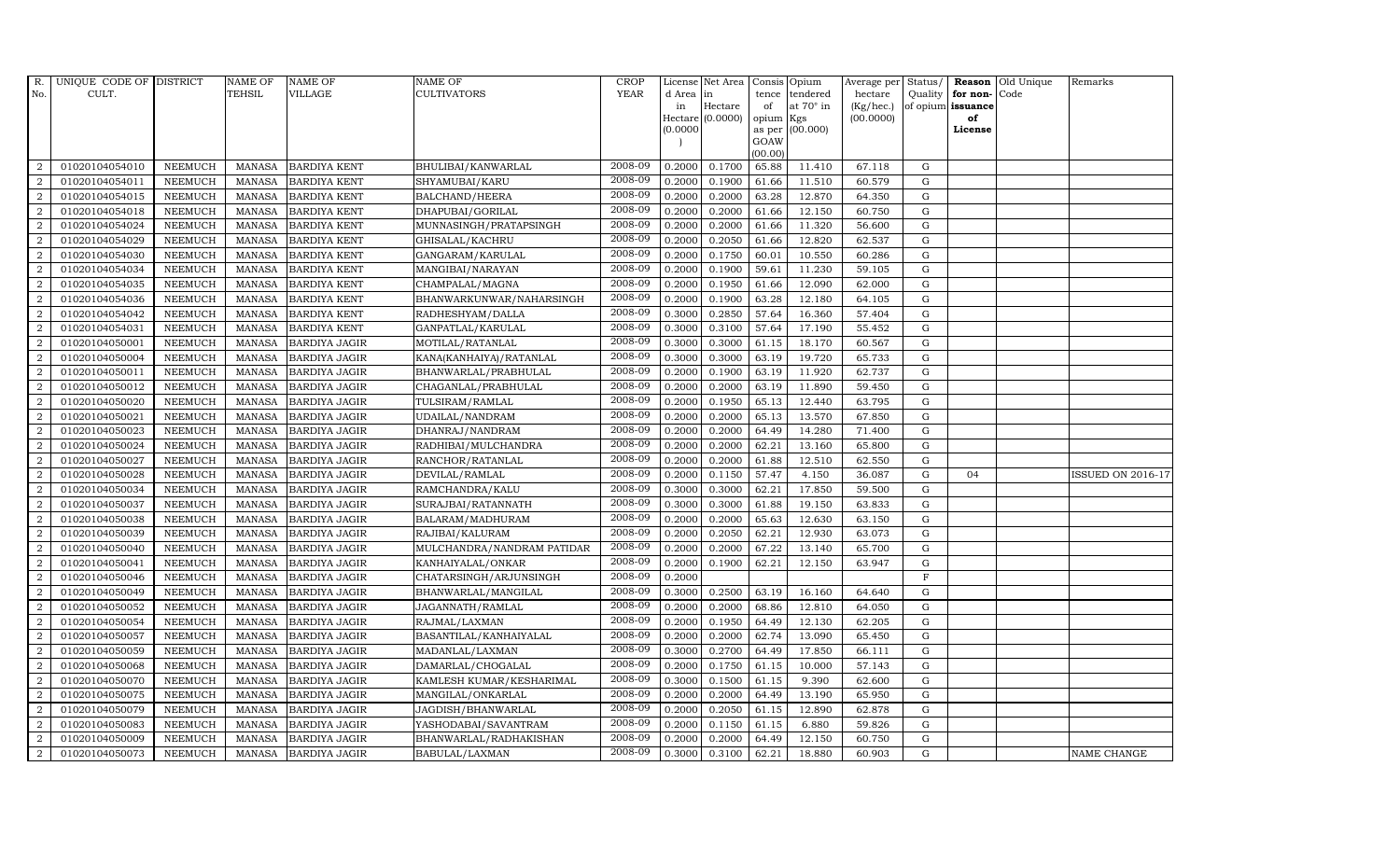| R.               | UNIQUE CODE OF DISTRICT |                | <b>NAME OF</b> | <b>NAME OF</b>       | <b>NAME OF</b>             | <b>CROP</b> |          | License Net Area |           | Consis Opium    | Average per | Status/     | <b>Reason</b>     | Old Unique | Remarks                  |
|------------------|-------------------------|----------------|----------------|----------------------|----------------------------|-------------|----------|------------------|-----------|-----------------|-------------|-------------|-------------------|------------|--------------------------|
| No.              | CULT.                   |                | <b>TEHSIL</b>  | VILLAGE              | CULTIVATORS                | <b>YEAR</b> | d Area   | in               | tence     | tendered        | hectare     | Quality     | for non-          | Code       |                          |
|                  |                         |                |                |                      |                            |             | in       | Hectare          | of        | at 70° in       | (Kg/hec.)   |             | of opium issuance |            |                          |
|                  |                         |                |                |                      |                            |             | (0.0000) | Hectare (0.0000) | opium Kgs | as per (00.000) | (00.0000)   |             | of<br>License     |            |                          |
|                  |                         |                |                |                      |                            |             |          |                  | GOAW      |                 |             |             |                   |            |                          |
|                  |                         |                |                |                      |                            |             |          |                  | (00.00)   |                 |             |             |                   |            |                          |
| 2                | 01020104054010          | <b>NEEMUCH</b> | MANASA         | <b>BARDIYA KENT</b>  | BHULIBAI/KANWARLAL         | 2008-09     | 0.2000   | 0.1700           | 65.88     | 11.410          | 67.118      | G           |                   |            |                          |
| 2                | 01020104054011          | <b>NEEMUCH</b> | <b>MANASA</b>  | <b>BARDIYA KENT</b>  | SHYAMUBAI/KARU             | 2008-09     | 0.2000   | 0.1900           | 61.66     | 11.510          | 60.579      | ${\rm G}$   |                   |            |                          |
| 2                | 01020104054015          | <b>NEEMUCH</b> | <b>MANASA</b>  | <b>BARDIYA KENT</b>  | <b>BALCHAND/HEERA</b>      | 2008-09     | 0.2000   | 0.2000           | 63.28     | 12.870          | 64.350      | G           |                   |            |                          |
| $\overline{2}$   | 01020104054018          | <b>NEEMUCH</b> | <b>MANASA</b>  | <b>BARDIYA KENT</b>  | DHAPUBAI/GORILAL           | 2008-09     | 0.2000   | 0.2000           | 61.66     | 12.150          | 60.750      | $\mathbf G$ |                   |            |                          |
| 2                | 01020104054024          | <b>NEEMUCH</b> | <b>MANASA</b>  | <b>BARDIYA KENT</b>  | MUNNASINGH/PRATAPSINGH     | 2008-09     | 0.2000   | 0.2000           | 61.66     | 11.320          | 56.600      | ${\rm G}$   |                   |            |                          |
| 2                | 01020104054029          | <b>NEEMUCH</b> | <b>MANASA</b>  | <b>BARDIYA KENT</b>  | GHISALAL/KACHRU            | 2008-09     | 0.2000   | 0.2050           | 61.66     | 12.820          | 62.537      | $\mathbf G$ |                   |            |                          |
| 2                | 01020104054030          | <b>NEEMUCH</b> | <b>MANASA</b>  | <b>BARDIYA KENT</b>  | GANGARAM/KARULAL           | 2008-09     | 0.2000   | 0.1750           | 60.01     | 10.550          | 60.286      | ${\rm G}$   |                   |            |                          |
| 2                | 01020104054034          | <b>NEEMUCH</b> | <b>MANASA</b>  | <b>BARDIYA KENT</b>  | MANGIBAI/NARAYAN           | 2008-09     | 0.2000   | 0.1900           | 59.61     | 11.230          | 59.105      | $\mathbf G$ |                   |            |                          |
| $\overline{2}$   | 01020104054035          | <b>NEEMUCH</b> | <b>MANASA</b>  | <b>BARDIYA KENT</b>  | CHAMPALAL/MAGNA            | 2008-09     | 0.2000   | 0.1950           | 61.66     | 12.090          | 62.000      | G           |                   |            |                          |
| 2                | 01020104054036          | <b>NEEMUCH</b> | <b>MANASA</b>  | <b>BARDIYA KENT</b>  | BHANWARKUNWAR/NAHARSINGH   | 2008-09     | 0.2000   | 0.1900           | 63.28     | 12.180          | 64.105      | ${\rm G}$   |                   |            |                          |
| $\overline{2}$   | 01020104054042          | <b>NEEMUCH</b> | <b>MANASA</b>  | <b>BARDIYA KENT</b>  | RADHESHYAM/DALLA           | 2008-09     | 0.3000   | 0.2850           | 57.64     | 16.360          | 57.404      | ${\rm G}$   |                   |            |                          |
| 2                | 01020104054031          | <b>NEEMUCH</b> | <b>MANASA</b>  | <b>BARDIYA KENT</b>  | GANPATLAL/KARULAL          | 2008-09     | 0.3000   | 0.3100           | 57.64     | 17.190          | 55.452      | G           |                   |            |                          |
| $\overline{2}$   | 01020104050001          | <b>NEEMUCH</b> | <b>MANASA</b>  | <b>BARDIYA JAGIR</b> | MOTILAL/RATANLAL           | 2008-09     | 0.3000   | 0.3000           | 61.15     | 18.170          | 60.567      | G           |                   |            |                          |
| $\overline{2}$   | 01020104050004          | <b>NEEMUCH</b> | <b>MANASA</b>  | <b>BARDIYA JAGIR</b> | KANA(KANHAIYA) / RATANLAL  | 2008-09     | 0.3000   | 0.3000           | 63.19     | 19.720          | 65.733      | $\mathbf G$ |                   |            |                          |
| $\overline{2}$   | 01020104050011          | <b>NEEMUCH</b> | <b>MANASA</b>  | <b>BARDIYA JAGIR</b> | BHANWARLAL/PRABHULAL       | 2008-09     | 0.2000   | 0.1900           | 63.19     | 11.920          | 62.737      | ${\rm G}$   |                   |            |                          |
| $\overline{2}$   | 01020104050012          | <b>NEEMUCH</b> | <b>MANASA</b>  | <b>BARDIYA JAGIR</b> | CHAGANLAL/PRABHULAL        | 2008-09     | 0.2000   | 0.2000           | 63.19     | 11.890          | 59.450      | G           |                   |            |                          |
| 2                | 01020104050020          | <b>NEEMUCH</b> | <b>MANASA</b>  | <b>BARDIYA JAGIR</b> | TULSIRAM/RAMLAL            | 2008-09     | 0.2000   | 0.1950           | 65.13     | 12.440          | 63.795      | G           |                   |            |                          |
| $\overline{2}$   | 01020104050021          | <b>NEEMUCH</b> | <b>MANASA</b>  | <b>BARDIYA JAGIR</b> | UDAILAL/NANDRAM            | 2008-09     | 0.2000   | 0.2000           | 65.13     | 13.570          | 67.850      | $\mathbf G$ |                   |            |                          |
| $\overline{2}$   | 01020104050023          | <b>NEEMUCH</b> | <b>MANASA</b>  | <b>BARDIYA JAGIR</b> | DHANRAJ/NANDRAM            | 2008-09     | 0.2000   | 0.2000           | 64.49     | 14.280          | 71.400      | $\mathbf G$ |                   |            |                          |
| $\overline{2}$   | 01020104050024          | <b>NEEMUCH</b> | <b>MANASA</b>  | <b>BARDIYA JAGIR</b> | RADHIBAI/MULCHANDRA        | 2008-09     | 0.2000   | 0.2000           | 62.21     | 13.160          | 65.800      | ${\rm G}$   |                   |            |                          |
| $\overline{2}$   | 01020104050027          | <b>NEEMUCH</b> | <b>MANASA</b>  | <b>BARDIYA JAGIR</b> | RANCHOR/RATANLAL           | 2008-09     | 0.2000   | 0.2000           | 61.88     | 12.510          | 62.550      | $\mathbf G$ |                   |            |                          |
| $\boldsymbol{2}$ | 01020104050028          | <b>NEEMUCH</b> | <b>MANASA</b>  | <b>BARDIYA JAGIR</b> | DEVILAL/RAMLAL             | 2008-09     | 0.2000   | 0.1150           | 57.47     | 4.150           | 36.087      | ${\rm G}$   | 04                |            | <b>ISSUED ON 2016-17</b> |
| 2                | 01020104050034          | <b>NEEMUCH</b> | <b>MANASA</b>  | <b>BARDIYA JAGIR</b> | RAMCHANDRA/KALU            | 2008-09     | 0.3000   | 0.3000           | 62.21     | 17.850          | 59.500      | G           |                   |            |                          |
| $\overline{2}$   | 01020104050037          | <b>NEEMUCH</b> | <b>MANASA</b>  | <b>BARDIYA JAGIR</b> | SURAJBAI/RATANNATH         | 2008-09     | 0.3000   | 0.3000           | 61.88     | 19.150          | 63.833      | G           |                   |            |                          |
| $\overline{2}$   | 01020104050038          | <b>NEEMUCH</b> | <b>MANASA</b>  | <b>BARDIYA JAGIR</b> | BALARAM/MADHURAM           | 2008-09     | 0.2000   | 0.2000           | 65.63     | 12.630          | 63.150      | ${\rm G}$   |                   |            |                          |
| 2                | 01020104050039          | <b>NEEMUCH</b> | <b>MANASA</b>  | <b>BARDIYA JAGIR</b> | RAJIBAI/KALURAM            | 2008-09     | 0.2000   | 0.2050           | 62.21     | 12.930          | 63.073      | G           |                   |            |                          |
| $\overline{2}$   | 01020104050040          | <b>NEEMUCH</b> | <b>MANASA</b>  | <b>BARDIYA JAGIR</b> | MULCHANDRA/NANDRAM PATIDAR | 2008-09     | 0.2000   | 0.2000           | 67.22     | 13.140          | 65.700      | ${\rm G}$   |                   |            |                          |
| $\overline{2}$   | 01020104050041          | <b>NEEMUCH</b> | <b>MANASA</b>  | <b>BARDIYA JAGIR</b> | KANHAIYALAL/ONKAR          | 2008-09     | 0.2000   | 0.1900           | 62.21     | 12.150          | 63.947      | $\mathbf G$ |                   |            |                          |
| $\overline{2}$   | 01020104050046          | <b>NEEMUCH</b> | <b>MANASA</b>  | <b>BARDIYA JAGIR</b> | CHATARSINGH/ARJUNSINGH     | 2008-09     | 0.2000   |                  |           |                 |             | $\mathbf F$ |                   |            |                          |
| $\overline{2}$   | 01020104050049          | <b>NEEMUCH</b> | <b>MANASA</b>  | <b>BARDIYA JAGIR</b> | BHANWARLAL/MANGILAL        | 2008-09     | 0.3000   | 0.2500           | 63.19     | 16.160          | 64.640      | G           |                   |            |                          |
| $\overline{2}$   | 01020104050052          | <b>NEEMUCH</b> | <b>MANASA</b>  | <b>BARDIYA JAGIR</b> | JAGANNATH/RAMLAL           | 2008-09     | 0.2000   | 0.2000           | 68.86     | 12.810          | 64.050      | G           |                   |            |                          |
| $\overline{2}$   | 01020104050054          | <b>NEEMUCH</b> | <b>MANASA</b>  | <b>BARDIYA JAGIR</b> | RAJMAL/LAXMAN              | 2008-09     | 0.2000   | 0.1950           | 64.49     | 12.130          | 62.205      | ${\rm G}$   |                   |            |                          |
| $\overline{2}$   | 01020104050057          | <b>NEEMUCH</b> | <b>MANASA</b>  | <b>BARDIYA JAGIR</b> | BASANTILAL/KANHAIYALAL     | 2008-09     | 0.2000   | 0.2000           | 62.74     | 13.090          | 65.450      | ${\rm G}$   |                   |            |                          |
| $\overline{2}$   | 01020104050059          | <b>NEEMUCH</b> | <b>MANASA</b>  | <b>BARDIYA JAGIR</b> | MADANLAL/LAXMAN            | 2008-09     | 0.3000   | 0.2700           | 64.49     | 17.850          | 66.111      | $\mathbf G$ |                   |            |                          |
| $\overline{2}$   | 01020104050068          | <b>NEEMUCH</b> | <b>MANASA</b>  | <b>BARDIYA JAGIR</b> | DAMARLAL/CHOGALAL          | 2008-09     | 0.2000   | 0.1750           | 61.15     | 10.000          | 57.143      | $\mathbf G$ |                   |            |                          |
| $\overline{2}$   | 01020104050070          | <b>NEEMUCH</b> | <b>MANASA</b>  | <b>BARDIYA JAGIR</b> | KAMLESH KUMAR/KESHARIMAL   | 2008-09     | 0.3000   | 0.1500           | 61.15     | 9.390           | 62.600      | ${\rm G}$   |                   |            |                          |
| $\overline{2}$   | 01020104050075          | <b>NEEMUCH</b> | <b>MANASA</b>  | <b>BARDIYA JAGIR</b> | MANGILAL/ONKARLAL          | 2008-09     | 0.2000   | 0.2000           | 64.49     | 13.190          | 65.950      | ${\rm G}$   |                   |            |                          |
| $\overline{2}$   | 01020104050079          | <b>NEEMUCH</b> | <b>MANASA</b>  | <b>BARDIYA JAGIR</b> | JAGDISH/BHANWARLAL         | 2008-09     | 0.2000   | 0.2050           | 61.15     | 12.890          | 62.878      | ${\rm G}$   |                   |            |                          |
| $\overline{2}$   | 01020104050083          | <b>NEEMUCH</b> | <b>MANASA</b>  | <b>BARDIYA JAGIR</b> | YASHODABAI/SAVANTRAM       | 2008-09     | 0.2000   | 0.1150           | 61.15     | 6.880           | 59.826      | G           |                   |            |                          |
| $\overline{2}$   | 01020104050009          | <b>NEEMUCH</b> | <b>MANASA</b>  | <b>BARDIYA JAGIR</b> | BHANWARLAL/RADHAKISHAN     | 2008-09     | 0.2000   | 0.2000           | 64.49     | 12.150          | 60.750      | $\mathbf G$ |                   |            |                          |
| $\overline{2}$   | 01020104050073          | <b>NEEMUCH</b> | MANASA         | <b>BARDIYA JAGIR</b> | BABULAL/LAXMAN             | 2008-09     | 0.3000   | 0.3100           | 62.21     | 18.880          | 60.903      | G           |                   |            | NAME CHANGE              |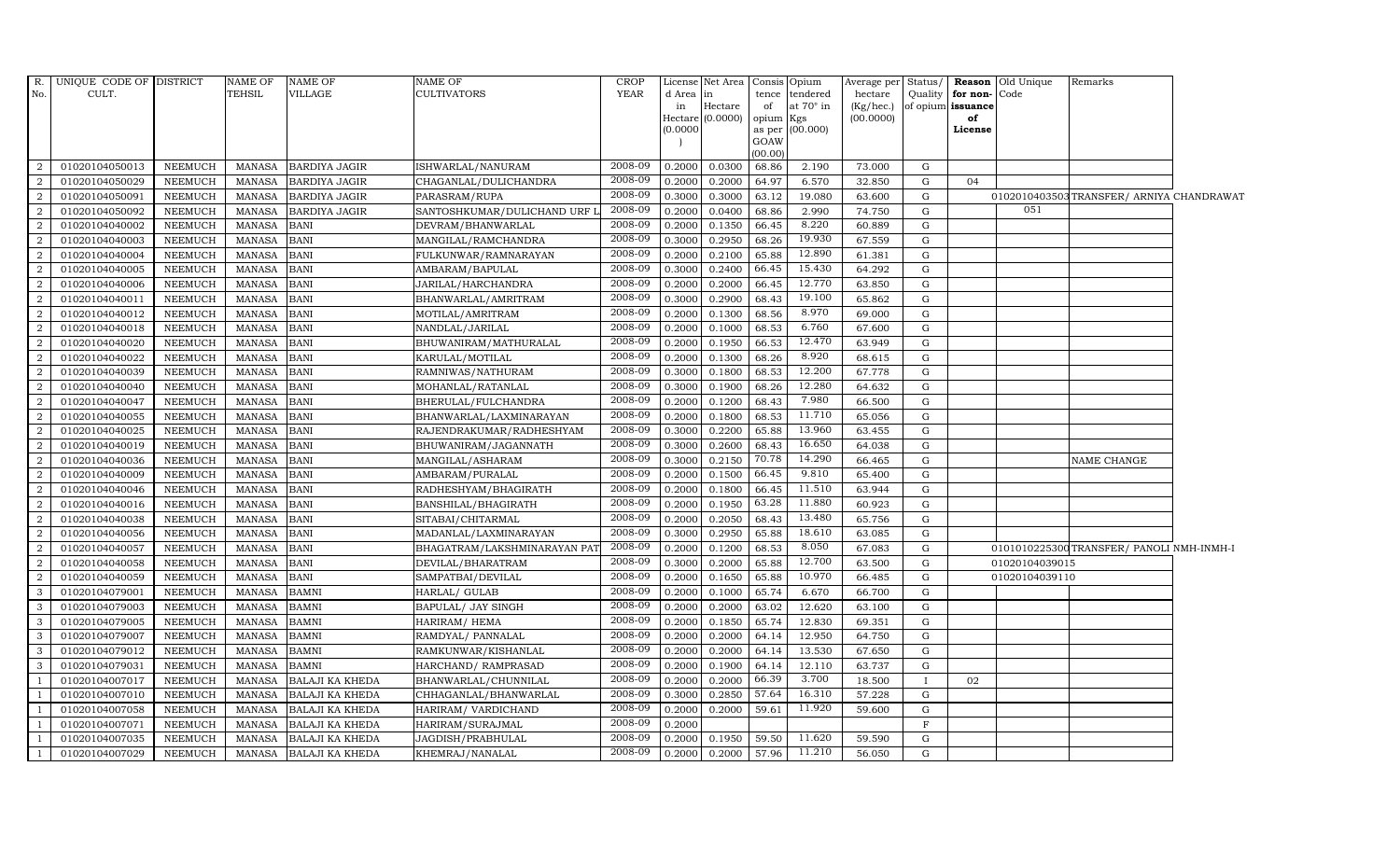| R.             | UNIQUE CODE OF DISTRICT |                | <b>NAME OF</b> | <b>NAME OF</b>         | NAME OF                      | <b>CROP</b> |          | License Net Area   | Consis Opium    |                 | Average per Status/ |           |                   | <b>Reason</b> Old Unique | Remarks                                  |  |
|----------------|-------------------------|----------------|----------------|------------------------|------------------------------|-------------|----------|--------------------|-----------------|-----------------|---------------------|-----------|-------------------|--------------------------|------------------------------------------|--|
| No.            | CULT.                   |                | <b>TEHSIL</b>  | VILLAGE                | <b>CULTIVATORS</b>           | YEAR        | d Area   | in                 | tence           | tendered        | hectare             | Quality   | for non-          | Code                     |                                          |  |
|                |                         |                |                |                        |                              |             | in       | Hectare            | of              | at 70° in       | (Kg/hec.)           |           | of opium issuance |                          |                                          |  |
|                |                         |                |                |                        |                              |             | (0.0000) | Hectare $(0.0000)$ | opium<br>as per | Kgs<br>(00.000) | (00.0000)           |           | of<br>License     |                          |                                          |  |
|                |                         |                |                |                        |                              |             |          |                    | GOAW            |                 |                     |           |                   |                          |                                          |  |
|                |                         |                |                |                        |                              |             |          |                    | (00.00)         |                 |                     |           |                   |                          |                                          |  |
| 2              | 01020104050013          | NEEMUCH        | MANASA         | <b>BARDIYA JAGIR</b>   | ISHWARLAL/NANURAM            | 2008-09     | 0.2000   | 0.0300             | 68.86           | 2.190           | 73.000              | G         |                   |                          |                                          |  |
| 2              | 01020104050029          | <b>NEEMUCH</b> | MANASA         | <b>BARDIYA JAGIR</b>   | CHAGANLAL/DULICHANDRA        | 2008-09     | 0.2000   | 0.2000             | 64.97           | 6.570           | 32.850              | ${\rm G}$ | 04                |                          |                                          |  |
| 2              | 01020104050091          | <b>NEEMUCH</b> | <b>MANASA</b>  | <b>BARDIYA JAGIR</b>   | PARASRAM/RUPA                | 2008-09     | 0.3000   | 0.3000             | 63.12           | 19.080          | 63.600              | G         |                   |                          | 0102010403503TRANSFER/ ARNIYA CHANDRAWAT |  |
| $\overline{2}$ | 01020104050092          | <b>NEEMUCH</b> | <b>MANASA</b>  | <b>BARDIYA JAGIR</b>   | SANTOSHKUMAR/DULICHAND URF L | 2008-09     | 0.2000   | 0.0400             | 68.86           | 2.990           | 74.750              | G         |                   | 051                      |                                          |  |
| $\overline{2}$ | 01020104040002          | <b>NEEMUCH</b> | <b>MANASA</b>  | <b>BANI</b>            | DEVRAM/BHANWARLAL            | 2008-09     | 0.2000   | 0.1350             | 66.45           | 8.220           | 60.889              | G         |                   |                          |                                          |  |
| 2              | 01020104040003          | NEEMUCH        | <b>MANASA</b>  | <b>BANI</b>            | MANGILAL/RAMCHANDRA          | 2008-09     | 0.3000   | 0.2950             | 68.26           | 19.930          | 67.559              | G         |                   |                          |                                          |  |
| 2              | 01020104040004          | <b>NEEMUCH</b> | <b>MANASA</b>  | <b>BANI</b>            | FULKUNWAR/RAMNARAYAN         | 2008-09     | 0.2000   | 0.2100             | 65.88           | 12.890          | 61.381              | G         |                   |                          |                                          |  |
| 2              | 01020104040005          | NEEMUCH        | <b>MANASA</b>  | <b>BANI</b>            | AMBARAM/BAPULAL              | 2008-09     | 0.3000   | 0.2400             | 66.45           | 15.430          | 64.292              | G         |                   |                          |                                          |  |
|                | 01020104040006          | <b>NEEMUCH</b> | <b>MANASA</b>  | <b>BANI</b>            | JARILAL/HARCHANDRA           | 2008-09     | 0.2000   | 0.2000             | 66.45           | 12.770          | 63.850              | G         |                   |                          |                                          |  |
| $\overline{2}$ | 01020104040011          | <b>NEEMUCH</b> | <b>MANASA</b>  | <b>BANI</b>            | BHANWARLAL/AMRITRAM          | 2008-09     | 0.3000   | 0.2900             | 68.43           | 19.100          | 65.862              | G         |                   |                          |                                          |  |
| 2              | 01020104040012          | NEEMUCH        | <b>MANASA</b>  | <b>BANI</b>            | MOTILAL/AMRITRAM             | 2008-09     | 0.2000   | 0.1300             | 68.56           | 8.970           | 69.000              | G         |                   |                          |                                          |  |
| 2              | 01020104040018          | <b>NEEMUCH</b> | <b>MANASA</b>  | <b>BANI</b>            | NANDLAL/JARILAL              | 2008-09     | 0.2000   | 0.1000             | 68.53           | 6.760           | 67.600              | G         |                   |                          |                                          |  |
| 2              | 01020104040020          | <b>NEEMUCH</b> | <b>MANASA</b>  | <b>BANI</b>            | BHUWANIRAM/MATHURALAL        | 2008-09     | 0.2000   | 0.1950             | 66.53           | 12.470          | 63.949              | G         |                   |                          |                                          |  |
| $\overline{2}$ | 01020104040022          | <b>NEEMUCH</b> | <b>MANASA</b>  | <b>BANI</b>            | KARULAL/MOTILAL              | 2008-09     | 0.2000   | 0.1300             | 68.26           | 8.920           | 68.615              | G         |                   |                          |                                          |  |
| 2              | 01020104040039          | <b>NEEMUCH</b> | <b>MANASA</b>  | <b>BANI</b>            | RAMNIWAS/NATHURAM            | 2008-09     | 0.3000   | 0.1800             | 68.53           | 12.200          | 67.778              | G         |                   |                          |                                          |  |
| 2              | 01020104040040          | <b>NEEMUCH</b> | <b>MANASA</b>  | <b>BANI</b>            | MOHANLAL/RATANLAL            | 2008-09     | 0.3000   | 0.1900             | 68.26           | 12.280          | 64.632              | G         |                   |                          |                                          |  |
| 2              | 01020104040047          | <b>NEEMUCH</b> | <b>MANASA</b>  | <b>BANI</b>            | BHERULAL/FULCHANDRA          | 2008-09     | 0.2000   | 0.1200             | 68.43           | 7.980           | 66.500              | G         |                   |                          |                                          |  |
| 2              | 01020104040055          | <b>NEEMUCH</b> | <b>MANASA</b>  | <b>BANI</b>            | BHANWARLAL/LAXMINARAYAN      | 2008-09     | 0.2000   | 0.1800             | 68.53           | 11.710          | 65.056              | G         |                   |                          |                                          |  |
| 2              | 01020104040025          | <b>NEEMUCH</b> | <b>MANASA</b>  | <b>BANI</b>            | RAJENDRAKUMAR/RADHESHYAM     | 2008-09     | 0.3000   | 0.2200             | 65.88           | 13.960          | 63.455              | G         |                   |                          |                                          |  |
| 2              | 01020104040019          | <b>NEEMUCH</b> | <b>MANASA</b>  | <b>BANI</b>            | BHUWANIRAM/JAGANNATH         | 2008-09     | 0.3000   | 0.2600             | 68.43           | 16.650          | 64.038              | G         |                   |                          |                                          |  |
| 2              | 01020104040036          | <b>NEEMUCH</b> | <b>MANASA</b>  | <b>BANI</b>            | MANGILAL/ASHARAM             | 2008-09     | 0.3000   | 0.2150             | 70.78           | 14.290          | 66.465              | G         |                   |                          | NAME CHANGE                              |  |
| 2              | 01020104040009          | <b>NEEMUCH</b> | <b>MANASA</b>  | <b>BANI</b>            | AMBARAM/PURALAL              | 2008-09     | 0.2000   | 0.1500             | 66.45           | 9.810           | 65.400              | G         |                   |                          |                                          |  |
| 2              | 01020104040046          | <b>NEEMUCH</b> | <b>MANASA</b>  | <b>BANI</b>            | RADHESHYAM/BHAGIRATH         | 2008-09     | 0.2000   | 0.1800             | 66.45           | 11.510          | 63.944              | G         |                   |                          |                                          |  |
| 2              | 01020104040016          | <b>NEEMUCH</b> | <b>MANASA</b>  | <b>BANI</b>            | BANSHILAL/BHAGIRATH          | 2008-09     | 0.2000   | 0.1950             | 63.28           | 11.880          | 60.923              | G         |                   |                          |                                          |  |
| $\overline{2}$ | 01020104040038          | <b>NEEMUCH</b> | <b>MANASA</b>  | <b>BANI</b>            | SITABAI/CHITARMAL            | 2008-09     | 0.2000   | 0.2050             | 68.43           | 13.480          | 65.756              | G         |                   |                          |                                          |  |
| 2              | 01020104040056          | <b>NEEMUCH</b> | <b>MANASA</b>  | <b>BANI</b>            | MADANLAL/LAXMINARAYAN        | 2008-09     | 0.3000   | 0.2950             | 65.88           | 18.610          | 63.085              | G         |                   |                          |                                          |  |
| 2              | 01020104040057          | <b>NEEMUCH</b> | <b>MANASA</b>  | <b>BANI</b>            | BHAGATRAM/LAKSHMINARAYAN PAT | 2008-09     | 0.2000   | 0.1200             | 68.53           | 8.050           | 67.083              | G         |                   |                          | 0101010225300TRANSFER/ PANOLI NMH-INMH-I |  |
| 2              | 01020104040058          | <b>NEEMUCH</b> | <b>MANASA</b>  | <b>BANI</b>            | DEVILAL/BHARATRAM            | 2008-09     | 0.3000   | 0.2000             | 65.88           | 12.700          | 63.500              | G         |                   | 01020104039015           |                                          |  |
| 2              | 01020104040059          | <b>NEEMUCH</b> | <b>MANASA</b>  | <b>BANI</b>            | SAMPATBAI/DEVILAL            | 2008-09     | 0.2000   | 0.1650             | 65.88           | 10.970          | 66.485              | G         |                   | 01020104039110           |                                          |  |
| $\mathcal{A}$  | 01020104079001          | <b>NEEMUCH</b> | <b>MANASA</b>  | <b>BAMNI</b>           | HARLAL/ GULAB                | 2008-09     | 0.2000   | 0.1000             | 65.74           | 6.670           | 66.700              | G         |                   |                          |                                          |  |
| 3              | 01020104079003          | <b>NEEMUCH</b> | <b>MANASA</b>  | <b>BAMNI</b>           | BAPULAL/ JAY SINGH           | 2008-09     | 0.2000   | 0.2000             | 63.02           | 12.620          | 63.100              | G         |                   |                          |                                          |  |
| 3              | 01020104079005          | <b>NEEMUCH</b> | <b>MANASA</b>  | <b>BAMNI</b>           | HARIRAM/ HEMA                | 2008-09     | 0.2000   | 0.1850             | 65.74           | 12.830          | 69.351              | G         |                   |                          |                                          |  |
| 3              | 01020104079007          | <b>NEEMUCH</b> | <b>MANASA</b>  | <b>BAMNI</b>           | RAMDYAL/ PANNALAL            | 2008-09     | 0.2000   | 0.2000             | 64.14           | 12.950          | 64.750              | G         |                   |                          |                                          |  |
| 3              | 01020104079012          | <b>NEEMUCH</b> | <b>MANASA</b>  | <b>BAMNI</b>           | RAMKUNWAR/KISHANLAL          | 2008-09     | 0.2000   | 0.2000             | 64.14           | 13.530          | 67.650              | ${\rm G}$ |                   |                          |                                          |  |
| 3              | 01020104079031          | <b>NEEMUCH</b> | <b>MANASA</b>  | <b>BAMNI</b>           | HARCHAND/ RAMPRASAD          | 2008-09     | 0.2000   | 0.1900             | 64.14           | 12.110          | 63.737              | G         |                   |                          |                                          |  |
| $\overline{1}$ | 01020104007017          | <b>NEEMUCH</b> | <b>MANASA</b>  | <b>BALAJI KA KHEDA</b> | BHANWARLAL/CHUNNILAL         | 2008-09     | 0.2000   | 0.2000             | 66.39           | 3.700           | 18.500              |           | 02                |                          |                                          |  |
| -1             | 01020104007010          | <b>NEEMUCH</b> | <b>MANASA</b>  | <b>BALAJI KA KHEDA</b> | CHHAGANLAL/BHANWARLAL        | 2008-09     | 0.3000   | 0.2850             | 57.64           | 16.310          | 57.228              | G         |                   |                          |                                          |  |
| -1             | 01020104007058          | NEEMUCH        | <b>MANASA</b>  | <b>BALAJI KA KHEDA</b> | HARIRAM/ VARDICHAND          | 2008-09     | 0.2000   | 0.2000             | 59.61           | 11.920          | 59.600              | G         |                   |                          |                                          |  |
| $\overline{1}$ | 01020104007071          | <b>NEEMUCH</b> | <b>MANASA</b>  | <b>BALAJI KA KHEDA</b> | HARIRAM/SURAJMAL             | 2008-09     | 0.2000   |                    |                 |                 |                     | F         |                   |                          |                                          |  |
|                | 01020104007035          | <b>NEEMUCH</b> | <b>MANASA</b>  | <b>BALAJI KA KHEDA</b> | JAGDISH/PRABHULAL            | 2008-09     | 0.2000   | 0.1950             | 59.50           | 11.620          | 59.590              | G         |                   |                          |                                          |  |
| 1              | 01020104007029          | <b>NEEMUCH</b> |                | MANASA BALAJI KA KHEDA | KHEMRAJ/NANALAL              | 2008-09     | 0.2000   | 0.2000             | 57.96           | 11.210          | 56.050              | G         |                   |                          |                                          |  |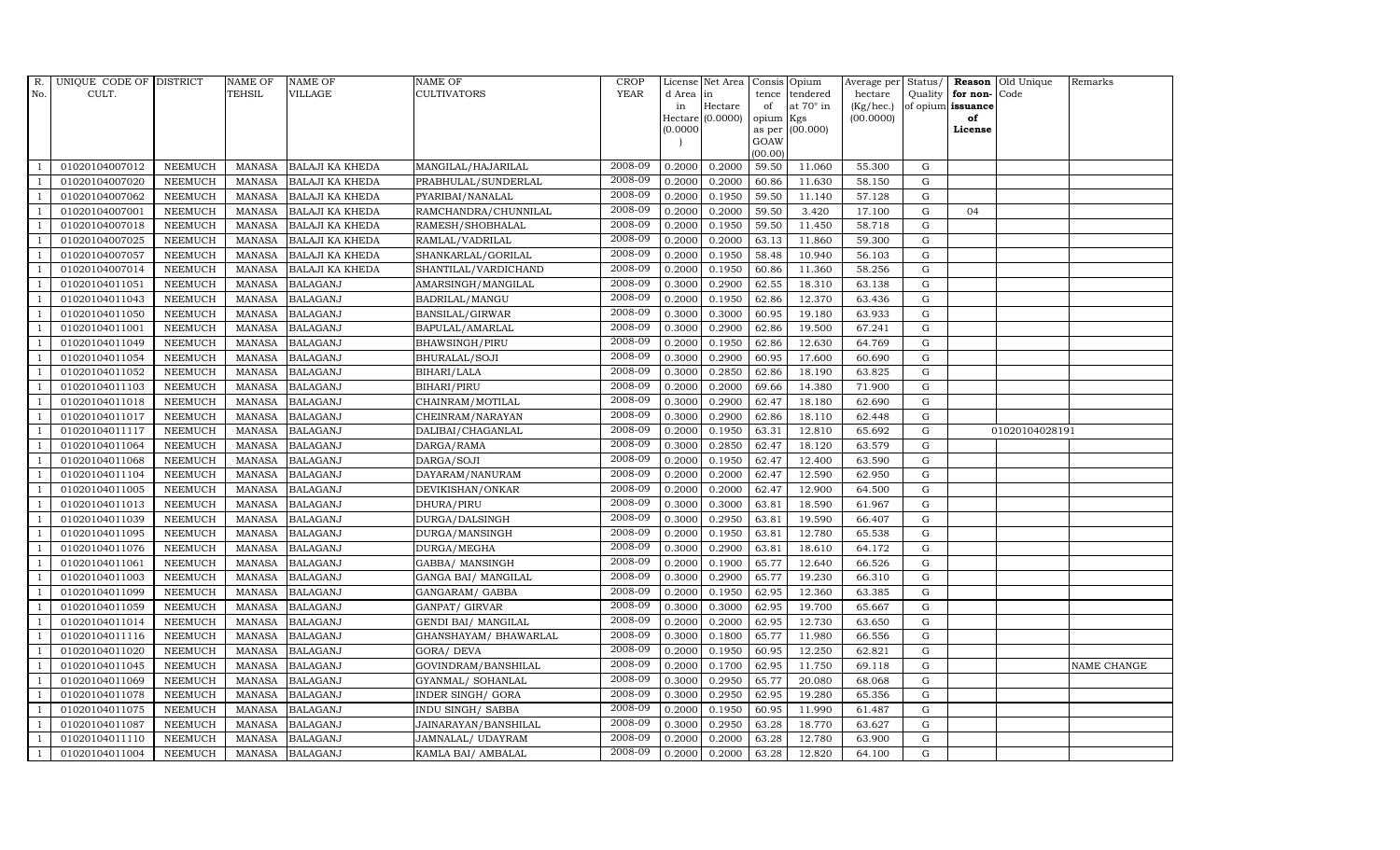| $R$ .                          | UNIQUE CODE OF DISTRICT          |                | <b>NAME OF</b>                 | <b>NAME OF</b>         | <b>NAME OF</b>         | CROP               |           | License Net Area |         | Consis Opium           | Average per      | Status/                  |                   | Reason Old Unique | Remarks            |
|--------------------------------|----------------------------------|----------------|--------------------------------|------------------------|------------------------|--------------------|-----------|------------------|---------|------------------------|------------------|--------------------------|-------------------|-------------------|--------------------|
| No.                            | CULT.                            |                | TEHSIL                         | VILLAGE                | <b>CULTIVATORS</b>     | <b>YEAR</b>        | d Area in |                  | tence   | tendered               | hectare          | Quality                  | for non-Code      |                   |                    |
|                                |                                  |                |                                |                        |                        |                    | in        | Hectare          | of      | at $70^\circ$ in       | (Kg/hec.)        |                          | of opium issuance |                   |                    |
|                                |                                  |                |                                |                        |                        |                    | (0.0000)  | Hectare (0.0000) | opium   | Kgs<br>as per (00.000) | (00.0000)        |                          | of<br>License     |                   |                    |
|                                |                                  |                |                                |                        |                        |                    |           |                  | GOAW    |                        |                  |                          |                   |                   |                    |
|                                |                                  |                |                                |                        |                        |                    |           |                  | (00.00) |                        |                  |                          |                   |                   |                    |
|                                | 01020104007012                   | <b>NEEMUCH</b> | MANASA                         | <b>BALAJI KA KHEDA</b> | MANGILAL/HAJARILAL     | 2008-09            | 0.2000    | 0.2000           | 59.50   | 11.060                 | 55.300           | G                        |                   |                   |                    |
| -1                             | 01020104007020                   | <b>NEEMUCH</b> | <b>MANASA</b>                  | <b>BALAJI KA KHEDA</b> | PRABHULAL/SUNDERLAL    | 2008-09            | 0.2000    | 0.2000           | 60.86   | 11.630                 | 58.150           | $\mathbf G$              |                   |                   |                    |
|                                | 01020104007062                   | <b>NEEMUCH</b> | <b>MANASA</b>                  | <b>BALAJI KA KHEDA</b> | PYARIBAI/NANALAL       | 2008-09            | 0.2000    | 0.1950           | 59.50   | 11.140                 | 57.128           | G                        |                   |                   |                    |
|                                | 01020104007001                   | <b>NEEMUCH</b> | <b>MANASA</b>                  | <b>BALAJI KA KHEDA</b> | RAMCHANDRA/CHUNNILAL   | 2008-09            | 0.2000    | 0.2000           | 59.50   | 3.420                  | 17.100           | ${\rm G}$                | 04                |                   |                    |
| $\overline{1}$                 | 01020104007018                   | <b>NEEMUCH</b> | <b>MANASA</b>                  | <b>BALAJI KA KHEDA</b> | RAMESH/SHOBHALAL       | 2008-09            | 0.2000    | 0.1950           | 59.50   | 11.450                 | 58.718           | ${\rm G}$                |                   |                   |                    |
|                                | 01020104007025                   | <b>NEEMUCH</b> | <b>MANASA</b>                  | <b>BALAJI KA KHEDA</b> | RAMLAL/VADRILAL        | 2008-09            | 0.2000    | 0.2000           | 63.13   | 11.860                 | 59.300           | G                        |                   |                   |                    |
| $\overline{1}$                 | 01020104007057                   | <b>NEEMUCH</b> | <b>MANASA</b>                  | <b>BALAJI KA KHEDA</b> | SHANKARLAL/GORILAL     | 2008-09            | 0.2000    | 0.1950           | 58.48   | 10.940                 | 56.103           | $\mathbf G$              |                   |                   |                    |
| $\overline{1}$                 | 01020104007014                   | <b>NEEMUCH</b> | <b>MANASA</b>                  | <b>BALAJI KA KHEDA</b> | SHANTILAL/VARDICHAND   | 2008-09            | 0.2000    | 0.1950           | 60.86   | 11.360                 | 58.256           | $\mathbf G$              |                   |                   |                    |
|                                | 01020104011051                   | <b>NEEMUCH</b> | <b>MANASA</b>                  | <b>BALAGANJ</b>        | AMARSINGH/MANGILAL     | 2008-09            | 0.3000    | 0.2900           | 62.55   | 18.310                 | 63.138           | $\mathbf G$              |                   |                   |                    |
| $\overline{1}$                 | 01020104011043                   | <b>NEEMUCH</b> | <b>MANASA</b>                  | <b>BALAGANJ</b>        | BADRILAL/MANGU         | 2008-09            | 0.2000    | 0.1950           | 62.86   | 12.370                 | 63.436           | ${\rm G}$                |                   |                   |                    |
| -1                             | 01020104011050                   | <b>NEEMUCH</b> | <b>MANASA</b>                  | <b>BALAGANJ</b>        | BANSILAL/GIRWAR        | 2008-09            | 0.3000    | 0.3000           | 60.95   | 19.180                 | 63.933           | ${\rm G}$                |                   |                   |                    |
| $\overline{1}$                 | 01020104011001                   | <b>NEEMUCH</b> | <b>MANASA</b>                  | <b>BALAGANJ</b>        | BAPULAL/AMARLAL        | 2008-09            | 0.3000    | 0.2900           | 62.86   | 19.500                 | 67.241           | $\mathbf G$              |                   |                   |                    |
| $\overline{1}$                 | 01020104011049                   | <b>NEEMUCH</b> | <b>MANASA</b>                  | <b>BALAGANJ</b>        | BHAWSINGH/PIRU         | 2008-09            | 0.2000    | 0.1950           | 62.86   | 12.630                 | 64.769           | $\mathbf G$              |                   |                   |                    |
|                                | 01020104011054                   | <b>NEEMUCH</b> | <b>MANASA</b>                  | <b>BALAGANJ</b>        | BHURALAL/SOJI          | 2008-09            | 0.3000    | 0.2900           | 60.95   | 17.600                 | 60.690           | G                        |                   |                   |                    |
|                                | 01020104011052                   | <b>NEEMUCH</b> | <b>MANASA</b>                  | <b>BALAGANJ</b>        | BIHARI/LALA            | 2008-09            | 0.3000    | 0.2850           | 62.86   | 18.190                 | 63.825           | ${\rm G}$                |                   |                   |                    |
| $\overline{1}$                 | 01020104011103                   | <b>NEEMUCH</b> | <b>MANASA</b>                  | <b>BALAGANJ</b>        | <b>BIHARI/PIRU</b>     | 2008-09            | 0.2000    | 0.2000           | 69.66   | 14.380                 | 71.900           | ${\rm G}$                |                   |                   |                    |
| $\overline{1}$                 | 01020104011018                   | <b>NEEMUCH</b> | <b>MANASA</b>                  | <b>BALAGANJ</b>        | CHAINRAM/MOTILAL       | 2008-09            | 0.3000    | 0.2900           | 62.47   | 18.180                 | 62.690           | G                        |                   |                   |                    |
| $\overline{1}$                 | 01020104011017                   | <b>NEEMUCH</b> | <b>MANASA</b>                  | <b>BALAGANJ</b>        | CHEINRAM/NARAYAN       | 2008-09            | 0.3000    | 0.2900           | 62.86   | 18.110                 | 62.448           | $\mathbf G$              |                   |                   |                    |
|                                | 01020104011117                   | <b>NEEMUCH</b> | <b>MANASA</b>                  | <b>BALAGANJ</b>        | DALIBAI/CHAGANLAL      | 2008-09            | 0.2000    | 0.1950           | 63.31   | 12.810                 | 65.692           | $\mathbf G$              |                   | 01020104028191    |                    |
|                                | 01020104011064                   | <b>NEEMUCH</b> | <b>MANASA</b>                  | <b>BALAGANJ</b>        | DARGA/RAMA             | 2008-09            | 0.3000    | 0.2850           | 62.47   | 18.120                 | 63.579           | $\mathbf G$              |                   |                   |                    |
| $\overline{1}$                 | 01020104011068                   | <b>NEEMUCH</b> | <b>MANASA</b>                  | <b>BALAGANJ</b>        | DARGA/SOJI             | 2008-09            | 0.2000    | 0.1950           | 62.47   | 12.400                 | 63.590           | G                        |                   |                   |                    |
| $\overline{1}$                 | 01020104011104                   | <b>NEEMUCH</b> | <b>MANASA</b>                  | <b>BALAGANJ</b>        | DAYARAM/NANURAM        | 2008-09            | 0.2000    | 0.2000           | 62.47   | 12.590                 | 62.950           | ${\rm G}$                |                   |                   |                    |
| $\overline{1}$                 | 01020104011005                   | <b>NEEMUCH</b> | <b>MANASA</b>                  | <b>BALAGANJ</b>        | DEVIKISHAN/ONKAR       | 2008-09            | 0.2000    | 0.2000           | 62.47   | 12.900                 | 64.500           | G                        |                   |                   |                    |
|                                | 01020104011013                   | <b>NEEMUCH</b> | <b>MANASA</b>                  | <b>BALAGANJ</b>        | DHURA/PIRU             | 2008-09            | 0.3000    | 0.3000           | 63.81   | 18.590                 | 61.967           | $\mathbf G$              |                   |                   |                    |
|                                | 01020104011039                   | <b>NEEMUCH</b> | <b>MANASA</b>                  | <b>BALAGANJ</b>        | DURGA/DALSINGH         | 2008-09            | 0.3000    | 0.2950           | 63.81   | 19.590                 | 66.407           | G                        |                   |                   |                    |
| -1                             | 01020104011095                   | <b>NEEMUCH</b> | <b>MANASA</b>                  | <b>BALAGANJ</b>        | DURGA/MANSINGH         | 2008-09            | 0.2000    | 0.1950           | 63.81   | 12.780                 | 65.538           | G                        |                   |                   |                    |
|                                | 01020104011076                   | <b>NEEMUCH</b> | <b>MANASA</b>                  | <b>BALAGANJ</b>        | DURGA/MEGHA            | 2008-09            | 0.3000    | 0.2900           | 63.81   | 18.610                 | 64.172           | ${\rm G}$                |                   |                   |                    |
| $\overline{1}$                 | 01020104011061                   | <b>NEEMUCH</b> | <b>MANASA</b>                  | <b>BALAGANJ</b>        | GABBA/ MANSINGH        | 2008-09            | 0.2000    | 0.1900           | 65.77   | 12.640                 | 66.526           | G                        |                   |                   |                    |
| $\overline{1}$                 | 01020104011003                   | <b>NEEMUCH</b> | <b>MANASA</b>                  | <b>BALAGANJ</b>        | GANGA BAI/ MANGILAL    | 2008-09            | 0.3000    | 0.2900           | 65.77   | 19.230                 | 66.310           | $\mathbf G$              |                   |                   |                    |
|                                | 01020104011099                   | <b>NEEMUCH</b> | <b>MANASA</b>                  | <b>BALAGANJ</b>        | GANGARAM/ GABBA        | 2008-09            | 0.2000    | 0.1950           | 62.95   | 12.360                 | 63.385           | $\mathbf G$              |                   |                   |                    |
| $\overline{1}$                 | 01020104011059                   | <b>NEEMUCH</b> | <b>MANASA</b>                  | <b>BALAGANJ</b>        | GANPAT/ GIRVAR         | 2008-09<br>2008-09 | 0.3000    | 0.3000           | 62.95   | 19.700                 | 65.667           | G                        |                   |                   |                    |
|                                | 01020104011014                   | <b>NEEMUCH</b> | <b>MANASA</b>                  | <b>BALAGANJ</b>        | GENDI BAI/ MANGILAL    | 2008-09            | 0.2000    | 0.2000           | 62.95   | 12.730                 | 63.650           | ${\rm G}$                |                   |                   |                    |
| $\overline{1}$                 | 01020104011116                   | NEEMUCH        | <b>MANASA</b>                  | <b>BALAGANJ</b>        | GHANSHAYAM / BHAWARLAL | 2008-09            | 0.3000    | 0.1800           | 65.77   | 11.980                 | 66.556           | $\mathbf G$              |                   |                   |                    |
| $\overline{1}$                 | 01020104011020                   | <b>NEEMUCH</b> | <b>MANASA</b>                  | <b>BALAGANJ</b>        | <b>GORA/ DEVA</b>      | 2008-09            | 0.2000    | 0.1950           | 60.95   | 12.250                 | 62.821           | $\mathbf G$              |                   |                   |                    |
|                                | 01020104011045                   | <b>NEEMUCH</b> | <b>MANASA</b>                  | <b>BALAGANJ</b>        | GOVINDRAM/BANSHILAL    | 2008-09            | 0.2000    | 0.1700           | 62.95   | 11.750                 | 69.118           | $\mathbf G$              |                   |                   | <b>NAME CHANGE</b> |
| $\overline{1}$                 | 01020104011069                   | <b>NEEMUCH</b> | <b>MANASA</b>                  | <b>BALAGANJ</b>        | GYANMAL/ SOHANLAL      | 2008-09            | 0.3000    | 0.2950           | 65.77   | 20.080                 | 68.068           | ${\rm G}$<br>${\rm G}$   |                   |                   |                    |
| $\overline{1}$                 | 01020104011078                   | <b>NEEMUCH</b> | <b>MANASA</b>                  | <b>BALAGANJ</b>        | INDER SINGH/ GORA      | 2008-09            | 0.3000    | 0.2950           | 62.95   | 19.280                 | 65.356           |                          |                   |                   |                    |
| $\mathbf{1}$<br>$\overline{1}$ | 01020104011075                   | <b>NEEMUCH</b> | <b>MANASA</b>                  | <b>BALAGANJ</b>        | INDU SINGH/ SABBA      | 2008-09            | 0.2000    | 0.1950           | 60.95   | 11.990                 | 61.487           | ${\rm G}$<br>$\mathbf G$ |                   |                   |                    |
|                                | 01020104011087<br>01020104011110 | <b>NEEMUCH</b> | <b>MANASA</b><br><b>MANASA</b> | <b>BALAGANJ</b>        | JAINARAYAN/BANSHILAL   | 2008-09            | 0.3000    | 0.2950           | 63.28   | 18.770                 | 63.627<br>63.900 | $\mathbf G$              |                   |                   |                    |
|                                |                                  | <b>NEEMUCH</b> |                                | <b>BALAGANJ</b>        | JAMNALAL/ UDAYRAM      | 2008-09            | 0.2000    | 0.2000           | 63.28   | 12.780                 |                  |                          |                   |                   |                    |
| $\mathbf{1}$                   | 01020104011004                   | <b>NEEMUCH</b> |                                | MANASA BALAGANJ        | KAMLA BAI/ AMBALAL     |                    | 0.2000    | 0.2000           | 63.28   | 12.820                 | 64.100           | G                        |                   |                   |                    |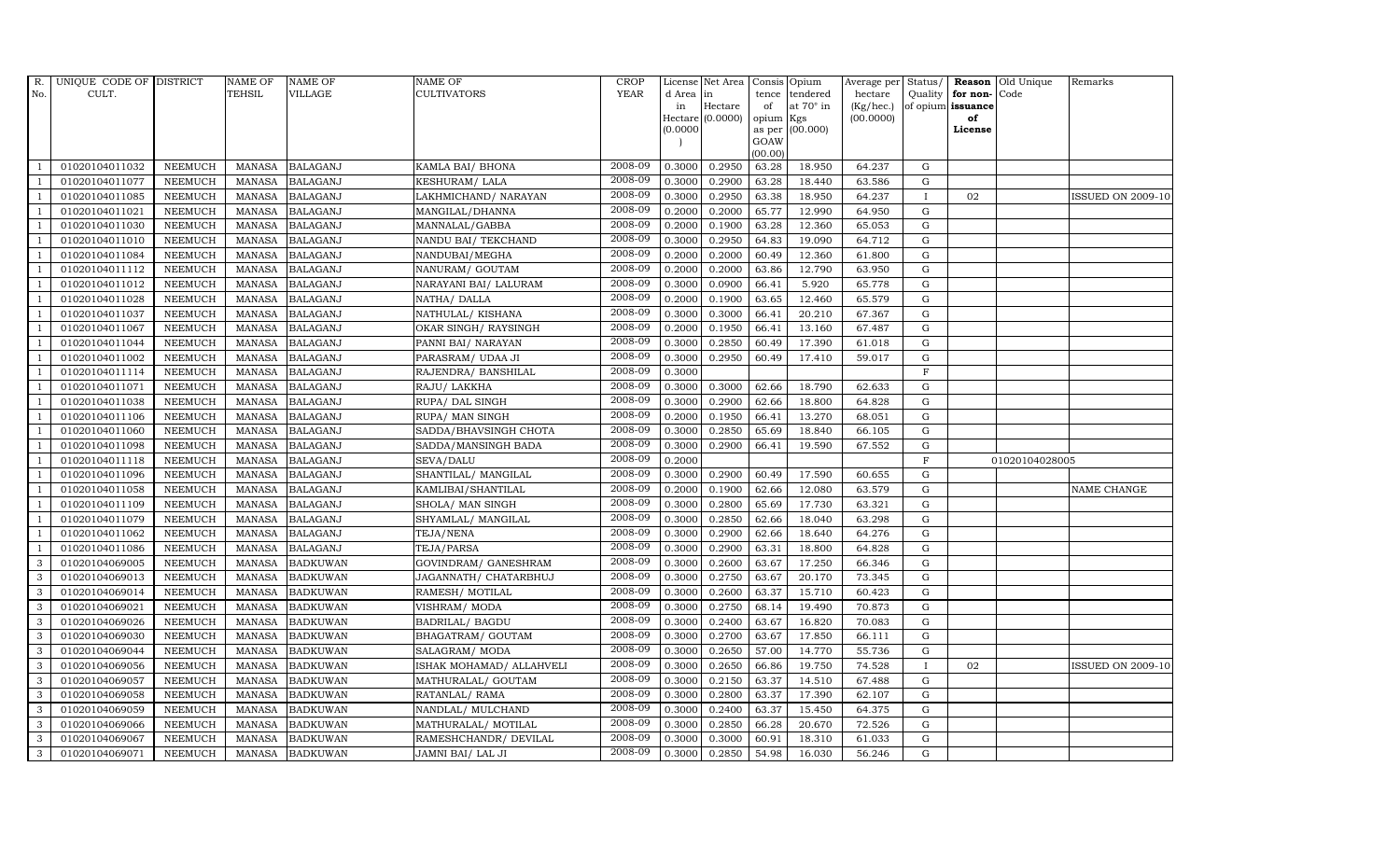| R.             | UNIQUE CODE OF DISTRICT |                | <b>NAME OF</b> | <b>NAME OF</b>  | NAME OF                   | <b>CROP</b> |           | License Net Area | Consis Opium   |                  |           |                |                      | Average per Status/ Reason Old Unique | Remarks                  |
|----------------|-------------------------|----------------|----------------|-----------------|---------------------------|-------------|-----------|------------------|----------------|------------------|-----------|----------------|----------------------|---------------------------------------|--------------------------|
| No.            | CULT.                   |                | <b>TEHSIL</b>  | VILLAGE         | <b>CULTIVATORS</b>        | <b>YEAR</b> | d Area in |                  | tence          | tendered         | hectare   |                | Quality for non-Code |                                       |                          |
|                |                         |                |                |                 |                           |             | in        | Hectare          | of             | at $70^\circ$ in | (Kg/hec.) |                | of opium issuance    |                                       |                          |
|                |                         |                |                |                 |                           |             |           | Hectare (0.0000) | opium          | Kgs              | (00.0000) |                | of                   |                                       |                          |
|                |                         |                |                |                 |                           |             | (0.0000)  |                  | as per<br>GOAW | (00.000)         |           |                | License              |                                       |                          |
|                |                         |                |                |                 |                           |             |           |                  | (00.00)        |                  |           |                |                      |                                       |                          |
|                | 01020104011032          | <b>NEEMUCH</b> | MANASA         | <b>BALAGANJ</b> | KAMLA BAI/ BHONA          | 2008-09     | 0.3000    | 0.2950           | 63.28          | 18.950           | 64.237    | G              |                      |                                       |                          |
| -1             | 01020104011077          | <b>NEEMUCH</b> | <b>MANASA</b>  | <b>BALAGANJ</b> | KESHURAM/LALA             | 2008-09     | 0.3000    | 0.2900           | 63.28          | 18.440           | 63.586    | $\mathbf G$    |                      |                                       |                          |
|                | 01020104011085          | <b>NEEMUCH</b> | <b>MANASA</b>  | <b>BALAGANJ</b> | LAKHMICHAND/NARAYAN       | 2008-09     | 0.3000    | 0.2950           | 63.38          | 18.950           | 64.237    | $\mathbf{I}$   | 02                   |                                       | <b>ISSUED ON 2009-10</b> |
|                | 01020104011021          | <b>NEEMUCH</b> | <b>MANASA</b>  | <b>BALAGANJ</b> | MANGILAL/DHANNA           | 2008-09     | 0.2000    | 0.2000           | 65.77          | 12.990           | 64.950    | G              |                      |                                       |                          |
|                | 01020104011030          | <b>NEEMUCH</b> | <b>MANASA</b>  | <b>BALAGANJ</b> | MANNALAL/GABBA            | 2008-09     | 0.2000    | 0.1900           | 63.28          | 12.360           | 65.053    | G              |                      |                                       |                          |
| $\overline{1}$ | 01020104011010          | <b>NEEMUCH</b> | <b>MANASA</b>  | <b>BALAGANJ</b> | NANDU BAI/TEKCHAND        | 2008-09     | 0.3000    | 0.2950           | 64.83          | 19.090           | 64.712    | G              |                      |                                       |                          |
| $\overline{1}$ | 01020104011084          | <b>NEEMUCH</b> | <b>MANASA</b>  | <b>BALAGANJ</b> | NANDUBAI/MEGHA            | 2008-09     | 0.2000    | 0.2000           | 60.49          | 12.360           | 61.800    | G              |                      |                                       |                          |
| $\overline{1}$ | 01020104011112          | <b>NEEMUCH</b> | <b>MANASA</b>  | <b>BALAGANJ</b> | NANURAM/ GOUTAM           | 2008-09     | 0.2000    | 0.2000           | 63.86          | 12.790           | 63.950    | $\mathbf G$    |                      |                                       |                          |
|                | 01020104011012          | <b>NEEMUCH</b> | <b>MANASA</b>  | <b>BALAGANJ</b> | NARAYANI BAI/ LALURAM     | 2008-09     | 0.3000    | 0.0900           | 66.41          | 5.920            | 65.778    | G              |                      |                                       |                          |
| -1             | 01020104011028          | <b>NEEMUCH</b> | <b>MANASA</b>  | <b>BALAGANJ</b> | NATHA/ DALLA              | 2008-09     | 0.2000    | 0.1900           | 63.65          | 12.460           | 65.579    | G              |                      |                                       |                          |
| $\overline{1}$ | 01020104011037          | <b>NEEMUCH</b> | <b>MANASA</b>  | <b>BALAGANJ</b> | NATHULAL/KISHANA          | 2008-09     | 0.3000    | 0.3000           | 66.41          | 20.210           | 67.367    | G              |                      |                                       |                          |
| $\overline{1}$ | 01020104011067          | <b>NEEMUCH</b> | <b>MANASA</b>  | <b>BALAGANJ</b> | OKAR SINGH/ RAYSINGH      | 2008-09     | 0.2000    | 0.1950           | 66.41          | 13.160           | 67.487    | G              |                      |                                       |                          |
| $\overline{1}$ | 01020104011044          | <b>NEEMUCH</b> | <b>MANASA</b>  | <b>BALAGANJ</b> | PANNI BAI/ NARAYAN        | 2008-09     | 0.3000    | 0.2850           | 60.49          | 17.390           | 61.018    | G              |                      |                                       |                          |
|                | 01020104011002          | <b>NEEMUCH</b> | <b>MANASA</b>  | <b>BALAGANJ</b> | PARASRAM/ UDAA JI         | 2008-09     | 0.3000    | 0.2950           | 60.49          | 17.410           | 59.017    | G              |                      |                                       |                          |
|                | 01020104011114          | <b>NEEMUCH</b> | <b>MANASA</b>  | <b>BALAGANJ</b> | RAJENDRA/ BANSHILAL       | 2008-09     | 0.3000    |                  |                |                  |           | $\overline{F}$ |                      |                                       |                          |
| -1             | 01020104011071          | <b>NEEMUCH</b> | <b>MANASA</b>  | <b>BALAGANJ</b> | RAJU/ LAKKHA              | 2008-09     | 0.3000    | 0.3000           | 62.66          | 18.790           | 62.633    | G              |                      |                                       |                          |
| $\overline{1}$ | 01020104011038          | <b>NEEMUCH</b> | <b>MANASA</b>  | <b>BALAGANJ</b> | RUPA/ DAL SINGH           | 2008-09     | 0.3000    | 0.2900           | 62.66          | 18.800           | 64.828    | G              |                      |                                       |                          |
| $\overline{1}$ | 01020104011106          | <b>NEEMUCH</b> | <b>MANASA</b>  | <b>BALAGANJ</b> | RUPA/ MAN SINGH           | 2008-09     | 0.2000    | 0.1950           | 66.41          | 13.270           | 68.051    | $\mathbf G$    |                      |                                       |                          |
|                | 01020104011060          | <b>NEEMUCH</b> | <b>MANASA</b>  | <b>BALAGANJ</b> | SADDA/BHAVSINGH CHOTA     | 2008-09     | 0.3000    | 0.2850           | 65.69          | 18.840           | 66.105    | G              |                      |                                       |                          |
|                | 01020104011098          | <b>NEEMUCH</b> | <b>MANASA</b>  | <b>BALAGANJ</b> | SADDA/MANSINGH BADA       | 2008-09     | 0.3000    | 0.2900           | 66.41          | 19.590           | 67.552    | G              |                      |                                       |                          |
| $\overline{1}$ | 01020104011118          | <b>NEEMUCH</b> | <b>MANASA</b>  | <b>BALAGANJ</b> | SEVA/DALU                 | 2008-09     | 0.2000    |                  |                |                  |           | $\mathbf F$    |                      | 01020104028005                        |                          |
|                | 01020104011096          | <b>NEEMUCH</b> | <b>MANASA</b>  | <b>BALAGANJ</b> | SHANTILAL/ MANGILAL       | 2008-09     | 0.3000    | 0.2900           | 60.49          | 17.590           | 60.655    | G              |                      |                                       |                          |
| $\overline{1}$ | 01020104011058          | <b>NEEMUCH</b> | MANASA         | <b>BALAGANJ</b> | KAMLIBAI/SHANTILAL        | 2008-09     | 0.2000    | 0.1900           | 62.66          | 12.080           | 63.579    | G              |                      |                                       | NAME CHANGE              |
|                | 01020104011109          | <b>NEEMUCH</b> | <b>MANASA</b>  | <b>BALAGANJ</b> | SHOLA/ MAN SINGH          | 2008-09     | 0.3000    | 0.2800           | 65.69          | 17.730           | 63.321    | G              |                      |                                       |                          |
|                | 01020104011079          | <b>NEEMUCH</b> | <b>MANASA</b>  | <b>BALAGANJ</b> | SHYAMLAL/ MANGILAL        | 2008-09     | 0.3000    | 0.2850           | 62.66          | 18.040           | 63.298    | G              |                      |                                       |                          |
| $\overline{1}$ | 01020104011062          | <b>NEEMUCH</b> | <b>MANASA</b>  | <b>BALAGANJ</b> | TEJA/NENA                 | 2008-09     | 0.3000    | 0.2900           | 62.66          | 18.640           | 64.276    | G              |                      |                                       |                          |
| $\mathbf{1}$   | 01020104011086          | <b>NEEMUCH</b> | <b>MANASA</b>  | <b>BALAGANJ</b> | TEJA/PARSA                | 2008-09     | 0.3000    | 0.2900           | 63.31          | 18.800           | 64.828    | G              |                      |                                       |                          |
| 3              | 01020104069005          | <b>NEEMUCH</b> | <b>MANASA</b>  | <b>BADKUWAN</b> | GOVINDRAM/ GANESHRAM      | 2008-09     | 0.3000    | 0.2600           | 63.67          | 17.250           | 66.346    | G              |                      |                                       |                          |
| 3              | 01020104069013          | <b>NEEMUCH</b> | <b>MANASA</b>  | <b>BADKUWAN</b> | JAGANNATH / CHATARBHUJ    | 2008-09     | 0.3000    | 0.2750           | 63.67          | 20.170           | 73.345    | ${\bf G}$      |                      |                                       |                          |
| 3              | 01020104069014          | <b>NEEMUCH</b> | <b>MANASA</b>  | <b>BADKUWAN</b> | RAMESH/ MOTILAL           | 2008-09     | 0.3000    | 0.2600           | 63.37          | 15.710           | 60.423    | G              |                      |                                       |                          |
| 3              | 01020104069021          | <b>NEEMUCH</b> | <b>MANASA</b>  | <b>BADKUWAN</b> | VISHRAM/ MODA             | 2008-09     | 0.3000    | 0.2750           | 68.14          | 19.490           | 70.873    | G              |                      |                                       |                          |
| 3              | 01020104069026          | <b>NEEMUCH</b> | <b>MANASA</b>  | <b>BADKUWAN</b> | <b>BADRILAL/ BAGDU</b>    | 2008-09     | 0.3000    | 0.2400           | 63.67          | 16.820           | 70.083    | G              |                      |                                       |                          |
| 3              | 01020104069030          | <b>NEEMUCH</b> | <b>MANASA</b>  | <b>BADKUWAN</b> | BHAGATRAM/ GOUTAM         | 2008-09     | 0.3000    | 0.2700           | 63.67          | 17.850           | 66.111    | G              |                      |                                       |                          |
| 3              | 01020104069044          | <b>NEEMUCH</b> | <b>MANASA</b>  | <b>BADKUWAN</b> | SALAGRAM/ MODA            | 2008-09     | 0.3000    | 0.2650           | 57.00          | 14.770           | 55.736    | G              |                      |                                       |                          |
| 3              | 01020104069056          | <b>NEEMUCH</b> | <b>MANASA</b>  | <b>BADKUWAN</b> | ISHAK MOHAMAD / ALLAHVELI | 2008-09     | 0.3000    | 0.2650           | 66.86          | 19.750           | 74.528    | $\mathbf{I}$   | 02                   |                                       | <b>ISSUED ON 2009-10</b> |
| 3              | 01020104069057          | <b>NEEMUCH</b> | <b>MANASA</b>  | <b>BADKUWAN</b> | MATHURALAL/ GOUTAM        | 2008-09     | 0.3000    | 0.2150           | 63.37          | 14.510           | 67.488    | G              |                      |                                       |                          |
| 3              | 01020104069058          | <b>NEEMUCH</b> | <b>MANASA</b>  | <b>BADKUWAN</b> | RATANLAL/RAMA             | 2008-09     | 0.3000    | 0.2800           | 63.37          | 17.390           | 62.107    | G              |                      |                                       |                          |
| 3              | 01020104069059          | <b>NEEMUCH</b> | <b>MANASA</b>  | <b>BADKUWAN</b> | NANDLAL/MULCHAND          | 2008-09     | 0.3000    | 0.2400           | 63.37          | 15.450           | 64.375    | $\mathbf G$    |                      |                                       |                          |
| 3              | 01020104069066          | <b>NEEMUCH</b> | <b>MANASA</b>  | <b>BADKUWAN</b> | MATHURALAL/ MOTILAL       | 2008-09     | 0.3000    | 0.2850           | 66.28          | 20.670           | 72.526    | G              |                      |                                       |                          |
| 3              | 01020104069067          | <b>NEEMUCH</b> | <b>MANASA</b>  | <b>BADKUWAN</b> | RAMESHCHANDR/ DEVILAL     | 2008-09     | 0.3000    | 0.3000           | 60.91          | 18.310           | 61.033    | G              |                      |                                       |                          |
| 3              | 01020104069071          | NEEMUCH        | <b>MANASA</b>  | <b>BADKUWAN</b> | JAMNI BAI/ LAL JI         | 2008-09     | 0.3000    | 0.2850           | 54.98          | 16.030           | 56.246    | G              |                      |                                       |                          |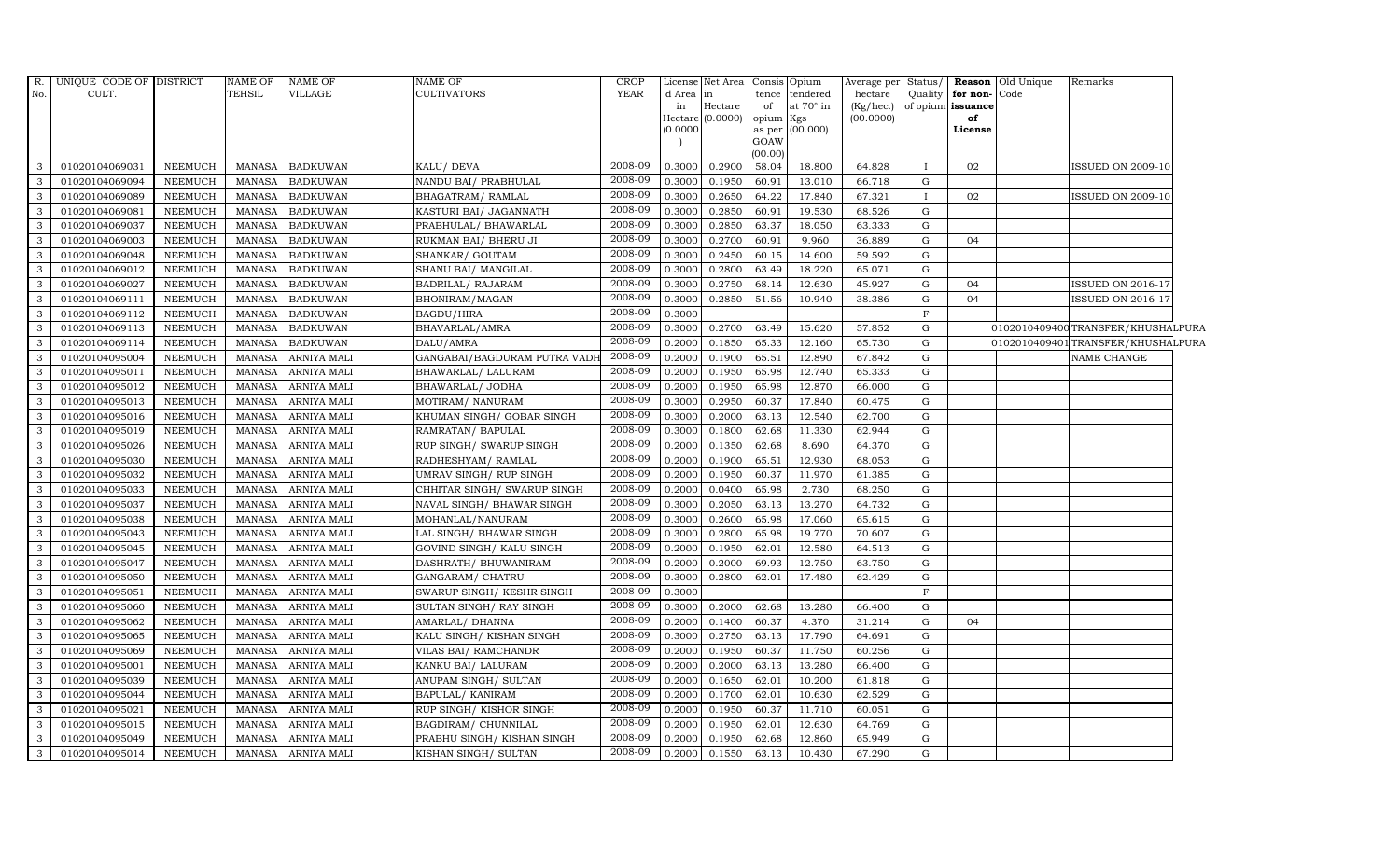|                | R. UNIQUE CODE OF DISTRICT |                | NAME OF       | <b>NAME OF</b>     | <b>NAME OF</b>               | <b>CROP</b> |           | License Net Area Consis              |                     | Opium            | Average per Status/    |              |                         | <b>Reason</b> Old Unique | Remarks                            |  |
|----------------|----------------------------|----------------|---------------|--------------------|------------------------------|-------------|-----------|--------------------------------------|---------------------|------------------|------------------------|--------------|-------------------------|--------------------------|------------------------------------|--|
| No.            | CULT.                      |                | <b>TEHSIL</b> | <b>VILLAGE</b>     | <b>CULTIVATORS</b>           | <b>YEAR</b> | d Area in |                                      | tence               | tendered         | hectare                | Quality      | for non-Code            |                          |                                    |  |
|                |                            |                |               |                    |                              |             | in        | $\rm{Hectare}$<br>Hectare $(0.0000)$ | of                  | at $70^\circ$ in | (Kg/hec.)<br>(00.0000) |              | of opium issuance<br>of |                          |                                    |  |
|                |                            |                |               |                    |                              |             | (0.0000)  |                                      | opium Kgs<br>as per | (00.000)         |                        |              | License                 |                          |                                    |  |
|                |                            |                |               |                    |                              |             |           |                                      | GOAW                |                  |                        |              |                         |                          |                                    |  |
|                |                            |                |               |                    |                              |             |           |                                      | (00.00)             |                  |                        |              |                         |                          |                                    |  |
| 3              | 01020104069031             | NEEMUCH        | MANASA        | <b>BADKUWAN</b>    | KALU/ DEVA                   | 2008-09     | 0.3000    | 0.2900                               | 58.04               | 18.800           | 64.828                 | Ι.           | 02                      |                          | <b>ISSUED ON 2009-10</b>           |  |
| 3              | 01020104069094             | <b>NEEMUCH</b> | MANASA        | <b>BADKUWAN</b>    | NANDU BAI / PRABHULAL        | 2008-09     | 0.3000    | 0.1950                               | 60.91               | 13.010           | 66.718                 | $\mathbf G$  |                         |                          |                                    |  |
| $\overline{3}$ | 01020104069089             | NEEMUCH        | MANASA        | <b>BADKUWAN</b>    | <b>BHAGATRAM/ RAMLAL</b>     | 2008-09     | 0.3000    | 0.2650                               | 64.22               | 17.840           | 67.321                 | $\mathbf{I}$ | 02                      |                          | <b>ISSUED ON 2009-10</b>           |  |
| 3              | 01020104069081             | <b>NEEMUCH</b> | <b>MANASA</b> | <b>BADKUWAN</b>    | KASTURI BAI/ JAGANNATH       | 2008-09     | 0.3000    | 0.2850                               | 60.91               | 19.530           | 68.526                 | $\mathbf G$  |                         |                          |                                    |  |
| 3              | 01020104069037             | <b>NEEMUCH</b> | <b>MANASA</b> | <b>BADKUWAN</b>    | PRABHULAL/ BHAWARLAL         | 2008-09     | 0.3000    | 0.2850                               | 63.37               | 18.050           | 63.333                 | G            |                         |                          |                                    |  |
| 3              | 01020104069003             | <b>NEEMUCH</b> | <b>MANASA</b> | <b>BADKUWAN</b>    | RUKMAN BAI/ BHERU JI         | 2008-09     | 0.3000    | 0.2700                               | 60.91               | 9.960            | 36.889                 | G            | 04                      |                          |                                    |  |
| 3              | 01020104069048             | <b>NEEMUCH</b> | <b>MANASA</b> | <b>BADKUWAN</b>    | SHANKAR/ GOUTAM              | 2008-09     | 0.3000    | 0.2450                               | 60.15               | 14.600           | 59.592                 | G            |                         |                          |                                    |  |
| $\overline{3}$ | 01020104069012             | <b>NEEMUCH</b> | MANASA        | <b>BADKUWAN</b>    | SHANU BAI/ MANGILAL          | 2008-09     | 0.3000    | 0.2800                               | 63.49               | 18.220           | 65.071                 | G            |                         |                          |                                    |  |
| 3              | 01020104069027             | <b>NEEMUCH</b> | <b>MANASA</b> | <b>BADKUWAN</b>    | <b>BADRILAL/ RAJARAM</b>     | 2008-09     | 0.3000    | 0.2750                               | 68.14               | 12.630           | 45.927                 | G            | 04                      |                          | <b>ISSUED ON 2016-17</b>           |  |
| 3              | 01020104069111             | <b>NEEMUCH</b> | <b>MANASA</b> | <b>BADKUWAN</b>    | BHONIRAM/MAGAN               | 2008-09     | 0.3000    | 0.2850                               | 51.56               | 10.940           | 38.386                 | ${\rm G}$    | 04                      |                          | <b>ISSUED ON 2016-17</b>           |  |
| 3              | 01020104069112             | NEEMUCH        | <b>MANASA</b> | <b>BADKUWAN</b>    | <b>BAGDU/HIRA</b>            | 2008-09     | 0.3000    |                                      |                     |                  |                        | $_{\rm F}$   |                         |                          |                                    |  |
| 3              | 01020104069113             | <b>NEEMUCH</b> | <b>MANASA</b> | <b>BADKUWAN</b>    | BHAVARLAL/AMRA               | 2008-09     | 0.3000    | 0.2700                               | 63.49               | 15.620           | 57.852                 | G            |                         |                          | 0102010409400TRANSFER/KHUSHALPURA  |  |
| 3              | 01020104069114             | NEEMUCH        | MANASA        | <b>BADKUWAN</b>    | DALU/AMRA                    | 2008-09     | 0.2000    | 0.1850                               | 65.33               | 12.160           | 65.730                 | ${\rm G}$    |                         |                          | 0102010409401 TRANSFER/KHUSHALPURA |  |
| 3              | 01020104095004             | <b>NEEMUCH</b> | MANASA        | <b>ARNIYA MALI</b> | GANGABAI/BAGDURAM PUTRA VADI | 2008-09     | 0.2000    | 0.1900                               | 65.51               | 12.890           | 67.842                 | G            |                         |                          | NAME CHANGE                        |  |
| 3              | 01020104095011             | <b>NEEMUCH</b> | <b>MANASA</b> | ARNIYA MALI        | BHAWARLAL/ LALURAM           | 2008-09     | 0.2000    | 0.1950                               | 65.98               | 12.740           | 65.333                 | $\mathbf G$  |                         |                          |                                    |  |
| $\mathbf{3}$   | 01020104095012             | <b>NEEMUCH</b> | MANASA        | ARNIYA MALI        | BHAWARLAL/ JODHA             | 2008-09     | 0.2000    | 0.1950                               | 65.98               | 12.870           | 66.000                 | G            |                         |                          |                                    |  |
| 3              | 01020104095013             | <b>NEEMUCH</b> | <b>MANASA</b> | <b>ARNIYA MALI</b> | MOTIRAM/ NANURAM             | 2008-09     | 0.3000    | 0.2950                               | 60.37               | 17.840           | 60.475                 | G            |                         |                          |                                    |  |
| $\mathbf{3}$   | 01020104095016             | <b>NEEMUCH</b> | <b>MANASA</b> | ARNIYA MALI        | KHUMAN SINGH/ GOBAR SINGH    | 2008-09     | 0.3000    | 0.2000                               | 63.13               | 12.540           | 62.700                 | ${\rm G}$    |                         |                          |                                    |  |
| 3              | 01020104095019             | <b>NEEMUCH</b> | MANASA        | <b>ARNIYA MALI</b> | RAMRATAN/ BAPULAL            | 2008-09     | 0.3000    | 0.1800                               | 62.68               | 11.330           | 62.944                 | $\mathbf G$  |                         |                          |                                    |  |
| 3              | 01020104095026             | <b>NEEMUCH</b> | <b>MANASA</b> | ARNIYA MALI        | RUP SINGH/ SWARUP SINGH      | 2008-09     | 0.2000    | 0.1350                               | 62.68               | 8.690            | 64.370                 | G            |                         |                          |                                    |  |
| $\mathbf{3}$   | 01020104095030             | <b>NEEMUCH</b> | <b>MANASA</b> | ARNIYA MALI        | RADHESHYAM/ RAMLAL           | 2008-09     | 0.2000    | 0.1900                               | 65.51               | 12.930           | 68.053                 | $\mathbf G$  |                         |                          |                                    |  |
| 3              | 01020104095032             | <b>NEEMUCH</b> | <b>MANASA</b> | ARNIYA MALI        | UMRAV SINGH/ RUP SINGH       | 2008-09     | 0.2000    | 0.1950                               | 60.37               | 11.970           | 61.385                 | G            |                         |                          |                                    |  |
| 3              | 01020104095033             | <b>NEEMUCH</b> | <b>MANASA</b> | ARNIYA MALI        | CHHITAR SINGH/ SWARUP SINGH  | 2008-09     | 0.2000    | 0.0400                               | 65.98               | 2.730            | 68.250                 | $\mathbf G$  |                         |                          |                                    |  |
| 3              | 01020104095037             | <b>NEEMUCH</b> | MANASA        | <b>ARNIYA MALI</b> | NAVAL SINGH/ BHAWAR SINGH    | 2008-09     | 0.3000    | 0.2050                               | 63.13               | 13.270           | 64.732                 | $\mathbf G$  |                         |                          |                                    |  |
| 3              | 01020104095038             | <b>NEEMUCH</b> | <b>MANASA</b> | ARNIYA MALI        | MOHANLAL/NANURAM             | 2008-09     | 0.3000    | 0.2600                               | 65.98               | 17.060           | 65.615                 | G            |                         |                          |                                    |  |
| $\mathbf{3}$   | 01020104095043             | <b>NEEMUCH</b> | MANASA        | ARNIYA MALI        | LAL SINGH/ BHAWAR SINGH      | 2008-09     | 0.3000    | 0.2800                               | 65.98               | 19.770           | 70.607                 | ${\rm G}$    |                         |                          |                                    |  |
| $\mathbf{3}$   | 01020104095045             | <b>NEEMUCH</b> | <b>MANASA</b> | <b>ARNIYA MALI</b> | GOVIND SINGH/ KALU SINGH     | 2008-09     | 0.2000    | 0.1950                               | 62.01               | 12.580           | 64.513                 | G            |                         |                          |                                    |  |
| $\mathbf{3}$   | 01020104095047             | <b>NEEMUCH</b> | MANASA        | ARNIYA MALI        | DASHRATH / BHUWANIRAM        | 2008-09     | 0.2000    | 0.2000                               | 69.93               | 12.750           | 63.750                 | G            |                         |                          |                                    |  |
| 3              | 01020104095050             | <b>NEEMUCH</b> | MANASA        | <b>ARNIYA MALI</b> | GANGARAM/ CHATRU             | 2008-09     | 0.3000    | 0.2800                               | 62.01               | 17.480           | 62.429                 | ${\rm G}$    |                         |                          |                                    |  |
| 3              | 01020104095051             | <b>NEEMUCH</b> | <b>MANASA</b> | ARNIYA MALI        | SWARUP SINGH/KESHR SINGH     | 2008-09     | 0.3000    |                                      |                     |                  |                        | F            |                         |                          |                                    |  |
| 3              | 01020104095060             | <b>NEEMUCH</b> | <b>MANASA</b> | ARNIYA MALI        | SULTAN SINGH/ RAY SINGH      | 2008-09     | 0.3000    | 0.2000                               | 62.68               | 13.280           | 66.400                 | G            |                         |                          |                                    |  |
| 3              | 01020104095062             | <b>NEEMUCH</b> | MANASA        | ARNIYA MALI        | AMARLAL/ DHANNA              | 2008-09     | 0.2000    | 0.1400                               | 60.37               | 4.370            | 31.214                 | G            | 04                      |                          |                                    |  |
| $\mathbf{3}$   | 01020104095065             | <b>NEEMUCH</b> | MANASA        | ARNIYA MALI        | KALU SINGH/KISHAN SINGH      | 2008-09     | 0.3000    | 0.2750                               | 63.13               | 17.790           | 64.691                 | G            |                         |                          |                                    |  |
| 3              | 01020104095069             | <b>NEEMUCH</b> | MANASA        | <b>ARNIYA MALI</b> | VILAS BAI/ RAMCHANDR         | 2008-09     | 0.2000    | 0.1950                               | 60.37               | 11.750           | 60.256                 | G            |                         |                          |                                    |  |
| 3              | 01020104095001             | <b>NEEMUCH</b> | <b>MANASA</b> | ARNIYA MALI        | KANKU BAI/ LALURAM           | 2008-09     | 0.2000    | 0.2000                               | 63.13               | 13.280           | 66.400                 | $\mathbf G$  |                         |                          |                                    |  |
| 3              | 01020104095039             | <b>NEEMUCH</b> | <b>MANASA</b> | ARNIYA MALI        | ANUPAM SINGH/ SULTAN         | 2008-09     | 0.2000    | 0.1650                               | 62.01               | 10.200           | 61.818                 | $\mathbf G$  |                         |                          |                                    |  |
| $\mathbf{3}$   | 01020104095044             | <b>NEEMUCH</b> | MANASA        | ARNIYA MALI        | BAPULAL/ KANIRAM             | 2008-09     | 0.2000    | 0.1700                               | 62.01               | 10.630           | 62.529                 | G            |                         |                          |                                    |  |
| $\mathbf{3}$   | 01020104095021             | NEEMUCH        | <b>MANASA</b> | ARNIYA MALI        | RUP SINGH/ KISHOR SINGH      | 2008-09     | 0.2000    | 0.1950                               | 60.37               | 11.710           | 60.051                 | G            |                         |                          |                                    |  |
| $\mathbf{3}$   | 01020104095015             | <b>NEEMUCH</b> | MANASA        | ARNIYA MALI        | BAGDIRAM/ CHUNNILAL          | 2008-09     | 0.2000    | 0.1950                               | 62.01               | 12.630           | 64.769                 | $\mathbf G$  |                         |                          |                                    |  |
| $\mathbf{3}$   | 01020104095049             | <b>NEEMUCH</b> | <b>MANASA</b> | ARNIYA MALI        | PRABHU SINGH/ KISHAN SINGH   | 2008-09     | 0.2000    | 0.1950                               | 62.68               | 12.860           | 65.949                 | $\mathbf G$  |                         |                          |                                    |  |
| 3              | 01020104095014             | <b>NEEMUCH</b> | MANASA        | <b>ARNIYA MALI</b> | KISHAN SINGH/ SULTAN         | 2008-09     | 0.2000    | 0.1550                               | 63.13               | 10.430           | 67.290                 | G            |                         |                          |                                    |  |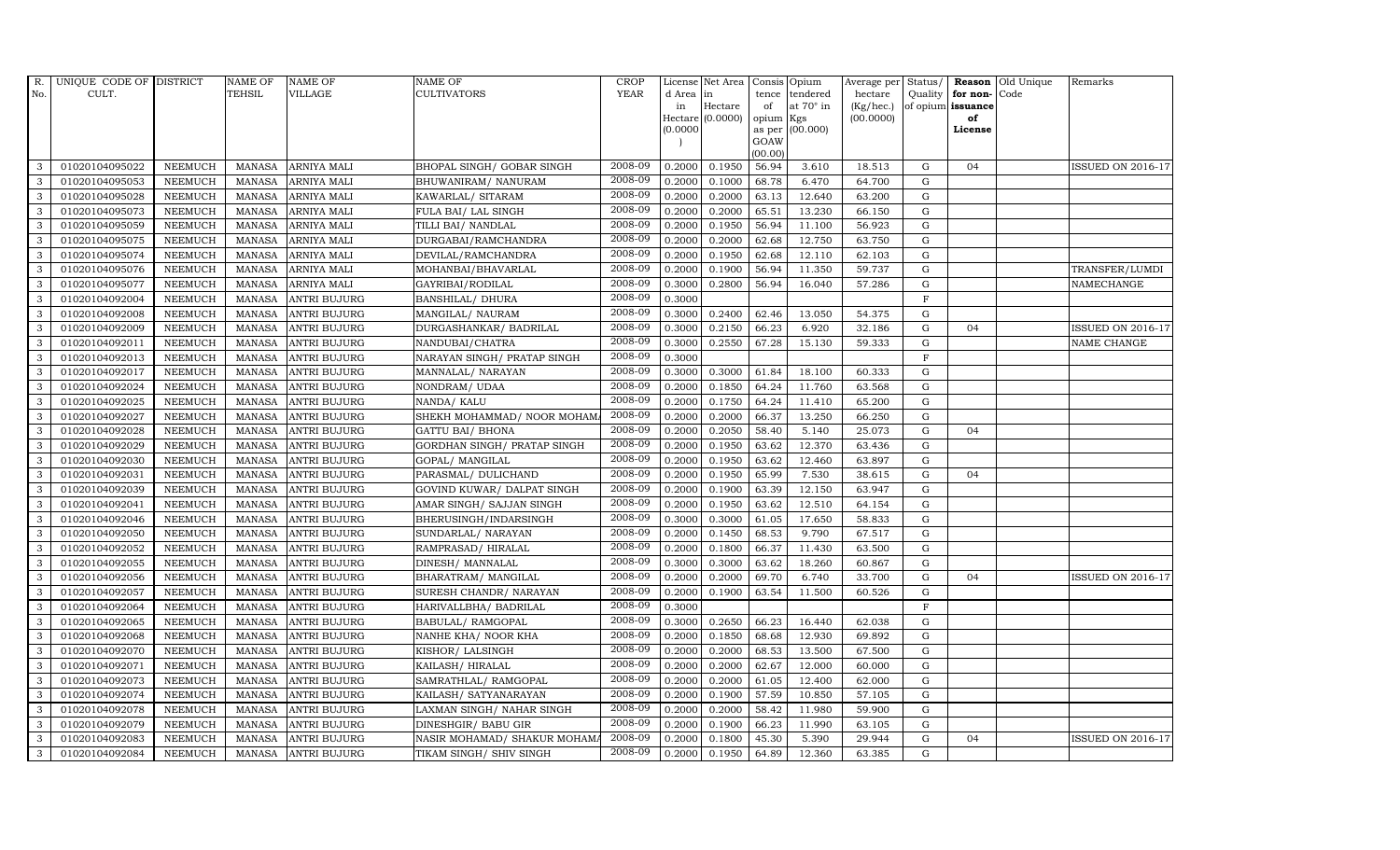| R.           | UNIQUE CODE OF DISTRICT |                | <b>NAME OF</b> | <b>NAME OF</b>      | NAME OF                      | <b>CROP</b> |           | License Net Area | Consis Opium   |                  |           |              |                   | Average per Status/ Reason Old Unique | Remarks                  |
|--------------|-------------------------|----------------|----------------|---------------------|------------------------------|-------------|-----------|------------------|----------------|------------------|-----------|--------------|-------------------|---------------------------------------|--------------------------|
| No.          | CULT.                   |                | <b>TEHSIL</b>  | <b>VILLAGE</b>      | CULTIVATORS                  | <b>YEAR</b> | d Area in |                  | tence          | tendered         | hectare   |              | Quality for non-  | Code                                  |                          |
|              |                         |                |                |                     |                              |             | in        | Hectare          | of             | at $70^\circ$ in | (Kg/hec.) |              | of opium issuance |                                       |                          |
|              |                         |                |                |                     |                              |             | (0.0000)  | Hectare (0.0000) | opium          | Kgs<br>(00.000)  | (00.0000) |              | of<br>License     |                                       |                          |
|              |                         |                |                |                     |                              |             |           |                  | as per<br>GOAW |                  |           |              |                   |                                       |                          |
|              |                         |                |                |                     |                              |             |           |                  | (00.00)        |                  |           |              |                   |                                       |                          |
| 3            | 01020104095022          | <b>NEEMUCH</b> | MANASA         | <b>ARNIYA MALI</b>  | BHOPAL SINGH/ GOBAR SINGH    | 2008-09     | 0.2000    | 0.1950           | 56.94          | 3.610            | 18.513    | G            | 04                |                                       | <b>ISSUED ON 2016-17</b> |
| 3            | 01020104095053          | <b>NEEMUCH</b> | <b>MANASA</b>  | ARNIYA MALI         | BHUWANIRAM / NANURAM         | 2008-09     | 0.2000    | 0.1000           | 68.78          | 6.470            | 64.700    | $\mathbf G$  |                   |                                       |                          |
| 3            | 01020104095028          | <b>NEEMUCH</b> | <b>MANASA</b>  | ARNIYA MALI         | KAWARLAL/ SITARAM            | 2008-09     | 0.2000    | 0.2000           | 63.13          | 12.640           | 63.200    | G            |                   |                                       |                          |
| 3            | 01020104095073          | <b>NEEMUCH</b> | <b>MANASA</b>  | ARNIYA MALI         | FULA BAI/ LAL SINGH          | 2008-09     | 0.2000    | 0.2000           | 65.51          | 13.230           | 66.150    | G            |                   |                                       |                          |
| 3            | 01020104095059          | <b>NEEMUCH</b> | <b>MANASA</b>  | ARNIYA MALI         | TILLI BAI/ NANDLAL           | 2008-09     | 0.2000    | 0.1950           | 56.94          | 11.100           | 56.923    | ${\rm G}$    |                   |                                       |                          |
| 3            | 01020104095075          | <b>NEEMUCH</b> | <b>MANASA</b>  | ARNIYA MALI         | DURGABAI/RAMCHANDRA          | 2008-09     | 0.2000    | 0.2000           | 62.68          | 12.750           | 63.750    | G            |                   |                                       |                          |
| 3            | 01020104095074          | <b>NEEMUCH</b> | <b>MANASA</b>  | ARNIYA MALI         | DEVILAL/RAMCHANDRA           | 2008-09     | 0.2000    | 0.1950           | 62.68          | 12.110           | 62.103    | G            |                   |                                       |                          |
| 3            | 01020104095076          | <b>NEEMUCH</b> | <b>MANASA</b>  | ARNIYA MALI         | MOHANBAI/BHAVARLAL           | 2008-09     | 0.2000    | 0.1900           | 56.94          | 11.350           | 59.737    | G            |                   |                                       | TRANSFER/LUMDI           |
| 3            | 01020104095077          | <b>NEEMUCH</b> | <b>MANASA</b>  | ARNIYA MALI         | GAYRIBAI/RODILAL             | 2008-09     | 0.3000    | 0.2800           | 56.94          | 16.040           | 57.286    | G            |                   |                                       | NAMECHANGE               |
| 3            | 01020104092004          | <b>NEEMUCH</b> | <b>MANASA</b>  | <b>ANTRI BUJURG</b> | <b>BANSHILAL/ DHURA</b>      | 2008-09     | 0.3000    |                  |                |                  |           | $\mathbf F$  |                   |                                       |                          |
| $\mathbf{3}$ | 01020104092008          | <b>NEEMUCH</b> | <b>MANASA</b>  | <b>ANTRI BUJURG</b> | MANGILAL/ NAURAM             | 2008-09     | 0.3000    | 0.2400           | 62.46          | 13.050           | 54.375    | G            |                   |                                       |                          |
| 3            | 01020104092009          | <b>NEEMUCH</b> | <b>MANASA</b>  | <b>ANTRI BUJURG</b> | DURGASHANKAR/ BADRILAL       | 2008-09     | 0.3000    | 0.2150           | 66.23          | 6.920            | 32.186    | G            | 04                |                                       | <b>ISSUED ON 2016-17</b> |
| 3            | 01020104092011          | <b>NEEMUCH</b> | MANASA         | <b>ANTRI BUJURG</b> | NANDUBAI/CHATRA              | 2008-09     | 0.3000    | 0.2550           | 67.28          | 15.130           | 59.333    | G            |                   |                                       | NAME CHANGE              |
| 3            | 01020104092013          | <b>NEEMUCH</b> | <b>MANASA</b>  | <b>ANTRI BUJURG</b> | NARAYAN SINGH/ PRATAP SINGH  | 2008-09     | 0.3000    |                  |                |                  |           | $\mathbf F$  |                   |                                       |                          |
| 3            | 01020104092017          | <b>NEEMUCH</b> | <b>MANASA</b>  | ANTRI BUJURG        | MANNALAL/ NARAYAN            | 2008-09     | 0.3000    | 0.3000           | 61.84          | 18.100           | 60.333    | ${\rm G}$    |                   |                                       |                          |
| 3            | 01020104092024          | <b>NEEMUCH</b> | <b>MANASA</b>  | <b>ANTRI BUJURG</b> | NONDRAM/UDAA                 | 2008-09     | 0.2000    | 0.1850           | 64.24          | 11.760           | 63.568    | G            |                   |                                       |                          |
| 3            | 01020104092025          | <b>NEEMUCH</b> | <b>MANASA</b>  | <b>ANTRI BUJURG</b> | NANDA/ KALU                  | 2008-09     | 0.2000    | 0.1750           | 64.24          | 11.410           | 65.200    | G            |                   |                                       |                          |
| 3            | 01020104092027          | <b>NEEMUCH</b> | <b>MANASA</b>  | <b>ANTRI BUJURG</b> | SHEKH MOHAMMAD/ NOOR MOHAM/  | 2008-09     | 0.2000    | 0.2000           | 66.37          | 13.250           | 66.250    | G            |                   |                                       |                          |
| 3            | 01020104092028          | <b>NEEMUCH</b> | <b>MANASA</b>  | <b>ANTRI BUJURG</b> | <b>GATTU BAI/ BHONA</b>      | 2008-09     | 0.2000    | 0.2050           | 58.40          | 5.140            | 25.073    | G            | 04                |                                       |                          |
| 3            | 01020104092029          | <b>NEEMUCH</b> | <b>MANASA</b>  | <b>ANTRI BUJURG</b> | GORDHAN SINGH/ PRATAP SINGH  | 2008-09     | 0.2000    | 0.1950           | 63.62          | 12.370           | 63.436    | ${\bf G}$    |                   |                                       |                          |
| 3            | 01020104092030          | <b>NEEMUCH</b> | <b>MANASA</b>  | <b>ANTRI BUJURG</b> | GOPAL/ MANGILAL              | 2008-09     | 0.2000    | 0.1950           | 63.62          | 12.460           | 63.897    | G            |                   |                                       |                          |
| 3            | 01020104092031          | <b>NEEMUCH</b> | <b>MANASA</b>  | <b>ANTRI BUJURG</b> | PARASMAL/ DULICHAND          | 2008-09     | 0.2000    | 0.1950           | 65.99          | 7.530            | 38.615    | G            | 04                |                                       |                          |
| 3            | 01020104092039          | <b>NEEMUCH</b> | <b>MANASA</b>  | <b>ANTRI BUJURG</b> | GOVIND KUWAR/ DALPAT SINGH   | 2008-09     | 0.2000    | 0.1900           | 63.39          | 12.150           | 63.947    | G            |                   |                                       |                          |
| 3            | 01020104092041          | <b>NEEMUCH</b> | <b>MANASA</b>  | <b>ANTRI BUJURG</b> | AMAR SINGH/ SAJJAN SINGH     | 2008-09     | 0.2000    | 0.1950           | 63.62          | 12.510           | 64.154    | G            |                   |                                       |                          |
| 3            | 01020104092046          | <b>NEEMUCH</b> | <b>MANASA</b>  | <b>ANTRI BUJURG</b> | BHERUSINGH/INDARSINGH        | 2008-09     | 0.3000    | 0.3000           | 61.05          | 17.650           | 58.833    | G            |                   |                                       |                          |
| 3            | 01020104092050          | <b>NEEMUCH</b> | <b>MANASA</b>  | <b>ANTRI BUJURG</b> | SUNDARLAL/ NARAYAN           | 2008-09     | 0.2000    | 0.1450           | 68.53          | 9.790            | 67.517    | G            |                   |                                       |                          |
| 3            | 01020104092052          | <b>NEEMUCH</b> | <b>MANASA</b>  | <b>ANTRI BUJURG</b> | RAMPRASAD/HIRALAL            | 2008-09     | 0.2000    | 0.1800           | 66.37          | 11.430           | 63.500    | G            |                   |                                       |                          |
| 3            | 01020104092055          | <b>NEEMUCH</b> | <b>MANASA</b>  | <b>ANTRI BUJURG</b> | DINESH/ MANNALAL             | 2008-09     | 0.3000    | 0.3000           | 63.62          | 18.260           | 60.867    | G            |                   |                                       |                          |
| 3            | 01020104092056          | <b>NEEMUCH</b> | <b>MANASA</b>  | <b>ANTRI BUJURG</b> | BHARATRAM / MANGILAL         | 2008-09     | 0.2000    | 0.2000           | 69.70          | 6.740            | 33.700    | $\mathbf G$  | 0 <sub>4</sub>    |                                       | <b>ISSUED ON 2016-17</b> |
| 3            | 01020104092057          | NEEMUCH        | <b>MANASA</b>  | ANTRI BUJURG        | SURESH CHANDR / NARAYAN      | 2008-09     | 0.2000    | 0.1900           | 63.54          | 11.500           | 60.526    | G            |                   |                                       |                          |
| 3            | 01020104092064          | <b>NEEMUCH</b> | <b>MANASA</b>  | ANTRI BUJURG        | HARIVALLBHA/ BADRILAL        | 2008-09     | 0.3000    |                  |                |                  |           | $\mathbf{F}$ |                   |                                       |                          |
| 3            | 01020104092065          | <b>NEEMUCH</b> | <b>MANASA</b>  | <b>ANTRI BUJURG</b> | BABULAL/RAMGOPAL             | 2008-09     | 0.3000    | 0.2650           | 66.23          | 16.440           | 62.038    | G            |                   |                                       |                          |
| 3            | 01020104092068          | <b>NEEMUCH</b> | <b>MANASA</b>  | <b>ANTRI BUJURG</b> | NANHE KHA/ NOOR KHA          | 2008-09     | 0.2000    | 0.1850           | 68.68          | 12.930           | 69.892    | G            |                   |                                       |                          |
| 3            | 01020104092070          | <b>NEEMUCH</b> | <b>MANASA</b>  | <b>ANTRI BUJURG</b> | KISHOR/ LALSINGH             | 2008-09     | 0.2000    | 0.2000           | 68.53          | 13.500           | 67.500    | G            |                   |                                       |                          |
| 3            | 01020104092071          | <b>NEEMUCH</b> | <b>MANASA</b>  | <b>ANTRI BUJURG</b> | KAILASH/HIRALAL              | 2008-09     | 0.2000    | 0.2000           | 62.67          | 12.000           | 60.000    | G            |                   |                                       |                          |
| 3            | 01020104092073          | <b>NEEMUCH</b> | <b>MANASA</b>  | ANTRI BUJURG        | SAMRATHLAL/RAMGOPAL          | 2008-09     | 0.2000    | 0.2000           | 61.05          | 12.400           | 62.000    | G            |                   |                                       |                          |
| 3            | 01020104092074          | <b>NEEMUCH</b> | <b>MANASA</b>  | ANTRI BUJURG        | KAILASH/ SATYANARAYAN        | 2008-09     | 0.2000    | 0.1900           | 57.59          | 10.850           | 57.105    | G            |                   |                                       |                          |
| 3            | 01020104092078          | <b>NEEMUCH</b> | <b>MANASA</b>  | ANTRI BUJURG        | LAXMAN SINGH/ NAHAR SINGH    | 2008-09     | 0.2000    | 0.2000           | 58.42          | 11.980           | 59.900    | G            |                   |                                       |                          |
| 3            | 01020104092079          | <b>NEEMUCH</b> | <b>MANASA</b>  | <b>ANTRI BUJURG</b> | DINESHGIR/ BABU GIR          | 2008-09     | 0.2000    | 0.1900           | 66.23          | 11.990           | 63.105    | G            |                   |                                       |                          |
| 3            | 01020104092083          | <b>NEEMUCH</b> | <b>MANASA</b>  | <b>ANTRI BUJURG</b> | NASIR MOHAMAD/ SHAKUR MOHAMA | 2008-09     | 0.2000    | 0.1800           | 45.30          | 5.390            | 29.944    | G            | 04                |                                       | <b>ISSUED ON 2016-17</b> |
| 3            | 01020104092084          | NEEMUCH        | MANASA         | <b>ANTRI BUJURG</b> | TIKAM SINGH / SHIV SINGH     | 2008-09     | 0.2000    | 0.1950           | 64.89          | 12.360           | 63.385    | G            |                   |                                       |                          |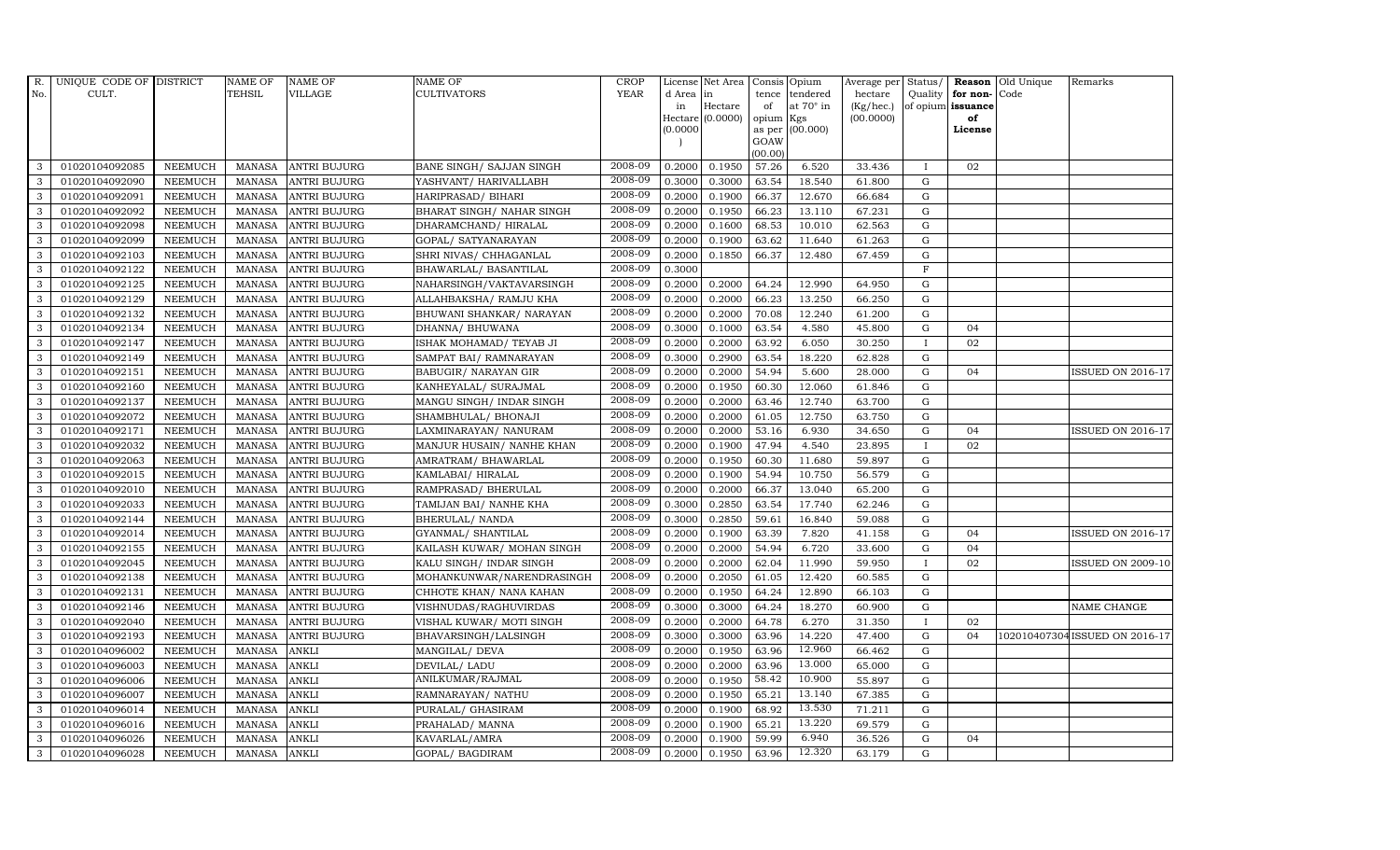| R.           | UNIQUE CODE OF DISTRICT |                | <b>NAME OF</b> | <b>NAME OF</b>      | <b>NAME OF</b>             | CROP    |          | License Net Area   Consis   Opium |           |                  | Average per | Status/      | Reason            | Old Unique | Remarks                        |
|--------------|-------------------------|----------------|----------------|---------------------|----------------------------|---------|----------|-----------------------------------|-----------|------------------|-------------|--------------|-------------------|------------|--------------------------------|
| No.          | CULT.                   |                | TEHSIL         | <b>VILLAGE</b>      | <b>CULTIVATORS</b>         | YEAR    | d Area   | in                                |           | tence tendered   | hectare     | Quality      | for non-          | Code       |                                |
|              |                         |                |                |                     |                            |         | in       | Hectare                           | of        | at $70^\circ$ in | (Kg/hec.)   |              | of opium issuance |            |                                |
|              |                         |                |                |                     |                            |         |          | Hectare (0.0000)                  | opium Kgs |                  | (00.0000)   |              | of<br>License     |            |                                |
|              |                         |                |                |                     |                            |         | (0.0000) |                                   | GOAW      | as per (00.000)  |             |              |                   |            |                                |
|              |                         |                |                |                     |                            |         |          |                                   | (00.00)   |                  |             |              |                   |            |                                |
| 3            | 01020104092085          | <b>NEEMUCH</b> | MANASA         | <b>ANTRI BUJURG</b> | BANE SINGH/ SAJJAN SINGH   | 2008-09 | 0.2000   | 0.1950                            | 57.26     | 6.520            | 33.436      |              | 02                |            |                                |
| 3            | 01020104092090          | <b>NEEMUCH</b> | MANASA         | <b>ANTRI BUJURG</b> | YASHVANT/ HARIVALLABH      | 2008-09 | 0.3000   | 0.3000                            | 63.54     | 18.540           | 61.800      | $\mathbf G$  |                   |            |                                |
| 3            | 01020104092091          | <b>NEEMUCH</b> | <b>MANASA</b>  | <b>ANTRI BUJURG</b> | HARIPRASAD/ BIHARI         | 2008-09 | 0.2000   | 0.1900                            | 66.37     | 12.670           | 66.684      | G            |                   |            |                                |
| 3            | 01020104092092          | <b>NEEMUCH</b> | MANASA         | <b>ANTRI BUJURG</b> | BHARAT SINGH/ NAHAR SINGH  | 2008-09 | 0.2000   | 0.1950                            | 66.23     | 13.110           | 67.231      | G            |                   |            |                                |
| 3            | 01020104092098          | <b>NEEMUCH</b> | <b>MANASA</b>  | <b>ANTRI BUJURG</b> | DHARAMCHAND/HIRALAL        | 2008-09 | 0.2000   | 0.1600                            | 68.53     | 10.010           | 62.563      | ${\rm G}$    |                   |            |                                |
| $\mathbf{3}$ | 01020104092099          | <b>NEEMUCH</b> | <b>MANASA</b>  | <b>ANTRI BUJURG</b> | GOPAL/ SATYANARAYAN        | 2008-09 | 0.2000   | 0.1900                            | 63.62     | 11.640           | 61.263      | ${\rm G}$    |                   |            |                                |
| 3            | 01020104092103          | <b>NEEMUCH</b> | <b>MANASA</b>  | <b>ANTRI BUJURG</b> | SHRI NIVAS/ CHHAGANLAL     | 2008-09 | 0.2000   | 0.1850                            | 66.37     | 12.480           | 67.459      | $\mathbf G$  |                   |            |                                |
| 3            | 01020104092122          | <b>NEEMUCH</b> | <b>MANASA</b>  | <b>ANTRI BUJURG</b> | BHAWARLAL/ BASANTILAL      | 2008-09 | 0.3000   |                                   |           |                  |             | $\mathbf F$  |                   |            |                                |
| 3            | 01020104092125          | <b>NEEMUCH</b> | <b>MANASA</b>  | <b>ANTRI BUJURG</b> | NAHARSINGH/VAKTAVARSINGH   | 2008-09 | 0.2000   | 0.2000                            | 64.24     | 12.990           | 64.950      | G            |                   |            |                                |
| 3            | 01020104092129          | <b>NEEMUCH</b> | <b>MANASA</b>  | <b>ANTRI BUJURG</b> | ALLAHBAKSHA/ RAMJU KHA     | 2008-09 | 0.2000   | 0.2000                            | 66.23     | 13.250           | 66.250      | ${\rm G}$    |                   |            |                                |
| 3            | 01020104092132          | <b>NEEMUCH</b> | <b>MANASA</b>  | <b>ANTRI BUJURG</b> | BHUWANI SHANKAR/ NARAYAN   | 2008-09 | 0.2000   | 0.2000                            | 70.08     | 12.240           | 61.200      | G            |                   |            |                                |
| 3            | 01020104092134          | <b>NEEMUCH</b> | <b>MANASA</b>  | <b>ANTRI BUJURG</b> | DHANNA/ BHUWANA            | 2008-09 | 0.3000   | 0.1000                            | 63.54     | 4.580            | 45.800      | ${\rm G}$    | 04                |            |                                |
| 3            | 01020104092147          | <b>NEEMUCH</b> | <b>MANASA</b>  | <b>ANTRI BUJURG</b> | ISHAK MOHAMAD / TEYAB JI   | 2008-09 | 0.2000   | 0.2000                            | 63.92     | 6.050            | 30.250      | $\mathbf{I}$ | 02                |            |                                |
| 3            | 01020104092149          | <b>NEEMUCH</b> | MANASA         | <b>ANTRI BUJURG</b> | SAMPAT BAI/ RAMNARAYAN     | 2008-09 | 0.3000   | 0.2900                            | 63.54     | 18.220           | 62.828      | G            |                   |            |                                |
| 3            | 01020104092151          | <b>NEEMUCH</b> | <b>MANASA</b>  | <b>ANTRI BUJURG</b> | BABUGIR/ NARAYAN GIR       | 2008-09 | 0.2000   | 0.2000                            | 54.94     | 5.600            | 28.000      | G            | 04                |            | ISSUED ON 2016-17              |
| 3            | 01020104092160          | <b>NEEMUCH</b> | <b>MANASA</b>  | <b>ANTRI BUJURG</b> | KANHEYALAL/ SURAJMAL       | 2008-09 | 0.2000   | 0.1950                            | 60.30     | 12.060           | 61.846      | ${\rm G}$    |                   |            |                                |
| 3            | 01020104092137          | <b>NEEMUCH</b> | <b>MANASA</b>  | <b>ANTRI BUJURG</b> | MANGU SINGH/ INDAR SINGH   | 2008-09 | 0.2000   | 0.2000                            | 63.46     | 12.740           | 63.700      | ${\rm G}$    |                   |            |                                |
| 3            | 01020104092072          | <b>NEEMUCH</b> | MANASA         | <b>ANTRI BUJURG</b> | SHAMBHULAL/ BHONAJI        | 2008-09 | 0.2000   | 0.2000                            | 61.05     | 12.750           | 63.750      | G            |                   |            |                                |
| 3            | 01020104092171          | <b>NEEMUCH</b> | <b>MANASA</b>  | <b>ANTRI BUJURG</b> | LAXMINARAYAN / NANURAM     | 2008-09 | 0.2000   | 0.2000                            | 53.16     | 6.930            | 34.650      | $\mathbf G$  | 04                |            | <b>ISSUED ON 2016-17</b>       |
| 3            | 01020104092032          | <b>NEEMUCH</b> | <b>MANASA</b>  | <b>ANTRI BUJURG</b> | MANJUR HUSAIN/ NANHE KHAN  | 2008-09 | 0.2000   | 0.1900                            | 47.94     | 4.540            | 23.895      |              | 02                |            |                                |
| $\mathbf{3}$ | 01020104092063          | <b>NEEMUCH</b> | <b>MANASA</b>  | <b>ANTRI BUJURG</b> | AMRATRAM / BHAWARLAL       | 2008-09 | 0.2000   | 0.1950                            | 60.30     | 11.680           | 59.897      | ${\rm G}$    |                   |            |                                |
| 3            | 01020104092015          | <b>NEEMUCH</b> | <b>MANASA</b>  | <b>ANTRI BUJURG</b> | KAMLABAI/ HIRALAL          | 2008-09 | 0.2000   | 0.1900                            | 54.94     | 10.750           | 56.579      | ${\rm G}$    |                   |            |                                |
| $\mathbf{3}$ | 01020104092010          | <b>NEEMUCH</b> | MANASA         | <b>ANTRI BUJURG</b> | RAMPRASAD/ BHERULAL        | 2008-09 | 0.2000   | 0.2000                            | 66.37     | 13.040           | 65.200      | G            |                   |            |                                |
| 3            | 01020104092033          | <b>NEEMUCH</b> | <b>MANASA</b>  | <b>ANTRI BUJURG</b> | TAMIJAN BAI/ NANHE KHA     | 2008-09 | 0.3000   | 0.2850                            | 63.54     | 17.740           | 62.246      | $\mathbf G$  |                   |            |                                |
| 3            | 01020104092144          | <b>NEEMUCH</b> | <b>MANASA</b>  | <b>ANTRI BUJURG</b> | BHERULAL/ NANDA            | 2008-09 | 0.3000   | 0.2850                            | 59.61     | 16.840           | 59.088      | $\mathbf G$  |                   |            |                                |
| 3            | 01020104092014          | <b>NEEMUCH</b> | <b>MANASA</b>  | <b>ANTRI BUJURG</b> | GYANMAL/ SHANTILAL         | 2008-09 | 0.2000   | 0.1900                            | 63.39     | 7.820            | 41.158      | G            | 04                |            | <b>ISSUED ON 2016-17</b>       |
| 3            | 01020104092155          | <b>NEEMUCH</b> | <b>MANASA</b>  | <b>ANTRI BUJURG</b> | KAILASH KUWAR/ MOHAN SINGH | 2008-09 | 0.2000   | 0.2000                            | 54.94     | 6.720            | 33.600      | ${\rm G}$    | 04                |            |                                |
| 3            | 01020104092045          | <b>NEEMUCH</b> | MANASA         | <b>ANTRI BUJURG</b> | KALU SINGH/ INDAR SINGH    | 2008-09 | 0.2000   | 0.2000                            | 62.04     | 11.990           | 59.950      | $\mathbf{I}$ | 02                |            | ISSUED ON 2009-10              |
| 3            | 01020104092138          | <b>NEEMUCH</b> | <b>MANASA</b>  | <b>ANTRI BUJURG</b> | MOHANKUNWAR/NARENDRASINGH  | 2008-09 | 0.2000   | 0.2050                            | 61.05     | 12.420           | 60.585      | $\mathbf G$  |                   |            |                                |
| 3            | 01020104092131          | <b>NEEMUCH</b> | <b>MANASA</b>  | <b>ANTRI BUJURG</b> | CHHOTE KHAN/ NANA KAHAN    | 2008-09 | 0.2000   | 0.1950                            | 64.24     | 12.890           | 66.103      | G            |                   |            |                                |
| 3            | 01020104092146          | <b>NEEMUCH</b> | <b>MANASA</b>  | <b>ANTRI BUJURG</b> | VISHNUDAS/RAGHUVIRDAS      | 2008-09 | 0.3000   | 0.3000                            | 64.24     | 18.270           | 60.900      | G            |                   |            | NAME CHANGE                    |
| 3            | 01020104092040          | <b>NEEMUCH</b> | <b>MANASA</b>  | <b>ANTRI BUJURG</b> | VISHAL KUWAR/ MOTI SINGH   | 2008-09 | 0.2000   | 0.2000                            | 64.78     | 6.270            | 31.350      | $\mathbf{I}$ | 02                |            |                                |
| 3            | 01020104092193          | <b>NEEMUCH</b> | MANASA         | <b>ANTRI BUJURG</b> | BHAVARSINGH/LALSINGH       | 2008-09 | 0.3000   | 0.3000                            | 63.96     | 14.220           | 47.400      | $\mathbf G$  | 04                |            | 102010407304 ISSUED ON 2016-17 |
| 3            | 01020104096002          | <b>NEEMUCH</b> | <b>MANASA</b>  | <b>ANKLI</b>        | MANGILAL/ DEVA             | 2008-09 | 0.2000   | 0.1950                            | 63.96     | 12.960           | 66.462      | $\mathbf G$  |                   |            |                                |
| 3            | 01020104096003          | <b>NEEMUCH</b> | <b>MANASA</b>  | <b>ANKLI</b>        | DEVILAL/ LADU              | 2008-09 | 0.2000   | 0.2000                            | 63.96     | 13.000           | 65.000      | $\mathbf G$  |                   |            |                                |
| 3            | 01020104096006          | <b>NEEMUCH</b> | <b>MANASA</b>  | <b>ANKLI</b>        | ANILKUMAR/RAJMAL           | 2008-09 | 0.2000   | 0.1950                            | 58.42     | 10.900           | 55.897      | ${\rm G}$    |                   |            |                                |
| 3            | 01020104096007          | <b>NEEMUCH</b> | <b>MANASA</b>  | <b>ANKLI</b>        | RAMNARAYAN/ NATHU          | 2008-09 | 0.2000   | 0.1950                            | 65.21     | 13.140           | 67.385      | G            |                   |            |                                |
| 3            | 01020104096014          | <b>NEEMUCH</b> | <b>MANASA</b>  | <b>ANKLI</b>        | PURALAL/ GHASIRAM          | 2008-09 | 0.2000   | 0.1900                            | 68.92     | 13.530           | 71.211      | $\mathbf G$  |                   |            |                                |
| 3            | 01020104096016          | <b>NEEMUCH</b> | <b>MANASA</b>  | <b>ANKLI</b>        | PRAHALAD/ MANNA            | 2008-09 | 0.2000   | 0.1900                            | 65.21     | 13.220           | 69.579      | $\mathbf G$  |                   |            |                                |
| 3            | 01020104096026          | <b>NEEMUCH</b> | <b>MANASA</b>  | <b>ANKLI</b>        | KAVARLAL/AMRA              | 2008-09 | 0.2000   | 0.1900                            | 59.99     | 6.940            | 36.526      | $\mathbf G$  | 04                |            |                                |
| 3            | 01020104096028          | <b>NEEMUCH</b> | MANASA ANKLI   |                     | GOPAL/ BAGDIRAM            | 2008-09 | 0.2000   | 0.1950                            | 63.96     | 12.320           | 63.179      | G            |                   |            |                                |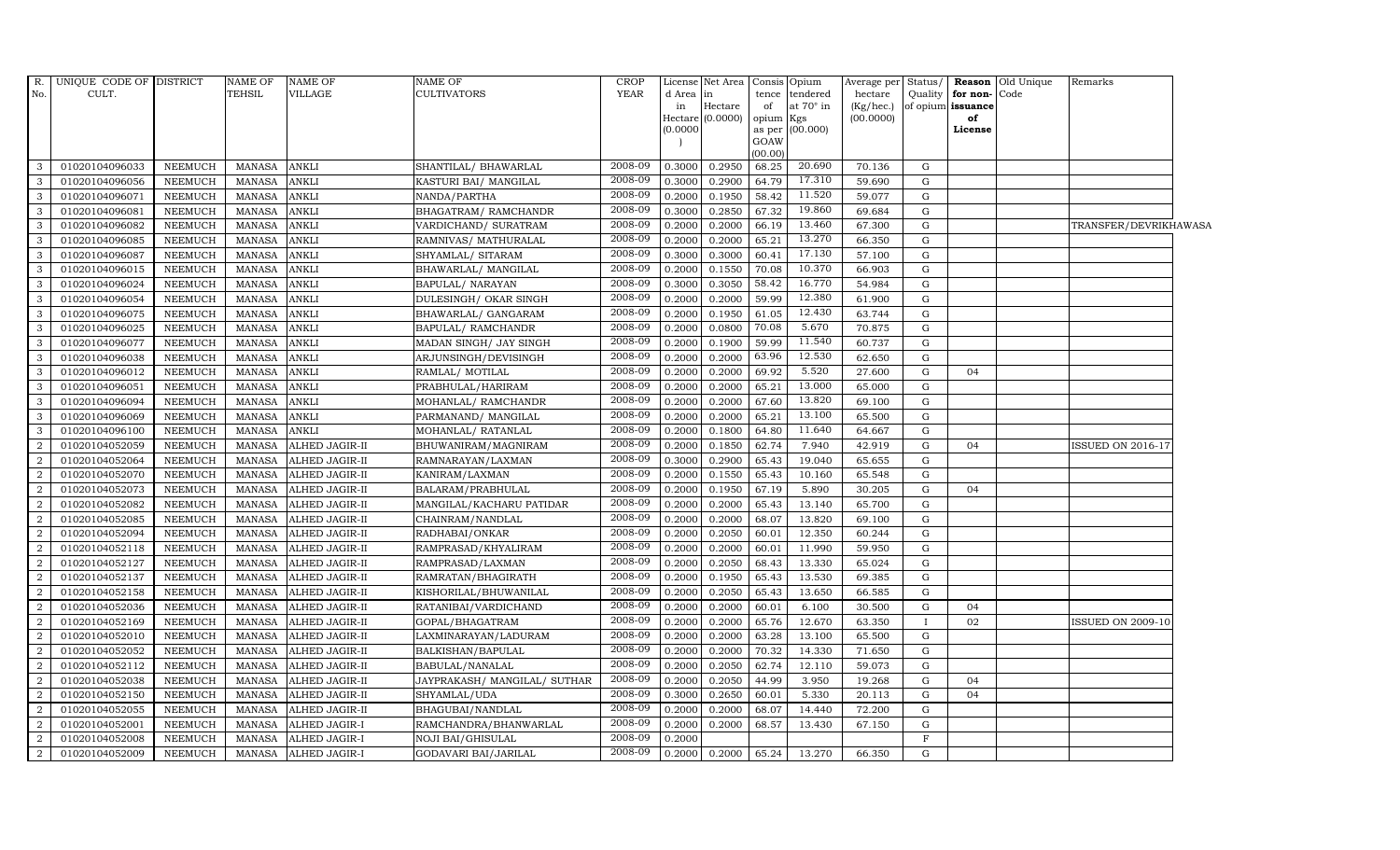| R.                      | UNIQUE CODE OF DISTRICT |                | <b>NAME OF</b> | <b>NAME OF</b>       | <b>NAME OF</b>               | <b>CROP</b> |           | License Net Area |           | Consis Opium     | Average per | Status/      | Reason            | Old Unique | Remarks                  |  |
|-------------------------|-------------------------|----------------|----------------|----------------------|------------------------------|-------------|-----------|------------------|-----------|------------------|-------------|--------------|-------------------|------------|--------------------------|--|
| No.                     | CULT.                   |                | <b>TEHSIL</b>  | VILLAGE              | <b>CULTIVATORS</b>           | <b>YEAR</b> | d Area in |                  | tence     | tendered         | hectare     | Quality      | for non-          | Code       |                          |  |
|                         |                         |                |                |                      |                              |             | in        | Hectare          | of        | at $70^\circ$ in | (Kg/hec.)   |              | of opium issuance |            |                          |  |
|                         |                         |                |                |                      |                              |             | Hectare   | (0.0000)         | opium Kgs | as per (00.000)  | (00.0000)   |              | of<br>License     |            |                          |  |
|                         |                         |                |                |                      |                              |             | (0.0000)  |                  | GOAW      |                  |             |              |                   |            |                          |  |
|                         |                         |                |                |                      |                              |             |           |                  | (00.00)   |                  |             |              |                   |            |                          |  |
| 3                       | 01020104096033          | <b>NEEMUCH</b> | <b>MANASA</b>  | <b>ANKLI</b>         | SHANTILAL/BHAWARLAL          | 2008-09     | 0.3000    | 0.2950           | 68.25     | 20.690           | 70.136      | G            |                   |            |                          |  |
| 3                       | 01020104096056          | <b>NEEMUCH</b> | <b>MANASA</b>  | <b>ANKLI</b>         | KASTURI BAI/ MANGILAL        | 2008-09     | 0.3000    | 0.2900           | 64.79     | 17.310           | 59.690      | G            |                   |            |                          |  |
| 3                       | 01020104096071          | <b>NEEMUCH</b> | <b>MANASA</b>  | ANKLI                | NANDA/PARTHA                 | 2008-09     | 0.2000    | 0.1950           | 58.42     | 11.520           | 59.077      | G            |                   |            |                          |  |
| 3                       | 01020104096081          | <b>NEEMUCH</b> | <b>MANASA</b>  | ANKLI                | BHAGATRAM/RAMCHANDR          | 2008-09     | 0.3000    | 0.2850           | 67.32     | 19.860           | 69.684      | G            |                   |            |                          |  |
| 3                       | 01020104096082          | <b>NEEMUCH</b> | <b>MANASA</b>  | ANKLI                | VARDICHAND/ SURATRAM         | 2008-09     | 0.2000    | 0.2000           | 66.19     | 13.460           | 67.300      | G            |                   |            | TRANSFER/DEVRIKHAWASA    |  |
| 3                       | 01020104096085          | NEEMUCH        | <b>MANASA</b>  | ANKLI                | RAMNIVAS/ MATHURALAL         | 2008-09     | 0.2000    | 0.2000           | 65.21     | 13.270           | 66.350      | G            |                   |            |                          |  |
| 3                       | 01020104096087          | <b>NEEMUCH</b> | <b>MANASA</b>  | ANKLI                | SHYAMLAL/ SITARAM            | 2008-09     | 0.3000    | 0.3000           | 60.41     | 17.130           | 57.100      | G            |                   |            |                          |  |
| $\mathbf{3}$            | 01020104096015          | <b>NEEMUCH</b> | <b>MANASA</b>  | ANKLI                | BHAWARLAL/ MANGILAL          | 2008-09     | 0.2000    | 0.1550           | 70.08     | 10.370           | 66.903      | G            |                   |            |                          |  |
| 3                       | 01020104096024          | <b>NEEMUCH</b> | <b>MANASA</b>  | ANKLI                | BAPULAL/ NARAYAN             | 2008-09     | 0.3000    | 0.3050           | 58.42     | 16.770           | 54.984      | G            |                   |            |                          |  |
| 3                       | 01020104096054          | <b>NEEMUCH</b> | <b>MANASA</b>  | ANKLI                | DULESINGH/ OKAR SINGH        | 2008-09     | 0.2000    | 0.2000           | 59.99     | 12.380           | 61.900      | G            |                   |            |                          |  |
| $\mathbf{3}$            | 01020104096075          | <b>NEEMUCH</b> | <b>MANASA</b>  | ANKLI                | BHAWARLAL/ GANGARAM          | 2008-09     | 0.2000    | 0.1950           | 61.05     | 12.430           | 63.744      | G            |                   |            |                          |  |
| 3                       | 01020104096025          | <b>NEEMUCH</b> | <b>MANASA</b>  | <b>ANKLI</b>         | BAPULAL/ RAMCHANDR           | 2008-09     | 0.2000    | 0.0800           | 70.08     | 5.670            | 70.875      | G            |                   |            |                          |  |
| $\overline{\mathbf{3}}$ | 01020104096077          | <b>NEEMUCH</b> | <b>MANASA</b>  | ANKLI                | MADAN SINGH/ JAY SINGH       | 2008-09     | 0.2000    | 0.1900           | 59.99     | 11.540           | 60.737      | G            |                   |            |                          |  |
| 3                       | 01020104096038          | <b>NEEMUCH</b> | <b>MANASA</b>  | ANKLI                | ARJUNSINGH/DEVISINGH         | 2008-09     | 0.2000    | 0.2000           | 63.96     | 12.530           | 62.650      | G            |                   |            |                          |  |
| 3                       | 01020104096012          | <b>NEEMUCH</b> | <b>MANASA</b>  | ANKLI                | RAMLAL/ MOTILAL              | 2008-09     | 0.2000    | 0.2000           | 69.92     | 5.520            | 27.600      | ${\rm G}$    | 04                |            |                          |  |
| $\mathbf{3}$            | 01020104096051          | <b>NEEMUCH</b> | <b>MANASA</b>  | ANKLI                | PRABHULAL/HARIRAM            | 2008-09     | 0.2000    | 0.2000           | 65.21     | 13.000           | 65.000      | G            |                   |            |                          |  |
| 3                       | 01020104096094          | <b>NEEMUCH</b> | <b>MANASA</b>  | <b>ANKLI</b>         | MOHANLAL/ RAMCHANDR          | 2008-09     | 0.2000    | 0.2000           | 67.60     | 13.820           | 69.100      | G            |                   |            |                          |  |
| $\mathbf{3}$            | 01020104096069          | NEEMUCH        | <b>MANASA</b>  | ANKLI                | PARMANAND / MANGILAL         | 2008-09     | 0.2000    | 0.2000           | 65.21     | 13.100           | 65.500      | G            |                   |            |                          |  |
| $\mathbf{3}$            | 01020104096100          | <b>NEEMUCH</b> | <b>MANASA</b>  | ANKLI                | MOHANLAL/RATANLAL            | 2008-09     | 0.2000    | 0.1800           | 64.80     | 11.640           | 64.667      | ${\rm G}$    |                   |            |                          |  |
| $\overline{2}$          | 01020104052059          | <b>NEEMUCH</b> | <b>MANASA</b>  | ALHED JAGIR-II       | BHUWANIRAM/MAGNIRAM          | 2008-09     | 0.2000    | 0.1850           | 62.74     | 7.940            | 42.919      | G            | 04                |            | ISSUED ON 2016-17        |  |
| 2                       | 01020104052064          | <b>NEEMUCH</b> | <b>MANASA</b>  | ALHED JAGIR-II       | RAMNARAYAN/LAXMAN            | 2008-09     | 0.3000    | 0.2900           | 65.43     | 19.040           | 65.655      | G            |                   |            |                          |  |
| 2                       | 01020104052070          | <b>NEEMUCH</b> | <b>MANASA</b>  | ALHED JAGIR-II       | KANIRAM/LAXMAN               | 2008-09     | 0.2000    | 0.1550           | 65.43     | 10.160           | 65.548      | G            |                   |            |                          |  |
| $\overline{2}$          | 01020104052073          | NEEMUCH        | MANASA         | ALHED JAGIR-II       | BALARAM/PRABHULAL            | 2008-09     | 0.2000    | 0.1950           | 67.19     | 5.890            | 30.205      | G            | 04                |            |                          |  |
| 2                       | 01020104052082          | <b>NEEMUCH</b> | <b>MANASA</b>  | ALHED JAGIR-II       | MANGILAL/KACHARU PATIDAR     | 2008-09     | 0.2000    | 0.2000           | 65.43     | 13.140           | 65.700      | G            |                   |            |                          |  |
| $\overline{2}$          | 01020104052085          | <b>NEEMUCH</b> | <b>MANASA</b>  | ALHED JAGIR-II       | CHAINRAM/NANDLAL             | 2008-09     | 0.2000    | 0.2000           | 68.07     | 13.820           | 69.100      | $\mathbf G$  |                   |            |                          |  |
| 2                       | 01020104052094          | NEEMUCH        | <b>MANASA</b>  | ALHED JAGIR-II       | RADHABAI/ONKAR               | 2008-09     | 0.2000    | 0.2050           | 60.01     | 12.350           | 60.244      | G            |                   |            |                          |  |
| 2                       | 01020104052118          | <b>NEEMUCH</b> | <b>MANASA</b>  | ALHED JAGIR-II       | RAMPRASAD/KHYALIRAM          | 2008-09     | 0.2000    | 0.2000           | 60.01     | 11.990           | 59.950      | G            |                   |            |                          |  |
| $\overline{2}$          | 01020104052127          | <b>NEEMUCH</b> | MANASA         | ALHED JAGIR-II       | RAMPRASAD/LAXMAN             | 2008-09     | 0.2000    | 0.2050           | 68.43     | 13.330           | 65.024      | ${\rm G}$    |                   |            |                          |  |
| 2                       | 01020104052137          | <b>NEEMUCH</b> | <b>MANASA</b>  | ALHED JAGIR-II       | RAMRATAN/BHAGIRATH           | 2008-09     | 0.2000    | 0.1950           | 65.43     | 13.530           | 69.385      | G            |                   |            |                          |  |
| $\overline{2}$          | 01020104052158          | <b>NEEMUCH</b> | <b>MANASA</b>  | ALHED JAGIR-II       | KISHORILAL/BHUWANILAL        | 2008-09     | 0.2000    | 0.2050           | 65.43     | 13.650           | 66.585      | G            |                   |            |                          |  |
| $\overline{2}$          | 01020104052036          | <b>NEEMUCH</b> | <b>MANASA</b>  | ALHED JAGIR-II       | RATANIBAI/VARDICHAND         | 2008-09     | 0.2000    | 0.2000           | 60.01     | 6.100            | 30.500      | G            | 04                |            |                          |  |
| 2                       | 01020104052169          | <b>NEEMUCH</b> | <b>MANASA</b>  | ALHED JAGIR-II       | GOPAL/BHAGATRAM              | 2008-09     | 0.2000    | 0.2000           | 65.76     | 12.670           | 63.350      | $\mathbf{I}$ | 02                |            | <b>ISSUED ON 2009-10</b> |  |
| $\overline{2}$          | 01020104052010          | <b>NEEMUCH</b> | MANASA         | ALHED JAGIR-II       | LAXMINARAYAN/LADURAM         | 2008-09     | 0.2000    | 0.2000           | 63.28     | 13.100           | 65.500      | G            |                   |            |                          |  |
| 2                       | 01020104052052          | <b>NEEMUCH</b> | <b>MANASA</b>  | ALHED JAGIR-II       | BALKISHAN/BAPULAL            | 2008-09     | 0.2000    | 0.2000           | 70.32     | 14.330           | 71.650      | G            |                   |            |                          |  |
| $\overline{2}$          | 01020104052112          | <b>NEEMUCH</b> | <b>MANASA</b>  | ALHED JAGIR-II       | BABULAL/NANALAL              | 2008-09     | 0.2000    | 0.2050           | 62.74     | 12.110           | 59.073      | G            |                   |            |                          |  |
| $\overline{2}$          | 01020104052038          | <b>NEEMUCH</b> | <b>MANASA</b>  | ALHED JAGIR-II       | JAYPRAKASH/ MANGILAL/ SUTHAR | 2008-09     | 0.2000    | 0.2050           | 44.99     | 3.950            | 19.268      | G            | 04                |            |                          |  |
| 2                       | 01020104052150          | <b>NEEMUCH</b> | <b>MANASA</b>  | ALHED JAGIR-II       | SHYAMLAL/UDA                 | 2008-09     | 0.3000    | 0.2650           | 60.01     | 5.330            | 20.113      | G            | 04                |            |                          |  |
| 2                       | 01020104052055          | <b>NEEMUCH</b> | MANASA         | ALHED JAGIR-II       | BHAGUBAI/NANDLAL             | 2008-09     | 0.2000    | 0.2000           | 68.07     | 14.440           | 72.200      | G            |                   |            |                          |  |
| 2                       | 01020104052001          | <b>NEEMUCH</b> | <b>MANASA</b>  | ALHED JAGIR-I        | RAMCHANDRA/BHANWARLAL        | 2008-09     | 0.2000    | 0.2000           | 68.57     | 13.430           | 67.150      | G            |                   |            |                          |  |
| 2                       | 01020104052008          | <b>NEEMUCH</b> | <b>MANASA</b>  | ALHED JAGIR-I        | NOJI BAI/GHISULAL            | 2008-09     | 0.2000    |                  |           |                  |             | $\mathbf F$  |                   |            |                          |  |
| $\overline{a}$          | 01020104052009          | NEEMUCH        |                | MANASA ALHED JAGIR-I | GODAVARI BAI/JARILAL         | 2008-09     | 0.2000    | 0.2000           | 65.24     | 13.270           | 66.350      | $\mathbf G$  |                   |            |                          |  |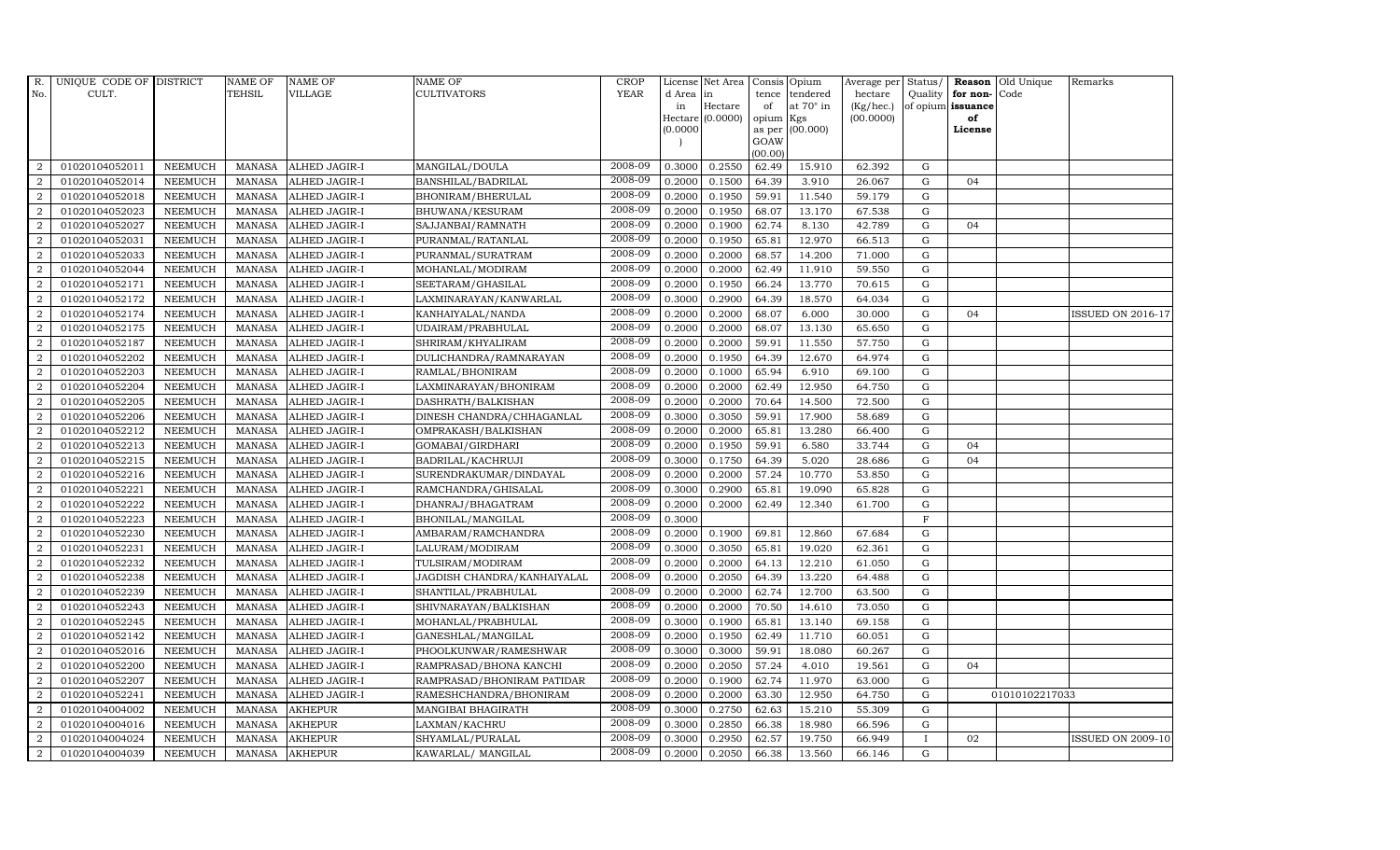| R.             | UNIQUE CODE OF DISTRICT |                | <b>NAME OF</b> | <b>NAME OF</b>       | <b>NAME OF</b>              | <b>CROP</b> |           | License Net Area   Consis   Opium |           |                  | Average per Status/ |              |                   | <b>Reason</b> Old Unique | Remarks                  |
|----------------|-------------------------|----------------|----------------|----------------------|-----------------------------|-------------|-----------|-----------------------------------|-----------|------------------|---------------------|--------------|-------------------|--------------------------|--------------------------|
| No.            | CULT.                   |                | <b>TEHSIL</b>  | <b>VILLAGE</b>       | <b>CULTIVATORS</b>          | <b>YEAR</b> | d Area in |                                   |           | tence tendered   | hectare             | Quality      | for non-Code      |                          |                          |
|                |                         |                |                |                      |                             |             | in        | Hectare                           | of        | at $70^\circ$ in | (Kg/hec.)           |              | of opium issuance |                          |                          |
|                |                         |                |                |                      |                             |             | 0.0000    | $Hectare (0.0000)$                | opium Kgs | as per (00.000)  | (00.0000)           |              | of<br>License     |                          |                          |
|                |                         |                |                |                      |                             |             |           |                                   | GOAW      |                  |                     |              |                   |                          |                          |
|                |                         |                |                |                      |                             |             |           |                                   | (00.00)   |                  |                     |              |                   |                          |                          |
| $\overline{2}$ | 01020104052011          | <b>NEEMUCH</b> | MANASA         | ALHED JAGIR-I        | MANGILAL/DOULA              | 2008-09     | 0.3000    | 0.2550                            | 62.49     | 15.910           | 62.392              | G            |                   |                          |                          |
| $\overline{2}$ | 01020104052014          | <b>NEEMUCH</b> | <b>MANASA</b>  | <b>ALHED JAGIR-I</b> | BANSHILAL/BADRILAL          | 2008-09     | 0.2000    | 0.1500                            | 64.39     | 3.910            | 26.067              | $\mathbf G$  | 04                |                          |                          |
| $\overline{2}$ | 01020104052018          | <b>NEEMUCH</b> | <b>MANASA</b>  | <b>ALHED JAGIR-I</b> | BHONIRAM/BHERULAL           | 2008-09     | 0.2000    | 0.1950                            | 59.91     | 11.540           | 59.179              | G            |                   |                          |                          |
| $\overline{2}$ | 01020104052023          | <b>NEEMUCH</b> | <b>MANASA</b>  | <b>ALHED JAGIR-I</b> | BHUWANA/KESURAM             | 2008-09     | 0.2000    | 0.1950                            | 68.07     | 13.170           | 67.538              | $\mathbf G$  |                   |                          |                          |
| $\overline{a}$ | 01020104052027          | <b>NEEMUCH</b> | <b>MANASA</b>  | ALHED JAGIR-I        | SAJJANBAI/RAMNATH           | 2008-09     | 0.2000    | 0.1900                            | 62.74     | 8.130            | 42.789              | ${\bf G}$    | 04                |                          |                          |
| 2              | 01020104052031          | NEEMUCH        | <b>MANASA</b>  | ALHED JAGIR-I        | PURANMAL/RATANLAL           | 2008-09     | 0.2000    | 0.1950                            | 65.81     | 12.970           | 66.513              | $\mathbf G$  |                   |                          |                          |
| 2              | 01020104052033          | <b>NEEMUCH</b> | <b>MANASA</b>  | ALHED JAGIR-I        | PURANMAL/SURATRAM           | 2008-09     | 0.2000    | 0.2000                            | 68.57     | 14.200           | 71.000              | ${\bf G}$    |                   |                          |                          |
| 2              | 01020104052044          | <b>NEEMUCH</b> | <b>MANASA</b>  | <b>ALHED JAGIR-I</b> | MOHANLAL/MODIRAM            | 2008-09     | 0.2000    | 0.2000                            | 62.49     | 11.910           | 59.550              | $\mathbf G$  |                   |                          |                          |
| $\overline{2}$ | 01020104052171          | <b>NEEMUCH</b> | <b>MANASA</b>  | <b>ALHED JAGIR-I</b> | SEETARAM/GHASILAL           | 2008-09     | 0.2000    | 0.1950                            | 66.24     | 13.770           | 70.615              | G            |                   |                          |                          |
| 2              | 01020104052172          | <b>NEEMUCH</b> | <b>MANASA</b>  | ALHED JAGIR-I        | LAXMINARAYAN/KANWARLAL      | 2008-09     | 0.3000    | 0.2900                            | 64.39     | 18.570           | 64.034              | ${\rm G}$    |                   |                          |                          |
| $\overline{a}$ | 01020104052174          | <b>NEEMUCH</b> | <b>MANASA</b>  | <b>ALHED JAGIR-I</b> | KANHAIYALAL/NANDA           | 2008-09     | 0.2000    | 0.2000                            | 68.07     | 6.000            | 30.000              | G            | 04                |                          | ISSUED ON 2016-17        |
| $\overline{2}$ | 01020104052175          | <b>NEEMUCH</b> | <b>MANASA</b>  | <b>ALHED JAGIR-I</b> | UDAIRAM/PRABHULAL           | 2008-09     | 0.2000    | 0.2000                            | 68.07     | 13.130           | 65.650              | $\mathbf G$  |                   |                          |                          |
| 2              | 01020104052187          | <b>NEEMUCH</b> | <b>MANASA</b>  | <b>ALHED JAGIR-I</b> | SHRIRAM/KHYALIRAM           | 2008-09     | 0.2000    | 0.2000                            | 59.91     | 11.550           | 57.750              | G            |                   |                          |                          |
| $\overline{2}$ | 01020104052202          | <b>NEEMUCH</b> | <b>MANASA</b>  | <b>ALHED JAGIR-I</b> | DULICHANDRA/RAMNARAYAN      | 2008-09     | 0.2000    | 0.1950                            | 64.39     | 12.670           | 64.974              | $\mathbf G$  |                   |                          |                          |
| $\overline{2}$ | 01020104052203          | <b>NEEMUCH</b> | <b>MANASA</b>  | ALHED JAGIR-I        | RAMLAL/BHONIRAM             | $2008 - 09$ | 0.2000    | 0.1000                            | 65.94     | 6.910            | 69.100              | $\mathbf G$  |                   |                          |                          |
| $\overline{2}$ | 01020104052204          | <b>NEEMUCH</b> | <b>MANASA</b>  | <b>ALHED JAGIR-I</b> | LAXMINARAYAN/BHONIRAM       | 2008-09     | 0.2000    | 0.2000                            | 62.49     | 12.950           | 64.750              | $\mathbf G$  |                   |                          |                          |
| $\overline{2}$ | 01020104052205          | <b>NEEMUCH</b> | <b>MANASA</b>  | <b>ALHED JAGIR-I</b> | DASHRATH/BALKISHAN          | 2008-09     | 0.2000    | 0.2000                            | 70.64     | 14.500           | 72.500              | $\mathbf G$  |                   |                          |                          |
| 2              | 01020104052206          | <b>NEEMUCH</b> | MANASA         | <b>ALHED JAGIR-I</b> | DINESH CHANDRA/CHHAGANLAL   | 2008-09     | 0.3000    | 0.3050                            | 59.91     | 17.900           | 58.689              | $\mathbf G$  |                   |                          |                          |
| 2              | 01020104052212          | <b>NEEMUCH</b> | <b>MANASA</b>  | <b>ALHED JAGIR-I</b> | OMPRAKASH/BALKISHAN         | 2008-09     | 0.2000    | 0.2000                            | 65.81     | 13.280           | 66.400              | $\mathbf G$  |                   |                          |                          |
| 2              | 01020104052213          | <b>NEEMUCH</b> | <b>MANASA</b>  | <b>ALHED JAGIR-I</b> | GOMABAI/GIRDHARI            | 2008-09     | 0.2000    | 0.1950                            | 59.91     | 6.580            | 33.744              | $\mathbf G$  | 04                |                          |                          |
| $\overline{a}$ | 01020104052215          | <b>NEEMUCH</b> | <b>MANASA</b>  | ALHED JAGIR-I        | BADRILAL/KACHRUJI           | 2008-09     | 0.3000    | 0.1750                            | 64.39     | 5.020            | 28.686              | $\mathbf G$  | 04                |                          |                          |
| $\overline{a}$ | 01020104052216          | <b>NEEMUCH</b> | <b>MANASA</b>  | ALHED JAGIR-I        | SURENDRAKUMAR/DINDAYAL      | 2008-09     | 0.2000    | 0.2000                            | 57.24     | 10.770           | 53.850              | ${\rm G}$    |                   |                          |                          |
| $\overline{2}$ | 01020104052221          | <b>NEEMUCH</b> | MANASA         | <b>ALHED JAGIR-I</b> | RAMCHANDRA/GHISALAL         | 2008-09     | 0.3000    | 0.2900                            | 65.81     | 19.090           | 65.828              | G            |                   |                          |                          |
| $\overline{2}$ | 01020104052222          | <b>NEEMUCH</b> | <b>MANASA</b>  | <b>ALHED JAGIR-I</b> | DHANRAJ/BHAGATRAM           | 2008-09     | 0.2000    | 0.2000                            | 62.49     | 12.340           | 61.700              | $\mathbf G$  |                   |                          |                          |
| $\overline{2}$ | 01020104052223          | <b>NEEMUCH</b> | <b>MANASA</b>  | ALHED JAGIR-I        | BHONILAL/MANGILAL           | 2008-09     | 0.3000    |                                   |           |                  |                     | $\mathbf{F}$ |                   |                          |                          |
| 2              | 01020104052230          | <b>NEEMUCH</b> | <b>MANASA</b>  | ALHED JAGIR-I        | AMBARAM/RAMCHANDRA          | 2008-09     | 0.2000    | 0.1900                            | 69.81     | 12.860           | 67.684              | G            |                   |                          |                          |
| $\overline{a}$ | 01020104052231          | <b>NEEMUCH</b> | <b>MANASA</b>  | ALHED JAGIR-I        | LALURAM/MODIRAM             | 2008-09     | 0.3000    | 0.3050                            | 65.81     | 19.020           | 62.361              | ${\rm G}$    |                   |                          |                          |
| 2              | 01020104052232          | <b>NEEMUCH</b> | <b>MANASA</b>  | ALHED JAGIR-I        | TULSIRAM/MODIRAM            | 2008-09     | 0.2000    | 0.2000                            | 64.13     | 12.210           | 61.050              | G            |                   |                          |                          |
| 2              | 01020104052238          | <b>NEEMUCH</b> | <b>MANASA</b>  | <b>ALHED JAGIR-I</b> | JAGDISH CHANDRA/KANHAIYALAL | 2008-09     | 0.2000    | 0.2050                            | 64.39     | 13.220           | 64.488              | $\mathbf G$  |                   |                          |                          |
| $\overline{2}$ | 01020104052239          | <b>NEEMUCH</b> | <b>MANASA</b>  | ALHED JAGIR-I        | SHANTILAL/PRABHULAL         | 2008-09     | 0.2000    | 0.2000                            | 62.74     | 12.700           | 63.500              | $\mathbf G$  |                   |                          |                          |
| $\overline{2}$ | 01020104052243          | <b>NEEMUCH</b> | <b>MANASA</b>  | ALHED JAGIR-I        | SHIVNARAYAN/BALKISHAN       | 2008-09     | 0.2000    | 0.2000                            | 70.50     | 14.610           | 73.050              | G            |                   |                          |                          |
| $\overline{2}$ | 01020104052245          | <b>NEEMUCH</b> | <b>MANASA</b>  | ALHED JAGIR-I        | MOHANLAL/PRABHULAL          | 2008-09     | 0.3000    | 0.1900                            | 65.81     | 13.140           | 69.158              | $\mathbf G$  |                   |                          |                          |
| $\overline{2}$ | 01020104052142          | <b>NEEMUCH</b> | <b>MANASA</b>  | <b>ALHED JAGIR-I</b> | GANESHLAL/MANGILAL          | 2008-09     | 0.2000    | 0.1950                            | 62.49     | 11.710           | 60.051              | ${\rm G}$    |                   |                          |                          |
| $\overline{2}$ | 01020104052016          | <b>NEEMUCH</b> | <b>MANASA</b>  | <b>ALHED JAGIR-I</b> | PHOOLKUNWAR/RAMESHWAR       | 2008-09     | 0.3000    | 0.3000                            | 59.91     | 18.080           | 60.267              | $\mathbf G$  |                   |                          |                          |
| $\overline{2}$ | 01020104052200          | <b>NEEMUCH</b> | <b>MANASA</b>  | ALHED JAGIR-I        | RAMPRASAD/BHONA KANCHI      | 2008-09     | 0.2000    | 0.2050                            | 57.24     | 4.010            | 19.561              | $\mathbf G$  | 04                |                          |                          |
| $\overline{a}$ | 01020104052207          | <b>NEEMUCH</b> | <b>MANASA</b>  | ALHED JAGIR-I        | RAMPRASAD/BHONIRAM PATIDAR  | 2008-09     | 0.2000    | 0.1900                            | 62.74     | 11.970           | 63.000              | G            |                   |                          |                          |
| $\overline{2}$ | 01020104052241          | <b>NEEMUCH</b> | <b>MANASA</b>  | ALHED JAGIR-I        | RAMESHCHANDRA/BHONIRAM      | 2008-09     | 0.2000    | 0.2000                            | 63.30     | 12.950           | 64.750              | G            |                   | 01010102217033           |                          |
| $\overline{a}$ | 01020104004002          | <b>NEEMUCH</b> | <b>MANASA</b>  | <b>AKHEPUR</b>       | MANGIBAI BHAGIRATH          | 2008-09     | 0.3000    | 0.2750                            | 62.63     | 15.210           | 55.309              | $\mathbf G$  |                   |                          |                          |
| $\overline{2}$ | 01020104004016          | <b>NEEMUCH</b> | <b>MANASA</b>  | <b>AKHEPUR</b>       | LAXMAN/KACHRU               | 2008-09     | 0.3000    | 0.2850                            | 66.38     | 18.980           | 66.596              | $\mathbf G$  |                   |                          |                          |
| 2              | 01020104004024          | <b>NEEMUCH</b> | <b>MANASA</b>  | <b>AKHEPUR</b>       | SHYAMLAL/PURALAL            | 2008-09     | 0.3000    | 0.2950                            | 62.57     | 19.750           | 66.949              | $\mathbf{I}$ | 02                |                          | <b>ISSUED ON 2009-10</b> |
| $\overline{a}$ | 01020104004039          | <b>NEEMUCH</b> |                | MANASA AKHEPUR       | KAWARLAL/ MANGILAL          | 2008-09     | 0.2000    | 0.2050                            | 66.38     | 13.560           | 66.146              | G            |                   |                          |                          |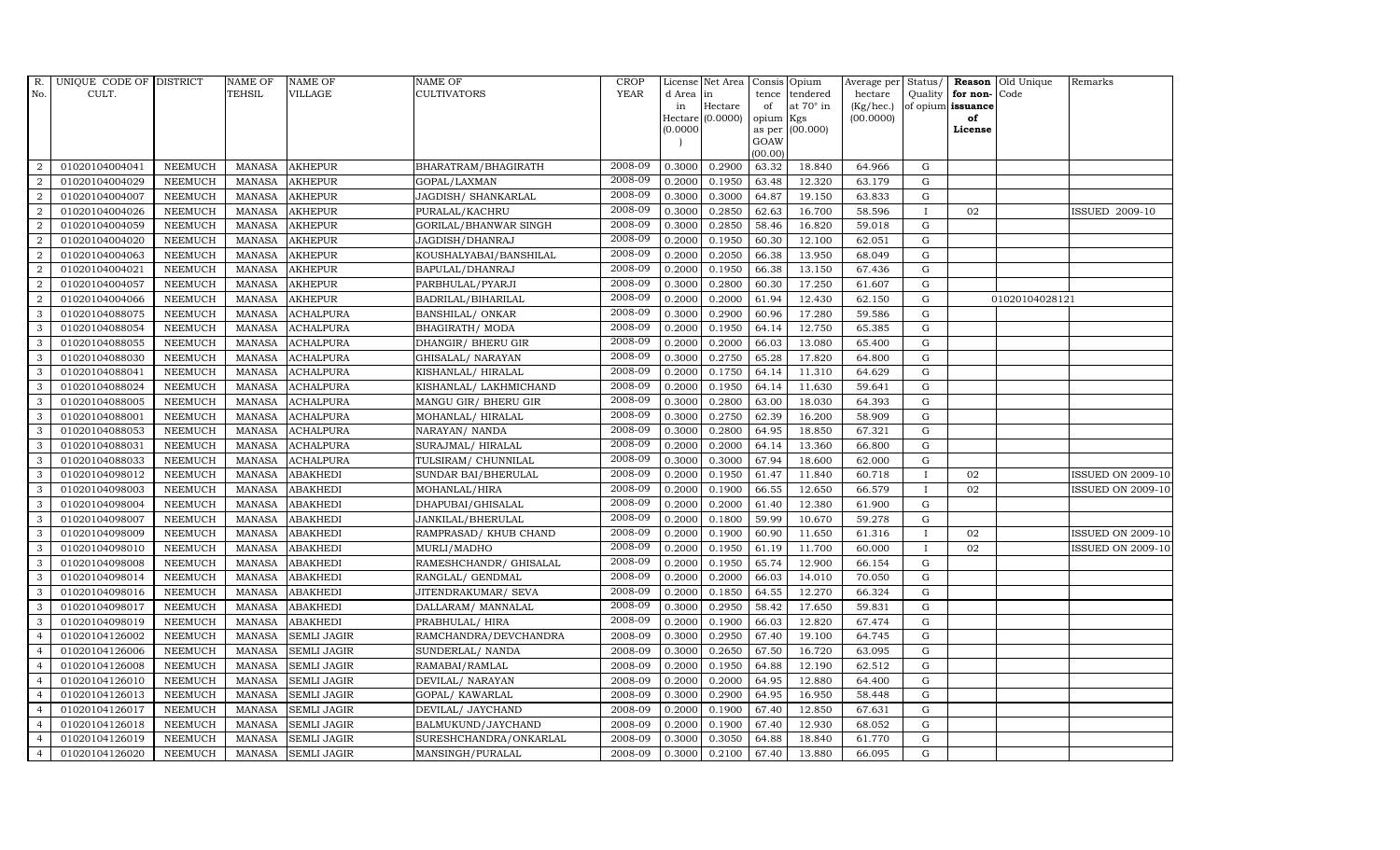| R.             | UNIQUE CODE OF DISTRICT |                | <b>NAME OF</b> | <b>NAME OF</b>     | <b>NAME OF</b>          | CROP    |           | License Net Area   Consis   Opium |           |                  | Average per | Status/      |                   | <b>Reason</b> Old Unique | Remarks                  |
|----------------|-------------------------|----------------|----------------|--------------------|-------------------------|---------|-----------|-----------------------------------|-----------|------------------|-------------|--------------|-------------------|--------------------------|--------------------------|
| No.            | CULT.                   |                | <b>TEHSIL</b>  | <b>VILLAGE</b>     | <b>CULTIVATORS</b>      | YEAR    | d Area in |                                   |           | tence tendered   | hectare     | Quality      | for non-          | Code                     |                          |
|                |                         |                |                |                    |                         |         | in        | Hectare                           | of        | at $70^\circ$ in | (Kg/hec.)   |              | of opium issuance |                          |                          |
|                |                         |                |                |                    |                         |         |           | Hectare (0.0000)                  | opium Kgs |                  | (00.0000)   |              | of<br>License     |                          |                          |
|                |                         |                |                |                    |                         |         | (0.0000)  |                                   | GOAW      | as per (00.000)  |             |              |                   |                          |                          |
|                |                         |                |                |                    |                         |         |           |                                   | (00.00)   |                  |             |              |                   |                          |                          |
| $\overline{2}$ | 01020104004041          | <b>NEEMUCH</b> | MANASA         | <b>AKHEPUR</b>     | BHARATRAM/BHAGIRATH     | 2008-09 | 0.3000    | 0.2900                            | 63.32     | 18.840           | 64.966      | G            |                   |                          |                          |
| $\overline{2}$ | 01020104004029          | <b>NEEMUCH</b> | MANASA         | <b>AKHEPUR</b>     | GOPAL/LAXMAN            | 2008-09 | 0.2000    | 0.1950                            | 63.48     | 12.320           | 63.179      | $\mathbf G$  |                   |                          |                          |
| $\overline{2}$ | 01020104004007          | <b>NEEMUCH</b> | <b>MANASA</b>  | <b>AKHEPUR</b>     | JAGDISH/ SHANKARLAL     | 2008-09 | 0.3000    | 0.3000                            | 64.87     | 19.150           | 63.833      | G            |                   |                          |                          |
| $\overline{2}$ | 01020104004026          | <b>NEEMUCH</b> | <b>MANASA</b>  | <b>AKHEPUR</b>     | PURALAL/KACHRU          | 2008-09 | 0.3000    | 0.2850                            | 62.63     | 16.700           | 58.596      |              | 02                |                          | ISSUED 2009-10           |
| $\overline{2}$ | 01020104004059          | <b>NEEMUCH</b> | <b>MANASA</b>  | <b>AKHEPUR</b>     | GORILAL/BHANWAR SINGH   | 2008-09 | 0.3000    | 0.2850                            | 58.46     | 16.820           | 59.018      | ${\rm G}$    |                   |                          |                          |
| 2              | 01020104004020          | <b>NEEMUCH</b> | MANASA         | <b>AKHEPUR</b>     | JAGDISH/DHANRAJ         | 2008-09 | 0.2000    | 0.1950                            | 60.30     | 12.100           | 62.051      | $\mathbf G$  |                   |                          |                          |
| $\overline{a}$ | 01020104004063          | <b>NEEMUCH</b> | <b>MANASA</b>  | <b>AKHEPUR</b>     | KOUSHALYABAI/BANSHILAL  | 2008-09 | 0.2000    | 0.2050                            | 66.38     | 13.950           | 68.049      | $\mathbf G$  |                   |                          |                          |
| $\overline{2}$ | 01020104004021          | <b>NEEMUCH</b> | <b>MANASA</b>  | <b>AKHEPUR</b>     | BAPULAL/DHANRAJ         | 2008-09 | 0.2000    | 0.1950                            | 66.38     | 13.150           | 67.436      | $\mathbf G$  |                   |                          |                          |
| $\overline{2}$ | 01020104004057          | <b>NEEMUCH</b> | <b>MANASA</b>  | <b>AKHEPUR</b>     | PARBHULAL/PYARJI        | 2008-09 | 0.3000    | 0.2800                            | 60.30     | 17.250           | 61.607      | $\mathbf G$  |                   |                          |                          |
| $\overline{2}$ | 01020104004066          | <b>NEEMUCH</b> | <b>MANASA</b>  | <b>AKHEPUR</b>     | BADRILAL/BIHARILAL      | 2008-09 | 0.2000    | 0.2000                            | 61.94     | 12.430           | 62.150      | ${\bf G}$    |                   | 01020104028121           |                          |
| 3              | 01020104088075          | <b>NEEMUCH</b> | <b>MANASA</b>  | <b>ACHALPURA</b>   | <b>BANSHILAL/ ONKAR</b> | 2008-09 | 0.3000    | 0.2900                            | 60.96     | 17.280           | 59.586      | ${\rm G}$    |                   |                          |                          |
| 3              | 01020104088054          | <b>NEEMUCH</b> | <b>MANASA</b>  | <b>ACHALPURA</b>   | BHAGIRATH/ MODA         | 2008-09 | 0.2000    | 0.1950                            | 64.14     | 12.750           | 65.385      | G            |                   |                          |                          |
| 3              | 01020104088055          | <b>NEEMUCH</b> | <b>MANASA</b>  | <b>ACHALPURA</b>   | DHANGIR/ BHERU GIR      | 2008-09 | 0.2000    | 0.2000                            | 66.03     | 13.080           | 65.400      | $\mathbf G$  |                   |                          |                          |
| 3              | 01020104088030          | <b>NEEMUCH</b> | <b>MANASA</b>  | <b>ACHALPURA</b>   | GHISALAL/ NARAYAN       | 2008-09 | 0.3000    | 0.2750                            | 65.28     | 17.820           | 64.800      | $\mathbf G$  |                   |                          |                          |
| 3              | 01020104088041          | <b>NEEMUCH</b> | <b>MANASA</b>  | <b>ACHALPURA</b>   | KISHANLAL/HIRALAL       | 2008-09 | 0.2000    | 0.1750                            | 64.14     | 11.310           | 64.629      | G            |                   |                          |                          |
| 3              | 01020104088024          | <b>NEEMUCH</b> | <b>MANASA</b>  | <b>ACHALPURA</b>   | KISHANLAL/ LAKHMICHAND  | 2008-09 | 0.2000    | 0.1950                            | 64.14     | 11.630           | 59.641      | ${\rm G}$    |                   |                          |                          |
| 3              | 01020104088005          | <b>NEEMUCH</b> | <b>MANASA</b>  | <b>ACHALPURA</b>   | MANGU GIR/ BHERU GIR    | 2008-09 | 0.3000    | 0.2800                            | 63.00     | 18.030           | 64.393      | G            |                   |                          |                          |
| 3              | 01020104088001          | <b>NEEMUCH</b> | MANASA         | <b>ACHALPURA</b>   | MOHANLAL/HIRALAL        | 2008-09 | 0.3000    | 0.2750                            | 62.39     | 16.200           | 58.909      | G            |                   |                          |                          |
| 3              | 01020104088053          | <b>NEEMUCH</b> | <b>MANASA</b>  | <b>ACHALPURA</b>   | NARAYAN/ NANDA          | 2008-09 | 0.3000    | 0.2800                            | 64.95     | 18.850           | 67.321      | $\mathbf G$  |                   |                          |                          |
| 3              | 01020104088031          | <b>NEEMUCH</b> | <b>MANASA</b>  | <b>ACHALPURA</b>   | SURAJMAL/ HIRALAL       | 2008-09 | 0.2000    | 0.2000                            | 64.14     | 13.360           | 66.800      | $\mathbf G$  |                   |                          |                          |
| $\mathbf{3}$   | 01020104088033          | <b>NEEMUCH</b> | <b>MANASA</b>  | <b>ACHALPURA</b>   | TULSIRAM/ CHUNNILAL     | 2008-09 | 0.3000    | 0.3000                            | 67.94     | 18.600           | 62.000      | ${\rm G}$    |                   |                          |                          |
| 3              | 01020104098012          | <b>NEEMUCH</b> | <b>MANASA</b>  | <b>ABAKHEDI</b>    | SUNDAR BAI/BHERULAL     | 2008-09 | 0.2000    | 0.1950                            | 61.47     | 11.840           | 60.718      | $\mathbf{I}$ | 02                |                          | <b>ISSUED ON 2009-10</b> |
| $\mathbf{3}$   | 01020104098003          | <b>NEEMUCH</b> | MANASA         | <b>ABAKHEDI</b>    | MOHANLAL/HIRA           | 2008-09 | 0.2000    | 0.1900                            | 66.55     | 12.650           | 66.579      | $\mathbf I$  | 02                |                          | <b>ISSUED ON 2009-10</b> |
| 3              | 01020104098004          | <b>NEEMUCH</b> | <b>MANASA</b>  | <b>ABAKHEDI</b>    | DHAPUBAI/GHISALAL       | 2008-09 | 0.2000    | 0.2000                            | 61.40     | 12.380           | 61.900      | $\mathbf G$  |                   |                          |                          |
| 3              | 01020104098007          | <b>NEEMUCH</b> | <b>MANASA</b>  | <b>ABAKHEDI</b>    | JANKILAL/BHERULAL       | 2008-09 | 0.2000    | 0.1800                            | 59.99     | 10.670           | 59.278      | $\mathbf G$  |                   |                          |                          |
| 3              | 01020104098009          | <b>NEEMUCH</b> | <b>MANASA</b>  | <b>ABAKHEDI</b>    | RAMPRASAD/ KHUB CHAND   | 2008-09 | 0.2000    | 0.1900                            | 60.90     | 11.650           | 61.316      | I            | 02                |                          | <b>ISSUED ON 2009-10</b> |
| 3              | 01020104098010          | <b>NEEMUCH</b> | <b>MANASA</b>  | <b>ABAKHEDI</b>    | MURLI/MADHO             | 2008-09 | 0.2000    | 0.1950                            | 61.19     | 11.700           | 60.000      | $\mathbf{I}$ | 02                |                          | <b>ISSUED ON 2009-10</b> |
| 3              | 01020104098008          | <b>NEEMUCH</b> | <b>MANASA</b>  | <b>ABAKHEDI</b>    | RAMESHCHANDR/ GHISALAL  | 2008-09 | 0.2000    | 0.1950                            | 65.74     | 12.900           | 66.154      | $\mathbf G$  |                   |                          |                          |
| 3              | 01020104098014          | <b>NEEMUCH</b> | <b>MANASA</b>  | <b>ABAKHEDI</b>    | RANGLAL/ GENDMAL        | 2008-09 | 0.2000    | 0.2000                            | 66.03     | 14.010           | 70.050      | $\mathbf G$  |                   |                          |                          |
| 3              | 01020104098016          | <b>NEEMUCH</b> | <b>MANASA</b>  | <b>ABAKHEDI</b>    | JITENDRAKUMAR / SEVA    | 2008-09 | 0.2000    | 0.1850                            | 64.55     | 12.270           | 66.324      | $\mathbf G$  |                   |                          |                          |
| 3              | 01020104098017          | <b>NEEMUCH</b> | <b>MANASA</b>  | <b>ABAKHEDI</b>    | DALLARAM/ MANNALAL      | 2008-09 | 0.3000    | 0.2950                            | 58.42     | 17.650           | 59.831      | G            |                   |                          |                          |
| 3              | 01020104098019          | <b>NEEMUCH</b> | <b>MANASA</b>  | <b>ABAKHEDI</b>    | PRABHULAL/ HIRA         | 2008-09 | 0.2000    | 0.1900                            | 66.03     | 12.820           | 67.474      | ${\rm G}$    |                   |                          |                          |
| $\overline{4}$ | 01020104126002          | <b>NEEMUCH</b> | MANASA         | <b>SEMLI JAGIR</b> | RAMCHANDRA/DEVCHANDRA   | 2008-09 | 0.3000    | 0.2950                            | 67.40     | 19.100           | 64.745      | $\mathbf G$  |                   |                          |                          |
| $\overline{4}$ | 01020104126006          | <b>NEEMUCH</b> | <b>MANASA</b>  | <b>SEMLI JAGIR</b> | SUNDERLAL/ NANDA        | 2008-09 | 0.3000    | 0.2650                            | 67.50     | 16.720           | 63.095      | $\mathbf G$  |                   |                          |                          |
| $\overline{4}$ | 01020104126008          | <b>NEEMUCH</b> | <b>MANASA</b>  | <b>SEMLI JAGIR</b> | RAMABAI/RAMLAL          | 2008-09 | 0.2000    | 0.1950                            | 64.88     | 12.190           | 62.512      | $\mathbf G$  |                   |                          |                          |
| $\overline{4}$ | 01020104126010          | <b>NEEMUCH</b> | <b>MANASA</b>  | <b>SEMLI JAGIR</b> | DEVILAL/ NARAYAN        | 2008-09 | 0.2000    | 0.2000                            | 64.95     | 12.880           | 64.400      | $\mathbf G$  |                   |                          |                          |
| $\overline{4}$ | 01020104126013          | <b>NEEMUCH</b> | <b>MANASA</b>  | <b>SEMLI JAGIR</b> | GOPAL/KAWARLAL          | 2008-09 | 0.3000    | 0.2900                            | 64.95     | 16.950           | 58.448      | ${\rm G}$    |                   |                          |                          |
| $\overline{4}$ | 01020104126017          | <b>NEEMUCH</b> | <b>MANASA</b>  | <b>SEMLI JAGIR</b> | DEVILAL/ JAYCHAND       | 2008-09 | 0.2000    | 0.1900                            | 67.40     | 12.850           | 67.631      | $\mathbf G$  |                   |                          |                          |
| $\overline{4}$ | 01020104126018          | <b>NEEMUCH</b> | <b>MANASA</b>  | <b>SEMLI JAGIR</b> | BALMUKUND/JAYCHAND      | 2008-09 | 0.2000    | 0.1900                            | 67.40     | 12.930           | 68.052      | $\mathbf G$  |                   |                          |                          |
| $\overline{4}$ | 01020104126019          | <b>NEEMUCH</b> | <b>MANASA</b>  | <b>SEMLI JAGIR</b> | SURESHCHANDRA/ONKARLAL  | 2008-09 | 0.3000    | 0.3050                            | 64.88     | 18.840           | 61.770      | $\mathbf G$  |                   |                          |                          |
| $\overline{4}$ | 01020104126020          | <b>NEEMUCH</b> |                | MANASA SEMLI JAGIR | MANSINGH/PURALAL        | 2008-09 | 0.3000    | 0.2100                            | 67.40     | 13.880           | 66.095      | G            |                   |                          |                          |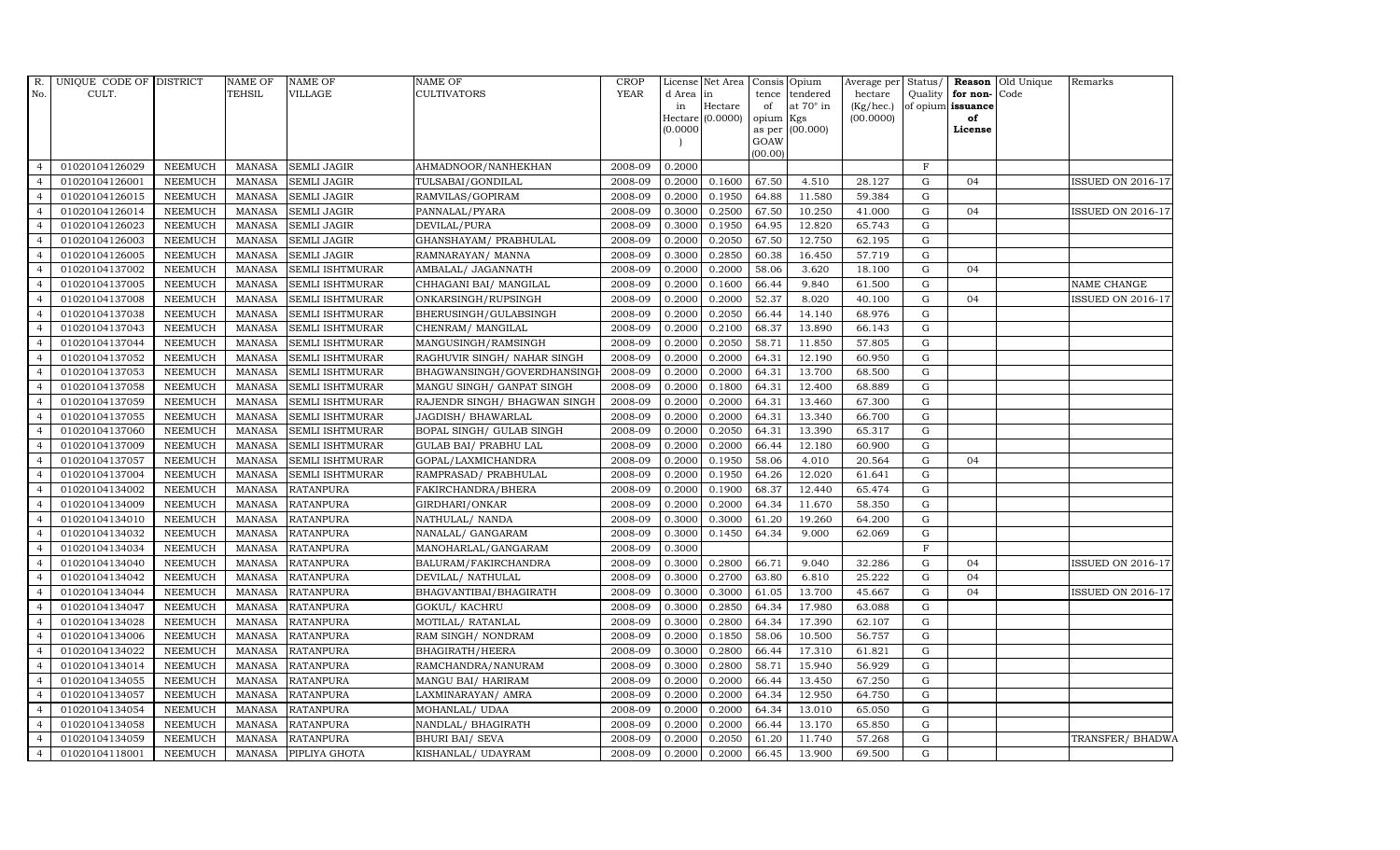| R.             | UNIQUE CODE OF DISTRICT |                | NAME OF       | <b>NAME OF</b>         | NAME OF                       | <b>CROP</b> |                 | License Net Area Consis Opium |                 |                              | Average per          |              |                                           | Status/ <b>Reason</b> Old Unique | Remarks                  |
|----------------|-------------------------|----------------|---------------|------------------------|-------------------------------|-------------|-----------------|-------------------------------|-----------------|------------------------------|----------------------|--------------|-------------------------------------------|----------------------------------|--------------------------|
| No.            | CULT.                   |                | TEHSIL        | <b>VILLAGE</b>         | CULTIVATORS                   | <b>YEAR</b> | d Area in<br>in | Hectare                       | tence<br>of     | tendered<br>at $70^\circ$ in | hectare<br>(Kg/hec.) |              | Quality for non-Code<br>of opium issuance |                                  |                          |
|                |                         |                |               |                        |                               |             |                 | Hectare (0.0000)              | opium Kgs       |                              | (00.0000)            |              | of                                        |                                  |                          |
|                |                         |                |               |                        |                               |             | (0.0000)        |                               |                 | as per (00.000)              |                      |              | License                                   |                                  |                          |
|                |                         |                |               |                        |                               |             |                 |                               | GOAW<br>(00.00) |                              |                      |              |                                           |                                  |                          |
| $\overline{4}$ | 01020104126029          | <b>NEEMUCH</b> | MANASA        | <b>SEMLI JAGIR</b>     | AHMADNOOR/NANHEKHAN           | 2008-09     | 0.2000          |                               |                 |                              |                      | F            |                                           |                                  |                          |
| $\overline{4}$ | 01020104126001          | <b>NEEMUCH</b> | <b>MANASA</b> | <b>SEMLI JAGIR</b>     | TULSABAI/GONDILAL             | 2008-09     | 0.2000          | 0.1600                        | 67.50           | 4.510                        | 28.127               | $\mathbf G$  | 04                                        |                                  | <b>ISSUED ON 2016-17</b> |
| $\overline{a}$ | 01020104126015          | <b>NEEMUCH</b> | <b>MANASA</b> | SEMLI JAGIR            | RAMVILAS/GOPIRAM              | 2008-09     | 0.2000          | 0.1950                        | 64.88           | 11.580                       | 59.384               | G            |                                           |                                  |                          |
|                | 01020104126014          | <b>NEEMUCH</b> | <b>MANASA</b> | <b>SEMLI JAGIR</b>     | PANNALAL/PYARA                | 2008-09     | 0.3000          | 0.2500                        | 67.50           | 10.250                       | 41.000               | G            | 04                                        |                                  | <b>ISSUED ON 2016-17</b> |
| $\overline{4}$ | 01020104126023          | <b>NEEMUCH</b> | <b>MANASA</b> | <b>SEMLI JAGIR</b>     | DEVILAL/PURA                  | 2008-09     | 0.3000          | 0.1950                        | 64.95           | 12.820                       | 65.743               | $\mathbf G$  |                                           |                                  |                          |
| $\overline{4}$ | 01020104126003          | <b>NEEMUCH</b> | <b>MANASA</b> | <b>SEMLI JAGIR</b>     | GHANSHAYAM/ PRABHULAL         | 2008-09     | 0.2000          | 0.2050                        | 67.50           | 12.750                       | 62.195               | G            |                                           |                                  |                          |
| $\overline{4}$ | 01020104126005          | <b>NEEMUCH</b> | <b>MANASA</b> | <b>SEMLI JAGIR</b>     | RAMNARAYAN/ MANNA             | 2008-09     | 0.3000          | 0.2850                        | 60.38           | 16.450                       | 57.719               | G            |                                           |                                  |                          |
| $\overline{4}$ | 01020104137002          | <b>NEEMUCH</b> | <b>MANASA</b> | SEMLI ISHTMURAR        | AMBALAL/ JAGANNATH            | 2008-09     | 0.2000          | 0.2000                        | 58.06           | 3.620                        | 18.100               | G            | 04                                        |                                  |                          |
| $\overline{4}$ | 01020104137005          | <b>NEEMUCH</b> | <b>MANASA</b> | SEMLI ISHTMURAR        | CHHAGANI BAI/ MANGILAL        | 2008-09     | 0.2000          | 0.1600                        | 66.44           | 9.840                        | 61.500               | G            |                                           |                                  | NAME CHANGE              |
| $\overline{4}$ | 01020104137008          | <b>NEEMUCH</b> | <b>MANASA</b> | SEMLI ISHTMURAR        | ONKARSINGH/RUPSINGH           | 2008-09     | 0.2000          | 0.2000                        | 52.37           | 8.020                        | 40.100               | $\mathbf G$  | 04                                        |                                  | ISSUED ON 2016-17        |
| $\overline{4}$ | 01020104137038          | <b>NEEMUCH</b> | <b>MANASA</b> | <b>SEMLI ISHTMURAR</b> | BHERUSINGH/GULABSINGH         | 2008-09     | 0.2000          | 0.2050                        | 66.44           | 14.140                       | 68.976               | G            |                                           |                                  |                          |
| $\overline{4}$ | 01020104137043          | <b>NEEMUCH</b> | <b>MANASA</b> | <b>SEMLI ISHTMURAR</b> | CHENRAM/ MANGILAL             | 2008-09     | 0.2000          | 0.2100                        | 68.37           | 13.890                       | 66.143               | G            |                                           |                                  |                          |
| $\overline{4}$ | 01020104137044          | <b>NEEMUCH</b> | <b>MANASA</b> | <b>SEMLI ISHTMURAR</b> | MANGUSINGH/RAMSINGH           | 2008-09     | 0.2000          | 0.2050                        | 58.71           | 11.850                       | 57.805               | G            |                                           |                                  |                          |
| $\overline{a}$ | 01020104137052          | <b>NEEMUCH</b> | <b>MANASA</b> | <b>SEMLI ISHTMURAR</b> | RAGHUVIR SINGH/ NAHAR SINGH   | 2008-09     | 0.2000          | 0.2000                        | 64.31           | 12.190                       | 60.950               | $\mathbf G$  |                                           |                                  |                          |
| $\overline{4}$ | 01020104137053          | NEEMUCH        | <b>MANASA</b> | SEMLI ISHTMURAR        | BHAGWANSINGH/GOVERDHANSINGI   | 2008-09     | 0.2000          | 0.2000                        | 64.31           | 13.700                       | 68.500               | ${\rm G}$    |                                           |                                  |                          |
| $\overline{4}$ | 01020104137058          | <b>NEEMUCH</b> | <b>MANASA</b> | <b>SEMLI ISHTMURAR</b> | MANGU SINGH/ GANPAT SINGH     | 2008-09     | 0.2000          | 0.1800                        | 64.31           | 12.400                       | 68.889               | G            |                                           |                                  |                          |
| $\overline{4}$ | 01020104137059          | <b>NEEMUCH</b> | <b>MANASA</b> | SEMLI ISHTMURAR        | RAJENDR SINGH / BHAGWAN SINGH | 2008-09     | 0.2000          | 0.2000                        | 64.31           | 13.460                       | 67.300               | $\mathbf G$  |                                           |                                  |                          |
| $\overline{4}$ | 01020104137055          | NEEMUCH        | <b>MANASA</b> | SEMLI ISHTMURAR        | JAGDISH/BHAWARLAL             | 2008-09     | 0.2000          | 0.2000                        | 64.31           | 13.340                       | 66.700               | G            |                                           |                                  |                          |
| $\overline{4}$ | 01020104137060          | <b>NEEMUCH</b> | <b>MANASA</b> | <b>SEMLI ISHTMURAR</b> | BOPAL SINGH/ GULAB SINGH      | 2008-09     | 0.2000          | 0.2050                        | 64.31           | 13.390                       | 65.317               | G            |                                           |                                  |                          |
|                | 01020104137009          | <b>NEEMUCH</b> | <b>MANASA</b> | SEMLI ISHTMURAR        | GULAB BAI/ PRABHU LAL         | 2008-09     | 0.2000          | 0.2000                        | 66.44           | 12.180                       | 60.900               | $\mathbf G$  |                                           |                                  |                          |
| $\overline{4}$ | 01020104137057          | NEEMUCH        | <b>MANASA</b> | SEMLI ISHTMURAR        | GOPAL/LAXMICHANDRA            | 2008-09     | 0.2000          | 0.1950                        | 58.06           | 4.010                        | 20.564               | $\mathbf G$  | 04                                        |                                  |                          |
| $\overline{4}$ | 01020104137004          | <b>NEEMUCH</b> | <b>MANASA</b> | <b>SEMLI ISHTMURAR</b> | RAMPRASAD/ PRABHULAL          | 2008-09     | 0.2000          | 0.1950                        | 64.26           | 12.020                       | 61.641               | G            |                                           |                                  |                          |
| $\overline{4}$ | 01020104134002          | <b>NEEMUCH</b> | <b>MANASA</b> | <b>RATANPURA</b>       | FAKIRCHANDRA/BHERA            | 2008-09     | 0.2000          | 0.1900                        | 68.37           | 12.440                       | 65.474               | $\mathbf G$  |                                           |                                  |                          |
| $\overline{a}$ | 01020104134009          | <b>NEEMUCH</b> | <b>MANASA</b> | <b>RATANPURA</b>       | GIRDHARI/ONKAR                | 2008-09     | 0.2000          | 0.2000                        | 64.34           | 11.670                       | 58.350               | $\mathbf G$  |                                           |                                  |                          |
|                | 01020104134010          | <b>NEEMUCH</b> | <b>MANASA</b> | <b>RATANPURA</b>       | NATHULAL/NANDA                | 2008-09     | 0.3000          | 0.3000                        | 61.20           | 19.260                       | 64.200               | ${\rm G}$    |                                           |                                  |                          |
| $\overline{4}$ | 01020104134032          | <b>NEEMUCH</b> | <b>MANASA</b> | <b>RATANPURA</b>       | NANALAL/ GANGARAM             | 2008-09     | 0.3000          | 0.1450                        | 64.34           | 9.000                        | 62.069               | $\mathbf G$  |                                           |                                  |                          |
| $\overline{4}$ | 01020104134034          | <b>NEEMUCH</b> | <b>MANASA</b> | <b>RATANPURA</b>       | MANOHARLAL/GANGARAM           | 2008-09     | 0.3000          |                               |                 |                              |                      | $\mathbf{F}$ |                                           |                                  |                          |
| $\overline{4}$ | 01020104134040          | <b>NEEMUCH</b> | MANASA        | <b>RATANPURA</b>       | BALURAM/FAKIRCHANDRA          | 2008-09     | 0.3000          | 0.2800                        | 66.71           | 9.040                        | 32.286               | G            | 04                                        |                                  | ISSUED ON 2016-17        |
| $\overline{4}$ | 01020104134042          | <b>NEEMUCH</b> | <b>MANASA</b> | <b>RATANPURA</b>       | DEVILAL/ NATHULAL             | 2008-09     | 0.3000          | 0.2700                        | 63.80           | 6.810                        | 25.222               | $\mathbf G$  | 04                                        |                                  |                          |
| $\overline{4}$ | 01020104134044          | <b>NEEMUCH</b> | <b>MANASA</b> | <b>RATANPURA</b>       | BHAGVANTIBAI/BHAGIRATH        | 2008-09     | 0.3000          | 0.3000                        | 61.05           | 13.700                       | 45.667               | G            | 04                                        |                                  | <b>ISSUED ON 2016-17</b> |
| $\overline{4}$ | 01020104134047          | <b>NEEMUCH</b> | <b>MANASA</b> | <b>RATANPURA</b>       | GOKUL/KACHRU                  | 2008-09     | 0.3000          | 0.2850                        | 64.34           | 17.980                       | 63.088               | $\mathbf G$  |                                           |                                  |                          |
| $\overline{4}$ | 01020104134028          | <b>NEEMUCH</b> | <b>MANASA</b> | <b>RATANPURA</b>       | MOTILAL/ RATANLAL             | 2008-09     | 0.3000          | 0.2800                        | 64.34           | 17.390                       | 62.107               | $\mathbf G$  |                                           |                                  |                          |
| $\overline{4}$ | 01020104134006          | <b>NEEMUCH</b> | <b>MANASA</b> | <b>RATANPURA</b>       | RAM SINGH/NONDRAM             | 2008-09     | 0.2000          | 0.1850                        | 58.06           | 10.500                       | 56.757               | G            |                                           |                                  |                          |
| $\overline{4}$ | 01020104134022          | <b>NEEMUCH</b> | <b>MANASA</b> | <b>RATANPURA</b>       | BHAGIRATH/HEERA               | 2008-09     | 0.3000          | 0.2800                        | 66.44           | 17.310                       | 61.821               | $\mathbf G$  |                                           |                                  |                          |
| $\overline{a}$ | 01020104134014          | <b>NEEMUCH</b> | <b>MANASA</b> | <b>RATANPURA</b>       | RAMCHANDRA/NANURAM            | 2008-09     | 0.3000          | 0.2800                        | 58.71           | 15.940                       | 56.929               | G            |                                           |                                  |                          |
| $\overline{4}$ | 01020104134055          | <b>NEEMUCH</b> | <b>MANASA</b> | <b>RATANPURA</b>       | MANGU BAI/ HARIRAM            | 2008-09     | 0.2000          | 0.2000                        | 66.44           | 13.450                       | 67.250               | G            |                                           |                                  |                          |
| $\overline{4}$ | 01020104134057          | NEEMUCH        | <b>MANASA</b> | <b>RATANPURA</b>       | LAXMINARAYAN/ AMRA            | 2008-09     | 0.2000          | 0.2000                        | 64.34           | 12.950                       | 64.750               | ${\rm G}$    |                                           |                                  |                          |
| $\overline{4}$ | 01020104134054          | NEEMUCH        | <b>MANASA</b> | <b>RATANPURA</b>       | MOHANLAL/ UDAA                | 2008-09     | 0.2000          | 0.2000                        | 64.34           | 13.010                       | 65.050               | $\mathbf G$  |                                           |                                  |                          |
| $\overline{4}$ | 01020104134058          | <b>NEEMUCH</b> | <b>MANASA</b> | <b>RATANPURA</b>       | NANDLAL/BHAGIRATH             | 2008-09     | 0.2000          | 0.2000                        | 66.44           | 13.170                       | 65.850               | G            |                                           |                                  |                          |
| $\overline{4}$ | 01020104134059          | <b>NEEMUCH</b> | <b>MANASA</b> | <b>RATANPURA</b>       | <b>BHURI BAI/ SEVA</b>        | 2008-09     | 0.2000          | 0.2050                        | 61.20           | 11.740                       | 57.268               | $\mathbf G$  |                                           |                                  | TRANSFER/ BHADWA         |
| $\overline{4}$ | 01020104118001          | NEEMUCH        | <b>MANASA</b> | PIPLIYA GHOTA          | KISHANLAL/ UDAYRAM            | 2008-09     | 0.2000          | 0.2000                        | 66.45           | 13.900                       | 69.500               | G            |                                           |                                  |                          |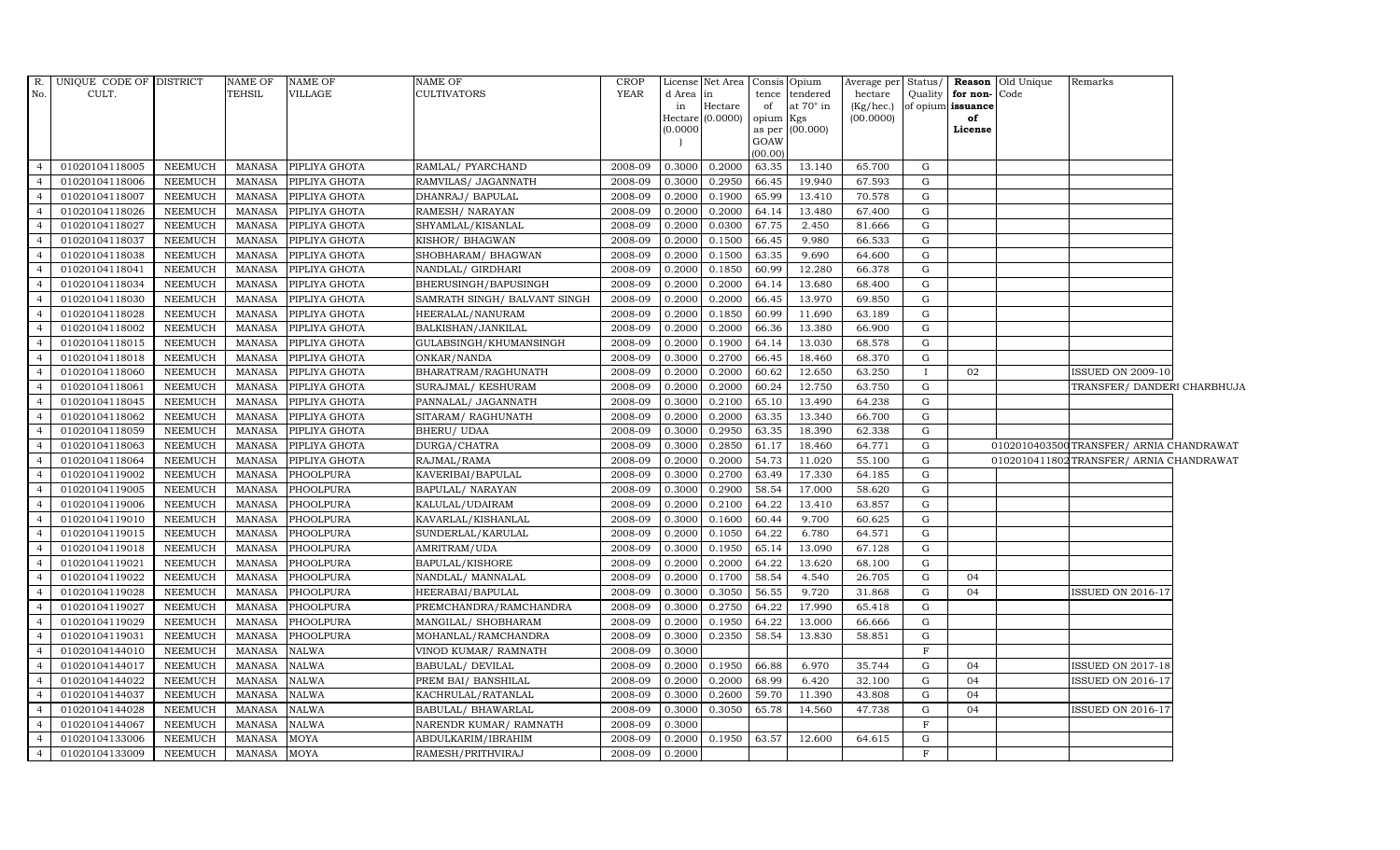| R.<br>No.      | UNIQUE CODE OF DISTRICT<br>CULT. |                | <b>NAME OF</b><br>TEHSIL | <b>NAME OF</b><br>VILLAGE | NAME OF<br><b>CULTIVATORS</b> | <b>CROP</b><br><b>YEAR</b> | d Area<br>in | License Net Area   Consis   Opium<br>$\ln$<br>Hectare<br>Hectare (0.0000) | of<br>opium Kgs | tence tendered<br>at $70^\circ$ in | Average per Status/<br>hectare<br>(Kg/hec.)<br>(00.0000) | Quality      | for non-<br>of opium issuance<br>of | <b>Reason</b> Old Unique<br>Code | Remarks                                  |  |
|----------------|----------------------------------|----------------|--------------------------|---------------------------|-------------------------------|----------------------------|--------------|---------------------------------------------------------------------------|-----------------|------------------------------------|----------------------------------------------------------|--------------|-------------------------------------|----------------------------------|------------------------------------------|--|
|                |                                  |                |                          |                           |                               |                            | (0.0000)     |                                                                           | GOAW<br>(00.00) | as per (00.000)                    |                                                          |              | License                             |                                  |                                          |  |
| $\overline{4}$ | 01020104118005                   | NEEMUCH        | MANASA                   | PIPLIYA GHOTA             | RAMLAL/ PYARCHAND             | 2008-09                    | 0.3000       | 0.2000                                                                    | 63.35           | 13.140                             | 65.700                                                   | G            |                                     |                                  |                                          |  |
| $\overline{4}$ | 01020104118006                   | NEEMUCH        | MANASA                   | PIPLIYA GHOTA             | RAMVILAS/ JAGANNATH           | 2008-09                    | 0.3000       | 0.2950                                                                    | 66.45           | 19.940                             | 67.593                                                   | G            |                                     |                                  |                                          |  |
| $\overline{4}$ | 01020104118007                   | NEEMUCH        | <b>MANASA</b>            | PIPLIYA GHOTA             | DHANRAJ/ BAPULAL              | 2008-09                    | 0.2000       | 0.1900                                                                    | 65.99           | 13.410                             | 70.578                                                   | G            |                                     |                                  |                                          |  |
| $\overline{4}$ | 01020104118026                   | NEEMUCH        | <b>MANASA</b>            | PIPLIYA GHOTA             | RAMESH/ NARAYAN               | 2008-09                    | 0.2000       | 0.2000                                                                    | 64.14           | 13.480                             | 67.400                                                   | G            |                                     |                                  |                                          |  |
| $\overline{4}$ | 01020104118027                   | <b>NEEMUCH</b> | <b>MANASA</b>            | PIPLIYA GHOTA             | SHYAMLAL/KISANLAL             | 2008-09                    | 0.2000       | 0.0300                                                                    | 67.75           | 2.450                              | 81.666                                                   | G            |                                     |                                  |                                          |  |
| $\overline{4}$ | 01020104118037                   | <b>NEEMUCH</b> | <b>MANASA</b>            | PIPLIYA GHOTA             | KISHOR/ BHAGWAN               | 2008-09                    | 0.2000       | 0.1500                                                                    | 66.45           | 9.980                              | 66.533                                                   | G            |                                     |                                  |                                          |  |
| $\overline{4}$ | 01020104118038                   | <b>NEEMUCH</b> | <b>MANASA</b>            | PIPLIYA GHOTA             | SHOBHARAM / BHAGWAN           | 2008-09                    | 0.2000       | 0.1500                                                                    | 63.35           | 9.690                              | 64.600                                                   | G            |                                     |                                  |                                          |  |
| $\overline{4}$ | 01020104118041                   | NEEMUCH        | MANASA                   | PIPLIYA GHOTA             | NANDLAL/ GIRDHARI             | 2008-09                    | 0.2000       | 0.1850                                                                    | 60.99           | 12.280                             | 66.378                                                   | G            |                                     |                                  |                                          |  |
| $\overline{4}$ | 01020104118034                   | <b>NEEMUCH</b> | <b>MANASA</b>            | PIPLIYA GHOTA             | BHERUSINGH/BAPUSINGH          | 2008-09                    | 0.2000       | 0.2000                                                                    | 64.14           | 13.680                             | 68.400                                                   | G            |                                     |                                  |                                          |  |
| $\overline{4}$ | 01020104118030                   | <b>NEEMUCH</b> | <b>MANASA</b>            | PIPLIYA GHOTA             | SAMRATH SINGH / BALVANT SINGH | 2008-09                    | 0.2000       | 0.2000                                                                    | 66.45           | 13.970                             | 69.850                                                   | G            |                                     |                                  |                                          |  |
| $\overline{4}$ | 01020104118028                   | NEEMUCH        | <b>MANASA</b>            | PIPLIYA GHOTA             | HEERALAL/NANURAM              | 2008-09                    | 0.2000       | 0.1850                                                                    | 60.99           | 11.690                             | 63.189                                                   | G            |                                     |                                  |                                          |  |
| $\overline{4}$ | 01020104118002                   | NEEMUCH        | MANASA                   | PIPLIYA GHOTA             | BALKISHAN/JANKILAL            | 2008-09                    | 0.2000       | 0.2000                                                                    | 66.36           | 13.380                             | 66.900                                                   | G            |                                     |                                  |                                          |  |
| $\overline{4}$ | 01020104118015                   | NEEMUCH        | <b>MANASA</b>            | PIPLIYA GHOTA             | GULABSINGH/KHUMANSINGH        | 2008-09                    | 0.2000       | 0.1900                                                                    | 64.14           | 13.030                             | 68.578                                                   | G            |                                     |                                  |                                          |  |
| $\overline{4}$ | 01020104118018                   | NEEMUCH        | <b>MANASA</b>            | PIPLIYA GHOTA             | ONKAR/NANDA                   | 2008-09                    | 0.3000       | 0.2700                                                                    | 66.45           | 18.460                             | 68.370                                                   | G            |                                     |                                  |                                          |  |
|                | 01020104118060                   | <b>NEEMUCH</b> | <b>MANASA</b>            | PIPLIYA GHOTA             | BHARATRAM/RAGHUNATH           | 2008-09                    | 0.2000       | 0.2000                                                                    | 60.62           | 12.650                             | 63.250                                                   | $\mathbf{I}$ | 02                                  |                                  | <b>ISSUED ON 2009-10</b>                 |  |
| $\overline{4}$ | 01020104118061                   | NEEMUCH        | <b>MANASA</b>            | PIPLIYA GHOTA             | SURAJMAL/ KESHURAM            | 2008-09                    | 0.2000       | 0.2000                                                                    | 60.24           | 12.750                             | 63.750                                                   | G            |                                     |                                  | TRANSFER/DANDERI CHARBHUJA               |  |
| $\overline{4}$ | 01020104118045                   | NEEMUCH        | <b>MANASA</b>            | PIPLIYA GHOTA             | PANNALAL/ JAGANNATH           | 2008-09                    | 0.3000       | 0.2100                                                                    | 65.10           | 13.490                             | 64.238                                                   | G            |                                     |                                  |                                          |  |
| $\overline{4}$ | 01020104118062                   | NEEMUCH        | <b>MANASA</b>            | PIPLIYA GHOTA             | SITARAM/RAGHUNATH             | 2008-09                    | 0.2000       | 0.2000                                                                    | 63.35           | 13.340                             | 66.700                                                   | G            |                                     |                                  |                                          |  |
| $\overline{4}$ | 01020104118059                   | NEEMUCH        | <b>MANASA</b>            | PIPLIYA GHOTA             | BHERU/ UDAA                   | 2008-09                    | 0.3000       | 0.2950                                                                    | 63.35           | 18.390                             | 62.338                                                   | G            |                                     |                                  |                                          |  |
|                | 01020104118063                   | <b>NEEMUCH</b> | <b>MANASA</b>            | PIPLIYA GHOTA             | DURGA/CHATRA                  | 2008-09                    | 0.3000       | 0.2850                                                                    | 61.17           | 18.460                             | 64.771                                                   | G            |                                     |                                  | 0102010403500TRANSFER/ ARNIA CHANDRAWAT  |  |
| $\overline{4}$ | 01020104118064                   | <b>NEEMUCH</b> | <b>MANASA</b>            | PIPLIYA GHOTA             | RAJMAL/RAMA                   | 2008-09                    | 0.2000       | 0.2000                                                                    | 54.73           | 11.020                             | 55.100                                                   | G            |                                     |                                  | 0102010411802 TRANSFER/ ARNIA CHANDRAWAT |  |
| $\overline{4}$ | 01020104119002                   | <b>NEEMUCH</b> | <b>MANASA</b>            | PHOOLPURA                 | KAVERIBAI/BAPULAL             | 2008-09                    | 0.3000       | 0.2700                                                                    | 63.49           | 17.330                             | 64.185                                                   | G            |                                     |                                  |                                          |  |
| $\overline{4}$ | 01020104119005                   | NEEMUCH        | <b>MANASA</b>            | PHOOLPURA                 | BAPULAL/ NARAYAN              | 2008-09                    | 0.3000       | 0.2900                                                                    | 58.54           | 17.000                             | 58.620                                                   | G            |                                     |                                  |                                          |  |
| $\overline{a}$ | 01020104119006                   | NEEMUCH        | MANASA                   | PHOOLPURA                 | KALULAL/UDAIRAM               | 2008-09                    | 0.2000       | 0.2100                                                                    | 64.22           | 13.410                             | 63.857                                                   | G            |                                     |                                  |                                          |  |
| $\overline{4}$ | 01020104119010                   | <b>NEEMUCH</b> | <b>MANASA</b>            | PHOOLPURA                 | KAVARLAL/KISHANLAL            | 2008-09                    | 0.3000       | 0.1600                                                                    | 60.44           | 9.700                              | 60.625                                                   | G            |                                     |                                  |                                          |  |
| $\overline{4}$ | 01020104119015                   | <b>NEEMUCH</b> | <b>MANASA</b>            | PHOOLPURA                 | SUNDERLAL/KARULAL             | 2008-09                    | 0.2000       | 0.1050                                                                    | 64.22           | 6.780                              | 64.571                                                   | G            |                                     |                                  |                                          |  |
| $\overline{4}$ | 01020104119018                   | NEEMUCH        | <b>MANASA</b>            | PHOOLPURA                 | AMRITRAM/UDA                  | 2008-09                    | 0.3000       | 0.1950                                                                    | 65.14           | 13.090                             | 67.128                                                   | G            |                                     |                                  |                                          |  |
| $\overline{4}$ | 01020104119021                   | NEEMUCH        | <b>MANASA</b>            | PHOOLPURA                 | BAPULAL/KISHORE               | 2008-09                    | 0.2000       | 0.2000                                                                    | 64.22           | 13.620                             | 68.100                                                   | G            |                                     |                                  |                                          |  |
| $\overline{4}$ | 01020104119022                   | <b>NEEMUCH</b> | <b>MANASA</b>            | PHOOLPURA                 | NANDLAL/MANNALAL              | 2008-09                    | 0.2000       | 0.1700                                                                    | 58.54           | 4.540                              | 26.705                                                   | G            | 04                                  |                                  |                                          |  |
| $\overline{4}$ | 01020104119028                   | <b>NEEMUCH</b> | <b>MANASA</b>            | PHOOLPURA                 | HEERABAI/BAPULAL              | 2008-09                    | 0.3000       | 0.3050                                                                    | 56.55           | 9.720                              | 31.868                                                   | G            | 04                                  |                                  | <b>ISSUED ON 2016-17</b>                 |  |
| $\overline{4}$ | 01020104119027                   | <b>NEEMUCH</b> | <b>MANASA</b>            | PHOOLPURA                 | PREMCHANDRA/RAMCHANDRA        | 2008-09                    | 0.3000       | 0.2750                                                                    | 64.22           | 17.990                             | 65.418                                                   | G            |                                     |                                  |                                          |  |
| $\overline{4}$ | 01020104119029                   | <b>NEEMUCH</b> | <b>MANASA</b>            | PHOOLPURA                 | MANGILAL/ SHOBHARAM           | 2008-09                    | 0.2000       | 0.1950                                                                    | 64.22           | 13.000                             | 66.666                                                   | G            |                                     |                                  |                                          |  |
| $\overline{4}$ | 01020104119031                   | <b>NEEMUCH</b> | <b>MANASA</b>            | PHOOLPURA                 | MOHANLAL/RAMCHANDRA           | 2008-09                    | 0.3000       | 0.2350                                                                    | 58.54           | 13.830                             | 58.851                                                   | G            |                                     |                                  |                                          |  |
| $\overline{4}$ | 01020104144010                   | NEEMUCH        | <b>MANASA</b>            | $\operatorname{NALWA}$    | VINOD KUMAR/ RAMNATH          | 2008-09                    | 0.3000       |                                                                           |                 |                                    |                                                          | F            |                                     |                                  |                                          |  |
| $\overline{4}$ | 01020104144017                   | <b>NEEMUCH</b> | <b>MANASA</b>            | <b>NALWA</b>              | <b>BABULAL/ DEVILAL</b>       | 2008-09                    | 0.2000       | 0.1950                                                                    | 66.88           | 6.970                              | 35.744                                                   | G            | 04                                  |                                  | <b>ISSUED ON 2017-18</b>                 |  |
| $\overline{4}$ | 01020104144022                   | <b>NEEMUCH</b> | <b>MANASA</b>            | <b>NALWA</b>              | PREM BAI/ BANSHILAL           | 2008-09                    | 0.2000       | 0.2000                                                                    | 68.99           | 6.420                              | 32.100                                                   | G            | 04                                  |                                  | <b>ISSUED ON 2016-17</b>                 |  |
| $\overline{4}$ | 01020104144037                   | <b>NEEMUCH</b> | <b>MANASA</b>            | <b>NALWA</b>              | KACHRULAL/RATANLAL            | 2008-09                    | 0.3000       | 0.2600                                                                    | 59.70           | 11.390                             | 43.808                                                   | G            | 04                                  |                                  |                                          |  |
| $\overline{4}$ | 01020104144028                   | <b>NEEMUCH</b> | <b>MANASA</b>            | <b>NALWA</b>              | BABULAL/ BHAWARLAL            | 2008-09                    | 0.3000       | 0.3050                                                                    | 65.78           | 14.560                             | 47.738                                                   | G            | 04                                  |                                  | <b>ISSUED ON 2016-17</b>                 |  |
| $\overline{4}$ | 01020104144067                   | <b>NEEMUCH</b> | <b>MANASA</b>            | <b>NALWA</b>              | NARENDR KUMAR/ RAMNATH        | 2008-09                    | 0.3000       |                                                                           |                 |                                    |                                                          | F            |                                     |                                  |                                          |  |
| $\overline{4}$ | 01020104133006                   | NEEMUCH        | <b>MANASA</b>            | <b>MOYA</b>               | ABDULKARIM/IBRAHIM            | 2008-09                    | 0.2000       | 0.1950                                                                    | 63.57           | 12.600                             | 64.615                                                   | G            |                                     |                                  |                                          |  |
| $\overline{4}$ | 01020104133009                   | NEEMUCH        | MANASA                   | <b>MOYA</b>               | RAMESH/PRITHVIRAJ             | 2008-09                    | 0.2000       |                                                                           |                 |                                    |                                                          | F            |                                     |                                  |                                          |  |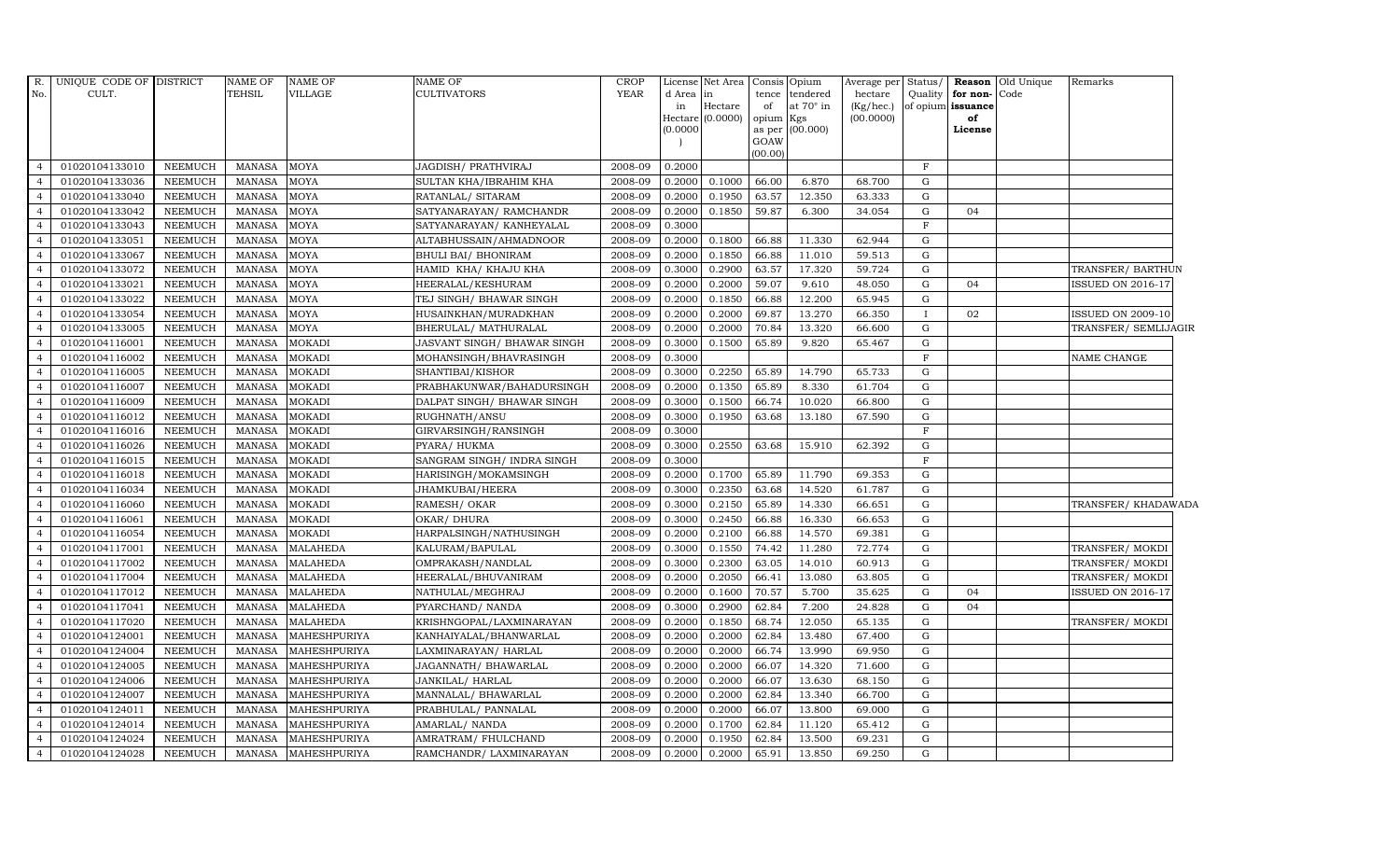| R.             | UNIQUE CODE OF DISTRICT |                | <b>NAME OF</b> | <b>NAME OF</b>  | NAME OF                     | <b>CROP</b> |           | License Net Area Consis Opium |         |                  | Average per Status/ |              |                   | Reason Old Unique | Remarks                  |
|----------------|-------------------------|----------------|----------------|-----------------|-----------------------------|-------------|-----------|-------------------------------|---------|------------------|---------------------|--------------|-------------------|-------------------|--------------------------|
| No.            | CULT.                   |                | <b>TEHSIL</b>  | VILLAGE         | <b>CULTIVATORS</b>          | <b>YEAR</b> | d Area in |                               | tence   | tendered         | hectare             | Quality      | for non-Code      |                   |                          |
|                |                         |                |                |                 |                             |             | in        | Hectare                       | of      | at $70^\circ$ in | (Kg/hec.)           |              | of opium issuance |                   |                          |
|                |                         |                |                |                 |                             |             |           | Hectare (0.0000)              | opium   | Kgs              | (00.0000)           |              | of                |                   |                          |
|                |                         |                |                |                 |                             |             | (0.0000)  |                               | GOAW    | as per (00.000)  |                     |              | License           |                   |                          |
|                |                         |                |                |                 |                             |             |           |                               | (00.00) |                  |                     |              |                   |                   |                          |
| $\overline{4}$ | 01020104133010          | <b>NEEMUCH</b> | <b>MANASA</b>  | <b>MOYA</b>     | JAGDISH/ PRATHVIRAJ         | 2008-09     | 0.2000    |                               |         |                  |                     | F            |                   |                   |                          |
| $\overline{4}$ | 01020104133036          | <b>NEEMUCH</b> | <b>MANASA</b>  | <b>MOYA</b>     | SULTAN KHA/IBRAHIM KHA      | 2008-09     | 0.2000    | 0.1000                        | 66.00   | 6.870            | 68.700              | G            |                   |                   |                          |
|                | 01020104133040          | <b>NEEMUCH</b> | <b>MANASA</b>  | MOYA            | RATANLAL/ SITARAM           | 2008-09     | 0.2000    | 0.1950                        | 63.57   | 12.350           | 63.333              | G            |                   |                   |                          |
|                | 01020104133042          | <b>NEEMUCH</b> | <b>MANASA</b>  | MOYA            | SATYANARAYAN/ RAMCHANDR     | 2008-09     | 0.2000    | 0.1850                        | 59.87   | 6.300            | 34.054              | G            | 04                |                   |                          |
| 4              | 01020104133043          | <b>NEEMUCH</b> | <b>MANASA</b>  | MOYA            | SATYANARAYAN/ KANHEYALAL    | 2008-09     | 0.3000    |                               |         |                  |                     | $\mathbf F$  |                   |                   |                          |
| $\overline{4}$ | 01020104133051          | <b>NEEMUCH</b> | <b>MANASA</b>  | MOYA            | ALTABHUSSAIN/AHMADNOOR      | 2008-09     | 0.2000    | 0.1800                        | 66.88   | 11.330           | 62.944              | G            |                   |                   |                          |
| $\overline{4}$ | 01020104133067          | <b>NEEMUCH</b> | <b>MANASA</b>  | MOYA            | <b>BHULI BAI/ BHONIRAM</b>  | 2008-09     | 0.2000    | 0.1850                        | 66.88   | 11.010           | 59.513              | G            |                   |                   |                          |
|                | 01020104133072          | <b>NEEMUCH</b> | <b>MANASA</b>  | MOYA            | HAMID KHA/ KHAJU KHA        | 2008-09     | 0.3000    | 0.2900                        | 63.57   | 17.320           | 59.724              | G            |                   |                   | TRANSFER/ BARTHUN        |
|                | 01020104133021          | <b>NEEMUCH</b> | <b>MANASA</b>  | MOYA            | HEERALAL/KESHURAM           | 2008-09     | 0.2000    | 0.2000                        | 59.07   | 9.610            | 48.050              | G            | 04                |                   | ISSUED ON 2016-17        |
|                | 01020104133022          | <b>NEEMUCH</b> | <b>MANASA</b>  | MOYA            | TEJ SINGH/ BHAWAR SINGH     | 2008-09     | 0.2000    | 0.1850                        | 66.88   | 12.200           | 65.945              | G            |                   |                   |                          |
| 4              | 01020104133054          | <b>NEEMUCH</b> | <b>MANASA</b>  | MOYA            | HUSAINKHAN/MURADKHAN        | 2008-09     | 0.2000    | 0.2000                        | 69.87   | 13.270           | 66.350              |              | 02                |                   | ISSUED ON 2009-10        |
| $\overline{4}$ | 01020104133005          | <b>NEEMUCH</b> | <b>MANASA</b>  | MOYA            | BHERULAL/ MATHURALAL        | 2008-09     | 0.2000    | 0.2000                        | 70.84   | 13.320           | 66.600              | G            |                   |                   | TRANSFER/ SEMLIJAGIR     |
| $\overline{4}$ | 01020104116001          | <b>NEEMUCH</b> | <b>MANASA</b>  | <b>MOKADI</b>   | JASVANT SINGH/ BHAWAR SINGH | 2008-09     | 0.3000    | 0.1500                        | 65.89   | 9.820            | 65.467              | G            |                   |                   |                          |
|                | 01020104116002          | <b>NEEMUCH</b> | <b>MANASA</b>  | <b>MOKADI</b>   | MOHANSINGH/BHAVRASINGH      | 2008-09     | 0.3000    |                               |         |                  |                     | $\mathbf{F}$ |                   |                   | NAME CHANGE              |
|                | 01020104116005          | <b>NEEMUCH</b> | <b>MANASA</b>  | <b>MOKADI</b>   | SHANTIBAI/KISHOR            | 2008-09     | 0.3000    | 0.2250                        | 65.89   | 14.790           | 65.733              | ${\rm G}$    |                   |                   |                          |
| $\overline{4}$ | 01020104116007          | <b>NEEMUCH</b> | <b>MANASA</b>  | <b>MOKADI</b>   | PRABHAKUNWAR/BAHADURSINGH   | 2008-09     | 0.2000    | 0.1350                        | 65.89   | 8.330            | 61.704              | G            |                   |                   |                          |
| $\overline{4}$ | 01020104116009          | <b>NEEMUCH</b> | <b>MANASA</b>  | <b>MOKADI</b>   | DALPAT SINGH/ BHAWAR SINGH  | 2008-09     | 0.3000    | 0.1500                        | 66.74   | 10.020           | 66.800              | G            |                   |                   |                          |
| $\overline{4}$ | 01020104116012          | <b>NEEMUCH</b> | <b>MANASA</b>  | <b>MOKADI</b>   | RUGHNATH/ANSU               | 2008-09     | 0.3000    | 0.1950                        | 63.68   | 13.180           | 67.590              | G            |                   |                   |                          |
|                | 01020104116016          | <b>NEEMUCH</b> | <b>MANASA</b>  | <b>MOKADI</b>   | GIRVARSINGH/RANSINGH        | 2008-09     | 0.3000    |                               |         |                  |                     | $\mathbf F$  |                   |                   |                          |
|                | 01020104116026          | <b>NEEMUCH</b> | <b>MANASA</b>  | <b>MOKADI</b>   | PYARA/ HUKMA                | 2008-09     | 0.3000    | 0.2550                        | 63.68   | 15.910           | 62.392              | G            |                   |                   |                          |
| $\overline{4}$ | 01020104116015          | <b>NEEMUCH</b> | <b>MANASA</b>  | <b>MOKADI</b>   | SANGRAM SINGH/ INDRA SINGH  | 2008-09     | 0.3000    |                               |         |                  |                     | $\mathbf F$  |                   |                   |                          |
| $\overline{4}$ | 01020104116018          | <b>NEEMUCH</b> | MANASA         | <b>MOKADI</b>   | HARISINGH/MOKAMSINGH        | 2008-09     | 0.2000    | 0.1700                        | 65.89   | 11.790           | 69.353              | G            |                   |                   |                          |
| $\overline{4}$ | 01020104116034          | <b>NEEMUCH</b> | <b>MANASA</b>  | <b>MOKADI</b>   | JHAMKUBAI/HEERA             | 2008-09     | 0.3000    | 0.2350                        | 63.68   | 14.520           | 61.787              | G            |                   |                   |                          |
|                | 01020104116060          | <b>NEEMUCH</b> | <b>MANASA</b>  | <b>MOKADI</b>   | RAMESH/OKAR                 | 2008-09     | 0.3000    | 0.2150                        | 65.89   | 14.330           | 66.651              | G            |                   |                   | TRANSFER/ KHADAWADA      |
|                | 01020104116061          | <b>NEEMUCH</b> | <b>MANASA</b>  | <b>MOKADI</b>   | OKAR/ DHURA                 | 2008-09     | 0.3000    | 0.2450                        | 66.88   | 16.330           | 66.653              | G            |                   |                   |                          |
| 4              | 01020104116054          | <b>NEEMUCH</b> | <b>MANASA</b>  | <b>MOKADI</b>   | HARPALSINGH/NATHUSINGH      | 2008-09     | 0.2000    | 0.2100                        | 66.88   | 14.570           | 69.381              | G            |                   |                   |                          |
| $\overline{4}$ | 01020104117001          | <b>NEEMUCH</b> | <b>MANASA</b>  | <b>MALAHEDA</b> | KALURAM/BAPULAL             | 2008-09     | 0.3000    | 0.1550                        | 74.42   | 11.280           | 72.774              | G            |                   |                   | TRANSFER/ MOKDI          |
| $\overline{4}$ | 01020104117002          | <b>NEEMUCH</b> | <b>MANASA</b>  | <b>MALAHEDA</b> | OMPRAKASH/NANDLAL           | 2008-09     | 0.3000    | 0.2300                        | 63.05   | 14.010           | 60.913              | G            |                   |                   | TRANSFER/ MOKDI          |
| $\overline{4}$ | 01020104117004          | <b>NEEMUCH</b> | <b>MANASA</b>  | <b>MALAHEDA</b> | HEERALAL/BHUVANIRAM         | 2008-09     | 0.2000    | 0.2050                        | 66.41   | 13.080           | 63.805              | G            |                   |                   | TRANSFER/ MOKDI          |
|                | 01020104117012          | <b>NEEMUCH</b> | <b>MANASA</b>  | <b>MALAHEDA</b> | NATHULAL/MEGHRAJ            | 2008-09     | 0.2000    | 0.1600                        | 70.57   | 5.700            | 35.625              | G            | 04                |                   | <b>ISSUED ON 2016-17</b> |
|                | 01020104117041          | <b>NEEMUCH</b> | <b>MANASA</b>  | <b>MALAHEDA</b> | PYARCHAND/ NANDA            | 2008-09     | 0.3000    | 0.2900                        | 62.84   | 7.200            | 24.828              | G            | 04                |                   |                          |
| $\overline{a}$ | 01020104117020          | <b>NEEMUCH</b> | <b>MANASA</b>  | MALAHEDA        | KRISHNGOPAL/LAXMINARAYAN    | 2008-09     | 0.2000    | 0.1850                        | 68.74   | 12.050           | 65.135              | G            |                   |                   | TRANSFER/ MOKDI          |
| $\overline{4}$ | 01020104124001          | <b>NEEMUCH</b> | <b>MANASA</b>  | MAHESHPURIYA    | KANHAIYALAL/BHANWARLAL      | 2008-09     | 0.2000    | 0.2000                        | 62.84   | 13.480           | 67.400              | G            |                   |                   |                          |
| $\overline{4}$ | 01020104124004          | <b>NEEMUCH</b> | <b>MANASA</b>  | MAHESHPURIYA    | LAXMINARAYAN / HARLAL       | 2008-09     | 0.2000    | 0.2000                        | 66.74   | 13.990           | 69.950              | G            |                   |                   |                          |
|                | 01020104124005          | <b>NEEMUCH</b> | <b>MANASA</b>  | MAHESHPURIYA    | JAGANNATH/ BHAWARLAL        | 2008-09     | 0.2000    | 0.2000                        | 66.07   | 14.320           | 71.600              | G            |                   |                   |                          |
|                | 01020104124006          | <b>NEEMUCH</b> | <b>MANASA</b>  | MAHESHPURIYA    | JANKILAL/HARLAL             | 2008-09     | 0.2000    | 0.2000                        | 66.07   | 13.630           | 68.150              | G            |                   |                   |                          |
| 4              | 01020104124007          | <b>NEEMUCH</b> | <b>MANASA</b>  | MAHESHPURIYA    | MANNALAL/ BHAWARLAL         | 2008-09     | 0.2000    | 0.2000                        | 62.84   | 13.340           | 66.700              | G            |                   |                   |                          |
| $\overline{4}$ | 01020104124011          | <b>NEEMUCH</b> | <b>MANASA</b>  | MAHESHPURIYA    | PRABHULAL/ PANNALAL         | 2008-09     | 0.2000    | 0.2000                        | 66.07   | 13.800           | 69.000              | G            |                   |                   |                          |
| $\overline{4}$ | 01020104124014          | <b>NEEMUCH</b> | <b>MANASA</b>  | MAHESHPURIYA    | AMARLAL/ NANDA              | 2008-09     | 0.2000    | 0.1700                        | 62.84   | 11.120           | 65.412              | G            |                   |                   |                          |
|                | 01020104124024          | <b>NEEMUCH</b> | <b>MANASA</b>  | MAHESHPURIYA    | AMRATRAM / FHULCHAND        | 2008-09     | 0.2000    | 0.1950                        | 62.84   | 13.500           | 69.231              | G            |                   |                   |                          |
| $\overline{4}$ | 01020104124028          | <b>NEEMUCH</b> | <b>MANASA</b>  | MAHESHPURIYA    | RAMCHANDR/ LAXMINARAYAN     | 2008-09     | 0.2000    | 0.2000                        | 65.91   | 13.850           | 69.250              | G            |                   |                   |                          |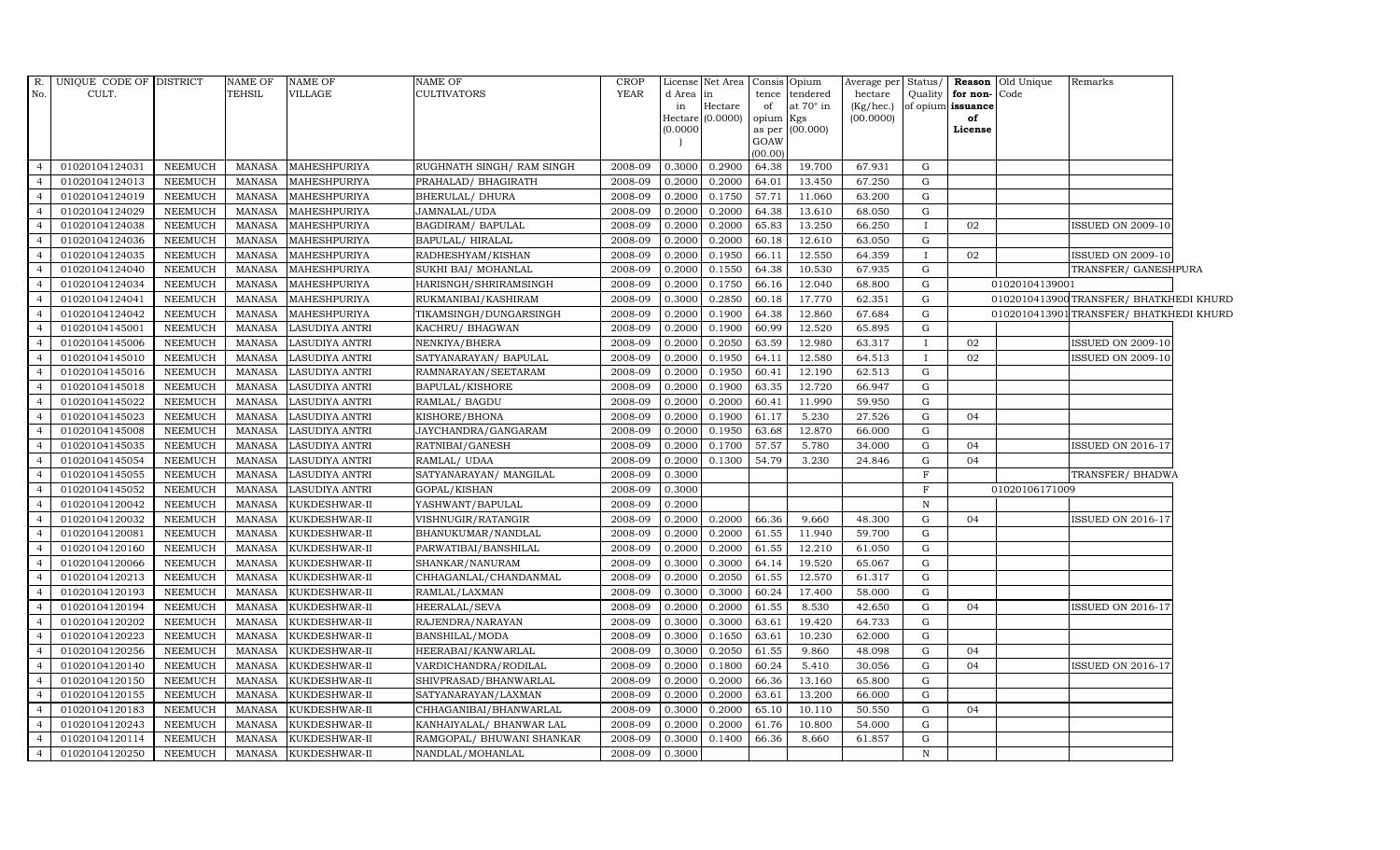| R.<br>No.      | UNIQUE CODE OF DISTRICT<br>CULT. |                    | NAME OF<br>TEHSIL | NAME OF<br>VILLAGE           | <b>NAME OF</b><br><b>CULTIVATORS</b>              | CROP<br><b>YEAR</b> | d Area in        | License Net Area   Consis   Opium | tence           | tendered         | Average per Status/<br>hectare | Quality      | for non-Code            | <b>Reason</b> Old Unique | Remarks                                 |  |
|----------------|----------------------------------|--------------------|-------------------|------------------------------|---------------------------------------------------|---------------------|------------------|-----------------------------------|-----------------|------------------|--------------------------------|--------------|-------------------------|--------------------------|-----------------------------------------|--|
|                |                                  |                    |                   |                              |                                                   |                     | in               | Hectare<br>Hectare (0.0000)       | of<br>opium Kgs | at 70° in        | (Kg/hec.)<br>(00.0000)         |              | of opium issuance<br>of |                          |                                         |  |
|                |                                  |                    |                   |                              |                                                   |                     | (0.0000)         |                                   |                 | as per (00.000)  |                                |              | License                 |                          |                                         |  |
|                |                                  |                    |                   |                              |                                                   |                     |                  |                                   | GOAW            |                  |                                |              |                         |                          |                                         |  |
| $\overline{4}$ |                                  |                    |                   |                              |                                                   |                     |                  |                                   | (00.00)         |                  |                                |              |                         |                          |                                         |  |
| $\overline{4}$ | 01020104124031<br>01020104124013 | NEEMUCH<br>NEEMUCH | MANASA<br>MANASA  | MAHESHPURIYA<br>MAHESHPURIYA | RUGHNATH SINGH / RAM SINGH<br>PRAHALAD/ BHAGIRATH | 2008-09<br>2008-09  | 0.3000<br>0.2000 | 0.2900<br>0.2000                  | 64.38<br>64.01  | 19.700<br>13.450 | 67.931<br>67.250               | G<br>G       |                         |                          |                                         |  |
| $\overline{4}$ | 01020104124019                   | <b>NEEMUCH</b>     | <b>MANASA</b>     | MAHESHPURIYA                 | BHERULAL/ DHURA                                   | 2008-09             | 0.2000           | 0.1750                            | 57.71           | 11.060           | 63.200                         | G            |                         |                          |                                         |  |
| $\overline{4}$ | 01020104124029                   | <b>NEEMUCH</b>     | MANASA            | MAHESHPURIYA                 | JAMNALAL/UDA                                      | 2008-09             | 0.2000           | 0.2000                            | 64.38           | 13.610           | 68.050                         | G            |                         |                          |                                         |  |
| $\overline{4}$ | 01020104124038                   | <b>NEEMUCH</b>     | MANASA            | MAHESHPURIYA                 | BAGDIRAM/ BAPULAL                                 | 2008-09             | 0.2000           | 0.2000                            | 65.83           | 13.250           | 66.250                         |              | 02                      |                          | ISSUED ON 2009-10                       |  |
| $\overline{4}$ | 01020104124036                   | <b>NEEMUCH</b>     | <b>MANASA</b>     | MAHESHPURIYA                 | BAPULAL/HIRALAL                                   | 2008-09             | 0.2000           | 0.2000                            | 60.18           | 12.610           | 63.050                         | G            |                         |                          |                                         |  |
| $\overline{4}$ | 01020104124035                   | NEEMUCH            | MANASA            | MAHESHPURIYA                 | RADHESHYAM/KISHAN                                 | 2008-09             | 0.2000           | 0.1950                            | 66.11           | 12.550           | 64.359                         |              | 02                      |                          | <b>ISSUED ON 2009-10</b>                |  |
| $\overline{4}$ | 01020104124040                   | NEEMUCH            | <b>MANASA</b>     | MAHESHPURIYA                 | SUKHI BAI/ MOHANLAL                               | 2008-09             | 0.2000           | 0.1550                            | 64.38           | 10.530           | 67.935                         | G            |                         |                          | TRANSFER/ GANESHPURA                    |  |
| $\overline{4}$ | 01020104124034                   | <b>NEEMUCH</b>     | <b>MANASA</b>     | MAHESHPURIYA                 | HARISNGH/SHRIRAMSINGH                             | 2008-09             | 0.2000           | 0.1750                            | 66.16           | 12.040           | 68.800                         | G            |                         | 01020104139001           |                                         |  |
|                | 01020104124041                   | NEEMUCH            | <b>MANASA</b>     | MAHESHPURIYA                 | RUKMANIBAI/KASHIRAM                               | 2008-09             | 0.3000           | 0.2850                            | 60.18           | 17.770           | 62.351                         | ${\rm G}$    |                         |                          | 0102010413900 TRANSFER/ BHATKHEDI KHURD |  |
| $\overline{4}$ | 01020104124042                   | NEEMUCH            | MANASA            | MAHESHPURIYA                 | TIKAMSINGH/DUNGARSINGH                            | 2008-09             | 0.2000           | 0.1900                            | 64.38           | 12.860           | 67.684                         | G            |                         |                          | 0102010413901 TRANSFER/ BHATKHEDI KHURD |  |
| $\overline{4}$ | 01020104145001                   | NEEMUCH            | MANASA            | LASUDIYA ANTRI               | KACHRU/ BHAGWAN                                   | 2008-09             | 0.2000           | 0.1900                            | 60.99           | 12.520           | 65.895                         | G            |                         |                          |                                         |  |
| $\overline{4}$ | 01020104145006                   | <b>NEEMUCH</b>     | <b>MANASA</b>     | LASUDIYA ANTRI               | NENKIYA/BHERA                                     | 2008-09             | 0.2000           | 0.2050                            | 63.59           | 12.980           | 63.317                         |              | 02                      |                          | ISSUED ON 2009-10                       |  |
| $\overline{4}$ | 01020104145010                   | <b>NEEMUCH</b>     | <b>MANASA</b>     | LASUDIYA ANTRI               | SATYANARAYAN/ BAPULAL                             | 2008-09             | 0.2000           | 0.1950                            | 64.11           | 12.580           | 64.513                         | $\mathbf{I}$ | 02                      |                          | <b>ISSUED ON 2009-10</b>                |  |
|                | 01020104145016                   | <b>NEEMUCH</b>     | <b>MANASA</b>     | LASUDIYA ANTRI               | RAMNARAYAN/SEETARAM                               | 2008-09             | 0.2000           | 0.1950                            | 60.41           | 12.190           | 62.513                         | G            |                         |                          |                                         |  |
| $\overline{4}$ | 01020104145018                   | <b>NEEMUCH</b>     | <b>MANASA</b>     | LASUDIYA ANTRI               | BAPULAL/KISHORE                                   | 2008-09             | 0.2000           | 0.1900                            | 63.35           | 12.720           | 66.947                         | G            |                         |                          |                                         |  |
| $\overline{4}$ | 01020104145022                   | NEEMUCH            | MANASA            | <b>LASUDIYA ANTRI</b>        | RAMLAL/ BAGDU                                     | 2008-09             | 0.2000           | 0.2000                            | 60.41           | 11.990           | 59.950                         | G            |                         |                          |                                         |  |
| $\overline{4}$ | 01020104145023                   | NEEMUCH            | <b>MANASA</b>     | LASUDIYA ANTRI               | KISHORE/BHONA                                     | 2008-09             | 0.2000           | 0.1900                            | 61.17           | 5.230            | 27.526                         | G            | 04                      |                          |                                         |  |
| $\overline{4}$ | 01020104145008                   | <b>NEEMUCH</b>     | <b>MANASA</b>     | LASUDIYA ANTRI               | JAYCHANDRA/GANGARAM                               | 2008-09             | 0.2000           | 0.1950                            | 63.68           | 12.870           | 66.000                         | G            |                         |                          |                                         |  |
|                | 01020104145035                   | <b>NEEMUCH</b>     | <b>MANASA</b>     | LASUDIYA ANTRI               | RATNIBAI/GANESH                                   | 2008-09             | 0.2000           | 0.1700                            | 57.57           | 5.780            | 34.000                         | G            | 04                      |                          | <b>ISSUED ON 2016-17</b>                |  |
| $\overline{4}$ | 01020104145054                   | NEEMUCH            | <b>MANASA</b>     | LASUDIYA ANTRI               | RAMLAL/ UDAA                                      | 2008-09             | 0.2000           | 0.1300                            | 54.79           | 3.230            | 24.846                         | G            | 04                      |                          |                                         |  |
| $\overline{4}$ | 01020104145055                   | <b>NEEMUCH</b>     | MANASA            | <b>LASUDIYA ANTRI</b>        | SATYANARAYAN/ MANGILAL                            | 2008-09             | 0.3000           |                                   |                 |                  |                                | $_{\rm F}$   |                         |                          | TRANSFER/ BHADWA                        |  |
| $\overline{4}$ | 01020104145052                   | NEEMUCH            | MANASA            | <b>LASUDIYA ANTRI</b>        | GOPAL/KISHAN                                      | 2008-09             | 0.3000           |                                   |                 |                  |                                | $\mathbf F$  |                         | 01020106171009           |                                         |  |
| $\overline{4}$ | 01020104120042                   | NEEMUCH            | MANASA            | KUKDESHWAR-II                | YASHWANT/BAPULAL                                  | 2008-09             | 0.2000           |                                   |                 |                  |                                | $\mathbb N$  |                         |                          |                                         |  |
| $\overline{4}$ | 01020104120032                   | <b>NEEMUCH</b>     | <b>MANASA</b>     | KUKDESHWAR-II                | VISHNUGIR/RATANGIR                                | 2008-09             | 0.2000           | 0.2000                            | 66.36           | 9.660            | 48.300                         | G            | 04                      |                          | <b>ISSUED ON 2016-17</b>                |  |
|                | 01020104120081                   | <b>NEEMUCH</b>     | <b>MANASA</b>     | KUKDESHWAR-II                | BHANUKUMAR/NANDLAL                                | 2008-09             | 0.2000           | 0.2000                            | 61.55           | 11.940           | 59.700                         | G            |                         |                          |                                         |  |
| $\overline{4}$ | 01020104120160                   | <b>NEEMUCH</b>     | MANASA            | KUKDESHWAR-II                | PARWATIBAI/BANSHILAL                              | 2008-09             | 0.2000           | 0.2000                            | 61.55           | 12.210           | 61.050                         | ${\rm G}$    |                         |                          |                                         |  |
| $\overline{4}$ | 01020104120066                   | NEEMUCH            | MANASA            | KUKDESHWAR-II                | SHANKAR/NANURAM                                   | 2008-09             | 0.3000           | 0.3000                            | 64.14           | 19.520           | 65.067                         | G            |                         |                          |                                         |  |
| $\overline{4}$ | 01020104120213                   | <b>NEEMUCH</b>     | MANASA            | KUKDESHWAR-II                | CHHAGANLAL/CHANDANMAL                             | 2008-09             | 0.2000           | 0.2050                            | 61.55           | 12.570           | 61.317                         | G            |                         |                          |                                         |  |
| $\overline{4}$ | 01020104120193                   | <b>NEEMUCH</b>     | <b>MANASA</b>     | KUKDESHWAR-II                | RAMLAL/LAXMAN                                     | 2008-09             | 0.3000           | 0.3000                            | 60.24           | 17.400           | 58.000                         | G            |                         |                          |                                         |  |
|                | 01020104120194                   | <b>NEEMUCH</b>     | <b>MANASA</b>     | KUKDESHWAR-II                | HEERALAL/SEVA                                     | 2008-09             | 0.2000           | 0.2000                            | 61.55           | 8.530            | 42.650                         | G            | 04                      |                          | <b>ISSUED ON 2016-17</b>                |  |
| $\overline{4}$ | 01020104120202                   | <b>NEEMUCH</b>     | MANASA            | KUKDESHWAR-II                | RAJENDRA/NARAYAN                                  | 2008-09             | 0.3000           | 0.3000                            | 63.61           | 19.420           | 64.733                         | G            |                         |                          |                                         |  |
| $\overline{4}$ | 01020104120223                   | <b>NEEMUCH</b>     | MANASA            | KUKDESHWAR-II                | BANSHILAL/MODA                                    | 2008-09             | 0.3000           | 0.1650                            | 63.61           | 10.230           | 62.000                         | G            |                         |                          |                                         |  |
| $\overline{4}$ | 01020104120256                   | <b>NEEMUCH</b>     | MANASA            | KUKDESHWAR-II                | HEERABAI/KANWARLAL                                | 2008-09             | 0.3000           | 0.2050                            | 61.55           | 9.860            | 48.098                         | G            | 04                      |                          |                                         |  |
| $\overline{4}$ | 01020104120140                   | NEEMUCH            | MANASA            | KUKDESHWAR-II                | VARDICHANDRA/RODILAL                              | 2008-09             | 0.2000           | 0.1800                            | 60.24           | 5.410            | 30.056                         | G            | 04                      |                          | <b>ISSUED ON 2016-17</b>                |  |
| $\overline{4}$ | 01020104120150                   | <b>NEEMUCH</b>     | <b>MANASA</b>     | KUKDESHWAR-II                | SHIVPRASAD/BHANWARLAL                             | 2008-09             | 0.2000           | 0.2000                            | 66.36           | 13.160           | 65.800                         | G            |                         |                          |                                         |  |
| $\overline{4}$ | 01020104120155                   | <b>NEEMUCH</b>     | <b>MANASA</b>     | KUKDESHWAR-II                | SATYANARAYAN/LAXMAN                               | 2008-09             | 0.2000           | 0.2000                            | 63.61           | 13.200           | 66.000                         | G            |                         |                          |                                         |  |
| $\overline{4}$ | 01020104120183                   | <b>NEEMUCH</b>     | <b>MANASA</b>     | KUKDESHWAR-II                | CHHAGANIBAI/BHANWARLAL                            | 2008-09             | 0.3000           | 0.2000                            | 65.10           | 10.110           | 50.550                         | G            | 04                      |                          |                                         |  |
| $\overline{4}$ | 01020104120243                   | <b>NEEMUCH</b>     | <b>MANASA</b>     | KUKDESHWAR-II                | KANHAIYALAL/ BHANWAR LAL                          | 2008-09             | 0.2000           | 0.2000                            | 61.76           | 10.800           | 54.000                         | G            |                         |                          |                                         |  |
| $\overline{4}$ | 01020104120114                   | NEEMUCH            | MANASA            | KUKDESHWAR-II                | RAMGOPAL/ BHUWANI SHANKAR                         | 2008-09             | 0.3000           | 0.1400                            | 66.36           | 8.660            | 61.857                         | G            |                         |                          |                                         |  |
| $\overline{4}$ | 01020104120250                   | NEEMUCH            | MANASA            | KUKDESHWAR-II                | NANDLAL/MOHANLAL                                  | 2008-09             | 0.3000           |                                   |                 |                  |                                | $\, {\bf N}$ |                         |                          |                                         |  |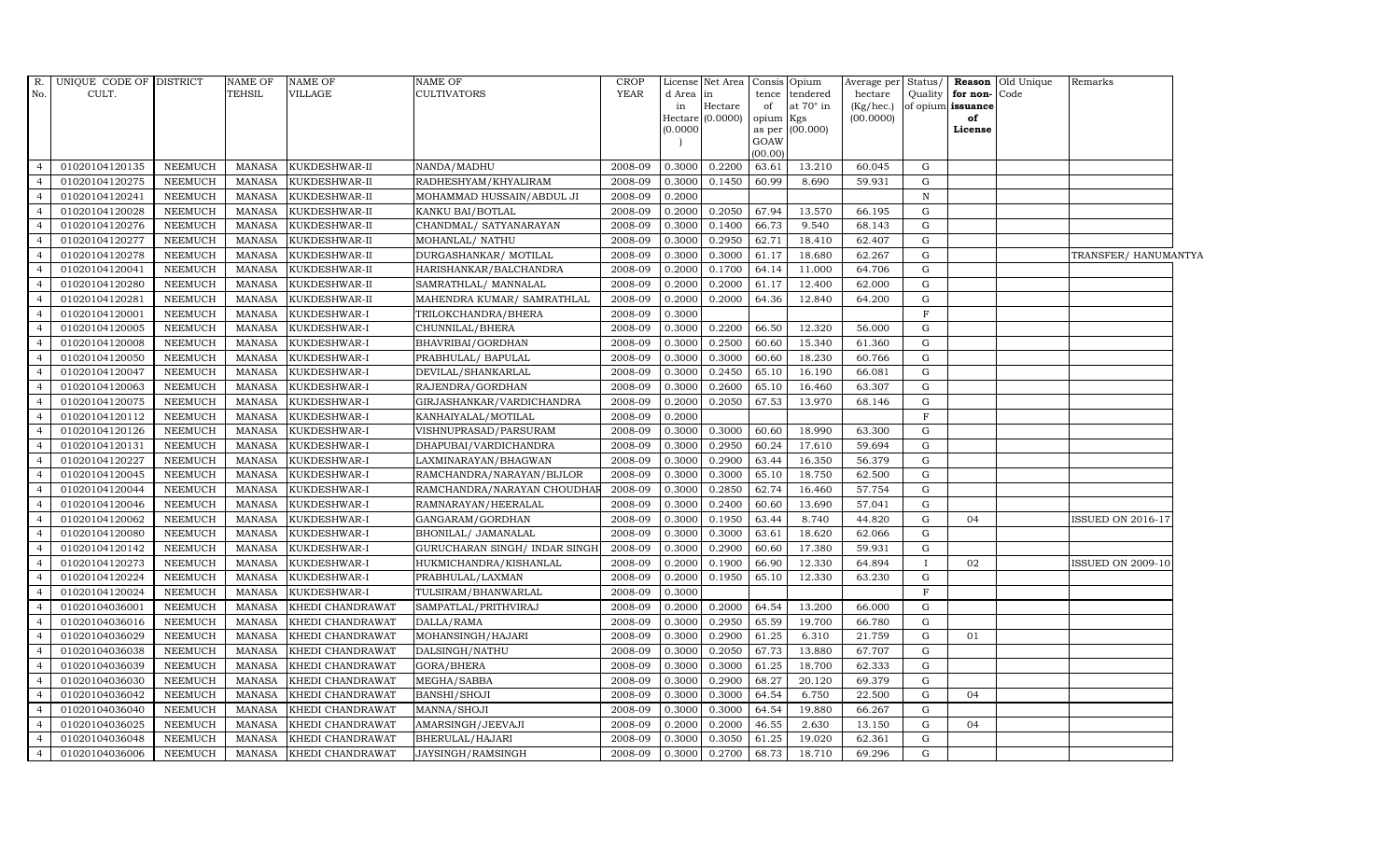| R.             | UNIQUE CODE OF DISTRICT |                | <b>NAME OF</b> | <b>NAME OF</b>   | <b>NAME OF</b>                 | <b>CROP</b> |           | License Net Area Consis     |                 | Opium     | Average per            | Status/      |                         | <b>Reason</b> Old Unique | Remarks                  |
|----------------|-------------------------|----------------|----------------|------------------|--------------------------------|-------------|-----------|-----------------------------|-----------------|-----------|------------------------|--------------|-------------------------|--------------------------|--------------------------|
| No.            | CULT.                   |                | <b>TEHSIL</b>  | VILLAGE          | <b>CULTIVATORS</b>             | <b>YEAR</b> | d Area in |                             | tence           | tendered  | hectare                | Quality      | for non-Code            |                          |                          |
|                |                         |                |                |                  |                                |             | in        | Hectare<br>Hectare (0.0000) | of<br>opium Kgs | at 70° in | (Kg/hec.)<br>(00.0000) |              | of opium issuance<br>of |                          |                          |
|                |                         |                |                |                  |                                |             | 0.0000    |                             | as per          | (00.000)  |                        |              | License                 |                          |                          |
|                |                         |                |                |                  |                                |             |           |                             | GOAW            |           |                        |              |                         |                          |                          |
|                |                         |                |                |                  |                                |             |           |                             | (00.00)         |           |                        |              |                         |                          |                          |
| $\overline{4}$ | 01020104120135          | <b>NEEMUCH</b> | MANASA         | KUKDESHWAR-II    | NANDA/MADHU                    | 2008-09     | 0.3000    | 0.2200                      | 63.61           | 13.210    | 60.045                 | G            |                         |                          |                          |
|                | 01020104120275          | <b>NEEMUCH</b> | MANASA         | KUKDESHWAR-II    | RADHESHYAM/KHYALIRAM           | 2008-09     | 0.3000    | 0.1450                      | 60.99           | 8.690     | 59.931                 | G            |                         |                          |                          |
|                | 01020104120241          | <b>NEEMUCH</b> | <b>MANASA</b>  | KUKDESHWAR-II    | MOHAMMAD HUSSAIN/ABDUL JI      | 2008-09     | 0.2000    |                             |                 |           |                        | $\, {\rm N}$ |                         |                          |                          |
|                | 01020104120028          | <b>NEEMUCH</b> | <b>MANASA</b>  | KUKDESHWAR-II    | KANKU BAI/BOTLAL               | 2008-09     | 0.2000    | 0.2050                      | 67.94           | 13.570    | 66.195                 | G            |                         |                          |                          |
|                | 01020104120276          | <b>NEEMUCH</b> | <b>MANASA</b>  | KUKDESHWAR-II    | CHANDMAL/ SATYANARAYAN         | 2008-09     | 0.3000    | 0.1400                      | 66.73           | 9.540     | 68.143                 | G            |                         |                          |                          |
| $\overline{4}$ | 01020104120277          | <b>NEEMUCH</b> | <b>MANASA</b>  | KUKDESHWAR-II    | MOHANLAL/ NATHU                | 2008-09     | 0.3000    | 0.2950                      | 62.71           | 18.410    | 62.407                 | G            |                         |                          |                          |
| $\overline{4}$ | 01020104120278          | <b>NEEMUCH</b> | <b>MANASA</b>  | KUKDESHWAR-II    | DURGASHANKAR/ MOTILAL          | 2008-09     | 0.3000    | 0.3000                      | 61.17           | 18.680    | 62.267                 | G            |                         |                          | TRANSFER/ HANUMANTYA     |
|                | 01020104120041          | <b>NEEMUCH</b> | MANASA         | KUKDESHWAR-II    | HARISHANKAR/BALCHANDRA         | 2008-09     | 0.2000    | 0.1700                      | 64.14           | 11.000    | 64.706                 | G            |                         |                          |                          |
|                | 01020104120280          | <b>NEEMUCH</b> | <b>MANASA</b>  | KUKDESHWAR-II    | SAMRATHLAL/ MANNALAL           | 2008-09     | 0.2000    | 0.2000                      | 61.17           | 12.400    | 62.000                 | G            |                         |                          |                          |
|                | 01020104120281          | <b>NEEMUCH</b> | <b>MANASA</b>  | KUKDESHWAR-II    | MAHENDRA KUMAR/ SAMRATHLAL     | 2008-09     | 0.2000    | 0.2000                      | 64.36           | 12.840    | 64.200                 | G            |                         |                          |                          |
| 4              | 01020104120001          | <b>NEEMUCH</b> | <b>MANASA</b>  | KUKDESHWAR-I     | TRILOKCHANDRA/BHERA            | 2008-09     | 0.3000    |                             |                 |           |                        | $\rm F$      |                         |                          |                          |
| $\overline{4}$ | 01020104120005          | <b>NEEMUCH</b> | <b>MANASA</b>  | KUKDESHWAR-I     | CHUNNILAL/BHERA                | 2008-09     | 0.3000    | 0.2200                      | 66.50           | 12.320    | 56.000                 | G            |                         |                          |                          |
|                | 01020104120008          | <b>NEEMUCH</b> | <b>MANASA</b>  | KUKDESHWAR-I     | BHAVRIBAI/GORDHAN              | 2008-09     | 0.3000    | 0.2500                      | 60.60           | 15.340    | 61.360                 | G            |                         |                          |                          |
|                | 01020104120050          | <b>NEEMUCH</b> | <b>MANASA</b>  | KUKDESHWAR-I     | PRABHULAL/ BAPULAL             | 2008-09     | 0.3000    | 0.3000                      | 60.60           | 18.230    | 60.766                 | ${\rm G}$    |                         |                          |                          |
|                | 01020104120047          | <b>NEEMUCH</b> | <b>MANASA</b>  | KUKDESHWAR-I     | DEVILAL/SHANKARLAL             | 2008-09     | 0.3000    | 0.2450                      | 65.10           | 16.190    | 66.081                 | G            |                         |                          |                          |
|                | 01020104120063          | <b>NEEMUCH</b> | <b>MANASA</b>  | KUKDESHWAR-I     | RAJENDRA/GORDHAN               | 2008-09     | 0.3000    | 0.2600                      | 65.10           | 16.460    | 63.307                 | G            |                         |                          |                          |
| $\overline{4}$ | 01020104120075          | <b>NEEMUCH</b> | <b>MANASA</b>  | KUKDESHWAR-I     | GIRJASHANKAR/VARDICHANDRA      | 2008-09     | 0.2000    | 0.2050                      | 67.53           | 13.970    | 68.146                 | G            |                         |                          |                          |
|                | 01020104120112          | <b>NEEMUCH</b> | MANASA         | KUKDESHWAR-I     | KANHAIYALAL/MOTILAL            | 2008-09     | 0.2000    |                             |                 |           |                        | F            |                         |                          |                          |
|                | 01020104120126          | <b>NEEMUCH</b> | <b>MANASA</b>  | KUKDESHWAR-I     | VISHNUPRASAD/PARSURAM          | 2008-09     | 0.3000    | 0.3000                      | 60.60           | 18.990    | 63.300                 | G            |                         |                          |                          |
|                | 01020104120131          | <b>NEEMUCH</b> | <b>MANASA</b>  | KUKDESHWAR-I     | DHAPUBAI/VARDICHANDRA          | 2008-09     | 0.3000    | 0.2950                      | 60.24           | 17.610    | 59.694                 | G            |                         |                          |                          |
| $\overline{4}$ | 01020104120227          | <b>NEEMUCH</b> | <b>MANASA</b>  | KUKDESHWAR-I     | LAXMINARAYAN/BHAGWAN           | 2008-09     | 0.3000    | 0.2900                      | 63.44           | 16.350    | 56.379                 | G            |                         |                          |                          |
| 4              | 01020104120045          | <b>NEEMUCH</b> | <b>MANASA</b>  | KUKDESHWAR-I     | RAMCHANDRA/NARAYAN/BIJLOR      | 2008-09     | 0.3000    | 0.3000                      | 65.10           | 18.750    | 62.500                 | G            |                         |                          |                          |
| $\overline{4}$ | 01020104120044          | <b>NEEMUCH</b> | <b>MANASA</b>  | KUKDESHWAR-I     | RAMCHANDRA/NARAYAN CHOUDHAI    | 2008-09     | 0.3000    | 0.2850                      | 62.74           | 16.460    | 57.754                 | G            |                         |                          |                          |
|                | 01020104120046          | <b>NEEMUCH</b> | <b>MANASA</b>  | KUKDESHWAR-I     | RAMNARAYAN/HEERALAL            | 2008-09     | 0.3000    | 0.2400                      | 60.60           | 13.690    | 57.041                 | G            |                         |                          |                          |
|                | 01020104120062          | <b>NEEMUCH</b> | <b>MANASA</b>  | KUKDESHWAR-I     | GANGARAM/GORDHAN               | 2008-09     | 0.3000    | 0.1950                      | 63.44           | 8.740     | 44.820                 | G            | 04                      |                          | ISSUED ON 2016-17        |
|                | 01020104120080          | <b>NEEMUCH</b> | <b>MANASA</b>  | KUKDESHWAR-I     | BHONILAL/ JAMANALAL            | 2008-09     | 0.3000    | 0.3000                      | 63.61           | 18.620    | 62.066                 | G            |                         |                          |                          |
| 4              | 01020104120142          | <b>NEEMUCH</b> | <b>MANASA</b>  | KUKDESHWAR-I     | GURUCHARAN SINGH / INDAR SINGH | 2008-09     | 0.3000    | 0.2900                      | 60.60           | 17.380    | 59.931                 | G            |                         |                          |                          |
| $\overline{4}$ | 01020104120273          | <b>NEEMUCH</b> | <b>MANASA</b>  | KUKDESHWAR-I     | HUKMICHANDRA/KISHANLAL         | 2008-09     | 0.2000    | 0.1900                      | 66.90           | 12.330    | 64.894                 | $\mathbf{I}$ | 02                      |                          | <b>ISSUED ON 2009-10</b> |
|                | 01020104120224          | <b>NEEMUCH</b> | <b>MANASA</b>  | KUKDESHWAR-I     | PRABHULAL/LAXMAN               | 2008-09     | 0.2000    | 0.1950                      | 65.10           | 12.330    | 63.230                 | G            |                         |                          |                          |
|                | 01020104120024          | <b>NEEMUCH</b> | <b>MANASA</b>  | KUKDESHWAR-I     | TULSIRAM/BHANWARLAL            | 2008-09     | 0.3000    |                             |                 |           |                        | $\mathbf F$  |                         |                          |                          |
|                | 01020104036001          | <b>NEEMUCH</b> | <b>MANASA</b>  | KHEDI CHANDRAWAT | SAMPATLAL/PRITHVIRAJ           | 2008-09     | 0.2000    | 0.2000                      | 64.54           | 13.200    | 66.000                 | G            |                         |                          |                          |
| $\overline{a}$ | 01020104036016          | <b>NEEMUCH</b> | <b>MANASA</b>  | KHEDI CHANDRAWAT | DALLA/RAMA                     | 2008-09     | 0.3000    | 0.2950                      | 65.59           | 19.700    | 66.780                 | G            |                         |                          |                          |
| $\overline{4}$ | 01020104036029          | <b>NEEMUCH</b> | <b>MANASA</b>  | KHEDI CHANDRAWAT | MOHANSINGH/HAJARI              | 2008-09     | 0.3000    | 0.2900                      | 61.25           | 6.310     | 21.759                 | G            | 01                      |                          |                          |
|                | 01020104036038          | <b>NEEMUCH</b> | <b>MANASA</b>  | KHEDI CHANDRAWAT | DALSINGH/NATHU                 | 2008-09     | 0.3000    | 0.2050                      | 67.73           | 13.880    | 67.707                 | G            |                         |                          |                          |
|                | 01020104036039          | <b>NEEMUCH</b> | <b>MANASA</b>  | KHEDI CHANDRAWAT | GORA/BHERA                     | 2008-09     | 0.3000    | 0.3000                      | 61.25           | 18.700    | 62.333                 | G            |                         |                          |                          |
|                | 01020104036030          | <b>NEEMUCH</b> | <b>MANASA</b>  | KHEDI CHANDRAWAT | MEGHA/SABBA                    | 2008-09     | 0.3000    | 0.2900                      | 68.27           | 20.120    | 69.379                 | G            |                         |                          |                          |
| $\overline{a}$ | 01020104036042          | <b>NEEMUCH</b> | <b>MANASA</b>  | KHEDI CHANDRAWAT | BANSHI/SHOJI                   | 2008-09     | 0.3000    | 0.3000                      | 64.54           | 6.750     | 22.500                 | G            | 04                      |                          |                          |
| $\overline{4}$ | 01020104036040          | <b>NEEMUCH</b> | <b>MANASA</b>  | KHEDI CHANDRAWAT | MANNA/SHOJI                    | 2008-09     | 0.3000    | 0.3000                      | 64.54           | 19.880    | 66.267                 | G            |                         |                          |                          |
|                | 01020104036025          | <b>NEEMUCH</b> | <b>MANASA</b>  | KHEDI CHANDRAWAT | AMARSINGH/JEEVAJI              | 2008-09     | 0.2000    | 0.2000                      | 46.55           | 2.630     | 13.150                 | G            | 04                      |                          |                          |
|                | 01020104036048          | <b>NEEMUCH</b> | <b>MANASA</b>  | KHEDI CHANDRAWAT | BHERULAL/HAJARI                | 2008-09     | 0.3000    | 0.3050                      | 61.25           | 19.020    | 62.361                 | G            |                         |                          |                          |
| $\overline{4}$ | 01020104036006          | <b>NEEMUCH</b> | <b>MANASA</b>  | KHEDI CHANDRAWAT | JAYSINGH/RAMSINGH              | 2008-09     | 0.3000    | 0.2700                      | 68.73           | 18.710    | 69.296                 | G            |                         |                          |                          |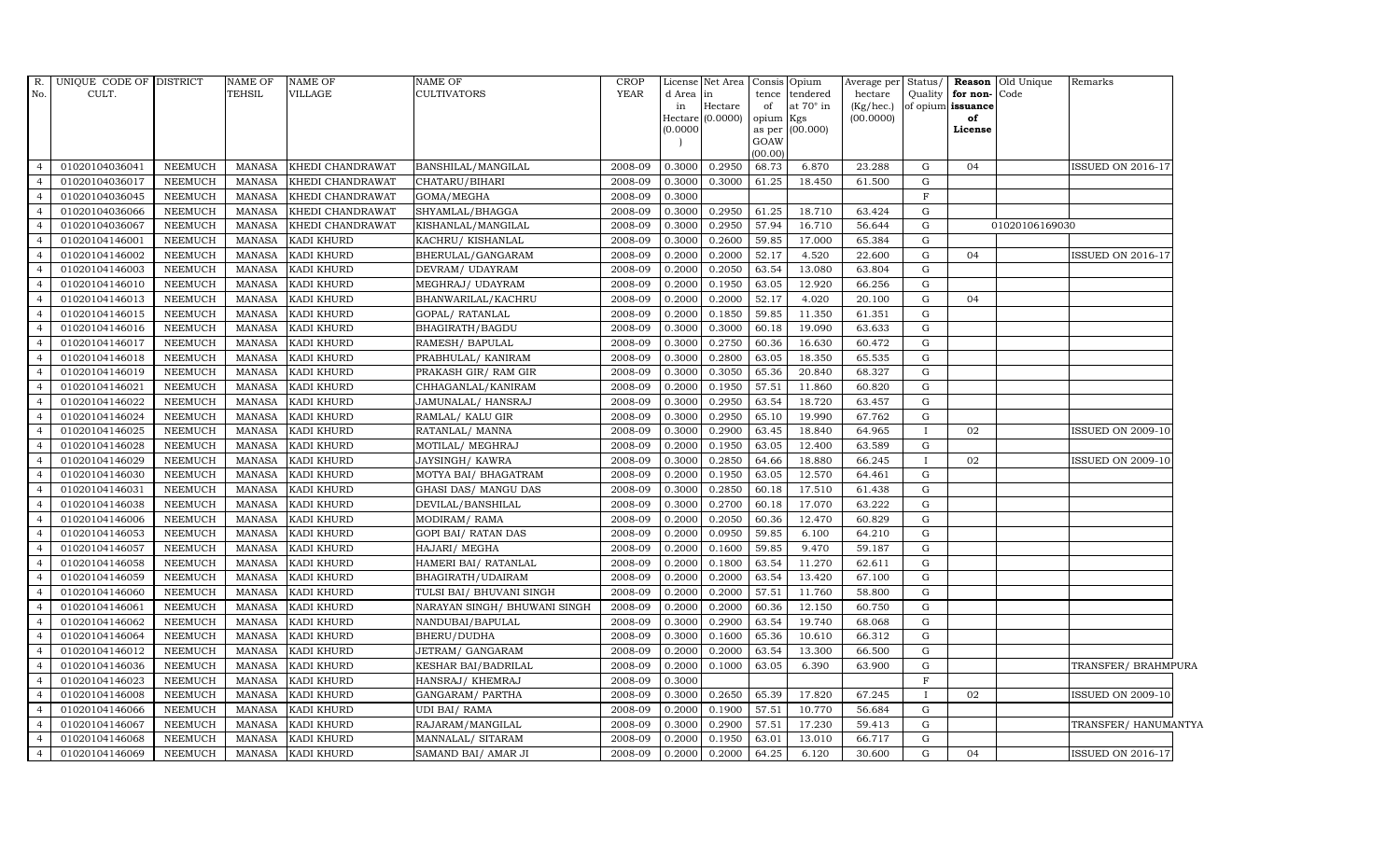|                  | R. UNIQUE CODE OF DISTRICT |                | <b>NAME OF</b> | <b>NAME OF</b>    | <b>NAME OF</b>               | <b>CROP</b> |           | License Net Area Consis Opium |           |                 | Average per Status/ |              |                      | Reason Old Unique | Remarks                  |
|------------------|----------------------------|----------------|----------------|-------------------|------------------------------|-------------|-----------|-------------------------------|-----------|-----------------|---------------------|--------------|----------------------|-------------------|--------------------------|
| No.              | CULT.                      |                | <b>TEHSIL</b>  | VILLAGE           | <b>CULTIVATORS</b>           | YEAR        | d Area in |                               | tence     | tendered        | hectare             |              | Quality for non-Code |                   |                          |
|                  |                            |                |                |                   |                              |             | in        | Hectare                       | of        | at 70° in       | $(Kg/$ hec.)        |              | of opium issuance    |                   |                          |
|                  |                            |                |                |                   |                              |             |           | Hectare (0.0000)              | opium Kgs |                 | (00.0000)           |              | of                   |                   |                          |
|                  |                            |                |                |                   |                              |             | (0.0000)  |                               | GOAW      | as per (00.000) |                     |              | License              |                   |                          |
|                  |                            |                |                |                   |                              |             |           |                               | (00.00)   |                 |                     |              |                      |                   |                          |
|                  | 01020104036041             | NEEMUCH        | MANASA         | KHEDI CHANDRAWAT  | BANSHILAL/MANGILAL           | 2008-09     | 0.3000    | 0.2950                        | 68.73     | 6.870           | 23.288              | G            | 04                   |                   | <b>ISSUED ON 2016-17</b> |
|                  | 01020104036017             | <b>NEEMUCH</b> | <b>MANASA</b>  | KHEDI CHANDRAWAT  | CHATARU/BIHARI               | 2008-09     | 0.3000    | 0.3000                        | 61.25     | 18.450          | 61.500              | G            |                      |                   |                          |
|                  | 01020104036045             | <b>NEEMUCH</b> | <b>MANASA</b>  | KHEDI CHANDRAWAT  | GOMA/MEGHA                   | 2008-09     | 0.3000    |                               |           |                 |                     | $\mathbf F$  |                      |                   |                          |
|                  | 01020104036066             | <b>NEEMUCH</b> | <b>MANASA</b>  | KHEDI CHANDRAWAT  | SHYAMLAL/BHAGGA              | 2008-09     | 0.3000    | 0.2950                        | 61.25     | 18.710          | 63.424              | G            |                      |                   |                          |
|                  | 01020104036067             | <b>NEEMUCH</b> | <b>MANASA</b>  | KHEDI CHANDRAWAT  | KISHANLAL/MANGILAL           | 2008-09     | 0.3000    | 0.2950                        | 57.94     | 16.710          | 56.644              | G            |                      | 01020106169030    |                          |
| $\overline{4}$   | 01020104146001             | <b>NEEMUCH</b> | <b>MANASA</b>  | KADI KHURD        | KACHRU/ KISHANLAL            | 2008-09     | 0.3000    | 0.2600                        | 59.85     | 17.000          | 65.384              | G            |                      |                   |                          |
|                  | 01020104146002             | <b>NEEMUCH</b> | <b>MANASA</b>  | KADI KHURD        | BHERULAL/GANGARAM            | 2008-09     | 0.2000    | 0.2000                        | 52.17     | 4.520           | 22.600              | G            | 04                   |                   | ISSUED ON 2016-17        |
|                  | 01020104146003             | <b>NEEMUCH</b> | <b>MANASA</b>  | KADI KHURD        | DEVRAM/ UDAYRAM              | 2008-09     | 0.2000    | 0.2050                        | 63.54     | 13.080          | 63.804              | G            |                      |                   |                          |
|                  | 01020104146010             | <b>NEEMUCH</b> | <b>MANASA</b>  | KADI KHURD        | MEGHRAJ / UDAYRAM            | 2008-09     | 0.2000    | 0.1950                        | 63.05     | 12.920          | 66.256              | G            |                      |                   |                          |
|                  | 01020104146013             | <b>NEEMUCH</b> | <b>MANASA</b>  | KADI KHURD        | BHANWARILAL/KACHRU           | 2008-09     | 0.2000    | 0.2000                        | 52.17     | 4.020           | 20.100              | G            | 04                   |                   |                          |
| $\overline{4}$   | 01020104146015             | <b>NEEMUCH</b> | <b>MANASA</b>  | KADI KHURD        | GOPAL/ RATANLAL              | 2008-09     | 0.2000    | 0.1850                        | 59.85     | 11.350          | 61.351              | G            |                      |                   |                          |
|                  | 01020104146016             | <b>NEEMUCH</b> | <b>MANASA</b>  | KADI KHURD        | BHAGIRATH/BAGDU              | 2008-09     | 0.3000    | 0.3000                        | 60.18     | 19.090          | 63.633              | G            |                      |                   |                          |
|                  | 01020104146017             | <b>NEEMUCH</b> | <b>MANASA</b>  | KADI KHURD        | RAMESH/ BAPULAL              | 2008-09     | 0.3000    | 0.2750                        | 60.36     | 16.630          | 60.472              | G            |                      |                   |                          |
|                  | 01020104146018             | <b>NEEMUCH</b> | <b>MANASA</b>  | KADI KHURD        | PRABHULAL/ KANIRAM           | 2008-09     | 0.3000    | 0.2800                        | 63.05     | 18.350          | 65.535              | G            |                      |                   |                          |
|                  | 01020104146019             | <b>NEEMUCH</b> | <b>MANASA</b>  | KADI KHURD        | PRAKASH GIR/RAM GIR          | 2008-09     | 0.3000    | 0.3050                        | 65.36     | 20.840          | 68.327              | G            |                      |                   |                          |
| $\boldsymbol{A}$ | 01020104146021             | <b>NEEMUCH</b> | <b>MANASA</b>  | KADI KHURD        | CHHAGANLAL/KANIRAM           | 2008-09     | 0.2000    | 0.1950                        | 57.51     | 11.860          | 60.820              | G            |                      |                   |                          |
| $\overline{4}$   | 01020104146022             | <b>NEEMUCH</b> | MANASA         | KADI KHURD        | JAMUNALAL/ HANSRAJ           | 2008-09     | 0.3000    | 0.2950                        | 63.54     | 18.720          | 63.457              | G            |                      |                   |                          |
|                  | 01020104146024             | <b>NEEMUCH</b> | <b>MANASA</b>  | KADI KHURD        | RAMLAL/ KALU GIR             | 2008-09     | 0.3000    | 0.2950                        | 65.10     | 19.990          | 67.762              | G            |                      |                   |                          |
|                  | 01020104146025             | <b>NEEMUCH</b> | <b>MANASA</b>  | KADI KHURD        | RATANLAL/ MANNA              | 2008-09     | 0.3000    | 0.2900                        | 63.45     | 18.840          | 64.965              | $\mathbf{I}$ | 02                   |                   | <b>ISSUED ON 2009-10</b> |
|                  | 01020104146028             | <b>NEEMUCH</b> | <b>MANASA</b>  | KADI KHURD        | MOTILAL/ MEGHRAJ             | 2008-09     | 0.2000    | 0.1950                        | 63.05     | 12.400          | 63.589              | G            |                      |                   |                          |
|                  | 01020104146029             | <b>NEEMUCH</b> | <b>MANASA</b>  | KADI KHURD        | JAYSINGH/KAWRA               | 2008-09     | 0.3000    | 0.2850                        | 64.66     | 18.880          | 66.245              | П.           | 02                   |                   | ISSUED ON 2009-10        |
| $\overline{a}$   | 01020104146030             | <b>NEEMUCH</b> | <b>MANASA</b>  | KADI KHURD        | MOTYA BAI / BHAGATRAM        | 2008-09     | 0.2000    | 0.1950                        | 63.05     | 12.570          | 64.461              | G            |                      |                   |                          |
| $\overline{4}$   | 01020104146031             | <b>NEEMUCH</b> | MANASA         | KADI KHURD        | GHASI DAS/ MANGU DAS         | 2008-09     | 0.3000    | 0.2850                        | 60.18     | 17.510          | 61.438              | G            |                      |                   |                          |
|                  | 01020104146038             | <b>NEEMUCH</b> | <b>MANASA</b>  | KADI KHURD        | DEVILAL/BANSHILAL            | 2008-09     | 0.3000    | 0.2700                        | 60.18     | 17.070          | 63.222              | G            |                      |                   |                          |
|                  | 01020104146006             | <b>NEEMUCH</b> | <b>MANASA</b>  | KADI KHURD        | MODIRAM/RAMA                 | 2008-09     | 0.2000    | 0.2050                        | 60.36     | 12.470          | 60.829              | G            |                      |                   |                          |
|                  | 01020104146053             | <b>NEEMUCH</b> | <b>MANASA</b>  | KADI KHURD        | GOPI BAI/ RATAN DAS          | 2008-09     | 0.2000    | 0.0950                        | 59.85     | 6.100           | 64.210              | G            |                      |                   |                          |
| $\overline{a}$   | 01020104146057             | <b>NEEMUCH</b> | <b>MANASA</b>  | KADI KHURD        | HAJARI/ MEGHA                | 2008-09     | 0.2000    | 0.1600                        | 59.85     | 9.470           | 59.187              | G            |                      |                   |                          |
| $\overline{4}$   | 01020104146058             | <b>NEEMUCH</b> | <b>MANASA</b>  | KADI KHURD        | HAMERI BAI/ RATANLAL         | 2008-09     | 0.2000    | 0.1800                        | 63.54     | 11.270          | 62.611              | G            |                      |                   |                          |
|                  | 01020104146059             | <b>NEEMUCH</b> | <b>MANASA</b>  | KADI KHURD        | BHAGIRATH/UDAIRAM            | 2008-09     | 0.2000    | 0.2000                        | 63.54     | 13.420          | 67.100              | G            |                      |                   |                          |
|                  | 01020104146060             | <b>NEEMUCH</b> | <b>MANASA</b>  | KADI KHURD        | TULSI BAI/ BHUVANI SINGH     | 2008-09     | 0.2000    | 0.2000                        | 57.51     | 11.760          | 58.800              | G            |                      |                   |                          |
|                  | 01020104146061             | NEEMUCH        | <b>MANASA</b>  | KADI KHURD        | NARAYAN SINGH/ BHUWANI SINGH | 2008-09     | 0.2000    | 0.2000                        | 60.36     | 12.150          | 60.750              | ${\rm G}$    |                      |                   |                          |
|                  | 01020104146062             | NEEMUCH        | <b>MANASA</b>  | KADI KHURD        | NANDUBAI/BAPULAL             | 2008-09     | 0.3000    | 0.2900                        | 63.54     | 19.740          | 68.068              | G            |                      |                   |                          |
| $\overline{4}$   | 01020104146064             | <b>NEEMUCH</b> | MANASA         | KADI KHURD        | BHERU/DUDHA                  | 2008-09     | 0.3000    | 0.1600                        | 65.36     | 10.610          | 66.312              | G            |                      |                   |                          |
|                  | 01020104146012             | <b>NEEMUCH</b> | <b>MANASA</b>  | KADI KHURD        | JETRAM/ GANGARAM             | 2008-09     | 0.2000    | 0.2000                        | 63.54     | 13.300          | 66.500              | G            |                      |                   |                          |
|                  | 01020104146036             | <b>NEEMUCH</b> | <b>MANASA</b>  | KADI KHURD        | <b>KESHAR BAI/BADRILAL</b>   | 2008-09     | 0.2000    | 0.1000                        | 63.05     | 6.390           | 63.900              | G            |                      |                   | TRANSFER/ BRAHMPURA      |
|                  | 01020104146023             | <b>NEEMUCH</b> | <b>MANASA</b>  | KADI KHURD        | HANSRAJ/ KHEMRAJ             | 2008-09     | 0.3000    |                               |           |                 |                     | $\mathbf{F}$ |                      |                   |                          |
| 4                | 01020104146008             | <b>NEEMUCH</b> | <b>MANASA</b>  | KADI KHURD        | GANGARAM/ PARTHA             | 2008-09     | 0.3000    | 0.2650                        | 65.39     | 17.820          | 67.245              | $\mathbf{I}$ | 02                   |                   | <b>ISSUED ON 2009-10</b> |
| $\overline{4}$   | 01020104146066             | NEEMUCH        | MANASA         | KADI KHURD        | <b>UDI BAI/ RAMA</b>         | 2008-09     | 0.2000    | 0.1900                        | 57.51     | 10.770          | 56.684              | G            |                      |                   |                          |
| $\overline{4}$   | 01020104146067             | <b>NEEMUCH</b> | <b>MANASA</b>  | KADI KHURD        | RAJARAM / MANGILAL           | 2008-09     | 0.3000    | 0.2900                        | 57.51     | 17.230          | 59.413              | G            |                      |                   | TRANSFER/ HANUMANTYA     |
|                  | 01020104146068             | <b>NEEMUCH</b> | <b>MANASA</b>  | KADI KHURD        | MANNALAL/ SITARAM            | 2008-09     | 0.2000    | 0.1950                        | 63.01     | 13.010          | 66.717              | G            |                      |                   |                          |
| $\overline{4}$   | 01020104146069             | <b>NEEMUCH</b> | MANASA         | <b>KADI KHURD</b> | SAMAND BAI/ AMAR JI          | 2008-09     | 0.2000    | 0.2000                        | 64.25     | 6.120           | 30.600              | $\mathbf{G}$ | 04                   |                   | <b>ISSUED ON 2016-17</b> |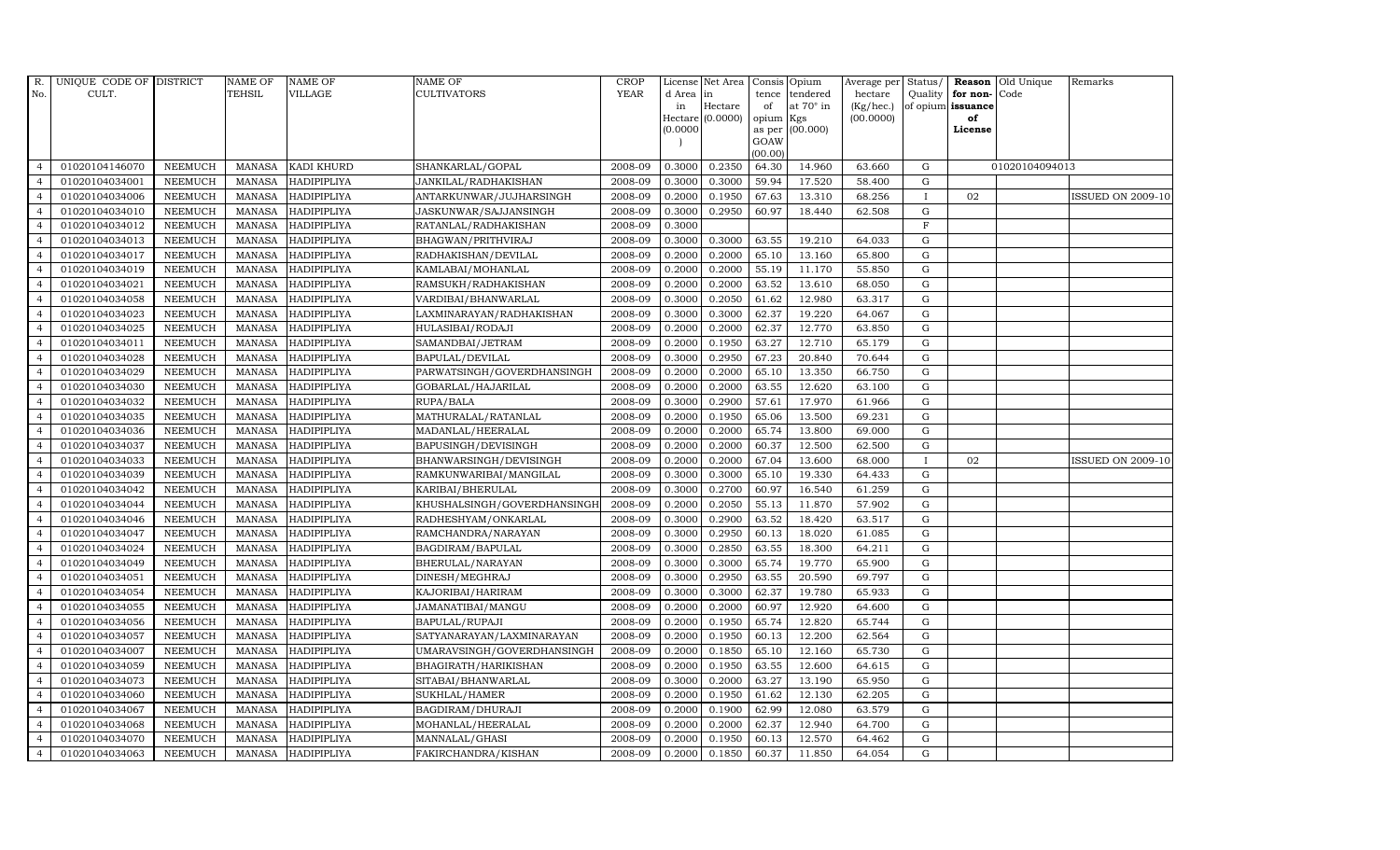| R.             | UNIQUE CODE OF DISTRICT |                | <b>NAME OF</b> | <b>NAME OF</b>     | NAME OF                     | <b>CROP</b> |           | License Net Area | Consis Opium   |                  |           |              |                   | Average per Status/ Reason Old Unique | Remarks                  |
|----------------|-------------------------|----------------|----------------|--------------------|-----------------------------|-------------|-----------|------------------|----------------|------------------|-----------|--------------|-------------------|---------------------------------------|--------------------------|
| No.            | CULT.                   |                | TEHSIL         | <b>VILLAGE</b>     | <b>CULTIVATORS</b>          | <b>YEAR</b> | d Area in |                  | tence          | tendered         | hectare   |              | Quality for non-  | Code                                  |                          |
|                |                         |                |                |                    |                             |             | in        | Hectare          | of             | at $70^\circ$ in | (Kg/hec.) |              | of opium issuance |                                       |                          |
|                |                         |                |                |                    |                             |             |           | Hectare (0.0000) | opium          | Kgs              | (00.0000) |              | of                |                                       |                          |
|                |                         |                |                |                    |                             |             | (0.0000)  |                  | as per<br>GOAW | (00.000)         |           |              | License           |                                       |                          |
|                |                         |                |                |                    |                             |             |           |                  | (00.00)        |                  |           |              |                   |                                       |                          |
| $\overline{4}$ | 01020104146070          | <b>NEEMUCH</b> | MANASA         | KADI KHURD         | SHANKARLAL/GOPAL            | 2008-09     | 0.3000    | 0.2350           | 64.30          | 14.960           | 63.660    | G            |                   | 01020104094013                        |                          |
| $\overline{a}$ | 01020104034001          | <b>NEEMUCH</b> | <b>MANASA</b>  | HADIPIPLIYA        | JANKILAL/RADHAKISHAN        | 2008-09     | 0.3000    | 0.3000           | 59.94          | 17.520           | 58.400    | $\mathbf G$  |                   |                                       |                          |
| $\overline{4}$ | 01020104034006          | <b>NEEMUCH</b> | <b>MANASA</b>  | HADIPIPLIYA        | ANTARKUNWAR/JUJHARSINGH     | 2008-09     | 0.2000    | 0.1950           | 67.63          | 13.310           | 68.256    | $\mathbf{I}$ | 02                |                                       | <b>ISSUED ON 2009-10</b> |
|                | 01020104034010          | <b>NEEMUCH</b> | <b>MANASA</b>  | HADIPIPLIYA        | JASKUNWAR/SAJJANSINGH       | 2008-09     | 0.3000    | 0.2950           | 60.97          | 18.440           | 62.508    | G            |                   |                                       |                          |
| $\overline{4}$ | 01020104034012          | <b>NEEMUCH</b> | <b>MANASA</b>  | HADIPIPLIYA        | RATANLAL/RADHAKISHAN        | 2008-09     | 0.3000    |                  |                |                  |           | $\mathbf F$  |                   |                                       |                          |
| $\overline{4}$ | 01020104034013          | <b>NEEMUCH</b> | <b>MANASA</b>  | <b>HADIPIPLIYA</b> | BHAGWAN/PRITHVIRAJ          | 2008-09     | 0.3000    | 0.3000           | 63.55          | 19.210           | 64.033    | G            |                   |                                       |                          |
| $\overline{4}$ | 01020104034017          | <b>NEEMUCH</b> | <b>MANASA</b>  | HADIPIPLIYA        | RADHAKISHAN/DEVILAL         | 2008-09     | 0.2000    | 0.2000           | 65.10          | 13.160           | 65.800    | G            |                   |                                       |                          |
| $\overline{a}$ | 01020104034019          | <b>NEEMUCH</b> | <b>MANASA</b>  | HADIPIPLIYA        | KAMLABAI/MOHANLAL           | 2008-09     | 0.2000    | 0.2000           | 55.19          | 11.170           | 55.850    | $\mathbf G$  |                   |                                       |                          |
|                | 01020104034021          | <b>NEEMUCH</b> | <b>MANASA</b>  | HADIPIPLIYA        | RAMSUKH/RADHAKISHAN         | 2008-09     | 0.2000    | 0.2000           | 63.52          | 13.610           | 68.050    | G            |                   |                                       |                          |
| $\overline{4}$ | 01020104034058          | <b>NEEMUCH</b> | <b>MANASA</b>  | <b>HADIPIPLIYA</b> | VARDIBAI/BHANWARLAL         | 2008-09     | 0.3000    | 0.2050           | 61.62          | 12.980           | 63.317    | G            |                   |                                       |                          |
| $\overline{4}$ | 01020104034023          | <b>NEEMUCH</b> | <b>MANASA</b>  | HADIPIPLIYA        | LAXMINARAYAN/RADHAKISHAN    | 2008-09     | 0.3000    | 0.3000           | 62.37          | 19.220           | 64.067    | G            |                   |                                       |                          |
| $\overline{4}$ | 01020104034025          | <b>NEEMUCH</b> | <b>MANASA</b>  | HADIPIPLIYA        | HULASIBAI/RODAJI            | 2008-09     | 0.2000    | 0.2000           | 62.37          | 12.770           | 63.850    | G            |                   |                                       |                          |
| $\overline{4}$ | 01020104034011          | <b>NEEMUCH</b> | <b>MANASA</b>  | HADIPIPLIYA        | SAMANDBAI/JETRAM            | 2008-09     | 0.2000    | 0.1950           | 63.27          | 12.710           | 65.179    | G            |                   |                                       |                          |
| $\overline{4}$ | 01020104034028          | <b>NEEMUCH</b> | <b>MANASA</b>  | HADIPIPLIYA        | BAPULAL/DEVILAL             | 2008-09     | 0.3000    | 0.2950           | 67.23          | 20.840           | 70.644    | G            |                   |                                       |                          |
| $\overline{4}$ | 01020104034029          | <b>NEEMUCH</b> | <b>MANASA</b>  | HADIPIPLIYA        | PARWATSINGH/GOVERDHANSINGH  | 2008-09     | 0.2000    | 0.2000           | 65.10          | 13.350           | 66.750    | G            |                   |                                       |                          |
| $\overline{4}$ | 01020104034030          | <b>NEEMUCH</b> | <b>MANASA</b>  | HADIPIPLIYA        | GOBARLAL/HAJARILAL          | 2008-09     | 0.2000    | 0.2000           | 63.55          | 12.620           | 63.100    | G            |                   |                                       |                          |
| $\overline{4}$ | 01020104034032          | <b>NEEMUCH</b> | <b>MANASA</b>  | HADIPIPLIYA        | RUPA/BALA                   | 2008-09     | 0.3000    | 0.2900           | 57.61          | 17.970           | 61.966    | G            |                   |                                       |                          |
| $\overline{4}$ | 01020104034035          | <b>NEEMUCH</b> | <b>MANASA</b>  | HADIPIPLIYA        | MATHURALAL/RATANLAL         | 2008-09     | 0.2000    | 0.1950           | 65.06          | 13.500           | 69.231    | $\mathbf G$  |                   |                                       |                          |
| $\overline{4}$ | 01020104034036          | <b>NEEMUCH</b> | <b>MANASA</b>  | HADIPIPLIYA        | MADANLAL/HEERALAL           | 2008-09     | 0.2000    | 0.2000           | 65.74          | 13.800           | 69.000    | G            |                   |                                       |                          |
| $\overline{4}$ | 01020104034037          | <b>NEEMUCH</b> | <b>MANASA</b>  | <b>HADIPIPLIYA</b> | BAPUSINGH/DEVISINGH         | 2008-09     | 0.2000    | 0.2000           | 60.37          | 12.500           | 62.500    | G            |                   |                                       |                          |
| $\overline{4}$ | 01020104034033          | <b>NEEMUCH</b> | <b>MANASA</b>  | HADIPIPLIYA        | BHANWARSINGH/DEVISINGH      | 2008-09     | 0.2000    | 0.2000           | 67.04          | 13.600           | 68.000    | T            | 02                |                                       | <b>ISSUED ON 2009-10</b> |
| $\overline{4}$ | 01020104034039          | <b>NEEMUCH</b> | <b>MANASA</b>  | HADIPIPLIYA        | RAMKUNWARIBAI/MANGILAL      | 2008-09     | 0.3000    | 0.3000           | 65.10          | 19.330           | 64.433    | G            |                   |                                       |                          |
| $\overline{4}$ | 01020104034042          | <b>NEEMUCH</b> | MANASA         | HADIPIPLIYA        | KARIBAI/BHERULAL            | 2008-09     | 0.3000    | 0.2700           | 60.97          | 16.540           | 61.259    | G            |                   |                                       |                          |
| $\overline{4}$ | 01020104034044          | <b>NEEMUCH</b> | <b>MANASA</b>  | HADIPIPLIYA        | KHUSHALSINGH/GOVERDHANSINGH | 2008-09     | 0.2000    | 0.2050           | 55.13          | 11.870           | 57.902    | G            |                   |                                       |                          |
|                | 01020104034046          | <b>NEEMUCH</b> | <b>MANASA</b>  | HADIPIPLIYA        | RADHESHYAM/ONKARLAL         | 2008-09     | 0.3000    | 0.2900           | 63.52          | 18.420           | 63.517    | G            |                   |                                       |                          |
| $\overline{4}$ | 01020104034047          | <b>NEEMUCH</b> | <b>MANASA</b>  | <b>HADIPIPLIYA</b> | RAMCHANDRA/NARAYAN          | 2008-09     | 0.3000    | 0.2950           | 60.13          | 18.020           | 61.085    | G            |                   |                                       |                          |
| $\overline{4}$ | 01020104034024          | <b>NEEMUCH</b> | <b>MANASA</b>  | HADIPIPLIYA        | BAGDIRAM/BAPULAL            | 2008-09     | 0.3000    | 0.2850           | 63.55          | 18.300           | 64.211    | G            |                   |                                       |                          |
| $\overline{4}$ | 01020104034049          | <b>NEEMUCH</b> | <b>MANASA</b>  | HADIPIPLIYA        | BHERULAL/NARAYAN            | 2008-09     | 0.3000    | 0.3000           | 65.74          | 19.770           | 65.900    | G            |                   |                                       |                          |
| $\overline{4}$ | 01020104034051          | <b>NEEMUCH</b> | <b>MANASA</b>  | HADIPIPLIYA        | DINESH/MEGHRAJ              | 2008-09     | 0.3000    | 0.2950           | 63.55          | 20.590           | 69.797    | $\mathbf G$  |                   |                                       |                          |
|                | 01020104034054          | <b>NEEMUCH</b> | <b>MANASA</b>  | HADIPIPLIYA        | KAJORIBAI/HARIRAM           | 2008-09     | 0.3000    | 0.3000           | 62.37          | 19.780           | 65.933    | G            |                   |                                       |                          |
| $\overline{4}$ | 01020104034055          | <b>NEEMUCH</b> | <b>MANASA</b>  | HADIPIPLIYA        | JAMANATIBAI/MANGU           | 2008-09     | 0.2000    | 0.2000           | 60.97          | 12.920           | 64.600    | G            |                   |                                       |                          |
| $\overline{4}$ | 01020104034056          | <b>NEEMUCH</b> | <b>MANASA</b>  | HADIPIPLIYA        | BAPULAL/RUPAJI              | 2008-09     | 0.2000    | 0.1950           | 65.74          | 12.820           | 65.744    | G            |                   |                                       |                          |
| $\overline{4}$ | 01020104034057          | <b>NEEMUCH</b> | <b>MANASA</b>  | HADIPIPLIYA        | SATYANARAYAN/LAXMINARAYAN   | 2008-09     | 0.2000    | 0.1950           | 60.13          | 12.200           | 62.564    | G            |                   |                                       |                          |
| $\overline{4}$ | 01020104034007          | <b>NEEMUCH</b> | <b>MANASA</b>  | HADIPIPLIYA        | UMARAVSINGH/GOVERDHANSINGH  | 2008-09     | 0.2000    | 0.1850           | 65.10          | 12.160           | 65.730    | $\mathbf G$  |                   |                                       |                          |
| $\overline{a}$ | 01020104034059          | <b>NEEMUCH</b> | <b>MANASA</b>  | HADIPIPLIYA        | BHAGIRATH/HARIKISHAN        | 2008-09     | 0.2000    | 0.1950           | 63.55          | 12.600           | 64.615    | G            |                   |                                       |                          |
| $\overline{4}$ | 01020104034073          | <b>NEEMUCH</b> | <b>MANASA</b>  | HADIPIPLIYA        | SITABAI/BHANWARLAL          | 2008-09     | 0.3000    | 0.2000           | 63.27          | 13.190           | 65.950    | G            |                   |                                       |                          |
| $\overline{4}$ | 01020104034060          | <b>NEEMUCH</b> | <b>MANASA</b>  | HADIPIPLIYA        | SUKHLAL/HAMER               | 2008-09     | 0.2000    | 0.1950           | 61.62          | 12.130           | 62.205    | G            |                   |                                       |                          |
| $\overline{4}$ | 01020104034067          | <b>NEEMUCH</b> | <b>MANASA</b>  | HADIPIPLIYA        | BAGDIRAM/DHURAJI            | 2008-09     | 0.2000    | 0.1900           | 62.99          | 12.080           | 63.579    | $\mathbf G$  |                   |                                       |                          |
| $\overline{4}$ | 01020104034068          | <b>NEEMUCH</b> | <b>MANASA</b>  | HADIPIPLIYA        | MOHANLAL/HEERALAL           | 2008-09     | 0.2000    | 0.2000           | 62.37          | 12.940           | 64.700    | G            |                   |                                       |                          |
| $\overline{4}$ | 01020104034070          | <b>NEEMUCH</b> | <b>MANASA</b>  | <b>HADIPIPLIYA</b> | MANNALAL/GHASI              | 2008-09     | 0.2000    | 0.1950           | 60.13          | 12.570           | 64.462    | G            |                   |                                       |                          |
| $\overline{4}$ | 01020104034063          | NEEMUCH        | MANASA         | <b>HADIPIPLIYA</b> | FAKIRCHANDRA/KISHAN         | 2008-09     | 0.2000    | 0.1850           | 60.37          | 11.850           | 64.054    | G            |                   |                                       |                          |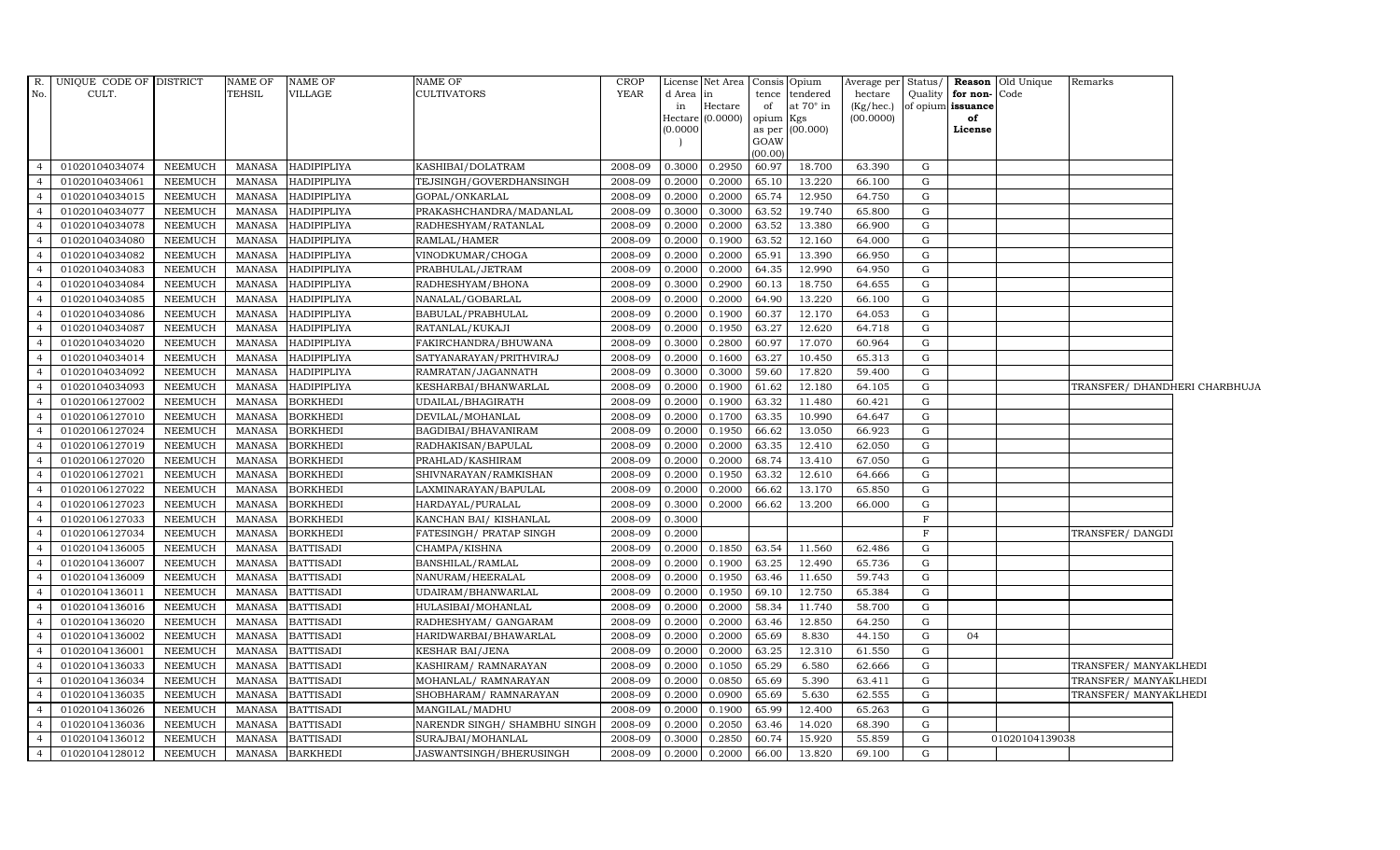| R.             | UNIQUE CODE OF DISTRICT |                | NAME OF       | <b>NAME OF</b>     | <b>NAME OF</b>               | <b>CROP</b> |              | License Net Area   Consis   Opium |                    |                                    |                      |             |                                           | Average per Status/ <b>Reason</b> Old Unique | Remarks                       |  |
|----------------|-------------------------|----------------|---------------|--------------------|------------------------------|-------------|--------------|-----------------------------------|--------------------|------------------------------------|----------------------|-------------|-------------------------------------------|----------------------------------------------|-------------------------------|--|
| No.            | CULT.                   |                | TEHSIL        | VILLAGE            | <b>CULTIVATORS</b>           | YEAR        | d Area<br>in | $\ln$<br>Hectare                  | of                 | tence tendered<br>at $70^\circ$ in | hectare<br>(Kg/hec.) |             | Quality for non-Code<br>of opium issuance |                                              |                               |  |
|                |                         |                |               |                    |                              |             |              | Hectare (0.0000)                  | opium Kgs          |                                    | (00.0000)            |             | of                                        |                                              |                               |  |
|                |                         |                |               |                    |                              |             | (0.0000)     |                                   |                    | as per (00.000)                    |                      |             | License                                   |                                              |                               |  |
|                |                         |                |               |                    |                              |             |              |                                   | GOAW               |                                    |                      |             |                                           |                                              |                               |  |
| $\overline{4}$ | 01020104034074          | NEEMUCH        | <b>MANASA</b> | <b>HADIPIPLIYA</b> | KASHIBAI/DOLATRAM            | 2008-09     | 0.3000       | 0.2950                            | (00.00)<br>60.97   | 18.700                             | 63.390               | G           |                                           |                                              |                               |  |
| $\overline{4}$ | 01020104034061          | <b>NEEMUCH</b> | <b>MANASA</b> | HADIPIPLIYA        | TEJSINGH/GOVERDHANSINGH      | 2008-09     | 0.2000       | 0.2000                            | 65.10              | 13.220                             | 66.100               | G           |                                           |                                              |                               |  |
| $\overline{4}$ | 01020104034015          | <b>NEEMUCH</b> | <b>MANASA</b> | HADIPIPLIYA        | GOPAL/ONKARLAL               | 2008-09     | 0.2000       | 0.2000                            | 65.74              | 12.950                             | 64.750               | G           |                                           |                                              |                               |  |
| $\overline{4}$ | 01020104034077          | <b>NEEMUCH</b> | <b>MANASA</b> | <b>HADIPIPLIYA</b> | PRAKASHCHANDRA/MADANLAL      | 2008-09     | 0.3000       | 0.3000                            | 63.52              | 19.740                             | 65.800               | G           |                                           |                                              |                               |  |
| $\overline{4}$ | 01020104034078          | <b>NEEMUCH</b> | <b>MANASA</b> | HADIPIPLIYA        | RADHESHYAM/RATANLAL          | 2008-09     | 0.2000       | 0.2000                            | 63.52              | 13.380                             | 66.900               | G           |                                           |                                              |                               |  |
| $\overline{4}$ | 01020104034080          | NEEMUCH        | <b>MANASA</b> | HADIPIPLIYA        | RAMLAL/HAMER                 | 2008-09     | 0.2000       | 0.1900                            | $63.\overline{52}$ | 12.160                             | 64.000               | G           |                                           |                                              |                               |  |
| $\overline{4}$ | 01020104034082          | NEEMUCH        | <b>MANASA</b> | HADIPIPLIYA        | VINODKUMAR/CHOGA             | 2008-09     | 0.2000       | 0.2000                            | 65.91              | 13.390                             | 66.950               | G           |                                           |                                              |                               |  |
| $\overline{4}$ | 01020104034083          | <b>NEEMUCH</b> | <b>MANASA</b> | HADIPIPLIYA        | PRABHULAL/JETRAM             | 2008-09     | 0.2000       | 0.2000                            | 64.35              | 12.990                             | 64.950               | G           |                                           |                                              |                               |  |
| $\overline{4}$ | 01020104034084          | <b>NEEMUCH</b> | <b>MANASA</b> | HADIPIPLIYA        | RADHESHYAM/BHONA             | 2008-09     | 0.3000       | 0.2900                            | 60.13              | 18.750                             | 64.655               | G           |                                           |                                              |                               |  |
| $\overline{4}$ | 01020104034085          | <b>NEEMUCH</b> | <b>MANASA</b> | HADIPIPLIYA        | NANALAL/GOBARLAL             | 2008-09     | 0.2000       | 0.2000                            | 64.90              | 13.220                             | 66.100               | G           |                                           |                                              |                               |  |
| $\overline{4}$ | 01020104034086          | <b>NEEMUCH</b> | <b>MANASA</b> | HADIPIPLIYA        | BABULAL/PRABHULAL            | 2008-09     | 0.2000       | 0.1900                            | 60.37              | 12.170                             | 64.053               | G           |                                           |                                              |                               |  |
| $\overline{4}$ | 01020104034087          | NEEMUCH        | <b>MANASA</b> | HADIPIPLIYA        | RATANLAL/KUKAJI              | 2008-09     | 0.2000       | 0.1950                            | 63.27              | 12.620                             | 64.718               | G           |                                           |                                              |                               |  |
| $\overline{4}$ | 01020104034020          | <b>NEEMUCH</b> | <b>MANASA</b> | HADIPIPLIYA        | FAKIRCHANDRA/BHUWANA         | 2008-09     | 0.3000       | 0.2800                            | 60.97              | 17.070                             | 60.964               | G           |                                           |                                              |                               |  |
| $\overline{4}$ | 01020104034014          | <b>NEEMUCH</b> | <b>MANASA</b> | HADIPIPLIYA        | SATYANARAYAN/PRITHVIRAJ      | 2008-09     | 0.2000       | 0.1600                            | 63.27              | 10.450                             | 65.313               | G           |                                           |                                              |                               |  |
| $\overline{4}$ | 01020104034092          | <b>NEEMUCH</b> | <b>MANASA</b> | HADIPIPLIYA        | RAMRATAN/JAGANNATH           | 2008-09     | 0.3000       | 0.3000                            | 59.60              | 17.820                             | 59.400               | G           |                                           |                                              |                               |  |
| $\overline{4}$ | 01020104034093          | <b>NEEMUCH</b> | <b>MANASA</b> | <b>HADIPIPLIYA</b> | KESHARBAI/BHANWARLAL         | 2008-09     | 0.2000       | 0.1900                            | 61.62              | 12.180                             | 64.105               | G           |                                           |                                              | TRANSFER/ DHANDHERI CHARBHUJA |  |
| $\overline{4}$ | 01020106127002          | NEEMUCH        | <b>MANASA</b> | <b>BORKHEDI</b>    | UDAILAL/BHAGIRATH            | 2008-09     | 0.2000       | 0.1900                            | $63.\overline{32}$ | 11.480                             | 60.421               | G           |                                           |                                              |                               |  |
| $\overline{4}$ | 01020106127010          | NEEMUCH        | <b>MANASA</b> | <b>BORKHEDI</b>    | DEVILAL/MOHANLAL             | 2008-09     | 0.2000       | 0.1700                            | 63.35              | 10.990                             | 64.647               | G           |                                           |                                              |                               |  |
| $\overline{4}$ | 01020106127024          | <b>NEEMUCH</b> | <b>MANASA</b> | <b>BORKHEDI</b>    | BAGDIBAI/BHAVANIRAM          | 2008-09     | 0.2000       | 0.1950                            | 66.62              | 13.050                             | 66.923               | G           |                                           |                                              |                               |  |
| $\overline{4}$ | 01020106127019          | <b>NEEMUCH</b> | <b>MANASA</b> | <b>BORKHEDI</b>    | RADHAKISAN/BAPULAL           | 2008-09     | 0.2000       | 0.2000                            | 63.35              | 12.410                             | 62.050               | G           |                                           |                                              |                               |  |
| $\overline{4}$ | 01020106127020          | <b>NEEMUCH</b> | <b>MANASA</b> | <b>BORKHEDI</b>    | PRAHLAD/KASHIRAM             | 2008-09     | 0.2000       | 0.2000                            | 68.74              | 13.410                             | 67.050               | G           |                                           |                                              |                               |  |
| $\overline{4}$ | 01020106127021          | <b>NEEMUCH</b> | <b>MANASA</b> | <b>BORKHEDI</b>    | SHIVNARAYAN/RAMKISHAN        | 2008-09     | 0.2000       | 0.1950                            | $63.\overline{32}$ | 12.610                             | 64.666               | G           |                                           |                                              |                               |  |
| $\overline{4}$ | 01020106127022          | <b>NEEMUCH</b> | <b>MANASA</b> | <b>BORKHEDI</b>    | LAXMINARAYAN/BAPULAL         | 2008-09     | 0.2000       | 0.2000                            | 66.62              | 13.170                             | 65.850               | G           |                                           |                                              |                               |  |
| $\overline{4}$ | 01020106127023          | <b>NEEMUCH</b> | <b>MANASA</b> | <b>BORKHEDI</b>    | HARDAYAL/PURALAL             | 2008-09     | 0.3000       | 0.2000                            | 66.62              | 13.200                             | 66.000               | G           |                                           |                                              |                               |  |
| $\overline{4}$ | 01020106127033          | <b>NEEMUCH</b> | <b>MANASA</b> | <b>BORKHEDI</b>    | KANCHAN BAI/KISHANLAL        | 2008-09     | 0.3000       |                                   |                    |                                    |                      | $\mathbf F$ |                                           |                                              |                               |  |
| $\overline{4}$ | 01020106127034          | <b>NEEMUCH</b> | <b>MANASA</b> | <b>BORKHEDI</b>    | FATESINGH/ PRATAP SINGH      | 2008-09     | 0.2000       |                                   |                    |                                    |                      | $_{\rm F}$  |                                           |                                              | TRANSFER/DANGDI               |  |
| $\overline{4}$ | 01020104136005          | NEEMUCH        | <b>MANASA</b> | <b>BATTISADI</b>   | CHAMPA/KISHNA                | 2008-09     | 0.2000       | 0.1850                            | 63.54              | 11.560                             | 62.486               | G           |                                           |                                              |                               |  |
| $\overline{4}$ | 01020104136007          | <b>NEEMUCH</b> | <b>MANASA</b> | <b>BATTISADI</b>   | BANSHILAL/RAMLAL             | 2008-09     | 0.2000       | 0.1900                            | 63.25              | 12.490                             | 65.736               | G           |                                           |                                              |                               |  |
| $\overline{4}$ | 01020104136009          | NEEMUCH        | <b>MANASA</b> | <b>BATTISADI</b>   | NANURAM/HEERALAL             | 2008-09     | 0.2000       | 0.1950                            | 63.46              | 11.650                             | 59.743               | G           |                                           |                                              |                               |  |
| $\overline{4}$ | 01020104136011          | <b>NEEMUCH</b> | <b>MANASA</b> | <b>BATTISADI</b>   | UDAIRAM/BHANWARLAL           | 2008-09     | 0.2000       | 0.1950                            | 69.10              | 12.750                             | 65.384               | G           |                                           |                                              |                               |  |
| $\overline{4}$ | 01020104136016          | <b>NEEMUCH</b> | <b>MANASA</b> | <b>BATTISADI</b>   | HULASIBAI/MOHANLAL           | 2008-09     | 0.2000       | 0.2000                            | 58.34              | 11.740                             | 58.700               | G           |                                           |                                              |                               |  |
| $\overline{4}$ | 01020104136020          | <b>NEEMUCH</b> | <b>MANASA</b> | <b>BATTISADI</b>   | RADHESHYAM / GANGARAM        | 2008-09     | 0.2000       | 0.2000                            | 63.46              | 12.850                             | 64.250               | G           |                                           |                                              |                               |  |
| $\overline{4}$ | 01020104136002          | NEEMUCH        | <b>MANASA</b> | <b>BATTISADI</b>   | HARIDWARBAI/BHAWARLAL        | 2008-09     | 0.2000       | 0.2000                            | 65.69              | 8.830                              | 44.150               | G           | 04                                        |                                              |                               |  |
| $\overline{4}$ | 01020104136001          | NEEMUCH        | <b>MANASA</b> | <b>BATTISADI</b>   | KESHAR BAI/JENA              | 2008-09     | 0.2000       | 0.2000                            | 63.25              | 12.310                             | 61.550               | G           |                                           |                                              |                               |  |
| $\overline{4}$ | 01020104136033          | <b>NEEMUCH</b> | <b>MANASA</b> | <b>BATTISADI</b>   | KASHIRAM/RAMNARAYAN          | 2008-09     | 0.2000       | 0.1050                            | 65.29              | 6.580                              | 62.666               | G           |                                           |                                              | TRANSFER/ MANYAKLHEDI         |  |
| $\overline{4}$ | 01020104136034          | <b>NEEMUCH</b> | <b>MANASA</b> | <b>BATTISADI</b>   | MOHANLAL/RAMNARAYAN          | 2008-09     | 0.2000       | 0.0850                            | 65.69              | 5.390                              | 63.411               | G           |                                           |                                              | TRANSFER/ MANYAKLHEDI         |  |
| $\overline{4}$ | 01020104136035          | <b>NEEMUCH</b> | <b>MANASA</b> | <b>BATTISADI</b>   | SHOBHARAM / RAMNARAYAN       | 2008-09     | 0.2000       | 0.0900                            | 65.69              | 5.630                              | 62.555               | G           |                                           |                                              | TRANSFER/ MANYAKLHEDI         |  |
| $\overline{4}$ | 01020104136026          | NEEMUCH        | <b>MANASA</b> | <b>BATTISADI</b>   | MANGILAL/MADHU               | 2008-09     | 0.2000       | 0.1900                            | 65.99              | 12.400                             | 65.263               | G           |                                           |                                              |                               |  |
| $\overline{4}$ | 01020104136036          | NEEMUCH        | <b>MANASA</b> | <b>BATTISADI</b>   | NARENDR SINGH/ SHAMBHU SINGF | 2008-09     | 0.2000       | 0.2050                            | 63.46              | 14.020                             | 68.390               | G           |                                           |                                              |                               |  |
| $\overline{4}$ | 01020104136012          | <b>NEEMUCH</b> | <b>MANASA</b> | <b>BATTISADI</b>   | SURAJBAI/MOHANLAL            | 2008-09     | 0.3000       | 0.2850                            | 60.74              | 15.920                             | 55.859               | G           |                                           | 01020104139038                               |                               |  |
| $\overline{4}$ | 01020104128012          | NEEMUCH        | MANASA        | <b>BARKHEDI</b>    | JASWANTSINGH/BHERUSINGH      | 2008-09     | 0.2000       | 0.2000                            | 66.00              | 13.820                             | 69.100               | G           |                                           |                                              |                               |  |